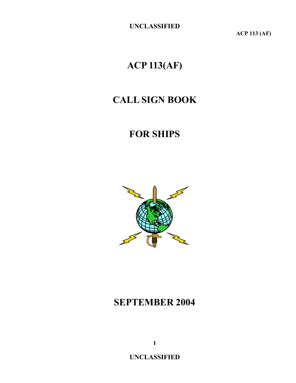**ACP 113 (AF)**

# **ACP 113(AF)**

# **CALL SIGN BOOK**

# **FOR SHIPS**



# **SEPTEMBER 2004**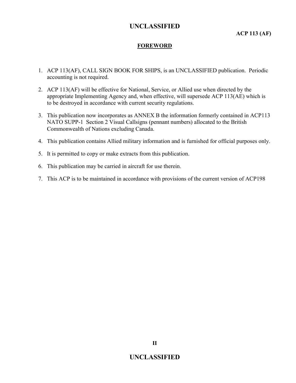#### **FOREWORD**

- 1. ACP 113(AF), CALL SIGN BOOK FOR SHIPS, is an UNCLASSIFIED publication. Periodic accounting is not required.
- 2. ACP 113(AF) will be effective for National, Service, or Allied use when directed by the appropriate Implementing Agency and, when effective, will supersede ACP 113(AE) which is to be destroyed in accordance with current security regulations.
- 3. This publication now incorporates as ANNEX B the information formerly contained in ACP113 NATO SUPP-1 Section 2 Visual Callsigns (pennant numbers) allocated to the British Commonwealth of Nations excluding Canada.
- 4. This publication contains Allied military information and is furnished for official purposes only.
- 5. It is permitted to copy or make extracts from this publication.
- 6. This publication may be carried in aircraft for use therein.
- 7. This ACP is to be maintained in accordance with provisions of the current version of ACP198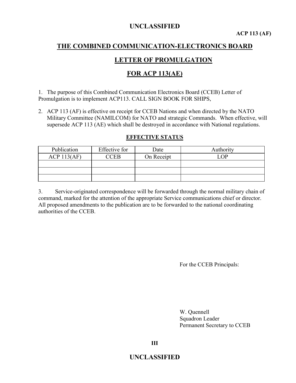# **THE COMBINED COMMUNICATION-ELECTRONICS BOARD**

### **LETTER OF PROMULGATION**

### **FOR ACP 113(AE)**

1. The purpose of this Combined Communication Electronics Board (CCEB) Letter of Promulgation is to implement ACP113. CALL SIGN BOOK FOR SHIPS,

2. ACP 113 (AF) is effective on receipt for CCEB Nations and when directed by the NATO Military Committee (NAMILCOM) for NATO and strategic Commands. When effective, will supersede ACP 113 (AE) which shall be destroyed in accordance with National regulations.

#### **EFFECTIVE STATUS**

| Publication | Effective for | Date       | Authority |
|-------------|---------------|------------|-----------|
| ACP 113(AF) | CCEB          | On Receipt | $\Omega$  |
|             |               |            |           |
|             |               |            |           |
|             |               |            |           |

3. Service-originated correspondence will be forwarded through the normal military chain of command, marked for the attention of the appropriate Service communications chief or director. All proposed amendments to the publication are to be forwarded to the national coordinating authorities of the CCEB.

For the CCEB Principals:

W. Quennell Squadron Leader Permanent Secretary to CCEB

**III**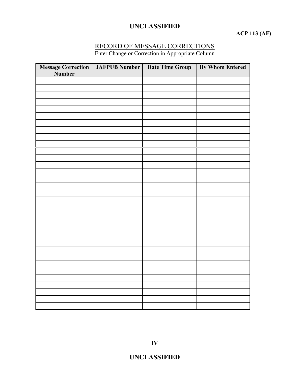### **ACP 113 (AF)**

#### RECORD OF MESSAGE CORRECTIONS

Enter Change or Correction in Appropriate Column

| <b>Message Correction</b><br>Number | JAFPUB Number   Date Time Group | <b>By Whom Entered</b> |
|-------------------------------------|---------------------------------|------------------------|
|                                     |                                 |                        |
|                                     |                                 |                        |
|                                     |                                 |                        |
|                                     |                                 |                        |
|                                     |                                 |                        |
|                                     |                                 |                        |
|                                     |                                 |                        |
|                                     |                                 |                        |
|                                     |                                 |                        |
|                                     |                                 |                        |
|                                     |                                 |                        |
|                                     |                                 |                        |
|                                     |                                 |                        |
|                                     |                                 |                        |
|                                     |                                 |                        |
|                                     |                                 |                        |
|                                     |                                 |                        |
|                                     |                                 |                        |
|                                     |                                 |                        |
|                                     |                                 |                        |
|                                     |                                 |                        |
|                                     |                                 |                        |
|                                     |                                 |                        |
|                                     |                                 |                        |
|                                     |                                 |                        |
|                                     |                                 |                        |
|                                     |                                 |                        |
|                                     |                                 |                        |
|                                     |                                 |                        |
|                                     |                                 |                        |
|                                     |                                 |                        |
|                                     |                                 |                        |
|                                     |                                 |                        |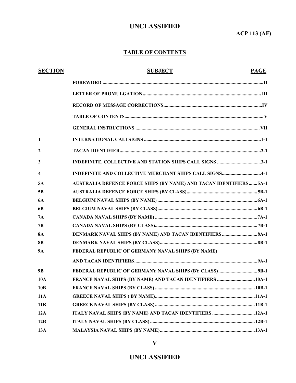**ACP 113 (AF)**

### **TABLE OF CONTENTS**

| <b>SECTION</b>          | <b>SUBJECT</b>                                                           | <b>PAGE</b> |
|-------------------------|--------------------------------------------------------------------------|-------------|
|                         |                                                                          |             |
|                         |                                                                          |             |
|                         |                                                                          |             |
|                         |                                                                          |             |
|                         |                                                                          |             |
| $\mathbf{1}$            |                                                                          |             |
| $\mathbf{2}$            |                                                                          |             |
| 3                       |                                                                          |             |
| $\overline{\mathbf{4}}$ | INDEFINITE AND COLLECTIVE MERCHANT SHIPS CALL SIGNS4-1                   |             |
| 5A                      | <b>AUSTRALIA DEFENCE FORCE SHIPS (BY NAME) AND TACAN IDENTIFIERS5A-1</b> |             |
| 5B                      |                                                                          |             |
| <b>6A</b>               |                                                                          |             |
| 6B                      |                                                                          |             |
| 7A                      |                                                                          |             |
| 7B                      |                                                                          |             |
| <b>8A</b>               |                                                                          |             |
| <b>8B</b>               |                                                                          |             |
| <b>9A</b>               | FEDERAL REPUBLIC OF GERMANY NAVAL SHIPS (BY NAME)                        |             |
|                         |                                                                          |             |
| 9 <b>B</b>              |                                                                          |             |
| <b>10A</b>              |                                                                          |             |
| 10B                     |                                                                          |             |
| <b>11A</b>              |                                                                          |             |
| 11B                     |                                                                          |             |
| 12A                     |                                                                          |             |
| 12B                     |                                                                          |             |
| 13A                     |                                                                          |             |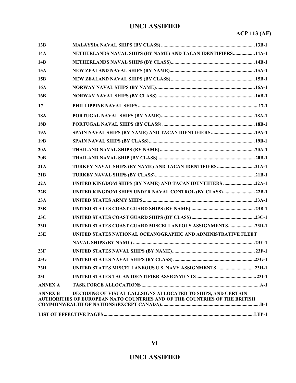# **ACP 113 (AF)**

| 13B            |                                                                                                                                            |  |
|----------------|--------------------------------------------------------------------------------------------------------------------------------------------|--|
| 14A            | NETHERLANDS NAVAL SHIPS (BY NAME) AND TACAN IDENTIFIERS 14A-1                                                                              |  |
| 14B            |                                                                                                                                            |  |
| 15A            |                                                                                                                                            |  |
| 15B            |                                                                                                                                            |  |
| <b>16A</b>     |                                                                                                                                            |  |
| 16B            |                                                                                                                                            |  |
| 17             |                                                                                                                                            |  |
| <b>18A</b>     |                                                                                                                                            |  |
| 18B            |                                                                                                                                            |  |
| 19A            |                                                                                                                                            |  |
| 19B            |                                                                                                                                            |  |
| 20A            |                                                                                                                                            |  |
| 20B            |                                                                                                                                            |  |
| 21A            |                                                                                                                                            |  |
| 21B            |                                                                                                                                            |  |
| 22A            | UNITED KINGDOM SHIPS (BY NAME) AND TACAN IDENTIFIERS 22A-1                                                                                 |  |
| 22B            | UNITED KINGDOM SHIPS UNDER NAVAL CONTROL (BY CLASS) 22B-1                                                                                  |  |
| 23A            |                                                                                                                                            |  |
| 23B            |                                                                                                                                            |  |
| 23C            |                                                                                                                                            |  |
| 23D            | UNITED STATES COAST GUARD MISCELLANEOUS ASSIGNMENTS23D-1                                                                                   |  |
| 23E            | UNITED STATES NATIONAL OCEANOGRAPHIC AND ADMINISTRATIVE FLEET                                                                              |  |
|                |                                                                                                                                            |  |
| 23F            |                                                                                                                                            |  |
| 23G            |                                                                                                                                            |  |
| 23H            |                                                                                                                                            |  |
| 23I            |                                                                                                                                            |  |
| <b>ANNEX A</b> |                                                                                                                                            |  |
| <b>ANNEX B</b> | DECODING OF VISUAL CALLSIGNS ALLOCATED TO SHIPS, AND CERTAIN<br>AUTHORITIES OF EUROPEAN NATO COUNTRIES AND OF THE COUNTRIES OF THE BRITISH |  |
|                |                                                                                                                                            |  |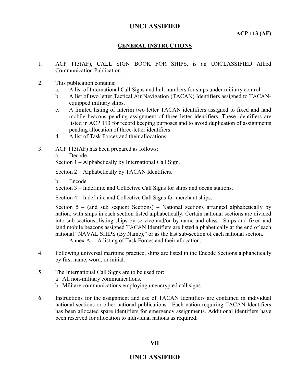#### **GENERAL INSTRUCTIONS**

- 1. ACP 113(AF), CALL SIGN BOOK FOR SHIPS, is an UNCLASSIFIED Allied Communication Publication.
- 2. This publication contains:
	- a. A list of International Call Signs and hull numbers for ships under military control.
	- b. A list of two letter Tactical Air Navigation (TACAN) Identifiers assigned to TACANequipped military ships.
	- c. A limited listing of Interim two letter TACAN identifiers assigned to fixed and land mobile beacons pending assignment of three letter identifiers. These identifiers are listed in ACP 113 for record keeping purposes and to avoid duplication of assignments pending allocation of three-letter identifiers.
	- d. A list of Task Forces and their allocations.
- 3. ACP 113(AF) has been prepared as follows:
	- a. Decode

Section 1 – Alphabetically by International Call Sign.

Section 2 – Alphabetically by TACAN Identifiers.

b. Encode

Section 3 – Indefinite and Collective Call Signs for ships and ocean stations.

Section 4 – Indefinite and Collective Call Signs for merchant ships.

Section  $5 -$  (and sub sequent Sections) – National sections arranged alphabetically by nation, with ships in each section listed alphabetically. Certain national sections are divided into sub-sections, listing ships by service and/or by name and class. Ships and fixed and land mobile beacons assigned TACAN Identifiers are listed alphabetically at the end of each national "NAVAL SHIPS (By Name)," or as the last sub-section of each national section. Annex A A listing of Task Forces and their allocation.

- 4. Following universal maritime practice, ships are listed in the Encode Sections alphabetically by first name, word, or initial.
- 5. The International Call Signs are to be used for:
	- a All non-military communications.
	- b Military communications employing unencrypted call signs.
- 6. Instructions for the assignment and use of TACAN Identifiers are contained in individual national sections or other national publications. Each nation requiring TACAN Identifiers has been allocated spare identifiers for emergency assignments. Additional identifiers have been reserved for allocation to individual nations as required.

#### **VII**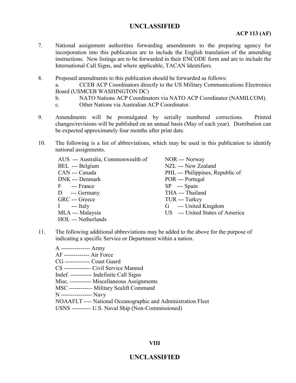#### **ACP 113 (AF)**

- 7. National assignment authorities forwarding amendments to the preparing agency for incorporation into this publication are to include the English translation of the amending instructions. New listings are to be forwarded in their ENCODE form and are to include the International Call Signs, and where applicable, TACAN Identifiers.
- 8. Proposed amendments to this publication should be forwarded as follows:

a. CCEB ACP Coordinators directly to the US Military Communications Electronics Board (USMCEB WASHINGTON DC)

- b. NATO Nations ACP Coordinators via NATO ACP Coordinator (NAMILCOM).
- c. Other Nations via Australian ACP Coordinator.
- 9. Amendments will be promulgated by serially numbered corrections. Printed changes/revisions will be published on an annual basis (May of each year). Distribution can be expected approximately four months after print date.
- 10. The following is a list of abbreviations, which may be used in this publication to identify national assignments.

| AUS --- Australia, Commonwealth of | NOR --- Norway                   |
|------------------------------------|----------------------------------|
| BEL --- Belgium                    | NZL --- New Zealand              |
| CAN --- Canada                     | PHL --- Philippines, Republic of |
| DNK --- Denmark                    | POR --- Portugal                 |
| F --- France                       | $SP$ --- Spain                   |
| D --- Germany                      | THA --- Thailand                 |
| GRC --- Greece                     | TUR --- Turkey                   |
| $I$ --- Italy                      | G --- United Kingdom             |
| MLA --- Malaysia                   | US --- United States of America  |
| HOL --- Netherlands                |                                  |

11. The following additional abbreviations may be added to the above for the purpose of indicating a specific Service or Department within a nation.

A --------------- Army AF ------------- Air Force CG ------------- Coast Guard CS -------------- Civil Service Manned Indef. ----------- Indefinite Call Signs Misc. ----------- Miscellaneous Assignments MSC ------------ Military Sealift Command N ---------------- Navy NOAAFLT ---- National Oceanographic and Administration Fleet USNS ---------- U.S. Naval Ship (Non-Commissioned)

#### **VIII**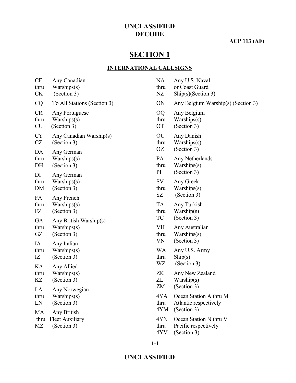#### **ACP 113 (AF)**

# **SECTION 1**

#### **INTERNATIONAL CALLSIGNS**

| CF<br>thru<br><b>CK</b>        | Any Canadian<br>Warships(s)<br>(Section 3)           | <b>NA</b><br>thru<br>NZ        | Any U.S. Naval<br>or Coast Guard<br>$\text{Ship}(s)$ (Section 3)             |
|--------------------------------|------------------------------------------------------|--------------------------------|------------------------------------------------------------------------------|
| CQ                             | To All Stations (Section 3)                          | ON                             | Any Belgium Warship(s) (Section 3)                                           |
| <b>CR</b><br>thru<br><b>CU</b> | Any Portuguese<br>Warships(s)<br>(Section 3)         | <b>OQ</b><br>thru<br><b>OT</b> | Any Belgium<br>Warships(s)<br>(Section 3)                                    |
| <b>CY</b><br>CZ<br>DA          | Any Canadian Warship(s)<br>(Section 3)               | OU<br>thru<br>OΖ               | Any Danish<br>Warships(s)<br>(Section 3)                                     |
| thru<br>DH                     | Any German<br>Warships(s)<br>(Section 3)             | PA<br>thru<br>PI               | Any Netherlands<br>Warships(s)<br>(Section 3)                                |
| DI<br>thru<br>DM               | Any German<br>Warships(s)<br>(Section 3)             | SV<br>thru<br>SZ               | Any Greek<br>Warships(s)<br>(Section 3)                                      |
| FA<br>thru<br>FZ               | Any French<br>Warships(s)<br>(Section 3)             | <b>TA</b><br>thru              | Any Turkish<br>Warship(s)                                                    |
| GA<br>thru<br>GZ               | Any British Warship(s)<br>Warships(s)<br>(Section 3) | TC<br>VH<br>thru<br>VN         | (Section 3)<br>Any Australian<br>Warships(s)<br>(Section 3)                  |
| IA<br>thru<br>IZ               | Any Italian<br>Warships(s)<br>(Section 3)            | <b>WA</b><br>thru<br>WZ        | Any U.S. Army<br>$\text{Ship}(s)$<br>(Section 3)                             |
| KA<br>thru<br>KZ               | Any Allied<br>Warships(s)<br>(Section 3)             | <b>ZK</b><br>ZL<br>ZM          | Any New Zealand<br>Warship(s)<br>(Section 3)                                 |
| LA<br>thru<br>LN               | Any Norwegian<br>Warships(s)<br>(Section 3)          | 4YA<br>thru                    | Ocean Station A thru M<br>Atlantic respectively                              |
| MA<br>thru<br>MΖ               | Any British<br><b>Fleet Auxiliary</b><br>(Section 3) | 4YM<br>4YN<br>thru<br>4YV      | (Section 3)<br>Ocean Station N thru V<br>Pacific respectively<br>(Section 3) |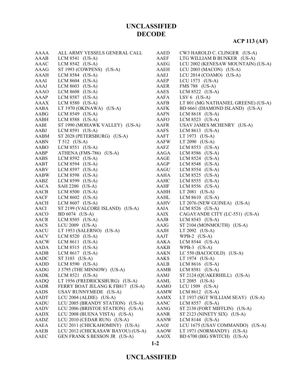### **ACP 113 (AF)**

| AAAA        | ALL ARMY VESSELS GENERAL CALL     | AAED        | CW3 HAROLD C. CLINGER (US-A)        |
|-------------|-----------------------------------|-------------|-------------------------------------|
| AAAB        | LCM 8541 (US-A)                   | AAEF        | LTG WILLIAM B BUNKER (US-A)         |
| AAAC        | LCM 8542 (US-A)                   | AAEG        | LCU 2002 (KENESAW MOUNTAIN) (US-A)  |
| AAAG        | ST 1993 (COWPENS) (US-A)          | AAEH        | LCU 2003 (MACON) (US-A)             |
| AAAH        | LCM 8584 (US-A)                   | AAEJ        | LCU 2014 (COAMO) (US-A)             |
| AAAI        | LCM $8604$ (US-A)                 | AAEP        | LCU $1573$ (US-A)                   |
| AAAJ        | LCM $8603$ (US-A)                 | AAER        | FMS 788 (US-A)                      |
| AAAO        | LCM 8608 (US-A)                   | AAES        | LCM 8522 (US-A)                     |
| AAAP        | LCM 8587 (US-A)                   | AAFA        | LSV $6$ (US-A)                      |
| <b>AAAX</b> | LCM 8580 (US-A)                   | AAFB        | LT 801 (MG NATHANIEL GREENE) (US-A) |
|             |                                   |             | BD 6661 (DIAMOND ISLAND) (US-A)     |
| AABA        | LT 1970 (OKINAWA) (US-A)          | AAFK        |                                     |
| AABG        | LCM 8549 (US-A)                   | AAFN        | LCM $8618$ (US-A)                   |
| AABH        | LCM 8588 (US-A)                   | AAFO        | LCM 8523 (US-A)                     |
| AABI        | ST 1990 (MOHAWK VALLEY) (US-A)    | AAFR        | USAV JAMES MCHENRY (US-A)           |
| AABJ        | LCM 8591 (US-A)                   | AAFS        | LCM $8613$ (US-A)                   |
| AABM        | ST 2028 (PETERSBURG) (US-A)       | AAFT        | LT 1973 (US-A)                      |
| AABN        | T 512 (US-A)                      | AAFW        | $LT 2090$ (US-A)                    |
| AABO        | LCM $8551$ (US-A)                 | AAFZ        | LCM 8553 (US-A)                     |
| AABP        | ATHENA (FMS-786) (US-A)           | AAGA        | LCM 8586 (US-A)                     |
| AABS        | LCM 8592 (US-A)                   | AAGE        | LCM 8524 (US-A)                     |
| AABT        | LCM 8594 (US-A)                   | AAGP        | LCM 8548 (US-A)                     |
| AABV        | LCM 8597 (US-A)                   | AAGU        | LCM 8554 (US-A)                     |
| <b>AABW</b> | LCM 8598 (US-A)                   | AAHA        | LCM $8525$ (US-A)                   |
| AABZ        | LCM 8599 (US-A)                   | AAHC        | LCM 8555 (US-A)                     |
| AACA        | SAH 2200 (US-A)                   | AAHF        | LCM 8556 (US-A)                     |
| AACB        | LCM 8500 (US-A)                   | AAHH        | LT $2081$ (US-A)                    |
| AACF        | LCM $8602$ (US-A)                 | AAHL        | LCM $8610$ (US-A)                   |
| <b>AACH</b> | LCM 8607 (US-A)                   | <b>AAHV</b> | LT 2076 (NEW GUINEA) (US-A)         |
| AACI        | ST 2199 (VALCORE ISLAND) (US-A)   | AAIA        | LCM 8526 (US-A)                     |
| AACO        | BD 6074 (US-A)                    | AAIX        | CAGAYANDE CITY (LC-551) (US-A)      |
| AACR        | LCM $8505$ (US-A)                 | AAJB        | LCM $8543$ (US-A)                   |
| AACS        | LCU 2009 (US-A)                   | AAJG        | ST 2104 (MONMOUTH) (US-A)           |
| AACU        | LT 1953 (SALERNO) (US-A)          | AAJH        | LT 2092 (US-A)                      |
| AACV        | LCM 8520 (US-A)                   | AAJT        | WPB-2 $(US-A)$                      |
| <b>AACW</b> | LCM 8611 (US-A)                   | AAKA        | LCM 8544 (US-A)                     |
| AADA        | LCM $8515$ (US-A)                 | AAKB        | WPB-3 $(US-A)$                      |
| AADB        | LCM $8617$ (US-A)                 | AAKN        | LC 550 (BACOCOLD) $(US-A)$          |
| AADC        | ST 3103 (US-A)                    | <b>AAKS</b> | LT 1974 (US-A)                      |
| AADD        | LCM 8590 (US-A)                   | AALB        | LCM 8616 (US-A)                     |
| AADG        | J 3795 (THE MINNOW) (US-A)        | <b>AAMB</b> | LCM 8581 (US-A)                     |
| <b>AADK</b> | LCM 8521 (US-A)                   | AAMJ        | ST 2124 (QUAKERHILL) (US-A)         |
| AADQ        | LT 1956 (FREDRICKSBURG) (US-A)    | AAML        | LT 2085 (US-A)                      |
| AADR        | FERRY BOAT JELANG K FB817 (US-A)  | AAMO        | LCU 1509 (US-A)                     |
| <b>AADS</b> | USAV RUNNYMEDE (US-A)             | AAMW        | LCM 8612 (US-A)                     |
| AADT        | LCU 2004 (ALDIE) (US-A)           | AAMX        | LT 1937 (SGT WILLIAM SEAY) (US-A)   |
| AADU        | LCU 2005 (BRANDY STATION) (US-A)  | <b>AANC</b> | LCM 8557 (US-A)                     |
| <b>AADV</b> | LCU 2006 (BRISTOE STATION) (US-A) | <b>AANG</b> | ST 2130 (FORT MIFFLIN) (US-A)       |
| AADX        | LCU 2008 (BUENA VISTA) (US-A)     | AANR        | ST 2123 (NINETY SIX) (US-A)         |
| AADZ        | LCU 2010 (CEDAR RUN) (US-A)       | AANW        | LCM $8144$ (US-A)                   |
| AAEA        | LCU 2011 (CHICKAHOMINY) (US-A)    | AAOJ        | LCU 1675 (USAV COMMANDO) (US-A)     |
| AAEB        | LCU 2012 (CHICKASAW BAYOU) (US-A) | AAOW        | LT 1971 (NORMANDY) (US-A)           |
| AAEC        | GEN FRANK S BESSON JR (US-A)      | AAOX        | BD 6700 (BIG SWITCH) (US-A)         |
|             |                                   |             |                                     |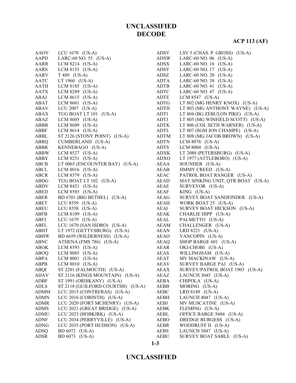| AAOY        | LCU 1678 (US-A)                   | ADSV         | LSV 5 (CHAS. P. GROSS) (US-A)     |
|-------------|-----------------------------------|--------------|-----------------------------------|
| AAPD        | LARC-60 NO. 55 $(US-A)$           | ADSW         | LARC-60 NO. 06 $(US-A)$           |
| AARR        | LCM $8214$ (US-A)                 | ADSX         | LARC-60 NO. 16 (US-A)             |
| AARS        | LCM 8153 $(US-A)$                 | ADSY         | LARC-60 NO. 17 (US-A)             |
| AARV        | $T 489$ (US-A)                    | <b>ADSZ</b>  | LARC-60 NO. 20 (US-A)             |
| AATC        | LT 1960 (US-A)                    | ADTA         | LARC-60 NO. 38 (US-A)             |
| AATH        | LCM 8185 (US-A)                   | ADTB         | LARC-60 NO. 41 $(US-A)$           |
| AATX        | LCM 8289 (US-A)                   | <b>ADTC</b>  | LARC-60 NO. 47 $(US-A)$           |
| ABAJ        | LCM $8615$ (US-A)                 | ADTE         | LCM $8547$ (US-A)                 |
| ABAT        | LCM $8601$ (US-A)                 | ADTG         | LT 802 (MG HENRY KNOX) (US-A)     |
| ABAV        | LCU 2007 $(US-A)$                 | ADTH         | LT 803 (MG ANTHONY WAYNE) (US-A)  |
| ABAX        | TUG BOAT LT 101 (US-A)            | ADTI         | LT 804 (BG ZEBULON PIKE) (US-A)   |
| ABAZ        | LCM $8605$ (US-A)                 | ADTJ         | LT 805 (MG WINFIELD SCOTT) (US-A) |
| ABBB        | LCM $8609$ (US-A)                 | <b>ADTK</b>  | LT 806 (COL SETH WARNER) (US-A)   |
| ABBF        | LCM $8614$ (US-A)                 | ADTL         | LT 807 (SGM JON CHAMPE) (US-A)    |
| ABBL        | ST 2126 (STONY POINT) (US-A)      | ADTM         | LT 808 (MG JACOB BROWN) (US-A)    |
| ABBQ        | CUMBERLAND (US-A)                 | <b>ADTN</b>  | LCM 8078 (US-A)                   |
| ABBR        | KENNEBAGO (US-A)                  | <b>ADTS</b>  | LCM $8004$ (US-A)                 |
| ABBW        | LCM 8527 (US-A)                   | ADXK         | LT 2088 (PETERSBURG) (US-A)       |
| ABBY        | LCM $8251$ (US-A)                 | ADXO         | LT 1977 (ATTLEBORO) (US-A)        |
| ABCB        | LT 0065 (ENCOUNTER BAY) (US-A)    | AEAA         | SOUNDER (US-A)                    |
| ABCL        | LCM $8016$ (US-A)                 | AEAB         | JIMMY CREED (US-A)                |
| ABCR        | LCM 8379 (US-A)                   | AEAC         | PATROL BOAT RANGER (US-A)         |
| ABDG        | TUG BOAT LT 102 (US-A)            | AEAD         | MAT SINKING UNIT, QTR BOAT (US-A) |
| ABDV        | LCM $8421$ (US-A)                 | AEAE         | SURVEYOR (US-A)                   |
| ABED        | LCM 8585 (US-A)                   | <b>AEAF</b>  | $KING$ (US-A)                     |
| ABER        |                                   | AEAG         | SURVEY BOAT SANDFINDER (US-A)     |
| ABET        | BD 6701 (BIG BETHEL) (US-A)       |              |                                   |
|             | LCU 8559 $(US-A)$                 | AEAH         | WORK BOAT 25 (US-A)               |
| ABEU        | LCU 8558 (US-A)                   | AEAI<br>AEAK | SURVEY BOAT HICKSON (US-A)        |
| ABFB        | LCM 8109 (US-A)                   |              | CHARLIE HIPP (US-A)               |
| ABFJ        | LCU 1679 (US-A)                   | AEAL         | PALMETTO (US-A)                   |
| ABFL        | LCU 1670 (SAN ISDRO) (US-A)       | AEAM         | CHALLENGER (US-A)                 |
| ABHT        | LT 1972 (GETTYSBURG) (US-A)       | AEAN         | LRD 8221 (US-A)                   |
| <b>ABHW</b> | BD 6659 (WILDERNESS) (US-A)       | AEAO         | YANCOPIN (US-A)                   |
| ABNC        | ATHENA (FMS 786) (US-A)           | AEAQ         | SHOP BARGE 601 (US-A)             |
| ABOK        | LCM 8593 (US-A)                   | AEAR         | OKI-CHOBI (US-A)                  |
| ABOQ        | LCM $8085$ (US-A)                 | AEAS         | WILLINGHAM (US-A)                 |
| ABPA        | LCM $8001$ (US-A)                 | AEAT         | MV MACKINAW (US-A)                |
| ABPB        | LCM $8010$ (US-A)                 | AEAV         | SURVEY BARGE PAJ (US-A)           |
| <b>ABQI</b> | ST 2201 (FALMOUTH) (US-A)         | AEAX         | SURVEY/PATROL BOAT 1903 (US-A)    |
| <b>ADAV</b> | ST 2116 (KINGS MOUNTAIN) (US-A)   | <b>AEAZ</b>  | LAUNCH 3045 (US-A)                |
| ADBF        | ST 1991 (ORISKANY) (US-A)         | AEBA         | CHIPOLA (US-A)                    |
| <b>ADLS</b> | ST 2118 (GUILFORD COURTHS) (US-A) | AEBB         | MORING (US-A)                     |
| <b>ADMM</b> | LCU 2015 (CONTRERAS) (US-A)       | <b>AEBC</b>  | LRD 8149 (US-A)                   |
| <b>ADMN</b> | LCU 2016 (CORINTH) (US-A)         | AEBH         | LAUNCH 4047 (US-A)                |
| <b>ADMR</b> | LCU 2020 (FORT MCHENRY) (US-A)    | AEBJ         | MV MUSCATINE (US-A)               |
| <b>ADMS</b> | LCU 2021 (GREAT BRIDGE) (US-A)    | AEBK         | FLEMING (US-A)                    |
| <b>ADMU</b> | LCU 2023 (HOBKIRK) (US-A)         | AEBL         | OFFICE BARGE 5604 (US-A)          |
| <b>ADNF</b> | LCU 2034 (PERRYVILLE) (US-A)      | <b>AEBO</b>  | DREDGE BURGESS (US-A)             |
| <b>ADNG</b> | LCU 2035 (PORT HUDSON) (US-A)     | AEBR         | WOODRUFF II (US-A)                |
| <b>ADSQ</b> | BD 6072 (US-A)                    | AEBS         | LAUNCH 3047 (US-A)                |
| ADSR        | BD 6073 (US-A)                    | <b>AEBU</b>  | SURVEY BOAT SABLE (US-A)          |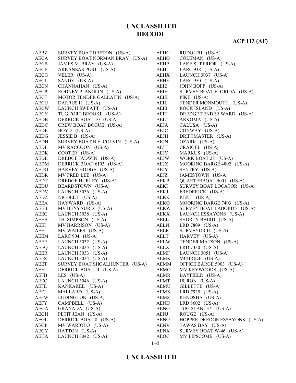**ACP 113 (AF)**

| AEBZ        | SURVEY BOAT BRETON (US-A)      | <b>AEHC</b> | RUDOLPH (US-A)                |
|-------------|--------------------------------|-------------|-------------------------------|
| <b>AECA</b> | SURVEY BOAT NORMAN BRAY (US-A) | AEHO        | COLEMAN (US-A)                |
| <b>AECB</b> | JAMES M. BRAY (US-A)           | AEHP        | LAKE SUPERIOR (US-A)          |
| <b>AECE</b> | ARKANSAS POST (US-A)           | <b>AEHU</b> | LARC 938 (US-A)               |
| <b>AECG</b> | VELER (US-A)                   | AEHX        | LAUNCH 3037 (US-A)            |
| <b>AECL</b> | SANDY (US-A)                   | AEHY        | LARC $950$ (US-A)             |
| <b>AECN</b> | CHANNAHAN (US-A)               | AEIE        | JOHN BOPP (US-A)              |
| AECP        | RODNEY P. ANGLIN (US-A)        | AEIH        | SURVEY BOAT FLORIDA (US-A)    |
| <b>AECT</b> | MOTOR TENDER GALLATIN (US-A)   | AEIK        | PIKE (US-A)                   |
| <b>AECU</b> | DARRUS II (US-A)               | AEIL        | TENDER MONMOUTH (US-A)        |
| <b>AECW</b> | LAUNCH SWEATT (US-A)           | AEIS        | ROCK ISLAND (US-A)            |
| AECY        | TUG FORT BROOKE (US-A)         | <b>AEIT</b> | DREDGE TENDER WARD (US-A)     |
| AEDB        | DERRICK BOAT 10 (US-A)         | AEIU        | ARKOMA (US-A)                 |
| AEDC        | CREW BOAT BOGUE (US-A)         | AEJA        | CALUSA (US-A)                 |
| AEDE        | BOYD (US-A)                    | AEJC        | CONWAY (US-A)                 |
| AEDG        | JESSIE B (US-A)                | AEJH        | DRIFTMASTER (US-A)            |
| AEDH        | SURVEY BOAT B.E. COLVIN (US-A) | AEJN        | OZARK (US-A)                  |
| AEDI        | MV RACCOON (US-A)              | AEJT        | CRAIGEL (US-A)                |
| <b>AEDK</b> | COOTER (US-A)                  | AEJV        | MARKUS (US-A)                 |
| AEDL        | DREDGE JADWIN (US-A)           | AEJW        | WORK BOAT 28 (US-A)           |
| <b>AEDM</b> | DERRICK BOAT 6103 (US-A)       | AEJX        | MOORING BARGE 4802 (US-A)     |
| AEDO        | HARVEY HODGE (US-A)            | AEJY        | SENTRY (US-A)                 |
| AEDR        | MV FRED LEE (US-A)             | AEJZ        | JAMESTOWN (US-A)              |
| AEDT        | DREDGE HURLEY (US-A)           | AEKB        | QUARTERBOAT 5001 (US-A)       |
| <b>AEDU</b> | BEARDSTOWN (US-A)              | AEKI        | SURVEY BOAT LOCATOR (US-A)    |
|             |                                |             |                               |
| <b>AEDV</b> | LAUNCH 3036 (US-A)             | AEKJ        | FREDERICK (US-A)              |
| AEDZ        | NICOLET (US-A)                 | AEKK        | KENT (US-A)                   |
| AEEA        | HAYWARD (US-A)                 | AEKO        | MOORING BARGE 7403 (US-A)     |
| AEEB        | MV BENYAURD (US-A)             | AEKW        | SURVEY BOAT LABORDE (US-A)    |
| AEEG        | LAUNCH 3038 (US-A)             | AEKX        | LAUNCH ESSAYONS (US-A)        |
| AEEH        | J.H. SIMPSON (US-A)            | AELL        | SHORTY BAIRD (US-A)           |
| AEEI        | MV HARRISON (US-A)             | AELN        | LRD 7809 (US-A)               |
| AEEL        | MV WAILES (US-A)               | AELR        | SURVEYOR II (US-A)            |
| AEEM        | LARC $904$ (US-A)              | AELT        | HARVEY (US-A)                 |
| AEEP        | LAUNCH 3032 (US-A)             | <b>AELW</b> | TENDER MATSON (US-A)          |
| AEEQ        | LAUNCH 3035 (US-A)             | AELX        | LRD 7330 (US-A)               |
| AEER        | LAUNCH 3033 (US-A)             | AEMF        | LAUNCH 3051 (US-A)            |
| AEES        | LAUNCH 3034 (US-A)             | <b>AEMK</b> | MCBRIDE (US-A)                |
| <b>AEET</b> | SURVEY BOAT SHOALHUNTER (US-A) | <b>AEMM</b> | OFFICE BARGE 5003 (US-A)      |
| <b>AEEU</b> | DERRICK BOAT 11 (US-A)         | AEMO        | MV KEYWOODS (US-A)            |
| <b>AEFB</b> | LES $(US-A)$                   | <b>AEMR</b> | BAYFIELD (US-A)               |
| AEFC        | LAUNCH 3046 (US-A)             | AEMT        | HURON (US-A)                  |
| <b>AEFE</b> | KANKAKEE (US-A)                | AEMU        | GILLETTE (US-A)               |
| <b>AEFJ</b> | MALLARD (US-A)                 | <b>AEMX</b> | LRD 7925 (US-A)               |
| <b>AEFW</b> | LUDINGTON (US-A)               | AEMZ        | KENOSHA (US-A)                |
| <b>AEFY</b> | CAMPBELL (US-A)                | AEND        | LRD 8602 (US-A)               |
| AEGA        | GRANADA (US-A)                 | <b>AENG</b> | TUG STANLEY (US-A)            |
| AEGH        | PETIT JEAN (US-A)              | AENJ        | ROUGE (US-A)                  |
| AEGL        | DERRICK BOAT 8 (US-A)          | <b>AENO</b> | HOPPER DREDGE ESSAYONS (US-A) |
| AEGP        | MV WARIOTO (US-A)              | AENV        | TAWAS BAY (US-A)              |
| AEGY        | HATTON (US-A)                  | <b>AENX</b> | SURVEY BOAT W-46 (US-A)       |
| <b>AEHA</b> | LAUNCH 3042 (US-A)             | <b>AEOC</b> | MV LIPSCOMB (US-A)            |
|             |                                |             |                               |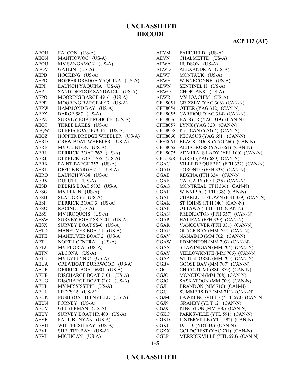### **ACP 113 (AF)**

| AEOH                | FALCON (US-A)                                                                              |
|---------------------|--------------------------------------------------------------------------------------------|
| AEON                | MANTIOWOC (US-A)                                                                           |
| AEOU                | MV SANGAMON (US-A)                                                                         |
| AEOV                | GATLIN (US-A)                                                                              |
| AEPB                | HOCKING (US-A)                                                                             |
| AEPD                | HOPPER DREDGE YAQUINA (US-A)                                                               |
| AEPI                | LAUNCH YAQUINA (US-A)                                                                      |
| AEPJ                | SAND DREDGE SANDWICK (US-A)                                                                |
| AEPO                | MOORING BARGE 4916 (US-A)                                                                  |
| AEPP                | MOORING BARGE 4917 (US-A)                                                                  |
| AEPW                | HAMMOND BAY (US-A)                                                                         |
| AEPX                | BARGE 587 (US-A)                                                                           |
|                     |                                                                                            |
| AEPZ<br><b>AEQT</b> | SURVEY BOAT RODOLF (US-A)                                                                  |
| AEQW                | THREE LAKES (US-A)                                                                         |
|                     | DEBRIS BOAT PUGET (US-A)                                                                   |
| AEQZ                | HOPPER DREDGE WHEELER (US-A)                                                               |
|                     | AERD CREW BOAT WHEELER (US-A)                                                              |
| AERE                | MV CLINTON (US-A)                                                                          |
| AERI                | DERRICK BOAT 762 (US-A)                                                                    |
| AERJ                | DERRICK BOAT 765 (US-A)                                                                    |
| AERK                | PAINT BARGE 757 (US-A)                                                                     |
| AERL                |                                                                                            |
| AERO                | OFFICE BARGE 715 (US-A)<br>OFFICE BARGE 715 (US-A)<br>LAUNCH W-38 (US-A)<br>DULLITH (TIS : |
| AERV                | DULUTH (US-A)                                                                              |
| AESB                | DEBRIS BOAT 5803 (US-A)                                                                    |
| AESG                | MV PEKIN (US-A)                                                                            |
| AESH                | SEA HORSE (US-A)                                                                           |
| AESI                | DERRICK BOAT 3 (US-A)                                                                      |
| AESO                | RACINE (US-A)                                                                              |
| AESS                | MV IROQUOIS (US-A)                                                                         |
| AESW                | SURVEY BOAT SS-7201 (US-A)                                                                 |
| AESX                | SURVEY BOAT SS-6 (US-A)                                                                    |
| AETD                | MANEUVER BOAT 1 (US-A)                                                                     |
| AETE                | MANEUVER BOAT 2 (US-A)                                                                     |
| AETI                | NORTH CENTRAL (US-A)                                                                       |
| AETJ                | MV PEORIA (US-A)                                                                           |
| <b>AETN</b>         | ALCONA (US-A)                                                                              |
| <b>AETU</b>         | MV EVELYN C (US-A)                                                                         |
| AEUA                | CREWBOAT BURRWOOD (US-A)                                                                   |
| <b>AEUE</b>         | DERRICK BOAT 6901 (US-A)                                                                   |
| AEUF                | DISCHARGE BOAT 7101 (US-A)                                                                 |
| AEUG                | DISCHARGE BOAT 7102 (US-A)                                                                 |
|                     | MV MISSISSIPPI (US-A)                                                                      |
| AEUI                |                                                                                            |
| AEUJ                | LRD 7916 (US-A)                                                                            |
| AEUK                | PUSHBOAT BIENVILLE (US-A)                                                                  |
| AEUN                | FORNEY (US-A)                                                                              |
| AEUV                | GELBERMAN (US-A)                                                                           |
| AEUY                | SURVEY BOAT HR 400 (US-A)                                                                  |
| AEVF                | PAUL BUNYAN (US-A)                                                                         |
| AEVH                | WHITEFISH BAY (US-A)                                                                       |
| AEVI                | SHELTER BAY (US-A)                                                                         |
| AEVJ                | MICHIGAN (US-A)                                                                            |
|                     |                                                                                            |

| <b>AEVM</b>    | FAIRCHILD (US-A)                  |
|----------------|-----------------------------------|
| AEVN           | CHALMETTE (US-A)                  |
| AEWA           | HUDSON (US-A)                     |
| AEWD           | ALEXANDRIA (US-A)                 |
| AEWF           | MONTAUK (US-A)                    |
| AEWH           | WINNECONNE (US-A)                 |
| AEWN           | SENTINEL II (US-A)                |
| <b>AEWO</b>    | CHOPTANK (US-A)                   |
| AEWR           | MV JOACHIM (US-A)                 |
| <b>CFH8051</b> | GRIZZLY (YAG 306) (CAN-N)         |
| <b>CFH8054</b> | OTTER (YAG 312) (CAN-N)           |
| <b>CFH8055</b> | CARIBOU (YAG 314) (CAN-N)         |
| <b>CFH8056</b> | BADGER (YAG 319) (CAN-N)          |
| <b>CFH8057</b> | LYNX (YAG 320) (CAN-N)            |
| <b>CFH8058</b> | PELICAN (YAG 4) (CAN-N)           |
| <b>CFH8060</b> | PEGASUS (YAG 651) (CAN-N)         |
| CFH8061        | BLACK DUCK (YAG 660) (CAN-N)      |
| <b>CFH8062</b> | ALBATROSS (YAG 661) (CAN-N)       |
| CFH8075        | ADMIRALS LADY (YFL 100) (CAN-N)   |
| <b>CFL5358</b> | EGRET (YAG 680) (CAN-N)           |
| CGAC           | VILLE DE QUEBEC (FFH 332) (CAN-N) |
| <b>CGAD</b>    | TORONTO (FFH 333) (CAN-N)         |
| <b>CGAE</b>    | REGINA (FFH 334) (CAN-N)          |
| <b>CGAF</b>    | CALGARY (FFH 335) (CAN-N)         |
| CGAG           | MONTREAL (FFH 336) (CAN-N)        |
| CGAI           | WINNIPEG (FFH 338) (CAN-N)        |
| CGAJ           | CHARLOTTETOWN (FFH 339) (CAN-N)   |
| <b>CGAK</b>    | ST JOHNS (FFH 340) (CAN-N)        |
| <b>CGAL</b>    | OTTAWA (FFH 341) (CAN-N)          |
| CGAN           | FREDRICTON (FFH 337) (CAN-N)      |
| CGAP           | HALIFAX (FFH 330) (CAN-N)         |
| <b>CGAR</b>    | VANCOUVER (FFH 331) (CAN-N)       |
| CGAU           | GLACE BAY (MM 701) (CAN-N)        |
| <b>CGAV</b>    | NANAIMO (MM 702) (CAN-N)          |
| <b>CGAW</b>    | EDMONTON (MM 703) (CAN-N)         |
| <b>CGAX</b>    | SHAWINIGAN (MM 704) (CAN-N)       |
| <b>CGAY</b>    | YELLOWKNIFE (MM 706) (CAN-N)      |
| CGAZ           | WHITEHORSE (MM 705) (CAN-N)       |
| <b>CGBV</b>    | GOOSE BAY (MM 707) (CAN-N)        |
| <b>CGCI</b>    | CHICOUTIMI (SSK 879) (CAN-N)      |
| CGJC           | MONCTON (MM 708) (CAN-N)          |
| <b>CGJG</b>    | SASKATOON (MM 709) (CAN-N)        |
| <b>CGJI</b>    | BRANDON (MM 710) (CAN-N)          |
| <b>CGJJ</b>    | SUMMERSIDE (MM 711) (CAN-N)       |
| <b>CGJM</b>    | LAWRENCEVILLE (YTL 590) (CAN-N)   |
| CGJN           | GRANBY (YDT 12) (CAN-N)           |
| <b>CGJX</b>    | KINGSTON (MM 700) (CAN-N)         |
| <b>CGKC</b>    | PARKSVILLE (YTL 591) (CAN-N)      |
| <b>CGKD</b>    | LISTERVILLE (YTL 592) (CAN-N)     |
| CGKL           | D.T. 10 (YDT 10) (CAN-N)          |
| <b>CGKX</b>    | GOLDCREST (YAC 701) (CAN-N)       |
| <b>CGLP</b>    | MERRICKVILLE (YTL 593) (CAN-N)    |
|                |                                   |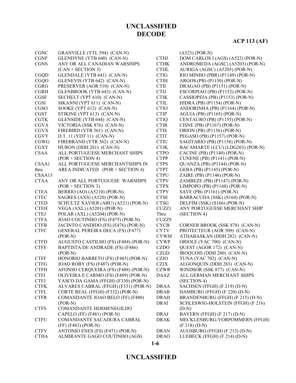# **ACP 113 (AF)**

| <b>CGNC</b> | GRANVILLE (YTL 594) (CAN-N)             |             | $(A523) (POR-N)$                   |
|-------------|-----------------------------------------|-------------|------------------------------------|
| <b>CGNF</b> | GLENDYNE (YTB 640) (CAN-N)              | <b>CTHJ</b> | DOM CARLOS I (AGS) (A522) (POR-N)  |
| <b>CGNS</b> | ANY OR ALL CANADIAN WARSHIPS            | <b>CTHK</b> | ANDROMEDA (AGSC) (A5203) (POR-N)   |
|             | $(CAN + SECTION 3)$                     | <b>CTHL</b> | AURIGA (AGSC) (A5205) (POR-N)      |
| CGQD        | GLENDALE (YTB 641) (CAN-N)              | <b>CTIG</b> | RIO MINHO (PBR) (P1149) (POR-N)    |
| <b>CGQO</b> | GLENEVIS (YTB 642) (CAN-N)              | <b>CTIH</b> | ARGOS (PB) (P1150) (POR-N)         |
| <b>CGRG</b> | PRESERVER (AOR 510) (CAN-N)             | <b>CTII</b> | DRAGAO (PB) (P1151) (POR-N)        |
| <b>CGRH</b> | GLENBROOK (YTB 643) (CAN-N)             | <b>CTIJ</b> | ESCORPIAO (PB) (P1152) (POR-N)     |
| CGSE        | SECHELT (YPT 610) (CAN-N)               | <b>CTIK</b> | CASSIOPEIA (PB) (P1153) (POR-N)    |
| CGSI        | SIKANNI (YPT 611) (CAN-N)               | <b>CTIL</b> | HIDRA (PB) (P1154) (POR-N)         |
| CGSO        | SOOKE (YPT 612) (CAN-N)                 | <b>CTIO</b> | ANDORINHA (PB) (P1164) (POR-N)     |
| <b>CGST</b> | STIKINE (YPT 613) (CAN-N)               | <b>CTIP</b> | AGUIA (PB) (P1165) (POR-N)         |
| <b>CGTK</b> | GLENSIDE (YTB 644) (CAN-N)              | <b>CTIQ</b> | CENTAURO (PB) (P1155) (POR-N)      |
| <b>CGVA</b> | VICTORIA (SSK 876) (CAN-N)              | <b>CTIR</b> | CISNE (PB) (P1167) (POR-N)         |
| <b>CGVX</b> | FIREBIRD (YTR 561) (CAN-N)              | <b>CTIS</b> | ORION (PB) (P1156) (POR-N)         |
| <b>CGVY</b> | D.T. 11 (YDT 11) (CAN-N)                | <b>CTIT</b> | PEGASO (PB) (P1157) (POR-N)        |
| <b>CGWG</b> | FIREBRAND (YTR 562) (CAN-N)             | <b>CTIU</b> | SAGITARIO (PB) (P1158) (POR-N)     |
| <b>CGXY</b> | HURON (DDH 281) (CAN-N)                 | <b>CTJK</b> | BACAMARTE (LCU) (LDG203) (POR-N)   |
| <b>CSAA</b> | ALL PORTUGUESE MERCHANT SHIPS           | <b>CTPO</b> | CACINE (PB) (P1140) (POR-N)        |
|             | $(POR + SECTION 4)$                     | <b>CTPP</b> | <b>CUNENE (PB) (P1141) (POR-N)</b> |
| CSAA1       | ALL PORTUGUESE MERCHANTSHIPS IN         | <b>CTPS</b> | QUANZA (PB) (P1144) (POR-N)        |
| thru        | AREA INDICATED (POR + SECTION 4)        | <b>CTPT</b> | GEBA (PB) (P1145) (POR-N)          |
| CSAA13      |                                         | <b>CTPU</b> | ZAIRE (PB) (P1146) (POR-N)         |
| <b>CTAA</b> | ANY OR ALL PORTUGUESE WARSHIPS          | <b>CTPV</b> | ZAMBEZE (PB) (P1147) (POR-N)       |
|             | $(POR + SECTION 3)$                     | <b>CTPX</b> | LIMPOPO (PB) (P1160) (POR-N)       |
| <b>CTEA</b> | BERRIO (AO) (A5210) (POR-N)             | <b>CTPY</b> | SAVE (PB) (P1161) (POR-N)          |
| <b>CTEC</b> | SAGRES (AXS) (A520) (POR-N)             | <b>CTSE</b> | BARRACUDA (SSK) (S164) (POR-N)     |
| <b>CTED</b> | SCHULTZ XAVIER (ABU) (A521) (POR-N)     | <b>CTSG</b> | DELFIM (SSK) (S166) (POR-N)        |
| <b>CTEH</b> | VEGA (AXL) (A5201) (POR-N)              | CUZZ1       | ANY PORTUGUESE MERCHANT SHIP       |
| <b>CTEJ</b> | POLAR (AXL) (A5204) (POR-N)             | Thru        | (SECTION 4)                        |
| <b>CTFA</b> | JOAO COUTINHO (FS) (F475) (POR-N)       | CUZZ9       |                                    |
| <b>CTFB</b> | JACINTO CANDIDO (FS) (F476) (POR-N)     | <b>CYCB</b> | CORNER BROOK (SSK 878) (CAN-N)     |
| <b>CTFC</b> | <b>GENERAL PEREIRA DECA (FS) (F477)</b> | <b>CYTV</b> | PROTECTEUR (AOR 509) (CAN-N)       |
|             | $(POR-N)$                               | <b>CYWM</b> | ATHABASKAN (DDH 282) (CAN-N)       |
| <b>CTFD</b> | AUGUSTO CASTILHO (FS) (F484) (POR-N)    | <b>CYWP</b> | ORIOLE (YAC 700) (CAN-N)           |
| <b>CTFE</b> | BAPTISTA DE ANDRADE (FS) (F486)         | <b>CZDO</b> | QUEST (AGOR 172) (CAN-N)           |
|             | $(POR-N)$                               | <b>CZGD</b> | IROQUOIS (DDH 280) (CAN-N)         |
| <b>CTFF</b> | HONORIO BARRETO (FS) (F485) (POR-N)     | <b>CZJO</b> | TUNA (YAC 702) (CAN-N)             |
| <b>CTFG</b> | JOAO ROBY (FS) (F487) (POR-N)           | <b>CZJX</b> | ALGONQUIN (DDH 283) (CAN-N)        |
| <b>CTFH</b> | AFONSO CERQUEIRA (FS) (F488) (POR-N)    | <b>CZWR</b> | WINDSOR (SSK 877) (CAN-N)          |
| <b>CTFI</b> | OLIVEIRA E CARMO (FS) (F489) (POR-N)    | <b>DAAZ</b> | ALL GERMAN MERCHANT SHIPS          |
| <b>CTFJ</b> | VASCO DA GAMA (FFGH) (F330) (POR-N)     |             | (SECTION 4)                        |
| <b>CTFK</b> | ALVARES CABRAL (FFGH) (F331) (POR-N)    | <b>DRAA</b> | SACHSEN (FFGH) (F 219) (D-N)       |
| <b>CTFL</b> | CORTE REAL (FFGH) (F332) (POR-N)        | <b>DRAB</b> | HAMBURG (FFGH) (F 220) (D-N)       |
| <b>CTFR</b> | COMANDANTE JOAO BELO (FF) (F480)        | <b>DRAH</b> | BRANDENBURG (FFGH) (F 215) (D-N)   |
|             | $(POR-N)$                               | <b>DRAI</b> | SCHLESWIG-HOLSTEIN (FFGH) (F 216)  |
| <b>CTFS</b> | COMANDANTE HERMENEGILDO                 |             | $(D-N)$                            |
|             | CAPELO (FF) (F481) (POR-N)              | <b>DRAJ</b> | BAYERN (FFGH) (F 217) (D-N)        |
| <b>CTFU</b> | COMANDANTE SACADURA CABRAL              | <b>DRAK</b> | MECKLENBURG-VORPOMMERN (FFGH)      |
|             | (FF) (F483) (POR-N)                     |             | $(F 218) (D-N)$                    |
| <b>CTFV</b> | ANTONIO ENES (FS) (F471) (POR-N)        | <b>DRAN</b> | AUGSBURG (FFGH) (F 213) (D-N)      |
| <b>CTHA</b> | ALMIRANTE GAGO COUTINHO (AGS)           | <b>DRAO</b> | LUEBECK (FFGH) (F 214) (D-N)       |
|             |                                         |             |                                    |

#### **1-6**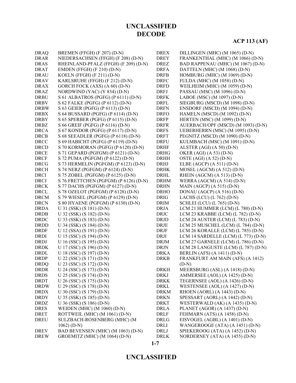# **ACP 113 (AF)**

| <b>DRAQ</b> | BREMEN (FFGH) (F 207) (D-N)           | <b>DREX</b> | DILLINGEN (MHC) (M 1065) (D-N)      |
|-------------|---------------------------------------|-------------|-------------------------------------|
| <b>DRAR</b> | NIEDERSACHSEN (FFGH) (F 208) (D-N)    | <b>DREY</b> | FRANKENTHAL (MHC) (M 1066) (D-N)    |
| <b>DRAS</b> | RHEINLAND-PFALZ (FFGH) (F 209) (D-N)  | <b>DREZ</b> | BAD RAPPENAU (MHC) (M 1067) (D-N)   |
| <b>DRAT</b> |                                       | <b>DRFA</b> | DATTELN (MHC) (M 1068) (D-N)        |
|             | <b>EMDEN</b> (FFGH) (F 210) (D-N)     |             |                                     |
| <b>DRAU</b> | KOELN (FFGH) (F $211$ ) (D-N)         | <b>DRFB</b> | HOMBURG (MHC) (M 1069) (D-N)        |
| <b>DRAV</b> | KARLSRUHE (FFGH) (F 212) (D-N)        | <b>DRFC</b> | FULDA (MHC) (M 1058) (D-N)          |
| <b>DRAX</b> | GORCH FOCK (AXS) (A 60) (D-N)         | <b>DRFD</b> | WEILHEIM (MHC) (M 1059) (D-N)       |
| <b>DRAZ</b> | NORDWIND (YAC) (Y 834) (D-N)          | <b>DRFJ</b> | PASSAU (MSC) (M 1096) (D-N)         |
| <b>DRBU</b> | S 61 ALBATROS (PGFG) (P 6111) (D-N)   | <b>DRFK</b> | LABOE (MSC) (M 1097) (D-N)          |
| <b>DRBV</b> | S 62 FALKE (PGFG) (P 6112) (D-N)      | <b>DRFL</b> | SIEGBURG (MSCD) (M 1098) (D-N)      |
| <b>DRBW</b> | S 63 GEIER (PGFG) (P 6113) (D-N)      | <b>DRFN</b> | ENSDORF (MSCD) (M 1094) (D-N)       |
| <b>DRBX</b> | S 64 BUSSARD (PGFG) (P 6114) (D-N)    | <b>DRFO</b> | HAMELN (MSCD) (M 1092) (D-N)        |
| <b>DRBY</b> | S 65 SPERBER (PGFG) (P 6115) (D-N)    | <b>DRFP</b> | HERTEN (MSC) (M 1099) (D-N)         |
| <b>DRBZ</b> | S 66 GREIF (PGFG) (P 6116) (D-N)      | <b>DRFR</b> | AUERBACH/OPF (MSCD) (M 1093) (D-N)  |
| <b>DRCA</b> | S 67 KONDOR (PGFG) (P 6117) (D-N)     | <b>DRFS</b> | UEBERHERRN (MSC) (M 1095) (D-N)     |
| <b>DRCB</b> | S 68 SEEADLER (PGFG) (P 6118) (D-N)   | <b>DRFT</b> | PEGNITZ (MSCD) (M 1090) (D-N)       |
| <b>DRCC</b> | S 69 HABICHT (PGFG) (P 6119) (D-N)    | <b>DRFU</b> | KULMBACH (MSC) (M 1091) (D-N)       |
| <b>DRCD</b> | S 70 KORMORAN (PGFG) (P 6120) (D-N)   | <b>DRHF</b> | ALSTER $(AGI) (A 50) (D-N)$         |
| <b>DRCE</b> | S 71 GEPARD (PGFGM) (P 6121) (D-N)    | <b>DRHG</b> | OKER (AGI) (A 53) (D-N)             |
| <b>DRCF</b> | S 72 PUMA (PGFGM) (P 6122) (D-N)      | <b>DRHH</b> | OSTE (AGI) (A 52) (D-N)             |
| <b>DRCG</b> | S 73 HERMELIN (PGFGM) (P 6123) (D-N)  | <b>DRHJ</b> | ELBE (AGCP) (A 511) (D-N)           |
| <b>DRCH</b> | S 74 NERZ (PGFGM) (P 6124) (D-N)      | <b>DRHK</b> | MOSEL (AGCM) (A 512) (D-N)          |
| <b>DRCI</b> | S 75 ZOBEL (PGFGM) (P 6125) (D-N)     | <b>DRHL</b> | RHEIN (AGCM) (A 513) (D-N)          |
| <b>DRCJ</b> | S 76 FRETTCHEN (PGFGM) (P 6126) (D-N) | <b>DRHM</b> | WERRA (AGCM) (A 514) (D-N)          |
| <b>DRCK</b> | S 77 DACHS (PGFGM) (P 6127) (D-N)     | <b>DRHN</b> | MAIN (AGCP) (A 515) (D-N)           |
| <b>DRCL</b> | S 78 OZELOT (PGFGM) (P 6128) (D-N)    | <b>DRHO</b> | DONAU (AGCP) (A 516) (D-N)          |
| <b>DRCM</b> | S 79 WIESEL (PGFGM) (P 6129) (D-N)    | <b>DRIG</b> | LACHS (LCU) $(L 762)$ (D-N)         |
| <b>DRCN</b> | S 80 HYAENE (PGFGM) (P 6130) (D-N)    | <b>DRIM</b> | SCHLEI (LCU) (L 765) (D-N)          |
| <b>DRDA</b> | U 31 (SSK) (S 181) (D-N)              | <b>DRJA</b> | LCM 21 HUMMER (LCM) (L 780) (D-N)   |
| <b>DRDB</b> | U 32 (SSK) (S 182) (D-N)              | <b>DRJC</b> | LCM 23 KRABBE (LCM) (L 782) (D-N)   |
| <b>DRDC</b> | U 33 (SSK) (S 183) (D-N)              | <b>DRJD</b> | LCM 24 AUSTER (LCM) (L 783) (D-N)   |
| <b>DRDD</b> |                                       | <b>DRJE</b> |                                     |
| <b>DRDF</b> | U 34 (SSK) (S 184) (D-N)              |             | LCM 25 MUSCHEL (LCM) (L 784) (D-N)  |
|             | U 12 (SSA) (S 191) (D-N)              | <b>DRJF</b> | LCM 26 KORALLE (LCM) (L 785) (D-N)  |
| <b>DRDI</b> | U 15 (SSC) (S 194) (D-N)              | DRJI        | LCM 14 SARDELLE (LCM) (L 773) (D-N) |
| <b>DRDJ</b> | U 16 (SSC) (S 195) (D-N)              | <b>DRJM</b> | LCM 27 GARNELE (LCM) (L 786) (D-N)  |
| <b>DRDK</b> | U 17 (SSC) (S 196) (D-N)              | <b>DRJN</b> | LCM 28 LANGUSTE (LCM) (L 787) (D-N) |
| DRDL        | U 18 (SSC) (S 197) (D-N)              | <b>DRKA</b> | BERLIN (AFS) (A 1411) (D-N)         |
| <b>DRDP</b> | U 22 (SSC) (S 171) (D-N)              | <b>DRKB</b> | FRANKFURT AM MAIN (AFS) (A 1412)    |
| <b>DRDQ</b> | U 23 (SSC) (S 172) (D-N)              |             | $(D-N)$                             |
| DRDR        | U 24 (SSC) (S 173) (D-N)              | <b>DRKH</b> | MEERSBURG (ASL) (A 1418) (D-N)      |
| <b>DRDS</b> | U 25 (SSC) (S 174) (D-N)              | <b>DRKJ</b> | AMMERSEE (AOL) (A 1425) (D-N)       |
| <b>DRDT</b> | U 26 (SSC) (S 175) (D-N)              | <b>DRKK</b> | TEGERNSEE (AOL) (A 1426) (D-N)      |
| <b>DRDW</b> | U 29 (SSC) (S 178) (D-N)              | <b>DRKL</b> | WESTENSEE (AOL) (A 1427) (D-N)      |
| <b>DRDX</b> | U 30 (SSC) (S 179) (D-N)              | <b>DRKM</b> | RHOEN (AORL) (A 1443) (D-N)         |
| <b>DRDY</b> | U 35 (SSK) (S 185) (D-N)              | <b>DRKN</b> | SPESSART (AORL) (A 1442) (D-N)      |
| <b>DRDZ</b> | U 36 (SSK) (S 186) (D-N)              | <b>DRKT</b> | WESTERWALD (AK) (A 1435) (D-N)      |
| <b>DRES</b> | WEIDEN (MHC) (M 1060) (D-N)           | <b>DRLA</b> | PLANET (AGOR) (A 1437) (D-N)        |
| <b>DRET</b> | ROTTWEIL (MHC) (M 1061) (D-N)         | <b>DRLF</b> | FEHMARN (ATS) (A 1458) (D-N)        |
| <b>DREU</b> | SULZBACH-ROSENBERG (MHC) (M           | DRLG        | EISVOGEL (AGBL) (A 1401) (D-N)      |
|             | $1062) (D-N)$                         | DRLI        | WANGEROOGE (ATA) (A 1451) (D-N)     |
| <b>DREV</b> | BAD BEVENSEN (MHC) (M 1063) (D-N)     | DRLJ        | SPIEKEROOG (ATA) (A 1452) (D-N)     |
| <b>DREW</b> | GROEMITZ (MHC) (M 1064) (D-N)         | <b>DRLK</b> | NORDERNEY (ATA) (A 1455) (D-N)      |
|             |                                       |             |                                     |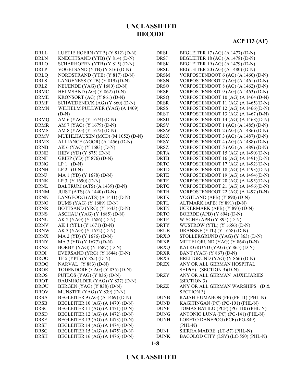# **ACP 113 (AF)**

| <b>DRLL</b>                | LUETJE HOERN (YTB) (Y 812) (D-N) | <b>DRSI</b> | BEGLEITER 17 (AG) (A 1477) (D-N)                                           |
|----------------------------|----------------------------------|-------------|----------------------------------------------------------------------------|
| <b>DRLN</b>                | KNECHTSAND (YTB) (Y 814) (D-N)   | <b>DRSJ</b> | BEGLEITER 18 (AG) (A 1478) (D-N)                                           |
| DRLO                       | SCHARHOERN (YTB) (Y 815) (D-N)   | <b>DRSK</b> | BEGLEITER 19 (AG) (A 1479) (D-N)                                           |
| <b>DRLP</b>                | VOGELSAND (YTB) (Y 816) (D-N)    | <b>DRSL</b> | BEGLEITER 20 (AG) (A 1480) (D-N)                                           |
| <b>DRLQ</b>                | NORDSTRAND (YTB) (Y 817) (D-N)   | <b>DRSM</b> | VORPOSTENBOOT 6 (AG) (A 1460) (D-N)                                        |
| <b>DRLS</b>                | LANGENESS (YTB) (Y 819) (D-N)    | <b>DRSN</b> | VORPOSTENBOOT 7 (AG) (A 1461) (D-N)                                        |
| <b>DRLZ</b>                | NEUENDE (YAG) (Y 1680) (D-N)     | <b>DRSO</b> | VORPOSTENBOOT 8 (AG) (A 1462) (D-N)                                        |
| <b>DRMC</b>                |                                  | <b>DRSP</b> |                                                                            |
|                            | HELMSAND (AG) (Y 862) (D-N)      |             | VORPOSTENBOOT 9 (AG) (A 1463) (D-N)<br>VORPOSTENBOOT 10 (AG) (A 1464 (D-N) |
| <b>DRME</b><br><b>DRMF</b> | KRONSORT (AG) (Y 861) (D-N)      | <b>DRSQ</b> | VORPOSTENBOOT 11 (AG) (A 1465)(D-N)                                        |
|                            | SCHWEDENECK (AG) (Y 860) (D-N)   | <b>DRSR</b> |                                                                            |
| <b>DRMN</b>                | WILHELM PULLWER (YAG) (A 1409)   | <b>DRSS</b> | VORPOSTENBOOT 12 (AG) (A 1466)(D-N)                                        |
|                            | $(D-N)$                          | <b>DRST</b> | VORPOSTENBOOT 13 (AG) (A 1467 (D-N)                                        |
| <b>DRMQ</b>                | AM 6 (YAG) (Y 1674) (D-N)        | <b>DRSU</b> | VORPOSTENBOOT 14 (AG) (A 1468)(D-N)                                        |
| <b>DRMR</b>                | AM 7 (YAG) (Y 1679) (D-N)        | <b>DRSV</b> | VORPOSTENBOOT 1 (AG) (A 1485) (D-N)                                        |
| <b>DRMS</b>                | AM 8 (YAG) (Y 1675) (D-N)        | <b>DRSW</b> | VORPOSTENBOOT 2 (AG) (A 1486) (D-N)                                        |
| <b>DRMV</b>                | MUEHLHAUSEN (MCD) (M 1052) (D-N) | <b>DRSX</b> | VORPOSTENBOOT 3 (AG) (A 1487) (D-N)                                        |
| <b>DRMX</b>                | ALLIANCE (AGOR) (A 1456) (D-N)   | <b>DRSY</b> | VORPOSTENBOOT 4 (AG) (A 1488) (D-N)                                        |
| <b>DRNB</b>                | AK 6 (YAG) (Y 1683) (D-N)        | <b>DRSZ</b> | VORPOSTENBOOT 5 (AG) (A 1489) (D-N)                                        |
| <b>DRNE</b>                | HIEV (YD) (Y 875) (D-N)          | <b>DRTA</b> | VORPOSTENBOOT 15 (AG) (A 1490)(D-N)                                        |
| <b>DRNF</b>                | GRIEP (YD) (Y 876) (D-N)         | <b>DRTB</b> | VORPOSTENBOOT 16 (AG) (A 1491)(D-N)                                        |
| <b>DRNG</b>                | $LP1$ (D-N)                      | <b>DRTC</b> | VORPOSTENBOOT 17 (AG) (A 1492)(D-N)                                        |
| <b>DRNH</b>                | $LP 2 (D-N)$                     | <b>DRTD</b> | VORPOSTENBOOT 18 (AG) (A 1493)(D-N)                                        |
| <b>DRNJ</b>                | MA 1 (YD) (Y 1678) (D-N)         | <b>DRTE</b> | VORPOSTENBOOT 19 (AG) (A 1494)(D-N)                                        |
| <b>DRNK</b>                | LP 3 (Y 1690) (D-N)              | <b>DRTF</b> | VORPOSTENBOOT 20 (AG) (A 1495)(D-N)                                        |
| <b>DRNL</b>                | BALTRUM (ATS) (A 1439) (D-N)     | <b>DRTG</b> | VORPOSTENBOOT 21 (AG) (A 1496)(D-N)                                        |
| <b>DRNM</b>                | JUIST (ATS) (A 1440) (D-N)       | <b>DRTH</b> | VORPOSTENBOOT 22 (AG) (A 1497 (D-N)                                        |
| <b>DRNN</b>                | LANGEOOG (ATS) (A 1441) (D-N)    | <b>DRTK</b> | VOGTLAND (APB) (Y 890) (D-N)                                               |
| <b>DRNO</b>                | BUMS (YAG) (Y 1689) (D-N)        | <b>DRTL</b> | ALTMARK (APB) (Y 891) (D-N)                                                |
| <b>DRNR</b>                | BOTTSAND (YRG) (Y 1643) (D-N)    | <b>DRTN</b> | UCKERMARK (APB) (Y 893) (D-N)                                              |
| <b>DRNS</b>                | ASCHAU (YAG) (Y 1685) (D-N)      | <b>DRTO</b> | BOERDE (APB) (Y 894) (D-N)                                                 |
| <b>DRNU</b>                | AK 2 (YAG) (Y 1686) (D-N)        | <b>DRTP</b> | WISCHE (APB) (Y 895) (D-N)                                                 |
| <b>DRNV</b>                | AK 1 (YFL) (Y 1671) (D-N)        | <b>DRTY</b> | WUSTROW (YTL) (Y 1656) (D-N)                                               |
| <b>DRNW</b>                | AK 3 (YAG) (Y 1672) (D-N)        | <b>DRUB</b> | DRANSKE (YTL) (Y 1658) (D-N)                                               |
| <b>DRNX</b>                | MA 2 (YD) (Y 1676) (D-N)         | <b>DRXO</b> | STOLLERGRUND (YAG) (Y 863) (D-N)                                           |
| <b>DRNY</b>                | MA 3 (YD) (Y 1677) (D-N)         | <b>DRXP</b> | MITTELGRUND (YAG) (Y 864) (D-N)                                            |
| <b>DRNZ</b>                | BORBY (YAG) (Y 1687) (D-N)       | <b>DRXQ</b> | KALKGRUND (YAG) (Y 865) (D-N)                                              |
| <b>DROI</b>                | EVERSAND (YRG) (Y 1644) (D-N)    | <b>DRXR</b> | BANT (YAG) (Y 867) (D-N)                                                   |
| <b>DROO</b>                | TF 5 (YPT) (Y 855) (D-N)         | <b>DRXS</b> | BREITGRUND (YAG) (Y 866) (D-N)                                             |
| <b>DROQ</b>                | NARVAL (Y 883) (D-N)             | <b>DRZX</b> | ANY OR ALL GERMAN HOSPITAL                                                 |
| <b>DROR</b>                | TODENDORF (YAG) (Y 835) (D-N)    |             | SHIP(S) (SECTION 3)(D-N)                                                   |
| <b>DROS</b>                | PUTLOS (YAG) (Y 836) (D-N)       | <b>DRZY</b> | ANY OR ALL GERMAN AUXILIARIES                                              |
| <b>DROT</b>                | BAUMHOLDER (YAG) (Y 837) (D-N)   |             | (SECTION 3)                                                                |
| <b>DROU</b>                | BERGEN (YAG) (Y 838) (D-N)       | <b>DRZZ</b> | ANY OR ALL GERMAN WARSHIPS (D &                                            |
| <b>DROV</b>                | MUNSTER (YAG) (Y 839) (D-N)      |             | <b>SECTION 3)</b>                                                          |
| <b>DRSA</b>                | BEGLEITER 9 (AG) (A 1469) (D-N)  | <b>DUNB</b> | RAJAH HUMABON (FF) (PF-11) (PHL-N)                                         |
| <b>DRSB</b>                | BEGLEITER 10 (AG) (A 1470) (D-N) | <b>DUND</b> | KAGITINGAN (PC) (PG-101) (PHL-N)                                           |
| <b>DRSC</b>                | BEGLEITER 11 (AG) (A 1471) (D-N) | <b>DUNF</b> | TOMAS BATILO (PCF) (PG-110) (PHL-N)                                        |
| <b>DRSD</b>                | BEGLEITER 12 (AG) (A 1472) (D-N) | <b>DUNG</b> | ANTONIO LUNA (PC) (PG-141) (PHL-N)                                         |
| <b>DRSE</b>                | BEGLEITER 13 (AG) (A 1473) (D-N) | <b>DUNH</b> | LORETO DANEPOG (PCF) (PG-849)                                              |
| <b>DRSF</b>                | BEGLEITER 14 (AG) (A 1474) (D-N) |             | $(PHL-N)$                                                                  |
| <b>DRSG</b>                | BEGLEITER 15 (AG) (A 1475) (D-N) | <b>DUNI</b> | SIERRA MADRE (LT-57) (PHL-N)                                               |
| <b>DRSH</b>                | BEGLEITER 16 (AG) (A 1476) (D-N) | <b>DUNK</b> | BACOLOD CITY (LSV) (LC-550) (PHL-N)                                        |
|                            |                                  |             |                                                                            |

**1-8**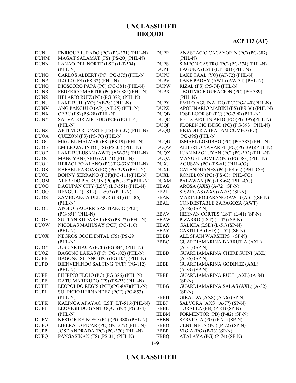| <b>DUNL</b>      | ENRIQUE JURADO (PC) (PG-371) (PHL-N)  | <b>DUPR</b> | ANASTACIO CACAYORIN (PC) (PG-387)       |
|------------------|---------------------------------------|-------------|-----------------------------------------|
| <b>DUNM</b>      | MAGAT SALAMAT (FS) (PS-20) (PHL-N)    |             | $(PHL-N)$                               |
| <b>DUNN</b>      | LANAO DEL NORTE (LST) (LT-504)        | <b>DUPS</b> | SIMEON CASTRO (PC) (PG-374) (PHL-N)     |
|                  | $(PHL-N)$                             | <b>DUPT</b> | LAGUNA (LST) (LT-501) (PHL-N)           |
| <b>DUNO</b>      | CARLOS ALBERT (PC) (PG-375) (PHL-N)   | <b>DUPU</b> | LAKE TAAL (YO) (AF-72) (PHL-N)          |
| <b>DUNP</b>      | ILOILO (FS) (PS-32) (PHL-N)           | <b>DUPV</b> | LAKE PAOAY (AWT) (AW-34) (PHL-N)        |
| <b>DUNQ</b>      | DIOSCORO PAPA (PC) (PG-381) (PHL-N)   | <b>DUPW</b> | RIZAL (FS) (PS-74) (PHL-N)              |
| <b>DUNR</b>      | FEDERICO MARTIR (PC)(PG-385)(PHL-N)   | <b>DUPX</b> | TEOTIMO FIGURACION (PC) (PG-389)        |
| <b>DUNS</b>      | HELARIO RUIZ (PC) (PG-378) (PHL-N)    |             | $(PHL-N)$                               |
| <b>DUNU</b>      | LAKE BUHI (YO) (AF-78) (PHL-N)        | <b>DUPY</b> | EMILO AGUINALDO (PC)(PG-140)(PHL-N)     |
| <b>DUNV</b>      | ANG PANGULO (AP) (AT-25) (PHL-N)      | <b>DUPZ</b> | APOLINARIO MABINI (FS) (PS-36) (PHL-N)  |
| <b>DUNX</b>      | CEBU (FS) (PS-28) (PHL-N)             | <b>DUQB</b> | JOSE LOOR SR (PC) (PG-390) (PHL-N)      |
| <b>DUNY</b>      | SALVADOR ABCEDE (PCF) (PG-114)        | <b>DUQC</b> | FELIX APOLIN ARIO (PC)(PG-395)(PHL-N)   |
|                  | $(PHL-N)$                             | <b>DUQP</b> | FLORENCIO INIGO (PC) (PG-393) (PHL-N)   |
| <b>DUNZ</b>      | ARTEMIO RECARTE (FS) (PS-37) (PHL-N)  | <b>DUQQ</b> | BIGADIER ABRAHAM COMPO (PC)             |
| <b>DUOA</b>      | QUEZON (FS) (PS-70) (PHL-N)           |             | $(PG-396) (PHL-N)$                      |
| <b>DUOC</b>      | MIGUEL MALVAR (FS) (PS-19) (PHL-N)    | <b>DUQU</b> | ISMAEL LOMIBAO (PC) (PG-383) (PHL-N)    |
| <b>DUOE</b>      | EMILIO JACINTO (FS) (PS-35) (PHL-N)   | <b>DUQW</b> | ALBERTO NAVARET (PC)(PG-394)(PHL-N)     |
| <b>DUOF</b>      | LAKE BULUSAN (AWT) (AW-33) (PHL-N)    | <b>DUQX</b> | JUAN MAGLUYAN (PC) (PG-392) (PHL-N)     |
| <b>DUOG</b>      | MANGYAN (ABU) (AT-71) (PHL-N)         | <b>DUQZ</b> | MANUEL GOMEZ (PC) (PG-388) (PHL-N)      |
| <b>DUOH</b>      | HERACLEO ALANO (PC)(PG-376)(PHL-N)    | <b>DUXJ</b> | AGUSAN (PC) (PS-61) (PHL-CG)            |
| <b>DUOK</b>      | RAFAEL PARGAS (PC) (PG-379) (PHL-N)   | <b>DUXK</b> | CATANDUANES (PC) (PS-62) (PHL-CG)       |
| <b>DUOL</b>      | BONNY SERRANO (PCF)(PG-111)(PHL-N)    | <b>DUXL</b> | ROMBLON (PC) (PS-63) (PHL-CG)           |
| <b>DUOM</b>      | ALFREDO PECKSON (PC)(PG-372)(PHL-N)   | <b>DUXM</b> | PALAWAN (PC) (PS-64) (PHL-CG)           |
| DU <sub>00</sub> | DAGUPAN CITY (LSV) (LC-551) (PHL-N)   | <b>EBAG</b> | $AROSA (AXS) (A-72) (SP-N)$             |
| <b>DUOQ</b>      | BENGUET (LST) (LT-507) (PHL-N)        | <b>EBAI</b> | SISARGAS (AXS) (A-75) (SP-N)            |
| <b>DUOS</b>      | ZAMBOANGA DEL SUR (LST) (LT-86)       | <b>EBAK</b> | MARINERO JARANO (AWT) (A-65)(SP-N)      |
|                  | $(PHL-N)$                             | <b>EBAL</b> | CONDESTABLE ZARAGOZA (AWT)              |
| <b>DUOU</b>      | APOLO BACARRISAS TIANGO (PCF)         |             | $(A-66)$ (SP-N)                         |
|                  | $(PG-851) (PHL-N)$                    | <b>EBAV</b> | HERNAN CORTES (LST) (L-41) (SP-N)       |
| <b>DUOV</b>      | SULTAN KUDARAT (FS) (PS-22) (PHL-N)   | <b>EBAW</b> | PIZARRO (LST) (L-42) (SP-N)             |
| <b>DUOW</b>      | NICOLAS MAHUSAY (PCF) (PG-116)        | <b>EBAX</b> | GALICIA (LSD) (L-51) (SP-N)             |
|                  | $(PHL-N)$                             | <b>EBAY</b> | CASTILLA (LSD) (L-52) (SP-N)            |
| <b>DUOX</b>      | <b>NEGROS OCCIDENTAL (FS) (PS-29)</b> | <b>EBBB</b> | ALL SPAIN WARSHIPS (SP-N)               |
|                  | $(PHL-N)$                             | <b>EBBC</b> | GUARDIAMARINA BARRUTIA (AXL)            |
| <b>DUOY</b>      | JOSE ARTIAGA (PCF) (PG-844) (PHL-N)   |             | $(A-81)$ (SP-N)                         |
| <b>DUOZ</b>      | BAGONG LAKAS (PC) (PG-102) (PHL-N)    | <b>EBBD</b> | GUARDIAMARINA CHEREGUINI (AXL)          |
| <b>DUPB</b>      | BAGONG SILANG (PC) (PG-104) (PHL-N)   |             | $(A-85)$ (SP-N)                         |
| <b>DUPD</b>      | BIENVENINDO SALTING (PCF) (PG-112)    | <b>EBBE</b> | <b>GUARDIAMARINA GODINEZ (AXL)</b>      |
|                  | $(PHL-N)$                             |             | $(A-83)$ (SP-N)                         |
| <b>DUPE</b>      | FILIPINO FLOJO (PC) (PG-386) (PHL-N)  | <b>EBBF</b> | GUARDIAMARINA RULL (AXL) (A-84)         |
| <b>DUPF</b>      | DATU MARIKUDO (FS) (PS-23) (PHL-N)    |             | $(SP-N)$                                |
| <b>DUPH</b>      | LEOPOLDO REGIS (PCF)(PG-847)(PHL-N)   | <b>EBBG</b> | <b>GUARDIAMARINA SALAS (AXL) (A-82)</b> |
| <b>DUPI</b>      | SULPICIO HERNANDEZ (PCF) (PG-853)     |             | $(SP-N)$                                |
|                  | $(PHL-N)$                             | <b>EBBH</b> | GIRALDA (AXS) (A-76) (SP-N)             |
| <b>DUPK</b>      | KALINGA APAYAO (LST)(LT-516)(PHL-N)   | <b>EBBJ</b> | SALVORA (AXS) (A-77) (SP-N)             |
| <b>DUPL</b>      | LEOVIGILDO GANTIOQUI (PC) (PG-384)    | EBBL        | TORALLA (PB) (P-81) (SP-N)              |
|                  | $(PHL-N)$                             | <b>EBBM</b> | FORMENTOR (PB) (P-82) (SP-N)            |
| <b>DUPM</b>      | NESTOR REINOSO (PC) (PG-380) (PHL-N)  | <b>EBBN</b> | SERVIOLA (PG) (P-71) (SP-N)             |
| <b>DUPO</b>      | LIBERATO PICAR (PC) (PG-377) (PHL-N)  | <b>EBBO</b> | CENTINELA (PG) (P-72) (SP-N)            |
| <b>DUPP</b>      | JOSE ANDRADA (PC) (PG-370) (PHL-N)    | EBBP        | VIGIA (PG) $(P-73)$ (SP-N)              |
| <b>DUPQ</b>      | PANGASINAN (FS) (PS-31) (PHL-N)       | <b>EBBQ</b> | ATALAYA (PG) (P-74) (SP-N)              |

#### **1-9**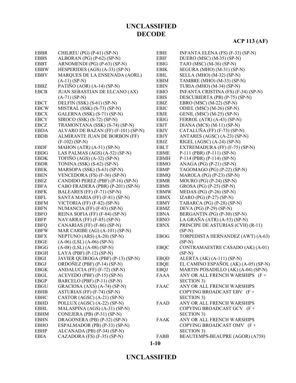# **ACP 113 (AF)**

| <b>EBBR</b>           | CHILREU (PG) (P-61) (SP-N)          | <b>EBIE</b> | INFANTA ELENA (FS) (F-33) (SP-N)     |
|-----------------------|-------------------------------------|-------------|--------------------------------------|
| <b>EBBS</b>           | ALBORAN (PG) (P-62) (SP-N)          | <b>EBIF</b> | DUERO (MSC) (M-35) (SP-N)            |
| <b>EBBT</b>           | ARNOMENDI (PG) (P-63) (SP-N)        | <b>EBIG</b> | TAJO (MSC) (M-36) (SP-N)             |
| <b>EBBW</b>           | HESPERIDES (AGS) (A-33) (SP-N)      | <b>EBIK</b> | SEGURA (MHO) (M-31) (SP-N)           |
| <b>EBBY</b>           | MARQUES DE LA ENSENADA (AORL)       | EBIL        | SELLA (MHO) (M-32) (SP-N)            |
|                       | $(A-11) (SP-N)$                     | <b>EBIM</b> | TAMBRE (MHO) (M-33) (SP-N)           |
| EBBZ                  | PATIÑO (AOR) (A-14) (SP-N)          | <b>EBIN</b> | TURIA (MHO) (M-34) (SP-N)            |
| <b>EBCB</b>           | JUAN SEBASTIAN DE ELCANO (AX)       | <b>EBIO</b> | INFANTA CRISTINA (FS) (F-34) (SP-N)  |
|                       | $(A-71) (SP-N)$                     | <b>EBIS</b> | DESCUBIERTA (PB) (P-75) (SP-N)       |
| <b>EBCT</b>           | DELFIN (SSK) (S-61) (SP-N)          | <b>EBIZ</b> | EBRO (MSC) (M-22) (SP-N)             |
| <b>EBCW</b>           | MISTRAL (SSK) (S-73) (SP-N)         | <b>EBJC</b> | ODIEL (MSC) (M-26) (SP-N)            |
| <b>EBCX</b>           | GALERNA (SSK) (S-71) (SP-N)         | EBJE        | GENIL (MSC) (M-25) (SP-N)            |
| <b>EBCY</b>           | SIROCO (SSK) (S-72) (SP-N)          | <b>EBJG</b> | FERROL (ATR) (A-43) (SP-N)           |
| <b>EBCZ</b>           | TRAMONTANA (SSK) (S-74) (SP-N)      | <b>EBJT</b> | DIANA (MCS) (M-11) (SP-N)            |
| <b>EBDA</b>           | ALVARO DE BAZAN (FF) (F-101) (SP-N) | <b>EBJV</b> | CATALUÑA (FF) (F-73) (SP-N)          |
| <b>EBDB</b>           | ALMIRANTE JUAN DE BORBON (FF)       | <b>EBJY</b> | ANTARES (AGSC) (A-23) (SP-N)         |
|                       | $(F-102)$ (SP-N)                    | EBJZ        | RIGEL (AGSC) (A-24) (SP-N)           |
| <b>EBDF</b>           | MAHON (ATR) (A-51) (SP-N)           | <b>EBLT</b> | EXTREMADURA (FF) (F-75) (SP-N)       |
| <b>EBDG</b>           | LAS PALMAS (AGS) (A-52) (SP-N)      | <b>EBME</b> | $P-111$ (PBR) (P-111) (SP-N)         |
| $\operatorname{EBDK}$ | TOFIÑO (AGS) $(A-32)$ (SP-N)        | <b>EBMH</b> | $P-114$ (PBR) (P-114) (SP-N)         |
| <b>EBDR</b>           | TONINA (SSK) (S-62) (SP-N)          | <b>EBMO</b> | ANAGA (PG) (P-21) (SP-N)             |
| <b>EBEK</b>           | MARSOPA (SSK) (S-63) (SP-N)         | <b>EBMP</b> | TAGOMAGO (PG) (P-22) (SP-N)          |
| <b>EBEN</b>           | VENCEDORA (FS) (F-36) (SP-N)        | <b>EBMQ</b> | MAROLA (PG) (P-23) (SP-N)            |
| EBEZ                  | CANDIDO PEREZ (PBF) (P-16) (SP-N)   | <b>EBMR</b> | MOURO (PG) $(P-24)$ (SP-N)           |
| <b>EBFA</b>           | CABO FRADERA (PBR) (P-201) (SP-N)   | <b>EBMS</b> | GROSA (PG) (P-25) (SP-N)             |
| <b>EBFK</b>           | BALEARES (FF) (F-71) (SP-N)         | <b>EBMW</b> | MEDAS (PG) (P-26) (SP-N)             |
| <b>EBFL</b>           | SANTA MARIA (FF) (F-81) (SP-N)      | <b>EBMX</b> | IZARO (PG) (P-27) (SP-N)             |
| <b>EBFM</b>           | VICTORIA (FF) (F-82) (SP-N)         | <b>EBMY</b> | TABARCA (PG) (P-28) (SP-N)           |
| <b>EBFN</b>           | NUMANCIA (FF) (F-83) (SP-N)         | <b>EBMZ</b> | DEVA (PG) (P-29) (SP-N)              |
| <b>EBFO</b>           | REINA SOFIA (FF) (F-84) (SP-N)      | <b>EBNA</b> | BERGANTIN (PG) (P-30) (SP-N)         |
| <b>EBFP</b>           | NAVARRA (FF) $(F-85)$ (SP-N)        | <b>EBNO</b> | LA GRAÑA (ATR) (A-53) (SP-N)         |
| <b>EBFQ</b>           | CANARIAS (FF) (F-86) (SP-N)         | <b>EBNX</b> | PRINCIPE DE ASTURIAS (CVH) (R-11)    |
| <b>EBFW</b>           | MAR CARIBE (AG) (A-101) (SP-N)      |             | $(SP-N)$                             |
| <b>EBFX</b>           | NEPTUNO (ARS) (A-20) (SP-N)         | <b>EBOG</b> | TORPEDISTA HERNANDEZ (AWT) (A-63)    |
| <b>EBGE</b>           | $(A-06)$ (LSL) $(A-06)$ (SP-N)      |             | $(SP-N)$                             |
| <b>EBGG</b>           | $(A-08)$ (LSL) $(A-08)$ (SP-N)      | <b>EBQC</b> | CONTRAMAESTRE CASADO (AK) (A-01)     |
| <b>EBGH</b>           | LAYA (PBF) $(P-12)$ (SP-N)          |             | $(SP-N)$                             |
| <b>EBGI</b>           | JAVIER QUIROGA (PBF) (P-13) (SP-N)  | <b>EBQD</b> | ALERTA (AK) (A-111) (SP-N)           |
| <b>EBGJ</b>           | ORDOÑEZ (PBF) (P-14) (SP-N)         | <b>EBOE</b> | EL CAMINO ESPAÑOL (AK) (A-05) (SP-N) |
| EBGK                  | ANDALUCIA (FF) (F-72) (SP-N)        | <b>EBQJ</b> | MARTIN POSADILLO (AK) (A-04) (SP-N)  |
| EBGL                  | $ACEVEDO (PBF) (P-15) (SP-N)$       | <b>FAAA</b> | ANY OR ALL FRENCH WARSHIPS (F+       |
| <b>EBGP</b>           | BARCELO (PBF) (P-11) (SP-N)         |             | SECTION 3)                           |
| <b>EBGU</b>           | GRACIOSA (AXS) (A-74) (SP-N)        | <b>FAAC</b> | ANY OR ALL FRENCH WARSHIPS           |
| EBHB                  | ASTURIAS (FF) (F-74) (SP-N)         |             | COPYING BROADCAST EBV (F+            |
| <b>EBHC</b>           | CASTOR (AGSC) (A-21) (SP-N)         |             | <b>SECTION 3)</b>                    |
| <b>EBHD</b>           | POLLUX (AGSC) (A-22) (SP-N)         | FAAD        | ANY OR ALL FRENCH WARSHIPS           |
| EBHL                  | MALASPINA (AGS) (A-31) (SP-N)       |             | COPYING BROADCAST GCV (F+            |
| <b>EBHM</b>           | CONEJERA (PB) $(P-31)$ (SP-N)       |             | <b>SECTION 3)</b>                    |
| <b>EBHN</b>           | DRAGONERA (PB) (P-32) (SP-N)        | <b>FAAK</b> | ANY OR ALL FRENCH WARSHIPS           |
| <b>EBHO</b>           | ESPALMADOR (PB) (P-33) (SP-N)       |             | COPYING BROADCAST OMV (F+            |
| <b>EBHP</b>           | ALCANADA (PB) (P-34) (SP-N)         |             | <b>SECTION 3)</b>                    |
| EBIA                  | CAZADORA (FS) (F-35) (SP-N)         | FABB        | BEAUTEMPS-BEAUPRE (AGOR) (A758)      |

#### **UNCLASSIFIED**

**1-10**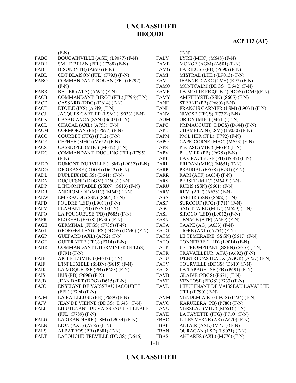|             | $(F-N)$                              |             | $(F-N)$                             |
|-------------|--------------------------------------|-------------|-------------------------------------|
| FABG        | BOUGAINVILLE (AGE) (L9077) (F-N)     | <b>FALY</b> | LYRE (MHC) (M648) (F-N)             |
| FABH        | SM LE BIHAN (FFL) (F788) (F-N)       | <b>FAME</b> | MONGE (AGM) (A601) (F-N)            |
| FABI        | BISON (YTB) (A697) (F-N)             | FAMG        | LA RIEUSE (PB) $(P690)$ $(F-N)$     |
| FABL        | CDT BLAISON (FFL) (F793) (F-N)       | FAMI        | MISTRAL (LHD) (L9013) (F-N)         |
| FABO        | COMMANDANT BOUAN (FFL) (F797)        | FAMJ        | JEANNE D ARC (CVH) (R97) (F-N)      |
|             | $(F-N)$                              | <b>FAMO</b> | MONTCALM (DDGS) (D642) (F-N)        |
| FABR        | BELIER (ATA) (A695) (F-N)            | FAMP        | LA MOTTE PICQUET (DDGS) (D645)(F-N) |
| <b>FACB</b> | COMMANDANT BIROT (FFL)(F796)(F-N)    | <b>FAMY</b> | AMETHYSTE (SSN) (S605) (F-N)        |
| FACD        | CASSARD (DDG) (D614) $(F-N)$         | <b>FANE</b> | STERNE (PB) (P680) (F-N)            |
| <b>FACF</b> | ETOILE $(IXS) (A649) (F-N)$          | <b>FANI</b> | FRANCIS GARNIER (LSM) (L9031) (F-N) |
| FACJ        | JACQUES CARTIER (LSM) (L9033) (F-N)  | <b>FANV</b> | NIVOSE (FFGS) $(F732)$ $(F-N)$      |
| <b>FACK</b> | CASABIANCA (SSN) (S603) (F-N)        | <b>FAOM</b> | ORION (MHC) (M645) (F-N)            |
| FACL        | CHACAL (AXL) (A753) (F-N)            | FAPG        | PRIMAUGUET (DDGS) (D644) (F-N)      |
| <b>FACM</b> | CORMORAN (PB) (P677) (F-N)           | FAPL        | CHAMPLAIN (LSM) (L9030) (F-N)       |
| FACO        | COURBET (FFG) (F712) (F-N)           | FAPM        | PM L HER (FFL) (F792) (F-N)         |
| FACP        | CEPHEE (MHC) (M652) (F-N)            | FAPO        | CAPRICORNE (MHC) (M653) (F-N)       |
| <b>FACS</b> | CASSIOPEE (MHC) (M642) (F-N)         | FAPS        | PEGASE (MHC) (M644) (F-N)           |
| FADC        | COMMANDANT DUCUING (FFL) (F795)      | FAPV        | PLUVIER (PB) (P678) (F-N)           |
|             | $(F-N)$                              | FARE        | LA GRACIEUSE (PB) (P687) (F-N)      |
| FADD        | DUMONT D'URVILLE (LSM) (L9032) (F-N) | FARI        | ERIDAN (MHC) (M651) $(F-N)$         |
| FADG        | DE GRASSE (DDGS) (D612) (F-N)        | FARP        | PRAIRIAL (FFGS) (F731) (F-N)        |
| FADL        | DUPLEIX (DDGS) (D641) (F-N)          | <b>FARR</b> | RARI (ATF) (A634) (F-N)             |
| <b>FADN</b> | DUQUESNE (DDGM) (D603) (F-N)         | FARS        | PERSEE (MHC) (M649) (F-N)           |
| FADP        | L INDOMPTABLE (SSBN) (S613) (F-N)    | <b>FARU</b> | RUBIS (SSN) (S601) (F-N)            |
| FADR        | ANDROMEDE (MHC) (M643) (F-N)         | FARV        | REVI (ATF) (A635) (F-N)             |
| <b>FAEW</b> | EMERAUDE (SSN) (S604) (F-N)          | FASA        | SAPHIR (SSN) (S602) (F-N)           |
| FAFD        | <b>FOUDRE (LSD) (L9011) (F-N)</b>    | FASF        | SURCOUF (FFG) (F711) (F-N)          |
| <b>FAFM</b> | FLAMANT (PB) (P676) (F-N)            | FASG        | SAGITTAIRE (MHC) (M650) (F-N)       |
| FAFO        | LA FOUGUEUSE (PB) (P685) (F-N)       | FASI        | SIROCO (LSD) (L9012) (F-N)          |
| FAFR        | FLOREAL (FFGS) (F730) (F-N)          | <b>FASN</b> | TENACE (ATF) $(A669)$ (F-N)         |
| FAGE        | GERMINAL (FFGS) (F735) (F-N)         | <b>FATA</b> | TAAPE (AG) (A633) (F-N)             |
| FAGL        | GEORGES LEYGUES (DDGS) (D640) (F-N)  | FATG        | TIGRE (AXL) (A754) (F-N)            |
| FAGP        | GUEPARD $(AXL) (A752) (F-N)$         | <b>FATM</b> | LE TEMERAIRE (SSGN) (S617) (F-N)    |
| FAGT        | GUEPRATTE (FFG) (F714) (F-N)         | FATO        | TONNERRE (LHD) (L9014) (F-N)        |
| <b>FAHR</b> | COMMANDANT L'HERMINIER (FFLGS)       | FATP        | LE TRIOMPHANT (SSBN) (S616) (F-N)   |
|             | $(F791) (F-N)$                       | FATR        | TRAVAILLEUR (ATA) (A692) (F-N)      |
| FAIE        | AIGLE, L' (MHC) (M647) (F-N)         | <b>FATU</b> | D'ENTRECASTEAUX (AGOR) (A757) (F-N) |
| FAIF        | L'INFLEXIBLE (SSBN) (S615) (F-N)     | <b>FATV</b> | TOURVILLE (DDGS) (D610) (F-N)       |
| <b>FAIK</b> | LA MOQUEUSE (PB) (P688) (F-N)        | <b>FATX</b> | LA TAPAGEUSE (PB) (P691) (F-N)      |
| FAIS        | IRIS (PB) (P696) (F-N)               | <b>FAVB</b> | <b>GLAIVE (PBGS) (P671) (F-N)</b>   |
| FAJB        | JEAN BART (DDG) (D615) (F-N)         | <b>FAVE</b> | VENTOSE (FFGS) (F733) (F-N)         |
| FAJC        | ENSEIGNE DE VAISSEAU JACOUBET        | <b>FAVL</b> | LIEUTENANT DE VAISSEAU LAVALLEE     |
|             | $(FFL) (F794) (F-N)$                 |             | (FFL) (F790) (F-N)                  |
| FAJM        | LA RAILLEUSE (PB) (P689) (F-N)       | <b>FAVM</b> | VENDEMIAIRE (FFGS) (F734) (F-N)     |
| FAJV        | JEAN DE VIENNE (DDGS) (D643) (F-N)   | <b>FAVO</b> | KARUKERA (PB) (P780) (F-N)          |
| FALF        | LIEUTENANT DE VAISSEAU LE HENAFF     | <b>FAVU</b> | VERSEAU (MHC) (M651) (F-N)          |
|             | (FFL) (F789) (F-N)                   | FAYE        | LA FAYETTE (FFG) (F710) (F-N)       |
| FALG        | LA GRANDIERE (LSM) (L9034) (F-N)     | <b>FBAC</b> | JULES VERNE (AR) (A620) (F-N)       |
| <b>FALN</b> | $LION (AXL) (A755) (F-N)$            | FBAI        | ALTAIR $(AXL) (M771) (F-N)$         |
| <b>FALS</b> | ALBATROS (PB) (P681) (F-N)           | <b>FBAN</b> | OURAGAN (LSD) (L9021) (F-N)         |
| FALT        | LATOUCHE-TREVILLE (DDGS) (D646)      | <b>FBAS</b> | ANTARES (AXL) (M770) (F-N)          |

**1-11**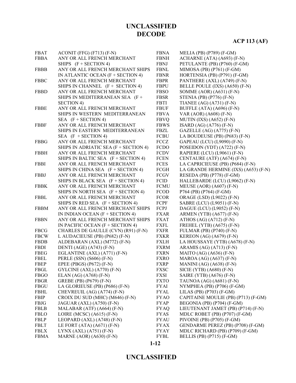# **ACP 113 (AF)**

| <b>FBAT</b> | ACONIT (FFG) $(F713)$ $(F-N)$         | <b>FBNA</b> | MELIA (PB) (P789) (F-GM)             |
|-------------|---------------------------------------|-------------|--------------------------------------|
| <b>FBBA</b> | ANY OR ALL FRENCH MERCHANT            | <b>FBNH</b> | ACHARNE (ATA) (A693) (F-N)           |
|             | SHIPS $(F + SECTION 4)$               | FBNJ        | PETULANTE (PB) (P760) (F-GM)         |
| FBBB        | ANY OR ALL FRENCH MERCHANT SHIPS      | <b>FBNL</b> | MIMOSA (PB) $(P761)$ (F-GM)          |
|             | IN ATLANTIC OCEAN $(F + SECTION 4)$   | <b>FBNR</b> | HORTENSIA (PB) (P791) (F-GM)         |
| <b>FBBC</b> | ANY OR ALL FRENCH MERCHANT            | FBPR        | PANTHERE (AXL) (A749) (F-N)          |
|             | SHIPS IN CHANNEL (F + SECTION 4)      | <b>FBPU</b> | BELLE POULE (IXS) (A650) (F-N)       |
| <b>FBBD</b> | ANY OR ALL FRENCH MERCHANT            | <b>FBSO</b> | SOMME $(AOR) (A631) (F-N)$           |
|             | SHIPS IN MEDITERRANEAN SEA (F+        | <b>FBSR</b> | STENIA (PB) $(P776)$ (F-N)           |
|             | <b>SECTION 4)</b>                     | <b>FBTI</b> | TIANEE $(AG) (A731) (F-N)$           |
| <b>FBBE</b> | ANY OR ALL FRENCH MERCHANT            | <b>FBUF</b> | BUFFLE (ATA) (A696) (F-N)            |
|             | SHIPS IN WESTERN MEDITERRANEAN        | <b>FBVA</b> | VAR (AOR) (A608) (F-N)               |
|             | SEA $(F + SECTION 4)$                 | <b>FBVQ</b> | MUTIN $(IXS) (A652) (F-N)$           |
| <b>FBBF</b> | ANY OR ALL FRENCH MERCHANT            | <b>FBWS</b> | $ISARD (AG) (A776) (F-N)$            |
|             | SHIPS IN EASTERN MEDITERRANEAN        | FBZL        | GAZELLE $(AG) (A775) (F-N)$          |
|             | SEA $(F + SECTION 4)$                 | <b>FCBU</b> | LA BOUDEUSE (PB) (P683) (F-N)        |
| <b>FBBG</b> | ANY OR ALL FRENCH MERCHANT            | FCCZ        | GAPEAU (LCU) (L9090) (F-N)           |
|             | SHIPS IN ADRIATIC SEA (F + SECTION 4) | <b>FCDO</b> | POSEIDON (YDT) (A722) (F-N)          |
| <b>FBBH</b> | ANY OR ALL FRENCH MERCHANT            | <b>FCDV</b> | RAPIERE (LCU) (L9061) (F-N)          |
|             | SHIPS IN BALTIC SEA (F + SECTION 4)   | <b>FCEN</b> | CENTAURE (ATF) (A674) (F-N)          |
| <b>FBBI</b> | ANY OR ALL FRENCH MERCHANT            | FCES        | LA CAPRICIEUSE (PB) (P684) (F-N)     |
|             | SHIPS IN CHINA SEA $(F + SECTION 4)$  | FCGH        | LA GRANDE HERMINE (IXS) (A653) (F-N) |
| FBBJ        | ANY OR ALL FRENCH MERCHANT            | FCGV        | RESEDA (PB) (P778) (F-GM)            |
|             | SHIPS IN BLACK SEA $(F + SECTION 4)$  | FCID        | HALLEBARDE (LCU) (L9062) (F-N)       |
| <b>FBBK</b> | ANY OR ALL FRENCH MERCHANT            | <b>FCMU</b> | MEUSE (AOR) (A607) (F-N)             |
|             | SHIPS IN NORTH SEA (F + SECTION 4)    | <b>FCOD</b> | P764 (PB) (P764) (F-GM)              |
| <b>FBBL</b> | ANY OR ALL FRENCH MERCHANT            | <b>FCOR</b> | ORAGE (LSD) (L9022) (F-N)            |
|             | SHIPS IN RED SEA $(F + SECTION 4)$    | FCPF        | SABRE (LCU) (L9051) (F-N)            |
| <b>FBBM</b> | ANY OR ALL FRENCH MERCHANT SHIPS      | FCPJ        | DAGUE (LCU) (L9052) (F-N)            |
|             | IN INDIAN OCEAN $(F + SECTION 4)$     | <b>FXAR</b> | ARMEN (YTB) $(A677)$ (F-N)           |
| <b>FBBN</b> | ANY OR ALL FRENCH MERCHANT SHIPS      | <b>FXAT</b> | ATHOS $(AG) (A712) (F-N)$            |
|             | IN PACIFIC OCEAN $(F + SECTION 4)$    | <b>FXFL</b> | FREHEL (YTB) (A675) (F-N)            |
| <b>FBCG</b> | CHARLES DE GAULLE (CVN) (R91) (F-N)   | <b>FXFR</b> | FULMAR (PB) (P740) (F-N)             |
| <b>FBCW</b> | L AUDACIEUSE (PB) (P682) (F-N)        | <b>FXKR</b> | KEREON $(AG)$ $(A679)$ $(F-N)$       |
| <b>FBDB</b> | ALDEBARAN (AXL) (M772) (F-N)          | <b>FXLH</b> | LA HOUSSAYE (YTB) (A678) (F-N)       |
| FBDI        | DENTI (AGE) (A743) (F-N)              | FXRM        | ARAMIS (AG) $(A713)$ (F-N)           |
| FBEG        | EGLANTINE (AXL) (A771) (F-N)          | <b>FXRN</b> | MAITO $(AG)$ $(A636)$ $(F-N)$        |
| <b>FBEL</b> | PERLE (SSN) (S606) (F-N)              | FXRO        | MAROA (AG) (A637) (F-N)              |
| FBEP        | EPEE (PBGS) (P672) (F-N)              | FXRP        | MANINI (AG) $(A638)$ (F-N)           |
| FBGL        | GYLCINE (AXL) (A770) (F-N)            | <b>FXSC</b> | SICIE (YTB) $(A680)$ (F-N)           |
| <b>FBGO</b> | ELAN $(AG) (A768) (F-N)$              | FXSI        | SAIRE (YTB) (A676) (F-N)             |
| FBGR        | GREBE (PB) (P679) (F-N)               | <b>FXTO</b> | TAUNOA (AG) (A681) (F-N)             |
| FBGU        | LA GLORIEUSE (PB) (P686) (F-N)        | <b>FYAI</b> | NYMPHEA (PB) (P706) (F-GM)           |
| <b>FBHL</b> | CHEVREUIL (AG) (A774) (F-N)           | <b>FYAL</b> | LILAS (PB) $(P703)$ (F-GM)           |
| FBIP        | CROIX DU SUD (MHC) (M646) (F-N)       | <b>FYAO</b> | CAPITAINE MOULIE (PB) (P713) (F-GM)  |
| FBJG        | JAGUAR (AXL) (A750) (F-N)             | <b>FYAP</b> | BEGONIA (PB) (P704) (F-GM)           |
| <b>FBLB</b> | MALABAR (ATF) (A664) (F-N)            | <b>FYAQ</b> | LIEUTENANT JAMET (PB) (P714) (F-N)   |
| <b>FBLO</b> | LOIRE (MCSC) (A615) (F-N)             | <b>FYAS</b> | MDLC ROBET (PB) (P707) (F-GM)        |
| <b>FBLP</b> | LEOPARD (AXL) (A748) (F-N)            | <b>FYAU</b> | PIVOINE (PB) (P705) (F-GM)           |
| <b>FBLT</b> | LE FORT (ATA) $(A671)$ (F-N)          | <b>FYAX</b> | GENDARME PEREZ (PB) (P708) (F-GM)    |
| <b>FBLX</b> | $LYNX (AXL) (A751) (F-N)$             | <b>FYAY</b> | MDLC RICHARD (PB) (P709) (F-GM)      |
| <b>FBMA</b> | MARNE (AOR) (A630) (F-N)              | <b>FYBL</b> | BELLIS (PB) (P715) (F-GM)            |
|             |                                       |             |                                      |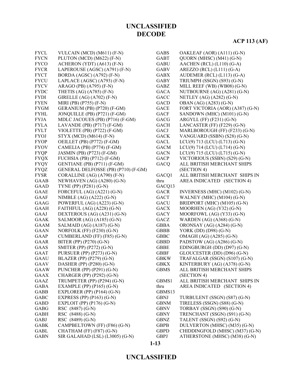### **ACP 113 (AF)**

| FYCL        | VULCAIN (MCD) (M611) (F-N)          | <b>GABS</b> | OAKLEAF (AOR) (A111) (G-N)       |
|-------------|-------------------------------------|-------------|----------------------------------|
| <b>FYCN</b> | PLUTON (MCD) (M622) (F-N)           | <b>GABT</b> | QUORN (MHSC) (M41) (G-N)         |
| <b>FYCO</b> | ACHERON (YDT) (A613) (F-N)          | <b>GABU</b> | AACHEN (RCL) (L110) (G-A)        |
| <b>FYCR</b> | LAPEROUSE (AGSC) (A791) (F-N)       | <b>GABV</b> | AREZZO (RCL) $(L111)$ (G-A)      |
| <b>FYCT</b> | BORDA (AGSC) (A792) (F-N)           | <b>GABX</b> | AUDEMER (RCL) (L113) (G-A)       |
| <b>FYCU</b> | LAPLACE (AGSC) (A793) (F-N)         | <b>GABY</b> | TRIUMPH (SSGN) (S93) (G-N)       |
| <b>FYCV</b> | ARAGO (PB) (A795) (F-N)             | GABZ        | MILL REEF (WB) (WB08) (G-N)      |
| <b>FYDC</b> | THETIS $(AG)$ $(A785)$ $(F-N)$      | <b>GACA</b> | NUTBOURNE (AG) (A281) (G-N)      |
| <b>FYDI</b> | GIRELLE (AG) (A702) (F-N)           | GACC        | NETLEY (AG) (A282) (G-N)         |
| <b>FYEN</b> | MIRI (PB) (P755) (F-N)              | <b>GACD</b> | OBAN (AG) (A283) (G-N)           |
| <b>FYGM</b> | GERANIUM (PB) (P720) (F-GM)         | <b>GACE</b> | FORT VICTORIA (AOR) (A387) (G-N) |
| <b>FYHL</b> | JONQUILLE (PB) (P721) (F-GM)        | <b>GACF</b> | SANDOWN (MHC) (M101) (G-N)       |
| <b>FYJA</b> | MDLC JACOUES (PB) (P716) (F-GM)     | GACG        | ARGYLL (FF) (F231) (G-N)         |
| <b>FYLA</b> | LAVANDE (PB) (P717) (F-GM)          | <b>GACH</b> | LANCASTER (FF) (F229) (G-N)      |
| <b>FYLT</b> | VIOLETTE (PB) (P722) (F-GM)         | GACJ        | MARLBOROUGH (FF) (F233) (G-N)    |
| <b>FYOJ</b> | $STYX (MCD) (M614) (F-N)$           | <b>GACK</b> | VANGUARD (SSBN) (S28) (G-N)      |
| <b>FYOP</b> | OEILLET (PB) (P772) (F-GM)          | <b>GACL</b> | LCU(9) 713 (LCU) (L713) (G-N)    |
| <b>FYOV</b> | CAMELIA (PB) (P774) (F-GM)          | <b>GACM</b> | LCU(9) 714 (LCU) (L714) (G-N)    |
| <b>FYQP</b> | JASMIN (PB) (P723) (F-GM)           | <b>GACN</b> | $LCU(9)$ 715 (LCU) (L715) (G-N)  |
| <b>FYQX</b> | FUCHSIA (PB) (P712) (F-GM)          | <b>GACP</b> | VICTORIOUS (SSBN) (S29) (G-N)    |
| <b>FYQY</b> | GENTIANE (PB) (P711) (F-GM)         | GACQ        | ALL BRITISH MERCHANT SHIPS       |
| <b>FYQZ</b> | GENERAL DELFOSSE (PB) (P710) (F-GM) |             | (SECTION 4)                      |
| <b>FYSR</b> | CORALLINE (AG) (A790) (F-N)         | GACQ1       | ALL BRITISH MERCHANT SHIPS IN    |
| GAAB        | NEWHAVEN (AG) (A280) (G-N)          | thru        | AREA INDICATED (SECTION 4)       |
| <b>GAAD</b> | TYNE (PP) (P281) (G-N)              | GACQ13      |                                  |
| GAAE        | FORCEFUL (AG) (A221) (G-N)          | <b>GACR</b> | INVERNESS (MHC) (M102) (G-N)     |
| GAAF        | NIMBLE $(AG)$ $(A222)$ $(G-N)$      | <b>GACT</b> | WALNEY (MHC) (M104) (G-N)        |
| <b>GAAG</b> | POWERFUL (AG) (A223) (G-N)          | <b>GACU</b> | BRIDPORT (MHC) (M105) (G-N)      |
| <b>GAAH</b> | FAITHFUL (AG) (A228) (G-N)          | <b>GACX</b> | MOORHEN (AG) (Y32) (G-N)         |
| GAAJ        | DEXTEROUS (AG) (A231) (G-N)         | <b>GACY</b> | MOORFOWL (AG) (Y33) (G-N)        |
| <b>GAAK</b> | SALMOOR (AG) (A185) (G-N)           | GACZ        | WARDEN $(AG)$ $( A368)$ $( G-N)$ |
| <b>GAAM</b> | SALMAID (AG) (A187) (G-N)           | <b>GBBA</b> | ORONSAY (AG) (A284) (G-N)        |
| <b>GAAN</b> | NORFOLK (FF) (F230) (G-N)           | GBBB        | YORK (DD) (D98) (G-N)            |
| GAAP        | CUMBERLAND (FF) (F85) (G-N)         | <b>GBBC</b> | OMAGH (AG) (A285) (G-N)          |
| <b>GAAR</b> | BITER (PP) (P270) (G-N)             | <b>GBBD</b> | PADSTOW (AG) (A286) (G-N)        |
| GAAS        | SMITER (PP) (P272) (G-N)            | <b>GBBE</b> | EDINGBURGH (DD) (D97) (G-N)      |
| <b>GAAT</b> | PURSUER (PP) (P273) (G-N)           | <b>GBBF</b> | GLOUCESTER (DD) (D96) (G-N)      |
| <b>GAAU</b> | BLAZER (PP) (P279) (G-N)            | <b>GBKW</b> | TRAFALGAR (SSGN) (S107) (G-N)    |
| <b>GAAV</b> | DASHER (PP) (P280) (G-N)            | <b>GBKX</b> | KINTERBURY (AG) (A378) (G-N)     |
| <b>GAAW</b> | PUNCHER (PP) (P291) (G-N)           | <b>GBMS</b> | ALL BRITISH MERCHANT SHIPS       |
| <b>GAAX</b> | CHARGER (PP) (P292) (G-N)           |             | (SECTION 4)                      |
| GAAZ        | TRUMPETER (PP) (P294) (G-N)         | GBMS1       | ALL BRITISH MERCHANT SHIPS IN    |
| <b>GABA</b> | EXAMPLE (PP) (P165) (G-N)           | thru        | AREA INDICATED (SECTION 4)       |
| <b>GABB</b> | EXPLORER (PP) $(P164)$ $(G-N)$      | GBMS13      |                                  |
| <b>GABC</b> | EXPRESS (PP) $(P163)$ (G-N)         | <b>GBNJ</b> | TURBULENT (SSGN) (S87) (G-N)     |
| <b>GABD</b> | EXPLOIT (PP) $(P176)$ $(G-N)$       | <b>GBNM</b> | TIRELESS (SSGN) (S88) (G-N)      |
| <b>GABG</b> | RSC (8487) (G-N)                    | <b>GBNV</b> | TORBAY (SSGN) (S90) (G-N)        |
| <b>GABH</b> | RSC (8488) (G-N)                    | <b>GBNY</b> | TRENCHANT (SSGN) (S91) (G-N)     |
| <b>GABJ</b> | RSC (8489) (G-N)                    | <b>GBNZ</b> | TALENT (SSGN) (S92) (G-N)        |
| <b>GABK</b> | CAMPBELTOWN (FF) (F86) (G-N)        | <b>GBPB</b> | DULVERTON (MHSC) (M35) (G-N)     |
| GABL        | CHATHAM (FF) (F87) (G-N)            | <b>GBPD</b> | CHIDDINGFOLD (MHSC) (M37) (G-N)  |
| <b>GABN</b> | SIR GALAHAD (LSL) (L3005) (G-N)     | <b>GBPJ</b> | ATHERSTONE (MHSC) (M38) (G-N)    |
|             |                                     | $1 - 13$    |                                  |
|             |                                     |             |                                  |

#### **UNCLASSIFIED**

**1-13**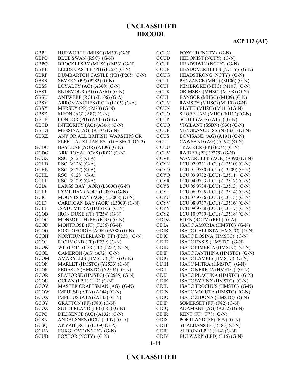### **ACP 113 (AF)**

| <b>GBPL</b> | HURWORTH (MHSC) (M39) (G-N)        | GCUC        | FOXCUB (NCTY) (G-N)             |
|-------------|------------------------------------|-------------|---------------------------------|
| <b>GBPO</b> | BLUE SWAN (RSC) (G-N)              | <b>GCUD</b> | HEDONIST (NCTY) (G-N)           |
| <b>GBPQ</b> | BROCKLESBY (MHSC) (M33) (G-N)      | <b>GCUE</b> | HEADSIWIN (NCTY) (G-N)          |
| <b>GBRE</b> | LEEDS CASTLE (PB) (P258) (G-N)     | <b>GCUF</b> | HEADOVERHEELS (NCTY) (G-N)      |
| <b>GBRF</b> | DUMBARTON CASTLE (PB) (P265) (G-N) | GCUG        | HEADSTRONG (NCTY) (G-N)         |
| <b>GBSK</b> | SEVERN (PP) (P282) (G-N)           | <b>GCUI</b> | PENZANCE (MHC) (M106) (G-N)     |
| <b>GBSS</b> | LOYALTY (AG) $(A360)$ (G-N)        | GCUJ        | PEMBROKE (MHC) (M107) (G-N)     |
| <b>GBST</b> | ENDEVOUR $(AG)$ $(A361)$ $(G-N)$   | <b>GCUK</b> | GRIMSBY (MHSC) (M108) (G-N)     |
| <b>GBSU</b> | ANTWERP (RCL) (L106) (G-A)         | <b>GCUL</b> | BANGOR (MHSC) (M109) (G-N)      |
| <b>GBSV</b> | ARROMANCHES (RCL) (L105) (G-A)     | <b>GCUM</b> | RAMSEY (MHSC) (M110) (G-N)      |
| <b>GBSY</b> | MERSEY (PP) (P283) (G-N)           | <b>GCUN</b> | BLYTH (MHSC) (M111) (G-N)       |
| <b>GBSZ</b> | MEON (AG) (A87) (G-N)              | GCUO        | SHOREHAM (MHC) (M112) (G-N)     |
| <b>GBTB</b> | CONDOR (PB) $(A305)$ (G-N)         | <b>GCUP</b> | SCOTT (AGS) $(A131)$ (G-N)      |
| <b>GBTD</b> | INTEGRITY (AG) (A306) (G-N)        | GCUQ        | VIGILANT (SSBN) (S30) (G-N)     |
| <b>GBTG</b> | MESSINA $(AG)$ $(A107)$ $(G-N)$    | <b>GCUR</b> | VENGEANCE (SSBN) (S31) (G-N)    |
| <b>GBXZ</b> | ANY OR ALL BRITISH WARSHIPS OR     | <b>GCUS</b> | BOVISAND (AG) (A191) (G-N)      |
|             | FLEET AUXILIARIES (G + SECTION 3)  | <b>GCUT</b> | CAWSAND (AG) (A192) (G-N)       |
| <b>GCDC</b> | BAYLEAF (AOR) (A109) (G-N)         | GCUU        | TRACKER (PP) (P274) (G-N)       |
| GCDG        | ARK ROYAL (CVS) (R07) (G-N)        | <b>GCUV</b> | RAIDER (PP) (P275) (G-N)        |
| GCGZ        | RSC (8125) (G-A)                   | <b>GCVR</b> | WAVERULER (AOR) (A390) (G-N)    |
| <b>GCHB</b> | RSC (8126) (G-A)                   | <b>GCYN</b> | LCU 02 9731 (LCU) (L3510) (G-N) |
| <b>GCHK</b> | RSC (8127) (G-A)                   | <b>GCYO</b> | LCU 01 9730 (LCU) (L3509) (G-N) |
| <b>GCHL</b> | RSC (8128) (G-A)                   | <b>GCYQ</b> | LCU 03 9732 (LCU) (L3511) (G-N) |
| <b>GCHP</b> | RSC (8129) (G-A)                   | <b>GCYR</b> | LCU 04 9733 (LCU) (L3512) (G-N) |
| <b>GCIA</b> | LARGS BAY (AOR) (L3006) (G-N)      | <b>GCYS</b> | LCU 05 9734 (LCU) (L3513) (G-N) |
| <b>GCIB</b> | LYME BAY (AOR) (L3007) (G-N)       | <b>GCYT</b> | LCU 06 9735 (LCU) (L3514) (G-N) |
| <b>GCIC</b> | MOUNTS BAY (AOR) (L3008) (G-N)     | <b>GCYU</b> | LCU 07 9736 (LCU) (L3515) (G-N) |
| <b>GCID</b> | CARDIGAN BAY (AOR) (L3009) (G-N)   | <b>GCYV</b> | LCU 08 9737 (LCU) (L3516) (G-N) |
| <b>GCIH</b> | JSATC MITRA (HMSTC) (G-N)          | <b>GCYY</b> | LCU 09 9738 (LCU) (L3517) (G-N) |
| <b>GCOB</b> | IRON DUKE $(FF)$ $(F234)$ $(G-N)$  | <b>GCYZ</b> | LCU 10 9739 (LCU) (L3518) (G-N) |
| GCOC        | MONMOUTH (FF) (F235) (G-N)         | <b>GDDZ</b> | EDEN (RCTV) (RPL) (G-A)         |
| <b>GCOD</b> | MONTROSE (FF) (F236) (G-N)         | <b>GDIA</b> | JSATC AMORIA (HMSTC) (G-N)      |
| GCOG        | FORT GEORGE (AOR) (A388) (G-N)     | <b>GDIB</b> | JSATC CALLISTA (HMSTC) (G-N)    |
| <b>GCOH</b> | NORTHUMBERLAND (FF) (F238) (G-N)   | <b>GDIC</b> | JSATC DOSINA (HMSTC) (G-N)      |
| GCOJ        | RICHMOND (FF) (F239) (G-N)         | <b>GDID</b> | JSATC ENSIS (HMSTC) (G-N)       |
| <b>GCOK</b> | WESTMINSTER (FF) (F237) (G-N)      | <b>GDIE</b> | JSATC FIMBRIA (HMSTC) (G-N)     |
| <b>GCOL</b> | CAMERON (AG) (A72) (G-N)           | <b>GDIF</b> | JSATC JANTHINA (HMSTC) (G-N)    |
| <b>GCOM</b> | AMARYLLIS (HMSTC) (Y17) (G-N)      | <b>GDIG</b> | JSATC LAMBIS (HMSTC) (G-N)      |
| <b>GCON</b> | MARLET (HMSTC) (Y2533) (G-N)       | <b>GDIH</b> | JSATC MITRA (HMSTC) (G-N)       |
| <b>GCOP</b> | PEGASUS (HMSTC) (Y2534) (G-N)      | <b>GDII</b> | JSATC NERETA (HMSTC) (G-N)      |
| <b>GCOR</b> | SEAHORSE (HMSTC) (Y2535) (G-N)     | GDIJ        | JSATC PLACUNA (HMSTC) (G-N)     |
| GCOU        | OCEAN (LPH) $(L12)$ (G-N)          | <b>GDIK</b> | JSATC SYRINX (HMSTC) (G-N)      |
| GCOV        | MASTER CRAFTSMAN (AG) (G-N)        | <b>GDIL</b> | JSATC TROCHUS (HMSTC) (G-N)     |
| <b>GCOW</b> | IMPULSE $(ATA) (A344) (G-N)$       | <b>GDIN</b> | JSATC VOLUTA (HMSTC) (G-N)      |
| <b>GCOX</b> | IMPETUS (ATA) (A345) (G-N)         | <b>GDIO</b> | JSATC ZIDONA (HMSTC) (G-N)      |
| <b>GCOY</b> | GRAFTON (FF) (F80) (G-N)           | <b>GDIP</b> | SOMERSET (FF) (F82) (G-N)       |
| GCOZ        | SUTHERLAND (FF) (F81) (G-N)        | <b>GDIQ</b> | ADAMANT (AG) (A232) (G-N)       |
| <b>GCPC</b> | DILIGENCE (AG) (A132) (G-N)        | <b>GDIR</b> | KENT (FF) (F78) (G-N)           |
| <b>GCSN</b> | ANDALSNES (RCL) (L107) (G-A)       | <b>GDIS</b> | PORTLAND (FF) (F79) (G-N)       |
| GCSQ        | AKYAB (RCL) (L109) (G-A)           | <b>GDIT</b> | ST ALBANS (FF) $(F83)$ $(G-N)$  |
| <b>GCUA</b> | FOXGLOVE (NCTY) (G-N)              | <b>GDIU</b> | ALBION (LPH) (L14) (G-N)        |
| <b>GCUB</b> | FOXTOR (NCTY) (G-N)                | <b>GDIV</b> | BULWARK (LPD) (L15) (G-N)       |
|             |                                    |             |                                 |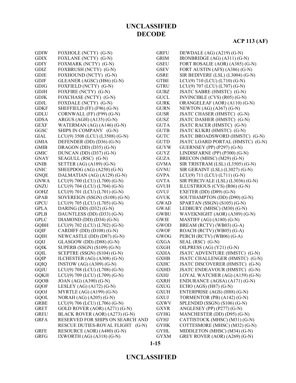| <b>GDIW</b> | FOXHOLE (NCTY) (G-N)             | <b>GRFU</b> | DEWDALE (AG) (A219) (G-N)         |
|-------------|----------------------------------|-------------|-----------------------------------|
| <b>GDIX</b> | FOXLANE (NCTY) (G-N)             | <b>GRIM</b> | IRONBRIDGE (AG) (A311) (G-N)      |
| <b>GDIY</b> | FOXMARK (NCTY) (G-N)             | <b>GSEU</b> | FORT ROSALIE (AOR) (A385) (G-N)   |
| <b>GDIZ</b> | FOXBRUSH (NCTY) (G-N)            | <b>GSEV</b> | FORT AUSTIN (AFS) (A386) (G-N)    |
| <b>GDJE</b> | FOXHOUND (NCTY) (G-N)            | <b>GSRE</b> | SIR BEDIVERE (LSL) (L3004) (G-N)  |
| <b>GDJF</b> | GLEANER (AGSC) (H86) (G-N)       | <b>GTBE</b> | $LCU(9)$ 710 (LCU) (L710) (G-N)   |
| <b>GDJG</b> | FOXFIELD (NCTY) (G-N)            | <b>GTRU</b> | LCU(9) 707 (LCU) (L707) (G-N)     |
| <b>GDJH</b> | FOXFIRE (NCTY) (G-N)             | <b>GUBZ</b> | JSATC SABRE (HMSTC) (G-N)         |
| <b>GDJK</b> | FOXCHASE (NCTY) (G-N)            | <b>GUCL</b> | INVINCIBLE (CVS) (R05) (G-N)      |
| <b>GDJL</b> | FOXDALE (NCTY) (G-N)             | <b>GURK</b> | ORANGELEAF (AOR) (A110) (G-N)     |
| <b>GDKF</b> | SHEFFIELD (FF) (F96) (G-N)       | <b>GURN</b> | NEWTON $(AG)$ $(A367)$ $(G-N)$    |
| <b>GDLU</b> | CORNWALL (FF) (F99) (G-N)        | <b>GUSR</b> | JSATC CHASER (HMSTC) (G-N)        |
| <b>GDSA</b> | ARGUS (AGH) (A135) (G-N)         | <b>GUSZ</b> | JSATC DASHER (HMSTC) (G-N)        |
| <b>GEXF</b> | WATERMAN (AG) (A146) (G-N)       | <b>GUTA</b> | JSATC RACER (HMSTC) (G-N)         |
| GGSC        | SHIPS IN COMPANY (G-N)           | <b>GUTB</b> | JSATC KUKRI (HMSTC) (G-N)         |
| GIAL        | LCU(9) 3508 (LCU) (L3508) (G-N)  | <b>GUTC</b> | JSATC BROADSWORD (HMSTC) (G-N)    |
| <b>GMIA</b> | DEFENDER (DD) (D36) (G-N)        | <b>GUTD</b> | JSATC LOARD PORTAL (HMSTC) (G-N)  |
| <b>GMIB</b> | DRAGON (DD) (D35) (G-N)          | <b>GUYW</b> | <b>GUERNSEY (PP) (P297) (G-N)</b> |
| <b>GMIC</b> | DUNCAN (DD) (D37) (G-N)          | <b>GUYZ</b> | LINDISFARNE (PP) (P300) (G-N)     |
| <b>GNAY</b> | SEAGULL (RSC) (G-N)              | <b>GUZA</b> | BRECON (MHSC) (M29) (G-N)         |
| <b>GNIB</b> | SETTER (AG) (A189) (G-N)         | <b>GVMA</b> | SIR TRISTRAM (LSL) (L3505) (G-N)  |
| <b>GNIC</b> | SHEEPDOG (AG) (A250) (G-N)       | <b>GVNU</b> | SIR GERAINT (LSL) (L3027) (G-N)   |
| <b>GNQE</b> | DALMATIAN (AG) (A129) (G-N)      | <b>GVPA</b> | LCU(9) 711 (LCU) (L711) (G-N)     |
| <b>GNWA</b> | LCU(9) 700 (LCU) (L700) (G-N)    | <b>GVTA</b> | SIR PERCIVALE (LSL) (L3036) (G-N) |
| <b>GNZU</b> | LCU(9) 704 (LCU) (L704) (G-N)    | <b>GVUH</b> | ILLUSTRIOUS (CVS) (R06) (G-N)     |
| <b>GOHZ</b> | LCU(9) 701 (LCU) (L701) (G-N)    | GVUJ        | EXETER (DD) $(D89)$ (G-N)         |
| <b>GPAB</b> | SOVEREIGN (SSGN) (S108) (G-N)    | <b>GVUK</b> | SOUTHAMPTON (DD) (D90) (G-N)      |
| <b>GPCU</b> | LCU(9) 705 (LCU) (L705) (G-N)    | <b>GWAD</b> | SPARTAN (SSGN) (S105) (G-N)       |
| <b>GPLA</b> | DARING (DD) $(D32)$ (G-N)        | <b>GWAE</b> | LEDBURY (MHSC) (M30) (G-N)        |
| <b>GPLB</b> | DAUNTLESS (DD) (D33) (G-N)       | GWBU        | WAVEKNIGHT (AOR) (A389) (G-N)     |
| <b>GPLC</b> | DIAMOND (DD) $(D34)$ (G-N)       | <b>GWJE</b> | MASTIFF $(AG) (A180) (G-N)$       |
| <b>GQBH</b> | LCU(9) 702 (LCU) (L702) (G-N)    | GWOD        | BREAM (RCTV) (WB03) (G-A)         |
| <b>GQIF</b> | CARDIFF (DD) (D108) (G-N)        | <b>GWOF</b> | ROACH (RCTV) (WB05) (G-A)         |
| <b>GQIH</b> | NEWCASTLE (DD) (D87) (G-N)       | GWOG        | PERCH (RCTV) (WB06) (G-A)         |
| GQIJ        | GLASGOW (DD) (D88) (G-N)         | <b>GXGA</b> | SEAL (RSC) (G-N)                  |
| <b>GQIK</b> | SUPERB (SSGN) (S109) (G-N)       | <b>GXGH</b> | OILPRESS (AG) (Y21) (G-N)         |
| GQIL        | SCEPTRE (SSGN) (S104) (G-N)      | <b>GXHA</b> | JSATC ADVENTURE (HMSTC) (G-N)     |
| GQIP        | ILCHESTER (AG) (A308) (G-N)      | <b>GXHB</b> | JSATC CHALLENGER (HMSTC) (G-N)    |
| GQIQ        | INSTOW $(AG)$ $(A309)$ $(G-N)$   | <b>GXHC</b> | JSATC DISCOVERER (HMSTC) (G-N)    |
| <b>GQJU</b> | LCU(9) 708 (LCU) (L708) (G-N)    | <b>GXHD</b> | JSATC ENDEAVOUR (HMSTC) (G-N)     |
| <b>GQKH</b> | LCU(9) 709 (LCU) (L709) (G-N)    | <b>GXHJ</b> | LOYAL WATCHER (AG) (A159) (G-N)   |
| <b>GQOB</b> | JOAN (AG) (A390) (G-N)           | <b>GXRH</b> | ENDURANCE (AGSA) (A171) (G-N)     |
| <b>GQOF</b> | LESLEY (AG) $(A172)$ (G-N)       | <b>GXUG</b> | ECHO $(AGS)$ $(H87)$ $(G-N)$      |
| GQOJ        | MYRTLE $(AG)$ $(A199)$ $(G-N)$   | <b>GXUH</b> | ENTERPRISE (AGS) (H88) (G-N)      |
| GQOL        | NORAH (AG) (A205) (G-N)          | <b>GXUJ</b> | TORMENTOR (PB) (A142) (G-N)       |
| <b>GRBE</b> | LCU(9) 706 (LCU) (L706) (G-N)    | <b>GXWV</b> | SPLENDID (SSGN) (S106) (G-N)      |
| <b>GRET</b> | GOLD ROVER (AOR) (A271) (G-N)    | <b>GXYR</b> | ANGLESEY (PP) (P277) (G-N)        |
| <b>GREU</b> | BLACK ROVER (AOR) (A273) (G-N)   | <b>GYHG</b> | MANCHESTER (DD) (D95) (G-N)       |
| <b>GRFA</b> | RESERVED FOR SHIPS ON SEARCH AND | <b>GYHJ</b> | CATTISTOCK (MHSC) (M31) (G-N)     |
|             | RESCUE DUTIES-ROYAL FLIGHT (G-N) | <b>GYHK</b> | COTTESMORE (MHSC) (M32) (G-N)     |
| <b>GRFE</b> | RESOURCE (AOR) (A480) (G-N)      | <b>GYHL</b> | MIDDLETON (MHSC) (M34) (G-N)      |
| <b>GRFG</b> | IXWORTH $(AG)$ $(A318)$ $(G-N)$  | <b>GYXM</b> | GREY ROVER (AOR) (A269) (G-N)     |
|             |                                  |             |                                   |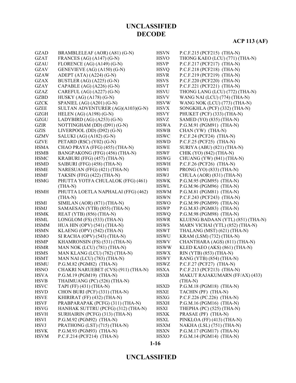# **ACP 113 (AF)**

| <b>GZAD</b> | BRAMBLELEAF (AOR) (A81) (G-N)       | <b>HSVN</b> | P.C.F.215 (PCF215) (THA-N)        |
|-------------|-------------------------------------|-------------|-----------------------------------|
| <b>GZAT</b> | FRANCES (AG) (A147) (G-N)           | <b>HSVO</b> | THONG KAEO (LCU) (771) (THA-N)    |
| <b>GZAU</b> | FLORENCE (AG) (A149) (G-N)          | <b>HSVP</b> | P.C.F.217 (PCF217) (THA-N)        |
| GZAV        | GENEVIEVE (AG) (A150) (G-N)         | <b>HSVQ</b> | P.C.F.218 (PCF218) (THA-N)        |
| <b>GZAW</b> | ADEPT (ATA) $(A224)$ (G-N)          | <b>HSVR</b> | P.C.F.219 (PCF219) (THA-N)        |
| <b>GZAX</b> | BUSTLER (AG) (A225) (G-N)           | <b>HSVS</b> | P.C.F.220 (PCF220) (THA-N)        |
| GZAY        | CAPABLE $(AG)$ $(A226)$ $(G-N)$     | <b>HSVT</b> | P.C.F.221 (PCF221) (THA-N)        |
| GZAZ        | CAREFUL (AG) (A227) (G-N)           | <b>HSVU</b> | THONG LANG (LCU) (772) (THA-N)    |
| <b>GZBD</b> | HUSKY (AG) (A178) (G-N)             | <b>HSVV</b> | WANG NAI (LCU) (774) (THA-N)      |
| <b>GZCK</b> | SPANIEL $(AG) (A201) (G-N)$         | <b>HSVW</b> | WANG NOK (LCU) (773) (THA-N)      |
| <b>GZEE</b> | SULTAN ADVENTURER (AG)(A103)(G-N)   | <b>HSVX</b> | SONGKHLA (PCF) (332) (THA-N)      |
| <b>GZGH</b> | HELEN $(AG)$ $(A198)$ $(G-N)$       | <b>HSVY</b> | PHUKET (PCF) (333) (THA-N)        |
| GZGU        | LADYBIRD (AG) (A253) (G-N)          | HSVZ        | SAMED (YO) (835) (THA-N)          |
| <b>GZIR</b> | NOTTINGHAM (DD) (D91) (G-N)         | <b>HSWA</b> | P.G.M.91 (PGM91) (THA-N)          |
| <b>GZIS</b> | LIVERPOOL (DD) (D92) (G-N)          | <b>HSWB</b> | CHAN (YW) (THA-N)                 |
| <b>GZMV</b> | SALUKI (AG) (A182) (G-N)            | <b>HSWC</b> | P.C.F.24 (PCF24) (THA-N)          |
| <b>GZVE</b> | PETARD (RSC) (Y02) (G-N)            | <b>HSWD</b> | $P.C.F.25 (PCF25) (THA-N)$        |
| <b>HSMA</b> | CHAO PRAYA (FFG) (455) (THA-N)      | <b>HSWE</b> | SURIYA (ABU) (821) (THA-N)        |
| <b>HSMB</b> | BANGPAKONG (FFG) (456) (THA-N)      | <b>HSWF</b> | CHIK (YO) (842) (THA-N)           |
| <b>HSMC</b> | KRABURI (FFG) (457) (THA-N)         | <b>HSWG</b> | CHUANG (YW) (841) (THA-N)         |
| <b>HSMD</b> | SAIBURI (FFG) (458) (THA-N)         | <b>HSWH</b> | $P.C.F.26 (PCF26) (THA-N)$        |
| <b>HSME</b> | NARESUAN (FFG) (421) (THA-N)        | <b>HSWI</b> | PRONG (YO) (833) (THA-N)          |
| <b>HSMF</b> | TAKSIN (FFG) (422) (THA-N)          | <b>HSWJ</b> | CHULA (AOR) (831) (THA-N)         |
| <b>HSMG</b> | PHUTTA YOTFA CHULALOK (FFG) (461)   | <b>HSWK</b> | P.G.M.95 (PGM95) (THA-N)          |
|             | $(THA-N)$                           | <b>HSWL</b> | P.G.M.96 (PGM96) (THA-N)          |
| <b>HSMH</b> | PHUTTA LOETLA NAPHALAI (FFG) (462)  | <b>HSWM</b> | P.G.M.81 (PGM81) (THA-N)          |
|             | $(THA-N)$                           | <b>HSWN</b> | P.C.F.243 (PCF243) (THA-N)        |
| <b>HSMI</b> | SIMILAN (AOR) (871) (THA-N)         | <b>HSWO</b> | P.G.M.99 (PGM99) (THA-N)          |
| <b>HSMJ</b> | SAMAESAN (YTB) (855) (THA-N)        | <b>HSWP</b> | P.G.M.83 (PGM83) (THA-N)          |
| <b>HSMK</b> | REAT (YTB) (856) (THA-N)            | <b>HSWQ</b> | P.G.M.98 (PGM98) (THA-N)          |
| <b>HSML</b> | LONGLOM (FS) (533) (THA-N)          | <b>HSWR</b> | KLUENG BADAAN (YTL) (851) (THA-N) |
| <b>HSMM</b> | HUA HIN (OPV) (541) (THA-N)         | <b>HSWS</b> | MARN VICHAI (YTL) (852) (THA-N)   |
| <b>HSMN</b> | KLAENG (OPV) (542) (THA-N)          | <b>HSWT</b> | THALANG (MST) (621) (THA-N)       |
| <b>HSMO</b> | SI RACHA (OPV) (543) (THA-N)        | <b>HSWU</b> | KRAM (LSM) (732) (THA-N)          |
| <b>HSMP</b> | KHAMRONSIN (FS) (531) (THA-N)       | <b>HSWV</b> | CHANTHARA (AGS) (811) (THA-N)     |
| <b>HSMR</b> | MAN NOK (LCU) (781) (THA-N)         | <b>HSWW</b> | KLED KAEO (AKS) (861) (THA-N)     |
| <b>HSMS</b> | MAN KLANG (LCU) (782) (THA-N)       | <b>HSWX</b> | RIN (YTB) (853) (THA-N)           |
| <b>HSMT</b> | MAN NAI (LCU) (783) (THA-N)         | <b>HSWY</b> | RANG (YTB) (854) (THA-N)          |
| <b>HSMU</b> | P.G.M.82 (PGM82) (THA-N)            | <b>HSWZ</b> | P.C.F.27 (PCF27) (THA-N)          |
| <b>HSNO</b> | CHAKRI NARUEBET (CVS) (911) (THA-N) | <b>HSXA</b> | P.C.F.213 (PCF213) (THA-N)        |
| <b>HSVA</b> | P.G.M.19 (PGM19) (THA-N)            | <b>HSXB</b> | MAKUT RAJAKUMARN (FF/AX) (433)    |
| <b>HSVB</b> | THAIMUANG (PC) (526) (THA-N)        |             | $(THA-N)$                         |
| <b>HSVC</b> | TAPI (FF) (431) (THA-N)             | <b>HSXD</b> | P.G.M.18 (PGM18) (THA-N)          |
| <b>HSVD</b> | CHON BURI (PCF) (331) (THA-N)       | <b>HSXE</b> | TACHIN (PF) (THA-N)               |
| <b>HSVE</b> | KHIRIRAT (FF) (432) (THA-N)         | <b>HSXG</b> | P.C.F.226 (PC.226) (THA-N)        |
| <b>HSVF</b> | PRABPARAPAK (PCFG) (311) (THA-N)    | <b>HSXH</b> | P.G.M.16 (PGM16) (THA-N)          |
| <b>HSVG</b> | HANHAK SUTTRU (PCFG) (312) (THA-N)  | HSXI        | THEPHA (PC) (525) (THA-N)         |
| <b>HSVH</b> | SURHAIRIN (PCFG) (313) (THA-N)      | <b>HSXK</b> | PRASAE (PF) (THA-N)               |
| <b>HSVI</b> | P.G.M.92 (PGM92) (THA-N)            | <b>HSXL</b> | PINKLOA (FF) (413) (THA-N)        |
| <b>HSVJ</b> | PRATHONG (LST) (715) (THA-N)        | <b>HSXM</b> | NAKHA (LSL) (751) (THA-N)         |
| <b>HSVK</b> | P.G.M.93 (PGM93) (THA-N)            | <b>HSXN</b> | P.G.M.17 (PGM17) (THA-N)          |
|             | P.C.F.214 (PCF214) (THA-N)          |             | $P.G.M.14 (PGM14) (THA-N)$        |
| <b>HSVM</b> |                                     | <b>HSXO</b> |                                   |

#### **1-16**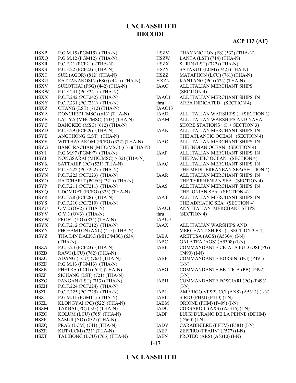| <b>HSXP</b> | P.G.M.15 (PGM15) (THA-N)           | <b>HSZV</b>        | THAYANCHON (FS) (532) (THA-N)        |
|-------------|------------------------------------|--------------------|--------------------------------------|
| <b>HSXQ</b> | P.G.M.12 (PGM12) (THA-N)           | <b>HSZW</b>        | LANTA (LST) $(714)$ (THA-N)          |
| <b>HSXR</b> | $P.C.F.21 (PCF21) (THA-N)$         | <b>HSZX</b>        | <b>SURIN (LST) (722) (THA-N)</b>     |
| <b>HSXS</b> | $P.C.F.22 (PCF22) (THA-N)$         | <b>HSZY</b>        | SATAKUT (LCM) (742) (THA-N)          |
| <b>HSXT</b> | SUK (AGOR) (812) (THA-N)           | HSZZ               | MATAPHON (LCU) (761) (THA-N)         |
| <b>HSXU</b> | RATTANAKOSIN (FSG) (441) (THA-N)   | <b>HXZN</b>        | KANTANG (PC) (524) (THA-N)           |
| <b>HSXV</b> | SUKOTHAI (FSG) (442) (THA-N)       | <b>IAAC</b>        | ALL ITALIAN MERCHANT SHIPS           |
| <b>HSXW</b> | P.C.F.241 (PCF241) (THA-N)         |                    | (SECTION 4)                          |
| <b>HSXX</b> | $P.C.F.242 (PCF242) (THA-N)$       | IAAC1              | ALL ITALIAN MERCHANT SHIPS IN        |
| <b>HSXY</b> | P.C.F.231 (PCF231) (THA-N)         | thru               | AREA INDICATED (SECTION 4)           |
| <b>HSXZ</b> | CHANG (LST) (712) (THA-N)          | IAAC <sub>13</sub> |                                      |
| <b>HSYA</b> | DONCHEDI (MSC) (613) (THA-N)       | IAAD               | ALL ITALIAN WARSHIPS (I +SECTION 3)  |
| <b>HSYB</b> | LAT YA (MHC/MSC) (633) (THA-N)     | <b>IAAM</b>        | ALL ITALIAN WARSHIPS AND NAVAL       |
| <b>HSYC</b> | BANGKEO (MSC) (612) (THA-N)        |                    | SHORE STATIONS $(I + SECTION 3)$     |
| <b>HSYD</b> | P.C.F.29 (PCF29) (THA-N)           | <b>IAAN</b>        | ALL ITALIAN MERCHANT SHIPS IN        |
| <b>HSYE</b> | ANGTHONG (LST) (THA-N)             |                    | THE ATLANTIC OCEAN (SECTION 4)       |
| <b>HSYF</b> | WITTHAYAKOM (PCFG) (322) (THA-N)   | <b>IAAO</b>        | ALL ITALIAN MERCHANT SHIPS IN        |
| <b>HSYG</b> | BANG RACHAN (MHC/MSC) (631)(THA-N) |                    | THE INDIAN OCEAN (SECTION 4)         |
| <b>HSYI</b> | P.G.M.97 (PGM97) (THA-N)           | <b>IAAP</b>        | ALL ITALIAN MERCHANT SHIPS IN        |
|             |                                    |                    | THE PACIFIC OCEAN (SECTION 4)        |
| <b>HSYJ</b> | NONGSARAI (MHC/MSC) (632) (THA-N)  |                    |                                      |
| <b>HSYK</b> | SATTAHIP (PC) (521) (THA-N)        | <b>IAAQ</b>        | ALL ITALIAN MERCHANT SHIPS IN        |
| <b>HSYM</b> | P.C.F.222 (PCF222) (THA-N)         |                    | THE MEDITERRANEAN SEA(SECTION 4)     |
| <b>HSYN</b> | P.C.F.223 (PCF223) (THA-N)         | <b>IAAR</b>        | ALL ITALIAN MERCHANT SHIPS IN        |
| <b>HSYO</b> | RATCHARIT (PCFG) (321) (THA-N)     |                    | THE TYRRHENIAN SEA (SECTION 4)       |
| <b>HSYP</b> | $P.C.F.211 (PCF211) (THA-N)$       | <b>IAAS</b>        | ALL ITALIAN MERCHANT SHIPS IN        |
| <b>HSYQ</b> | UDOMDET (PCFG) (323) (THA-N)       |                    | THE IONIAN SEA (SECTION 4)           |
| <b>HSYR</b> | $P.C.F.28 (PCF28) (THA-N)$         | <b>IAAT</b>        | ALL ITALIAN MERCHANT SHIPS IN        |
| <b>HSYS</b> | P.C.F.210 (PCF210) (THA-N)         |                    | THE ADRIATIC SEA (SECTION 4)         |
| <b>HSYU</b> | $O.V.2 (OV2) (THA-N)$              | IAAU1              | ANY ITALIAN MERCHANT SHIPS           |
| <b>HSYV</b> | $O.V.3 (OV3) (THA-N)$              | thru               | (SECTION 4)                          |
| <b>HSYW</b> | PROET (YO) (834) (THA-N)           | IAAU9              |                                      |
| <b>HSYX</b> | P.C.F.212 (PCF212) (THA-N)         | <b>IAAX</b>        | ALL ITALIAN WARSHIPS AND             |
| <b>HSYY</b> | PHOSAMTON (AXL) (415) (THA-N)      |                    | MERCHANT SHIPS $(I, SECTION 3 + 4)$  |
| <b>HSYZ</b> | THA DIN DAENG (MHC/MSC) (634)      | <b>IABA</b>        | ARETUSA (AGS) (A5304) (I-N)          |
|             | $(THA-N)$                          | <b>IABC</b>        | GALATEA (AGS) (A5308) (I-N)          |
| <b>HSZA</b> | $P.C.F.23 (PCF23) (THA-N)$         | IABE               | COMMANDANTE CIGALA FULGOSI (PG)      |
| <b>HSZB</b> | RAWI (LCU) (762) (THA-N)           |                    | $(P490)$ (I-N)                       |
| <b>HSZC</b> | ADANG (LCU) (763) (THA-N)          | <b>IABF</b>        | COMMANDANTE BORSINI (PG) (P491)      |
| <b>HSZD</b> | P.G.M.13 (PGM13) (THA-N)           |                    | $(I-N)$                              |
| <b>HSZE</b> | PHETRA (LCU) (764) (THA-N)         | <b>IABG</b>        | COMMANDANTE BETTICA (PB) (P492)      |
| <b>HSZF</b> | SICHANG (LST) (721) (THA-N)        |                    | $(I-N)$                              |
| <b>HSZG</b> | PANGAN (LST) (713) (THA-N)         | <b>IABH</b>        | COMMANDANTE FOSCIARI (PG) (P493)     |
| <b>HSZH</b> | P.C.F.224 (PCF224) (THA-N)         |                    | $(I-N)$                              |
| <b>HSZI</b> | P.C.F.225 (PCF225) (THA-N)         | IABJ               | AMERIGO VESPUCCI (AXS) (A5312) (I-N) |
| <b>HSZJ</b> | $P.G.M.11 (PGM11) (THA-N)$         | IABL               | SIRIO (PHM) (P410) (I-N)             |
| <b>HSZL</b> | KLONGYAI (PC) (522) (THA-N)        | IABM               | ORIONE (PHM) (P409) (I-N)            |
| <b>HSZM</b> | TAKBAI (PC) (523) (THA-N)          | <b>IADC</b>        | CORSARO II (AXS) (A5316) (I-N)       |
| <b>HSZO</b> | KOLUM (LCU) (765) (THA-N)          | <b>IADP</b>        | LUIGI DURANO DE LA PENNE (DDHM)      |
| <b>HSZP</b> | SAMUI (YO) (832) (THA-N)           |                    | $(D560)$ (I-N)                       |
| <b>HSZQ</b> | PRAB (LCM) (741) (THA-N)           | <b>IADV</b>        | CARABINIERE (FFHV) (F581) (I-N)      |
| <b>HSZR</b> | KUT (LCM) (731) (THA-N)            | IAEF               | ZEFFIRO (FFAHV) (F577) (I-N)         |
| <b>HSZT</b> | TALIBONG (LCU) (766) (THA-N)       | <b>IAEN</b>        | PROTEO (ARS) (A5310) (I-N)           |

**1-17**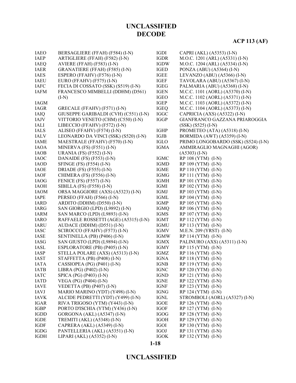#### **1-18**

| <b>IAEO</b> | BERSAGLIERE (FFAH) (F584) (I-N)       | <b>IGDI</b> | CAPRI (AKL) (A5353) (I-N)           |
|-------------|---------------------------------------|-------------|-------------------------------------|
| <b>IAEP</b> | ARTIGLIERE (FFAH) (F582) (I-N)        | <b>IGDR</b> | M.O.C. 1201 (ARL) (A5331) (I-N)     |
| <b>IAEQ</b> | AVIERE (FFAH) (F583) (I-N)            | <b>IGDW</b> | M.O.C. 1204 (ARL) (A5334) (I-N)     |
| <b>IAER</b> | GRANATIERE (FFAH) (F585) (I-N)        | <b>IGED</b> | PONZA (ABU) (A5364) (I-N)           |
| <b>IAES</b> | ESPERO (FFAHV) (F576) (I-N)           | <b>IGEE</b> | LEVANZO (ABU) (A5366) (I-N)         |
| <b>IAEU</b> | EURO (FFAHV) (F575) (I-N)             | <b>IGEF</b> | TAVOLARA (ABU) (A5367) (I-N)        |
| <b>IAFC</b> | FECIA DI COSSATO (SSK) (S519) (I-N)   | <b>IGEG</b> | PALMARIA (ABU) (A5368) (I-N)        |
| <b>IAFM</b> | FRANCESCO MIMBELLI (DDHM) (D561)      | <b>IGEN</b> | M.C.C. 1101 (AORL) (A5370) (I-N)    |
|             | $(I-N)$                               | <b>IGEO</b> | M.C.C. 1102 (AORL) (A5371) (I-N)    |
| <b>IAGM</b> |                                       | <b>IGEP</b> | M.C.C. 1103 (AORL) (A5372) (I-N)    |
| <b>IAGR</b> | GRECALE (FFAHV) (F571) (I-N)          | <b>IGEQ</b> | M.C.C. 1104 (AORL) (A5373) (I-N)    |
| <b>IAIQ</b> | GIUSEPPE GARIBALDI (CVH) (C551) (I-N) | <b>IGGC</b> | CAPRICIA (AXS) (A5322) (I-N)        |
| <b>IAJV</b> | VITTORIO VENETO (CHM) (C550) (I-N)    | <b>IGGP</b> | GIANFRANCO GAZZANA PRIAROGGIA       |
| <b>IALI</b> | LIBECCIO (FFAHV) (F572) (I-N)         |             | $(SSK) (S525) (I-N)$                |
| <b>IALS</b> | ALISEO (FFAHV) (F574) (I-N)           | <b>IGHP</b> | PROMETEO (ATA) (A5318) (I-N)        |
| <b>IALV</b> | LEONARDO DA VINCI (SSK) (S520) (I-N)  | IGJB        | BORMIDA (AWT) (A5359) (I-N)         |
| <b>IAME</b> | MAESTRALE (FFAHV) (F570) (I-N)        | <b>IGLO</b> | PRIMO LONGOBARDO (SSK) (S524) (I-N) |
| <b>IAOA</b> | MINERVA (FS) $(F551)$ (I-N)           | <b>IGMA</b> | AMMIRAGLIO MAGNAGHI (AGOR)          |
| <b>IAOB</b> | <b>URANIA (FS) (F552) (I-N)</b>       |             | $(A5303)$ (I-N)                     |
| <b>IAOC</b> | DANAIDE (FS) (F553) (I-N)             | <b>IGMC</b> | RP 108 (YTM) (I-N)                  |
| <b>IAOD</b> | SFINGE (FS) (F554) (I-N)              | <b>IGMD</b> | RP 109 (YTM) (I-N)                  |
| <b>IAOE</b> | DRIADE (FS) $(F555)$ (I-N)            | <b>IGME</b> | $RP 110 (YTM) (I-N)$                |
| <b>IAOF</b> | CHIMERA (FS) (F556) (I-N)             | <b>IGMG</b> | $RP 111 (YTM) (I-N)$                |
| <b>IAOG</b> | FENICE (FS) (F557) (I-N)              | <b>IGMH</b> | RP 101 (YTM) (I-N)                  |
| <b>IAOH</b> | SIBILLA (FS) $(F558)$ (I-N)           | IGMI        | RP 102 (YTM) (I-N)                  |
| <b>IAOM</b> | ORSA MAGGIORE (AXS) (A5323) (I-N)     | <b>IGMJ</b> | RP 103 (YTM) (I-N)                  |
| <b>IAPE</b> | PERSEO (FFAH) (F566) (I-N)            | IGML        | RP 104 (YTM) (I-N)                  |
| <b>IARD</b> | ARDITO (DDHM) (D550) (I-N)            | <b>IGMP</b> | RP 105 (YTM) (I-N)                  |
| <b>IARG</b> | SAN GIORGIO (LPD) (L9892) (I-N)       | <b>IGMQ</b> | RP 106 (YTM) (I-N)                  |
| <b>IARM</b> | SAN MARCO (LPD) (L9893) (I-N)         | <b>IGMS</b> | RP 107 (YTM) (I-N)                  |
| <b>IARO</b> | RAFFAELE ROSSETTI (AGE) (A5315) (I-N) | <b>IGMT</b> | RP 112 (YTM) (I-N)                  |
| <b>IARU</b> | AUDACE (DDHM) (D551) (I-N)            | <b>IGMU</b> | RP 113 (YTM) (I-N)                  |
| <b>IASC</b> | SCIROCCO (FFAHV) (F573) (I-N)         | <b>IGMV</b> | M.E.N. 209 (YRST) (I-N)             |
| <b>IASE</b> | SENTINELLA (PB) (P406) (I-N)          | <b>IGMW</b> | RP 114 (YTM) (I-N)                  |
| IASG        | SAN GIUSTO (LPD) (L9894) (I-N)        | <b>IGMX</b> | PALINURO (AXS) (A5311) (I-N)        |
| <b>IASL</b> | ESPLORATORE (PB) (P405) (I-N)         | IGMY        | RP 115 (YTM) (I-N)                  |
| IASP        | STELLA POLARE (AXS) (A5313) (I-N)     | IGMZ        | RP 116 (YTM) (I-N)                  |
| <b>IAST</b> | STAFFETTA (PB) (P408) (I-N)           | <b>IGNA</b> | RP 118 (YTM) (I-N)                  |
| <b>IATA</b> | CASSIOPEA (PG) (P401) (I-N)           | <b>IGNB</b> | RP 119 (YTM) (I-N)                  |
| <b>IATB</b> | LIBRA (PG) (P402) (I-N)               | <b>IGNC</b> | RP 120 (YTM) (I-N)                  |
| <b>IATC</b> | SPICA (PG) (P403) (I-N)               | <b>IGND</b> | RP 121 (YTM) (I-N)                  |
| <b>IATD</b> | VEGA (PG) (P404) (I-N)                | <b>IGNE</b> | RP 122 (YTM) (I-N)                  |
| <b>IAVE</b> | VEDETTA (PB) (P407) (I-N)             | <b>IGNF</b> | RP 123 (YTM) (I-N)                  |
| <b>IAVJ</b> | MARIO MARINO (YDT) (Y498) (I-N)       | <b>IGNG</b> | RP 124 (YTM) (I-N)                  |
| <b>IAVK</b> | ALCIDE PEDRETTI (YDT) (Y499) (I-N)    | <b>IGNL</b> | STROMBOLI (AORL) (A5327) (I-N)      |
| <b>IGAR</b> | RIVA TRIGOSO (YTM) (Y443) (I-N)       | <b>IGOE</b> | RP 126 (YTM) (I-N)                  |
| <b>IGBP</b> | PORTO D'ISCHIA (YTM) (Y436) (I-N)     | <b>IGOF</b> | RP 127 (YTM) (I-N)                  |
| <b>IGDD</b> | GORGONA (AKL) (A5347) (I-N)           | <b>IGOG</b> | RP 128 (YTM) (I-N)                  |
| IGDE        | TREMITI (AKL) (A5348) (I-N)           | <b>IGOH</b> | RP 129 (YTM) (I-N)                  |
| IGDF        | CAPRERA (AKL) (A5349) (I-N)           | <b>IGOI</b> | RP 130 (YTM) (I-N)                  |
| <b>IGDG</b> | PANTELLERIA (AKL) (A5351) (I-N)       | <b>IGOJ</b> | RP 131 (YTM) (I-N)                  |
| <b>IGDH</b> | LIPARI (AKL) (A5352) (I-N)            | <b>IGOK</b> | RP 132 (YTM) (I-N)                  |

**UNCLASSIFIED DECODE**

### **ACP 113 (AF)**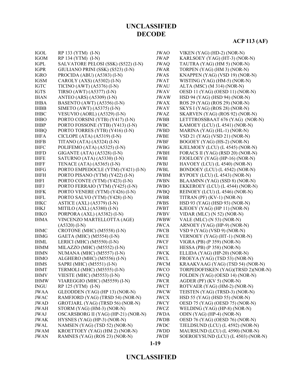# **ACP 113 (AF)**

| <b>IGOL</b> | RP 133 (YTM) (I-N)                  | <b>JWAO</b> | VIKEN (YAG) (HD-2) (NOR-N)         |
|-------------|-------------------------------------|-------------|------------------------------------|
| <b>IGOM</b> | RP 134 (YTM) (I-N)                  | <b>JWAP</b> | KARLSOEY (YAG) (HT-3) (NOR-N)      |
| <b>IGPL</b> | SALVATORE PELOSI (SSK) (S522) (I-N) | <b>JWAQ</b> | TAUTRA (YAG) (HM 5) (NOR-N)        |
| <b>IGPR</b> | GIULIANO PRINI (SSK) (S523) (I-N)   | <b>JWAR</b> | TORPEN (YAG) (HM 3) (NOR-N)        |
| <b>IGRO</b> | PROCIDA (ABU) (A5383) (I-N)         | <b>JWAS</b> | KNAPPEN (YAG) (VSD 19) (NOR-N)     |
| <b>IGSM</b> | CAROLY (AXS) (A5302) (I-N)          | <b>JWAT</b> | WISTING (YAG) (HM-5) (NOR-N)       |
| <b>IGTC</b> | TICINO (AWT) $(A5376)$ (I-N)        | <b>JWAU</b> | ALTA (MSC) (M 314) (NOR-N)         |
| <b>IGTS</b> | TIRSO (AWT) (A5377) (I-N)           | <b>JWAV</b> | OESD 11 (YAG) (OESD 11) (NOR-N)    |
| <b>IHAN</b> | ANTEO (ARS) (A5309) (I-N)           | JWAW        | HSD 94 (YAG) (HSD 94) (NOR-N)      |
| <b>IHBA</b> | BASENTO (AWT) (A5356) (I-N)         | <b>JWAX</b> | ROS 29 (YAG) (ROS 29) (NOR-N)      |
| <b>IHBB</b> | SIMETO (AWT) (A5375) (I-N)          | <b>JWAY</b> | SKYS I (YAG) (ROS 28) (NOR-N)      |
| <b>IHBC</b> | VESUVIO (AORL) (A5329) (I-N)        | <b>JWAZ</b> | SKARVEN (YAG) (ROS 92) (NOR-N)     |
| <b>IHBO</b> | PORTO CORSINI (YTB) (Y417) (I-N)    | <b>JWBB</b> | LETTTROSSBAAT 676 (YAG) (NOR-N)    |
| <b>IHBP</b> | PORTO FOSSONE (YTB) (Y413) (I-N)    | <b>JWBC</b> | KAMOEY (LCU) (L 4541) (NOR-N)      |
| <b>IHBQ</b> | PORTO TORRES (YTB) (Y416) (I-N)     | JWBD        | MARINA (YAG) (HL-1) (NOR-N)        |
| <b>IHFA</b> | CICLOPE (ATA) $(A5319)$ (I-N)       | <b>JWBE</b> | VSD 21 (YAG) (VSD 21) (NOR-N)      |
| <b>IHFB</b> | TITANO (ATA) (A5324) (I-N)          | JWBF        | BOGOEY (YAG) (HS-2) (NOR-N)        |
| <b>IHFC</b> | POLIFEMO (ATA) (A5325) (I-N)        | <b>JWBG</b> | KJELMOEY (LCU) (L 4545) (NOR-N)    |
| <b>IHFD</b> | GIGANTE (ATA) (A5328) (I-N)         | <b>JWBH</b> | FORACS II (YAG) (RSD 20) (NOR-N)   |
| <b>IHFE</b> | SATURNO (ATA) (A5330) (I-N)         | JWBI        | FJOELOEY (YAG) (HP-16) (NOR-N)     |
| <b>IHFF</b> | TENACE (ATA) (A5365) (I-N)          | JWBJ        | HAVOEY (LCU) (L 4540) (NOR-N)      |
| <b>IHFG</b> | PORTO EMPEDOCLE (YTM) (Y421) (I-N)  | JWBL        | BONDOEY (LCU) (L 4542) (NOR-N)     |
| <b>IHFH</b> | PORTO PISANO (YTM) (Y422) (I-N)     | <b>JWBM</b> | RYPOEY (LCU) (L 4543) (NOR-N)      |
| <b>IHFI</b> | PORTO CONTE (YTM) (Y423) (I-N)      | <b>JWBN</b> | BLAAMNN (YAG) (SSD 8) (NOR-N)      |
| <b>IHFJ</b> | PORTO FERRAIO (YTM) (Y425) (I-N)    | <b>JWBO</b> | EKKEROEY (LCU) (L 4544) (NOR-N)    |
| <b>IHFK</b> | PORTO VENERE (YTM) (Y426) (I-N)     | <b>JWBQ</b> | REINOEY (LCU) (L 4546) (NOR-N)     |
| <b>IHFL</b> | PORTO SALVO (YTM) (Y428) (I-N)      | JWBR        | TITRAN (PF) (KV-1) (NOR-N)         |
| <b>IHKC</b> | ASTICE (AXL) (A5379) (I-N)          | <b>JWBS</b> | HSD 93 (YAG) (HSD 93) (NOR-N)      |
| <b>IHKJ</b> | MITILO (AXL) (A5380) (I-N)          | <b>JWBT</b> | KJEOEY (YAG) (HP 11) (NOR-N)       |
| <b>IHKO</b> | PORPORA (AXL) (A5382) (I-N)         | <b>JWBV</b> | VIDAR (MLC) (N 52) (NOR-N)         |
| <b>IHMA</b> | VINCENZO MARTELLOTTA (AGE)          | <b>JWBW</b> | VALE (MLC) (N 53) (NOR-N)          |
|             | $(A5320)$ (I-N)                     | <b>JWCA</b> | ARNOEY (YAG) (HP-9) (NOR-N)        |
| <b>IHMC</b> | CROTONE (MHC) (M5558) (I-N)         | <b>JWCB</b> | $VSD 9 (YAG) (VSD 9) (NOR-N)$      |
| <b>IHMG</b> | GAETA (MHC) (M5554) (I-N)           | <b>JWCE</b> | VERNOEY (YAG) (HT-1) (NOR-N)       |
| <b>IHML</b> | LERICI (MHC) (M5550) (I-N)          | <b>JWCF</b> | VIGRA (PB) (P 359) (NOR-N)         |
| <b>IHMM</b> | MILAZZO (MHC) (M5552) (I-N)         | JWCI        | HESSA (PB) (P 358) (NOR-N)         |
| <b>IHMN</b> | NUMANA (MHC) (M5557) (I-N)          | <b>JWCK</b> | ELLIDA (YAG) (HP-20) (NOR-N)       |
| <b>IHMO</b> | ALGHERO (MHC) (M5556) (I-N)         | <b>JWCL</b> | FROEYA (YAG) (TSD 53) (NOR-N)      |
| <b>IHMS</b> | SAPRI (MHC) (M5551) (I-N)           | <b>JWCM</b> | KRAAKVAAG (YAG) (TSD 54) (NOR-N)   |
| <b>IHMT</b> | TERMOLI (MHC) (M5555) (I-N)         | JWCO        | TORPEDOFISKEN (YAG)(TRSD 2)(NOR-N) |
| <b>IHMV</b> | VIESTE (MHC) (M5553) (I-N)          | <b>JWCQ</b> | FOLDEN (YAG) (OESD 14) (NOR-N)     |
| <b>IHMW</b> | VIAREGGIO (MHC) (M5559) (I-N)       | <b>JWCR</b> | AGDER (PF) (KV 5) (NOR-N)          |
| <b>INGU</b> | RP 125 (YTM) (I-N)                  | <b>JWCT</b> | ROTVAER (YAG) (HM-2) (NOR-N)       |
| JWAA        | GLEODDEN (YAG) (HP 13) (NOR-N)      | <b>JWCW</b> | TEISTEN (YAG) (TRSD-3) (NOR-N)     |
| <b>JWAC</b> | RAMFJORD (YAG) (TRSD 54) (NOR-N)    | <b>JWCX</b> | HSD 55 (YAG) (HSD 55) (NOR-N)      |
| <b>JWAD</b> | GROTJARL (YAG) (TRSD 56) (NOR-N)    | <b>JWCY</b> | OESD 75 (YAG) (OESD 75) (NOR-N)    |
| <b>JWAH</b> | STORM (YAG) (HM-3) (NOR-N)          | <b>JWCZ</b> | WELDING (YAG) (HP-8) (NOR-N)       |
| <b>JWAJ</b> | OSCARSBORG II (YAG) (HP-21) (NOR-N) | <b>JWDA</b> | ODIN (YAG) (HP-4) (NOR-N)          |
| <b>JWAK</b> | HYSNES (YAG) (HP-3) (NOR-N)         | <b>JWDB</b> | OESD 76 (YAG) (OESD 76) (NOR-N)    |
| JWAL        | NAMSEN (YAG) (TSD 52) (NOR-N)       | JWDC        | TJELDSUND (LCU) (L 4592) (NOR-N)   |
| <b>JWAM</b> | KROETTOEY (YAG) (HM 2) (NOR-N)      | <b>JWDD</b> | MAURSUND (LCU) (L 4590) (NOR-N)    |
| <b>JWAN</b> | RAMNES (YAG) (ROS 23) (NOR-N)       | <b>JWDF</b> | SOEROEYSUND (LCU) (L 4503) (NOR-N) |
|             |                                     |             |                                    |

#### **1-19**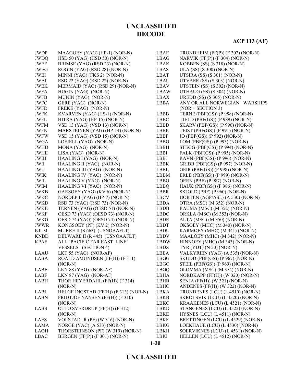### **ACP 113 (AF)**

| <b>JWDP</b>           | MAAGOEY (YAG) (HP-1) (NOR-N)          | LBAE        | TRONDHEIM (FF(P)) (F 302) (NOR-N)  |
|-----------------------|---------------------------------------|-------------|------------------------------------|
| <b>JWDQ</b>           | HSD 50 (YAG) (HSD 50) (NOR-N)         | LBAG        | NARVIK $(FF(P))$ $(F 304)$ (NOR-N) |
| JWEF                  | BRIMSE (YAG) (RSD 23) (NOR-N)         | LBAK        | KOBBEN (SS) (S 318) (NOR-N)        |
| <b>JWEG</b>           | ROGIN (YAG) (RSD 28) (NOR-N)          | LBAS        | ULA (SS) (S 300) (NOR-N)           |
| <b>JWEI</b>           | MINNI (YAG) (FKS 2) (NOR-N)           | <b>LBAT</b> | UTSIRA (SS) (S 301) (NOR-N)        |
| JWEJ                  | RSD 22 (YAG) (RSD 22) (NOR-N)         | LBAU        | UTVAER (SS) (S 303) (NOR-N)        |
| <b>JWEK</b>           | MERMAID (YAG) (RSD 29) (NOR-N)        | LBAV        | UTSTEIN (SS) (S 302) (NOR-N)       |
| <b>JWFA</b>           | HUGIN (YAG) (NOR-N)                   | LBAW        | UTHAUG (SS) (S 304) (NOR-N)        |
| <b>JWFB</b>           | MUNIN (YAG) (NOR-N)                   | LBAX        | UREDD $(SS)$ $(S305)$ $(NOR-N)$    |
| <b>JWFC</b>           | GERE (YAG) (NOR-N)                    | <b>LBBA</b> | ANY OR ALL NORWEGIAN WARSHIPS      |
| <b>JWFD</b>           | FREKE (YAG) (NOR-N)                   |             | $(NOR + SECTION 3)$                |
| <b>JWFK</b>           | KVARVEN (YAG) (HS-1) (NOR-N)          | LBBB        | TERNE (PBF(GS)) (P 988) (NOR-N)    |
| <b>JWFL</b>           | HITRA (YAG) (HP-15) (NOR-N)           | <b>LBBC</b> | TJELD (PBF(GS)) (P 989) (NOR-N)    |
| <b>JWFM</b>           | VSD 13 (YAG) (VSD 13) (NOR-N)         | <b>LBBD</b> | SKARV (PBF(GS)) (P 990) (NOR-N)    |
| <b>JWFN</b>           | MARSTEINEN (YAG) (HP-14) (NOR-N)      | LBBE        | TEIST (PBF(GS)) (P 991) (NOR-N)    |
| $\operatorname{JWFW}$ | VSD 15 (YAG) (VSD 15) (NOR-N)         | <b>LBBF</b> | JO (PBF(GS)) (P 992) (NOR-N)       |
| <b>JWGA</b>           | LOFJELL (YAG) (NOR-N)                 | <b>LBBG</b> | LOM (PBF(GS)) (P 993) (NOR-N)      |
| <b>JWHD</b>           | MONA (YAG) (NOR-N)                    | <b>LBBH</b> | STEGG (PBF(GS)) (P 994) (NOR-N)    |
| <b>JWHE</b>           | LISA (YAG) (NOR-N)                    | <b>LBBI</b> | FALK (PBF(GS)) (P 995) (NOR-N)     |
| <b>JWIH</b>           | HAALING I (YAG) (NOR-N)               | <b>LBBJ</b> | RAVN (PBF(GS)) (P 996) (NOR-N)     |
| JWII                  | HAALING II (YAG) (NOR-N)              | <b>LBBK</b> | GRIBB (PBF(GS)) (P 997) (NOR-N)    |
| JWIJ                  | HAALING III (YAG) (NOR-N)             | LBBL        | GEIR (PBF(GS)) (P 998) (NOR-N)     |
| <b>JWIK</b>           | HAALING IV (YAG) (NOR-N)              | <b>LBBM</b> | ERLE (PBF(GS)) (P 999) (NOR-N)     |
| JWIL                  | HAALING V (YAG) (NOR-N)               | <b>LBBO</b> | OERN (PBF) (P 987) (NOR-N)         |
| <b>JWIM</b>           | HAALING VI (YAG) (NOR-N)              | LBBQ        | HAUK (PBF(GS)) (P 986) (NOR-N)     |
| <b>JWKB</b>           | GARSOEY (YAG) (KV 6) (NOR-N)          | <b>LBBR</b> | SKJOLD (PBF) (P 960) (NOR-N)       |
| <b>JWKC</b>           | NORDEP I (YAG) (HP-7) (NOR-N)         | <b>LBCV</b> | HORTEN (AGP/ASL) (A 530) (NOR-N)   |
| <b>JWKD</b>           | RSD 73 (YAG) (RSD 73) (NOR-N)         | <b>LBDA</b> | OTRA (MSC) (M 352) (NOR-N)         |
| <b>JWKE</b>           | TERNEN (YAG) (OESD 51) (NOR-N)        | <b>LBDB</b> | RAUMA (MSC) (M 352) (NOR-N)        |
| <b>JWKF</b>           | OESD 73 (YAG) (OESD 73) (NOR-N)       | <b>LBDC</b> | ORKLA (MSC) (M 353) (NOR-N)        |
| <b>JWKG</b>           | OESD 74 (YAG) (OESD 74) (NOR-N)       | <b>LBDE</b> | ALTA (MSC) (M 350) (NOR-N)         |
| <b>JWWR</b>           | KONGSOEY (PF) (KV 2) (NOR-N)          | <b>LBDT</b> | OKSOEY (MHC) (M 340) (NOR-N)       |
| <b>KJLM</b>           | MURRE II (S 663) (USNOAAFLT)          | <b>LBDU</b> | KARMOEY (MHC) (M 341) (NOR-N)      |
| <b>KNBD</b>           | DELWARE II (R 445) (USNOAAFLT)        | LBDV        | MAALOEY (MHC) (M 342) (NOR-N)      |
| <b>KPAF</b>           | ALL "PACIFIC FAR EAST LINE"           | <b>LBDW</b> | HINNOEY (MHC) (M 343) (NOR-N)      |
|                       | VESSELS (SECTION 4)                   | <b>LBDZ</b> | TYR (YDT) (N 50) (NOR-N)           |
| <b>LAAU</b>           | LKT 55 (YAG) (NOR-AF)                 | LBEA        | VALKYRIEN (YAG) (A 535) (NOR-N)    |
| LABA                  | ROALD AMUNDSEN (FF(H)) (F 311)        | <b>LBGG</b> | SKUDD (PBF(GS)) (P 967) (NOR-N)    |
|                       | $(NOR-N)$                             | <b>LBGO</b> | STEIL (PBF(GS)) (P 969) (NOR-N)    |
| LABE                  | LKN 88 (YAG) (NOR-AF)                 | LBGQ        | GLOMMA (MSC) (M 354) (NOR-N)       |
| <b>LABF</b>           | $LKN 87 (YAG) (NOR-AF)$               | <b>LBHA</b> | NORDKAPP (FF(H)) (W 320) (NOR-N)   |
| LABH                  | THOR HEYERDAHL (FF(H)) (F 314)        | LBHB        | SENJA (FF(H)) (W 321) (NOR-N)      |
|                       | $(NOR-N)$                             | <b>LBHC</b> | ANDENES (FF(H)) (W 322) (NOR-N)    |
| LABI                  | HELGE INGSTAD (FF(H)) (F 313) (NOR-N) | <b>LBKA</b> | TRONDENES (LCU) (L 4510) (NOR-N)   |
| <b>LABN</b>           | FRIDTJOF NANSEN (FF(H)) (F 310)       | <b>LBKB</b> | SKROLSVIK (LCU) (L 4520) (NOR-N)   |
|                       | $(NOR-N)$                             | <b>LBKC</b> | KRAAKENES (LCU) (L 4521) (NOR-N)   |
| LABS                  | OTTO SVERDRUP (FF(H)) (F 312)         | <b>LBKD</b> | STANGENES (LCU) (L 4522) (NOR-N)   |
|                       | $(NOR-N)$                             | LBKE        | HYSNES (LCU) (L 4511) (NOR-N)      |
| LAES                  | VOLSTAD JR (PF) (W 316) (NOR-N)       | LBKF        | BRETTINGEN (LCU) (L 4529) (NOR-N)  |
| LAMA                  | NORGE (YAC) (A 533) (NOR-N)           | LBKG        | LOEKHAUE (LCU) (L 4530) (NOR-N)    |
| <b>LAOH</b>           | THORSTEINSON (PF) (W 319) (NOR-N)     | LBKH        | SOERVIKNES (LCU) (L 4531) (NOR-N)  |
| <b>LBAC</b>           | BERGEN (FF(P)) (F 301) (NOR-N)        | LBKI        | HELLEN (LCU) (L 4512) (NOR-N)      |
|                       |                                       |             |                                    |

**1-20**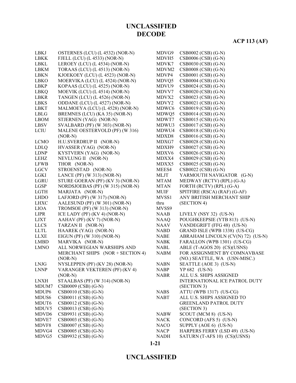# **ACP 113 (AF)**

| LBKJ<br><b>LBKK</b> | OSTERNES (LCU) (L 4532) (NOR-N)  | MDVG9             | CSB0002 (CSB) (G-N)               |
|---------------------|----------------------------------|-------------------|-----------------------------------|
|                     | FJELL (LCU) (L 4533) (NOR-N)     | MDVH5             | CSB0006 (CSB) (G-N)               |
| LBKL                | LEROEY (LCU) (L 4534) (NOR-N)    | MDVK7             | CSB0030 (CSB) (G-N)               |
| <b>LBKM</b>         | TORAAS (LCU) (L 4513) (NOR-N)    | MDVM <sub>2</sub> | $CSB0008$ (CSB) (G-N)             |
| <b>LBKN</b>         | KJOEKOEY (LCU) (L 4523) (NOR-N)  | MDVP4             | $CSB0001$ (CSB) (G-N)             |
| <b>LBKO</b>         | MOERVIKA (LCU) (L 4524) (NOR-N)  | MDVQ5             | CSB0004 (CSB) (G-N)               |
| <b>LBKP</b>         | KOPAAS (LCU) (L 4525) (NOR-N)    | MDVU9             | $CSB0024$ (CSB) (G-N)             |
| LBKQ                | MOEVIK (LCU) (L 4514) (NOR-N)    | MDVV7             | CSB0020 (CSB) (G-N)               |
| LBKR                | TANGEN (LCU) (L 4526) (NOR-N)    | MDVX2             | CSB0023 (CSB) (G-N)               |
| <b>LBKS</b>         | ODDANE (LCU) (L 4527) (NOR-N)    | MDVY2             | CSB0021 (CSB) (G-N)               |
| <b>LBKT</b>         | MALMOEYA (LCU) (L 4528) (NOR-N)  | MDWC6             | CSB0019 (CSB) (G-N)               |
| LBLG                | BREMNES (LCU) (KA 35) (NOR-N)    | MDWQ5             | $CSB0014$ (CSB) (G-N)             |
| <b>LBOM</b>         | STJERNEN (YAG) (NOR-N)           | MDWT7             | $CSB0015$ (CSB) (G-N)             |
| <b>LBSV</b>         | SVALBARD (PF) (W 303) (NOR-N)    | MDWU3             | $CSB0017$ (CSB) (G-N)             |
| LCIU                | MALENE OESTERVOLD (PF) (W 316)   | MDWU4             | $CSB0018$ (CSB) (G-N)             |
|                     | $(NOR-N)$                        | MDXD8             | $CSB0016$ (CSB) (G-N)             |
| <b>LCMO</b>         | H.U.SVERDRUP II (NOR-N)          | MDXG7             | CSB0028 (CSB) (G-N)               |
| <b>LDLQ</b>         | HVASSER (YAG) (NOR-N)            | MDXH9             | CSB0027 (CSB) (G-N)               |
| <b>LDNP</b>         | KYSTVERN (YAG) (NOR-N)           | MDXV6             | CSB0026 (CSB) (G-N)               |
| LEHZ                | NEVLUNG II (NOR-N)               | MDXX4             | CSB0029 (CSB) (G-N)               |
| <b>LFWB</b>         | THOR (NOR-N)                     | MDXX5             | CSB0025 (CSB) (G-N)               |
| <b>LGCV</b>         | STROENSTAD (NOR-N)               | MEES4             | CSB0022 (CSB) (G-N)               |
| <b>LGKI</b>         | LANCE (PF) (W 313) (NOR-N)       | <b>MLJT</b>       | YARMOUTH NAVIGATOR (G-N)          |
| LGRU                | STURE GOERAN (PF) (KV 3) (NOR-N) | <b>MTAM</b>       | MEDWAY (RCTV) (RPL) (G-A)         |
| <b>LGSP</b>         | NORDSJOEBAS (PF) (W 315) (NOR-N) | <b>MTAN</b>       | FORTH (RCTV) (RPL) (G-A)          |
| <b>LGTH</b>         | MARJATA (NOR-N)                  | MUIF              | SPITFIRE (RSCA) (RAF) (G-AF)      |
| <b>LHDO</b>         | LAFJORD (PF) (W 317) (NOR-N)     | MVSS1             | ANY BRITISH MERCHANT SHIP         |
| <b>LHXC</b>         | AALESUND (PF) (W 301) (NOR-N)    | thru              | (SECTION 4)                       |
| <b>LIOA</b>         | TROMSOE (PF) (W 313) (NOR-N)     | MVSS9             |                                   |
| <b>LIPR</b>         | ICE LADY (PF) (KV 4) (NOR-N)     | NAAB              | LIVELY (NSY 32) (US-N)            |
| <b>LJXT</b>         | AAHAV (PF) (KV 7) (NOR-N)        | <b>NAAQ</b>       | POUGHKEEPSIE (YTB 813) (US-N)     |
| <b>LLCS</b>         | TARZAN II (NOR-N)                | <b>NAAV</b>       | VANDEGRIFT (FFG 48) (US-N)        |
| <b>LLTL</b>         | HAAREK (YAG) (NOR-N)             | <b>NABD</b>       | GRAND ISLE (WPB 1338) (US-CG)     |
| <b>LLXE</b>         | EIGUN (PF) (W 310) (NOR-N)       | <b>NABE</b>       | ABRAHAM LINCOLN (CV(N) 72) (US-N) |
| <b>LMBD</b>         | MARVIKA (NOR-N)                  | <b>NABK</b>       | FARALLON (WPB 1301) (US-CG)       |
| <b>LMNO</b>         | ALL NORWEGIAN WARSHIPS AND       | <b>NABL</b>       | ABLE (T-AGOS 20) (CS)(USNS)       |
|                     | MERCHANT SHIPS (NOR + SECTION 4) | <b>NABM</b>       | FOR ASSIGNMENT BY COMNAVBASE      |
|                     | $(NOR-N)$                        |                   | (NO.) SEATTLE, WA (USN-MISC.)     |
| <b>LNJG</b>         | NYSLEPPEN (PF) (KV 28) (NOR-N)   | <b>NABN</b>       | SEATTLE (AOE 3) (US-N)            |
| <b>LNNP</b>         | VARANGER VEKTEREN (PF) (KV 4)    | <b>NABP</b>       | YP 682 (US-N)                     |
|                     | $(NOR-N)$                        | <b>NABR</b>       | ALL U.S. SHIPS ASSIGNED           |
| <b>LNXH</b>         | STAALBAS (PF) (W 314) (NOR-N)    |                   | INTERNATIONAL ICE PATROL DUTY     |
| MDUM7               | CSB0009 (CSB) (G-N)              |                   | (SECTION 3)                       |
| MDUP <sub>6</sub>   | CSB0010 (CSB) (G-N)              | <b>NABS</b>       | ATTU (WPB 1317) (US-CG)           |
| MDUS <sub>6</sub>   | CSB0011 (CSB) (G-N)              | <b>NABT</b>       | ALL U.S. SHIPS ASSIGNED TO        |
| MDUT <sub>6</sub>   | CSB0012 (CSB) (G-N)              |                   | <b>GREENLAND PATROL DUTY</b>      |
| MDUV5               | CSB0013 (CSB) (G-N)              |                   | (SECTION 3)                       |
| MDVD <sub>6</sub>   | CSB9931 (CSB) (G-N)              | <b>NABW</b>       | SCOUT (MCM 8) (US-N)              |
| MDVE7               | CSB0003 (CSB) (G-N)              | <b>NACK</b>       | CONCORD (AFS 5) (US-N)            |
| MDVF8               | CSB0007 (CSB) (G-N)              | <b>NACO</b>       | SUPPLY (AOE 6) (US-N)             |
| MDVG4               | CSB0005 (CSB) (G-N)              | <b>NACP</b>       | HARPERS FERRY (LSD 49) (US-N)     |
| MDVG5               | CSB9932 (CSB) (G-N)              | <b>NADH</b>       | SATURN (T-AFS 10) (CS)(USNS)      |
|                     |                                  |                   |                                   |

#### **1-21**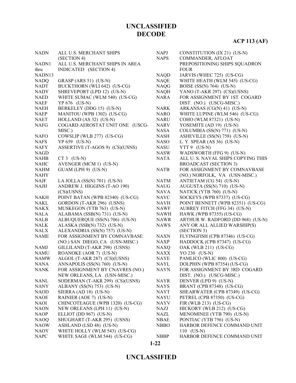# **ACP 113 (AF)**

| <b>NADN</b> | ALL U.S. MERCHANT SHIPS         | <b>NAPJ</b> | CONSTITUTION (IX 21) (US-N)        |
|-------------|---------------------------------|-------------|------------------------------------|
|             | (SECTION 4)                     | <b>NAPS</b> | COMMANDER, AFLOAT                  |
| NADN1       | ALL U.S. MERCHANT SHIPS IN AREA |             | PREPOSITIONING SHIPS SQUADRON      |
| thru        | INDICATED (SECTION 4)           |             | <b>FOUR</b>                        |
| NADN13      |                                 | <b>NAQD</b> | JARVIS (WHEC 725) (US-CG)          |
| <b>NADQ</b> | GRASP (ARS 51) (US-N)           | <b>NAQE</b> | WHITE HEATH (WLM 545) (US-CG)      |
| NADT        | BUCKTHORN (WLI 642) (US-CG)     | <b>NAQG</b> | BOISE $(SS(N) 764)$ (US-N)         |
| <b>NADY</b> | SHREVEPORT (LPD 12) (US-N)      | <b>NAQH</b> | YANO (T-AKR 297) (CS)(USNS)        |
| <b>NAED</b> | WHITE SUMAC (WLM 540) (US-CG)   | NARA        | FOR ASSIGNMENT BY 1ST COGARD       |
| <b>NAEF</b> | YP 676 (US-N)                   |             | DIST. (NO.) (USCG-MISC.)           |
| <b>NAEH</b> | BERKELEY (DDG 15) (US-N)        | <b>NARK</b> | ARKANSAS (CG(N) 41) (US-N)         |
| <b>NAEP</b> | MANITOU (WPB 1302) (US-CG)      | <b>NARO</b> | WHITE LUPINE (WLM 546) (US-CG)     |
| <b>NAET</b> | HOLLAND (AS 32) (US-N)          | <b>NARU</b> | COHO (WLM 87321) (US-N)            |
| <b>NAFG</b> | COGARD AEROSTAT UNIT ONE (USCG- | <b>NARV</b> | YOSEMITE (AD 19) (US-N)            |
|             | MISC.)                          | <b>NASA</b> | COLUMBIA (SS(N) 771) (US-N)        |
| <b>NAFO</b> | COWSLIP (WLB 277) (US-CG)       | <b>NASH</b> | ASHEVILLE (SS(N) 758) (US-N)       |
| <b>NAFS</b> | YP 659 (US-N)                   | <b>NASO</b> | L. Y. SPEAR (AS 36) (US-N)         |
| NAFY        | ASSERTIVE (T-AGOS 9) (CS)(USNS) | <b>NASU</b> | $YTT 9$ (US-N)                     |
| <b>NAGD</b> |                                 | <b>NASW</b> | WADSWORTH (FFG 9) (US-N)           |
| NAHB        | $CT3$ (US-N)                    | <b>NATA</b> | ALL U. S. NAVAL SHIPS COPYING THIS |
| <b>NAHC</b> | AVENGER (MCM 1) (US-N)          |             | <b>BROADCAST (SECTION 3)</b>       |
| <b>NAHM</b> | GUAM (LPH 9) (US-N)             | <b>NATB</b> | FOR ASSIGNMENT BY COMNAVBASE       |
| <b>NAHY</b> |                                 |             | (NO.) NORFOLK, VA (USN-MISC.)      |
| <b>NAJF</b> | LA JOLLA $(SS(N) 701)$ $(US-N)$ | <b>NATM</b> | ANTIETAM (CG 54) (US-N)            |
| NAJH        | ANDREW J. HIGGINS (T-AO 190)    | <b>NAUG</b> | AUGUSTA (SS(N) 710) (US-N)         |
|             | (CS)(USNS)                      | <b>NAVA</b> | NATICK (YTB 760) (US-N)            |
| NAKH        | POINT BATAN (WPB 82340) (US-CG) | <b>NAVC</b> | SOCKEYS (WPB 87337) (US-CG)        |
| NAKL        | GORDON (T-AKR 296) (USNS)       | <b>NAVH</b> | POINT BENNETT (WPB 82351) (US-CG)  |
| <b>NAKX</b> | MUSKEGON (YTB 763) (US-N)       | <b>NAWF</b> | AUBREY FITCH (FFG 34) (US-N)       |
| NALA        | ALABAMA (SSB(N) 731) (US-N)     | <b>NAWH</b> | HAWK (WPB 87355) (US-CG)           |
| NALB        | ALBUQUERQUE (SS(N) 706) (US-N)  | <b>NAWR</b> | ARTHUR W. RADFORD (DD 968) (US-N)  |
| NALK        | ALASKA (SSB(N) 732) (US-N)      | <b>NAWS</b> | ANY OR ALL ALLIED WARSHIP(S)       |
| NALX        | ALEXANDRIA (SS(N) 757) (US-N)   |             | (SECTION 3)                        |
| <b>NAME</b> | FOR ASSIGNMENT BY COMNAVBASE    | <b>NAXN</b> | FLYINGFISH (CPB 87346) (US-CG)     |
|             | (NO.) SAN DIEGO, CA (USN-MISC.) | <b>NAXP</b> | HADDOCK (CPB 87347) (US-CG)        |
| NAMJ        | GILLILAND (T-AKR 298) (USNS)    | <b>NAXQ</b> | OAK (WLB 211) (US-CG)              |
| <b>NAMU</b> | ROANOKE (AOR 7) (US-N)          | <b>NAXX</b> | YO 230 (US-N)                      |
| <b>NAMW</b> | ALGOL (T-AKR 287) (CS)(USNS)    | <b>NAYE</b> | PAMLICO (WLIC 800) (US-CG)         |
| NANA        | ANNAPOLIS (SS(N) 760) (US-N)    | NAYL        | DOLPHIN (WPB 87354) (US-CG)        |
| <b>NANK</b> | FOR ASSIGNMENT BY CNAVRES (NO.) | <b>NAYN</b> | FOR ASSIGNMENT BY 3RD COGARD       |
|             | NEW ORLEANS, LA (USN-MISC.)     |             | DIST. (NO.) (USCG-MISC.)           |
| NANL        | SODERMAN (T-AKR 299) (CS)(USNS) | <b>NAYR</b> | DENVER (LPD 9) (US-N)              |
| <b>NANY</b> | ALBANY (SS(N) 753) (US-N)       | <b>NAYS</b> | BRANT (CPB 87348) (US-CG)          |
| <b>NAOD</b> | SIERRA (AD 18) (US-N)           | <b>NAYT</b> | SHEARWATER (CPB 87349) (US-CG)     |
| <b>NAOE</b> | RAINIER (AOE 7) (US-N)          | NAYU        | PETREL (CPB 87350) (US-CG)         |
| NAOI        | CHINCOTEAGUE (WPB 1320) (US-CG) | <b>NAYV</b> | FIR (WLB 213) (US-CG)              |
| <b>NAON</b> | NEW ORLEANS (LPH 11) (US-N)     | NAZJ        | HICKORY (WLB 212) (US-CG)          |
| <b>NAOP</b> | ELLIOT (DD 967) (US-N)          | <b>NAZL</b> | MENOMINEE (YTB 790) (US-N)         |
| <b>NAOQ</b> | SHUGHART (T-AKR 295) (USNS)     | <b>NBAE</b> | PONTIAC (YTB 756) (US-N)           |
| <b>NAOW</b> | ASHLAND (LSD 48) (US-N)         | <b>NBBO</b> | HARBOR DEFENCE COMMAND UNIT        |
| NAOY        | WHITE HOLLY (WLM 543) (US-CG)   |             | $110$ (US-N)                       |
| <b>NAPC</b> | WHITE SAGE (WLM 544) (US-CG)    | <b>NBBP</b> | HARBOR DEFENCE COMMAND UNIT        |
|             |                                 |             |                                    |

# **UNCLASSIFIED**

**1-22**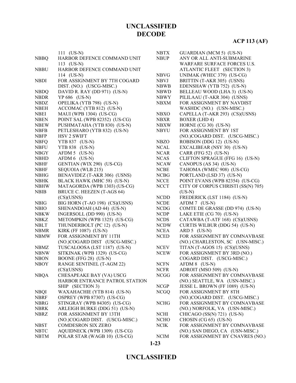|             | $111 (US-N)$                   | <b>NBTX</b> | GUARDIAN (MCM 5) (US-N)            |
|-------------|--------------------------------|-------------|------------------------------------|
| <b>NBBQ</b> | HARBOR DEFENCE COMMAND UNIT    | <b>NBUP</b> | ANY OR ALL ANTI-SUBMARINE          |
|             | 113 $(US-N)$                   |             | WARFARE SURFACE FORCES U.S.        |
| <b>NBBU</b> | HARBOR DEFENCE COMMAND UNIT    |             | ATLANTIC FLEET (SECTION 3)         |
|             | 114 (US-N)                     | <b>NBVG</b> | UNIMAK (WHEC 379) (US-CG)          |
| <b>NBDI</b> | FOR ASSIGNMENT BY 7TH COGARD   | <b>NBVJ</b> | BRITTIN (T-AKR 305) (USNS)         |
|             | DIST. (NO.) (USCG-MISC.)       | <b>NBWB</b> | EDENSHAW (YTB 752) (US-N)          |
| <b>NBDQ</b> | DAVID R. RAY (DD 971) (US-N)   | <b>NBWD</b> | BELLEAU WOOD (LHA 3) (US-N)        |
| <b>NBDR</b> | YP 686 (US-N)                  | <b>NBWY</b> | PILILAAU (T-AKR 304) (USNS)        |
| <b>NBDZ</b> | OPELIKA (YTB 798) (US-N)       | <b>NBXM</b> | FOR ASSIGNMENT BY NAVDIST          |
| <b>NBEH</b> | ACCOMAC (YTB 812) (US-N)       |             | WASHDC (NO.) (USN-MISC.)           |
| <b>NBEI</b> | MAUI (WPB 1304) (US-CG)        | <b>NBXO</b> | CAPELLA (T-AKR 293) (CS)(USNS)     |
| <b>NBEN</b> | POINT SAL (WPB 82352) (US-CG)  | <b>NBXR</b> | <b>BOXER</b> (LHD 4)               |
| <b>NBEW</b> | PUSHMATAHA (YTB 830) (US-N)    | <b>NBXW</b> | HORNE (CG 30) (US-N)               |
| <b>NBFB</b> | PETLESHARO (YTB 832) (US-N)    | <b>NBYU</b> | FOR ASSIGNMENT BY 1ST              |
| <b>NBFP</b> | <b>HSV 2 SWIFT</b>             |             | (NO.)COGARD DIST. (USCG-MISC.)     |
| <b>NBFQ</b> | YTB 837 (US-N)                 | <b>NBZO</b> | ROBISON (DDG 12) (US-N)            |
| <b>NBFU</b> | YTB 838 (US-N)                 | <b>NCAL</b> | EXCALIBEAR (NSY 30) (US-N)         |
| <b>NBGY</b> | AFDM 5 (US-N)                  | <b>NCAR</b> | CARR (FFG 52) (US-N)               |
| <b>NBHD</b> | AFDM 6 (US-N)                  | <b>NCAS</b> | CLIFTON SPRAGUE (FFG 16) (US-N)    |
| <b>NBHF</b> | GENTIAN (WIX 290) (US-CG)      | <b>NCAW</b> | CANOPUS (AS 34) (US-N)             |
| <b>NBHF</b> | SEQUOIA (WLB 215)              | <b>NCBE</b> | TAHOMA (WMEC 908) (US-CG)          |
| <b>NBHG</b> | BENAVIDEZ (T-AKR 306) (USNS)   | <b>NCBG</b> |                                    |
|             |                                |             | PORTLAND (LSD 37) (US-N)           |
| <b>NBHK</b> | BLACK HAWK (MHC 58) (US-N)     | <b>NCCE</b> | POINT EVANS (WPB 82354) (US-CG)    |
| <b>NBHW</b> | MATAGORDA (WPB 1303) (US-CG)   | <b>NCCT</b> | CITY OF CORPUS CHRISTI (SS(N) 705) |
| <b>NBIB</b> | BRUCE C. HEEZEN (T-AGS 64)     |             | $(US-N)$                           |
|             | (CS)(USNS)                     | <b>NCDD</b> | FREDERICK (LST 1184) (US-N)        |
| <b>NBIG</b> | BIG HORN (T-AO 198) (CS)(USNS) | <b>NCDE</b> | AFDM 7 (US-N)                      |
| <b>NBIO</b> | SHENANDOAH (AD 44) (US-N)      | <b>NCDG</b> | COMTE DE GRASSE (DD 974) (US-N)    |
| <b>NBKW</b> | INGERSOLL (DD 990) (US-N)      | <b>NCDP</b> | LAKE ETIE (CG 70) (US-N)           |
| <b>NBKZ</b> | METOMPKIN (WPB 1325) (US-CG)   | <b>NCDS</b> | CATAWBA (T-ATF 168) (CS)(USNS)     |
| <b>NBLT</b> | THUNDERBOLT (PC 12) (US-N)     | <b>NCDW</b> | CURTIS WILBUR (DDG 54) (US-N)      |
| <b>NBMR</b> | KIRK (FF 1087) (US-N)          | <b>NCEA</b> | ARD 5 (US-N)                       |
| <b>NBMW</b> | FOR ASSIGNMENT BY 11TH         | <b>NCED</b> | FOR ASSIGNMENT BY COMNAVBASE       |
|             | (NO.)COGARD DIST (USCG-MISC.)  |             | (NO.) CHARLESTON, SC (USN-MISC.)   |
| <b>NBMZ</b> | TUSCALOOSA (LST 1187) (US-N)   | <b>NCEV</b> | TITAN (T-AGOS 15) (CS)(USNS)       |
| <b>NBNW</b> | SITKINAK (WPB 1329) (US-CG)    | <b>NCEW</b> | FOR ASSIGNMENT BY 3RD (NO.)        |
| <b>NBON</b> | BOONE (FFG 28) (US-N)          |             | COGARD DIST. (USCG-MISC.)          |
| <b>NBOY</b> | RANGE SENTINEL (T-AGM 22)      | <b>NCFN</b> | AFDM 8 (US-N)                      |
|             | (CS)(USNS)                     | <b>NCFR</b> | ADROIT (MSO 509) (US-N)            |
| <b>NBQA</b> | CHESAPEAKE BAY (VA) USCG       | <b>NCGG</b> | FOR ASSIGNMENT BY COMNAVBASE       |
|             | HARBOR ENTRANCE PATROL STATION |             | (NO.) SEATTLE, WA (USN-MISC.)      |
|             | SHIP (SECTION 3)               | <b>NCGP</b> | JESSE L. BROWN (FF 1089) (US-N)    |
| <b>NBQI</b> | WAXAHACHIE (YTB 814) (US-N)    | <b>NCGQ</b> | FOR ASSIGNMENT BY 8TH              |
| <b>NBRF</b> | OSPREY (WPB 87307) (US-CG)     |             | (NO.)COGARD DIST. (USCG-MISC.)     |
| <b>NBRG</b> | STINGRAY (WPB 84305) (US-CG)   | <b>NCHG</b> | FOR ASSIGNMENT BY COMNAVBASE       |
| <b>NBRK</b> | ARLEIGH BURKE (DDG 51) (US-N)  |             | (NO.) NORFOLK, VA (USN-MISC.)      |
| <b>NBRZ</b> | FOR ASSIGNMENT BY 13TH         | <b>NCHI</b> | CHICAGO (SS(N) 721) (US-N)         |
|             | (NO.)COGARD DIST. (USCG-MISC.) | <b>NCHO</b> | CHOSIN (CG 65) (US-N)              |
| <b>NBST</b> | <b>COMDESRON SIX ZERO</b>      | <b>NCIK</b> | FOR ASSIGNMENT BY COMNAVBASE       |
| <b>NBTC</b> | AQUIDNECK (WPB 1309) (US-CG)   |             | (NO.) SAN DIEGO, CA (USN-MISC.)    |
| <b>NBTM</b> | POLAR STAR (WAGB 10) (US-CG)   | <b>NCIM</b> | FOR ASSIGNMENT BY CNAVRES (NO.)    |
|             |                                |             |                                    |

**1-23**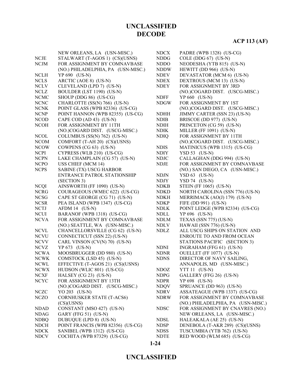|             | NEW ORLEANS, LA (USN-MISC.)        | <b>NDCX</b> | PADRE (WPB 1328) (US-CG)           |
|-------------|------------------------------------|-------------|------------------------------------|
| <b>NCJE</b> | STALWART (T-AGOS 1) (CS)(USNS)     | <b>NDDG</b> | COLE (DDG $67$ ) (US-N)            |
| <b>NCJM</b> | FOR ASSIGNMENT BY COMNAVBASE       | <b>NDDO</b> | NEODESHA (YTB 815) (US-N)          |
|             | (NO.) PHILADELPHIA, PA (USN-MISC.) | <b>NDDW</b> | HEWITT (DD 966) (US-N)             |
| <b>NCLH</b> | YP 690 (US-N)                      | <b>NDEV</b> | DEVASTATOR (MCM 6) (US-N)          |
| <b>NCLS</b> | ARCTIC (AOE 8) (US-N)              | <b>NDEX</b> | DEXTROUS (MCM 13) (US-N)           |
| <b>NCLV</b> | CLEVELAND (LPD 7) (US-N)           | <b>NDEY</b> | FOR ASSIGNMENT BY 3RD              |
| <b>NCLZ</b> | BOULDER (LST 1190) (US-N)          |             | (NO.)COGARD DIST. (USCG-MISC.)     |
| <b>NCMC</b> | SHOUP (DDG 86) (US-CG)             | <b>NDFF</b> | YP 660 (US-N)                      |
| <b>NCNC</b> | CHARLOTTE (SS(N) 766) (US-N)       | <b>NDGW</b> | FOR ASSIGNMENT BY 1ST              |
| <b>NCNK</b> | POINT GLASS (WPB 82336) (US-CG)    |             | (NO.)COGARD DIST. (USCG-MISC.)     |
| <b>NCNP</b> | POINT HANNON (WPB 82355) (US-CG)   | <b>NDHH</b> | JIMMY CARTER (SSN 23) (US-N)       |
| <b>NCOD</b> | CAPE COD (AD 43) (US-N)            | <b>NDIB</b> | BRISCOE (DD 977) (US-N)            |
| <b>NCOH</b> | FOR ASSIGNMENT BY 11TH             | <b>NDIH</b> | PRINCETON (CG 59) (US-N)           |
|             | (NO.)COGARD DIST. (USCG-MISC.)     | <b>NDIK</b> | MILLER (FF 1091) (US-N)            |
| <b>NCOL</b> | COLUMBUS (SS(N) 762) (US-N)        | <b>NDIQ</b> | FOR ASSIGNMENT BY 11TH             |
| <b>NCOM</b> | COMFORT (T-AH 20) (CS)(USNS)       |             | (NO.)COGARD DIST. (USCG-MISC.)     |
| <b>NCOW</b> | COWPENS (CG 63) (US-N)             | <b>NDIS</b> | MATINICUS (WPB 1315) (US-CG)       |
| <b>NCPI</b> | CYPRESS (WLB 210) (US-CG)          | <b>NDIY</b> | $YSD 53 (US-N)$                    |
| <b>NCPN</b> | LAKE CHAMPLAIN (CG 57) (US-N)      | <b>NDJC</b> | CALLAGHAN (DDG 994) (US-N)         |
| <b>NCPO</b> | USS CHIEF (MCM 14)                 | <b>NDJE</b> | FOR ASSIGNMENT BY COMNAVBASE       |
| <b>NCPS</b> | SABINE (TX) USCG HARBOR            |             | (NO.) SAN DIEGO, CA (USN-MISC.)    |
|             | ENTRANCE PATROL STATIONSHIP        | <b>NDJN</b> | $YSD 63 (US-N)$                    |
|             | (SECTION 3)                        | <b>NDJY</b> | $YSD 74$ (US-N)                    |
| <b>NCQI</b> | AINSWORTH (FF 1090) (US-N)         | <b>NDKB</b> | STEIN (FF 1065) (US-N)             |
| <b>NCRG</b> | COURAGEOUS (WMEC 622) (US-CG)      | <b>NDKD</b> | NORTH CAROLINA (SSN 776) (US-N)    |
| <b>NCSG</b> | CAPE ST GEORGE (CG 71) (US-N)      | <b>NDKH</b> | MERRIMACK (AO(J) 179) (US-N)       |
| <b>NCSR</b> | PEA ISLAND (WPB 1347) (US-CG)      | <b>NDKP</b> | FIFE (DD 991) (US-N)               |
| <b>NCTJ</b> | AFDM 14 (US-N)                     | <b>NDLK</b> | POINT LEDGE (WPB 82334) (US-CG)    |
| <b>NCUI</b> | BARANOF (WPB 1318) (US-CG)         | <b>NDLL</b> | YP 696 (US-N)                      |
| <b>NCVA</b> | FOR ASSIGNMENT BY COMNAVBASE       | <b>NDLM</b> | TEXAS (SSN 775) (US-N)             |
|             | (NO.) SEATTLE, WA (USN-MISC.)      | <b>NDLV</b> | HAWAII (SSN 776) (US-N)            |
| <b>NCVL</b> | CHANCELLORSVILLE (CG 62) (US-N)    | <b>NDLZ</b> | ALL USCG SHIPS ON STATION AND      |
| <b>NCVU</b> | CONNECTICUT (SSN 22) (US-N)        |             | ENROUTE TO AND FROM OCEAN          |
| <b>NCVV</b> | CARL VINSON (CV(N) 70) (US-N)      |             | STATIONS PACIFIC (SECTION 3)       |
| <b>NCVZ</b> | YP 673 (US-N)                      | <b>NDNI</b> | INGRAHAM (FFG 61) (US-N)           |
| <b>NCWA</b> | MOOSBRUGGER (DD 980) (US-N)        | <b>NDNR</b> | OUELLET (FF 1077) (US-N)           |
| <b>NCWK</b> | COMSTOCK (LSD 45) (US-N)           | <b>NDNS</b> | DIRECTOR OF NAVY SAILING,          |
| <b>NCWL</b> | EFFECTIVE (T-AGOS 21) (CS)(USNS)   |             | ANNAPOLIS, MD (USN-MISC.)          |
| NCWX        | HUDSON (WLIC 801) (US-CG)          | NDOZ        | <b>YTT 11 (US-N)</b>               |
| <b>NCXF</b> | HALSEY (CG 23) (US-N)              | <b>NDPG</b> | GALLERY (FFG 26) (US-N)            |
| <b>NCYC</b> | FOR ASSIGNMENT BY 13TH             | <b>NDPR</b> | YP 698 (US-N)                      |
|             | (NO.)COGARD DIST. (USCG-MISC.)     | <b>NDQV</b> | SPRUANCE (DD 963) (US-N)           |
| <b>NCZC</b> | YO 203 (US-N)                      | <b>NDRV</b> | ASSATEAGUE (WPB 1337) (US-CG)      |
| <b>NCZO</b> | <b>CORNHUSKER STATE (T-ACS6)</b>   | <b>NDRW</b> | FOR ASSIGNMENT BY COMNAVBASE       |
|             | (CS)(USNS)                         |             | (NO.) PHILADELPHIA, PA (USN-MISC.) |
| <b>NDAD</b> | CONSTANT (MSO 427) (US-N)          | <b>NDSC</b> | FOR ASSIGNMENT BY CNAVRES (NO.)    |
| <b>NDAG</b> | GARY (FFG 51) (US-N)               |             | NEW ORLEANS, LA (USN-MISC.)        |
| <b>NDBQ</b> | DUBUQUE (LPD 8) (US-N)             | <b>NDSL</b> | HALEAKALA (AE 25) (US-N)           |
| <b>NDCH</b> | POINT FRANCIS (WPB 82356) (US-CG)  | <b>NDSP</b> | DENEBOLA (T-AKR 289) (CS)(USNS)    |
| <b>NDCK</b> | SANIBEL (WPB 1312) (US-CG)         | <b>NDSS</b> | TUSCUMBIA (YTB 762) (US-N)         |
| <b>NDCV</b> | COCHITA (WPB 87329) (US-CG)        | <b>NDTE</b> | RED WOOD (WLM 685) (US-CG)         |

**1-24**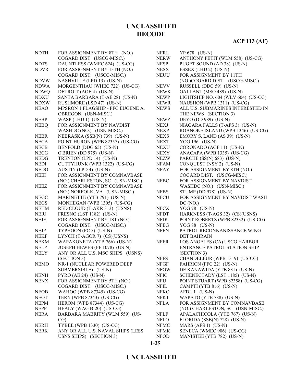# **ACP 113 (AF)**

| <b>NDTH</b> | FOR ASSIGNMENT BY 8TH (NO.)       | <b>NERL</b> | YP 678 (US-N)                       |
|-------------|-----------------------------------|-------------|-------------------------------------|
|             | COGARD DIST (USCG-MISC.)          | <b>NERW</b> | ANTHONY PETIT (WLM 558) (US-CG)     |
| <b>NDTS</b> | DAUNTLESS (WMEC 624) (US-CG)      | <b>NESP</b> | PUGET SOUND (AD 38) (US-N)          |
| <b>NDVR</b> | FOR ASSIGNMENT BY 13TH (NO.)      | <b>NESX</b> | ESSEX (LHD 2) (US-N)                |
|             | COGARD DIST. (USCG-MISC.)         | <b>NEUU</b> | FOR ASSIGNMENT BY 11TH              |
| <b>NDVW</b> | NASHVILLE (LPD 13) (US-N)         |             | (NO.)COGARD DIST. (USCG-MISC.)      |
| <b>NDWA</b> | MORGENTHAU (WHEC 722) (US-CG)     | <b>NEVV</b> | RUSSELL (DDG 59) (US-N)             |
| <b>NDWQ</b> | DETROIT (AOE 4) (US-N)            | <b>NEWK</b> | GALLANT (MSO 489) (US-N)            |
| <b>NDXU</b> | SANTA BARBARA (T-AE 28) (US-N)    | <b>NEWP</b> | LIGHTSHIP NO. 604 (WLV 604) (US-CG) |
| <b>NDXW</b> | RUSHMORE (LSD 47) (US-N)          | <b>NEWR</b> | NAUSHON (WPB 1311) (US-CG)          |
| <b>NEAO</b> | MPSRON 1 FLAGSHIP - PFC EUGENE A. | <b>NEWS</b> | ALL U.S. SUBMARINES INTERESTED IN   |
|             | OBREGON (USN-MISC.)               |             | THE NEWS (SECTION 3)                |
| <b>NEBP</b> | WASP (LHD 1) (US-N)               | <b>NEWZ</b> | DEYO (DD 989) (US-N)                |
| <b>NEBQ</b> | FOR ASSIGNMENT BY NAVDIST         | <b>NEXJ</b> | NIAGARA FALLS (T-AFS 3) (US-N)      |
|             | WASHDC (NO.) (USN-MISC.)          | <b>NEXP</b> | ROANOKE ISLAND (WPB 1346) (US-CG)   |
| <b>NEBR</b> | NEBRASKA (SSB(N) 739) (US-N)      | <b>NEXS</b> | EMORY S. LAND (AS 39) (US-N)        |
| <b>NECA</b> | POINT HURON (WPB 82357) (US-CG)   | <b>NEXT</b> | YOG 196 (US-N)                      |
| <b>NECB</b> | BENFOLD (DDG 65) (US-N)           | <b>NEXU</b> | CORONADO (AGF 11) (US-N)            |
| <b>NECG</b> | O'BRIEN (DD 975) (US-N)           | <b>NEXY</b> | ANACAPA (WPB 1335) (US-CG)          |
| <b>NEDG</b> | TRENTON (LPD 14) (US-N)           | <b>NEZW</b> | PARCHE (SS(N) 683) (US-N)           |
| <b>NEDI</b> | CUTTYHUNK (WPB 1322) (US-CG)      | <b>NFAM</b> | CONQUEST (NSY 2) (US-N)             |
| <b>NEDO</b> | AUSTIN (LPD 4) (US-N)             | <b>NFAY</b> | FOR ASSIGNMENT BY 8TH (NO.)         |
| <b>NEEI</b> | FOR ASSIGNMENT BY COMNAVBASE      |             | COGARD DIST. (USCG-MISC.)           |
|             | (NO.) CHARLESTON, SC (USN-MISC.)  | <b>NFBC</b> | FOR ASSIGNMENT BY NAVDIST           |
| <b>NEEZ</b> | FOR ASSIGNMENT BY COMNAVBASE      |             | WASHDC (NO.) (USN-MISC.)            |
|             | (NO.) NORFOLK, VA (USN-MISC.)     | <b>NFBS</b> | STUMP (DD 978) (US-N)               |
| <b>NEGC</b> | MARINETTE (YTB 791) (US-N)        | <b>NFCU</b> | FOR ASSIGNMENT BY NAVDIST WASH      |
| <b>NEGS</b> | MONHEGAN (WPB 1305) (US-CG)       |             | DC (NO.)                            |
| <b>NEHM</b> | RED CLOUD (T-AKR 313) (USNS)      | <b>NFCX</b> | YOG 78 (US-N)                       |
| <b>NEIU</b> | FRESNO (LST 1182) (US-N)          | <b>NFDT</b> | HARKNESS (T-AGS 32) (CS)(USNS)      |
| <b>NEJE</b> | FOR ASSIGNMENT BY 1ST (NO.)       | <b>NFDU</b> | POINT ROBERTS (WPB 82332) (US-CG)   |
|             | COGARD DIST. (USCG-MISC.)         | <b>NFEG</b> | YOG 88 (US-N)                       |
| <b>NEJP</b> | TYPHOON (PC 5) (US-N)             | <b>NFEN</b> | PATROL RECONNANISSANCE WING         |
| <b>NEKF</b> | LYNCH (T-AGOR 7) (CS)(USNS)       |             | <b>DET BAHRAIN</b>                  |
| <b>NEKM</b> | WAPAKONETA (YTB 766) (US-N)       | <b>NFER</b> | LOS ANGELES (CA) USCG HARBOR        |
| <b>NELP</b> | JOSEPH HEWES (FF 1078) (US-N)     |             | ENTRANCE PATROL STATION SHIP        |
| <b>NELY</b> | ANY OR ALL U.S. MSC SHIPS (USNS)  |             | (SECTION 3)                         |
|             | (SECTION 3)                       | <b>NFFS</b> | CHANDELEUR (WPB 1319) (US-CG)       |
| <b>NEMO</b> | NR-1 (NUCLEAR POWERED DEEP        | <b>NFGF</b> | FAHRION (FFG 22) (US-N)             |
|             | SUBMERSIBLE) (US-N)               | <b>NFGW</b> | DE KANAWIDA (YTB 831) (US-N)        |
| <b>NENH</b> | PYRO (AE 24) (US-N)               | <b>NFIC</b> | SCHENECTADY (LST 1185) (US-N)       |
| <b>NENX</b> | FOR ASSIGNMENT BY 5TH (NO.)       | NFIJ        | POINT STUART (WPB 82358) (US-CG)    |
|             | COGARD DIST. (USCG-MISC.)         | NFIL        | CAMPTI (YTB 816) (US-N)             |
| <b>NEOB</b> | WAHOO (WPB 87345) (US-CG)         | <b>NFKO</b> | AFDL 1 (US-N)                       |
| <b>NEOT</b> | TERN (WPB 87343) (US-CG)          | NFKT        | WAPATO (YTB 788) (US-N)             |
| <b>NEPM</b> | HEROM (WPB 87344) (US-CG)         | <b>NFLA</b> | FOR ASSIGNMENT BY COMNAVBASE        |
| <b>NEPP</b> | HEALY (WAG B-20) (US-CG)          |             | (NO.) CHARLESTON, SC (USN-MISC.)    |
| <b>NERA</b> | BARBARA MABRITY (WLM 559) (US-    | <b>NFLF</b> | APALACHICOLA (YTB 767) (US-N)       |
|             | CG)                               | <b>NFLO</b> | FLORIDA (SSB(N) 728) (US-N)         |
| <b>NERH</b> | TYBEE (WPB 1330) (US-CG)          | <b>NFMC</b> | MARS (AFS 1) (US-N)                 |
| <b>NERK</b> | ANY OR ALL U.S. NAVAL SHIPS (LESS | <b>NFMK</b> | SENECA (WMEC 906) (US-CG)           |
|             | USNS SHIPS) (SECTION 3)           | <b>NFOD</b> | MANISTEE (YTB 782) (US-N)           |
|             |                                   |             |                                     |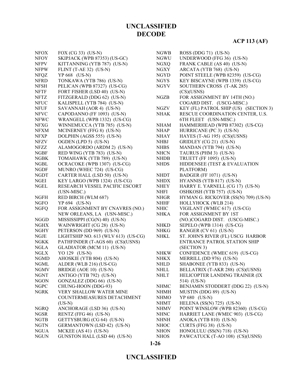| <b>NFOX</b> | FOX $(CG 33)$ $(US-N)$              | <b>NGWB</b> | ROSS (DDG 71) (US-N)                  |
|-------------|-------------------------------------|-------------|---------------------------------------|
| <b>NFOY</b> | SKIPJACK (WPB 87353) (US-GC)        | <b>NGWU</b> | UNDERWOOD (FFG 36) (US-N)             |
| <b>NFPV</b> | KITTANNING (YTB 787) (US-N)         | NGXQ        | FRANK CABLE (AS 40) (US-N)            |
| <b>NFPW</b> | FLINT $(T-AE 32)$ (US-N)            | <b>NGXY</b> | ARCATA (YTB 768) (US-N)               |
| <b>NFQZ</b> | YP 668 (US-N)                       | <b>NGYD</b> | POINT STEELE (WPB 82359) (US-CG)      |
| <b>NFRD</b> | TONKAWA (YTB 786) (US-N)            | <b>NGYS</b> | KEY BISCAYNE (WPB 1339) (US-CG)       |
| <b>NFSH</b> | PELICAN (WPB 87327) (US-CG)         | <b>NGYV</b> | SOUTHERN CROSS (T-AK 285)             |
| <b>NFTF</b> | FORT FISHER (LSD 40) (US-N)         |             | (CS)(USNS)                            |
| <b>NFTZ</b> | FITZGERALD (DDG 62) (US-N)          | <b>NGZB</b> | FOR ASSIGNMENT BY 14TH (NO.)          |
| <b>NFUC</b> | KALISPELL (YTB 784) (US-N)          |             | COGARD DIST. (USCG-MISC.)             |
| <b>NFUF</b> | SAVANNAH (AOR 4) (US-N)             | <b>NGZV</b> | KEY (FL) PATROL SHIP (US) (SECTION 3) |
| <b>NFVC</b> | CAPODANNO (FF 1093) (US-N)          | <b>NHAK</b> | RESCUE COORDINATION CENTER, U.S.      |
| <b>NFWC</b> | WRANGELL (WPB 1332) (US-CG)         |             | 6TH FLEET (USN-MISC.)                 |
| <b>NFXG</b> | WINNEMUCCA (YTB 785) (US-N)         | <b>NHAM</b> | HAMMERHEAD (WPB 87302) (US-CG)        |
| <b>NFXM</b> | MCINERNEY (FFG 8) (US-N)            | <b>NHAP</b> | HURRICANE (PC 3) (US-N)               |
| <b>NFXP</b> | DOLPHIN (AGSS 555) (US-N)           | <b>NHAY</b> | HAYES (T-AG 195) (CS)(USNS)           |
| <b>NFZV</b> | OGDEN (LPD 5) (US-N)                | <b>NHBJ</b> | GRIDLEY (CG 21) (US-N)                |
| NFZZ        | ALAMOGORDO (ARDM 2) (US-N)          | <b>NHBS</b> | MANDAN (YTB 794) (US-N)               |
| <b>NGBF</b> | RED WING (YTB 783) (US-N)           | <b>NHCN</b> | TAURUS (PHM 3) (US-N)                 |
| <b>NGBK</b> | TOMAHAWK (YTB 789) (US-N)           | <b>NHDB</b> | <b>TRUETT (FF 1095) (US-N)</b>        |
| NGBL        | OCRACOKE (WPB 1307) (US-CG)         | <b>NHDS</b> | HIDDENSEE (TEST & EVALUATION          |
| <b>NGDF</b> | MUNRO (WHEC 724) (US-CG)            |             | PLATFORM)                             |
| <b>NGDT</b> | CARTER HALL (LSD 50) (US-N)         | <b>NHDT</b> | BADGER (FF 1071) (US-N)               |
| <b>NGEI</b> | KEY LARGO (WPB 1324) (US-CG)        | <b>NHDX</b> | HYANNIS (YTB 817) (US-N)              |
| NGEL        | RESEARCH VESSEL PACIFIC ESCORT      | <b>NHEY</b> | HARRY E. YARNELL (CG 17) (US-N)       |
|             |                                     |             |                                       |
| <b>NGFH</b> | (USN-MISC.)                         | <b>NHFI</b> | OSHKOSH (YTB 757) (US-N)              |
| <b>NGFO</b> | RED BIRCH (WLM 687)                 | <b>NHGR</b> | HYMAN G. RICKOVER (SS(N) 709) (US-N)  |
|             | YP 694 (US-N)                       | <b>NHHF</b> | HOLLYHOCK (WLB 214)                   |
| <b>NGFQ</b> | FOR ASSIGNMENT BY CNAVRES (NO.)     | <b>NHIC</b> | VIGILANT (WMEC 617) (US-CG)           |
|             | NEW ORLEANS, LA (USN-MISC.)         | <b>NHKA</b> | FOR ASSIGNMENT BY 1ST                 |
| <b>NGGD</b> | MISSISSIPPI (CG(N) 40) (US-N)       |             | (NO.)COGARD DIST. (USCG-MISC.)        |
| <b>NGHX</b> | WAINWRIGHT (CG 28) (US-N)           | <b>NHKD</b> | SEPELO (WPB 1314) (US-CG)             |
| <b>NGHY</b> | PETERSON (DD 969) (US-N)            | <b>NHKG</b> | RANGER (CV 61) (US-N)                 |
| <b>NGJE</b> | LIGHTSHIP NO. 613 (WLV 613) (US-CG) | NHKL        | ST. JOHN'S RIVER (FL) USCG HARBOR     |
| <b>NGKK</b> | PATHFINDER (T-AGS 60) (CS)(USNS)    |             | <b>ENTRANCE PATROL STATION SHIP</b>   |
| <b>NGLA</b> | GLADIATOR (MCM 11) (US-N)           |             | (SECTION 3)                           |
| <b>NGLX</b> | YO 129 (US-N)                       | <b>NHKW</b> | CONFIDENCE (WMEC 619) (US-CG)         |
| <b>NGMD</b> | AHOSKIE (YTB 804) (US-N)            | <b>NHKX</b> | MERRILL (DD 976) (US-N)               |
| <b>NGML</b> | ALDER (WLB 216) (US-CG)             | NHLD        | SHABONEE (YTB 833) (US-N)             |
| <b>NGMV</b> | BRIDGE (AOE 10) (US-N)              | <b>NHLL</b> | BELLATRIX (T-AKR 288) (CS)(USNS)      |
| <b>NGNT</b> | ANTIGO (YTB 792) (US-N)             | <b>NHLT</b> | HELICOPTER LANDING TRAINER (IX        |
| <b>NGON</b> | GONZALEZ (DDG 66) (US-N)            |             | 514) (US-N)                           |
| <b>NGPC</b> | CHUNG-HOON (DDG-93)                 | <b>NHMC</b> | BENJAMIN STODDERT (DDG 22) (US-N)     |
| NGRK        | <b>VERY SHALLOW WATER MINE</b>      | <b>NHMH</b> | MUSTIN (DDG 89) (US-N)                |
|             | COUNTERMEASURES DETACHMENT          | <b>NHMO</b> | YP 680 (US-N)                         |
|             | $(US-N)$                            | NHMT        | HELENA $(SS(N) 725)$ (US-N)           |
| <b>NGRQ</b> | ANCHORAGE (LSD 36) (US-N)           | <b>NHMV</b> | POINT WINSLOW (WPB 82360) (US-CG)     |
| <b>NGSR</b> | RENTZ (FFG 46) (US-N)               | <b>NHNC</b> | HARRIET LANE (WMEC 903) (US-CG)       |
| <b>NGTB</b> | GETTYSBURG (CG 64) (US-N)           | <b>NHNH</b> | ANOKA (YTB 810) (US-N)                |
| <b>NGTN</b> | <b>GERMANTOWN</b> (LSD 42) (US-N)   | <b>NHOC</b> | CURTS (FFG 38) (US-N)                 |
| <b>NGUA</b> | MCKEE (AS 41) (US-N)                | <b>NHON</b> | HONOLULU (SS(N) 718) (US-N)           |
| <b>NGUN</b> | GUNSTON HALL (LSD 44) (US-N)        | <b>NHOS</b> | PAWCATUCK (T-AO 108) (CS)(USNS)       |

#### **1-26**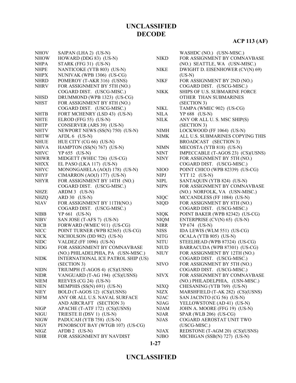| <b>NHOV</b> | SAIPAN (LHA 2) (US-N)                     |             | WASHDC (NO.) (USN-MISC.)             |
|-------------|-------------------------------------------|-------------|--------------------------------------|
| <b>NHOW</b> | HOWARD (DDG 83) (US-N)                    | <b>NIKD</b> | FOR ASSIGNMENT BY COMNAVBASE         |
| <b>NHPA</b> | STARK (FFG 31) (US-N)                     |             | (NO.) SEATTLE, WA (USN-MISC.)        |
| <b>NHPE</b> | NANTICOKE (YTB 803) (US-N)                | <b>NIKE</b> | DWIGHT D. EISENHOWER (CV(N) 69)      |
| <b>NHPX</b> | NUNIVAK (WPB 1306) (US-CG)                |             | $(US-N)$                             |
| <b>NHRD</b> | POMEROY (T-AKR 316) (USNS)                | <b>NIKF</b> | FOR ASSIGNMENT BY 2ND (NO.)          |
| <b>NHRV</b> | FOR ASSIGNMENT BY 5TH (NO.)               |             | COGARD DIST. (USCG-MISC.)            |
|             | COGARD DIST. (USCG-MISC.)                 | <b>NIKK</b> | <b>SHIPS OF U.S. SUBMARINE FORCE</b> |
| <b>NHSD</b> | DRUMMOND (WPB 1323) (US-CG)               |             | OTHER THAN SUBMARINES                |
| <b>NHST</b> | FOR ASSIGNMENT BY 8TH (NO.)               |             | (SECTION 3)                          |
|             | COGARD DIST. (USCG-MISC.)                 | <b>NIKL</b> | TAMPA (WMEC 902) (US-CG)             |
| <b>NHTB</b> | FORT MCHENRY (LSD 43) (US-N)              | <b>NILA</b> | YP 688 (US-N)                        |
| <b>NHTE</b> | ELROD (FFG 55) (US-N)                     | <b>NILK</b> | ANY OR ALL U. S. MSC SHIP(S)         |
| <b>NHTP</b> | CONSERVER (ARS 39) (US-N)                 |             | (SECTION 3)                          |
| <b>NHTV</b> | NEWPORT NEWS (SS(N) 750) (US-N)           | <b>NIMH</b> | LOCKWOOD (FF 1064) (US-N)            |
| <b>NHTW</b> | AFDL 6 (US-N)                             | <b>NIMK</b> | ALL U.S. SUBMARINES COPYING THIS     |
| <b>NHUE</b> | HUE CITY (CG 66) (US-N)                   |             | BROADCAST (SECTION 3)                |
| <b>NHVA</b> | HAMPTON (SS(N) 767) (US-N)                | <b>NIMN</b> | MECOSTA (YTB 818) (US-N)             |
| <b>NHVC</b> | YP 655 (US-N)                             | <b>NINT</b> | IMPECCABLE (T-AGOS 23) (CS)(USNS)    |
| <b>NHWR</b> | MIDGETT (WHEC 726) (US-CG)                | <b>NINY</b> | FOR ASSIGNMENT BY 5TH (NO.)          |
| <b>NHXX</b> | EL PASO (LKA 117) (US-N)                  |             | COGARD DIST. (USCG-MISC.)            |
| <b>NHYC</b> | MONONGAHELA (AO(J) 178) (US-N)            | NIOO        | POINT CHICO (WPB 82339) (US-CG)      |
| <b>NHYF</b> | CIMARRON (AO(J) 177) (US-N)               | <b>NIPJ</b> | YTT 12 (US-N)                        |
| <b>NHYR</b> | FOR ASSIGNMENT BY 14TH (NO.)              | <b>NIPL</b> | SANTAQUIN (YTB 824) (US-N)           |
|             | COGARD DIST. (USCG-MISC.)                 | <b>NIPN</b> | FOR ASSIGNMENT BY COMNAVBASE         |
| <b>NHZE</b> | ARDM 3 (US-N)                             |             | (NO.) NORFOLK, VA (USN-MISC.)        |
| <b>NHZQ</b> | ARD 30 (US-N)                             | <b>NIQC</b> | MCCANDLESS (FF 1084) (US-N)          |
| <b>NIAV</b> | FOR ASSIGNMENT BY 11TH(NO.)               | <b>NIQD</b> | FOR ASSIGNMENT BY 8TH (NO.)          |
|             | COGARD DIST. (USCG-MISC.)                 |             | COGARD DIST. (USCG-MISC.)            |
| <b>NIBB</b> | YP 661 (US-N)                             | <b>NIQK</b> | POINT BAKER (WPB 82342) (US-CG)      |
| <b>NIBV</b> | SAN JOSE (T-AFS 7) (US-N)                 | <b>NIQM</b> | ENTERPRISE (CV(N) 65) (US-N)         |
| <b>NICB</b> | FORWARD (WMEC 911) (US-CG)                | <b>NIRR</b> | YP 674 (US-N)                        |
| <b>NICC</b> | POINT TURNER (WPB 82365) (US-CG)          | <b>NISS</b> | IDA LEWIS (WLM 551) (US-CG)          |
| <b>NICK</b> | NICHOLSON (DD 982) (US-N)                 | <b>NITG</b> | OCALA (YTB 805) (US-N)               |
| <b>NIDC</b> | <b>VALDEZ</b> (FF 1096) (US-N)            | <b>NITU</b> | STEELHEAD (WPB 87324) (US-CG)        |
| <b>NIDG</b> | FOR ASSIGNMENT BY COMNAVBASE              | <b>NIUD</b> | BARRACUDA (WPB 87301) (US-CG)        |
|             | (NO.) PHILADELPHIA, PA (USN-MISC.)        | <b>NIUY</b> | FOR ASSIGNMENT BY 12TH (NO.)         |
| <b>NIDK</b> | <b>INTERNATIONAL ICE PATROL SHIP (US)</b> |             | COGARD DIST. (USCG-MISC.)            |
|             | (SECTION 3)                               | <b>NIVO</b> | FOR ASSIGNMENT BY 5TH (NO.)          |
| <b>NIDN</b> | TRIUMPH (T-AGOS 4) (CS)(USNS)             |             | COGARD DIST. (USCG-MISC.)            |
| <b>NIDR</b> | VANGUARD (T-AG 194) (CS)(USNS)            | <b>NIVX</b> | FOR ASSIGNMENT BY COMNAVBASE         |
| <b>NIEM</b> | REEVES (CG 24) (US-N)                     |             | (NO.) PHILADELPHIA, (USN-MISC.)      |
| <b>NIEN</b> | MEMPHIS (SS(N) 691) (US-N)                | <b>NIXQ</b> | CHESANING (YTB 769) (US-N)           |
| <b>NIEY</b> | BOLD (T-AGOS 12) (CS)(USNS)               | <b>NIZX</b> | MARSHFIELD (T-AK 282) (CS)(USNS)     |
| <b>NIFM</b> | ANY OR ALL U.S. NAVAL SURFACE             | <b>NJAC</b> | SAN JACINTO (CG 56) (US-N)           |
|             | AND AIRCRAFT (SECTION 3)                  | <b>NJAG</b> | YELLOWSTONE (AD 41) (US-N)           |
| <b>NIGP</b> | APACHE (T-ATF 172) (CS)(USNS)             | <b>NJAM</b> | JOHN A. MOORE (FFG 19) (US-N)        |
| <b>NIGU</b> | TRIESTE II (DSV 1) (US-N)                 | <b>NJAR</b> | SPAR (WLB 206) (US-CG)               |
| <b>NIGW</b> | PADUCAH (YTB 758) (US-N)                  | <b>NJAS</b> | COGARD AEROSTAT UNIT TWO             |
| <b>NIGY</b> | PENOBSCOT BAY (WTGB 107) (US-CG)          |             | (USCG-MISC.)                         |
| NIGZ        | AFDB 2 (US-N)                             | <b>NJAX</b> | REDSTONE (T-AGM 20) (CS)(USNS)       |
| <b>NIHR</b> | FOR ASSIGNMENT BY NAVDIST                 | <b>NJBO</b> | MICHIGAN (SSB(N) 727) (US-N)         |
|             |                                           |             |                                      |

**1-27**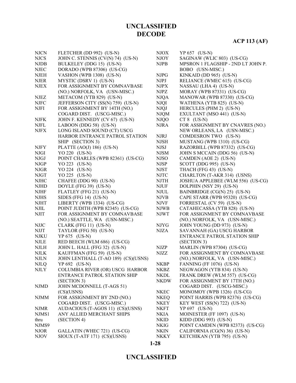# **ACP 113 (AF)**

| <b>NJCN</b> | FLETCHER (DD 992) (US-N)            | <b>NJOX</b>                  | YP 657 (US-N)                      |
|-------------|-------------------------------------|------------------------------|------------------------------------|
| <b>NJCS</b> | JOHN C. STENNIS (CV(N) 74) (US-N)   | <b>NJOY</b>                  | SAGINAW (WLIC 803) (US-CG)         |
| <b>NJDB</b> | BULKELEY (DDG 15) (US-N)            | <b>NJPB</b>                  | MPSRON 1 FLAGSHIP - 2ND LT JOHN P. |
| <b>NJEC</b> | DORADO (WPB 87306) (US-CG)          |                              | BOBO (USN-MISC.)                   |
| <b>NJEH</b> | VASHON (WPB 1308) (US-N)            | <b>NJPG</b>                  | KINKAID (DD 965) (US-N)            |
| <b>NJER</b> | MYSTIC (DSRV 1) (US-N)              | NJPJ                         | RELIANCE (WMEC 615) (US-CG)        |
| <b>NJEX</b> | FOR ASSIGNMENT BY COMNAVBASE        | <b>NJPX</b>                  | NASSAU (LHA 4) (US-N)              |
|             | (NO.) NORFOLK, VA (USN-MISC.)       | <b>NJPZ</b>                  | MORAY (WPB 87331) (US-CG)          |
| <b>NJEZ</b> | METACOM (YTB 829) (US-N)            |                              |                                    |
|             |                                     | <b>NJQA</b>                  | MANOWAR (WPB 87330) (US-CG)        |
| <b>NJFC</b> | JEFFERSON CITY (SS(N) 759) (US-N)   | <b>NJQI</b>                  | WATHENA (YTB 825) (US-N)           |
| <b>NJFI</b> | FOR ASSIGNMENT BY 14TH (NO.)        | <b>NJQJ</b>                  | HERCULES (PHM 2) (US-N)            |
|             | COGARD DIST. (USCG-MISC.)           | <b>NJQM</b>                  | EXULTANT (MSO 441) (US-N)          |
| <b>NJFK</b> | JOHN F. KENNEDY (CV 67) (US-N)      | <b>NJQO</b>                  | $CT 8$ (US-N)                      |
| <b>NJFL</b> | LABOON (DDG 58) (US-N)              | <b>NJRA</b>                  | FOR ASSIGNMENT BY CNAVRES (NO.)    |
| <b>NJFX</b> | LONG ISLAND SOUND (CT) USCG         |                              | NEW ORLEANS, LA (USN-MISC.)        |
|             | HARBOR ENTRANCE PATROL STATION      | <b>NJRJ</b>                  | COMDESRON TWO (US-N)               |
|             | SHIP (SECTION 3)                    | <b>NJSH</b>                  | MUSTANG (WPB 1310) (US-CG)         |
| <b>NJFY</b> | PLATTE $(AO(J) 186)$ (US-N)         | <b>NJSJ</b>                  | RAZORBILL (WPB 87332) (US-CG)      |
| <b>NJGI</b> | YO 220 (US-N)                       | <b>NJSM</b>                  | JOHN S MCCAIN (DDG 56) (US-N)      |
| NJGJ        | POINT CHARLES (WPB 82361) (US-CG)   | <b>NJSO</b>                  | CAMDEN (AOE 2) (US-N)              |
| <b>NJGP</b> | YO 223 (US-N)                       | <b>NJSP</b>                  | SCOTT (DDG 995) (US-N)             |
| <b>NJGR</b> | YO 224 (US-N)                       | <b>NJST</b>                  | THACH (FFG 43) (US-N)              |
| <b>NJGT</b> | YO 225 (US-N)                       | <b>NJTC</b>                  | CHARLTON (T-AKR 314) (USNS)        |
| <b>NJHC</b> | CHAFEE (DDG 90) (US-N)              | <b>NJTH</b>                  | JOSHUA APPLEBEE (WLM 556) (US-CG)  |
| <b>NJHD</b> | DOYLE (FFG 39) (US-N)               | <b>NJUF</b>                  | DOLPHIN (NSY 29) (US-N)            |
| <b>NJHF</b> | FLATLEY (FFG 21) (US-N)             | <b>NJUL</b>                  | BAINBRIDGE (CG(N) 25) (US-N)       |
| <b>NJHS</b> | SIDES (FFG 14) $(US-N)$             | <b>NJVB</b>                  | CAPE STARR (WPB 95320) (US-CG)     |
| <b>NJHT</b> | LIBERTY (WPB 1334) (US-CG)          | <b>NJVF</b>                  | FORRESTAL (CV 59) (US-N)           |
| <b>NJIL</b> | POINT JUDITH (WPB 82345) (US-CG)    | <b>NJWB</b>                  | CATAHECASSA (YTB 828) (US-N)       |
| <b>NJIT</b> | FOR ASSIGNMENT BY COMNAVBASE        | <b>NJWT</b>                  | FOR ASSIGNMENT BY COMNAVBASE       |
|             | (NO.) SEATTLE, WA (USN-MISC.)       |                              | (NO.) NORFOLK, VA (USN-MISC.)      |
| <b>NJJC</b> | CLARK (FFG 11) (US-N)               | <b>NJYG</b>                  | JOHN YOUNG (DD 973) (US-N)         |
| <b>NJJT</b> | TAYLOR (FFG 50) (US-N)              | <b>NJZA</b>                  | SAVANNAH (GA) USCG HARBOR          |
| <b>NJKU</b> | $YP 675$ (US-N)                     |                              | ENTRANCE PATROL STATION SHIP       |
|             |                                     |                              |                                    |
| <b>NJLE</b> | RED BEECH (WLM 686) (US-CG)         |                              | (SECTION 3)                        |
| <b>NJLH</b> | JOHN L. HALL (FFG 32) (US-N)        | $\ensuremath{\mathsf{NJZP}}$ | MARLIN (WPB 87304) (US-CG)         |
| <b>NJLK</b> | KAUFFMAN (FFG 59) (US-N)            | NJZZ                         | FOR ASSIGNMENT BY COMNAVBASE       |
| <b>NJLN</b> | JOHN LENTHALL (T-AO 189) (CS)(USNS) |                              | (NO.) NORFOLK, VA (USN-MISC.)      |
| <b>NJLQ</b> | YP 692 (US-N)                       | <b>NKBP</b>                  | FANNING (FF 1076) (US-N)           |
| <b>NJLY</b> | COLUMBIA RIVER (OR) USCG HARBOR     | NKBZ                         | NEGWAGON (YTB 834) (US-N)          |
|             | <b>ENTRANCE PATROL STATION SHIP</b> | <b>NKDL</b>                  | FRANK DREW (WLM 557) (US-CG)       |
|             | (SECTION 3)                         | <b>NKDW</b>                  | FOR ASSIGNMENT BY 17TH (NO.)       |
| <b>NJMD</b> | JOHN MCDONNELL (T-AGS 51)           |                              | COGARD DIST. (USCG-MISC.)          |
|             | (CS)(USNS)                          | <b>NKEC</b>                  | MONOMOY (WPB 1326) (US-CG)         |
| <b>NJMM</b> | FOR ASSIGNMENT BY 2ND (NO.)         | <b>NKEQ</b>                  | POINT HARRIS (WPB 82376) (US-CG)   |
|             | COGARD DIST. (USCG-MISC.)           | <b>NKEY</b>                  | KEY WEST $(SS(N) 722)$ $(US-N)$    |
| <b>NJMR</b> | AUDACIOUS (T-AGOS 11) (CS)(USNS)    | <b>NKFT</b>                  | YP 697 (US-N)                      |
| NJMS1       | ANY ALLIED MERCHANT SHIPS           | <b>NKIA</b>                  | MOINESTER (FF 1097) (US-N)         |
| thru        | (SECTION 4)                         | <b>NKID</b>                  | KIDD (DDG 993) $(US-N)$            |
| NJMS9       |                                     | <b>NKIG</b>                  | POINT CAMDEN (WPB 82373) (US-CG)   |
| <b>NJOR</b> | GALLATIN (WHEC 721) (US-CG)         | NKIN                         | CALIFORNIA (CG(N) 36) (US-N)       |
| <b>NJOV</b> | SIOUX (T-ATF 171) (CS)(USNS)        | <b>NKKY</b>                  | KETCHIKAN (YTB 795) (US-N)         |

**1-28**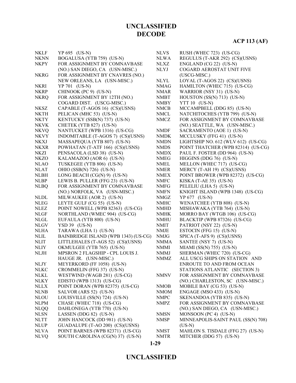| <b>NKLF</b> | YP 695 (US-N)                        | <b>NLVS</b> | RUSH (WHEC 723) (US-CG)             |
|-------------|--------------------------------------|-------------|-------------------------------------|
| <b>NKNN</b> | BOGALUSA (YTB 759) (US-N)            | <b>NLWA</b> | REGULUS (T-AKR 292) (CS)(USNS)      |
| <b>NKPY</b> | FOR ASSIGNMENT BY COMNAVBASE         | <b>NLXZ</b> | ENGLAND (CG 22) (US-N)              |
|             | (NO.) SAN DIEGO, CA (USN-MISC.)      | <b>NLYJ</b> | COGARD AEROSTAT UNIT FIVE           |
| <b>NKRG</b> | FOR ASSIGNMENT BY CNAVRES (NO.)      |             | (USCG-MISC.)                        |
|             | NEW ORLEANS, LA (USN-MISC.)          | <b>NLYL</b> | LOYAL (T-AGOS 22) (CS)(USNS)        |
| <b>NKRI</b> | YP 701 (US-N)                        | <b>NMAG</b> | HAMILTON (WHEC 715) (US-CG)         |
| <b>NKRP</b> | CHINOOK (PC 9) (US-N)                | <b>NMAR</b> | WARRIOR (NSY 31) (US-N)             |
| <b>NKRQ</b> | FOR ASSIGNMENT BY 12TH (NO.)         | <b>NMBT</b> | HOUSTON (SS(N) 713) (US-N)          |
|             | COGARD DIST. (USCG-MISC.)            | <b>NMBY</b> | <b>YTT 10 (US-N)</b>                |
| NKSZ        | CAPABLE (T-AGOS 16) (CS)(USNS)       | <b>NMCB</b> | MCCAMPBELL (DDG 85) (US-N)          |
| <b>NKTH</b> | PELICAN (MHC 53) (US-N)              | <b>NMCL</b> | NATCHITOCHES (YTB 799) (US-N)       |
| <b>NKTY</b> | KENTUCKY (SSB(N) 737) (US-N)         | <b>NMCZ</b> | FOR ASSIGNMENT BY COMNAVBASE        |
| <b>NKVK</b> | CHETEK (YTB 827) (US-N)              |             | (NO.) SEATTLE, WA (USN-MISC.)       |
| <b>NKVQ</b> | NANTUCKET (WPB 1316) (US-CG)         | <b>NMDF</b> | SACRAMENTO (AOE 1) (US-N)           |
| <b>NKVY</b> | INDOMITABLE (T-AGOS 7) (CS)(USNS)    | <b>NMDK</b> | MCCLUSKY (FFG 41) (US-N)            |
| NKXJ        | MASSAPEQUA (YTB 807) (US-N)          | <b>NMDN</b> | LIGHTSHIP NO. 612 (WLV 612) (US-CG) |
| <b>NKXR</b> | POWHATAN (T-ATF 166) (CS)(USNS)      | <b>NMDS</b> | POINT THATCHER (WPB 82314) (US-CG)  |
| NKZI        | PENSACOLA (LSD 38) (US-N)            | <b>NMDX</b> | PAUL F. FOSTER (DD 964) (US-N)      |
| NKZO        | KALAMAZOO (AOR 6) (US-N)             | <b>NMEG</b> | HIGGINS (DDG 76) (US-N)             |
| <b>NLAO</b> | TUSKEGEE (YTB 806) (US-N)            | <b>NMEL</b> | MELLON (WHEC 717) (US-CG)           |
| <b>NLAT</b> | OHIO (SSB(N) 726) (US-N)             | <b>NMER</b> | MERCY (T-AH 19) (CS)(USNS)          |
| <b>NLBH</b> | LONG BEACH $(CG(N) 9)$ (US-N)        | <b>NMEX</b> | POINT BROWER (WPB 82372) (US-CG)    |
| <b>NLBP</b> | LEWIS B. PULLER (FFG 23) (US-N)      | <b>NMFC</b> | KISKA $(T-AE 35)$ (US-N)            |
| <b>NLBQ</b> | FOR ASSIGNMENT BY COMNAVBASE         | <b>NMFG</b> | PELELIU (LHA 5) (US-N)              |
|             | (NO.) NORFOLK, VA (USN-MISC.)        | NMFN        | KNIGHT ISLAND (WPB 1348) (US-CG)    |
| NLDL        | MILWAUKEE (AOR 2) (US-N)             | <b>NMGZ</b> | YP 677 (US-N)                       |
| <b>NLEG</b> | LEYTE GULF (CG 55) (US-N)            | <b>NMHC</b> | WENATCHEE (YTB 808) (US-N)          |
| <b>NLEZ</b> | POINT NOWELL (WPB 82363) (US-CG)     | <b>NMHD</b> | MISHAWAKA (YTB 764) (US-N)          |
| <b>NLGF</b> | NORTHLAND (WMEC 904) (US-CG)         | <b>NMHK</b> | MORRO BAY (WTGB 106) (US-CG)        |
| <b>NLGL</b> | EUFAULA (YTB 800) (US-N)             | <b>NMHU</b> | BLACKTIP (WPB 87326) (US-CG)        |
| NLGV        | YSD 39 (US-N)                        | <b>NMIT</b> | PATRIOT (NSY 22) (US-N)             |
| <b>NLHA</b> | TARAWA (LHA 1) (US-N)                | <b>NMJE</b> | ESTOCIN (FFG 15) (US-N)             |
| <b>NLIL</b> | BAINBRIDGE ISLAND (WPB 1343) (US-CG) | <b>NMJG</b> | SPICA (T-AFS 9) (CS)(USNS)          |
| <b>NLIT</b> | LITTLEHALES (T-AGS 52) (CS)(USNS)    | <b>NMMA</b> | SANTEE (NSY 7) (US-N)               |
| <b>NLIY</b> | OKMULGEE (YTB 765) (US-N)            | NMMI        | MIAMI (SS(N) 755) (US-N)            |
| <b>NLJH</b> | MPSRON 2 FLAGSHIP - CPL LOUIS J.     | NMMJ        | SHERMAN (WHEC 720) (US-CG)          |
|             | HAUGE JR. (USN-MISC.)                | <b>NMMZ</b> | ALL USCG SHIPS ON STATION AND       |
| NLJY        | MEYERKORD (FF 1058) (US-N)           |             | ENROUTE TO AND FROM OCEAN           |
| <b>NLKC</b> | CROMMELIN (FFG 37) (US-N)            |             | STATIONS ATLANTIC (SECTION 3)       |
| NLKL        | WESTWIND (WAGB 281) (US-CG)          | <b>NMNV</b> | FOR ASSIGNMENT BY COMNAVBASE        |
| <b>NLKY</b> | EDISTO (WPB 1313) (US-CG)            |             | (NO.) CHARLESTON, SC (USN-MISC.)    |
| <b>NLLX</b> | POINT DORAN (WPB 82375) (US-CG)      | <b>NMOB</b> | MOBILE BAY (CG 53) (US-N)           |
| <b>NLNB</b> | SALVOR (ARS 52) (US-N)               | <b>NMOM</b> | ENGAGE (MSO 433) (US-N)             |
| <b>NLOU</b> | LOUISVILLE (SS(N) 724) (US-N)        | <b>NMPC</b> | SKENANDOA (YTB 835) (US-N)          |
| <b>NLPM</b> | CHASE (WHEC 718) (US-CG)             | <b>NMPZ</b> | FOR ASSIGNMENT BY COMNAVBASE        |
| <b>NLQQ</b> | DAHLONEGA (YTB 770) (US-N)           |             | (NO.) SAN DIEGO, CA (USN-MISC.)     |
| <b>NLSN</b> | LASSEN (DDG 82) (US-N)               | <b>NMSN</b> | MONSOON (PC 4) (US-N)               |
| <b>NLTT</b> | JOHN HANCOCK (DD 981) (US-N)         | <b>NMSP</b> | MINNEAPOLIS-SAINT PAUL (SS(N) 708)  |
| <b>NLUP</b> | GUADALUPE (T-AO 200) (CS)(USNS)      |             | $(US-N)$                            |
| <b>NLVA</b> | POINT BARNES (WPB 82371) (US-CG)     | <b>NMST</b> | MAHLON S. TISDALE (FFG 27) (US-N)   |
| <b>NLVQ</b> | SOUTH CAROLINA (CG(N) 37) (US-N)     | <b>NMTR</b> | MITCHER (DDG 57) (US-N)             |

#### **1-29**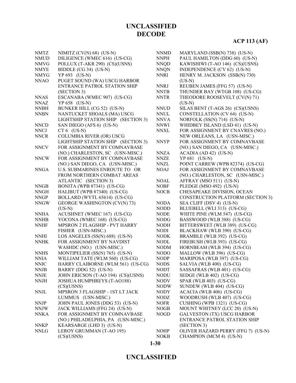| <b>NMTZ</b> | NIMITZ $(CV(N) 68)$ (US-N)          | <b>NNMD</b> | MARYLAND (SSB(N) 738) (US-N)      |
|-------------|-------------------------------------|-------------|-----------------------------------|
| <b>NMUD</b> | DILIGENCE (WMEC 616) (US-CG)        | <b>NNPH</b> | PAUL HAMILTON (DDG 60) (US-N)     |
| <b>NMVG</b> | POLLUX (T-AKR 290) (CS)(USNS)       | <b>NNQD</b> | KAWISHIWI (T-AO 146) (CS)(USNS    |
| <b>NMYE</b> | BIDDLE (CG 34) (US-N)               | <b>NNQN</b> | INDEPENDENCE (CV 62) (US-N)       |
| <b>NMYG</b> | YP 693 (US-N)                       | <b>NNRI</b> | HENRY M. JACKSON (SSB(N) 730)     |
| <b>NNAO</b> | PUGET SOUND (WA) USCG HARBOR        |             | $(US-N)$                          |
|             | ENTRANCE PATROL STATION SHIP        | <b>NNRJ</b> | REUBEN JAMES (FFG 57) (US-N)      |
|             | (SECTION 3)                         | <b>NNTB</b> | THUNDER BAY (WTGB 108) (US-C      |
| <b>NNAS</b> | ESCANABA (WMEC 907) (US-CG)         | <b>NNTR</b> | THEODORE ROOSEVELT (CV(N) 71      |
| <b>NNAZ</b> | YP 658 (US-N)                       |             | $(US-N)$                          |
| <b>NNBH</b> | BUNKER HILL (CG 52) (US-N)          | <b>NNUD</b> | SILAS BENT (T-AGS 26) (CS)(USNS   |
| <b>NNBN</b> | NANTUCKET SHOALS (MA) USCG          | <b>NNUL</b> | CONSTELLATION (CV 64) (US-N)      |
|             | LIGHTSHIP STATION SHIP (SECTION 3)  | <b>NNVA</b> | NORFOLK (SS(N) 714) (US-N)        |
| <b>NNCD</b> | SAN DIEGO (AFS 6) (US-N)            | <b>NNWI</b> | WHIDBEY ISLAND (LSD 41) (US-N)    |
| <b>NNCJ</b> | $CT 6$ (US-N)                       | <b>NNXL</b> | FOR ASSIGNMENT BY CNAVRES (1      |
| <b>NNCR</b> | <b>COLUMBIA RIVER (OR) USCG</b>     |             | NEW ORLEANS, LA (USN-MISC.)       |
|             | LIGHTSHIP STATION SHIP (SECTION 3)  | <b>NNYP</b> | FOR ASSIGNMENT BY COMNAVBA        |
| <b>NNCV</b> | FOR ASSIGNMENT BY COMNAVBASE        |             | (NO.) SAN DIEGO, CA (USN-MISC.    |
|             | (NO.) CHARLESTON, SC (USN-MISC.)    | <b>NNZA</b> | ACADIA (AD 42) (US-N)             |
| <b>NNCW</b> | FOR ASSIGNMENT BY COMNAVBASE        | <b>NNZE</b> | YP 681 (US-N)                     |
|             | (NO.) SAN DIEGO, CA (USN-MISC.)     | <b>NNZL</b> | POINT CARREW (WPB 82374) (US-0    |
| <b>NNGA</b> | U.S. SUBMARINES ENROUTE TO OR       | <b>NOAJ</b> | FOR ASSIGNMENT BY COMNAVBA        |
|             | FROM NORTHERN COMBAT AREAS          |             | (NO.) CHARLESTON, SC (USN-MIS     |
|             | ATLANTIC (SECTION 3)                | <b>NOAL</b> | AFFRAY (MSO 511) (US-N)           |
| <b>NNGB</b> | BONITA (WPB 87341) (US-CG)          | <b>NOBF</b> | PLEDGE (MSO 492) (US-N)           |
| <b>NNGH</b> | HALIBUT (WPB 87340) (US-CG)         | <b>NOCB</b> | CHESAPEAKE DIVISION, OCEAN        |
| <b>NNGP</b> | BOLLARD (WYTL 65614) (US-CG)        |             | CONSTRUCTION PLATFORM (SECT       |
| <b>NNGW</b> | <b>GEORGE WASHINGTON (CV(N) 73)</b> | <b>NODA</b> | SEA CLIFF (DSV 4) (US-N)          |
|             | $(US-N)$                            | <b>NODD</b> | BLUEBELL (WLI 313) (US-CG)        |
| <b>NNHA</b> | ACUSHNET (WMEC 167) (US-CG)         | <b>NODE</b> | WHITE PINE (WLM 547) (US-CG)      |
| <b>NNHB</b> | YOCONA (WMEC 168) (US-CG)           | <b>NODG</b> | BASSWOOD (WLB 388) (US-CG)        |
| <b>NNHF</b> | MPSRON 2 FLAGSHIP - PVT HARRY       | <b>NODH</b> | BITTERSWEET (WLB 389) (US-CG)     |
|             | FISHER (USN-MISC.)                  | <b>NODI</b> | BLACKHAW (WLB 390) (US-CG)        |
| <b>NNHI</b> | LOS ANGELES (SS(N) 688) (US-N)      | <b>NODK</b> | BRAMBLE (WLB 392) (US-CG)         |
| <b>NNHK</b> | FOR ASSIGNMENT BY NAVDIST           | <b>NODL</b> | FIREBUSH (WLB 393) (US-CG)        |
|             | WASHDC (NO.) (USN-MISC.)            | <b>NODM</b> | HORNBEAM (WLB 394) (US-CG)        |
| <b>NNHS</b> | MONTIPELIER (SS(N) 765) (US-N)      | NODO        | MALLOW (WLB 396) (US-CG)          |
| <b>NNIA</b> | WILLIAM TATE (WLM 560) (US-CG)      | <b>NODP</b> | MARIPOSA (WLB 397) (US-CG)        |
| <b>NNIC</b> | HARRY CLAIBORNE (WLM 561) (US-CG)   | <b>NODS</b> | SALVIA (WLB 400) (US-CG)          |
| <b>NNJB</b> | BARRY (DDG 52) (US-N)               | <b>NODT</b> | SASSAFRAS (WLB 401) (US-CG)       |
| <b>NNJE</b> | JOHN ERICSON (T-AO 194) (CS)(USNS)  | <b>NODU</b> | SEDGE (WLB 402) (US-CG)           |
| <b>NNJH</b> | <b>JOSHUA HUMPHREYS (T-AO188)</b>   | <b>NODV</b> | SPAR (WLB 403) (US-CG)            |
|             | (CS)(USNS)                          | <b>NODW</b> | SUNDEW (WLB 404) (US-CG)          |
| <b>NNJL</b> | MPSRON 3 FLAGSHIP - 1ST LT JACK     | <b>NODY</b> | ACACIA (WLB 406) (US-CG)          |
|             | LUMMUS (USN-MISC.)                  | <b>NODZ</b> | WOODRUSH (WLB 407) (US-CG)        |
| <b>NNJP</b> | JOHN PAUL JONES (DDG 53) (US-N)     | <b>NOFR</b> | CUSHING (WPB 1321) (US-CG)        |
| <b>NNJW</b> | JACK WILLIAMS (FFG 24) (US-N)       | <b>NOGB</b> | MOUNT WHITNEY (LCC 20) (US-N)     |
| <b>NNKA</b> | FOR ASSIGNMENT BY COMNAVBASE        | <b>NOGD</b> | <b>GALVESTON (TX) USCG HARBOR</b> |
|             | (NO.) PHILADELPHIA, PA (USN-MISC.)  |             | ENTRANCE PATROL STATION SHI       |
| <b>NNKP</b> | KEARSARGE (LHD 3) (US-N)            |             | (SECTION 3)                       |
| <b>NNLG</b> | LEROY GRUMMAN (T-AO 195)            | <b>NOHP</b> | OLIVER HAZARD PERRY (FFG 7) (     |
|             | (CS)(USNS)                          | <b>NOKB</b> | CHAMPION (MCM 4) (US-N)           |
|             |                                     |             |                                   |

| NNQD        | KAWISHIWI (T-AO 146) (CS)(USNS)          |
|-------------|------------------------------------------|
| <b>NNQN</b> | INDEPENDENCE (CV 62) (US-N)              |
| NNRI        | HENRY M. JACKSON (SSB(N) 730)            |
|             | $(US-N)$                                 |
| <b>NNRJ</b> | REUBEN JAMES (FFG 57) (US-N)             |
| NNTB        | THUNDER BAY (WTGB 108) (US-CG)           |
| <b>NNTR</b> | THEODORE ROOSEVELT (CV(N) 71)            |
|             | $(US-N)$                                 |
| NNUD        | SILAS BENT (T-AGS 26) (CS)(USNS)         |
| NNUL        | CONSTELLATION (CV 64) (US-N)             |
| NNVA        | NORFOLK (SS(N) 714) (US-N)               |
| <b>NNWI</b> | WHIDBEY ISLAND (LSD 41) (US-N)           |
| NNXL        | FOR ASSIGNMENT BY CNAVRES (NO.)          |
|             | NEW ORLEANS, LA (USN-MISC.)              |
| NNYP        | FOR ASSIGNMENT BY COMNAVBASE             |
|             | (NO.) SAN DIEGO, CA (USN-MISC.)          |
| NNZA        | ACADIA (AD 42) (US-N)                    |
| NNZE        | YP 681 (US-N)                            |
| NNZL        | POINT CARREW (WPB 82374) (US-CG)         |
| <b>NOAJ</b> | FOR ASSIGNMENT BY COMNAVBASE             |
|             | (NO.) CHARLESTON, SC (USN-MISC.)         |
| <b>NOAL</b> | AFFRAY (MSO 511) (US-N)                  |
| NOBF        | PLEDGE (MSO 492) (US-N)                  |
| <b>NOCB</b> | CHESAPEAKE DIVISION, OCEAN               |
|             | <b>CONSTRUCTION PLATFORM (SECTION 3)</b> |
| <b>NODA</b> | SEA CLIFF (DSV 4) (US-N)                 |
| NODD        | BLUEBELL (WLI 313) (US-CG)               |
| <b>NODE</b> | WHITE PINE (WLM 547) (US-CG)             |
| <b>NODG</b> | BASSWOOD (WLB 388) (US-CG)               |
| NODH        | BITTERSWEET (WLB 389) (US-CG)            |
| <b>NODI</b> | BLACKHAW (WLB 390) (US-CG)               |
| <b>NODK</b> | BRAMBLE (WLB 392) (US-CG)                |
| NODL        | FIREBUSH (WLB 393) (US-CG)               |
| <b>NODM</b> | HORNBEAM (WLB 394) (US-CG)               |
| <b>NODO</b> | MALLOW (WLB 396) (US-CG)                 |
| <b>NODP</b> | MARIPOSA (WLB 397) (US-CG)               |
| NODS        | SALVIA (WLB 400) (US-CG)                 |
| NODT        | SASSAFRAS (WLB 401) (US-CG)              |
| NODU        | SEDGE (WLB 402) (US-CG)                  |
| NODV        | SPAR (WLB 403) (US-CG)                   |
| <b>NODW</b> | SUNDEW (WLB 404) (US-CG)                 |
| NODY        | ACACIA (WLB 406) (US-CG)                 |
| NODZ        | WOODRUSH (WLB 407) (US-CG)               |
| <b>NOFR</b> | CUSHING (WPB 1321) (US-CG)               |
| <b>NOGB</b> | MOUNT WHITNEY (LCC 20) (US-N)            |
| NOGD        | <b>GALVESTON (TX) USCG HARBOR</b>        |
|             | ENTRANCE PATROL STATION SHIP             |
|             | (SECTION 3)                              |
| NOHP        | OLIVER HAZARD PERRY (FFG 7) (US-N)       |
| <b>NOKB</b> | CHAMPION (MCM 4) (US-N)                  |
|             |                                          |

#### **1-30**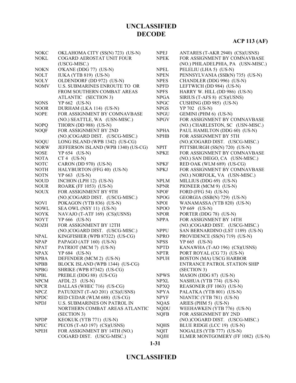# **ACP 113 (AF)**

| <b>NOKC</b> | OKLAHOMA CITY (SS(N) 723) (US-N)    | <b>NPEJ</b>                  | ANTARES (T-AKR 2940) (CS)(USNS)    |
|-------------|-------------------------------------|------------------------------|------------------------------------|
| <b>NOKL</b> | COGARD AEROSTAT UNIT FOUR           | <b>NPEK</b>                  | FOR ASSIGNMENT BY COMNAVBASE       |
|             | (USCG-MISC.)                        |                              | (NO.) PHILADELPHIA, PA (USN-MISC.) |
| <b>NOKN</b> | O'KANE (DDG 77) (US-N)              | $\ensuremath{\mathsf{NPEL}}$ | PELELIU (LHA 5) (US-N)             |
| <b>NOLT</b> | <b>IUKA (YTB 819) (US-N)</b>        | <b>NPEN</b>                  | PENNSYLVANIA (SSB(N) 735) (US-N)   |
| <b>NOLY</b> | OLDENDORF (DD 972) (US-N)           | <b>NPES</b>                  | CHANDLER (DDG 996) (US-N)          |
| <b>NOMV</b> | U.S. SUBMARINES ENROUTE TO OR       | <b>NPFD</b>                  | LEFTWICH (DD 984) (US-N)           |
|             | FROM SOUTHERN COMBAT AREAS          | <b>NPFS</b>                  | HARRY W. HILL (DD 986) (US-N)      |
|             | ATLANTIC (SECTION 3)                | <b>NPGA</b>                  | SIRIUS (T-AFS 8) (CS)(USNS)        |
| <b>NONS</b> | $YP 662$ (US-N)                     | <b>NPGC</b>                  | CUSHING (DD 985) (US-N)            |
| <b>NOOR</b> | DURHAM (LKA 114) (US-N)             | <b>NPGS</b>                  | YP 702 (US-N)                      |
| <b>NOPE</b> | FOR ASSIGNMENT BY COMNAVBASE        | <b>NPGU</b>                  | GEMINI (PHM 6) (US-N)              |
|             | (NO.) SEATTLE, WA (USN-MISC.)       | <b>NPGV</b>                  | FOR ASSIGNMENT BY COMNAVBASE       |
| <b>NOPQ</b> | THORN (DD 988) (US-N)               |                              | (NO.) CHARLESTON, SC (USN-MISC.)   |
| <b>NOQF</b> | FOR ASSIGNMENT BY 2ND               | <b>NPHA</b>                  | PAUL HAMILTON (DDG 60) (US-N)      |
|             | (NO.)COGARD DIST. (USCG-MISC.)      | <b>NPHB</b>                  | FOR ASSIGNMENT BY 5TH              |
| <b>NOQU</b> | LONG ISLAND (WPB 1342) (US-CG)      |                              | (NO.)COGARD DIST. (USCG-MISC.)     |
| <b>NORW</b> | JEFFERSON ISLAND (WPB 1340) (US-CG) | <b>NPIT</b>                  | PITTSBURGH (SS(N) 720) (US-N)      |
| <b>NOSE</b> | YP 654 (US-N)                       | <b>NPKE</b>                  | FOR ASSIGNMENT BY COMNAVBASE       |
| <b>NOTA</b> | $CT 4$ (US-N)                       |                              | (NO.) SAN DIEGO, CA (USN-MISC.)    |
| <b>NOTC</b> | CARON (DD 970) (US-N)               | <b>NPKF</b>                  | RED OAK (WLM 689) (US-CG)          |
| <b>NOTH</b> | HALYBURTON (FFG 40) (US-N)          | <b>NPKJ</b>                  | FOR ASSIGNMENT BY COMNAVBASE       |
| <b>NOTN</b> | $YP$ 663 (US-N)                     |                              | (NO.) NORFOLK, VA (USN-MISC.)      |
| <b>NOUD</b> | INCHON (LPH 12) (US-N)              | <b>NPLM</b>                  | MILLIUS (DDG 69) (US-N)            |
| <b>NOUR</b> | ROARK (FF 1053) (US-N)              | <b>NPNR</b>                  | PIONEER (MCM 9) (US-N)             |
| <b>NOUX</b> | FOR ASSIGNMENT BY 9TH               | <b>NPOF</b>                  | FORD (FFG 54) $(US-N)$             |
|             | (NO.)COGARD DIST. (USCG-MISC.)      | <b>NPOG</b>                  | GEORGIA (SSB(N) 729) (US-N)        |
| <b>NOVI</b> | POKAGON (YTB 836) (US-N)            | <b>NPOI</b>                  | WANAMASSA (YTB 820) (US-N)         |
| <b>NOWL</b> | SEA OWL (NSY 11) (US-N)             | NPOO                         | YP 669 (US-N)                      |
| <b>NOYK</b> | NAVAJO (T-ATF 169) (CS)(USNS)       | <b>NPOR</b>                  | PORTER (DDG 78) (US-N)             |
| <b>NOYT</b> | YP 666 (US-N)                       | <b>NPPA</b>                  | FOR ASSIGNMENT BY 14TH             |
| <b>NOZH</b> | FOR ASSIGNMENT BY 12TH              |                              | (NO.)COGARD DIST. (USCG-MISC.)     |
|             | (NO.)COGARD DIST. (USCG-MISC.)      | <b>NPPU</b>                  | SAN BERNARDINO (LST 1189) (US-N)   |
| <b>NPAL</b> | KINGFISHER (WPB 87322) (US-CG)      | <b>NPRO</b>                  | PROVIDENCE (SS(N) 719) (US-N)      |
| <b>NPAP</b> | PAPAGO (ATF 160) (US-N)             | <b>NPSS</b>                  | $YP$ 665 (US-N)                    |
| <b>NPAT</b> | PATRIOT (MCM 7) (US-N)              | <b>NPTD</b>                  | KANAWHA (T-AO 196) (CS)(USNS)      |
| <b>NPAX</b> | YP 684 (US-N)                       | <b>NPTR</b>                  | PORT ROYAL (CG 73) (US-N)          |
| <b>NPBA</b> | DEFENDER (MCM 2) (US-N)             | <b>NPUH</b>                  | <b>BOSTON (MA) USCG HARBOR</b>     |
| <b>NPBB</b> | BLOCK ISLAND (WPB 1344) (US-CG)     |                              | ENTRANCE PATROL STATION SHIP       |
| <b>NPBG</b> | SHRIKE (WPB 87342) (US-CG)          |                              | (SECTION 3)                        |
| <b>NPBL</b> | PREBLE (DDG 88) (US-CG)             | <b>NPWS</b>                  | MASON (DDG 87) (US-N)              |
| <b>NPCM</b> | AFDL 23 (US-N)                      | <b>NPXL</b>                  | NASHUA (YTB 774) (US-N)            |
| <b>NPCR</b> | DALLAS (WHEC 716) (US-CG)           | <b>NPXQ</b>                  | REASONER (FF 1063) (US-N)          |
| <b>NPCZ</b> | PATUXENT (T-AO 201) (CS)(USNS)      | <b>NPYA</b>                  | PALATKA (YTB 801) (US-N)           |
| <b>NPDC</b> | RED CEDAR (WLM 688) (US-CG)         | <b>NPYF</b>                  | NIANTIC (YTB 781) (US-N)           |
| <b>NPDJ</b> | <b>U.S. SUBMARINES ON PATROL IN</b> | <b>NQAS</b>                  | ARIES (PHM 5) (US-N)               |
|             | NORTHERN COMBAT AREAS ATLANTIC      | <b>NQDU</b>                  | WEEHAWKEN (YTB 776) (US-N)         |
|             | (SECTION 3)                         | <b>NQFB</b>                  | FOR ASSIGNMENT BY 2ND              |
| <b>NPDP</b> | KEOKUK (YTB 771) (US-N)             |                              | (NO.)COGARD DIST. (USCG-MISC.)     |
| <b>NPEC</b> | PECOS (T-AO 197) (CS)(USNS)         | <b>NQHS</b>                  | BLUE RIDGE (LCC 19) (US-N)         |
| <b>NPEH</b> | FOR ASSIGNMENT BY 14TH (NO.)        | <b>NQIT</b>                  | NOGALES (YTB 777) (US-N)           |
|             | COGARD DIST. (USCG-MISC.)           | <b>NQJH</b>                  | ELMER MONTGOMERY (FF 1082) (US-N)  |
|             |                                     |                              |                                    |

**1-31**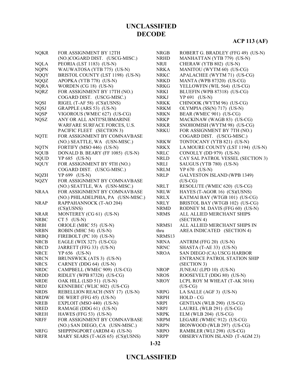| <b>NQKR</b> | FOR ASSIGNMENT BY 12TH             | <b>NRGB</b> | ROBERT G. BRADLEY (FFG 49) (US-N)    |
|-------------|------------------------------------|-------------|--------------------------------------|
|             | (NO.)COGARD DIST. (USCG-MISC.)     | <b>NRHD</b> | MANHATTAN (YTB 779) (US-N)           |
| <b>NQLA</b> | PEORIA (LST 1183) (US-N)           | NRJI        | CHERAW (YTB 802) (US-N)              |
| <b>NQPN</b> | WAUWATOSA (YTB 775) (US-N)         | <b>NRKA</b> | MANITOU (WYTM 60) (US-CG)            |
| <b>NQQY</b> | BRISTOL COUNTY (LST 1198) (US-N)   | <b>NRKC</b> | APALACHEE (WYTM 71) (US-CG)          |
| <b>NQQZ</b> | APOPKA (YTB 778) (US-N)            | <b>NRKD</b> | MANTA (WPB 87320) (US-CG)            |
| <b>NQRA</b> | WORDEN (CG 18) (US-N)              | <b>NRKG</b> | YELLOWFIN (WIL 564) (US-CG)          |
| <b>NQRZ</b> | FOR ASSIGNMENT BY 17TH (NO.)       | NRKI        | BLUEFIN (WPB 87318) (US-CG)          |
|             | COGARD DIST. (USCG-MISC.)          | <b>NRKJ</b> | YP 691 (US-N)                        |
| <b>NQSI</b> | RIGEL (T-AF 58) (CS)(USNS)         | <b>NRKK</b> | CHINOOK (WYTM 96) (US-CG)            |
| <b>NQSJ</b> | GRAPPLE (ARS 53) (US-N)            | <b>NRKM</b> | OLYMPIA (SS(N) 717) (US-N)           |
| <b>NQSP</b> | VIGOROUS (WMEC 627) (US-CG)        | <b>NRKN</b> | BEAR (WMEC 901) (US-CG)              |
| <b>NQSZ</b> | ANY OR ALL ANTI?SUBMARINE          | <b>NRKP</b> | MACKINAW (WAGB 83) (US-CG)           |
|             | WARFARE SURFACE FORCES, U.S.       | <b>NRKR</b> | SNOHOMISH (WYTM 98) (US-CG)          |
|             | PACIFIC FLEET (SECTION 3)          | <b>NRKU</b> | FOR ASSIGNMENT BY 7TH (NO.)          |
| <b>NQTE</b> | FOR ASSIGNMENT BY COMNAVBASE       |             | COGARD DIST. (USCG-MISC.)            |
|             | (NO.) SEATTLE, WA (USN-MISC.)      | <b>NRKW</b> | TONTOCANY (YTB 821) (US-N)           |
| <b>NQTN</b> | FORTIFY (MSO 446) (US-N)           | <b>NRKX</b> | LA MOURE COUNTY (LST 1194) (US-N)    |
| <b>NQUB</b> | DONALD B. BEARY (FF 1085) (US-N)   | <b>NRLC</b> | CONOLLY (DD 979) (US-N)              |
| <b>NQUD</b> | YP 685 (US-N)                      | <b>NRLD</b> | CAY SAL PATROL VESSEL (SECTION 3)    |
| <b>NQUY</b> | FOR ASSIGNMENT BY 9TH (NO.)        | <b>NRLI</b> | SAUGUS (YTB 780) (US-N)              |
|             | COGARD DIST. (USCG-MISC.)          | <b>NRLM</b> | YP 670 (US-N)                        |
| <b>NQZH</b> | YP 699 (US-N)                      | <b>NRLP</b> | <b>GALVESTON ISLAND (WPB 1349)</b>   |
| <b>NQZY</b> | FOR ASSIGNMENT BY COMNAVBASE       |             | $(US-CG)$                            |
|             | (NO.) SEATTLE, WA (USN-MISC.)      | <b>NRLT</b> | RESOLUTE (WMEC 620) (US-CG)          |
| <b>NRAA</b> | FOR ASSIGNMENT BY COMNAVBASE       | <b>NRLW</b> | HAYES (T-AGOR 16) (CS)(USNS)         |
|             | (NO.) PHILADELPHIA, PA (USN-MISC.) | <b>NRLX</b> | KATMAI BAY (WTGB 101) (US-CG)        |
| <b>NRAP</b> | RAPPAHANNOCK (T-AO 204)            | <b>NRLY</b> | BRISTOL BAY (WTGB 102) (US-CG)       |
|             | (CS)(USNS)                         | <b>NRMD</b> | RODNEY M. DAVIS (FFG 60) (US-N)      |
| <b>NRAR</b> | MONTEREY (CG 61) (US-N)            | <b>NRMS</b> | ALL ALLIED MERCHANT SHIPS            |
| <b>NRBC</b> | $CT 5 (US-N)$                      |             | (SECTION 4)                          |
| <b>NRBI</b> | ORIOLE (MHC 55) (US-N)             | NRMS1       | ALL ALLIED MERCHANT SHIPS IN         |
| <b>NRBN</b> | ROBIN (MHC 54) (US-N)              | thru        | AREA INDICATED (SECTION 4)           |
| <b>NRBQ</b> | FIREBOLT (PC 10) (US-N)            | NRMS13      |                                      |
| <b>NRCB</b> | EAGLE (WIX 327) (US-CG)            | <b>NRNA</b> | ANTRIM (FFG 20) (US-N)               |
| <b>NRCD</b> | JARRETT (FFG 33) (US-N)            | <b>NRNC</b> | SHASTA (T-AE 33) (US-N)              |
| <b>NRCE</b> | YP 656 (US-N)                      | <b>NROA</b> | SAN DIEGO (CA) USCG HARBOR           |
| <b>NRCN</b> | BRUNSWICK (ATS 3) (US-N)           |             | ENTRANCE PATROL STATION SHIP         |
| <b>NRCS</b> | CARNEY (DDG 64) (US-N)             |             | (SECTION 3)                          |
| <b>NRDC</b> | CAMPBELL (WMEC 909) (US-CG)        | <b>NROP</b> | JUNEAU (LPD 10) (US-N)               |
| <b>NRDD</b> | RIDLEY (WPB 87328) (US-CG)         | <b>NROS</b> | ROOSEVELT (DDG 80) (US-N)            |
| <b>NRDE</b> | OAK HILL (LSD 51) (US-N)           | <b>NROY</b> | LCPL ROY M WHEAT (T-AK 3016)         |
| <b>NRDJ</b> | KENNEBEC (WLIC 802) (US-CG)        |             | $(US-CG)$                            |
| <b>NRDS</b> | REBELLION REACH (NSY 17) (US-N)    | <b>NRPG</b> | LA SALLE (AGF 3) (US-N)              |
| <b>NRDW</b> | DE WERT (FFG 45) (US-N)            | <b>NRPH</b> | HOLD - CG                            |
| <b>NREB</b> | EXPLOIT (MSO 440) (US-N)           | <b>NRPI</b> | GENTIAN (WLB 290) (US-CG)            |
| <b>NRED</b> | RAMAGE (DDG 61) (US-N)             | <b>NRPJ</b> | LAUREL (WLB 291) (US-CG)             |
| <b>NREH</b> | HAWES (FFG 53) (US-N)              | <b>NRPK</b> | ELM (WLB 204) (US-CG)                |
| <b>NRFF</b> | FOR ASSIGNMENT BY COMNAVBASE       | <b>NRPM</b> | LEGARE (WMEC 912) (US-CG)            |
|             | (NO.) SAN DIEGO, CA (USN-MISC.)    | <b>NRPN</b> | IRONWOOD (WLB 297) (US-CG)           |
| <b>NRFG</b> | SHIPPINGPORT (ARDM 4) (US-N)       | <b>NRPO</b> | RAMBLER (WLI 298) (US-CG)            |
| <b>NRFR</b> | MARY SEARS (T-AGS 65) (CS)(USNS)   | <b>NRPP</b> | <b>OBSERVATION ISLAND (T-AGM 23)</b> |

**1-32**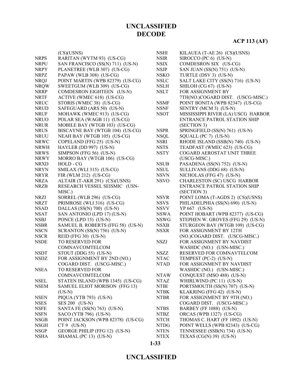|             | (CS)(USNS)                        | <b>NSHI</b> | KILAUEA (T-AE 26) (CS)(USNS)                                |
|-------------|-----------------------------------|-------------|-------------------------------------------------------------|
| <b>NRPS</b> | RARITAN (WYTM 93) (US-CG)         | <b>NSIR</b> | SIROCCO (PC 6) (US-N)                                       |
| <b>NRPU</b> | SAN FRANCISCO (SS(N) 711) (US-N)  | <b>NSIX</b> | COMDESRON SIX (US-CG)                                       |
| <b>NRPY</b> | PLANETREE (WLB 307) (US-CG)       | <b>NSJP</b> | SAN JUAN (SS(N) 751) (US-N)                                 |
| <b>NRPZ</b> | PAPAW (WLB 308) (US-CG)           | <b>NSKO</b> | TURTLE (DSV 3) (US-N)                                       |
| <b>NRQJ</b> | POINT MARTIN (WPB 82379) (US-CG)  | <b>NSLC</b> | SALT LAKE CITY (SS(N) 716) (US-N)                           |
| <b>NRQW</b> | SWEETGUM (WLB 309) (US-CG)        | <b>NSLH</b> | SHILOH (CG 67) (US-N)                                       |
| <b>NRRP</b> | COMDESRON EIGHTEEN (US-N)         | <b>NSLT</b> | FOR ASSIGNMENT BY                                           |
| <b>NRTF</b> |                                   |             |                                                             |
|             | ACTIVE (WMEC 618) (US-CG)         |             | 7TH(NO.)COGARD DIST. (USCG-MISC.)                           |
| <b>NRUC</b> | STORIS (WMEC 38) (US-CG)          | <b>NSMF</b> | POINT BONITA (WPB 82347) (US-CG)                            |
| <b>NRUD</b> | SAFEGUARD (ARS 50) (US-N)         | <b>NSNF</b> | SENTRY (MCM 3) (US-N)<br>MISSISSIPPI RIVER (LA) USCG HARBOR |
| <b>NRUF</b> | MOHAWK (WMEC 913) (US-CG)         | <b>NSOT</b> |                                                             |
| <b>NRUO</b> | POLAR SEA (WAGB 11) (US-CG)       |             | ENTRANCE PATROL STATION SHIP                                |
| <b>NRUR</b> | MOBILE BAY (WTGB 103) (US-CG)     |             | (SECTION 3)                                                 |
| <b>NRUS</b> | BISCAYNE BAY (WTGB 104) (US-CG)   | <b>NSPR</b> | SPRINGFIELD (SS(N) 761) (US-N)                              |
| <b>NRUU</b> | NEAH BAY (WTGB 105) (US-CG)       | <b>NSQL</b> | SQUALL (PC 7) (US-N)                                        |
| <b>NRWC</b> | COPELAND (FFG 25) (US-N)          | <b>NSRI</b> | RHODE ISLAND (SSB(N) 740) (US-N)                            |
| <b>NRWH</b> | HAYLER (DD 997) (US-N)            | <b>NSTS</b> | TEADFAST (WMEC 623) (US-CG)                                 |
| <b>NRWS</b> | SIMPSON (FFG 56) (US-N)           | <b>NSTY</b> | COGARD AEROSTAT UNIT THREE                                  |
| <b>NRWY</b> | MORRO BAY (WTGB 106) (US-CG)      |             | (USCG-MISC.)                                                |
| <b>NRXD</b> | HOLD - CG                         | <b>NSUB</b> | PASADENA (SS(N) 752) (US-N)                                 |
| <b>NRYN</b> | SMILAX (WLI 315) (US-CG)          | <b>NSUL</b> | SULLIVANS (DDG 68) (US-N)                                   |
| <b>NRYR</b> | FIR (WLM 212) (US-CG)             | <b>NSVN</b> | NICHOLAS (FFG 47) (US-N)                                    |
| <b>NRZA</b> | ALTAIR (T-AKR 291) (CS)(USNS)     | <b>NSVO</b> | CHARLESTON (SC) USCG HARBOR                                 |
| <b>NRZB</b> | RESEARCH VESSEL SEISMIC (USN-     |             | ENTRANCE PATROL STATION SHIP                                |
|             | MISC.)                            |             | (SECTION 3)                                                 |
| <b>NRZI</b> | SORREL (WLB 296) (US-CG)          | <b>NSVR</b> | POINT LOMA (T-AGDS 2) (CS)(USNS)                            |
| <b>NRZT</b> | PRIMROSE (WLI 316) (US-CG)        | <b>NSVS</b> | PHILADELPHIA (SS(N) 690) (US-N)                             |
| <b>NSAD</b> | DALLAS (SS(N) 700) (US-N)         | <b>NSVV</b> | YP 667 (US-N)                                               |
| <b>NSAT</b> | SAN ANTONIO (LPD 17) (US-N)       | <b>NSWA</b> | POINT HOBART (WPB 82377) (US-CG)                            |
| <b>NSBJ</b> | PONCE (LPD 15) (US-N)             | <b>NSWG</b> | STEPHEN W. GROVES (FFG 29) (US-N)                           |
| <b>NSBR</b> | SAMUEL B. ROBERTS (FFG 58) (US-N) | <b>NSXB</b> | STURGEON BAY (WTGB 109) (US-CG)                             |
| <b>NSCN</b> | SCRANTON (SS(N) 756) (US-N)       | <b>NSXR</b> | FOR ASSIGNMENT BY 12TH                                      |
| <b>NSCR</b> | REID (FFG 30) (US-N)              |             | (NO.)COGARD DIST. (USCG-MISC.)                              |
| <b>NSDE</b> | TO RESERVED FOR                   | <b>NSZJ</b> | FOR ASSIGNMENT BY NAVDIST                                   |
|             | COMNAVCOMTELCOM                   |             | WASHDC (NO.) (USN-MISC.)                                    |
| <b>NSDT</b> | STOUT (DDG 55) (US-N)             | <b>NSZZ</b> | RESERVED FOR COMNAVTELCOM                                   |
| <b>NSDZ</b> | FOR ASSIGNMENT BY 2ND (NO.)       | <b>NTAC</b> | TEMPEST (PC-2) (US-N)                                       |
|             | COGARD DIST. (USCG-MISC.)         | <b>NTAD</b> | FOR ASSIGNMENT BY NAVDIST                                   |
| <b>NSEA</b> | TO RESERVED FOR                   |             | WASHDC (NO.) (USN-MISC.)                                    |
|             | COMNAVCOMTELCOM                   | <b>NTAW</b> | CONQUEST (MSO 488) (US-N)                                   |
| <b>NSEL</b> | STATEN ISLAND (WPB 1345) (US-CG)  | <b>NTAZ</b> | WHIRLWIND (PC 11) (US-N)                                    |
| <b>NSEM</b> | SAMUEL ELIOT MORISON (FFG 13)     | <b>NTBI</b> | PORTSMOUTH (SS(N) 707) (US-N)                               |
|             | $(US-N)$                          | <b>NTBK</b> | KLAKRING (FFG 42) (US-N)                                    |
| <b>NSEN</b> | PIQUA (YTB 793) (US-N)            | <b>NTBR</b> | FOR ASSIGNMENT BY 9TH (NO.)                                 |
| <b>NSES</b> | SES 200 (US-N)                    |             | COGARD DIST. (USCG-MISC.)                                   |
| <b>NSFE</b> | SANTA FE (SS(N) 763) (US-N)       | <b>NTBS</b> | BARBEY (FF 1088) (US-N)                                     |
| <b>NSFN</b> | SACO (YTB 796) (US-N)             | <b>NTBZ</b> | ORCAS (WPB 1327) (US-CG)                                    |
| <b>NSGB</b> | POINT JACKSON (WPB 82378) (US-CG) | <b>NTCH</b> | THOMAS C. HART (FF 1092) (US-N)                             |
| <b>NSGH</b> | $CT 9$ (US-N)                     | <b>NTDG</b> | POINT WELLS (WPB 82343) (US-CG)                             |
| <b>NSGP</b> | GEORGE PHILIP (FFG 12) (US-N)     | <b>NTEN</b> | TENNESSEE (SSB(N) 734) (US-N)                               |
| <b>NSHA</b> | SHAMAL (PC 13) (US-N)             | <b>NTEX</b> | TEXAS $(CG(N)$ 39) $(US-N)$                                 |
|             |                                   |             |                                                             |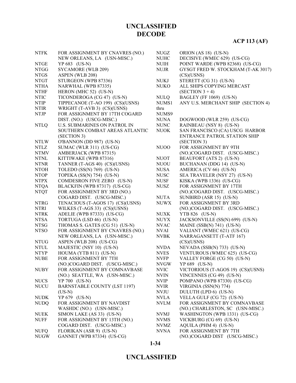| <b>NTFK</b> | FOR ASSIGNMENT BY CNAVRES (NO.)                         | <b>NUGZ</b>                | ORION (AS 18) (US-N)               |
|-------------|---------------------------------------------------------|----------------------------|------------------------------------|
|             | NEW ORLEANS, LA (USN-MISC.)                             | <b>NUHC</b>                | DECISIVE (WMEC 629) (US-CG)        |
| <b>NTGE</b> | YP 683 (US-N)                                           | <b>NUIH</b>                | POINT WARDE (WPB 82368) (US-CG)    |
| <b>NTGG</b> | SYCAMORE (WLB 209)                                      | <b>NUJR</b>                | GYSGT FRED W. STOCKHAM (T-AK 3017) |
| <b>NTGS</b> | ASPEN (WLB 208)                                         |                            | (CS)(USNS)                         |
| <b>NTGT</b> | STURGEON (WPB 87336)                                    | <b>NUKJ</b>                | STERETT (CG 31) (US-N)             |
| <b>NTHA</b> | NARWHAL (WPB 87335)                                     | <b>NUKO</b>                | ALL SHIPS COPYING MERCAST          |
| <b>NTHF</b> | HERON (MHC 52) (US-N)                                   |                            | $(SECTION 3 + 4)$                  |
| <b>NTIC</b> | TICONDEROGA (CG 47) (US-N)                              | <b>NULQ</b>                | BAGLEY (FF 1069) (US-N)            |
| <b>NTIP</b> | TIPPECANOE (T-AO 199) (CS)(USNS)                        | NUMS1                      | ANY U.S. MERCHANT SHIP (SECTION 4) |
| <b>NTIR</b> | WRIGHT (T-AVB 3) (CS)(USNS)                             | thru                       |                                    |
| <b>NTJP</b> | FOR ASSIGNMENT BY 17TH COGARD                           | NUMS9                      |                                    |
|             | DIST. (NO.) (USCG-MISC.)                                | <b>NUNA</b>                | DOGWOOD (WLR 259) (US-CG)          |
| <b>NTLQ</b> | <b>U.S. SUBMARINES ON PATROL IN</b>                     | <b>NUNC</b>                | RAINBEAU (NSY 8) (US-N)            |
|             | SOUTHERN COMBAT AREAS ATLANTIC                          | <b>NUOK</b>                | SAN FRANCISCO (CA) USCG HARBOR     |
|             | (SECTION 3)                                             |                            | ENTRANCE PATROL STATION SHIP       |
| <b>NTLW</b> | O'BANNON (DD 987) (US-N)                                |                            | (SECTION 3)                        |
| <b>NTLZ</b> | SUMAC (WLR 311) (US-CG)                                 | NU <sub>00</sub>           | FOR ASSIGNMENT BY 9TH              |
| <b>NTMV</b> | AMBERJACK (WPB 87315)                                   |                            | (NO.)COGARD DIST. (USCG-MISC.)     |
| <b>NTNL</b> | KITTIWAKE (WPB 87316)                                   | <b>NUOT</b>                | BEAUFORT (ATS 2) (US-N)            |
| <b>NTNR</b> | TANNER (T-AGS 40) (CS)(USNS)                            | <b>NUOU</b>                | BUCHANAN (DDG 14) (US-N)           |
| <b>NTOH</b> | TOLEDO $(SS(N) 769)$ (US-N)                             | <b>NUSA</b>                | AMERICA (CV 66) (US-N)             |
| <b>NTOP</b> | TOPEKA (SS(N) 754) (US-N)                               | <b>NUSC</b>                | SEA TRAVELER (NSY 27) (US-N)       |
| <b>NTPX</b> | COMDESRON FIVE ZERO (US-N)                              | <b>NUSF</b>                | KISKA (WPB 1336) (US-CG)           |
| <b>NTQA</b> | BLACKFIN (WPB 87317) (US-CG)                            | <b>NUSZ</b>                | FOR ASSIGNMENT BY 17TH             |
| <b>NTQT</b> | FOR ASSIGNMENT BY 3RD (NO.)                             |                            | (NO.)COGARD DIST. (USCG-MISC.)     |
|             | COGARD DIST. (USCG-MISC.)                               | <b>NUTA</b>                | SUNBIRD (ASR 15) (US-N)            |
| <b>NTRG</b> | TENACIOUS (T-AGOS 17) (CS)(USNS)                        | <b>NUWX</b>                | FOR ASSIGNMENT BY 3RD              |
| <b>NTRI</b> | WILKES (T-AGS 33) (CS)(USNS)                            |                            | (NO.)COGARD DIST. (USCG-MISC.)     |
| <b>NTRK</b> | ADELIE (WPB 87333) (US-CG)                              | <b>NUXK</b>                | YTB 826 (US-N)                     |
| <b>NTSA</b> | TORTUGA (LSD 46) (US-N)                                 | <b>NUYX</b>                | JACKSONVILLE (SS(N) 699) (US-N)    |
| <b>NTSG</b> | THOMAS S. GATES (CG 51) (US-N)                          | <b>NVAC</b>                | MAINE (SSB(N) 741) (US-N)          |
| <b>NTSO</b> | FOR ASSIGNMENT BY CNAVRES (NO.)                         | <b>NVAI</b>                | VALIANT (WMEC 621) (US-CG)         |
|             | NEW ORLEANS, LA (USN-MISC.)                             | <b>NVBK</b>                | NARRAGANSETT (T-ATF 167)           |
| <b>NTUG</b> | ASPEN (WLB 208) (US-CG)                                 |                            | (CS)(USNS)                         |
| <b>NTUL</b> |                                                         | <b>NVDA</b>                | NEVADA (SSB(N) 733) (US-N)         |
| <b>NTYP</b> | MAJESTIC (NSY 10) (US-N)<br>HOUMA (YTB 811) (US-N)      |                            |                                    |
|             |                                                         | <b>NVES</b>                | VENTUROUS (WMEC 625) (US-CG)       |
| <b>NUBE</b> | FOR ASSIGNMENT BY 7TH<br>(NO.)COGARD DIST. (USCG-MISC.) | <b>NVFP</b><br><b>NVGW</b> | VALLEY FORGE (CG 50) (US-N)        |
|             |                                                         |                            | YP 689 (US-N)                      |
| <b>NUBY</b> | FOR ASSIGNMENT BY COMNAVBASE                            | <b>NVIC</b>                | VICTORIOUS (T-AGOS 19) (CS)(USNS)  |
|             | (NO.) SEATTLE, WA (USN-MISC.)                           | <b>NVIN</b>                | VINCENNES (CG 49) (US-N)           |
| <b>NUCS</b> | YP 700 (US-N)                                           | <b>NVIP</b>                | POMPANO (WPB 87330) (US-CG)        |
| <b>NUCU</b> | <b>BARNSTABLE COUNTY (LST 1197)</b>                     | <b>NVIR</b>                | VIRGINIA (SSN(N) 774)              |
|             | $(US-N)$                                                | NVJU                       | DULUTH (LPD 6) (US-N)              |
| <b>NUDK</b> | YP 679 (US-N)                                           | NVLA                       | VELLA GULF (CG 72) (US-N)          |
| <b>NUDQ</b> | FOR ASSIGNMENT BY NAVDIST                               | <b>NVLM</b>                | FOR ASSIGNMENT BY COMNAVBASE       |
|             | WASHDC (NO.) (USN-MISC.)                                |                            | (NO.) CHARLESTON, SC (USN-MISC.)   |
| <b>NUEK</b> | SIMON LAKE (AS 33) (US-N)                               | <b>NVMJ</b>                | WASHINGTON (WPB 1331) (US-CG)      |
| <b>NUFF</b> | FOR ASSIGNMENT BY 13TH (NO.)                            | <b>NVMS</b>                | VICKBURG (CG 69) (US-N)            |
|             | COGARD DIST. (USCG-MISC.)                               | <b>NVMZ</b>                | AQUILA (PHM 4) (US-N)              |
| <b>NUFQ</b> | FLORIKAN (ASR 9) (US-N)                                 | <b>NVNA</b>                | FOR ASSIGNMENT BY 7TH              |
| <b>NUGW</b> | GANNET (WPB 87334) (US-CG)                              |                            | (NO.)COGARD DIST (USCG-MISC.)      |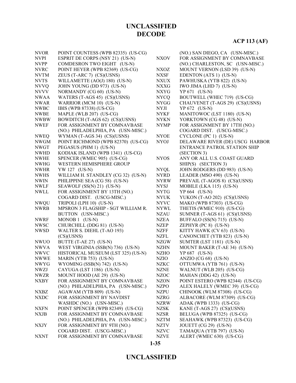| <b>NVOR</b> | POINT COUNTESS (WPB 82335) (US-CG) |             | (NO.) SAN DIEGO, CA (USN-MISC.)     |
|-------------|------------------------------------|-------------|-------------------------------------|
| <b>NVPI</b> | ESPRIT DE CORPS (NSY 21) (US-N)    | <b>NXOV</b> | FOR ASSIGNMENT BY COMNAVBASE        |
| <b>NVPP</b> | COMDESRON TWO EIGHT (US-N)         |             | (NO.) CHARLESTON, SC (USN-MISC.)    |
| <b>NVRC</b> | POINT HEYER (WPB 82369) (US-CG)    | <b>NXOZ</b> | MOUNT VERNON (LSD 39) (US-N)        |
| <b>NVTM</b> | ZEUS (T-ARC 7) (CS)(USNS)          | <b>NXSF</b> | EDENTON (ATS 1) (US-N)              |
| <b>NVTS</b> | WILLAMETTE (AO(J) 180) (US-N)      | NXUX        | PAWHUSKA (YTB 822) (US-N)           |
| <b>NVVQ</b> | JOHN YOUNG (DD 973) (US-N)         | <b>NXXG</b> | IWO JIMA (LHD 7) (US-N)             |
| <b>NVVV</b> | NORMANDY (CG 60) (US-N)            | <b>NXYG</b> | YP 671 (US-N)                       |
| <b>NWAA</b> | WATERS (T-AGS 45) (CS)(USNS)       | <b>NYCQ</b> | BOUTWELL (WHEC 719) (US-CG)         |
| <b>NWAR</b> | WARRIOR (MCM 10) (US-N)            | <b>NYGG</b> | CHAUVENET (T-AGS 29) (CS)(USNS)     |
| <b>NWBC</b> | IBIS (WPB 87338) (US-CG)           | <b>NYJI</b> | YP 672 (US-N)                       |
| <b>NWBE</b> | MAPLE (WLB 207) (US-CG)            | <b>NYKF</b> | MANITOWOC (LST 1180) (US-N)         |
| <b>NWBW</b> | BOWDITCH (T-AGS 62) (CS)(USNS)     | <b>NYKN</b> | YORKTOWN (CG 48) (US-N)             |
| <b>NWEF</b> | FOR ASSIGNMENT BY COMNAVBASE       | <b>NYMP</b> | FOR ASSIGNMENT BY 17TH (NO.)        |
|             | (NO.) PHILADELPHIA, PA (USN-MISC.) |             | COGARD DIST. (USCG-MISC.)           |
| <b>NWEQ</b> | WYMAN (T-AGS 34) (CS)(USNS)        | <b>NYOE</b> | CYCLONE (PC 1) (US-N)               |
| <b>NWGM</b> | POINT RICHMOND (WPB 82370) (US-CG) | <b>NYOJ</b> | DELAWARE RIVER (DE) USCG HARBOR     |
| <b>NWGT</b> | PEGASUS (PHM 1) (US-N)             |             | <b>ENTRANCE PATROL STATION SHIP</b> |
| <b>NWHD</b> | KODIAK ISLAND (WPB 1341) (US-CG)   |             | (SECTION 3)                         |
| <b>NWHE</b> | SPENCER (WMEC 905) (US-CG)         | <b>NYOS</b> | ANY OR ALL U.S. COAST GUARD         |
| <b>NWHG</b> | WESTERN HEMISPHERE GROUP           |             | SHIP(S) (SECTION 3)                 |
| <b>NWHR</b> | YW 127 (US-N)                      | <b>NYQL</b> | JOHN RODGERS (DD 983) (US-N)        |
| <b>NWHS</b> | WILLIAM H. STANDLEY (CG 32) (US-N) | <b>NYRD</b> | LEADER (MSO 490) (US-N)             |
| <b>NWIN</b> | PHILIPPINE SEA (CG 58) (US-N)      | <b>NYRW</b> | PREVAIL (T-AGOS 8) (CS)(USNS)       |
| NWLF        | SEAWOLF (SS(N) 21) (US-N)          | <b>NYSJ</b> | MOBILE (LKA 115) (US-N)             |
| <b>NWLL</b> | FOR ASSIGNMENT BY 13TH (NO.)       | <b>NYTG</b> | YP 664 (US-N)                       |
|             | COGARD DIST. (USCG-MISC.)          | <b>NYUK</b> | YUKON (T-AO 202) (CS)(USNS)         |
| <b>NWQU</b> | TRIPOLI (LPH 10) (US-N)            | <b>NYVC</b> | MAKO (WPB 87303) (US-CG)            |
| <b>NWRB</b> | MPSRON 3 FLAGSHIP - SGT WILLIAM R. | <b>NYWL</b> | THETIS (WMEC 910) (US-CG)           |
|             | BUTTON (USN-MISC.)                 | <b>NZAU</b> | SUMNER (T-AGS 61) (CS)(USNS)        |
| <b>NWRF</b> | MONOB 1 (US-N)                     | <b>NZEA</b> | BUFFALO (SS(N) 715) (US-N)          |
| <b>NWSC</b> | CHURCHILL (DDG 81) (US-N)          | <b>NZEP</b> | ZEPHYR $(PC 8)$ $(US-N)$            |
| <b>NWSD</b> | WALTER S. DIEHL (T-AO 193)         | <b>NZFF</b> | KITTY HAWK (CV 63) (US-N)           |
|             | (CS)(USNS)                         | <b>NZFL</b> | CANONCHET (YTB 823) (US-N)          |
| <b>NWUO</b> | BUTTE (T-AE 27) (US-N)             | <b>NZGW</b> | SUMTER (LST 1181) (US-N)            |
| <b>NWVA</b> | WEST VIRGINIA (SSB(N) 736) (US-N)  | <b>NZHN</b> | MOUNT BAKER (T-AE 34) (US-N)        |
| <b>NWVC</b> | HISTORICAL MUSEUM (LST 325) (US-N) | <b>NZHO</b> | YP 687 (US-N)                       |
| <b>NWWE</b> | MARIN (YTB 753) (US-N)             | <b>NZIO</b> | ANZIO (CG 68) (US-N)                |
| <b>NWYG</b> | WYOMING (SSB(N) 742) (US-N)        | <b>NZKC</b> | OTTUMWA (YTB 761) (US-N)            |
| NWZJ        | CAYUGA (LST 1186) (US-N)           | <b>NZNE</b> | WALNUT (WLB 205) (US-CG)            |
| <b>NWZR</b> | MOUNT HOOD (AE 29) (US-N)          | <b>NZOC</b> | MAHAN (DDG 42) (US-N)               |
| NXBY        | FOR ASSIGNMENT BY COMNAVBASE       | <b>NZON</b> | POINT ESTERO (WPB 82344) (US-CG)    |
|             | (NO.) PHILADELPHIA, PA (USN-MISC.) | <b>NZPO</b> | ALEX HALELY (WMEC 39) (US-CG)       |
| <b>NXBZ</b> | AGAWAM (YTB 809) (US-N)            | <b>NZPU</b> | CHINOOK (WLM 87308) (US-CG)         |
| <b>NXDC</b> | FOR ASSIGNMENT BY NAVDIST          | <b>NZRG</b> | ALBACORE (WLM 87309) (US-CG)        |
|             | WASHDC (NO.) (USN-MISC.)           | <b>NZRW</b> | ADAK (WPB 1333) (US-CG)             |
| <b>NXFN</b> | POINT SPENCER (WPB 82349) (US-CG)  | <b>NZSK</b> | KANE (T-AGS 27) (CS)(USNS)          |
| NXJB        | FOR ASSIGNMENT BY COMNAVBASE       | <b>NZSR</b> | BELUGA (WPB 87325) (US-CG)          |
|             | (NO.) PHILADELPHIA, PA (USN-MISC.) | <b>NZTM</b> | SEAHAWK (WPB 87323) (US-CG)         |
| <b>NXJY</b> | FOR ASSIGNMENT BY 9TH (NO.)        | <b>NZTV</b> | JOUETT (CG 29) (US-N)               |
|             | COGARD DIST. (USCG-MISC.)          | <b>NZVC</b> | TAMAQUA (YTB 797) (US-N)            |
| NXNT        | FOR ASSIGNMENT BY COMNAVBASE       | <b>NZVE</b> | ALERT (WMEC 630) (US-CG)            |
|             |                                    |             |                                     |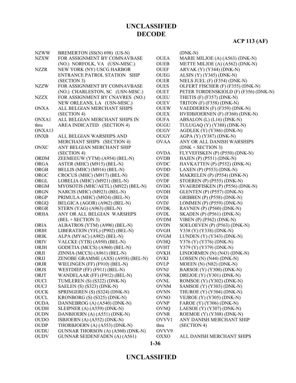| <b>NZWW</b> | BREMERTON (SS(N) 698) (US-N)         |             | $(DNK-N)$                             |
|-------------|--------------------------------------|-------------|---------------------------------------|
| <b>NZXW</b> | FOR ASSIGNMENT BY COMNAVBASE         | <b>OUEA</b> | MARIE MILJOE (A) (A563) (DNK-N)       |
|             | (NO.) NORFOLK, VA (USN-MISC.)        | <b>OUEB</b> | METTE MILJOE (A) (A562) (DNK-N)       |
| <b>NZZR</b> | NEW YORK (NY) USCG HARBOR            | <b>OUEF</b> | ARVAK (Y) (Y344) (DNK-N)              |
|             | ENTRANCE PATROL STATION SHIP         | <b>OUEG</b> | ALSIN $(Y)$ $(Y345)$ $(DNK-N)$        |
|             | (SECTION 3)                          | <b>OUER</b> | NIELS JUEL $(F)$ $(F354)$ $(DNK-N)$   |
| <b>NZZW</b> | FOR ASSIGNMENT BY COMNAVBASE         | <b>OUES</b> | OLFERT FISCHER (F) (F355) (DNK-N)     |
|             | (NO.) CHARLESTON, SC (USN-MISC.)     | <b>OUET</b> | PETER TORDENSKIOLD (F) (F356) (DNK-N) |
| <b>NZZX</b> | FOR ASSIGNMENT BY CNAVRES (NO.)      | <b>OUEU</b> | THETIS $(F)$ $(F357)$ $(DNK-N)$       |
|             | NEW ORLEANS, LA (USN-MISC.)          | <b>OUEV</b> | TRITON $(F)$ $(F358)$ $(DNK-N)$       |
| <b>ONXA</b> | ALL BELGIAN MERCHANT SHIPS           | <b>OUEW</b> | VAEDDEREN (F) (F359) (DNK-N)          |
|             | (SECTION 4)                          | <b>OUEX</b> | HVIDBJOERNEN (F) (F360) (DNK-N)       |
| ONXA1       | ALL BELGIAN MERCHANT SHIPS IN        | <b>OUFA</b> | ABSALON (L) (L16) (DNK-N)             |
| thru        | AREA INDICATED (SECTION 4)           | OUGU        | TULUGAQ (Y) (Y388) (DNK-N)            |
| ONXA13      |                                      | <b>OUGV</b> | AGDLEK (Y) (Y386) (DNK-N)             |
| <b>ONXB</b> | ALL BELGIAN WARSHIPS AND             | <b>OUGY</b> | AGPA (Y) (Y387) (DNK-N)               |
|             | MERCHANT SHIPS (SECTION 4)           | <b>OVAA</b> | ANY OR ALL DANISH WARSHIPS            |
| ONXC        | ANY BELGIAN MERCHANT SHIP            |             | $(DNK + SECTION 3)$                   |
|             | (SECTION 4)                          | <b>OVDA</b> | FLYVEFISKEN (P) (P550) (DNK-N)        |
| <b>ORDM</b> | ZEEMEEUW (YTM) (A954) (BEL-N)        | <b>OVDB</b> | HAJEN (P) (P551) (DNK-N)              |
| <b>ORGA</b> | ASTER (MHC) (M915) (BEL-N)           | <b>OVDC</b> | HAVKATTEN (P) (P552) (DNK-N)          |
| ORGB        | BELLIS (MHC) (M916) (BEL-N)          | <b>OVDD</b> | LAXEN (P) (P553) (DNK-N)              |
| ORGC        | CROCUS (MHC) (M917) (BEL-N)          | <b>OVDE</b> | MAKRELEN (P) (P554) (DNK-N)           |
| ORGL        | LOBELIA (MHC) (M921) (BEL-N)         | <b>OVDF</b> | STOEREN (P) (P555) (DNK-N)            |
| <b>ORGM</b> | MYOSOTIS (MHC/AETL) (M922) (BEL-N)   | OVDG        | SVAERDFISKEN (P) (P556) (DNK-N)       |
| <b>ORGN</b> | NARCIS (MHC) (M923) (BEL-N)          | <b>OVDH</b> | GLENTEN (P) (P557) (DNK-N)            |
| ORGP        | PRIMULA (MHC) (M924) (BEL-N)         | <b>OVDI</b> | GRIBBEN (P) (P558) (DNK-N)            |
| <b>ORGQ</b> | BELGICA (AGOR) (A962) (BEL-N)        | <b>OVDJ</b> | LOMMEN (P) (P559) (DNK-N)             |
| ORGR        | STERN (YAG) (A963) (BEL-N)           | <b>OVDK</b> | RAVNEN (P) (P560) (DNK-N)             |
| <b>ORHA</b> | ANY OR ALL BELGIAN WARSHIPS          | <b>OVDL</b> | <b>SKADEN</b> (P) (P561) (DNK-N)      |
|             | $(BEL + SECTION 3)$                  | <b>OVDM</b> | VIBEN (P) (P562) (DNK-N)              |
| <b>ORIA</b> | ALBATROS (YTM) (A996) (BEL-N)        | <b>OVDN</b> | SOELOEVEN (P) (P563) (DNK-N)          |
| ORIH        | LIBERATION (YFL) (P902) (BEL-N)      | OVGH        | Y338 (Y) (Y338) (DNK-N)               |
| <b>ORIK</b> | ALPA (MYAC) (A982) (BEL-N)           | <b>OVGM</b> | LUNDEN $(Y)$ $(Y343)$ $(DNK-N)$       |
| <b>ORIV</b> | VALCKE (YTB) (A950) (BEL-N)          | <b>OVHQ</b> | Y376 (Y) (Y376) (DNK-N)               |
| ORJH        | GODETIA (MCCS) (A960) (BEL-N)        | OVHT        | Y379 (Y) (Y379) (DNK-N)               |
| ORJI        | ZINNIA (MCCS) (A961) (BEL-N)         | <b>OVKH</b> | LINDORMEN (N) (N43) (DNK-N)           |
| ORJJ        | ZENOBE GRAMME (AXS) (A958) (BEL-N)   | <b>OVKI</b> | LOSSEN (N) (N44) (DNK-N)              |
| ORJR        | WIELINGEN (FF) (F910) (BEL-N)        | <b>OVLP</b> | MOEEN (N) (N82) (DNK-N)               |
| <b>ORJS</b> | WESTDIEP (FF) (F911) (BEL-N)         | <b>OVNJ</b> | BARSOE (Y) (Y300) (DNK-N)             |
| ORJT        | WANDELAAR (FF) (F912) (BEL-N)        | <b>OVNK</b> | DREJOE $(Y)$ $(Y301)$ $(DNK-N)$       |
| <b>OUCI</b> | TUMLEREN (S) (S322) (DNK-N)          | <b>OVNL</b> | ROMSOE (Y) (Y302) (DNK-N)             |
| <b>OUCJ</b> | SAELEN (S) (S323) (DNK-N)            | <b>OVNM</b> | SAMSOE (Y) (Y303) (DNK-N)             |
| <b>OUCK</b> | SPRINGEREN (S) (S324) (DNK-N)        | <b>OVNN</b> | THUROE (Y) (Y304) (DNK-N)             |
| <b>OUCL</b> | KRONBORG (S) (S325) (DNK-N)          | <b>OVNO</b> | VEJROE $(Y)$ (Y305) (DNK-N)           |
| <b>OUDA</b> | DANNEBROG (A) (A540) (DNK-N)         | <b>OVNP</b> | FAROE (Y) (Y306) (DNK-N)              |
| <b>OUDH</b> | SLEIPNER (A) (A559) (DNK-N)          | <b>OVNQ</b> | LAESOE $(Y)$ $(Y307)$ $(DNK-N)$       |
| <b>OUDN</b> | DANBJOERN (A) (A551) (DNK-N)         | <b>OVNR</b> | ROEMOE (Y) (Y308) (DNK-N)             |
| <b>OUDO</b> | ISBJOERN (A) (A552) (DNK-N)          | OVVV1       | ANY DANISH MERCHANT SHIP              |
| <b>OUDP</b> | THORBJOERN (A) (A553) (DNK-N)        | thru        | (SECTION 4)                           |
| <b>OUDU</b> | GUNNAR THORSON (A) (A560) (DNK-N)    | OVVV9       |                                       |
| <b>OUDV</b> | <b>GUNNAR SEIDENFADEN (A) (A561)</b> | <b>OXXO</b> | ALL DANISH MERCHANT SHIPS             |

#### **1-36**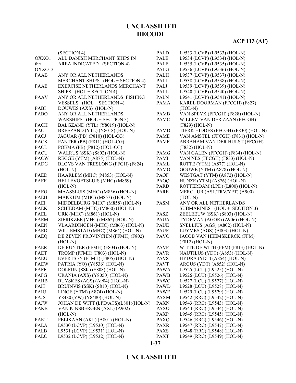# **ACP 113 (AF)**

|             | (SECTION 4)                          | <b>PALD</b> | L9533 (LCVP) (L9533) (HOL-N)        |
|-------------|--------------------------------------|-------------|-------------------------------------|
| OXXO1       | ALL DANISH MERCHANT SHIPS IN         | <b>PALE</b> | L9534 (LCVP) (L9534) (HOL-N)        |
| thru        | AREA INDICATED (SECTION 4)           | <b>PALF</b> | L9535 (LCVP) (L9535) (HOL-N)        |
| OXXO13      |                                      | PALG        | L9536 (LCVP) (L9536) (HOL-N)        |
| <b>PAAB</b> | ANY OR ALL NETHERLANDS               | <b>PALH</b> | L9537 (LCVP) (L9537) (HOL-N)        |
|             | MERCHANT SHIPS (HOL + SECTION 4)     | PALI        | L9538 (LCVP) (L9538) (HOL-N)        |
| <b>PAAE</b> | EXERCISE NETHERLANDS MERCHANT        | PALJ        | L9539 (LCVP) (L9539) (HOL-N)        |
|             | SHIPS (HOL + SECTION 4)              | PALL        | L9540 (LCVP) (L9540) (HOL-N)        |
| <b>PAAV</b> | ANY OR ALL NETHERLANDS FISHING       | <b>PALN</b> | L9541 (LCVP) (L9541) (HOL-N)        |
|             | VESSELS (HOL + SECTION 4)            | <b>PAMA</b> | KAREL DOORMAN (FFCGH) (F827)        |
| PABI        | DOUWES (AXS) (HOL-N)                 |             | $(HOL-N)$                           |
| <b>PABO</b> | ANY OR ALL NETHERLANDS               | <b>PAMB</b> | VAN SPEYK (FFCGH) (F828) (HOL-N)    |
|             | WARSHIPS (HOL + SECTION 3)           | <b>PAMC</b> | WILLEM VAN DER ZAAN (FFCGH)         |
| <b>PACH</b> | BALGZAND (YTL) (Y8019) (HOL-N)       |             | (F829) (HOL-N)                      |
| <b>PACI</b> | BREEZAND (YTL) (Y8018) (HOL-N)       | <b>PAMD</b> | TJERK HIDDES (FFCGH) (F830) (HOL-N) |
| <b>PACJ</b> | JAGUAR (PB) (P810) (HOL-CG)          | <b>PAME</b> | VAN AMSTEL (FFCGH) (F831) (HOL-N)   |
| <b>PACK</b> | PANTER (PB) (P811) (HOL-CG)          | <b>PAMF</b> | ABRAHAM VAN DER HULST (FFCGH)       |
| <b>PACL</b> | POEMA (PB) (P812) (HOL-CG)           |             | $(F832)$ (HOL-N)                    |
| <b>PACU</b> | WALRUS (SSK) (S802) (HOL-N)          | <b>PAMG</b> | VAN GALEN (FFCGH) (F834) (HOL-N)    |
| <b>PACW</b> | REGGE (YTM) (A875) (HOL-N)           | PAMI        | VAN NES (FFCGH) (F833) (HOL-N)      |
| PADG        | BLOYS VAN TRESLONG (FFGH) (F824)     | <b>PAML</b> | ROTTE (YTM) (A877) (HOL-N)          |
|             | $(HOL-N)$                            | <b>PAMO</b> | GOUWE (YTM) (A878) (HOL-N)          |
| <b>PAED</b> | HAARLEM (MHC) (M853) (HOL-N)         | <b>PAOF</b> | WESTGAT (YTM) (A872) (HOL-N)        |
| <b>PAEF</b> | HELLEVOETSLUIS (MHC) (M859)          | PAOQ        | HUNZE (YTM) (A876) (HOL-N)          |
|             | $(HOL-N)$                            | <b>PARD</b> | ROTTERDAM (LPD) (L800) (HOL-N)      |
| <b>PAEG</b> | MAASSLUIS (MHC) (M856) (HOL-N)       | <b>PARE</b> | MERCUUR (ASL/TRV/YPT) (A900)        |
| <b>PAEH</b> | MAKKUM (MHC) (M857) (HOL-N)          |             | $(HOL-N)$                           |
| PAEI        | MIDDELBURG (MHC) (M858) (HOL-N)      | <b>PASM</b> | ANY OR ALL NETHERLANDS              |
| <b>PAEK</b> | SCHIEDAM (MHC) (M860) (HOL-N)        |             | SUBMARINES (HOL + SECTION 3)        |
| PAEL        | URK (MHC) (M861) (HOL-N)             | PASZ        | ZEELEEUW (SSK) (S803) (HOL-N)       |
| <b>PAEM</b> | ZIERIKZEE (MHC) (M862) (HOL-N)       | <b>PAUA</b> | TYDEMAN (AGOR) (A906) (HOL-N)       |
| <b>PAEN</b> | VLAARDINGEN (MHC) (M863) (HOL-N)     | <b>PAUE</b> | SNELLIUS (AGS) (A802) (HOL-N)       |
| <b>PAEO</b> | WILLEMSTAD (MHC) (M864) (HOL-N)      | <b>PAUF</b> | LUYMES (AGS) (A803) (HOL-N)         |
| PAEQ        | DE ZEVEN PROVINCIEN (FFMH) (F802)    | <b>PAVO</b> | <b>JACOB VAN HEEMSKERCK (FFM)</b>   |
|             | $(HOL-N)$                            |             | $(F812) (HOL-N)$                    |
| <b>PAER</b> | DE RUYTER (FFMH) (F804) (HOL-N)      | <b>PAVP</b> | WITTE DE WITH (FFM) (F813) (HOL-N)  |
| <b>PAET</b> | TROMP (FFMH) (F803) (HOL-N)          | <b>PAVR</b> | NAUTILUS (YDT) (A853) (HOL-N)       |
| <b>PAEU</b> | EVERTSEN (FFMH) (F805) (HOL-N)       | <b>PAVS</b> | HYDRA (YDT) (A854) (HOL-N)          |
| <b>PAEW</b> | PATRIA (YO) (Y8536) (HOL-N)          | <b>PAVT</b> | ARGUS (YDT) (A852) (HOL-N)          |
| <b>PAFF</b> | DOLFIJN (SSK) (S808) (HOL-N)         | <b>PAWA</b> | L9525 (LCU) (L9525) (HOL-N)         |
| PAFG        | URANIA (AXS) (Y8050) (HOL-N)         | <b>PAWB</b> | L9526 (LCU) (L9526) (HOL-N)         |
| PAHB        | BUYSKES (AGS) (A904) (HOL-N)         | PAWC        | L9527 (LCU) (L9527) (HOL-N)         |
| PAIT        | BRUINVIS (SSK) (S810) (HOL-N)        | PAWD        | L9528 (LCU) (L9528) (HOL-N)         |
| PAIU        | LINGE (YTM) (A874) (HOL-N)           | PAWE        | L9529 (LCU) (L9529) (HOL-N)         |
| <b>PAJS</b> | Y8480 (YW) (Y8480) (HOL-N)           | PAXM        | L9542 (RRC) (L9542) (HOL-N)         |
| PAJW        | JOHAN DE WITT (LPD/ATS)(L801)(HOL-N) | <b>PAXN</b> | L9543 (RRC) (L9543) (HOL-N)         |
| <b>PAKB</b> | VAN KINSBERGEN (AXL) (A902)          | <b>PAXO</b> | L9544 (RRC) (L9544) (HOL-N)         |
|             | $(HOL-N)$                            | <b>PAXP</b> | L9545 (RRC) (L9545) (HOL-N)         |
| <b>PAKT</b> | PELIKAAN (AKL) (A801) (HOL-N)        | PAXQ        | L9546 (RRC) (L9546) (HOL-N)         |
| PALA        | L9530 (LCVP) (L9530) (HOL-N)         | <b>PAXR</b> | L9547 (RRC) (L9547) (HOL-N)         |
| PALB        | L9531 (LCVP) (L9531) (HOL-N)         | <b>PAXS</b> | L9548 (RRC) (L9548) (HOL-N)         |
| PALC        | L9532 (LCVP) (L9532) (HOL-N)         | <b>PAXT</b> | L9549 (RRC) (L9549) (HOL-N)         |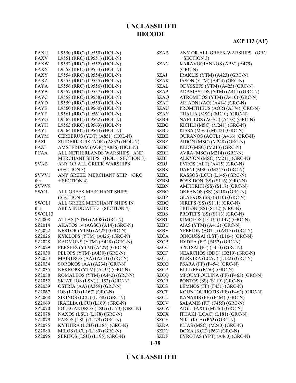| <b>PAXU</b> | L9550 (RRC) (L9550) (HOL-N)      | <b>SZAB</b> | ANY OR ALL GREEK WARSHIPS (GRC    |
|-------------|----------------------------------|-------------|-----------------------------------|
| <b>PAXV</b> | L9551 (RRC) (L9551) (HOL-N)      |             | $+$ SECTION 3)                    |
| <b>PAXW</b> | L9552 (RRC) (L9552) (HOL-N)      | <b>SZAC</b> | KARAVOGIANNOS (ABV) (A479)        |
| <b>PAXX</b> | L9553 (RRC) (L9553) (HOL-N)      |             | $(GRC-N)$                         |
| <b>PAXY</b> | L9554 (RRC) (L9554) (HOL-N)      | <b>SZAJ</b> | IRAKLIS (YTM) (A423) (GRC-N)      |
| <b>PAXZ</b> | L9555 (RRC) (L9555) (HOL-N)      | <b>SZAK</b> | IASON (YTM) (A424) (GRC-N)        |
| PAYA        | L9556 (RRC) (L9556) (HOL-N)      | <b>SZAL</b> | ODYSSEFS (YTM) (A425) (GRC-N)     |
| <b>PAYB</b> | L9557 (RRC) (L9557) (HOL-N)      | <b>SZAP</b> | ADAMASTOS (YTM) (A411) (GRC-N)    |
| PAYC        | L9558 (RRC) (L9558) (HOL-N)      | <b>SZAQ</b> | ATROMITOS (YTM) (A410) (GRC-N)    |
| PAYD        | L9559 (RRC) (L9559) (HOL-N)      | <b>SZAT</b> | ARIADNI (AO) (A414) (GRC-N)       |
| <b>PAYE</b> | L9560 (RRC) (L9560) (HOL-N)      | <b>SZAU</b> | PROMITHEUS (AOR) (A374) (GRC-N)   |
| <b>PAYF</b> | L9561 (RRC) (L9561) (HOL-N)      | <b>SZAY</b> | THALIA (MSC) (M210) (GRC-N)       |
| PAYG        | L9562 (RRC) (L9562) (HOL-N)      | <b>SZBB</b> | NAFTILOS (AGSC) (A478) (GRC-N)    |
| <b>PAYH</b> | L9563 (RRC) (L9563) (HOL-N)      | <b>SZBC</b> | KICHLI (MSC) (M241) (GRC-N)       |
| PAYI        | L9564 (RRC) (L9564) (HOL-N)      | <b>SZBD</b> | KISSA (MSC) (M242) (GRC-N)        |
| <b>PAYM</b> | CERBERUS (YDT) (A851) (HOL-N)    | <b>SZBE</b> | OURANOS (AOTL) (A416) (GRC-N)     |
| PAZI        | ZUIDERKRUIS (AOR) (A832) (HOL-N) | <b>SZBF</b> | AIDON (MSC) (M248) (GRC-N)        |
| PAZJ        | AMSTERDAM (AOR) (A836) (HOL-N)   | <b>SZBG</b> | KLIO (MSC) (M213) (GRC-N)         |
| <b>PCAA</b> | ALL NETHERLANDS WARSHIPS AND     | <b>SZBH</b> | AVRA (MSC) (M214) (GRC-N)         |
|             | MERCHANT SHIPS (HOL + SECTION 3) | <b>SZBI</b> | ALKYON (MSC) (M211) (GRC-N)       |
| <b>SVAB</b> | ANY OR ALL GREEK WARSHIPS        | <b>SZBJ</b> | EVROS (AET) $(A415)$ (GRC-N)      |
|             | (SECTION 3)                      | <b>SZBK</b> | DAFNI (MSC) (M247) (GRC-N)        |
| SVVV1       | ANY GREEK MERCHANT SHIP (GRC     | <b>SZBL</b> | KASSOS (LCU) (L145) (GRC-N)       |
| thru        | $+$ SECTION 4)                   | <b>SZBM</b> | POSSIDON (SS) (S116) (GRC-N)      |
| SVVV9       |                                  | <b>SZBN</b> | AMFITRITI (SS) (S117) (GRC-N)     |
| SWOL        | ALL GREEK MERCHANT SHIPS         | <b>SZBO</b> | OKEANOS (SS) (S118) (GRC-N)       |
|             | (SECTION 4)                      | <b>SZBP</b> | GLAFKOS (SS) (S110) (GRC-N)       |
| SWOL1       | ALL GREEK MERCHANT SHIPS IN      | <b>SZBQ</b> | NIREFS (SS) (S111) (GRC-N)        |
| thru        | AREA INDICATED (SECTION 4)       | <b>SZBR</b> | TRITON (SS) (S112) (GRC-N)        |
| SWOL13      |                                  | <b>SZBS</b> | PROTEFS (SS) (S113) (GRC-N)       |
| SZ2008      | ATLAS (YTM) (A408) (GRC-N)       | <b>SZBT</b> | KIMOLOS (LCU) (L147) (GRC-N)      |
| SZ2014      | AKATOS 14 (AGSC) (A14) (GRC-N)   | <b>SZBU</b> | AIAS (YTM) (A412) (GRC-N)         |
| SZ2022      | NESTOR (YTM) (A422) (GRC-N)      | <b>SZBV</b> | YPERION (AOTL) (A417) (GRC-N)     |
| SZ2026      | KYKLOPS (YTM) (A426) (GRC-N)     | <b>SZCA</b> | OINOUSSAI (LST) (L104) (GRC-N)    |
| SZ2028      | KADMONS (YTM) (A428) (GRC-N)     | <b>SZCB</b> | HYDRA (FF) (F452) (GRC-N)         |
| SZ2029      | PERSEFS (YTM) (A429) (GRC-N)     | <b>SZCC</b> | SPETSAI (FF) (F453) (GRC-N)       |
| SZ2030      | PELOPS (YTM) (A430) (GRC-N)      | <b>SZCF</b> | NEARCHOS (DDG) (D219) (GRC-N)     |
| SZ2033      | MAISTROS (AA) (A233) (GRC-N)     | <b>SZCL</b> | KERKIRA (LCAC) (L182) (GRC-N)     |
| SZ2034      | SOROKOS (AA) (A234) (GRC-N)      | <b>SZCO</b> | PSARA (FF) (F454) (GRC-N)         |
| SZ2035      | KEKROPS (YTM) (A435) (GRC-N)     | <b>SZCP</b> | ELLI (FF) (F450) (GRC-N)          |
| SZ2038      | ROMALEOS (YTM) (A442) (GRC-N)    | <b>SZCQ</b> | MPOUMPOULINA (FF) (F463) (GRC-N)  |
| SZ2052      | SKIATHOS (LSV) (L152) (GRC-N)    | <b>SZCR</b> | PONTOS (SS) (S119) (GRC-N)        |
| SZ2059      | OSTRIA (AA) (A359) (GRC-N)       | <b>SZCS</b> | LEMNOS (FF) (F451) (GRC-N)        |
| SZ2067      | $IOS$ (LCU) (L167) (GRC-N)       | <b>SZCT</b> | KOUNTOURIOTIS (FF) (F462) (GRC-N) |
| SZ2068      | SIKINOS (LCU) (L168) (GRC-N)     | <b>SZCU</b> | KANARIS (FF) (F464) (GRC-N)       |
| SZ2069      | IRAKLIA (LCU) (L169) (GRC-N)     | <b>SZCV</b> | SALAMIS (FF) (F455) (GRC-N)       |
| SZ2070      | FOLEGANDROS (LSU) (L170) (GRC-N) | <b>SZCW</b> | AIGLI (AXL) (M246) (GRC-N)        |
| SZ2078      | NAXOS (LSU) (L178) (GRC-N)       | <b>SZCX</b> | ITHAKI (LCAC) (L181) (GRC-N)      |
| SZ2079      | PAROS (LSU) (L179) (GRC-N)       | <b>SZCY</b> | NIKI (KCE) (P62) (GRC-N)          |
| SZ2085      | KYTHIRA (LCU) (L185) (GRC-N)     | <b>SZDA</b> | PLIAS (MSC) (M240) (GRC-N)        |
| SZ2089      | MILOS (LCU) (L189) (GRC-N)       | <b>SZDC</b> | DOXA (KCE) (P63) (GRC-N)          |
| SZ2095      | SERIFOS (LSU) (L195) (GRC-N)     | <b>SZDF</b> | EYROTAS (YPT) (A460) (GRC-N)      |
|             |                                  |             |                                   |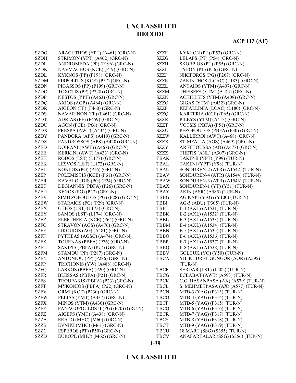#### **UNCLASSIFIED**

#### **1-39**

| <b>SZDH</b> | STRIMON (YPT) (A462) (GRC-N)       | SZZG        | LELAPS (PT) (P54) (GRC-N)          |
|-------------|------------------------------------|-------------|------------------------------------|
| <b>SZDI</b> | ANDROMEDA (PP) (P196) (GRC-N)      | SZZH        | SKORPIOS (PT) (P55) (GRC-N)        |
| <b>SZDK</b> | NAVMACHOS (KCE) (P19) (GRC-N)      | <b>SZZI</b> | TYFON (PT) (P56) (GRC-N)           |
| <b>SZDL</b> | KYKNOS (PP) (P198) (GRC-N)         | <b>SZZJ</b> | NIKIFOROS (PG) (P267) (GRC-N)      |
| <b>SZDM</b> | PIRPOLITIS (KCE) (P57) (GRC-N)     | <b>SZZK</b> | ZAKINTHOS (LCAC) (L183) (GRC-N)    |
| <b>SZDN</b> | PIGASSOS (PP) (P199) (GRC-N)       | SZZL        | ANTAIOS (YTM) (A407) (GRC-N)       |
| <b>SZDO</b> | TOXOTIS (PP) (P228) (GRC-N)        | <b>SZZM</b> | THISSEFS (YTM) (A144) (GRC-N)      |
| <b>SZDP</b> | NESTOS (YPT) (A463) (GRC-N)        | <b>SZZN</b> | ACHILLEFS (YTM) (A409) (GRC-N)     |
| <b>SZDQ</b> | AXIOS (AGP) (A464) (GRC-N)         | <b>SZZO</b> | GIGAS (YTM) (A432) (GRC-N)         |
| <b>SZDR</b> | AIGEON (FF) (F460) (GRC-N)         | <b>SZZP</b> | KEFALLINIA (LCAC) (L180) (GRC-N)   |
| <b>SZDS</b> | NAVARINON (FF) (F461) (GRC-N)      | <b>SZZQ</b> | KARTERIA (KCE) (P65) (GRC-N)       |
| <b>SZDT</b> | ADRIAS (FF) (F459) (GRC-N)         | <b>SZZR</b> | PILEYS (YTM) (A413) (GRC-N)        |
| <b>SZDU</b> | AGON (PCE) (P66) (GRC-N)           | <b>SZZT</b> | VOTSIS (PBFA) (P51) (GRC-N)        |
| <b>SZDX</b> | PRESPA (AWT) (A434) (GRC-N)        | <b>SZZU</b> | PEZOPOULOS (PBFA) (P30) (GRC-N)    |
| <b>SZDY</b> | PANDORA (APS) (A419) (GRC-N)       | <b>SZZW</b> | KALLIRROI (AWT) (A468) (GRC-N)     |
| <b>SZDZ</b> | PANDROSSOS (APS) (A420) (GRC-N)    | <b>SZZX</b> | STIMFALIA (AGS) (A469) (GRC-N)     |
| <b>SZED</b> | DOIRANI (AWT) (A467) (GRC-N)       | SZZY        | ARETHOUSSA (AO) (A477) (GRC-N)     |
| <b>SZEE</b> | KERKINI (AWT) (A433) (GRC-N)       | SZZZ        | THETIS (ANL) (A307) (GRC-N)        |
| <b>SZEH</b> | RODOS (LST) (L177) (GRC-N)         | <b>TBAK</b> | TAKIP-II (YPT) (Y99) (TUR-N)       |
| <b>SZEK</b> | LESVOS (LST) (L172) (GRC-N)        | TBAL        | TAKIP-I (YPT) (Y98) (TUR-N)        |
| <b>SZEL</b> | KONIDIS (PG) (P16) (GRC-N)         | <b>TBAU</b> | SONDUREN-2 (ATR) (A1542) (TUR-N)   |
| <b>SZEP</b> | POLEMISTIS (KCE) (P61) (GRC-N)     | <b>TBAV</b> | SONDUREN-4 (ATR) (A1544) (TUR-N)   |
| <b>SZER</b> | KAVALOUDIS (PG) (P24) (GRC-N)      | <b>TBAW</b> | SONDUREN-3 (ATR) (A1543) (TUR-N)   |
| <b>SZET</b> | DEGIANNIS (PBFA) (P26) (GRC-N)     | <b>TBAX</b> | SONDUREN-1 (YT) (Y51) (TUR-N)      |
| <b>SZEU</b> | XENOS (PG) (P27) (GRC-N)           | <b>TBAY</b> | AKIN (ASR) (A585) (TUR-N)          |
| <b>SZEV</b> | SIMITZOPOULOS (PG) (P28) (GRC-N)   | <b>TBBG</b> | AG KAPI (YAG) (Y100) (TUR-N)       |
| <b>SZEW</b> | STARAKIS (PG) (P29) (GRC-N)        | <b>TBBI</b> | AG-5 (ABU) (P305) (TUR-N)          |
| <b>SZEX</b> | CHIOS (LST) (L173) (GRC-N)         | <b>TBBJ</b> | E-1 (AXL) (A1531) (TUR-N)          |
| <b>SZEY</b> | SAMOS (LST) (L174) (GRC-N)         | <b>TBBK</b> | E-2 (AXL) (A1532) (TUR-N)          |
| <b>SZEZ</b> | ELEFTHERIA (KCE) (P64) (GRC-N)     | TBBL        | E-3 (AXL) (A1533) (TUR-N)          |
| <b>SZFC</b> | STRAVON (AGS) (A476) (GRC-N)       | <b>TBBM</b> | E-4 (AXL) (A1534) (TUR-N)          |
| <b>SZFE</b> | LIKOUDIS (AG) (A481) (GRC-N)       | <b>TBBN</b> | E-5 (AXL) (A1535) (TUR-N)          |
| <b>SZFF</b> | PYTHEAS (AGSC) (A474) (GRC-N)      | <b>TBBO</b> | E-6 (AXL) (A1536) (TUR-N)          |
| <b>SZFK</b> | TOURNAS (PBFA) (P76) (GRC-N)       | <b>TBBP</b> | E-7 (AXL) (A1537) (TUR-N)          |
| <b>SZFL</b> | SAKIPIS (PBFA) (P77) (GRC-N)       | <b>TBBQ</b> | E-8 (AXL) (A1538) (TUR-N)          |
| <b>SZFM</b> | STAMOU (PP) (P287) (GRC-N)         | <b>TBBV</b> | GOLCUK (YO) (Y50) (TUR-N)          |
| <b>SZFN</b> | ANTONIOU (PP) (P286) (GRC-N)       | <b>TBCA</b> | YB. KUDRET GUNGOR (AOR) (A595)     |
| <b>SZFP</b> | TRICHONIS (YW) (A488) (GRC-N)      |             | $(TUR-N)$                          |
| <b>SZFQ</b> | LASKOS (PBFA) (P20) (GRC-N)        | <b>TBCF</b> | SERDAR (LST) (L402) (TUR-N)        |
| <b>SZFR</b> | BLESSAS (PBFA) (P21) (GRC-N)       | <b>TBCG</b> | ECEABAT (AWT) (A593) (TUR-N)       |
| <b>SZFS</b> | TROUPAKIS (PBFA) (P23) (GRC-N)     | <b>TBCK</b> | C.G. HASANPASA (AX) (A579) (TUR-N) |
| <b>SZFT</b> | MYKONIOS (PBFA) (P22) (GRC-N)      | <b>TBCL</b> | S. MEHMETPASA (AX) (A577) (TUR-N)  |
| <b>SZFV</b> | ORMI (KCE) (P230) (GRC-N)          | <b>TBCN</b> | MTB-3 (YAG) (P313) (TUR-N)         |
| <b>SZFW</b> | PELIAS (YMT) (A437) (GRC-N)        | TBCO        | MTB-4 (YAG) (P314) (TUR-N)         |
| <b>SZFX</b> | MINOS (YTM) (A436) (GRC-N)         | <b>TBCP</b> | MTB-5 (YAG) (P315) (TUR-N)         |
| <b>SZFY</b> | PANAGOPOULOS II (PG) (P70) (GRC-N) | <b>TBCQ</b> | MTB-6 (YAG) (P316) (TUR-N)         |
| <b>SZFZ</b> | AIGEFS (YMT) (A438) (GRC-N)        | <b>TBCR</b> | MTB-7 (YAG) (P317) (TUR-N)         |
| <b>SZZA</b> | ERATO (MHC) (M60) (GRC-N)          | <b>TBCS</b> | MTB-8 (YAG) (P318) (TUR-N)         |
| <b>SZZB</b> | EVNIKI (MHC) (M61) (GRC-N)         | <b>TBCT</b> | MTB-9 (YAG) (P319) (TUR-N)         |
| <b>SZZC</b> | ESPEROS (PT) (P50) (GRC-N)         | <b>TBCU</b> | 18 MART (SSG) (S355) (TUR-N)       |
| <b>SZZD</b> | EUROPE (MHC) (M62) (GRC-N)         | <b>TBCV</b> | ANAFARTALAR (SSG) (S356) (TUR-N)   |

#### **ACP 113 (AF)**

SZDG ARACHTHOS (YPT) (A461) (GRC-N) SZZF KYKLON (PT) (P53) (GRC-N)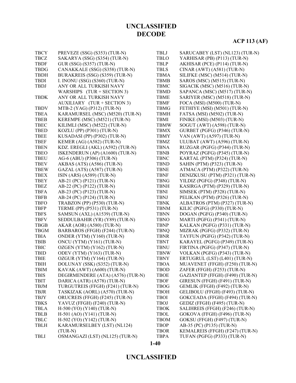# **ACP 113 (AF)**

| <b>TBCY</b> | PREVEZE (SSG) (S353) (TUR-N)      | <b>TBLJ</b> | SARUCABEY (LST) (NL123) (TUR-N) |
|-------------|-----------------------------------|-------------|---------------------------------|
| <b>TBCZ</b> | SAKARYA (SSG) (S354) (TUR-N)      | <b>TBLO</b> | YARHISAR (PB) (P113) (TUR-N)    |
| <b>TBDF</b> | GUR (SSG) (S357) (TUR-N)          | <b>TBLP</b> | AKHISAR (PCE) (P114) (TUR-N)    |
| <b>TBDG</b> | CANAKKALE (SSG) (S358) (TUR-N)    | <b>TBLS</b> | CINAR (AWT) (A581) (TUR-N)      |
| <b>TBDH</b> | BURAKREIS (SSG) (S359) (TUR-N)    | <b>TBMA</b> | SILIFKE (MSC) (M514) (TUR-N)    |
| <b>TBDI</b> | I. INONU (SSG) (S360) (TUR-N)     | <b>TBMB</b> | SAROS (MSC) (M515) (TUR-N)      |
| <b>TBDJ</b> | ANY OR ALL TURKISH NAVY           | <b>TBMC</b> | SIGACIK (MSC) (M516) (TUR-N)    |
|             | WARSHIPS $(TUR + SECTION 3)$      | <b>TBMD</b> | SAPANCA (MSC) (M517) (TUR-N)    |
| <b>TBDK</b> | ANY OR ALL TURKISH NAVY           | <b>TBME</b> | SARIYER (MSC) (M518) (TUR-N)    |
|             | AUXILIARY (TUR + SECTION 3)       | <b>TBMF</b> | FOCA (MSI) (M500) (TUR-N)       |
| <b>TBDV</b> | MTB-2 (YAG) (P312) (TUR-N)        | <b>TBMG</b> | FETHIYE (MSI) (M501) (TUR-N)    |
| <b>TBEA</b> | KARAMURSEL (MSC) (M520) (TUR-N)   | <b>TBMH</b> | FATSA (MSI) (M502) (TUR-N)      |
| <b>TBEB</b> | KEREMPE (MSC) (M521) (TUR-N)      | <b>TBMI</b> | FINIKE (MSI) (M503) (TUR-N)     |
| <b>TBEC</b> | KILIMLI (MSC) (M522) (TUR-N)      | <b>TBMW</b> | SOGUT (AWT) (A598) (TUR-N)      |
| <b>TBED</b> | KOZLU (PP) (P301) (TUR-N)         | <b>TBMX</b> | GURBET (PGFG) (P346) (TUR-N)    |
| <b>TBEE</b> | KUSADASI (PP) (P302) (TUR-N)      | <b>TBMY</b> | VAN (AWT) (A597) (TUR-N)        |
| <b>TBEF</b> | KEMER (AG) (A582) (TUR-N)         | TBMZ        | ULUBAT (AWT) (A596) (TUR-N)     |
| <b>TBEN</b> | KDZ. EREGLI (AKL) (A592) (TUR-N)  | <b>TBNA</b> | RUZGAR (PGFG) (P344) (TUR-N)    |
| <b>TBEO</b> | ISKENDERUN (AP) (A1600) (TUR-N)   | <b>TBNB</b> | POYRAZ (PGFG) (P345) (TUR-N)    |
| <b>TBEU</b> | AG-6 (ABU) (P306) (TUR-N)         | <b>TBNC</b> | KARTAL (PTM) (P324) (TUR-N)     |
| <b>TBEV</b> | AKBAS (ATS) (A586) (TUR-N)        | <b>TBND</b> | SAHIN (PTM) (P323) (TUR-N)      |
| <b>TBEW</b> | GAZAL (ATS) (A587) (TUR-N)        | <b>TBNE</b> | ATMACA (PTM) (P322) (TUR-N)     |
| <b>TBEX</b> | ISIN (ARS) (A589) (TUR-N)         | <b>TBNF</b> | DENIZKUSU (PTM) (P321) (TUR-N)  |
| <b>TBEY</b> | AB-21 (PC) (P121) (TUR-N)         | <b>TBNG</b> | YILDIZ (PGFG) (P348) (TUR-N)    |
| <b>TBEZ</b> | AB-22 (PC) (P122) (TUR-N)         | <b>TBNH</b> | KASIRGA (PTM) (P329) (TUR-N)    |
| <b>TBFA</b> | AB-23 (PC) (P123) (TUR-N)         | <b>TBNI</b> | SIMSEK (PTM) (P328) (TUR-N)     |
| <b>TBFB</b> | AB-24 (PC) (P124) (TUR-N)         | <b>TBNJ</b> | PELIKAN (PTM) (P326) (TUR-N)    |
| <b>TBFO</b> | TRABZON (PP) (P530) (TUR-N)       | <b>TBNK</b> | ALBATROS (PTM) (P327) (TUR-N)   |
| <b>TBFP</b> | TERME (PP) (P531) (TUR-N)         | <b>TBNM</b> | KILIC (PGFG) (P330) (TUR-N)     |
| <b>TBFS</b> | SAMSUN (AXL) (A1539) (TUR-N)      | <b>TBNN</b> | DOGAN (PGFG) (P340) (TUR-N)     |
| <b>TBFV</b> | SEDDULBAHIR (YR) (Y89) (TUR-N)    | <b>TBNO</b> | MARTI (PGFG) (P341) (TUR-N)     |
| <b>TBGB</b> | AKAR (AOR) (A580) (TUR-N)         | <b>TBNP</b> | KALKAN (PGFG) (P331) (TUR-N)    |
| <b>TBGM</b> | BARBAROS (FFGH) (F244) (TUR-N)    | <b>TBNQ</b> | MIZRAK (PGFG) (P332) (TUR-N)    |
| <b>TBIA</b> | ONDER (YTM) (Y160) (TUR-N)        | <b>TBNR</b> | TAYFUN (PGFG) (P342) (TUR-N)    |
| <b>TBIB</b> | ONCU (YTM) (Y161) (TUR-N)         | <b>TBNT</b> | KARAYEL (PGFG) (P349) (TUR-N)   |
| <b>TBIC</b> | OZGEN (YTM) (Y162) (TUR-N)        | <b>TBNU</b> | FIRTINA (PGFG) (P347) (TUR-N)   |
| <b>TBID</b> | ODEV (YTM) (Y163) (TUR-N)         | <b>TBNW</b> | VOLKAN (PGFG) (P343) (TUR-N)    |
| <b>TBIE</b> | OZGUR (YTM) (Y164) (TUR-N)        | <b>TBNY</b> | ERTUGRUL (LST) (L401) (TUR-N)   |
| <b>TBIH</b> | DOLUNAY (SSK) (S352) (TUR-N)      | <b>TBOA</b> | MUAVENET (FFGH) (F250) (TUR-N)  |
| <b>TBIM</b> | KAVAK (AWT) (A600) (TUR-N)        | <b>TBOD</b> | ZAFER (FFGH) (F253) (TUR-N)     |
| <b>TBIS</b> | DEGIRMENDERE (ATA) (A576) (TUR-N) | <b>TBOE</b> | GAZIANTEP (FFGH) (F490) (TUR-N) |
| <b>TBIT</b> | DARICA (ATR) (A578) (TUR-N)       | <b>TBOF</b> | GIRESUN (FFGH) (F491) (TUR-N)   |
| <b>TBJM</b> | TURGUTREIS (FFGH) (F241) (TUR-N)  | <b>TBOG</b> | GEMLIK (FFGH) (F492) (TUR-N)    |
| <b>TBJR</b> | TASKIZAK (AORL) (A570) (TUR-N)    | <b>TBOH</b> | GELIBOLU (FFGH) (F493) (TUR-N)  |
| <b>TBJY</b> | ORUCREIS (FFGH) (F245) (TUR-N)    | <b>TBOI</b> | GOKCEADA (FFGH) (F494) (TUR-N)  |
| <b>TBKS</b> | YAVUZ (FFGH) (F240) (TUR-N)       | TBOJ        | GEDIZ (FFGH) (F495) (TUR-N)     |
| <b>TBLA</b> | H-500 (YO) (Y140) (TUR-N)         | <b>TBOK</b> | SALIHREIS (FFGH) (F246) (TUR-N) |
| <b>TBLB</b> | H-501 (AO) (Y141) (TUR-N)         | TBOL        | GOKOVA (FFGH) (F496) (TUR-N)    |
| <b>TBLC</b> | H-502 (YO) (Y142) (TUR-N)         | <b>TBOM</b> | GOKSU (FFGH) (F497) (TUR-N)     |
| TBLH        | KARAMURSELBEY (LST) (NL124)       | <b>TBOP</b> | AB-35 (PC) (P135) (TUR-N)       |
|             | $(TUR-N)$                         | <b>TBOR</b> | KEMALREIS (FFGH) (F247) (TUR-N) |
| TBLI        | OSMANGAZI (LST) (NL125) (TUR-N)   | <b>TBPA</b> | TUFAN (PGFG) (P333) (TUR-N)     |
|             |                                   |             |                                 |

### **UNCLASSIFIED**

**1-40**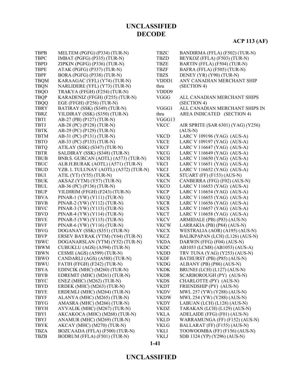| <b>TBPB</b> | MELTEM (PGFG) (P334) (TUR-N)          | <b>TBZC</b> | BANDIRMA (FFLA) (F502) (TUR-N)     |
|-------------|---------------------------------------|-------------|------------------------------------|
| <b>TBPC</b> | IMBAT (PGFG) (P335) (TUR-N)           | <b>TBZD</b> | BEYKOZ (FFLA) (F503) (TUR-N)       |
| <b>TBPD</b> | ZIPKIN (PGFG) (P336) (TUR-N)          | <b>TBZE</b> | BARTIN (FFLA) (F504) (TUR-N)       |
| <b>TBPE</b> | ATAK (PGFG) (P337) (TUR-N)            | <b>TBZF</b> | BAFRA (FFLA) (F505) (TUR-N)        |
| <b>TBPF</b> | BORA (PGFG) (P338) (TUR-N)            | <b>TBZS</b> | DENEY (YR) (Y90) (TUR-N)           |
| <b>TBQM</b> | KARAAGAC (YFL) (Y74) (TUR-N)          | VDDD1       | ANY CANADIAN MERCHANT SHIP         |
| <b>TBQN</b> | NARLIDERE (YFL) (Y73) (TUR-N)         | thru        | (SECTION 4)                        |
| <b>TBQO</b> | TRAKYA (FFGH) (F254) (TUR-N)          | VDDD9       |                                    |
| <b>TBQP</b> | KARADENIZ (FFGH) (F255) (TUR-N)       | VGGG        | ALL CANADIAN MERCHANT SHIPS        |
| <b>TBQQ</b> | EGE (FFGH) (F256) (TUR-N)             |             | (SECTION 4)                        |
| <b>TBRY</b> | BATIRAY (SSK) (S349) (TUR-N)          | VGGG1       | ALL CANADIAN MERCHANT SHIPS IN     |
| <b>TBRZ</b> | YILDIRAY (SSK) (S350) (TUR-N)         | thru        | AREA INDICATED (SECTION 4)         |
| <b>TBTI</b> | AB-27 (PB) (P127) (TUR-N)             | VGGG13      |                                    |
| <b>TBTJ</b> | AB-28 (PC) (P128) (TUR-N)             | <b>VKCC</b> | AIR SPRITE (SAR 6301) (YAG) (Y256) |
| <b>TBTK</b> | AB-29 (PC) (P129) (TUR-N)             |             | $(AUS-N)$                          |
| <b>TBTM</b> | AB-31 (PC) (P131) (TUR-N)             | <b>VKCD</b> | LARC V 109196 (YAG) (AUS-A)        |
| <b>TBTO</b> | AB-33 (PC) (P133) (TUR-N)             | <b>VKCE</b> | LARC V 109197 (YAG) (AUS-A)        |
| <b>TBTQ</b> | ATILAY (SSK) (S347) (TUR-N)           | <b>VKCF</b> | LARC V 116647 (YAG) (AUS-A)        |
| <b>TBTR</b> | SALDIRAY (SSK) (S348) (TUR-N)         | <b>VKCG</b> | LARC V 116649 (YAG) (AUS-A)        |
| <b>TBUB</b> | BNB.S. GURCAN (AOTL) (A573) (TUR-N)   | <b>VKCH</b> | LARC V 116650 (YAG) (AUS-A)        |
| <b>TBUC</b> | ALB.H.BURAK (AOTL) (A571) (TUR-N)     | <b>VKCI</b> | LARC V 116651 (YAG) (AUS-A)        |
| <b>TBUD</b> | YZB. I. TULUNAY (AOTL) (A572) (TUR-N) | <b>VKCJ</b> | LARC V 116652 (YAG) (AUS-A)        |
| <b>TBUI</b> | ATIL (YT) (Y55) (TUR-N)               | <b>VKCK</b> | STUART (FF) (F153) (AUS-N)         |
| <b>TBUK</b> | AKSAZ (YTM) (Y57) (TUR-N)             | <b>VKCN</b> | CANBERRA (FFG) (F02) (AUS-N)       |
| <b>TBUL</b> | AB-36 (PC) (P136) (TUR-N)             | <b>VKCO</b> | LARC V 116653 (YAG) (AUS-A)        |
| <b>TBUP</b> | YILDIRIM (FFGH) (F243) (TUR-N)        | <b>VKCP</b> | LARC V 116654 (YAG) (AUS-A)        |
| <b>TBVA</b> | PINAR-1 (YW) (Y111) (TUR-N)           | <b>VKCQ</b> | LARC V 116655 (YAG) (AUS-A)        |
| <b>TBVB</b> | PINAR-2 (YW) (Y112) (TUR-N)           | <b>VKCR</b> | LARC V 116656 (YAG) (AUS-A)        |
| <b>TBVC</b> | PINAR-3 (YW) (Y113) (TUR-N)           | <b>VKCS</b> | LARC V 116657 (YAG) (AUS-A)        |
| <b>TBVD</b> | PINAR-4 (YW) (Y114) (TUR-N)           | <b>VKCT</b> | LARC V 116658 (YAG) (AUS-A)        |
| <b>TBVE</b> | PINAR-5 (YW) (Y115) (TUR-N)           | <b>VKCV</b> | ARMIDALE (PB) (P83) (AUS-N)        |
| <b>TBVF</b> | PINAR-6 (YW) (Y116) (TUR-N)           | <b>VKCW</b> | LARRAKIA (PB) (P84) (AUS-N)        |
| <b>TBVG</b> | DOGANAY (SSK) (S351) (TUR-N)          | <b>VKCX</b> | WESTRALIA (AOR) (A195) (AUS-N)     |
| <b>TBVP</b> | ERSEV BAYRAK (YTM) (Y64) (TUR-N)      | <b>VKCZ</b> | BALIKPAPAN (LCH) (L126) (AUS-N)    |
| <b>TBWC</b> | DOGANARSLAN (YTM) (Y52) (TUR-N)       | <b>VKDA</b> | DARWIN (FFG) (F04) (AUS-N)         |
| <b>TBWM</b> | CUBUKLU (AGS) (A594) (TUR-N)          | <b>VKDC</b> | AB1053 (LCM8) (AB1053) (AUS-A)     |
| <b>TBWN</b> | CESME (AGS) (A599) (TUR-N)            | <b>VKDD</b> | TRV TUNA (YAG) (Y253) (AUS-N)      |
| <b>TBWO</b> | CANDARLI (AGS) (A588) (TUR-N)         | <b>VKDF</b> | BATHURST (PB) (P85) (AUS-N)        |
| <b>TBWU</b> | FATIH (FFGH) (F242) (TUR-N)           | <b>VKDG</b> | ALBANY (PB) (P86) (AUS-N)          |
| <b>TBYA</b> | EDINCIK (MHC) (M260) (TUR-N)          | <b>VKDK</b> | BRUNEI (LCH) (L127) (AUS-N)        |
| <b>TBYB</b> | EDREMIT (MHC) (M261) (TUR-N)          | <b>VKDR</b> | SCARBOROUGH (PY) (AUS-N)           |
| TBYC        | ENEZ (MHC) (M262) (TUR-N)             | <b>VKDS</b> | CHARLOTTE (PY) (AUS-N)             |
| TBYD        | ERDEK (MHC) (M263) (TUR-N)            | <b>VKDT</b> | FRIENDSHIP (PY) (AUS-N)            |
| <b>TBYE</b> | ERDEMLI (MHC) (M264) (TUR-N)          | <b>VKDV</b> | MWL 257 (YW) (Y288) (AUS-N)        |
| <b>TBYF</b> | ALANYA (MHC) (M265) (TUR-N)           | <b>VKDW</b> | MWL 254 (YW) (Y288) (AUS-N)        |
| TBYG        | AMASRA (MHC) (M266) (TUR-N)           | <b>VKDY</b> | LABUAN (LCH) (L128) (AUS-N)        |
| <b>TBYH</b> | AYVALIK (MHC) (M267) (TUR-N)          | <b>VKDZ</b> | TARAKAN (LCH) (L129) (AUS-N)       |
| TBYI        | AKCAKOCA (MHC) (M268) (TUR-N)         | <b>VKLA</b> | ADELAIDE (FFG) (F01) (AUS-N)       |
| <b>TBYJ</b> | ANAMUR (MHC) (M269) (TUR-N)           | <b>VKLD</b> | WARRAMUNGA (FF) (F152) (AUS-N)     |
| <b>TBYK</b> | AKCAY (MHC) (M270) (TUR-N)            | <b>VKLG</b> | BALLARAT (FF) (F155) (AUS-N)       |
| TBZA        | BOZCAADA (FFLA) (F500) (TUR-N)        | VKLI        | TOOWOOMBA (FF) (F156) (AUS-N)      |
| <b>TBZB</b> | BODRUM (FFLA) (F501) (TUR-N)          | VKLJ        | SDB 1324 (YP) (Y296) (AUS-N)       |

**1-41**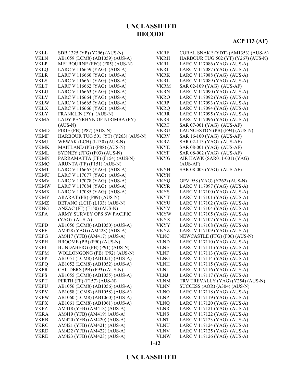| <b>VKLL</b> | SDB 1325 (YP) (Y296) (AUS-N)        | <b>VKRF</b> | CORAL SNAKE (YDT) (AM1353) (AUS-A)  |
|-------------|-------------------------------------|-------------|-------------------------------------|
| <b>VKLN</b> | AB1059 (LCM8) (AB1059) (AUS-A)      | <b>VKRH</b> | HARBOUR TUG 502 (YT) (Y267) (AUS-N) |
| <b>VKLP</b> | MELBOURNE (FFG) (F05) (AUS-N)       | <b>VKRI</b> | LARC V 117086 (YAG) (AUS-A)         |
| <b>VKLQ</b> | LARC V 116659 (YAG) (AUS-A)         | <b>VKRJ</b> | LARC V 117087 (YAG) (AUS-A)         |
| <b>VKLR</b> | LARC V 116660 (YAG) (AUS-A)         | <b>VKRK</b> | LARC V 117088 (YAG) (AUS-A)         |
| <b>VKLS</b> | LARC V 116661 (YAG) (AUS-A)         | <b>VKRL</b> | LARC V 117089 (YAG) (AUS-A)         |
| <b>VKLT</b> | LARC V 116662 (YAG) (AUS-A)         | <b>VKRM</b> | SAR 02-109 (YAG) (AUS-AF)           |
| <b>VKLU</b> | LARC V 116663 (YAG) (AUS-A)         | <b>VKRN</b> | LARC V 117090 (YAG) (AUS-A)         |
| <b>VKLV</b> | LARC V 116664 (YAG) (AUS-A)         | <b>VKRO</b> | LARC V 117092 (YAG) (AUS-A)         |
| <b>VKLW</b> | LARC V 116665 (YAG) (AUS-A)         | <b>VKRP</b> | LARC V 117093 (YAG) (AUS-A)         |
| <b>VKLX</b> | LARC V 116666 (YAG) (AUS-A)         | <b>VKRQ</b> | LARC V 117094 (YAG) (AUS-A)         |
| <b>VKLY</b> | FRANKLIN (PY) (AUS-N)               | <b>VKRR</b> | LARC V 117095 (YAG) (AUS-A)         |
| <b>VKMA</b> | LADY PENRHYN OF NIRIMBA (PY)        | <b>VKRS</b> | LARC V 117096 (YAG) (AUS-A)         |
|             | $(AUS-N)$                           | <b>VKRT</b> | SAR 07-001 (YAG) (AUS-AF)           |
| <b>VKMD</b> | PIRIE (PB) (P87) (AUS-N)            | <b>VKRU</b> | LAUNCESTON (PB) (P94) (AUS-N)       |
| <b>VKMF</b> | HARBOUR TUG 501 (YT) (Y263) (AUS-N) | <b>VKRV</b> | SAR 16-100 (YAG) (AUS-AF)           |
| <b>VKMJ</b> | WEWAK (LCH) (L130) (AUS-N)          | <b>VKRZ</b> | SAR 02-113 (YAG) (AUS-AF)           |
| <b>VKMK</b> | MAITLAND (PB) (P88) (AUS-N)         | <b>VKYE</b> | SAR 08-001 (YAG) (AUS-AF)           |
| <b>VKML</b> | SYDNEY (FFG) (F03) (AUS-N)          | <b>VKYF</b> | SAR 08-002 (YAG) (AUS-AF)           |
| <b>VKMN</b> | PARRAMATTA (FF) (F154) (AUS-N)      | <b>VKYG</b> | AIR HAWK (SAR011-001) (YAG)         |
| <b>VKMQ</b> | ARUNTA (FF) (F151) (AUS-N)          |             | $(AUS-AF)$                          |
| <b>VKMT</b> | LARC V 116667 (YAG) (AUS-A)         | <b>VKYH</b> | SAR 08-003 (YAG) (AUS-AF)           |
| <b>VKMU</b> | LARC V 117077 (YAG) (AUS-A)         | <b>VKYN</b> |                                     |
| <b>VKMV</b> | LARC V 117078 (YAG) (AUS-A)         | <b>VKYQ</b> | GPV 958 (YAG) (Y262) (AUS-N)        |
| <b>VKMW</b> | LARC V 117084 (YAG) (AUS-A)         | <b>VKYR</b> | LARC V 117097 (YAG) (AUS-A)         |
| <b>VKMX</b> | LARC V 117085 (YAG) (AUS-A)         | <b>VKYS</b> | LARC V 117100 (YAG) (AUS-A)         |
| <b>VKMY</b> | ARARAT (PB) (P89) (AUS-N)           | <b>VKYT</b> | LARC V 117101 (YAG) (AUS-A)         |
| <b>VKMZ</b> | BETANO (LCH) (L133) (AUS-N)         | <b>VKYU</b> | LARC V 117102 (YAG) (AUS-A)         |
| <b>VKNG</b> | ANZAC (FF) (F150) (AUS-N)           | <b>VKYV</b> | LARC V 117104 (YAG) (AUS-A)         |
| <b>VKPA</b> | ARMY SURVEY OPS SW PACIFIC          | <b>VKYW</b> | LARC V 117105 (YAG) (AUS-A)         |
|             | $(YAG)$ (AUS-A)                     | <b>VKYX</b> | LARC V 117107 (YAG) (AUS-A)         |
| <b>VKPD</b> | AB1050 (LCM8) (AB1050) (AUS-A)      | <b>VKYY</b> | LARC V 117108 (YAG) (AUS-A)         |
| <b>VKPF</b> | AM428 (YAG) (AM428) (AUS-A)         | <b>VKYZ</b> | LARC V 117109 (YAG) (AUS-A)         |
| <b>VKPG</b> | AM417 (YFB) (AM417) (AUS-A)         | <b>VLNC</b> | NEWCASTLE (FFG) (F06) (AUS-N)       |
| <b>VKPH</b> | BROOME (PB) (P90) (AUS-N)           | <b>VLND</b> | LARC V 117110 (YAG) (AUS-A)         |
| <b>VKPJ</b> | BUNDABERG (PB) (P91) (AUS-N)        | <b>VLNE</b> | LARC V 117111 (YAG) (AUS-A)         |
| <b>VKPM</b> | WOLLONGONG (PB) (P92) (AUS-N)       | <b>VLNF</b> | LARC V 117113 (YAG) (AUS-A)         |
| <b>VKPP</b> | AB1051 (LCM8) (AB1051) (AUS-A)      | <b>VLNG</b> | LARC V 117114 (YAG) (AUS-A)         |
| <b>VKPQ</b> | AB1052 (LCM8) (AB1052) (AUS-A)      | <b>VLNH</b> | LARC V 117115 (YAG) (AUS-A)         |
| <b>VKPR</b> | CHILDERS (PB) (P93) (AUS-N)         | <b>VLNI</b> | LARC V 117116 (YAG) (AUS-A)         |
| <b>VKPS</b> | AB1055 (LCM8) (AB1055) (AUS-A)      | <b>VLNJ</b> | LARC V 117117 (YAG) (AUS-A)         |
| <b>VKPT</b> | PERTH (FF) (F157) (AUS-N)           | <b>VLNM</b> | TRV TREVALLY (YAG) (Y254) (AUS-N)   |
| <b>VKPU</b> | AB1056 (LCM8) (AB1056) (AUS-A)      | <b>VLNN</b> | SUCCESS (AOR) (A304) (AUS-N)        |
| <b>VKPV</b> | AB1058 (LCM8) (AB1058) (AUS-A)      | <b>VLNO</b> | LARC V 117118 (YAG) (AUS-A)         |
| <b>VKPW</b> | AB1060 (LCM8) (AB1060) (AUS-A)      | <b>VLNP</b> | LARC V 117119 (YAG) (AUS-A)         |
| <b>VKPX</b> | AB1061 (LCM8) (AB1061) (AUS-A)      | <b>VLNQ</b> | LARC V 117120 (YAG) (AUS-A)         |
| <b>VKPZ</b> | AM418 (YFB) (AM418) (AUS-A)         | <b>VLNR</b> | LARC V 117121 (YAG) (AUS-A)         |
| <b>VKRA</b> | AM419 (YFB) (AM419) (AUS-A)         | <b>VLNS</b> | LARC V 117122 (YAG) (AUS-A)         |
| <b>VKRB</b> | AM420 (YFB) (AM420) (AUS-A)         | <b>VLNT</b> | LARC V 117123 (YAG) (AUS-A)         |
| <b>VKRC</b> | AM421 (YFB) (AM421) (AUS-A)         | <b>VLNU</b> | LARC V 117124 (YAG) (AUS-A)         |
| <b>VKRD</b> | AM422 (YFB) (AM422) (AUS-A)         | <b>VLNV</b> | LARC V 117125 (YAG) (AUS-A)         |
| <b>VKRE</b> | AM423 (YFB) (AM423) (AUS-A)         | <b>VLNW</b> | LARC V 117126 (YAG) (AUS-A)         |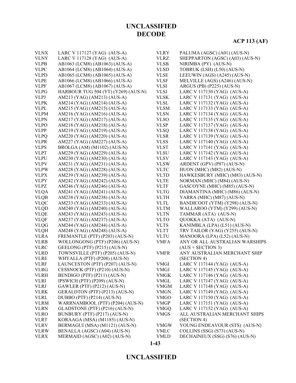# **ACP 113 (AF)**

| <b>VLNX</b> | LARC V 117127 (YAG) (AUS-A)         | <b>VLRY</b> | PALUMA (AGSC) (A01) (AUS-N)     |
|-------------|-------------------------------------|-------------|---------------------------------|
| <b>VLNY</b> | LARC V 117128 (YAG) (AUS-A)         | <b>VLRZ</b> | SHEPPARTON (AGSC) (A03) (AUS-N) |
| <b>VLPB</b> | AB1063 (LCM8) (AB1063) (AUS-A)      | <b>VLSB</b> | NIRIMBA (PY) (AUS-N)            |
| <b>VLPC</b> | AB1064 (LCM8) (AB1064) (AUS-A)      | <b>VLSD</b> | TOBRUK (LSH) (L50) (AUS-N)      |
|             |                                     |             |                                 |
| <b>VLPD</b> | AB1065 (LCM8) (AB1065) (AUS-A)      | <b>VLSE</b> | LEEUWIN (AGS) (A245) (AUS-N)    |
| <b>VLPE</b> | AB1066 (LCM8) (AB1066) (AUS-A)      | <b>VLSF</b> | MELVILLE (AGS) (A246) (AUS-N)   |
| <b>VLPF</b> | AB1067 (LCM8) (AB1067) (AUS-A)      | <b>VLSI</b> | ARGUS (PB) (P225) (AUS-N)       |
| <b>VLPG</b> | HARBOUR TUG 504 (YT) (Y269) (AUS-N) | <b>VLSJ</b> | LARC V 117130 (YAG) (AUS-A)     |
| <b>VLPJ</b> | AM213 (YAG) (AM213) (AUS-A)         | <b>VLSK</b> | LARC V 117131 (YAG) (AUS-A)     |
| <b>VLPK</b> | AM214 (YAG) (AM214) (AUS-A)         | <b>VLSL</b> | LARC V 117132 (YAG) (AUS-A)     |
| <b>VLPL</b> | AM215 (YAG) (AM215) (AUS-A)         | <b>VLSM</b> | LARC V 117133 (YAG) (AUS-A)     |
| <b>VLPM</b> | AM216 (YAG) (AM216) (AUS-A)         | <b>VLSN</b> | LARC V 117134 (YAG) (AUS-A)     |
| <b>VLPN</b> | AM217 (YAG) (AM217) (AUS-A)         | <b>VLSO</b> | LARC V 117135 (YAG) (AUS-A)     |
| <b>VLPO</b> | AM218 (YAG) (AM218) (AUS-A)         | <b>VLSP</b> | LARC V 117137 (YAG) (AUS-A)     |
| <b>VLPP</b> | AM219 (YAG) (AM219) (AUS-A)         | <b>VLSQ</b> | LARC V 117138 (YAG) (AUS-A)     |
| <b>VLPQ</b> | AM220 (YAG) (AM220) (AUS-A)         | <b>VLSR</b> | LARC V 117139 (YAG) (AUS-A)     |
| <b>VLPR</b> | AM227 (YAG) (AM227) (AUS-A)         | <b>VLSS</b> | LARC V 117140 (YAG) (AUS-A)     |
| <b>VLPS</b> | BROLGA (AM) (M1102) (AUS-N)         | <b>VLST</b> | LARC V 117141 (YAG) (AUS-A)     |
| <b>VLPT</b> | AM229 (YAG) (AM229) (AUS-A)         | <b>VLSU</b> | LARC V 117142 (YAG) (AUS-A)     |
| <b>VLPU</b> | AM230 (YAG) (AM230) (AUS-A)         | <b>VLSV</b> | LARC V 117143 (YAG) (AUS-A)     |
| <b>VLPV</b> | AM231 (YAG) (AM231) (AUS-A)         | <b>VLSW</b> | ARDENT (GPV) (P87) (AUS-N)      |
| <b>VLPW</b> | AM228 (YAG) (AM228) (AUS-A)         | <b>VLTC</b> | HUON (MHC) (M82) (AUS-N)        |
| <b>VLPX</b> | AM239 (YAG) (AM239) (AUS-A)         | <b>VLTD</b> | HAWKESBURY (MHC) (M83) (AUS-N)  |
| <b>VLPY</b> | AM242 (YAG) (AM242) (AUS-A)         | <b>VLTE</b> | NORMAN (MHC) (M84) (AUS-N)      |
| <b>VLPZ</b> | AM246 (YAG) (AM246) (AUS-A)         | <b>VLTF</b> | GASCOYNE (MHC) (M85) (AUS-N)    |
| <b>VLQA</b> | AM241 (YAG) (AM241) (AUS-A)         | <b>VLTG</b> | DIAMANTINA (MHC) (M86) (AUS-N)  |
| <b>VLQB</b> | AM238 (YAG) (AM238) (AUS-A)         | <b>VLTH</b> | YARRA (MHC) (M87) (AUS-N)       |
| <b>VLQC</b> | AM233 (YAG) (AM233) (AUS-A)         | <b>VLTL</b> | BANDICOOT (YTM) (Y298) (AUS-N)  |
| <b>VLQD</b> | AM240 (YAG) (AM240) (AUS-A)         | <b>VLTM</b> |                                 |
|             |                                     |             | WALLAROO (YTM) (Y299) (AUS-N)   |
| <b>VLQE</b> | AM243 (YAG) (AM243) (AUS-A)         | <b>VLTN</b> | TAMMAR (ATA) (AUS-N)            |
| <b>VLQF</b> | AM237 (YAG) (AM237) (AUS-A)         | <b>VLTO</b> | QUOKKA (ATA) (AUS-N)            |
| <b>VLQG</b> | AM244 (YAG) (AM244) (AUS-A)         | <b>VLTS</b> | KANIMBLA (LPA) (L51) (AUS-N)    |
| <b>VLQH</b> | AM248 (YAG) (AM248) (AUS-A)         | <b>VLTT</b> | TRV TAILOR (YAG) (Y255) (AUS-N) |
| <b>VLRA</b> | FREMANTLE (PTF) (P203) (AUS-N)      | <b>VLTU</b> | MANOORA (LPA) (L52) (AUS-N)     |
| <b>VLRB</b> | WOLLONGONG (PTF) (P206) (AUS-N)     | <b>VMFA</b> | ANY OR ALL AUSTRALIAN WARSHIPS  |
| <b>VLRC</b> | GEELONG (PTF) (P215) (AUS-N)        |             | $(AUS + SECTION 3)$             |
| <b>VLRD</b> | TOWNSVILLE (PTF) (P205) (AUS-N)     | <b>VMFR</b> | ANY AUSTRALIAN MERCHANT SHIP    |
| <b>VLRE</b> | WHYALLA (PTF) (P208) (AUS-N)        |             | (SECTION 4)                     |
| <b>VLRF</b> | LAUNCESTON (PTF) (P207) (AUS-N)     | <b>VMGI</b> | LARC V 117144 (YAG) (AUS-A)     |
| <b>VLRG</b> | CESSNOCK (PTF) (P210) (AUS-N)       | <b>VMGJ</b> | LARC V 117145 (YAG) (AUS-A)     |
| <b>VLRH</b> | BENDIGO (PTF) (P211) (AUS-N)        | <b>VMGK</b> | LARC V 117146 (YAG) (AUS-A)     |
| <b>VLRI</b> | IPSWICH (PTF) (P209) (AUS-N)        | <b>VMGL</b> | LARC V 117147 (YAG) (AUS-A)     |
| <b>VLRJ</b> | GAWLER (PTF) (P212) (AUS-N)         | <b>VMGM</b> | LARC V 117148 (YAG) (AUS-A)     |
| <b>VLRK</b> | GERALDTON (PTF) (P213) (AUS-N)      | <b>VMGN</b> | LARC V 117149 (YAG) (AUS-A)     |
| <b>VLRL</b> | DUBBO (PTF) (P214) (AUS-N)          | <b>VMGO</b> | LARC V 117150 (YAG) (AUS-A)     |
| <b>VLRM</b> | WARRNAMBOOL (PTF) (P204) (AUS-N)    | <b>VMGP</b> | LARC V 117151 (YAG) (AUS-A)     |
| <b>VLRN</b> | GLADSTONE (PTF) (P216) (AUS-N)      | <b>VMGQ</b> | LARC V 117152 (YAG) (AUS-A)     |
| <b>VLRO</b> | BUNBURY (PTF) (P217) (AUS-N)        | <b>VMGS</b> | ALL AUSTRALIAN MERCHANT SHIPS   |
| <b>VLRT</b> | KORAAGA (MSA) (M1185) (AUS-N)       |             | (SECTION 4)                     |
| <b>VLRV</b> | BERMAGUI (MSA) (M1121) (AUS-N)      | <b>VMGW</b> | YOUNG ENDEAVOUR (STS) (AUS-N)   |
| <b>VLRW</b> | BENALLA (AGSC) (A04) (AUS-N)        | <b>VMLC</b> | COLLINS (SSG) (S73) (AUS-N)     |
| <b>VLRX</b> | MERMAID (AGSC) (A02) (AUS-N)        | <b>VMLD</b> | DECHAINEUX (SSG) (S76) (AUS-N)  |
|             |                                     |             |                                 |

### **UNCLASSIFIED**

**1-43**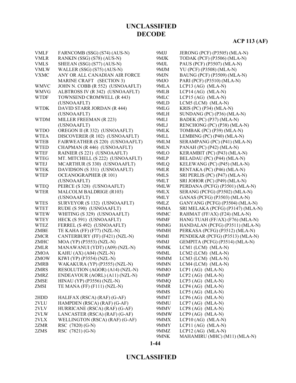#### **ACP 113 (AF)**

| <b>VMLF</b> | FARNCOMB (SSG) (S74) (AUS-N)     | 9MJJ | JERONG (PCF) (P3505) (MLA-N)      |
|-------------|----------------------------------|------|-----------------------------------|
| <b>VMLR</b> | RANKIN (SSG) (S78) (AUS-N)       | 9MJK | TODAK (PCF) (P3506) (MLA-N)       |
| <b>VMLS</b> | SHEEAN (SSG) (S77) (AUS-N)       | 9MJL | PAUS (PCF) (P3507) (MLA-N)        |
| <b>VMLW</b> | WALLER (SSG) (S75) (AUS-N)       | 9MJM | YU (PCF) (P3508) (MLA-N)          |
| <b>VXMC</b> | ANY OR ALL CANADIAN AIR FORCE    | 9MJN | BAUNG (PCF) (P3509) (MLA-N)       |
|             | MARINE CRAFT (SECTION 3)         | 9MJO | PARI (PCF) (P3510) (MLA-N)        |
| <b>WMVC</b> | JOHN N. COBB (R 552) (USNOAAFLT) | 9MLA | LCP13 $(AG)$ (MLA-N)              |
| <b>WMVG</b> | ALBTROSS IV (R 342) (USNOAAFLT)  | 9MLB | LCP14 $(AG)$ (MLA-N)              |
| <b>WTDF</b> | TOWNSEND CROMWELL (R 443)        | 9MLC | LCP15 (AG) (MLA-N)                |
|             | (USNOAAFLT)                      | 9MLD | LCM5 (LCM) (MLA-N)                |
| <b>WTDK</b> | DAVID STARR JORDAN (R 444)       | 9MLG | KRIS (PC) (P34) (MLA-N)           |
|             | (USNOAAFLT)                      | 9MLH | SUNDANG (PC) (P36) (MLA-N)        |
| <b>WTDM</b> | MILLER FREEMAN (R 223)           | 9MLI | BADEK (PC) (P37) (MLA-N)          |
|             | (USNOAAFLT)                      | 9MLJ | RENCHONG (PC) (P38) (MLA-N)       |
| <b>WTDO</b> | OREGON II (R 332) (USNOAAFLT)    | 9MLK | TOMBAK (PC) (P39) (MLA-N)         |
| <b>WTEA</b> | DISCOVERER (R 102) (USNOAAFLT)   | 9MLL | LEMBING (PC) (P40) (MLA-N)        |
| <b>WTEB</b> | FAIRWEATHER (S 220) (USNOAAFLT)  | 9MLM | SERAMPANG (PC) (P41) (MLA-N)      |
| <b>WTED</b> | CHAPMAN (R 446) (USNOAAFLT)      | 9MLN | PANAH (PC) (P42) (MLA-N)          |
| <b>WTEF</b> | RAINIER (S 221) (USNOAAFLT)      | 9MLO | KERAMBIT (PC) (P43) (MLA-N)       |
| <b>WTEG</b> | MT. MITCHELL (S 222) (USNOAAFLT) | 9MLP | BELADAU (PC) (P44) (MLA-N)        |
| <b>WTEJ</b> | MCARTHUR (S 330) (USNOAAFLT)     | 9MLQ | KELEWANG (PC) (P45) (MLA-N)       |
| <b>WTEK</b> | DAVIDSON (S 331) (USNOAAFLT)     | 9MLR | RENTAKA (PC) (P46) (MLA-N)        |
| <b>WTEP</b> | <b>OCEANOGRAPHER (R 101)</b>     | 9MLS | SRI PERLIS (PC) (P47) (MLA-N)     |
|             | (USNOAAFLT)                      | 9MLT | SRI JOHOR (PC) (P49) (MLA-N)      |
| <b>WTEQ</b> | PEIRCE (S 328) (USNOAAFLT)       | 9MLW | PERDANA (PCFG) (P3501) (MLA-N)    |
| <b>WTER</b> | <b>MALCOLM BALDRIGE (R103)</b>   | 9MLX | SERANG (PCFG) (P3502) (MLA-N)     |
|             | (USNOAAFLT)                      | 9MLY | GANAS (PCFG) (P3503) (MLA-N)      |
| <b>WTES</b> | SURVEYOR (S 132) (USNOAAFLT)     | 9MLZ | GANYANG (PCFG) (P3504) (MLA-N)    |
| <b>WTET</b> | RUDE (S 590) (USNOAAFLT)         | 9MMA | SRI MELAKA (PCFG) (P3147) (MLA-N) |
| <b>WTEW</b> | WHITING (S 329) (USNOAAFLT)      | 9MMC | RAHMAT (FF/AX) (F24) (MLA-N)      |
| <b>WTEY</b> | HECK (S 591) (USNOAAFLT)         | 9MMF | HANG TUAH (FF/AX) (F76) (MLA-N)   |
| <b>WTEZ</b> | FERREL (S 492) (USNOAAFLT)       | 9MMG | HANDALAN (PCFG) (P3511) (MLA-N)   |
| ZMBE        | TE KAHA (FF) (F77) (NZL-N)       | 9MMH | PERKASA (PCFG) (P3512) (MLA-N)    |
| <b>ZMCR</b> | CANTERBURY (FF) (F421) (NZL-N)   | 9MMI | PENDEKAR (PCFG) (P3513) (MLA-N)   |
| ZMHC        | MOA (YP) (P3553) (NZL-N)         | 9MMJ | GEMPITA (PCFG) (P3514) (MLA-N)    |
| <b>ZMLR</b> | MANAWANUI (YDT) (A09) (NZL-N)    | 9MMK | LCM1 (LCM) (MLA-N)                |
| <b>ZMOA</b> | KAHU $(AX) (A04) (NZL-N)$        | 9MML | $LCM2$ (LCM) (MLA-N)              |
| <b>ZMOW</b> | KIWI (YP) (P3554) (NZL-N)        | 9MMM | LCM3 (LCM) (MLA-N)                |
| ZMRB        | WAKAKURA (YP) (P3555) (NZL-N)    | 9MMN | LCM4 (LCM) (MLA-N)                |
| ZMRS        | RESOLUTION (AGOR) (A14) (NZL-N)  | 9MMO | LCP1 $(AG)$ $(MLA-N)$             |
| <b>ZMRZ</b> | ENDEAVOUR (AORL) (A11) (NZL-N)   | 9MMP | LCP2 (AG) (MLA-N)                 |
| ZMSE        | HINAU (YP) (P3556) (NZL-N)       | 9MMQ | LCP3 $(AG)$ $(MLA-N)$             |
| ZMSI        | TE MANA (FF) $(F111) (NZL-N)$    | 9MMR | $LCP4$ (AG) (MLA-N)               |
|             |                                  | 9MMS | LCP5 $(AG)$ (MLA-N)               |
| 2HDD        | HALIFAX (RSCA) (RAF) (G-AF)      | 9MMT | LCP6 $(AG)$ (MLA-N)               |
| 2VLU        | HAMPDEN (RSCA) (RAF) (G-AF)      | 9MMU | $LCP7$ (AG) (MLA-N)               |
| 2VLV        | HURRICANE (RSCA) (RAF) (G-AF)    | 9MMV | LCP8 $(AG)$ (MLA-N)               |
| 2VLW        | LANCASTER (RSCA) (RAF) (G-AF)    | 9MMW | LCP9 $(AG)$ (MLA-N)               |
| 2VLX        | WELLINGTON (RSCA) (RAF) (G-AF)   | 9MMX | $LCP10 (AG) (MLA-N)$              |
| 2ZMR        | RSC (7820) (G-N)                 | 9MMY | LCP11 $(AG)$ $(MLA-N)$            |
| 2ZMS        | RSC (7821) (G-N)                 | 9MMZ | LCP12 (AG) (MLA-N)                |
|             |                                  | 9MNK | MAHAMIRU (MHC) (M11) (MLA-N)      |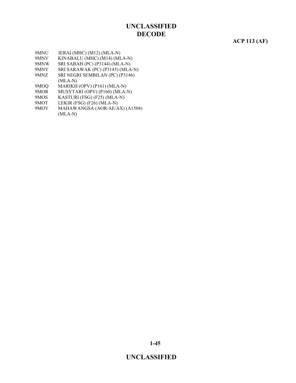#### **ACP 113 (AF)**

- 9MNU JERAI (MHC) (M12) (MLA-N)
- 9MNV KINABALU (MHC) (M14) (MLA-N)
- 9MNW SRI SABAH (PC) (P3144) (MLA-N)<br>9MNY SRI SARAWAK (PC) (P3145) (MLA
- 9MNY SRI SARAWAK (PC) (P3145) (MLA-N)<br>9MNZ SRI NEGRI SEMBILAN (PC) (P3146) SRI NEGRI SEMBILAN (PC) (P3146)
- (MLA-N)
- 9MOQ MARIKH (OPV) (P161) (MLA-N)
- 9MOR MUSYTARI (OPV) (P160) (MLA-N)
- 9MOS KASTURI (FSG) (F25) (MLA-N)
- 9MOT LEKIR (FSG) (F26) (MLA-N)
- 9MOY MAHAWANGSA (AOR/AE/AX) (A1504) (MLA-N)

**1-45**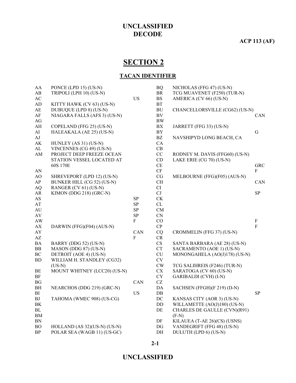**ACP 113 (AF)**

# **SECTION 2**

### **TACAN IDENTIFIER**

| AA                     | PONCE (LPD 15) (US-N)        |            | <b>BQ</b>              | NICHOLAS (FFG 47) (US-N)       |                |
|------------------------|------------------------------|------------|------------------------|--------------------------------|----------------|
| AB                     | TRIPOLI (LPH 10) (US-N)      |            | <b>BR</b>              | TCG MUAVENET (F250) (TUR-N)    |                |
| $\mathbf{A}\mathbf{C}$ |                              | <b>US</b>  | $\mathbf{B}\mathbf{S}$ | AMERICA (CV 66) (US-N)         |                |
| AD                     | KITTY HAWK (CV 63) (US-N)    |            | <b>BT</b>              |                                |                |
| $\mathbf{A}\mathbf{E}$ | DUBUQUE (LPD 8) (US-N)       |            | BU                     | CHANCELLORSVILLE (CG62) (US-N) |                |
| AF                     | NIAGARA FALLS (AFS 3) (US-N) |            | BV                     |                                | CAN            |
| AG                     |                              |            | $\rm BW$               |                                |                |
| AH                     | COPELAND (FFG 25) (US-N)     |            | BX                     | JARRETT (FFG 33) (US-N)        |                |
| AI                     | HALEAKALA (AE 25) (US-N)     |            | BY                     |                                | $\mathbf G$    |
| AJ                     |                              |            | BZ                     | NAVSHIPYD LONG BEACH, CA       |                |
| AK                     | HUNLEY (AS 31) (US-N)        |            | CA                     |                                |                |
| AL                     | VINCENNES (CG 49) (US-N)     |            | CB                     |                                |                |
| AM                     | PROJECT DEEP FREEZE OCEAN    |            | CC                     | RODNEY M. DAVIS (FFG60) (US-N) |                |
|                        | STATION VESSEL LOCATED AT    |            | CD                     | LAKE ERIE (CG 70) (US-N)       |                |
|                        | 60S 170E                     |            | CE                     |                                | <b>GRC</b>     |
| AN                     |                              |            | CF                     |                                | F              |
| AO                     | SHREVEPORT (LPD 12) (US-N)   |            | CG                     | MELBOURNE (FFG)(F05) (AUS-N)   |                |
| AP                     | BUNKER HILL (CG 52) (US-N)   |            | <b>CH</b>              |                                | CAN            |
| <b>AQ</b>              | RANGER (CV 61) (US-N)        |            | CI                     |                                |                |
| AR                     | KIMON (DDG 218) (GRC-N)      |            | CJ                     |                                | <b>SP</b>      |
| AS                     |                              | SP         | CK                     |                                |                |
| AT                     |                              | SP         | CL                     |                                |                |
| AU                     |                              | ${\bf SP}$ | CM                     |                                |                |
| $\rm{AV}$              |                              | ${\rm SP}$ | CN                     |                                |                |
| <b>AW</b>              |                              | F          | $\rm CO$               |                                | $\mathbf F$    |
| ${\bf AX}$             | DARWIN (FFG)(F04) (AUS-N)    |            | ${\bf CP}$             |                                | $\overline{F}$ |
| AY                     |                              | CAN        | CQ                     | CROMMELIN (FFG 37) (US-N)      |                |
| $\mathbf{A}\mathbf{Z}$ |                              | F          | CR                     |                                |                |
| $\rm BA$               | BARRY (DDG 52) (US-N)        |            | CS                     | SANTA BARBARA (AE 28) (US-N)   |                |
| ${\rm BB}$             | MASON (DDG 87) (US-N)        |            | <b>CT</b>              | SACRAMENTO (AOE 1) (US-N)      |                |
| BC                     | DETROIT (AOE 4) (US-N)       |            | CU                     | MONONGAHELA (AO(J)178) (US-N)  |                |
| BD                     | WILLIAM H. STANDLEY (CG32)   |            | CV                     |                                |                |
|                        | $(US-N)$                     |            | CW                     | TCG SALIHREIS (F246) (TUR-N)   |                |
| BE                     | MOUNT WHITNEY (LCC20) (US-N) |            | <b>CX</b>              | SARATOGA (CV 60) (US-N)        |                |
| $\rm{BF}$              |                              |            | ${\rm CY}$             | <b>GARIBALDI</b> (CVH) (I-N)   |                |
| BG                     |                              | CAN        | CZ                     |                                |                |
| BH                     | NEARCHOS (DDG 219) (GRC-N)   |            | DA                     | SACHSEN (FFGH)(F 219) (D-N)    |                |
| BI                     |                              | <b>US</b>  | DB                     |                                | <b>SP</b>      |
| <b>BJ</b>              | TAHOMA (WMEC 908) (US-CG)    |            | DC                     | KANSAS CITY (AOR 3) (US-N)     |                |
| $\rm BK$               |                              |            | DD                     | WILLAMETTE (AO(J)180) (US-N)   |                |
| BL                     |                              |            | DE                     | CHARLES DE GAULLE (CVN)(R91)   |                |
| BM                     |                              |            |                        | $(F-N)$                        |                |
| BN                     |                              |            | DF                     | KILAUEA (T-AE 26)(CS) (USNS)   |                |
| <b>BO</b>              | HOLLAND (AS 32)(US-N) (US-N) |            | DG                     | VANDEGRIFT (FFG 48) (US-N)     |                |
| BP                     | POLAR SEA (WAGB 11) (US-GC)  |            | DH                     | DULUTH (LPD 6) (US-N)          |                |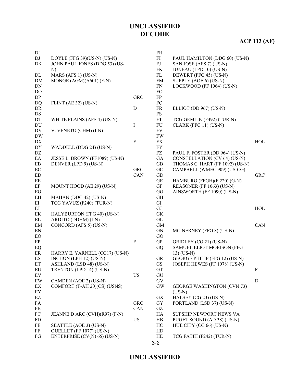# **ACP 113 (AF)**

| DI                         |                                |            | FH                   |                                   |             |
|----------------------------|--------------------------------|------------|----------------------|-----------------------------------|-------------|
| DJ                         | DOYLE (FFG 39)(US-N) (US-N)    |            | FI                   | PAUL HAMILTON (DDG 60) (US-N)     |             |
| DK                         | JOHN PAUL JONES (DDG 53) (US-  |            | ${\rm FJ}$           | SAN JOSE (AFS 7) (US-N)           |             |
|                            | N)                             |            | FK                   | JUNEAU (LPD 10) (US-N)            |             |
| DL                         | MARS (AFS 1) (US-N)            |            | FL                   | DEWERT (FFG 45) (US-N)            |             |
| <b>DM</b>                  | MONGE $(AGM)(A601)$ $(F-N)$    |            | <b>FM</b>            | SUPPLY (AOE 6) (US-N)             |             |
| DN                         |                                |            | FN                   | LOCKWOOD (FF 1064) (US-N)         |             |
| DO                         |                                |            | <b>FO</b>            |                                   |             |
| DP                         |                                | <b>GRC</b> | FP                   |                                   |             |
| DQ                         | FLINT (AE 32) $(US-N)$         |            | FQ                   |                                   |             |
| DR                         |                                | D          | FR                   | ELLIOT (DD 967) (US-N)            |             |
| $\mathop{\rm DS}$          |                                |            | $\mathop{\text{FS}}$ |                                   |             |
| DT                         | WHITE PLAINS (AFS 4) (US-N)    |            | FT                   | TCG GEMLIK (F492) (TUR-N)         |             |
| DU                         |                                | $\bf{I}$   | FU                   | CLARK (FFG 11) (US-N)             |             |
| DV                         | V. VENETO (CHM) (I-N)          |            | FV                   |                                   |             |
| <b>DW</b>                  |                                |            | <b>FW</b>            |                                   |             |
| ${\rm D} {\rm X}$          |                                | ${\bf F}$  | <b>FX</b>            |                                   | HOL         |
| DY                         | WADDELL (DDG 24) (US-N)        |            | <b>FY</b>            |                                   |             |
| $\mathbf{D}\mathbf{Z}$     |                                |            | ${\rm FZ}$           | PAUL F. FOSTER (DD 964) (US-N)    |             |
| $\rm EA$                   | JESSE L. BROWN (FF1089) (US-N) |            | GA                   | CONSTELLATION (CV 64) (US-N)      |             |
| EB                         | DENVER (LPD 9) (US-N)          |            | $\operatorname{GB}$  | THOMAS C. HART (FF 1092) (US-N)   |             |
| $\rm EC$                   |                                | <b>GRC</b> | ${\rm GC}$           | CAMPBELL (WMEC 909) (US-CG)       |             |
| <b>ED</b>                  |                                | CAN        | GD                   |                                   | <b>GRC</b>  |
| EE                         |                                |            | GE                   | HAMBURG (FFGH)(F 220) (G-N)       |             |
| EF                         | MOUNT HOOD (AE 29) (US-N)      |            | GF                   | REASONER (FF 1063) (US-N)         |             |
| EG                         |                                |            | GG                   | AINSWORTH (FF 1090) (US-N)        |             |
| EH                         | MAHAN (DDG 42) (US-N)          |            | <b>GH</b>            |                                   |             |
| ΕI                         | TCG YAVUZ (F240) (TUR-N)       |            | GI                   |                                   |             |
| EJ                         |                                |            | GJ                   |                                   | HOL         |
| $\mbox{EK}$                | HALYBURTON (FFG 40) (US-N)     |            | ${\rm GK}$           |                                   |             |
| EL                         | ARDITO (DDHM) (I-N)            |            | $\operatorname{GL}$  |                                   |             |
| EM                         | CONCORD (AFS 5) (US-N)         |            | <b>GM</b>            |                                   | CAN         |
| $\mathop{\rm EN}\nolimits$ |                                |            | <b>GN</b>            | MCINERNEY (FFG 8) (US-N)          |             |
| EO                         |                                |            | GO                   |                                   |             |
| EP                         |                                | ${\bf F}$  | GP                   | GRIDLEY (CG 21) (US-N)            |             |
| EQ                         |                                |            | GQ                   | SAMUEL ELIOT MORISON (FFG         |             |
| ER                         | HARRY E. YARNELL (CG17) (US-N) |            |                      | $13)$ (US-N)                      |             |
| ES                         | INCHON (LPH 12) (US-N)         |            | <b>GR</b>            | GEORGE PHILIP (FFG 12) (US-N)     |             |
| ET                         | ASHLAND (LSD 48) (US-N)        |            | GS                   | JOSEPH HEWES (FF 1078) (US-N)     |             |
| ${\rm EU}$                 | TRENTON (LPD 14) (US-N)        |            | GT                   |                                   | $\rm F$     |
| EV                         |                                | <b>US</b>  | GU                   |                                   |             |
| EW                         | CAMDEN (AOE 2) (US-N)          |            | ${\rm GV}$           |                                   | $\mathbf D$ |
| EX                         | COMFORT (T-AH 20)(CS) (USNS)   |            | <b>GW</b>            | <b>GEORGE WASHINGTON (CVN 73)</b> |             |
| ${\rm EY}$                 |                                |            |                      | $(US-N)$                          |             |
| $\mathop{\rm EZ}$          |                                |            | GX                   | HALSEY (CG 23) (US-N)             |             |
| FA                         |                                | <b>GRC</b> | GY                   | PORTLAND (LSD 37) (US-N)          |             |
| FB                         |                                | CAN        | GZ                   |                                   |             |
| ${\rm FC}$                 | JEANNE D ARC (CVH)(R97) (F-N)  |            | HA                   | SUPSHIP NEWPORT NEWS VA           |             |
| FD                         |                                | <b>US</b>  | HB                   | PUGET SOUND (AD 38) (US-N)        |             |
| FE                         | SEATTLE (AOE 3) (US-N)         |            | HC                   | HUE CITY (CG 66) (US-N)           |             |
| FF                         | OUELLET (FF 1077) (US-N)       |            | HD                   |                                   |             |
| FG                         | ENTERPRISE (CV(N) 65) (US-N)   |            | HE                   | TCG FATIH (F242) (TUR-N)          |             |
|                            |                                |            |                      |                                   |             |

**2-2**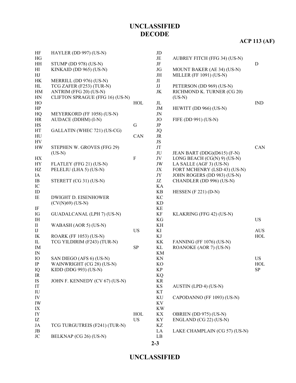# **ACP 113 (AF)**

| HF                       | HAYLER (DD 997) $(US-N)$          |             | $\rm JD$               |                               |                      |
|--------------------------|-----------------------------------|-------------|------------------------|-------------------------------|----------------------|
| HG                       |                                   |             | $\rm{JE}$              | AUBREY FITCH (FFG 34) (US-N)  |                      |
| HH                       | STUMP (DD 978) (US-N)             |             | JF                     |                               | $\mathbf D$          |
| H                        | KINKAID (DD 965) (US-N)           |             | JG                     | MOUNT BAKER (AE 34) (US-N)    |                      |
| HJ                       |                                   |             | $\rm JH$               | MILLER (FF 1091) (US-N)       |                      |
| HK                       | MERRILL (DD 976) (US-N)           |             | JI                     |                               |                      |
| HL                       | TCG ZAFER (F253) (TUR-N)          |             | JJ                     | PETERSON (DD 969) (US-N)      |                      |
| HM                       | ANTRIM (FFG 20) (US-N)            |             | $\rm JK$               | RICHMOND K. TURNER (CG 20)    |                      |
| HN                       | CLIFTON SPRAGUE (FFG 16) (US-N)   |             |                        | $(US-N)$                      |                      |
| HO                       |                                   | HOL         | $J_{\rm L}$            |                               | <b>IND</b>           |
| HP                       |                                   |             | $\rm JM$               | HEWITT (DD 966) (US-N)        |                      |
| HQ                       | MEYERKORD (FF 1058) (US-N)        |             | JN                     |                               |                      |
| HR                       | AUDACE (DDHM) (I-N)               |             | JO                     | FIFE (DD 991) (US-N)          |                      |
| $\rm{HS}$                |                                   | $\mathbf G$ | $\rm{JP}$              |                               |                      |
| HT                       | GALLATIN (WHEC 721) (US-CG)       |             | <b>JQ</b>              |                               |                      |
| HU                       |                                   | CAN         | JR                     |                               |                      |
| HV                       |                                   |             | JS                     |                               |                      |
| <b>HW</b>                | STEPHEN W. GROVES (FFG 29)        |             | $\mathbf{J}\mathbf{T}$ |                               | CAN                  |
|                          | $(US-N)$                          |             | JU                     | JEAN BART (DDG)(D615) (F-N)   |                      |
| $\mathbf{H}\mathbf{X}$   |                                   | $\rm F$     | JV                     | LONG BEACH $(CG(N) 9)$ (US-N) |                      |
| HY                       | FLATLEY (FFG 21) (US-N)           |             | JW                     | LA SALLE (AGF 3) (US-N)       |                      |
| $\rm HZ$                 | PELELIU (LHA 5) (US-N)            |             | JX                     | FORT MCHENRY (LSD 43) (US-N)  |                      |
| IA                       |                                   |             | $\rm JY$               | JOHN ROGERS (DD 983) (US-N)   |                      |
| IB                       | STERETT (CG 31) (US-N)            |             | JZ                     | CHANDLER (DD 996) (US-N)      |                      |
| ${\rm IC}$               |                                   |             | KA                     |                               |                      |
| ID                       |                                   |             | KB                     | HESSEN $(F 221) (D-N)$        |                      |
| IE                       | <b>DWIGHT D. EISENHOWER</b>       |             | KC                     |                               |                      |
|                          | $(CV(N)69)$ (US-N)                |             | <b>KD</b>              |                               |                      |
| $\rm IF$                 |                                   |             | KE                     |                               |                      |
| IG                       | <b>GUADALCANAL (LPH 7) (US-N)</b> |             | KF                     | KLAKRING (FFG 42) (US-N)      |                      |
| IH                       |                                   |             | KG                     |                               | <b>US</b>            |
| $\rm II$                 | WABASH (AOR 5) (US-N)             |             | KH                     |                               |                      |
| $_{\rm{IJ}}$             |                                   | <b>US</b>   | KI                     |                               | $\operatorname{AUS}$ |
| IK                       | <b>ROARK (FF 1053) (US-N)</b>     |             | KJ                     |                               | HOL                  |
| ${\rm IL}$               | TCG YILDIRIM (F243) (TUR-N)       |             | KK                     | FANNING (FF 1076) (US-N)      |                      |
| IM                       |                                   | ${\bf SP}$  | KL                     | ROANOKE (AOR 7) (US-N)        |                      |
| $\ensuremath{\text{IN}}$ |                                   |             | KM                     |                               |                      |
| IO                       | SAN DIEGO (AFS 6) (US-N)          |             | KN                     |                               | <b>US</b>            |
| $\rm IP$                 | WAINWRIGHT (CG 28) (US-N)         |             | KO                     |                               | HOL                  |
| IQ                       | KIDD (DDG 993) (US-N)             |             | $\mathbf{KP}$          |                               | ${\rm SP}$           |
| IR                       |                                   |             | KQ                     |                               |                      |
| IS                       | JOHN F. KENNEDY (CV 67) (US-N)    |             | KR                     |                               |                      |
| IT                       |                                   |             | KS                     | AUSTIN (LPD 4) (US-N)         |                      |
| ${\rm IU}$               |                                   |             | KT                     |                               |                      |
| IV                       |                                   |             | KU                     | CAPODANNO (FF 1093) (US-N)    |                      |
| IW                       |                                   |             | KV                     |                               |                      |
| IX                       |                                   |             | <b>KW</b>              |                               |                      |
| IY                       |                                   | HOL         | KХ                     | OBRIEN (DD 975) (US-N)        |                      |
| IZ                       |                                   | <b>US</b>   | KY                     | ENGLAND (CG 22) (US-N)        |                      |
| JA                       | TCG TURGUTREIS (F241) (TUR-N)     |             | KZ                     |                               |                      |
| $_{\rm JB}$              |                                   |             | LA                     | LAKE CHAMPLAIN (CG 57) (US-N) |                      |
| $\rm JC$                 | BELKNAP (CG 26) (US-N)            |             | LB                     |                               |                      |
|                          |                                   |             | $2 - 3$                |                               |                      |
|                          |                                   |             |                        |                               |                      |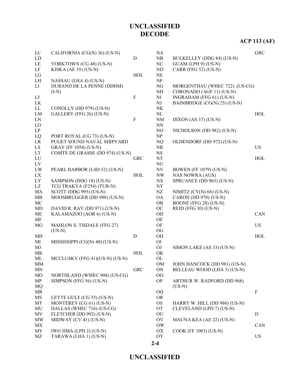# **ACP 113 (AF)**

| $\rm LE$<br>$\rm NC$<br>YORKTOWN (CG 48) (US-N)<br>GUAM (LPH 9) (US-N)<br>LF<br>CARR (FFG 52) (US-N)<br>KISKA (AE 35) (US-N)<br>ND<br>${\rm LG}$<br>$\rm NE$<br>HOL<br>$\rm{NF}$<br>LH<br>NASSAU (LHA 4) (US-N)<br>DURAND DE LA PENNE (DDHM)<br>LI<br>NG<br>MORGENTHAU (WHEC 722) (US-CG)<br>NH<br>CORONADO (AGF 11) (US-N)<br>$(I-N)$<br>$\mathbf F$<br>$_{\rm LJ}$<br>NI<br>INGRAHAM (FFG 61) (US-N)<br>LK<br>NJ<br>BAINBRIDGE (CG(N) 25) (US-N)<br>LL<br>CONOLLY (DD 979) (US-N)<br>NK<br>LM<br>GALLERY (FFG 26) (US-N)<br>NL<br>HOL<br>${\bf F}$<br>${\rm LN}$<br><b>NM</b><br>$DIXON$ (AS 37) (US-N)<br>LO<br><b>NN</b><br>LP<br>NO<br>NICHOLSON (DD 982) (US-N)<br>$\ensuremath{\text{NP}}\xspace$<br>LQ<br>PORT ROYAL (CG 73) (US-N)<br>LR<br>PUGET SOUND NAVAL SHIPYARD<br>NQ<br>OLDENDORF (DD 972) (US-N)<br>LS<br><b>US</b><br><b>GRAY (FF 1054) (US-N)</b><br><b>NR</b><br>COMTE DE GRASSE (DD 974) (US-N)<br>LT<br><b>NS</b><br>LU<br><b>GRC</b><br>NT<br>HOL<br>${\rm LV}$<br><b>NU</b><br>LW<br>PEARL HARBOR (LSD 52) (US-N)<br><b>NV</b><br><b>BOWEN</b> (FF 1079) (US-N)<br>LX<br>HOL<br><b>NW</b><br><b>NAS NOWRA (AUS)</b><br>LY<br>SAMPSON (DDG 10) (US-N)<br>N X<br>SPRUANCE (DD 963) (US-N)<br>LZ<br>TCG TRAKYA (F254) (TUR-N)<br><b>NY</b><br>MA<br>SCOTT (DDG 995) (US-N)<br>NZ<br>NIMITZ (CV(N) 68) (US-N)<br>MOOSBRUGGER (DD 980) (US-N)<br>MB<br><b>OA</b><br>CARON (DD 970) (US-N)<br>$MC$<br>BOONE (FFG 28) (US-N)<br><b>OB</b><br>OC<br>REID (FFG 30) (US-N)<br>MD<br>DAVID R. RAY (DD 971) (US-N)<br>ME<br>OD<br>KALAMAZOO (AOR 6) (US-N)<br>CAN<br>MF<br>OE<br>OF<br>MG<br>MAHLON S. TISDALE (FFG 27)<br><b>US</b><br>$(US-N)$<br><b>OG</b><br>$\mathbf D$<br>HOL<br>MH<br>OH<br>MI<br>MISSISSIPPI (CG(N) 40) (US-N)<br>O <sub>I</sub><br>MJ<br>OJ<br>SIMON LAKE (AS 33) (US-N)<br>MK<br>HOL<br>OK<br>ML<br>MCCLUSKY (FFG 41)(US-N) (US-N)<br>OL<br><b>MM</b><br><b>OM</b><br>JOHN HANCOCK (DD 981) (US-N)<br><b>MN</b><br><b>GRC</b><br>ON<br>BELLEAU WOOD (LHA 3) (US-N)<br>MO<br>NORTHLAND (WMEC 904) (US-CG)<br>$\overline{O}O$<br><b>OP</b><br>MP<br>SIMPSON (FFG 56) (US-N)<br>ARTHUR W. RADFORD (DD 968)<br><b>MQ</b><br>$(US-N)$<br>MR<br><b>OQ</b><br>$\boldsymbol{\mathrm{F}}$<br>MS<br>LEYTE GULF (CG 55) (US-N)<br><b>OR</b><br>MONTEREY (CG 61) (US-N)<br>MT<br><b>OS</b><br>HARRY W. HILL (DD 986) (US-N)<br>DALLAS (WHEC 716) (US-CG)<br>MU<br><b>OT</b><br>CLEVELAND (LPD 7) (US-N)<br>MV<br>FLETCHER (DD 992) (US-N)<br>OU<br>$\mathbf D$<br>MW<br>MIDWAY (CV 41) (US-N)<br>OV<br>MAUNA KEA (AE 22) (US-N)<br><b>OW</b><br>${\rm CAN}$<br>MX<br>MY<br>IWO JIMA (LPH 2) (US-N)<br>OX<br>COOK (FF 1083) (US-N) | LC | CALIFORNIA (CG(N) 36) (US-N) |   | NA |                           | <b>GRC</b> |
|--------------------------------------------------------------------------------------------------------------------------------------------------------------------------------------------------------------------------------------------------------------------------------------------------------------------------------------------------------------------------------------------------------------------------------------------------------------------------------------------------------------------------------------------------------------------------------------------------------------------------------------------------------------------------------------------------------------------------------------------------------------------------------------------------------------------------------------------------------------------------------------------------------------------------------------------------------------------------------------------------------------------------------------------------------------------------------------------------------------------------------------------------------------------------------------------------------------------------------------------------------------------------------------------------------------------------------------------------------------------------------------------------------------------------------------------------------------------------------------------------------------------------------------------------------------------------------------------------------------------------------------------------------------------------------------------------------------------------------------------------------------------------------------------------------------------------------------------------------------------------------------------------------------------------------------------------------------------------------------------------------------------------------------------------------------------------------------------------------------------------------------------------------------------------------------------------------------------------------------------------------------------------------------------------------------------------------------------------------------------------------------------------------------------------------------------------------------------------------------------------------------------------------------------------------------------------------------------------------------------------------------------------------------|----|------------------------------|---|----|---------------------------|------------|
|                                                                                                                                                                                                                                                                                                                                                                                                                                                                                                                                                                                                                                                                                                                                                                                                                                                                                                                                                                                                                                                                                                                                                                                                                                                                                                                                                                                                                                                                                                                                                                                                                                                                                                                                                                                                                                                                                                                                                                                                                                                                                                                                                                                                                                                                                                                                                                                                                                                                                                                                                                                                                                                              | LD |                              | D | NB | BULKELLEY (DDG 84) (US-N) |            |
|                                                                                                                                                                                                                                                                                                                                                                                                                                                                                                                                                                                                                                                                                                                                                                                                                                                                                                                                                                                                                                                                                                                                                                                                                                                                                                                                                                                                                                                                                                                                                                                                                                                                                                                                                                                                                                                                                                                                                                                                                                                                                                                                                                                                                                                                                                                                                                                                                                                                                                                                                                                                                                                              |    |                              |   |    |                           |            |
|                                                                                                                                                                                                                                                                                                                                                                                                                                                                                                                                                                                                                                                                                                                                                                                                                                                                                                                                                                                                                                                                                                                                                                                                                                                                                                                                                                                                                                                                                                                                                                                                                                                                                                                                                                                                                                                                                                                                                                                                                                                                                                                                                                                                                                                                                                                                                                                                                                                                                                                                                                                                                                                              |    |                              |   |    |                           |            |
|                                                                                                                                                                                                                                                                                                                                                                                                                                                                                                                                                                                                                                                                                                                                                                                                                                                                                                                                                                                                                                                                                                                                                                                                                                                                                                                                                                                                                                                                                                                                                                                                                                                                                                                                                                                                                                                                                                                                                                                                                                                                                                                                                                                                                                                                                                                                                                                                                                                                                                                                                                                                                                                              |    |                              |   |    |                           |            |
|                                                                                                                                                                                                                                                                                                                                                                                                                                                                                                                                                                                                                                                                                                                                                                                                                                                                                                                                                                                                                                                                                                                                                                                                                                                                                                                                                                                                                                                                                                                                                                                                                                                                                                                                                                                                                                                                                                                                                                                                                                                                                                                                                                                                                                                                                                                                                                                                                                                                                                                                                                                                                                                              |    |                              |   |    |                           |            |
|                                                                                                                                                                                                                                                                                                                                                                                                                                                                                                                                                                                                                                                                                                                                                                                                                                                                                                                                                                                                                                                                                                                                                                                                                                                                                                                                                                                                                                                                                                                                                                                                                                                                                                                                                                                                                                                                                                                                                                                                                                                                                                                                                                                                                                                                                                                                                                                                                                                                                                                                                                                                                                                              |    |                              |   |    |                           |            |
|                                                                                                                                                                                                                                                                                                                                                                                                                                                                                                                                                                                                                                                                                                                                                                                                                                                                                                                                                                                                                                                                                                                                                                                                                                                                                                                                                                                                                                                                                                                                                                                                                                                                                                                                                                                                                                                                                                                                                                                                                                                                                                                                                                                                                                                                                                                                                                                                                                                                                                                                                                                                                                                              |    |                              |   |    |                           |            |
|                                                                                                                                                                                                                                                                                                                                                                                                                                                                                                                                                                                                                                                                                                                                                                                                                                                                                                                                                                                                                                                                                                                                                                                                                                                                                                                                                                                                                                                                                                                                                                                                                                                                                                                                                                                                                                                                                                                                                                                                                                                                                                                                                                                                                                                                                                                                                                                                                                                                                                                                                                                                                                                              |    |                              |   |    |                           |            |
|                                                                                                                                                                                                                                                                                                                                                                                                                                                                                                                                                                                                                                                                                                                                                                                                                                                                                                                                                                                                                                                                                                                                                                                                                                                                                                                                                                                                                                                                                                                                                                                                                                                                                                                                                                                                                                                                                                                                                                                                                                                                                                                                                                                                                                                                                                                                                                                                                                                                                                                                                                                                                                                              |    |                              |   |    |                           |            |
|                                                                                                                                                                                                                                                                                                                                                                                                                                                                                                                                                                                                                                                                                                                                                                                                                                                                                                                                                                                                                                                                                                                                                                                                                                                                                                                                                                                                                                                                                                                                                                                                                                                                                                                                                                                                                                                                                                                                                                                                                                                                                                                                                                                                                                                                                                                                                                                                                                                                                                                                                                                                                                                              |    |                              |   |    |                           |            |
|                                                                                                                                                                                                                                                                                                                                                                                                                                                                                                                                                                                                                                                                                                                                                                                                                                                                                                                                                                                                                                                                                                                                                                                                                                                                                                                                                                                                                                                                                                                                                                                                                                                                                                                                                                                                                                                                                                                                                                                                                                                                                                                                                                                                                                                                                                                                                                                                                                                                                                                                                                                                                                                              |    |                              |   |    |                           |            |
|                                                                                                                                                                                                                                                                                                                                                                                                                                                                                                                                                                                                                                                                                                                                                                                                                                                                                                                                                                                                                                                                                                                                                                                                                                                                                                                                                                                                                                                                                                                                                                                                                                                                                                                                                                                                                                                                                                                                                                                                                                                                                                                                                                                                                                                                                                                                                                                                                                                                                                                                                                                                                                                              |    |                              |   |    |                           |            |
|                                                                                                                                                                                                                                                                                                                                                                                                                                                                                                                                                                                                                                                                                                                                                                                                                                                                                                                                                                                                                                                                                                                                                                                                                                                                                                                                                                                                                                                                                                                                                                                                                                                                                                                                                                                                                                                                                                                                                                                                                                                                                                                                                                                                                                                                                                                                                                                                                                                                                                                                                                                                                                                              |    |                              |   |    |                           |            |
|                                                                                                                                                                                                                                                                                                                                                                                                                                                                                                                                                                                                                                                                                                                                                                                                                                                                                                                                                                                                                                                                                                                                                                                                                                                                                                                                                                                                                                                                                                                                                                                                                                                                                                                                                                                                                                                                                                                                                                                                                                                                                                                                                                                                                                                                                                                                                                                                                                                                                                                                                                                                                                                              |    |                              |   |    |                           |            |
|                                                                                                                                                                                                                                                                                                                                                                                                                                                                                                                                                                                                                                                                                                                                                                                                                                                                                                                                                                                                                                                                                                                                                                                                                                                                                                                                                                                                                                                                                                                                                                                                                                                                                                                                                                                                                                                                                                                                                                                                                                                                                                                                                                                                                                                                                                                                                                                                                                                                                                                                                                                                                                                              |    |                              |   |    |                           |            |
|                                                                                                                                                                                                                                                                                                                                                                                                                                                                                                                                                                                                                                                                                                                                                                                                                                                                                                                                                                                                                                                                                                                                                                                                                                                                                                                                                                                                                                                                                                                                                                                                                                                                                                                                                                                                                                                                                                                                                                                                                                                                                                                                                                                                                                                                                                                                                                                                                                                                                                                                                                                                                                                              |    |                              |   |    |                           |            |
|                                                                                                                                                                                                                                                                                                                                                                                                                                                                                                                                                                                                                                                                                                                                                                                                                                                                                                                                                                                                                                                                                                                                                                                                                                                                                                                                                                                                                                                                                                                                                                                                                                                                                                                                                                                                                                                                                                                                                                                                                                                                                                                                                                                                                                                                                                                                                                                                                                                                                                                                                                                                                                                              |    |                              |   |    |                           |            |
|                                                                                                                                                                                                                                                                                                                                                                                                                                                                                                                                                                                                                                                                                                                                                                                                                                                                                                                                                                                                                                                                                                                                                                                                                                                                                                                                                                                                                                                                                                                                                                                                                                                                                                                                                                                                                                                                                                                                                                                                                                                                                                                                                                                                                                                                                                                                                                                                                                                                                                                                                                                                                                                              |    |                              |   |    |                           |            |
|                                                                                                                                                                                                                                                                                                                                                                                                                                                                                                                                                                                                                                                                                                                                                                                                                                                                                                                                                                                                                                                                                                                                                                                                                                                                                                                                                                                                                                                                                                                                                                                                                                                                                                                                                                                                                                                                                                                                                                                                                                                                                                                                                                                                                                                                                                                                                                                                                                                                                                                                                                                                                                                              |    |                              |   |    |                           |            |
|                                                                                                                                                                                                                                                                                                                                                                                                                                                                                                                                                                                                                                                                                                                                                                                                                                                                                                                                                                                                                                                                                                                                                                                                                                                                                                                                                                                                                                                                                                                                                                                                                                                                                                                                                                                                                                                                                                                                                                                                                                                                                                                                                                                                                                                                                                                                                                                                                                                                                                                                                                                                                                                              |    |                              |   |    |                           |            |
|                                                                                                                                                                                                                                                                                                                                                                                                                                                                                                                                                                                                                                                                                                                                                                                                                                                                                                                                                                                                                                                                                                                                                                                                                                                                                                                                                                                                                                                                                                                                                                                                                                                                                                                                                                                                                                                                                                                                                                                                                                                                                                                                                                                                                                                                                                                                                                                                                                                                                                                                                                                                                                                              |    |                              |   |    |                           |            |
|                                                                                                                                                                                                                                                                                                                                                                                                                                                                                                                                                                                                                                                                                                                                                                                                                                                                                                                                                                                                                                                                                                                                                                                                                                                                                                                                                                                                                                                                                                                                                                                                                                                                                                                                                                                                                                                                                                                                                                                                                                                                                                                                                                                                                                                                                                                                                                                                                                                                                                                                                                                                                                                              |    |                              |   |    |                           |            |
|                                                                                                                                                                                                                                                                                                                                                                                                                                                                                                                                                                                                                                                                                                                                                                                                                                                                                                                                                                                                                                                                                                                                                                                                                                                                                                                                                                                                                                                                                                                                                                                                                                                                                                                                                                                                                                                                                                                                                                                                                                                                                                                                                                                                                                                                                                                                                                                                                                                                                                                                                                                                                                                              |    |                              |   |    |                           |            |
|                                                                                                                                                                                                                                                                                                                                                                                                                                                                                                                                                                                                                                                                                                                                                                                                                                                                                                                                                                                                                                                                                                                                                                                                                                                                                                                                                                                                                                                                                                                                                                                                                                                                                                                                                                                                                                                                                                                                                                                                                                                                                                                                                                                                                                                                                                                                                                                                                                                                                                                                                                                                                                                              |    |                              |   |    |                           |            |
|                                                                                                                                                                                                                                                                                                                                                                                                                                                                                                                                                                                                                                                                                                                                                                                                                                                                                                                                                                                                                                                                                                                                                                                                                                                                                                                                                                                                                                                                                                                                                                                                                                                                                                                                                                                                                                                                                                                                                                                                                                                                                                                                                                                                                                                                                                                                                                                                                                                                                                                                                                                                                                                              |    |                              |   |    |                           |            |
|                                                                                                                                                                                                                                                                                                                                                                                                                                                                                                                                                                                                                                                                                                                                                                                                                                                                                                                                                                                                                                                                                                                                                                                                                                                                                                                                                                                                                                                                                                                                                                                                                                                                                                                                                                                                                                                                                                                                                                                                                                                                                                                                                                                                                                                                                                                                                                                                                                                                                                                                                                                                                                                              |    |                              |   |    |                           |            |
|                                                                                                                                                                                                                                                                                                                                                                                                                                                                                                                                                                                                                                                                                                                                                                                                                                                                                                                                                                                                                                                                                                                                                                                                                                                                                                                                                                                                                                                                                                                                                                                                                                                                                                                                                                                                                                                                                                                                                                                                                                                                                                                                                                                                                                                                                                                                                                                                                                                                                                                                                                                                                                                              |    |                              |   |    |                           |            |
|                                                                                                                                                                                                                                                                                                                                                                                                                                                                                                                                                                                                                                                                                                                                                                                                                                                                                                                                                                                                                                                                                                                                                                                                                                                                                                                                                                                                                                                                                                                                                                                                                                                                                                                                                                                                                                                                                                                                                                                                                                                                                                                                                                                                                                                                                                                                                                                                                                                                                                                                                                                                                                                              |    |                              |   |    |                           |            |
|                                                                                                                                                                                                                                                                                                                                                                                                                                                                                                                                                                                                                                                                                                                                                                                                                                                                                                                                                                                                                                                                                                                                                                                                                                                                                                                                                                                                                                                                                                                                                                                                                                                                                                                                                                                                                                                                                                                                                                                                                                                                                                                                                                                                                                                                                                                                                                                                                                                                                                                                                                                                                                                              |    |                              |   |    |                           |            |
|                                                                                                                                                                                                                                                                                                                                                                                                                                                                                                                                                                                                                                                                                                                                                                                                                                                                                                                                                                                                                                                                                                                                                                                                                                                                                                                                                                                                                                                                                                                                                                                                                                                                                                                                                                                                                                                                                                                                                                                                                                                                                                                                                                                                                                                                                                                                                                                                                                                                                                                                                                                                                                                              |    |                              |   |    |                           |            |
|                                                                                                                                                                                                                                                                                                                                                                                                                                                                                                                                                                                                                                                                                                                                                                                                                                                                                                                                                                                                                                                                                                                                                                                                                                                                                                                                                                                                                                                                                                                                                                                                                                                                                                                                                                                                                                                                                                                                                                                                                                                                                                                                                                                                                                                                                                                                                                                                                                                                                                                                                                                                                                                              |    |                              |   |    |                           |            |
|                                                                                                                                                                                                                                                                                                                                                                                                                                                                                                                                                                                                                                                                                                                                                                                                                                                                                                                                                                                                                                                                                                                                                                                                                                                                                                                                                                                                                                                                                                                                                                                                                                                                                                                                                                                                                                                                                                                                                                                                                                                                                                                                                                                                                                                                                                                                                                                                                                                                                                                                                                                                                                                              |    |                              |   |    |                           |            |
|                                                                                                                                                                                                                                                                                                                                                                                                                                                                                                                                                                                                                                                                                                                                                                                                                                                                                                                                                                                                                                                                                                                                                                                                                                                                                                                                                                                                                                                                                                                                                                                                                                                                                                                                                                                                                                                                                                                                                                                                                                                                                                                                                                                                                                                                                                                                                                                                                                                                                                                                                                                                                                                              |    |                              |   |    |                           |            |
|                                                                                                                                                                                                                                                                                                                                                                                                                                                                                                                                                                                                                                                                                                                                                                                                                                                                                                                                                                                                                                                                                                                                                                                                                                                                                                                                                                                                                                                                                                                                                                                                                                                                                                                                                                                                                                                                                                                                                                                                                                                                                                                                                                                                                                                                                                                                                                                                                                                                                                                                                                                                                                                              |    |                              |   |    |                           |            |
|                                                                                                                                                                                                                                                                                                                                                                                                                                                                                                                                                                                                                                                                                                                                                                                                                                                                                                                                                                                                                                                                                                                                                                                                                                                                                                                                                                                                                                                                                                                                                                                                                                                                                                                                                                                                                                                                                                                                                                                                                                                                                                                                                                                                                                                                                                                                                                                                                                                                                                                                                                                                                                                              |    |                              |   |    |                           |            |
|                                                                                                                                                                                                                                                                                                                                                                                                                                                                                                                                                                                                                                                                                                                                                                                                                                                                                                                                                                                                                                                                                                                                                                                                                                                                                                                                                                                                                                                                                                                                                                                                                                                                                                                                                                                                                                                                                                                                                                                                                                                                                                                                                                                                                                                                                                                                                                                                                                                                                                                                                                                                                                                              |    |                              |   |    |                           |            |
|                                                                                                                                                                                                                                                                                                                                                                                                                                                                                                                                                                                                                                                                                                                                                                                                                                                                                                                                                                                                                                                                                                                                                                                                                                                                                                                                                                                                                                                                                                                                                                                                                                                                                                                                                                                                                                                                                                                                                                                                                                                                                                                                                                                                                                                                                                                                                                                                                                                                                                                                                                                                                                                              |    |                              |   |    |                           |            |
|                                                                                                                                                                                                                                                                                                                                                                                                                                                                                                                                                                                                                                                                                                                                                                                                                                                                                                                                                                                                                                                                                                                                                                                                                                                                                                                                                                                                                                                                                                                                                                                                                                                                                                                                                                                                                                                                                                                                                                                                                                                                                                                                                                                                                                                                                                                                                                                                                                                                                                                                                                                                                                                              |    |                              |   |    |                           |            |
|                                                                                                                                                                                                                                                                                                                                                                                                                                                                                                                                                                                                                                                                                                                                                                                                                                                                                                                                                                                                                                                                                                                                                                                                                                                                                                                                                                                                                                                                                                                                                                                                                                                                                                                                                                                                                                                                                                                                                                                                                                                                                                                                                                                                                                                                                                                                                                                                                                                                                                                                                                                                                                                              |    |                              |   |    |                           |            |
|                                                                                                                                                                                                                                                                                                                                                                                                                                                                                                                                                                                                                                                                                                                                                                                                                                                                                                                                                                                                                                                                                                                                                                                                                                                                                                                                                                                                                                                                                                                                                                                                                                                                                                                                                                                                                                                                                                                                                                                                                                                                                                                                                                                                                                                                                                                                                                                                                                                                                                                                                                                                                                                              |    |                              |   |    |                           |            |
|                                                                                                                                                                                                                                                                                                                                                                                                                                                                                                                                                                                                                                                                                                                                                                                                                                                                                                                                                                                                                                                                                                                                                                                                                                                                                                                                                                                                                                                                                                                                                                                                                                                                                                                                                                                                                                                                                                                                                                                                                                                                                                                                                                                                                                                                                                                                                                                                                                                                                                                                                                                                                                                              |    |                              |   |    |                           |            |
|                                                                                                                                                                                                                                                                                                                                                                                                                                                                                                                                                                                                                                                                                                                                                                                                                                                                                                                                                                                                                                                                                                                                                                                                                                                                                                                                                                                                                                                                                                                                                                                                                                                                                                                                                                                                                                                                                                                                                                                                                                                                                                                                                                                                                                                                                                                                                                                                                                                                                                                                                                                                                                                              |    |                              |   |    |                           |            |
|                                                                                                                                                                                                                                                                                                                                                                                                                                                                                                                                                                                                                                                                                                                                                                                                                                                                                                                                                                                                                                                                                                                                                                                                                                                                                                                                                                                                                                                                                                                                                                                                                                                                                                                                                                                                                                                                                                                                                                                                                                                                                                                                                                                                                                                                                                                                                                                                                                                                                                                                                                                                                                                              |    |                              |   |    |                           |            |
|                                                                                                                                                                                                                                                                                                                                                                                                                                                                                                                                                                                                                                                                                                                                                                                                                                                                                                                                                                                                                                                                                                                                                                                                                                                                                                                                                                                                                                                                                                                                                                                                                                                                                                                                                                                                                                                                                                                                                                                                                                                                                                                                                                                                                                                                                                                                                                                                                                                                                                                                                                                                                                                              |    |                              |   |    |                           |            |
|                                                                                                                                                                                                                                                                                                                                                                                                                                                                                                                                                                                                                                                                                                                                                                                                                                                                                                                                                                                                                                                                                                                                                                                                                                                                                                                                                                                                                                                                                                                                                                                                                                                                                                                                                                                                                                                                                                                                                                                                                                                                                                                                                                                                                                                                                                                                                                                                                                                                                                                                                                                                                                                              |    |                              |   |    |                           |            |
|                                                                                                                                                                                                                                                                                                                                                                                                                                                                                                                                                                                                                                                                                                                                                                                                                                                                                                                                                                                                                                                                                                                                                                                                                                                                                                                                                                                                                                                                                                                                                                                                                                                                                                                                                                                                                                                                                                                                                                                                                                                                                                                                                                                                                                                                                                                                                                                                                                                                                                                                                                                                                                                              |    |                              |   |    |                           |            |
|                                                                                                                                                                                                                                                                                                                                                                                                                                                                                                                                                                                                                                                                                                                                                                                                                                                                                                                                                                                                                                                                                                                                                                                                                                                                                                                                                                                                                                                                                                                                                                                                                                                                                                                                                                                                                                                                                                                                                                                                                                                                                                                                                                                                                                                                                                                                                                                                                                                                                                                                                                                                                                                              |    |                              |   |    |                           |            |
|                                                                                                                                                                                                                                                                                                                                                                                                                                                                                                                                                                                                                                                                                                                                                                                                                                                                                                                                                                                                                                                                                                                                                                                                                                                                                                                                                                                                                                                                                                                                                                                                                                                                                                                                                                                                                                                                                                                                                                                                                                                                                                                                                                                                                                                                                                                                                                                                                                                                                                                                                                                                                                                              |    |                              |   |    |                           |            |
|                                                                                                                                                                                                                                                                                                                                                                                                                                                                                                                                                                                                                                                                                                                                                                                                                                                                                                                                                                                                                                                                                                                                                                                                                                                                                                                                                                                                                                                                                                                                                                                                                                                                                                                                                                                                                                                                                                                                                                                                                                                                                                                                                                                                                                                                                                                                                                                                                                                                                                                                                                                                                                                              |    |                              |   |    |                           |            |
|                                                                                                                                                                                                                                                                                                                                                                                                                                                                                                                                                                                                                                                                                                                                                                                                                                                                                                                                                                                                                                                                                                                                                                                                                                                                                                                                                                                                                                                                                                                                                                                                                                                                                                                                                                                                                                                                                                                                                                                                                                                                                                                                                                                                                                                                                                                                                                                                                                                                                                                                                                                                                                                              |    |                              |   |    |                           |            |
|                                                                                                                                                                                                                                                                                                                                                                                                                                                                                                                                                                                                                                                                                                                                                                                                                                                                                                                                                                                                                                                                                                                                                                                                                                                                                                                                                                                                                                                                                                                                                                                                                                                                                                                                                                                                                                                                                                                                                                                                                                                                                                                                                                                                                                                                                                                                                                                                                                                                                                                                                                                                                                                              |    |                              |   |    |                           |            |
|                                                                                                                                                                                                                                                                                                                                                                                                                                                                                                                                                                                                                                                                                                                                                                                                                                                                                                                                                                                                                                                                                                                                                                                                                                                                                                                                                                                                                                                                                                                                                                                                                                                                                                                                                                                                                                                                                                                                                                                                                                                                                                                                                                                                                                                                                                                                                                                                                                                                                                                                                                                                                                                              |    |                              |   |    |                           |            |
|                                                                                                                                                                                                                                                                                                                                                                                                                                                                                                                                                                                                                                                                                                                                                                                                                                                                                                                                                                                                                                                                                                                                                                                                                                                                                                                                                                                                                                                                                                                                                                                                                                                                                                                                                                                                                                                                                                                                                                                                                                                                                                                                                                                                                                                                                                                                                                                                                                                                                                                                                                                                                                                              | MZ | TARAWA (LHA 1) (US-N)        |   | OY |                           | <b>US</b>  |

**2-4**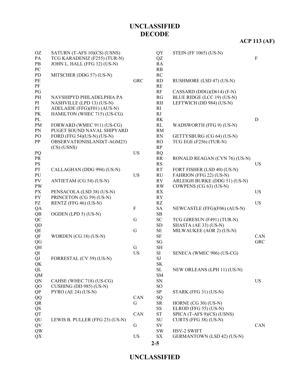### **UNCLASSIFIED**

**2-5**

| OZ                     | SATURN (T-AFS 10)(CS) (USNS)    |                  | QY                     | <b>STEIN (FF 1065) (US-N)</b>     |                |
|------------------------|---------------------------------|------------------|------------------------|-----------------------------------|----------------|
| PA                     | TCG KARADENIZ (F255) (TUR-N)    |                  | QZ                     |                                   | $\overline{F}$ |
| PB                     | JOHN L. HALL (FFG 32) (US-N)    |                  | RA                     |                                   |                |
| PC                     |                                 |                  | RB                     |                                   |                |
| PD                     | MITSCHER (DDG 57) (US-N)        |                  | RC                     |                                   |                |
| PE                     |                                 | <b>GRC</b>       | RD                     | RUSHMORE (LSD 47) (US-N)          |                |
| PF                     |                                 |                  | RE                     |                                   |                |
| PG                     |                                 |                  | RF                     | CASSARD (DDG)(D614) (F-N)         |                |
| PH                     | NAVSHIPYD PHILADELPHIA PA       |                  | RG                     | BLUE RIDGE (LCC 19) (US-N)        |                |
| PI                     | NASHVILLE (LPD 13) (US-N)       |                  | RH                     | LEFTWICH (DD 984) (US-N)          |                |
| PJ                     | ADELAIDE (FFG)(F01) (AUS-N)     |                  | RI                     |                                   |                |
| PK                     | HAMILTON (WHEC 715) (US-CG)     |                  | $\mathbf{R}\mathbf{J}$ |                                   |                |
| PL                     |                                 |                  | RK                     |                                   | ${\bf D}$      |
| PM                     | FORWARD (WMEC 911) (US-CG)      |                  | RL                     | WADSWORTH (FFG 9) (US-N)          |                |
| PN                     | PUGET SOUND NAVAL SHIPYARD      |                  | RM                     |                                   |                |
| PO                     | FORD (FFG 54)(US-N) (US-N)      |                  | RN                     | GETTYSBURG (CG 64) (US-N)         |                |
| PP                     | OBSERVATIONISLAND(T-AGM23)      |                  | RO                     | TCG EGE (F256) (TUR-N)            |                |
|                        | $(CS)$ (USNS)                   |                  | RP                     |                                   |                |
| PQ                     |                                 | <b>US</b>        | <b>RQ</b>              |                                   |                |
| PR                     |                                 |                  | RR                     | RONALD REAGAN (CVN 76) (US-N)     |                |
| $\mathbf{P}\mathbf{S}$ |                                 |                  | RS                     |                                   | <b>US</b>      |
| PT                     | CALLAGHAN (DDG 994) (US-N)      |                  | RT                     | FORT FISHER (LSD 40) (US-N)       |                |
| PU                     |                                 | <b>US</b>        | RU                     | FAHRION (FFG 22) (US-N)           |                |
| PV                     | ANTIETAM (CG 54) (US-N)         |                  | RV                     | ARLEIGH BURKE (DDG 51) (US-N)     |                |
| <b>PW</b>              |                                 |                  | RW                     | COWPENS (CG 63) (US-N)            |                |
| PX                     | PENSACOLA (LSD 38) (US-N)       |                  | RX                     |                                   | <b>US</b>      |
| PY                     | PRINCETON (CG 59) (US-N)        |                  | RY                     |                                   |                |
| PZ                     | RENTZ (FFG 46) (US-N)           |                  | RZ                     |                                   | <b>US</b>      |
| QA                     |                                 | $\boldsymbol{F}$ | <b>SA</b>              | NEWCASTLE (FFG)(F06) (AUS-N)      |                |
| QB                     | OGDEN (LPD 5) (US-N)            |                  | SB                     |                                   |                |
| QC                     |                                 | G                | <b>SC</b>              | TCG GIRESUN (F491) (TUR-N)        |                |
| QD                     |                                 |                  | ${\rm SD}$             | SHASTA (AE 33) (US-N)             |                |
| QE                     |                                 | G                | $\rm SE$               | MILWAUKEE (AOR 2) (US-N)          |                |
| QF                     | WORDEN (CG 18) (US-N)           |                  | <b>SF</b>              |                                   | CAN            |
| QG                     |                                 |                  | $\mathbf{S}\mathbf{G}$ |                                   | <b>GRC</b>     |
| QH                     |                                 | G                | <b>SH</b>              |                                   |                |
| QI                     |                                 | <b>US</b>        | $\rm SI$               | SENECA (WMEC 906) (US-CG)         |                |
| QJ                     | FORRESTAL (CV 59) (US-N)        |                  | SJ                     |                                   |                |
| QK                     |                                 |                  | $\rm SK$               |                                   |                |
| QL                     |                                 |                  | <b>SL</b>              | NEW ORLEANS (LPH 11) (US-N)       |                |
| <b>QM</b>              |                                 |                  | <b>SM</b>              |                                   |                |
| QN                     | CAHSE (WHEC 718) (US-CG)        |                  | ${\rm SN}$             |                                   | <b>US</b>      |
| QO                     | CUSHING (DD 985) (US-N)         |                  | SO <sub>1</sub>        |                                   |                |
| QP                     | PYRO (AE 24) (US-N)             |                  | SP                     | STARK (FFG 31) (US-N)             |                |
| QQ                     |                                 | CAN              | SQ                     |                                   |                |
| QR                     |                                 | G                | <b>SR</b>              | HORNE (CG 30) (US-N)              |                |
| QS                     |                                 |                  | SS                     | ELROD (FFG 55) (US-N)             |                |
| QT                     |                                 | CAN              | ${\rm ST}$             | SPICA (T-AFS 9)(CS) (USNS)        |                |
| QU                     | LEWIS B. PULLER (FFG 23) (US-N) |                  | ${\rm SU}$             | CURTS (FFG 38) (US-N)             |                |
| QV                     |                                 | G                | ${\rm SV}$             |                                   | CAN            |
| QW                     |                                 |                  | SW                     | HSV-2 SWIFT                       |                |
| QX                     |                                 | <b>US</b>        | ${\rm SX}$             | <b>GERMANTOWN (LSD 42) (US-N)</b> |                |
|                        |                                 |                  |                        |                                   |                |

**UNCLASSIFIED DECODE**

# **ACP 113 (AF)**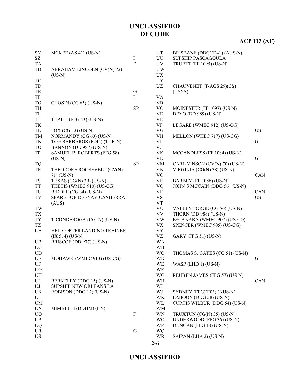# **ACP 113 (AF)**

| ${\rm SY}$<br>SZ | MCKEE $(AS 41)$ $(US-N)$    | $\bf I$        | UT<br>UU       | BRISBANE (DDG)(D41) (AUS-N)<br>SUPSHIP PASCAGOULA |            |
|------------------|-----------------------------|----------------|----------------|---------------------------------------------------|------------|
| TA               |                             | $\overline{F}$ | UV             | <b>TRUETT (FF 1095) (US-N)</b>                    |            |
| TB               | ABRAHAM LINCOLN (CV(N) 72)  |                | <b>UW</b>      |                                                   |            |
|                  | $(US-N)$                    |                | <b>UX</b>      |                                                   |            |
| TC               |                             |                | <b>UY</b>      |                                                   |            |
| TD               |                             |                | <b>UZ</b>      | CHAUVENET (T-AGS 29)(CS)                          |            |
| TE               |                             | G              |                | (USNS)                                            |            |
| TF               |                             | I              | VA             |                                                   |            |
| TG               | CHOSIN (CG 65) (US-N)       |                | <b>VB</b>      |                                                   |            |
| TH               |                             | ${\bf SP}$     | <b>VC</b>      | MOINESTER (FF 1097) (US-N)                        |            |
| TI               |                             |                | <b>VD</b>      | DEYO (DD 989) (US-N)                              |            |
| TJ               | THACH (FFG 43) (US-N)       |                | <b>VE</b>      |                                                   |            |
| TK               |                             |                | <b>VF</b>      | LEGARE (WMEC 912) (US-CG)                         |            |
| TL               | FOX (CG 33) $(US-N)$        |                | VG             |                                                   | <b>US</b>  |
| TM               | NORMANDY (CG 60) (US-N)     |                | <b>VH</b>      | MELLON (WHEC 717) (US-CG)                         |            |
| TN               | TCG BARBAROS (F244) (TUR-N) |                | VI             |                                                   | G          |
| TO <sub>1</sub>  | BANNON (DD 987) (US-N)      |                | VJ             |                                                   |            |
| TP               | SAMUEL B. ROBERTS (FFG 58)  |                | <b>VK</b>      | MCCANDLESS (FF 1084) (US-N)                       |            |
|                  | $(US-N)$                    |                | VL             |                                                   | G          |
| <b>TQ</b>        |                             | SP             | <b>VM</b>      | CARL VINSON (CV(N) 70) (US-N)                     |            |
| TR               | THEODORE ROOSEVELT (CV(N)   |                | <b>VN</b>      | VIRGINIA (CG(N) 38) (US-N)                        |            |
|                  | 71) (US-N)                  |                | V <sub>O</sub> |                                                   | CAN        |
| TS               | TEXAS $(CG(N)$ 39) (US-N)   |                | <b>VP</b>      | <b>BARBEY (FF 1088) (US-N)</b>                    |            |
| <b>TT</b>        | THETIS (WMEC 910) (US-CG)   |                | <b>VQ</b>      | JOHN S MCCAIN (DDG 56) (US-N)                     |            |
| TU               | BIDDLE (CG 34) (US-N)       |                | <b>VR</b>      |                                                   | CAN        |
| TV               | SPARE FOR DEFNAV CANBERRA   |                | <b>VS</b>      |                                                   | <b>US</b>  |
|                  | (AUS)                       |                | <b>VT</b>      |                                                   |            |
| TW               |                             |                | VU             | VALLEY FORGE (CG 50) (US-N)                       |            |
| ${\rm T}{\rm X}$ |                             |                | <b>VV</b>      | <b>THORN (DD 988) (US-N)</b>                      |            |
| TY               | TICONDEROGA (CG 47) (US-N)  |                | <b>VW</b>      | ESCANABA (WMEC 907) (US-CG)                       |            |
| TZ               |                             |                | <b>VX</b>      | SPENCER (WMEC 905) (US-CG)                        |            |
| <b>UA</b>        | HELICOPTER LANDING TRAINER  |                | <b>VY</b>      |                                                   |            |
|                  | $(IX 514) (US-N)$           |                | VZ             | GARY (FFG 51) (US-N)                              |            |
| UB               | BRISCOE (DD 977) (US-N)     |                | <b>WA</b>      |                                                   |            |
| $\rm UC$         |                             |                | <b>WB</b>      |                                                   |            |
| <b>UD</b>        |                             |                | <b>WC</b>      | THOMAS S. GATES (CG 51) (US-N)                    |            |
| UE               | MOHAWK (WMEC 913) (US-CG)   |                | <b>WD</b>      |                                                   | G          |
| UF               |                             |                | WE             | WASP (LHD 1) (US-N)                               |            |
| UG               |                             |                | WF             |                                                   |            |
| UH               |                             |                | WG             | REUBEN JAMES (FFG 57) (US-N)                      |            |
| UI               | BERKELEY (DDG 15) (US-N)    |                | WH             |                                                   | <b>CAN</b> |
| UJ               | SUPSHIP NEW ORLEANS LA      |                | WI             |                                                   |            |
| <b>UK</b>        | ROBISON (DDG 12) (US-N)     |                | WJ             | SYDNEY (FFG)(F03) (AUS-N)                         |            |
| UL               |                             |                | WK             | LABOON (DDG 58) (US-N)                            |            |
| <b>UM</b>        |                             |                | WL             | <b>CURTIS WILBUR (DDG 54) (US-N)</b>              |            |
| <b>UN</b>        | MIMBELLI (DDHM) (I-N)       |                | <b>WM</b>      |                                                   |            |
| <b>UO</b>        |                             | ${\bf F}$      | <b>WN</b>      | TRUXTUN (CG(N) 35) (US-N)                         |            |
| UP               |                             |                | <b>WO</b>      | UNDERWOOD (FFG 36) (US-N)                         |            |
| <b>UQ</b>        |                             |                | <b>WP</b>      | DUNCAN (FFG 10) (US-N)                            |            |
| <b>UR</b>        |                             | G              | <b>WQ</b>      |                                                   |            |
| <b>US</b>        |                             |                | WR             | SAIPAN (LHA 2) (US-N)                             |            |
|                  |                             |                | $2 - 6$        |                                                   |            |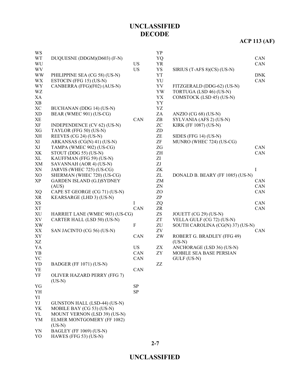# **ACP 113 (AF)**

| <b>WS</b>              |                                        |             | YP                         |                                  |            |
|------------------------|----------------------------------------|-------------|----------------------------|----------------------------------|------------|
| <b>WT</b>              | DUQUESNE (DDGM)(D603) (F-N)            |             | YQ                         |                                  | <b>CAN</b> |
| WU                     |                                        | <b>US</b>   | YR                         |                                  | CAN        |
| <b>WV</b>              |                                        | <b>US</b>   | YS                         | SIRIUS $(T-AFS 8)(CS)$ (US-N)    |            |
| <b>WW</b>              | PHILIPPINE SEA (CG 58) (US-N)          |             | <b>YT</b>                  |                                  | <b>DNK</b> |
| <b>WX</b>              | ESTOCIN (FFG 15) (US-N)                |             | YU                         |                                  | CAN        |
| <b>WY</b>              | CANBERRA (FFG)(F02) (AUS-N)            |             | YV                         | FITZGERALD (DDG-62) (US-N)       |            |
| WZ                     |                                        |             | YW                         | TORTUGA (LSD 46) (US-N)          |            |
| XA                     |                                        |             | YX                         | COMSTOCK (LSD 45) (US-N)         |            |
| XB                     |                                        |             | YY                         |                                  |            |
| <b>XC</b>              | BUCHANAN (DDG 14) (US-N)               |             | YZ                         |                                  |            |
| <b>XD</b>              | BEAR (WMEC 901) (US-CG)                |             | ZA                         | ANZIO (CG $68$ ) (US-N)          |            |
| <b>XE</b>              |                                        | CAN         | ZB                         | SYLVANIA (AFS 2) (US-N)          |            |
| XF                     | INDEPENDENCE (CV 62) (US-N)            |             | ZC                         | <b>KIRK (FF 1087) (US-N)</b>     |            |
| XG                     | TAYLOR (FFG 50) (US-N)                 |             | ZD                         |                                  |            |
| XH                     | REEVES (CG 24) (US-N)                  |             | $\ensuremath{\mathsf{ZE}}$ | SIDES (FFG 14) (US-N)            |            |
| XI                     | ARKANSAS (CG(N) 41) (US-N)             |             | $ZF$                       | MUNRO (WHEC 724) (US-CG)         |            |
| XJ                     | TAMPA (WMEC 902) (US-CG)               |             | ZG                         |                                  | CAN        |
| XK                     | STOUT (DDG 55) (US-N)                  |             | ΖH                         |                                  | CAN        |
| $\mathbf{XL}$          | KAUFFMAN (FFG 59) (US-N)               |             | ZI                         |                                  |            |
| XM                     | SAVANNAH (AOR 4) (US-N)                |             | ZJ                         |                                  |            |
| XN                     | JARVIS (WHEC 725) (US-CG)              |             | ZK                         |                                  | $\bf{I}$   |
| XO                     | SHERMAN (WHEC 720) (US-CG)             |             | ZL                         | DONALD B. BEARY (FF 1085) (US-N) |            |
| XP                     | <b>GARDEN ISLAND (G.I)SYDNEY</b>       |             | ZM                         |                                  | <b>CAN</b> |
|                        | (AUS)                                  |             | ZN                         |                                  | CAN        |
| XQ                     | CAPE ST GEORGE (CG 71) (US-N)          |             | ZO                         |                                  | CAN        |
| XR                     | KEARSARGE (LHD 3) (US-N)               |             | ZP                         |                                  |            |
| XS                     |                                        | $\bf{I}$    | ZQ                         |                                  | CAN        |
| <b>XT</b>              |                                        | CAN         | ZR                         |                                  | CAN        |
| XU                     | HARRIET LANE (WMEC 903) (US-CG)        |             | ZS                         | JOUETT (CG 29) (US-N)            |            |
| XV                     | CARTER HALL (LSD 50) (US-N)            |             | ZT                         | VELLA GULF (CG 72) (US-N)        |            |
| $\mathbf{X}\mathbf{W}$ |                                        | $\mathbf F$ | ZU                         | SOUTH CAROLINA (CG(N) 37) (US-N) |            |
| XX                     | SAN JACINTO (CG 56) (US-N)             |             | ZV                         |                                  | CAN        |
| XY                     |                                        | CAN         | ZW                         | ROBERT G. BRADLEY (FFG 49)       |            |
| XZ                     |                                        |             |                            | $(US-N)$                         |            |
| YA                     |                                        | <b>US</b>   | ZX                         | ANCHORAGE (LSD 36) (US-N)        |            |
| YB                     |                                        | CAN         | ZY                         | <b>MOBILE SEA BASE PERSIAN</b>   |            |
| YC                     |                                        | CAN         |                            | GULF (US-N)                      |            |
| YD                     | BADGER (FF 1071) (US-N)                |             | ZZ                         |                                  |            |
| YE                     |                                        | CAN         |                            |                                  |            |
| YF                     | OLIVER HAZARD PERRY (FFG 7)            |             |                            |                                  |            |
|                        | $(US-N)$                               |             |                            |                                  |            |
| YG                     |                                        | <b>SP</b>   |                            |                                  |            |
| YH                     |                                        | SP          |                            |                                  |            |
| YI                     |                                        |             |                            |                                  |            |
| YJ                     | GUNSTON HALL (LSD-44) (US-N)           |             |                            |                                  |            |
| YK                     | MOBILE BAY (CG 53) (US-N)              |             |                            |                                  |            |
| YL                     | MOUNT VERNON (LSD 39) (US-N)           |             |                            |                                  |            |
| YM                     | ELMER MONTGOMERY (FF 1082)<br>$(US-N)$ |             |                            |                                  |            |
| YN                     | <b>BAGLEY (FF 1069) (US-N)</b>         |             |                            |                                  |            |
| YO                     | HAWES (FFG 53) (US-N)                  |             |                            |                                  |            |

**2-7**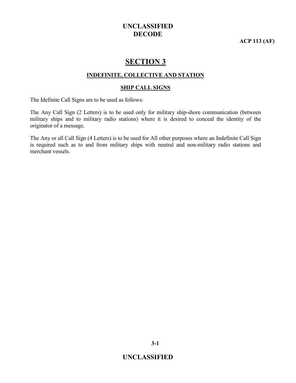**ACP 113 (AF)**

# **SECTION 3**

#### **INDEFINITE, COLLECTIVE AND STATION**

#### **SHIP CALL SIGNS**

The Idefinite Call Signs are to be used as follows:

The Any Call Sign (2 Letters) is to be used only for military ship-shore communication (between military ships and to military radio stations) where it is desired to conceal the identity of the originator of a message.

The Any or all Call Sign (4 Letters) is to be used for All other purposes where an Indefinite Call Sign is required such as to and from military ships with neutral and non-military radio stations and merchant vessels.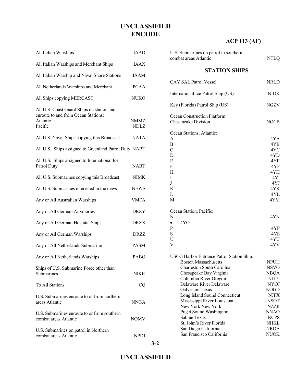# **ACP 113 (AF)**

| All Italian Warships                                                                                    | <b>IAAD</b>         |
|---------------------------------------------------------------------------------------------------------|---------------------|
| All Italian Warships and Merchant Ships                                                                 | <b>IAAX</b>         |
| All Italian Warship and Naval Shore Stations                                                            | <b>IAAM</b>         |
| All Netherlands Warships and Merchant                                                                   | <b>PCAA</b>         |
| All Ships copying MERCAST                                                                               | NUKO                |
| All U.S. Coast Guard Ships on station and<br>enroute to and from Ocean Stations:<br>Atlantic<br>Pacific | NMMZ<br><b>NDLZ</b> |
| All U.S. Naval Ships copying this Broadcast                                                             | <b>NATA</b>         |
| All U.S. Ships assigned to Greenland Patrol Duty NABT                                                   |                     |
| All U.S. Ships assigned to International Ice<br>Patrol Duty                                             | <b>NABT</b>         |
| All U.S. Submarines copying this Broadcast                                                              | <b>NIMK</b>         |
| All U.S. Submarines interested in the news                                                              | <b>NEWS</b>         |
| Any or All Australian Warships                                                                          | <b>VMFA</b>         |
| Any or All German Auxiliaries                                                                           | <b>DRZY</b>         |
| Any or All German Hospital Ships                                                                        | <b>DRZX</b>         |
| Any or All German Warships                                                                              | <b>DRZZ</b>         |
| Any or All Netherlands Submarine                                                                        | <b>PASM</b>         |
| Any or All Netherlands Warships                                                                         | <b>PABO</b>         |
| Ships of U.S. Submarine Force other than<br>Submarines                                                  | NIKK                |
| <b>To All Stations</b>                                                                                  | CQ                  |
| U.S. Submarines enroute to or from northern<br>areas Atlantic                                           | <b>NNGA</b>         |
| U.S. Submarines enroute to or from southern<br>combat areas Atlantic                                    | NOMV                |
| U.S. Submarines on patrol in Northern<br>combat areas Atlantic                                          | <b>NPDJ</b>         |

| U.S. Submarines on patrol in southern<br>combat areas Atlantic                                                                                                                                                                                                                                                                                                                                                                       | <b>NTLQ</b>                                                                                                                                                                               |
|--------------------------------------------------------------------------------------------------------------------------------------------------------------------------------------------------------------------------------------------------------------------------------------------------------------------------------------------------------------------------------------------------------------------------------------|-------------------------------------------------------------------------------------------------------------------------------------------------------------------------------------------|
| <b>STATION SHIPS</b>                                                                                                                                                                                                                                                                                                                                                                                                                 |                                                                                                                                                                                           |
| <b>CAY SAL Patrol Vessel</b>                                                                                                                                                                                                                                                                                                                                                                                                         | <b>NRLD</b>                                                                                                                                                                               |
| International Ice Patrol Ship (US)                                                                                                                                                                                                                                                                                                                                                                                                   | <b>NIDK</b>                                                                                                                                                                               |
| Key (Florida) Patrol Ship (US)                                                                                                                                                                                                                                                                                                                                                                                                       | NGZV                                                                                                                                                                                      |
| Ocean Construction Platform:<br>Chesapeake Division                                                                                                                                                                                                                                                                                                                                                                                  | <b>NOCB</b>                                                                                                                                                                               |
| Ocean Stations, Atlantic:<br>A<br>B<br>$\mathcal{C}$<br>D<br>E<br>F<br>Η<br>I<br>J<br>K<br>L<br>M                                                                                                                                                                                                                                                                                                                                    | 4YA<br>4YB<br>4YC<br>4YD<br>4YE<br>4YF<br>4YH<br>4YI<br>4YJ<br>4YK<br>4YL<br>4YM                                                                                                          |
| Ocean Station, Pacific:<br>N<br>4YO<br>$\bullet$<br>P<br>S<br>U<br>V                                                                                                                                                                                                                                                                                                                                                                 | 4YN<br>4YP<br>4YS<br>4YU<br>4YV                                                                                                                                                           |
| USCG Harbor Entrance Patrol Station Ship:<br><b>Boston Massachusetts</b><br>Charleston South Carolina<br>Chesapeake Bay Virginia<br>Columbia River Oregon<br>Delaware River Delaware<br><b>Galveston Texas</b><br>Long Island Sound Connecticut<br>Mississippi River Louisiana<br>New York New York<br><b>Puget Sound Washington</b><br>Sabine Texas<br>St. John's River Florida<br>San Diego California<br>San Francisco California | <b>NPUH</b><br><b>NSVO</b><br><b>NBQA</b><br><b>NJLY</b><br><b>NYOJ</b><br><b>NOGD</b><br>NJFX<br><b>NSOT</b><br>NZZR<br><b>NNAO</b><br><b>NCPS</b><br>NHKL<br><b>NROA</b><br><b>NUOK</b> |

**UNCLASSIFIED**

**3-2**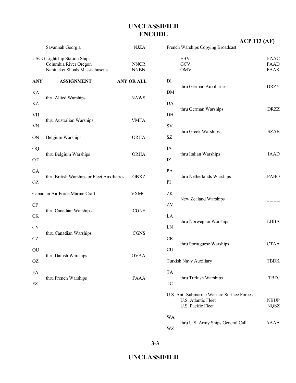|            | Savannah Georgia                                                                               | <b>NJZA</b>         |
|------------|------------------------------------------------------------------------------------------------|---------------------|
|            | <b>USCG</b> Lightship Station Ship:<br>Columbia River Oregon<br>Nantucket Shoals Massachusetts | NNCR<br><b>NNBN</b> |
| <b>ANY</b> | <b>ASSIGNMENT</b>                                                                              | <b>ANY OR ALL</b>   |
| <b>KA</b>  |                                                                                                | <b>NAWS</b>         |
| <b>KZ</b>  | thru Allied Warships                                                                           |                     |
| VH         | thru Australian Warships                                                                       | VMFA                |
| <b>VN</b>  |                                                                                                |                     |
| ON         | <b>Belgium Warships</b>                                                                        | <b>ORHA</b>         |
| <b>OQ</b>  |                                                                                                |                     |
| OТ         | thru Belgium Warships                                                                          | <b>ORHA</b>         |
| GA         |                                                                                                |                     |
| GZ.        | thru British Warships or Fleet Auxiliaries                                                     | GBXZ                |
|            | Canadian Air Force Marine Craft                                                                | VXMC                |
| CF         |                                                                                                | <b>CGNS</b>         |
| СK         | thru Canadian Warships                                                                         |                     |
| <b>CY</b>  |                                                                                                | <b>CGNS</b>         |
| <b>CZ</b>  | thru Canadian Warships                                                                         |                     |
| OU         |                                                                                                |                     |
| ΟZ         | thru Danish Warships                                                                           | <b>OVAA</b>         |
| FA         |                                                                                                |                     |
| FZ         | thru French Warships                                                                           | FAAA                |

|                        | French Warships Copying Broadcast:                                                       | <b>ACP 113 (AF)</b>                |
|------------------------|------------------------------------------------------------------------------------------|------------------------------------|
|                        | EBV<br>GCV<br><b>OMV</b>                                                                 | <b>FAAC</b><br>FAAD<br><b>FAAK</b> |
| DI<br><b>DM</b>        | thru German Auxiliaries                                                                  | <b>DRZY</b>                        |
| DA<br>DH               | thru German Warships                                                                     | <b>DRZZ</b>                        |
| SV<br><b>SZ</b>        | thru Greek Warships                                                                      | <b>SZAB</b>                        |
| IA<br>IZ               | thru Italian Warships                                                                    | <b>JAAD</b>                        |
| PA<br>PI               | thru Netherlands Warships                                                                | <b>PABO</b>                        |
| ZK<br>ZΜ               | New Zealand Warships                                                                     |                                    |
| LA<br>LN               | thru Norwegian Warships                                                                  | <b>LBBA</b>                        |
| <b>CR</b><br><b>CU</b> | thru Portuguese Warships                                                                 | <b>CTAA</b>                        |
|                        | Turkish Navy Auxiliary                                                                   | <b>TBDK</b>                        |
| TA<br>TC               | thru Turkish Warships                                                                    | <b>TBDJ</b>                        |
|                        | U.S. Anti-Submarine Warfare Surface Forces:<br>U.S. Atlantic Fleet<br>U.S. Pacific Fleet | <b>NBUP</b><br><b>NQSZ</b>         |
| WA<br>WZ               | thru U.S. Army Ships General Call                                                        | <b>AAAA</b>                        |

**3-3**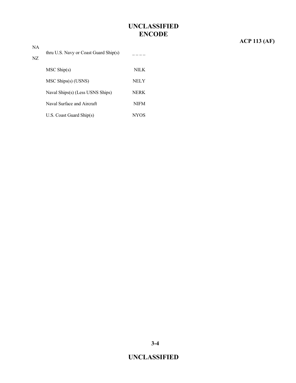# **ACP 113 (AF)**

| NA. |                                                |             |
|-----|------------------------------------------------|-------------|
| NZ. | thru U.S. Navy or Coast Guard $\text{Ship}(s)$ |             |
|     | $MSC$ Ship(s)                                  | NILK.       |
|     | MSC Ships(s) (USNS)                            | NELY        |
|     | Naval Ships(s) (Less USNS Ships)               | NERK        |
|     | Naval Surface and Aircraft                     | <b>NIFM</b> |
|     | $U.S.$ Coast Guard Ship $(s)$                  | NYOS        |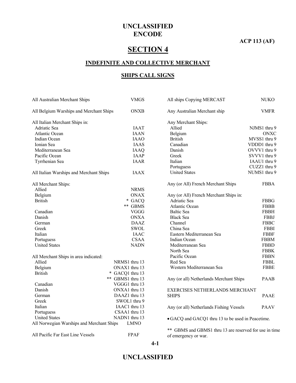#### **ACP 113 (AF)**

# **SECTION 4**

#### **INDEFINITE AND COLLECTIVE MERCHANT**

#### **SHIPS CALL SIGNS**

| All Australian Merchant Ships             | <b>VMGS</b>      | All ships Copying MERCAST                              | <b>NUKO</b>  |
|-------------------------------------------|------------------|--------------------------------------------------------|--------------|
| All Belgium Warships and Merchant Ships   | <b>ONXB</b>      | Any Australian Merchant ship                           | <b>VMFR</b>  |
| All Italian Merchant Ships in:            |                  | Any Merchant Ships:                                    |              |
| Adriatic Sea                              | <b>IAAT</b>      | Allied                                                 | NJMS1 thru 9 |
| Atlantic Ocean                            | <b>IAAN</b>      | Belgium                                                | <b>ONXC</b>  |
| Indian Ocean                              | <b>IAAO</b>      | <b>British</b>                                         | MVSS1 thru 9 |
| Ionian Sea                                | <b>IAAS</b>      | Canadian                                               | VDDD1 thru 9 |
| Mediterranean Sea                         | <b>IAAQ</b>      | Danish                                                 | OVVV1 thru 9 |
| Pacific Ocean                             | <b>IAAP</b>      | Greek                                                  | SVVV1 thru 9 |
| Tyrrhenian Sea                            | <b>IAAR</b>      | Italian                                                | IAAU1 thru 9 |
|                                           |                  | Portuguess                                             | CUZZ1 thru 9 |
| All Italian Warships and Merchant Ships   | <b>IAAX</b>      | <b>United States</b>                                   | NUMS1 thru 9 |
| All Merchant Ships:                       |                  | Any (or All) French Merchant Ships                     | <b>FBBA</b>  |
| Allied                                    | <b>NRMS</b>      |                                                        |              |
| Belgium                                   | <b>ONAX</b>      | Any (or All) French Merchant Ships in:                 |              |
| <b>British</b>                            | * GACQ           | Adriatic Sea                                           | <b>FBBG</b>  |
|                                           | ** GBMS          | <b>Atlantic Ocean</b>                                  | <b>FBBB</b>  |
| Canadian                                  | <b>VGGG</b>      | <b>Baltic Sea</b>                                      | <b>FBBH</b>  |
| Danish                                    | <b>ONXA</b>      | <b>Black Sea</b>                                       | <b>FBBJ</b>  |
| German                                    | <b>DAAZ</b>      | Channel                                                | <b>FBBC</b>  |
| Greek                                     | SWOL             | China Sea                                              | <b>FBBI</b>  |
| Italian                                   | <b>IAAC</b>      | Eastern Mediterranean Sea                              | <b>FBBF</b>  |
| Portuguess                                | <b>CSAA</b>      | Indian Ocean                                           | <b>FBBM</b>  |
| <b>United States</b>                      | <b>NADN</b>      | Mediterranean Sea                                      | <b>FBBD</b>  |
|                                           |                  | North Sea                                              | <b>FBBK</b>  |
| All Merchant Ships in area indicated:     |                  | Pacific Ocean                                          | <b>FBBN</b>  |
| Allied                                    | NRMS1 thru 13    | Red Sea                                                | <b>FBBL</b>  |
| Belgium                                   | ONAX1 thru 13    | Western Mediterranean Sea                              | <b>FBBE</b>  |
| <b>British</b>                            | * GACQ1 thru 13  |                                                        |              |
|                                           | ** GBMS1 thru 13 | Any (or all) Netherlands Merchant Ships                | <b>PAAB</b>  |
| Canadian                                  | VGGG1 thru 13    |                                                        |              |
| Danish                                    | ONXA1 thru 13    | EXERCISES NETHERLANDS MERCHANT                         |              |
| German                                    | DAAZ1 thru 13    | <b>SHIPS</b>                                           | <b>PAAE</b>  |
| Greek                                     | SWOL1 thru 9     |                                                        |              |
| Italian                                   | IAAC1 thru 13    | Any (or all) Netherlands Fishing Vessels               | <b>PAAV</b>  |
| Portuguess                                | CSAA1 thru 13    |                                                        |              |
| <b>United States</b>                      | NADN1 thru 13    | • GACQ and GACQ1 thru 13 to be used in Peacetime.      |              |
| All Norwegian Warships and Merchant Ships | <b>LMNO</b>      |                                                        |              |
|                                           |                  | ** GBMS and GBMS1 thru 13 are reserved for use in time |              |
| All Pacific Far East Line Vessels         | <b>FPAF</b>      | of emergency or war.                                   |              |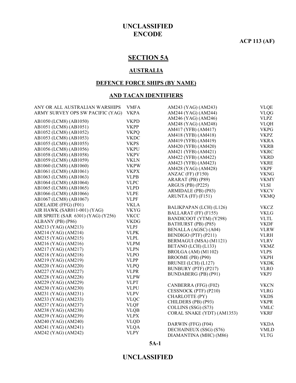#### **ACP 113 (AF)**

### **SECTION 5A**

#### **AUSTRALIA**

#### **DEFENCE FORCE SHIPS (BY NAME)**

#### **AND TACAN IDENTIFIERS**

| ANY OR ALL AUSTRALIAN WARSHIPS     | <b>VMFA</b> | AM243 (YAG) (AM243)        | <b>VLQE</b>                  |
|------------------------------------|-------------|----------------------------|------------------------------|
| ARMY SURVEY OPS SW PACIFIC (YAG)   | <b>VKPA</b> | AM244 (YAG) (AM244)        | <b>VLQG</b>                  |
|                                    | <b>VKPD</b> | AM246 (YAG) (AM246)        | <b>VLPZ</b>                  |
| AB1050 (LCM8) (AB1050)             | <b>VKPP</b> | AM248 (YAG) (AM248)        | $\ensuremath{\mathsf{VLQH}}$ |
| AB1051 (LCM8) (AB1051)             |             | AM417 (YFB) (AM417)        | <b>VKPG</b>                  |
| AB1052 (LCM8) (AB1052)             | <b>VKPQ</b> | AM418 (YFB) (AM418)        | <b>VKPZ</b>                  |
| AB1053 (LCM8) (AB1053)             | <b>VKDC</b> | AM419 (YFB) (AM419)        | <b>VKRA</b>                  |
| AB1055 (LCM8) (AB1055)             | <b>VKPS</b> | AM420 (YFB) (AM420)        | <b>VKRB</b>                  |
| AB1056 (LCM8) (AB1056)             | <b>VKPU</b> | AM421 (YFB) (AM421)        | <b>VKRC</b>                  |
| AB1058 (LCM8) (AB1058)             | <b>VKPV</b> | AM422 (YFB) (AM422)        | <b>VKRD</b>                  |
| AB1059 (LCM8) (AB1059)             | <b>VKLN</b> | AM423 (YFB) (AM423)        | <b>VKRE</b>                  |
| AB1060 (LCM8) (AB1060)             | <b>VKPW</b> | AM428 (YAG) (AM428)        | <b>VKPF</b>                  |
| AB1061 (LCM8) (AB1061)             | <b>VKPX</b> | ANZAC (FF) (F150)          | <b>VKNG</b>                  |
| AB1063 (LCM8) (AB1063)             | <b>VLPB</b> | ARARAT (PB) (P89)          | <b>VKMY</b>                  |
| AB1064 (LCM8) (AB1064)             | <b>VLPC</b> | ARGUS (PB) (P225)          | <b>VLSI</b>                  |
| AB1065 (LCM8) (AB1065)             | <b>VLPD</b> | ARMIDALE (PB) (P83)        | <b>VKCV</b>                  |
| AB1066 (LCM8) (AB1066)             | <b>VLPE</b> | ARUNTA (FF) (F151)         | <b>VKMQ</b>                  |
| AB1067 (LCM8) (AB1067)             | <b>VLPF</b> |                            |                              |
| ADELAIDE (FFG) (F01)               | <b>VKLA</b> | BALIKPAPAN (LCH) (L126)    | <b>VKCZ</b>                  |
| AIR HAWK (SAR011-001) (YAG)        | <b>VKYG</b> | BALLARAT (FF) (F155)       | <b>VKLG</b>                  |
| AIR SPRITE (SAR 6301) (YAG) (Y256) | <b>VKCC</b> |                            |                              |
| ALBANY (PB) (P86)                  | <b>VKDG</b> | BANDICOOT (YTM) (Y298)     | <b>VLTL</b>                  |
| AM213 (YAG) (AM213)                | <b>VLPJ</b> | BATHURST (PB) (P85)        | <b>VKDF</b>                  |
| AM214 (YAG) (AM214)                | <b>VLPK</b> | BENALLA (AGSC) (A04)       | <b>VLRW</b>                  |
| AM215 (YAG) (AM215)                | <b>VLPL</b> | BENDIGO (PTF) (P211)       | <b>VLRH</b>                  |
| AM216 (YAG) (AM216)                | <b>VLPM</b> | BERMAGUI (MSA) (M1121)     | <b>VLRV</b>                  |
| AM217 (YAG) (AM217)                | <b>VLPN</b> | BETANO (LCH) (L133)        | <b>VKMZ</b>                  |
| AM218 (YAG) (AM218)                | <b>VLPO</b> | BROLGA (AM) (M1102)        | <b>VLPS</b>                  |
| AM219 (YAG) (AM219)                | <b>VLPP</b> | BROOME (PB) (P90)          | <b>VKPH</b>                  |
| AM220 (YAG) (AM220)                | <b>VLPQ</b> | BRUNEI (LCH) (L127)        | <b>VKDK</b>                  |
| AM227 (YAG) (AM227)                | <b>VLPR</b> | BUNBURY (PTF) (P217)       | <b>VLRO</b>                  |
| AM228 (YAG) (AM228)                | <b>VLPW</b> | BUNDABERG (PB) (P91)       | <b>VKPJ</b>                  |
| AM229 (YAG) (AM229)                | <b>VLPT</b> |                            |                              |
| AM230 (YAG) (AM230)                | <b>VLPU</b> | CANBERRA (FFG) (F02)       | <b>VKCN</b>                  |
| AM231 (YAG) (AM231)                | <b>VLPV</b> | CESSNOCK (PTF) (P210)      | <b>VLRG</b>                  |
| AM233 (YAG) (AM233)                | <b>VLQC</b> | CHARLOTTE (PY)             | <b>VKDS</b>                  |
| AM237 (YAG) (AM237)                |             | CHILDERS (PB) (P93)        | <b>VKPR</b>                  |
|                                    | <b>VLQF</b> | COLLINS (SSG) (S73)        | <b>VMLC</b>                  |
| AM238 (YAG) (AM238)                | <b>VLQB</b> | CORAL SNAKE (YDT) (AM1353) | <b>VKRF</b>                  |
| AM239 (YAG) (AM239)                | <b>VLPX</b> |                            |                              |
| AM240 (YAG) (AM240)                | <b>VLQD</b> | DARWIN (FFG) (F04)         | <b>VKDA</b>                  |
| AM241 (YAG) (AM241)                | <b>VLQA</b> | DECHAINEUX (SSG) (S76)     | <b>VMLD</b>                  |
| AM242 (YAG) (AM242)                | <b>VLPY</b> | DIAMANTINA (MHC) (M86)     | <b>VLTG</b>                  |
|                                    |             |                            |                              |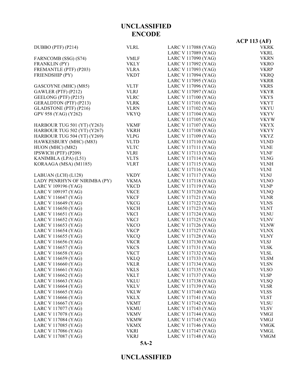|                               |             |                     | <b>ACP 113 (AF)</b> |
|-------------------------------|-------------|---------------------|---------------------|
| DUBBO (PTF) (P214)            | <b>VLRL</b> | LARC V 117088 (YAG) | <b>VKRK</b>         |
|                               |             | LARC V 117089 (YAG) | <b>VKRL</b>         |
| FARNCOMB (SSG) (S74)          | <b>VMLF</b> | LARC V 117090 (YAG) | <b>VKRN</b>         |
| FRANKLIN (PY)                 | <b>VKLY</b> | LARC V 117092 (YAG) | <b>VKRO</b>         |
| FREMANTLE (PTF) (P203)        | <b>VLRA</b> | LARC V 117093 (YAG) | <b>VKRP</b>         |
| FRIENDSHIP (PY)               | <b>VKDT</b> | LARC V 117094 (YAG) | <b>VKRQ</b>         |
|                               |             | LARC V 117095 (YAG) | <b>VKRR</b>         |
| GASCOYNE (MHC) (M85)          | <b>VLTF</b> | LARC V 117096 (YAG) | <b>VKRS</b>         |
| GAWLER (PTF) (P212)           | <b>VLRJ</b> | LARC V 117097 (YAG) | <b>VKYR</b>         |
| GEELONG (PTF) (P215)          | <b>VLRC</b> | LARC V 117100 (YAG) | <b>VKYS</b>         |
| <b>GERALDTON (PTF) (P213)</b> | <b>VLRK</b> | LARC V 117101 (YAG) | <b>VKYT</b>         |
| GLADSTONE (PTF) (P216)        | <b>VLRN</b> | LARC V 117102 (YAG) | <b>VKYU</b>         |
| GPV 958 (YAG) (Y262)          | <b>VKYQ</b> | LARC V 117104 (YAG) | <b>VKYV</b>         |
|                               |             | LARC V 117105 (YAG) | <b>VKYW</b>         |
| HARBOUR TUG 501 (YT) (Y263)   | <b>VKMF</b> | LARC V 117107 (YAG) | <b>VKYX</b>         |
| HARBOUR TUG 502 (YT) (Y267)   | <b>VKRH</b> | LARC V 117108 (YAG) | <b>VKYY</b>         |
| HARBOUR TUG 504 (YT) (Y269)   | <b>VLPG</b> | LARC V 117109 (YAG) | <b>VKYZ</b>         |
| HAWKESBURY (MHC) (M83)        | <b>VLTD</b> | LARC V 117110 (YAG) | <b>VLND</b>         |
| HUON (MHC) (M82)              | <b>VLTC</b> | LARC V 117111 (YAG) | <b>VLNE</b>         |
| IPSWICH (PTF) (P209)          | <b>VLRI</b> | LARC V 117113 (YAG) | <b>VLNF</b>         |
| KANIMBLA (LPA) (L51)          | <b>VLTS</b> | LARC V 117114 (YAG) | <b>VLNG</b>         |
| KORAAGA (MSA) (M1185)         | <b>VLRT</b> | LARC V 117115 (YAG) | <b>VLNH</b>         |
|                               |             | LARC V 117116 (YAG) | <b>VLNI</b>         |
| LABUAN (LCH) (L128)           | <b>VKDY</b> | LARC V 117117 (YAG) | <b>VLNJ</b>         |
| LADY PENRHYN OF NIRIMBA (PY)  | <b>VKMA</b> | LARC V 117118 (YAG) | <b>VLNO</b>         |
| LARC V 109196 (YAG)           | <b>VKCD</b> | LARC V 117119 (YAG) | <b>VLNP</b>         |
| LARC V 109197 (YAG)           | <b>VKCE</b> | LARC V 117120 (YAG) | <b>VLNQ</b>         |
| LARC V 116647 (YAG)           | <b>VKCF</b> | LARC V 117121 (YAG) | <b>VLNR</b>         |
| LARC V 116649 (YAG)           | <b>VKCG</b> | LARC V 117122 (YAG) | <b>VLNS</b>         |
| LARC V 116650 (YAG)           | <b>VKCH</b> | LARC V 117123 (YAG) | <b>VLNT</b>         |
| LARC V 116651 (YAG)           | <b>VKCI</b> | LARC V 117124 (YAG) | <b>VLNU</b>         |
| LARC V 116652 (YAG)           | <b>VKCJ</b> | LARC V 117125 (YAG) | <b>VLNV</b>         |
| LARC V 116653 (YAG)           | <b>VKCO</b> | LARC V 117126 (YAG) | <b>VLNW</b>         |
| LARC V 116654 (YAG)           | <b>VKCP</b> | LARC V 117127 (YAG) | <b>VLNX</b>         |
| LARC V 116655 (YAG)           | <b>VKCQ</b> | LARC V 117128 (YAG) | <b>VLNY</b>         |
| LARC V 116656 (YAG)           | <b>VKCR</b> | LARC V 117130 (YAG) | <b>VLSJ</b>         |
| LARC V 116657 (YAG)           | <b>VKCS</b> | LARC V 117131 (YAG) | <b>VLSK</b>         |
| LARC V 116658 (YAG)           | <b>VKCT</b> | LARC V 117132 (YAG) | VLSL                |
| LARC V 116659 (YAG)           | <b>VKLQ</b> | LARC V 117133 (YAG) | <b>VLSM</b>         |
| LARC V 116660 (YAG)           | <b>VKLR</b> | LARC V 117134 (YAG) | <b>VLSN</b>         |
| LARC V 116661 (YAG)           | <b>VKLS</b> | LARC V 117135 (YAG) | <b>VLSO</b>         |
| LARC V 116662 (YAG)           | <b>VKLT</b> | LARC V 117137 (YAG) | <b>VLSP</b>         |
| LARC V 116663 (YAG)           | <b>VKLU</b> | LARC V 117138 (YAG) | <b>VLSQ</b>         |
| LARC V 116664 (YAG)           | <b>VKLV</b> | LARC V 117139 (YAG) | <b>VLSR</b>         |
| LARC V 116665 (YAG)           | <b>VKLW</b> | LARC V 117140 (YAG) | <b>VLSS</b>         |
| LARC V 116666 (YAG)           | VKLX        | LARC V 117141 (YAG) | <b>VLST</b>         |
| LARC V 116667 (YAG)           | <b>VKMT</b> | LARC V 117142 (YAG) | <b>VLSU</b>         |
| LARC V 117077 (YAG)           | <b>VKMU</b> | LARC V 117143 (YAG) | <b>VLSV</b>         |
| LARC V 117078 (YAG)           | VKMV        | LARC V 117144 (YAG) | <b>VMGI</b>         |
| LARC V 117084 (YAG)           | <b>VKMW</b> | LARC V 117145 (YAG) | <b>VMGJ</b>         |
| LARC V 117085 (YAG)           | <b>VKMX</b> | LARC V 117146 (YAG) | <b>VMGK</b>         |
| LARC V 117086 (YAG)           | <b>VKRI</b> | LARC V 117147 (YAG) | <b>VMGL</b>         |
| LARC V 117087 (YAG)           | <b>VKRJ</b> | LARC V 117148 (YAG) | <b>VMGM</b>         |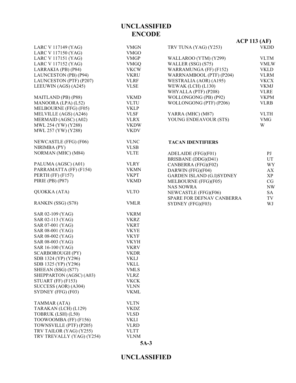|                           |             |                                  | $ACP$ 113 (AF)          |
|---------------------------|-------------|----------------------------------|-------------------------|
| LARC V 117149 (YAG)       | <b>VMGN</b> | TRV TUNA (YAG) (Y253)            | <b>VKDD</b>             |
| LARC V 117150 (YAG)       | <b>VMGO</b> |                                  |                         |
| LARC V 117151 (YAG)       | <b>VMGP</b> | WALLAROO (YTM) (Y299)            | <b>VLTM</b>             |
| LARC V 117152 (YAG)       | <b>VMGQ</b> | WALLER (SSG) (S75)               | <b>VMLW</b>             |
| LARRAKIA (PB) (P84)       | <b>VKCW</b> | WARRAMUNGA (FF) (F152)           | <b>VKLD</b>             |
| LAUNCESTON (PB) (P94)     | <b>VKRU</b> | WARRNAMBOOL (PTF) (P204)         | <b>VLRM</b>             |
| LAUNCESTON (PTF) (P207)   | <b>VLRF</b> | WESTRALIA (AOR) (A195)           | <b>VKCX</b>             |
| LEEUWIN (AGS) (A245)      | <b>VLSE</b> | WEWAK (LCH) (L130)               | <b>VKMJ</b>             |
|                           |             | WHYALLA (PTF) (P208)             | <b>VLRE</b>             |
| MAITLAND (PB) (P88)       | <b>VKMD</b> | WOLLONGONG (PB) (P92)            | <b>VKPM</b>             |
| MANOORA (LPA) (L52)       | <b>VLTU</b> | WOLLONGONG (PTF) (P206)          | <b>VLRB</b>             |
| MELBOURNE (FFG) (F05)     | <b>VKLP</b> |                                  |                         |
| MELVILLE (AGS) (A246)     | <b>VLSF</b> | YARRA (MHC) (M87)                | <b>VLTH</b>             |
| MERMAID (AGSC) (A02)      | <b>VLRX</b> | YOUNG ENDEAVOUR (STS)            | <b>VMG</b>              |
| MWL 254 (YW) (Y288)       | <b>VKDW</b> |                                  | W                       |
| MWL 257 (YW) (Y288)       | <b>VKDV</b> |                                  |                         |
| NEWCASTLE (FFG) (F06)     | <b>VLNC</b> | <b>TACAN IDENTIFIERS</b>         |                         |
| NIRIMBA (PY)              | <b>VLSB</b> |                                  |                         |
| NORMAN (MHC) (M84)        | <b>VLTE</b> | ADELAIDE (FFG)(F01)              | $\mathbf{P} \mathbf{J}$ |
|                           |             | BRISBANE (DDG)(D41)              | UT                      |
| PALUMA (AGSC) (A01)       | <b>VLRY</b> | CANBERRA (FFG)(F02)              | WY                      |
| PARRAMATTA (FF) (F154)    | <b>VKMN</b> | DARWIN (FFG)(F04)                | AX                      |
| PERTH (FF) (F157)         | <b>VKPT</b> | <b>GARDEN ISLAND (G.I)SYDNEY</b> | XP                      |
| PIRIE (PB) (P87)          | <b>VKMD</b> | MELBOURNE (FFG)(F05)             | CG                      |
|                           |             | <b>NAS NOWRA</b>                 | <b>NW</b>               |
| QUOKKA (ATA)              | <b>VLTO</b> | NEWCASTLE (FFG)(F06)             | <b>SA</b>               |
|                           |             | SPARE FOR DEFNAV CANBERRA        | TV                      |
| RANKIN (SSG) (S78)        | <b>VMLR</b> | SYDNEY (FFG)(F03)                | WJ                      |
| SAR 02-109 (YAG)          | <b>VKRM</b> |                                  |                         |
| SAR 02-113 (YAG)          | <b>VKRZ</b> |                                  |                         |
| SAR 07-001 (YAG)          | <b>VKRT</b> |                                  |                         |
| SAR 08-001 (YAG)          | <b>VKYE</b> |                                  |                         |
| SAR 08-002 (YAG)          | <b>VKYF</b> |                                  |                         |
| SAR 08-003 (YAG)          | <b>VKYH</b> |                                  |                         |
| SAR 16-100 (YAG)          | <b>VKRV</b> |                                  |                         |
| <b>SCARBOROUGH (PY)</b>   | <b>VKDR</b> |                                  |                         |
| SDB 1324 (YP) (Y296)      | <b>VKLJ</b> |                                  |                         |
| SDB 1325 (YP) (Y296)      | <b>VKLL</b> |                                  |                         |
| SHEEAN (SSG) (S77)        | <b>VMLS</b> |                                  |                         |
| SHEPPARTON (AGSC) (A03)   | <b>VLRZ</b> |                                  |                         |
| STUART (FF) (F153)        | <b>VKCK</b> |                                  |                         |
| SUCCESS (AOR) (A304)      | <b>VLNN</b> |                                  |                         |
| SYDNEY (FFG) (F03)        | <b>VKML</b> |                                  |                         |
| TAMMAR (ATA)              | <b>VLTN</b> |                                  |                         |
| TARAKAN (LCH) (L129)      | <b>VKDZ</b> |                                  |                         |
| TOBRUK (LSH) (L50)        | <b>VLSD</b> |                                  |                         |
| TOOWOOMBA (FF) (F156)     | VKLI        |                                  |                         |
| TOWNSVILLE (PTF) (P205)   | <b>VLRD</b> |                                  |                         |
| TRV TAILOR (YAG) (Y255)   | <b>VLTT</b> |                                  |                         |
| TRV TREVALLY (YAG) (Y254) | <b>VLNM</b> |                                  |                         |
|                           | $5A-3$      |                                  |                         |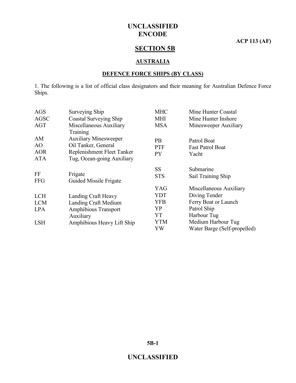**ACP 113 (AF)**

### **SECTION 5B**

#### **AUSTRALIA**

#### **DEFENCE FORCE SHIPS (BY CLASS)**

1. The following is a list of official class designators and their meaning for Australian Defence Force Ships.

| <b>AGS</b>  | Surveying Ship               | <b>MHC</b> | Mine Hunter Coastal          |
|-------------|------------------------------|------------|------------------------------|
| <b>AGSC</b> | Coastal Surveying Ship       | <b>MHI</b> | Mine Hunter Inshore          |
| <b>AGT</b>  | Miscellaneous Auxiliary      | <b>MSA</b> | Minesweeper Auxiliary        |
|             | Training                     |            |                              |
| AM          | <b>Auxiliary Minesweeper</b> | <b>PB</b>  | Patrol Boat                  |
| AO          | Oil Tanker, General          | <b>PTF</b> | <b>Fast Patrol Boat</b>      |
| <b>AOR</b>  | Replenishment Fleet Tanker   | <b>PY</b>  | Yacht                        |
| <b>ATA</b>  | Tug, Ocean-going Auxiliary   |            |                              |
|             |                              | <b>SS</b>  | Submarine                    |
| FF          | Frigate                      | <b>STS</b> | Sail Training Ship           |
| <b>FFG</b>  | Guided Missile Frigate       |            |                              |
|             |                              | YAG        | Miscellaneous Auxiliary      |
| <b>LCH</b>  | Landing Craft Heavy          | <b>YDT</b> | Diving Tender                |
| <b>LCM</b>  | Landing Craft Medium         | <b>YFB</b> | Ferry Boat or Launch         |
| <b>LPA</b>  | <b>Amphibious Transport</b>  | YP         | Patrol Ship                  |
|             | Auxiliary                    | YT         | Harbour Tug                  |
| <b>LSH</b>  | Amphibious Heavy Lift Ship   | <b>YTM</b> | Medium Harbour Tug           |
|             |                              | YW         | Water Barge (Self-propelled) |
|             |                              |            |                              |

**5B-1**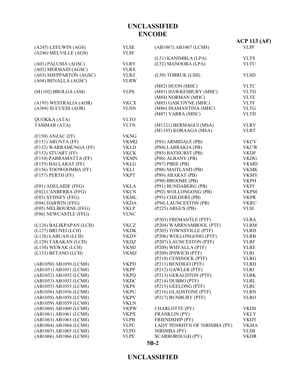### **UNCLASSIFIED**

**5B-2**

| (A245) LEEUWIN (AGS)    | <b>VLSE</b> | (AB1067) AB1067 (LCM8)       | $ACP$ 113 (AF)<br><b>VLPF</b> |
|-------------------------|-------------|------------------------------|-------------------------------|
| (A246) MELVILLE (AGS)   | <b>VLSF</b> |                              |                               |
|                         |             | (L51) KANIMBLA (LPA)         | <b>VLTS</b>                   |
| (A01) PALUMA (AGSC)     | <b>VLRY</b> | (L52) MANOORA (LPA)          | <b>VLTU</b>                   |
| (A02) MERMAID (AGSC)    | <b>VLRX</b> |                              |                               |
| (A03) SHEPPARTON (AGSC) | <b>VLRZ</b> | (L50) TOBRUK (LSH)           | <b>VLSD</b>                   |
| (A04) BENALLA (AGSC)    | <b>VLRW</b> |                              |                               |
|                         |             | (M82) HUON (MHC)             | <b>VLTC</b>                   |
| (M1102) BROLGA (AM)     | <b>VLPS</b> | (M83) HAWKESBURY (MHC)       | <b>VLTD</b>                   |
|                         |             | (M84) NORMAN (MHC)           | <b>VLTE</b>                   |
| (A195) WESTRALIA (AOR)  | <b>VKCX</b> | (M85) GASCOYNE (MHC)         | <b>VLTF</b>                   |
| (A304) SUCCESS (AOR)    | <b>VLNN</b> | (M86) DIAMANTINA (MHC)       | <b>VLTG</b>                   |
|                         |             | (M87) YARRA (MHC)            | <b>VLTH</b>                   |
| <b>QUOKKA</b> (ATA)     | <b>VLTO</b> |                              |                               |
| TAMMAR (ATA)            | <b>VLTN</b> | (M1121) BERMAGUI (MSA)       | <b>VLRV</b>                   |
|                         |             | (M1185) KORAAGA (MSA)        | <b>VLRT</b>                   |
| $(F150)$ ANZAC $(FF)$   | <b>VKNG</b> |                              |                               |
| (F151) ARUNTA (FF)      | <b>VKMQ</b> | (P83) ARMIDALE (PB)          | <b>VKCV</b>                   |
| (F152) WARRAMUNGA (FF)  | <b>VKLD</b> | (P84) LARRAKIA (PB)          | <b>VKCW</b>                   |
| (F153) STUART (FF)      | <b>VKCK</b> | (P85) BATHURST (PB)          | <b>VKDF</b>                   |
| (F154) PARRAMATTA (FF)  | <b>VKMN</b> | (P86) ALBANY (PB)            | <b>VKDG</b>                   |
| (F155) BALLARAT (FF)    | <b>VKLG</b> | (P87) PIRIE (PB)             | <b>VKMD</b>                   |
| (F156) TOOWOOMBA (FF)   | VKLI        | (P88) MAITLAND (PB)          | <b>VKMK</b>                   |
| (F157) PERTH (FF)       | <b>VKPT</b> | (P89) ARARAT (PB)            | <b>VKMY</b>                   |
|                         |             | (P90) BROOME (PB)            | <b>VKPH</b>                   |
| (F01) ADELAIDE (FFG)    | <b>VKLA</b> | (P91) BUNDABERG (PB)         | <b>VKPJ</b>                   |
| (F02) CANBERRA (FFG)    | <b>VKCN</b> | (P92) WOLLONGONG (PB)        | <b>VKPM</b>                   |
| (F03) SYDNEY (FFG)      | <b>VKML</b> | (P93) CHILDERS (PB)          | <b>VKPR</b>                   |
| (F04) DARWIN (FFG)      | <b>VKDA</b> | (P94) LAUNCESTON (PB)        | <b>VKRU</b>                   |
| (F05) MELBOURNE (FFG)   | <b>VKLP</b> | (P225) ARGUS (PB)            | <b>VLSI</b>                   |
| (F06) NEWCASTLE (FFG)   | <b>VLNC</b> |                              |                               |
|                         |             | (P203) FREMANTLE (PTF)       | <b>VLRA</b>                   |
| (L126) BALIKPAPAN (LCH) | <b>VKCZ</b> | (P204) WARRNAMBOOL (PTF)     | <b>VLRM</b>                   |
| (L127) BRUNEI (LCH)     | <b>VKDK</b> | (P205) TOWNSVILLE (PTF)      | <b>VLRD</b>                   |
| (L128) LABUAN (LCH)     | <b>VKDY</b> | (P206) WOLLONGONG (PTF)      | <b>VLRB</b>                   |
| (L129) TARAKAN (LCH)    | <b>VKDZ</b> | (P207) LAUNCESTON (PTF)      | <b>VLRF</b>                   |
| (L130) WEWAK (LCH)      | <b>VKMJ</b> | (P208) WHYALLA (PTF)         | <b>VLRE</b>                   |
| (L133) BETANO (LCH)     | <b>VKMZ</b> | (P209) IPSWICH (PTF)         | <b>VLRI</b>                   |
|                         |             | (P210) CESSNOCK (PTF)        | <b>VLRG</b>                   |
| (AB1050) AB1050 (LCM8)  | <b>VKPD</b> | (P211) BENDIGO (PTF)         | <b>VLRH</b>                   |
| (AB1051) AB1051 (LCM8)  | <b>VKPP</b> | (P212) GAWLER (PTF)          | <b>VLRJ</b>                   |
| (AB1052) AB1052 (LCM8)  | <b>VKPQ</b> | (P213) GERALDTON (PTF)       | <b>VLRK</b>                   |
| (AB1053) AB1053 (LCM8)  | <b>VKDC</b> | (P214) DUBBO (PTF)           | <b>VLRL</b>                   |
| (AB1055) AB1055 (LCM8)  | <b>VKPS</b> | (P215) GEELONG (PTF)         | <b>VLRC</b>                   |
| (AB1056) AB1056 (LCM8)  | <b>VKPU</b> | (P216) GLADSTONE (PTF)       | <b>VLRN</b>                   |
| (AB1058) AB1058 (LCM8)  | <b>VKPV</b> | (P217) BUNBURY (PTF)         | <b>VLRO</b>                   |
| (AB1059) AB1059 (LCM8)  | <b>VKLN</b> |                              |                               |
| (AB1060) AB1060 (LCM8)  | <b>VKPW</b> | CHARLOTTE (PY)               | <b>VKDS</b>                   |
| (AB1061) AB1061 (LCM8)  | <b>VKPX</b> | <b>FRANKLIN (PY)</b>         | <b>VKLY</b>                   |
| (AB1063) AB1063 (LCM8)  | <b>VLPB</b> | <b>FRIENDSHIP (PY)</b>       | <b>VKDT</b>                   |
| (AB1064) AB1064 (LCM8)  | <b>VLPC</b> | LADY PENRHYN OF NIRIMBA (PY) | <b>VKMA</b>                   |
| (AB1065) AB1065 (LCM8)  | <b>VLPD</b> | NIRIMBA (PY)                 | <b>VLSB</b>                   |
| (AB1066) AB1066 (LCM8)  | <b>VLPE</b> | <b>SCARBOROUGH (PY)</b>      | <b>VKDR</b>                   |

# **UNCLASSIFIED ENCODE**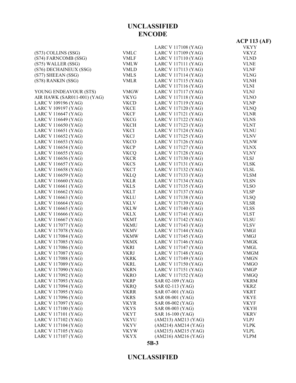### **UNCLASSIFIED**

#### **5B-3**

|                             |             |                     | $ACP$ 113 (AF) |
|-----------------------------|-------------|---------------------|----------------|
|                             |             | LARC V 117108 (YAG) | <b>VKYY</b>    |
| (S73) COLLINS (SSG)         | <b>VMLC</b> | LARC V 117109 (YAG) | <b>VKYZ</b>    |
| (S74) FARNCOMB (SSG)        | <b>VMLF</b> | LARC V 117110 (YAG) | <b>VLND</b>    |
| (S75) WALLER (SSG)          | <b>VMLW</b> | LARC V 117111 (YAG) | <b>VLNE</b>    |
| (S76) DECHAINEUX (SSG)      | <b>VMLD</b> | LARC V 117113 (YAG) | <b>VLNF</b>    |
| (S77) SHEEAN (SSG)          | <b>VMLS</b> | LARC V 117114 (YAG) | <b>VLNG</b>    |
| (S78) RANKIN (SSG)          | <b>VMLR</b> | LARC V 117115 (YAG) | <b>VLNH</b>    |
|                             |             | LARC V 117116 (YAG) | <b>VLNI</b>    |
| YOUNG ENDEAVOUR (STS)       | <b>VMGW</b> | LARC V 117117 (YAG) | <b>VLNJ</b>    |
| AIR HAWK (SAR011-001) (YAG) | <b>VKYG</b> | LARC V 117118 (YAG) | <b>VLNO</b>    |
| LARC V 109196 (YAG)         | <b>VKCD</b> | LARC V 117119 (YAG) | <b>VLNP</b>    |
| LARC V 109197 (YAG)         | <b>VKCE</b> | LARC V 117120 (YAG) | <b>VLNQ</b>    |
| LARC V 116647 (YAG)         | <b>VKCF</b> | LARC V 117121 (YAG) | <b>VLNR</b>    |
| LARC V 116649 (YAG)         | <b>VKCG</b> | LARC V 117122 (YAG) | <b>VLNS</b>    |
| LARC V 116650 (YAG)         | <b>VKCH</b> | LARC V 117123 (YAG) | <b>VLNT</b>    |
| LARC V 116651 (YAG)         | <b>VKCI</b> | LARC V 117124 (YAG) | <b>VLNU</b>    |
| LARC V 116652 (YAG)         | <b>VKCJ</b> | LARC V 117125 (YAG) | <b>VLNV</b>    |
| LARC V 116653 (YAG)         | <b>VKCO</b> | LARC V 117126 (YAG) | <b>VLNW</b>    |
| LARC V 116654 (YAG)         | <b>VKCP</b> | LARC V 117127 (YAG) | <b>VLNX</b>    |
| LARC V 116655 (YAG)         | <b>VKCQ</b> | LARC V 117128 (YAG) | <b>VLNY</b>    |
| LARC V 116656 (YAG)         | <b>VKCR</b> | LARC V 117130 (YAG) | <b>VLSJ</b>    |
| LARC V 116657 (YAG)         | <b>VKCS</b> | LARC V 117131 (YAG) | <b>VLSK</b>    |
| LARC V 116658 (YAG)         | <b>VKCT</b> | LARC V 117132 (YAG) | <b>VLSL</b>    |
| LARC V 116659 (YAG)         | <b>VKLQ</b> | LARC V 117133 (YAG) | <b>VLSM</b>    |
| LARC V 116660 (YAG)         | <b>VKLR</b> | LARC V 117134 (YAG) | <b>VLSN</b>    |
| LARC V 116661 (YAG)         | <b>VKLS</b> | LARC V 117135 (YAG) | <b>VLSO</b>    |
| LARC V 116662 (YAG)         | <b>VKLT</b> | LARC V 117137 (YAG) | <b>VLSP</b>    |
| LARC V 116663 (YAG)         | <b>VKLU</b> | LARC V 117138 (YAG) | <b>VLSQ</b>    |
| LARC V 116664 (YAG)         | <b>VKLV</b> | LARC V 117139 (YAG) | <b>VLSR</b>    |
| LARC V 116665 (YAG)         | <b>VKLW</b> | LARC V 117140 (YAG) | <b>VLSS</b>    |
| LARC V 116666 (YAG)         | VKLX        | LARC V 117141 (YAG) | <b>VLST</b>    |
| LARC V 116667 (YAG)         | <b>VKMT</b> | LARC V 117142 (YAG) | <b>VLSU</b>    |
| LARC V 117077 (YAG)         | <b>VKMU</b> | LARC V 117143 (YAG) | <b>VLSV</b>    |
| LARC V 117078 (YAG)         | <b>VKMV</b> | LARC V 117144 (YAG) | <b>VMGI</b>    |
| LARC V 117084 (YAG)         | <b>VKMW</b> | LARC V 117145 (YAG) | <b>VMGJ</b>    |
| LARC V 117085 (YAG)         | <b>VKMX</b> | LARC V 117146 (YAG) | <b>VMGK</b>    |
| LARC V 117086 (YAG)         | <b>VKRI</b> | LARC V 117147 (YAG) | <b>VMGL</b>    |
| LARC V 117087 (YAG)         | <b>VKRJ</b> | LARC V 117148 (YAG) | <b>VMGM</b>    |
| LARC V 117088 (YAG)         | <b>VKRK</b> | LARC V 117149 (YAG) | <b>VMGN</b>    |
| LARC V 117089 (YAG)         | <b>VKRL</b> | LARC V 117150 (YAG) | <b>VMGO</b>    |
| LARC V 117090 (YAG)         | <b>VKRN</b> | LARC V 117151 (YAG) | <b>VMGP</b>    |
| LARC V 117092 (YAG)         | <b>VKRO</b> | LARC V 117152 (YAG) | <b>VMGQ</b>    |
| LARC V 117093 (YAG)         | <b>VKRP</b> | SAR 02-109 (YAG)    | <b>VKRM</b>    |
| LARC V 117094 (YAG)         | <b>VKRQ</b> | SAR 02-113 (YAG)    | <b>VKRZ</b>    |
| LARC V 117095 (YAG)         | <b>VKRR</b> | SAR 07-001 (YAG)    | <b>VKRT</b>    |
| LARC V 117096 (YAG)         | <b>VKRS</b> | SAR 08-001 (YAG)    | <b>VKYE</b>    |
| LARC V 117097 (YAG)         | <b>VKYR</b> | SAR 08-002 (YAG)    | <b>VKYF</b>    |
| LARC V 117100 (YAG)         | <b>VKYS</b> | SAR 08-003 (YAG)    | <b>VKYH</b>    |
| LARC V 117101 (YAG)         | <b>VKYT</b> | SAR 16-100 (YAG)    | <b>VKRV</b>    |
| LARC V 117102 (YAG)         | <b>VKYU</b> | (AM213) AM213 (YAG) | <b>VLPJ</b>    |
| LARC V 117104 (YAG)         | <b>VKYV</b> | (AM214) AM214 (YAG) | <b>VLPK</b>    |
| LARC V 117105 (YAG)         | <b>VKYW</b> | (AM215) AM215 (YAG) | <b>VLPL</b>    |
| LARC V 117107 (YAG)         | <b>VKYX</b> | (AM216) AM216 (YAG) | <b>VLPM</b>    |

**UNCLASSIFIED ENCODE**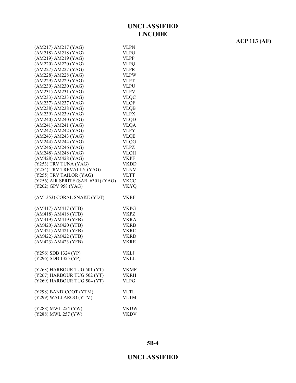| (AM217) AM217 (YAG)                | VLPN        |
|------------------------------------|-------------|
| (AM218) AM218 (YAG)                | <b>VLPO</b> |
| (AM219) AM219 (YAG)                | <b>VLPP</b> |
| (AM220) AM220 (YAG)                | <b>VLPQ</b> |
| (AM227) AM227 (YAG)                | <b>VLPR</b> |
| (AM228) AM228 (YAG)                | <b>VLPW</b> |
| (AM229) AM229 (YAG)                | <b>VLPT</b> |
| (AM230) AM230 (YAG)                | <b>VLPU</b> |
|                                    |             |
| (AM231) AM231 (YAG)                | <b>VLPV</b> |
| (AM233) AM233 (YAG)                | <b>VLQC</b> |
| (AM237) AM237 (YAG)                | <b>VLQF</b> |
| (AM238) AM238 (YAG)                | <b>VLQB</b> |
| (AM239) AM239 (YAG)                | <b>VLPX</b> |
| (AM240) AM240 (YAG)                | <b>VLQD</b> |
| (AM241) AM241 (YAG)                | <b>VLQA</b> |
| (AM242) AM242 (YAG)                | <b>VLPY</b> |
| (AM243) AM243 (YAG)                | <b>VLQE</b> |
| (AM244) AM244 (YAG)                | <b>VLQG</b> |
| (AM246) AM246 (YAG)                | <b>VLPZ</b> |
| (AM248) AM248 (YAG)                | <b>VLQH</b> |
| (AM428) AM428 (YAG)                | <b>VKPF</b> |
|                                    |             |
| (Y253) TRV TUNA (YAG)              | VKDD        |
| (Y254) TRV TREVALLY (YAG)          | <b>VLNM</b> |
| (Y255) TRV TAILOR (YAG)            | VLTT        |
| (Y256) AIR SPRITE (SAR 6301) (YAG) | <b>VKCC</b> |
| (Y262) GPV 958 (YAG)               | <b>VKYQ</b> |
|                                    |             |
| (AM1353) CORAL SNAKE (YDT)         | <b>VKRF</b> |
|                                    |             |
| (AM417) AM417 (YFB)                | <b>VKPG</b> |
| (AM418) AM418 (YFB)                | <b>VKPZ</b> |
| (AM419) AM419 (YFB)                | <b>VKRA</b> |
| (AM420) AM420 (YFB)                | <b>VKRB</b> |
| (AM421) AM421 (YFB)                | <b>VKRC</b> |
| (AM422) AM422 (YFB)                | <b>VKRD</b> |
|                                    |             |
|                                    |             |
| (AM423) AM423 (YFB)                | <b>VKRE</b> |
|                                    |             |
| (Y296) SDB 1324 (YP)               | VKLJ        |
| (Y296) SDB 1325 (YP)               | <b>VKLL</b> |
|                                    |             |
| (Y263) HARBOUR TUG 501 (YT)        | VKMF        |
| (Y267) HARBOUR TUG 502 (YT)        | VKRH        |
| (Y269) HARBOUR TUG 504 (YT)        | <b>VLPG</b> |
|                                    |             |
| (Y298) BANDICOOT (YTM)             | <b>VLTL</b> |
| (Y299) WALLAROO (YTM)              | <b>VLTM</b> |
|                                    |             |
| (Y288) MWL 254 (YW)                | <b>VKDW</b> |
| (Y288) MWL 257 (YW)                | VKDV        |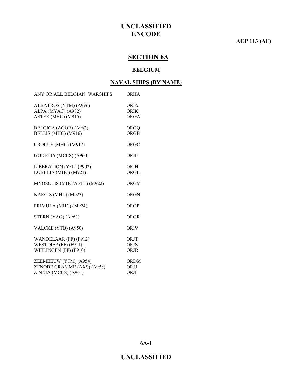### **ACP 113 (AF)**

# **SECTION 6A**

#### **BELGIUM**

#### **NAVAL SHIPS (BY NAME)**

| ANY OR ALL BELGIAN WARSHIPS                                                 | <b>ORHA</b>                        |
|-----------------------------------------------------------------------------|------------------------------------|
| ALBATROS (YTM) (A996)<br>ALPA (MYAC) (A982)<br>ASTER (MHC) (M915)           | <b>ORIA</b><br><b>ORIK</b><br>ORGA |
| BELGICA (AGOR) (A962)<br>BELLIS (MHC) (M916)                                | ORGQ<br>ORGB                       |
| CROCUS (MHC) (M917)                                                         | ORGC                               |
| GODETIA (MCCS) (A960)                                                       | <b>ORJH</b>                        |
| LIBERATION (YFL) (P902)<br>LOBELIA (MHC) (M921)                             | ORIH<br>ORGL                       |
| MYOSOTIS (MHC/AETL) (M922)                                                  | <b>ORGM</b>                        |
| NARCIS (MHC) (M923)                                                         | <b>ORGN</b>                        |
| PRIMULA (MHC) (M924)                                                        | ORGP                               |
| STERN (YAG) (A963)                                                          | ORGR                               |
| VALCKE (YTB) (A950)                                                         | <b>ORIV</b>                        |
| WANDELAAR (FF) (F912)<br>WESTDIEP (FF) (F911)<br>WIELINGEN (FF) (F910)      | ORJT<br><b>ORJS</b><br>ORJR        |
| ZEEMEEUW (YTM) (A954)<br>ZENOBE GRAMME (AXS) (A958)<br>ZINNIA (MCCS) (A961) | <b>ORDM</b><br>ORJJ<br>ORJI        |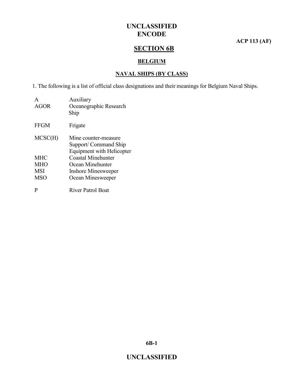**ACP 113 (AF)**

# **SECTION 6B**

#### **BELGIUM**

#### **NAVAL SHIPS (BY CLASS)**

1. The following is a list of official class designations and their meanings for Belgium Naval Ships.

| A<br><b>AGOR</b> | Auxiliary<br>Oceanographic Research<br>Ship                                       |
|------------------|-----------------------------------------------------------------------------------|
| <b>FFGM</b>      | Frigate                                                                           |
| MCSC(H)          | Mine counter-measure<br>Support/ Command Ship<br><b>Equipment with Helicopter</b> |
| <b>MHC</b>       | Coastal Minehunter                                                                |
| <b>MHO</b>       | Ocean Minehunter                                                                  |
| <b>MSI</b>       | <b>Inshore Minesweeper</b>                                                        |
| <b>MSO</b>       | Ocean Minesweeper                                                                 |
| P                | <b>River Patrol Boat</b>                                                          |

**6B-1**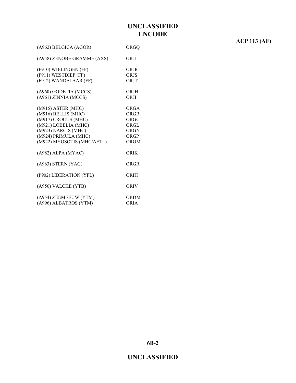| (A962) BELGICA (AGOR)                                                                                                                                                 | ORGQ                                                        |
|-----------------------------------------------------------------------------------------------------------------------------------------------------------------------|-------------------------------------------------------------|
| (A958) ZENOBE GRAMME (AXS)                                                                                                                                            | ORJJ                                                        |
| (F910) WIELINGEN (FF)<br>(F911) WESTDIEP (FF)<br>(F912) WANDELAAR (FF)                                                                                                | <b>ORJR</b><br><b>ORJS</b><br>ORJT                          |
| (A960) GODETIA (MCCS)<br>(A961) ZINNIA (MCCS)                                                                                                                         | ORJH<br>ORJI                                                |
| (M915) ASTER (MHC)<br>(M916) BELLIS (MHC)<br>(M917) CROCUS (MHC)<br>(M921) LOBELIA (MHC)<br>(M923) NARCIS (MHC)<br>(M924) PRIMULA (MHC)<br>(M922) MYOSOTIS (MHC/AETL) | ORGA<br>ORGB<br>ORGC<br>ORGL<br><b>ORGN</b><br>ORGP<br>ORGM |
| (A982) ALPA (MYAC)                                                                                                                                                    | ORIK                                                        |
| (A963) STERN (YAG)                                                                                                                                                    | ORGR                                                        |
| (P902) LIBERATION (YFL)                                                                                                                                               | ORIH                                                        |
| (A950) VALCKE (YTB)                                                                                                                                                   | ORIV                                                        |
| (A954) ZEEMEEUW (YTM)<br>(A996) ALBATROS (YTM)                                                                                                                        | ORDM<br>ORIA                                                |

**ACP 113 (AF)**

**6B-2**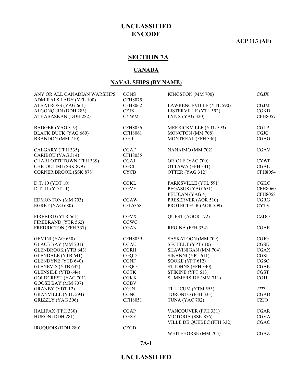**ACP 113 (AF)**

# **SECTION 7A**

#### **CANADA**

#### **NAVAL SHIPS (BY NAME)**

| <b>CGNS</b>    | KINGSTON (MM 700)                                                                                                                                                                                                                                                                                                                                                                                              | CGJX                                                                                                                                                                                                                                                                                                                                                                                                                                                                                                                                   |
|----------------|----------------------------------------------------------------------------------------------------------------------------------------------------------------------------------------------------------------------------------------------------------------------------------------------------------------------------------------------------------------------------------------------------------------|----------------------------------------------------------------------------------------------------------------------------------------------------------------------------------------------------------------------------------------------------------------------------------------------------------------------------------------------------------------------------------------------------------------------------------------------------------------------------------------------------------------------------------------|
|                |                                                                                                                                                                                                                                                                                                                                                                                                                | CGJM                                                                                                                                                                                                                                                                                                                                                                                                                                                                                                                                   |
|                |                                                                                                                                                                                                                                                                                                                                                                                                                | <b>CGKD</b>                                                                                                                                                                                                                                                                                                                                                                                                                                                                                                                            |
| <b>CYWM</b>    | LYNX (YAG 320)                                                                                                                                                                                                                                                                                                                                                                                                 | <b>CFH8057</b>                                                                                                                                                                                                                                                                                                                                                                                                                                                                                                                         |
| <b>CFH8056</b> | MERRICKVILLE (YTL 593)                                                                                                                                                                                                                                                                                                                                                                                         | <b>CGLP</b>                                                                                                                                                                                                                                                                                                                                                                                                                                                                                                                            |
|                |                                                                                                                                                                                                                                                                                                                                                                                                                | <b>CGJC</b>                                                                                                                                                                                                                                                                                                                                                                                                                                                                                                                            |
|                |                                                                                                                                                                                                                                                                                                                                                                                                                | CGAG                                                                                                                                                                                                                                                                                                                                                                                                                                                                                                                                   |
| CGAF           | NANAIMO (MM 702)                                                                                                                                                                                                                                                                                                                                                                                               | <b>CGAV</b>                                                                                                                                                                                                                                                                                                                                                                                                                                                                                                                            |
|                |                                                                                                                                                                                                                                                                                                                                                                                                                |                                                                                                                                                                                                                                                                                                                                                                                                                                                                                                                                        |
|                |                                                                                                                                                                                                                                                                                                                                                                                                                | <b>CYWP</b>                                                                                                                                                                                                                                                                                                                                                                                                                                                                                                                            |
|                |                                                                                                                                                                                                                                                                                                                                                                                                                | CGAL                                                                                                                                                                                                                                                                                                                                                                                                                                                                                                                                   |
|                |                                                                                                                                                                                                                                                                                                                                                                                                                | <b>CFH8054</b>                                                                                                                                                                                                                                                                                                                                                                                                                                                                                                                         |
| CGL            | PARKSVILLE (YTL 591)                                                                                                                                                                                                                                                                                                                                                                                           | CGKC                                                                                                                                                                                                                                                                                                                                                                                                                                                                                                                                   |
|                |                                                                                                                                                                                                                                                                                                                                                                                                                | <b>CFH8060</b>                                                                                                                                                                                                                                                                                                                                                                                                                                                                                                                         |
|                |                                                                                                                                                                                                                                                                                                                                                                                                                | <b>CFH8058</b>                                                                                                                                                                                                                                                                                                                                                                                                                                                                                                                         |
|                |                                                                                                                                                                                                                                                                                                                                                                                                                | <b>CGRG</b>                                                                                                                                                                                                                                                                                                                                                                                                                                                                                                                            |
|                |                                                                                                                                                                                                                                                                                                                                                                                                                | <b>CYTV</b>                                                                                                                                                                                                                                                                                                                                                                                                                                                                                                                            |
| <b>CGVX</b>    | QUEST (AGOR 172)                                                                                                                                                                                                                                                                                                                                                                                               | <b>CZDO</b>                                                                                                                                                                                                                                                                                                                                                                                                                                                                                                                            |
|                |                                                                                                                                                                                                                                                                                                                                                                                                                |                                                                                                                                                                                                                                                                                                                                                                                                                                                                                                                                        |
|                |                                                                                                                                                                                                                                                                                                                                                                                                                | <b>CGAE</b>                                                                                                                                                                                                                                                                                                                                                                                                                                                                                                                            |
| <b>CFH8059</b> | SASKATOON (MM 709)                                                                                                                                                                                                                                                                                                                                                                                             | <b>CGJG</b>                                                                                                                                                                                                                                                                                                                                                                                                                                                                                                                            |
|                |                                                                                                                                                                                                                                                                                                                                                                                                                | CGSE                                                                                                                                                                                                                                                                                                                                                                                                                                                                                                                                   |
|                |                                                                                                                                                                                                                                                                                                                                                                                                                | <b>CGAX</b>                                                                                                                                                                                                                                                                                                                                                                                                                                                                                                                            |
|                |                                                                                                                                                                                                                                                                                                                                                                                                                | CGSI                                                                                                                                                                                                                                                                                                                                                                                                                                                                                                                                   |
|                |                                                                                                                                                                                                                                                                                                                                                                                                                | CGSO                                                                                                                                                                                                                                                                                                                                                                                                                                                                                                                                   |
|                |                                                                                                                                                                                                                                                                                                                                                                                                                | <b>CGAK</b>                                                                                                                                                                                                                                                                                                                                                                                                                                                                                                                            |
|                |                                                                                                                                                                                                                                                                                                                                                                                                                | <b>CGST</b>                                                                                                                                                                                                                                                                                                                                                                                                                                                                                                                            |
|                |                                                                                                                                                                                                                                                                                                                                                                                                                | <b>CGJJ</b>                                                                                                                                                                                                                                                                                                                                                                                                                                                                                                                            |
|                |                                                                                                                                                                                                                                                                                                                                                                                                                |                                                                                                                                                                                                                                                                                                                                                                                                                                                                                                                                        |
|                |                                                                                                                                                                                                                                                                                                                                                                                                                | ????                                                                                                                                                                                                                                                                                                                                                                                                                                                                                                                                   |
|                |                                                                                                                                                                                                                                                                                                                                                                                                                | <b>CGAD</b>                                                                                                                                                                                                                                                                                                                                                                                                                                                                                                                            |
|                |                                                                                                                                                                                                                                                                                                                                                                                                                | <b>CZJO</b>                                                                                                                                                                                                                                                                                                                                                                                                                                                                                                                            |
| <b>CGAP</b>    | <b>VANCOUVER (FFH 331)</b>                                                                                                                                                                                                                                                                                                                                                                                     | <b>CGAR</b>                                                                                                                                                                                                                                                                                                                                                                                                                                                                                                                            |
|                |                                                                                                                                                                                                                                                                                                                                                                                                                | <b>CGVA</b>                                                                                                                                                                                                                                                                                                                                                                                                                                                                                                                            |
|                |                                                                                                                                                                                                                                                                                                                                                                                                                | CGAC                                                                                                                                                                                                                                                                                                                                                                                                                                                                                                                                   |
|                | WHITEHORSE (MM 705)                                                                                                                                                                                                                                                                                                                                                                                            | <b>CGAZ</b>                                                                                                                                                                                                                                                                                                                                                                                                                                                                                                                            |
|                | <b>CFH8075</b><br><b>CFH8062</b><br><b>CZJX</b><br><b>CFH8061</b><br><b>CGJI</b><br><b>CFH8055</b><br><b>CGAJ</b><br><b>CGCI</b><br><b>CYCB</b><br><b>CGVY</b><br><b>CGAW</b><br><b>CFL5358</b><br><b>CGWG</b><br><b>CGAN</b><br><b>CGAU</b><br><b>CGRH</b><br>CGQD<br><b>CGNF</b><br><b>CGQO</b><br><b>CGTK</b><br><b>CGKX</b><br>CGBV<br>CGJN<br><b>CGNC</b><br><b>CFH8051</b><br><b>CGXY</b><br><b>CZGD</b> | LAWRENCEVILLE (YTL 590)<br>LISTERVILLE (YTL 592)<br>MONCTON (MM 708)<br>MONTREAL (FFH 336)<br>ORIOLE (YAC 700)<br>OTTAWA (FFH 341)<br>OTTER (YAG 312)<br>PEGASUS (YAG 651)<br>PELICAN (YAG 4)<br>PRESERVER (AOR 510)<br>PROTECTEUR (AOR 509)<br>REGINA (FFH 334)<br>SECHELT (YPT 610)<br>SHAWINIGAN (MM 704)<br>SIKANNI (YPT 611)<br>SOOKE (YPT 612)<br>ST JOHNS (FFH 340)<br>STIKINE (YPT 613)<br>SUMMERSIDE (MM 711)<br>TILLICUM (YTM 555)<br>TORONTO (FFH 333)<br>TUNA (YAC 702)<br>VICTORIA (SSK 876)<br>VILLE DE QUEBEC (FFH 332) |

**7A-1**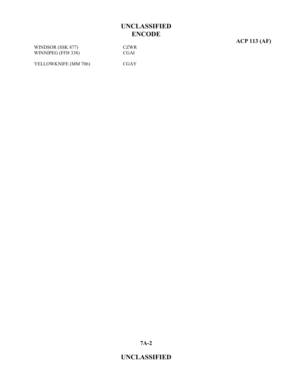**ACP 113 (AF)**

WINDSOR (SSK 877) CZWR WINNIPEG (FFH 338) CGAI

YELLOWKNIFE (MM 706) CGAY

**7A-2**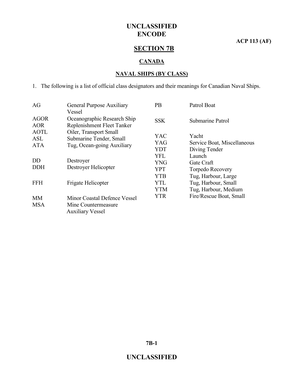**ACP 113 (AF)**

# **SECTION 7B**

### **CANADA**

#### **NAVAL SHIPS (BY CLASS)**

1. The following is a list of official class designators and their meanings for Canadian Naval Ships.

| AG          | General Purpose Auxiliary    | <b>PB</b>  | Patrol Boat                 |
|-------------|------------------------------|------------|-----------------------------|
|             | Vessel                       |            |                             |
| <b>AGOR</b> | Oceanographic Research Ship  | <b>SSK</b> | Submarine Patrol            |
| <b>AOR</b>  | Replenishment Fleet Tanker   |            |                             |
| <b>AOTL</b> | Oiler, Transport Small       |            |                             |
| <b>ASL</b>  | Submarine Tender, Small      | YAC        | Yacht                       |
| <b>ATA</b>  | Tug, Ocean-going Auxiliary   | YAG        | Service Boat, Miscellaneous |
|             |                              | <b>YDT</b> | Diving Tender               |
|             |                              | <b>YFL</b> | Launch                      |
| DD          | Destroyer                    | <b>YNG</b> | Gate Craft                  |
| <b>DDH</b>  | Destroyer Helicopter         | YPT        | Torpedo Recovery            |
|             |                              | <b>YTB</b> | Tug, Harbour, Large         |
| <b>FFH</b>  | Frigate Helicopter           | YTL        | Tug, Harbour, Small         |
|             |                              | <b>YTM</b> | Tug, Harbour, Medium        |
| <b>MM</b>   | Minor Coastal Defence Vessel | <b>YTR</b> | Fire/Rescue Boat, Small     |
| <b>MSA</b>  | Mine Countermeasure          |            |                             |
|             | <b>Auxiliary Vessel</b>      |            |                             |
|             |                              |            |                             |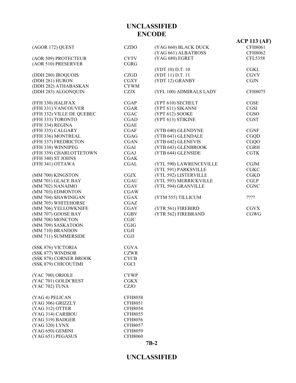|                           |                |                         | $ACP$ 113 (AF) |
|---------------------------|----------------|-------------------------|----------------|
| (AGOR 172) QUEST          | <b>CZDO</b>    | (YAG 660) BLACK DUCK    | <b>CFH8061</b> |
|                           |                | (YAG 661) ALBATROSS     | <b>CFH8062</b> |
| (AOR 509) PROTECTEUR      | <b>CYTV</b>    | (YAG 680) EGRET         | <b>CFL5358</b> |
| (AOR 510) PRESERVER       | <b>CGRG</b>    |                         |                |
|                           |                | (YDT 10) D.T. 10        | <b>CGKL</b>    |
| (DDH 280) IROQUOIS        | CZGD           | (YDT 11) D.T. 11        | <b>CGVY</b>    |
| (DDH 281) HURON           | <b>CGXY</b>    | (YDT 12) GRANBY         | <b>CGJN</b>    |
| (DDH 282) ATHABASKAN      | <b>CYWM</b>    |                         |                |
| (DDH 283) ALGONQUIN       | <b>CZJX</b>    | (YFL 100) ADMIRALS LADY | <b>CFH8075</b> |
| (FFH 330) HALIFAX         | <b>CGAP</b>    | (YPT 610) SECHELT       | CGSE           |
| (FFH 331) VANCOUVER       | <b>CGAR</b>    | (YPT 611) SIKANNI       | CGSI           |
| (FFH 332) VILLE DE QUEBEC | <b>CGAC</b>    | (YPT 612) SOOKE         | CGSO           |
| (FFH 333) TORONTO         | <b>CGAD</b>    | (YPT 613) STIKINE       | <b>CGST</b>    |
| (FFH 334) REGINA          | <b>CGAE</b>    |                         |                |
| (FFH 335) CALGARY         | <b>CGAF</b>    | (YTB 640) GLENDYNE      | <b>CGNF</b>    |
| (FFH 336) MONTREAL        | <b>CGAG</b>    | (YTB 641) GLENDALE      | CGQD           |
| (FFH 337) FREDRICTON      | <b>CGAN</b>    | (YTB 642) GLENEVIS      | <b>CGQO</b>    |
| (FFH 338) WINNIPEG        | <b>CGAI</b>    | (YTB 643) GLENBROOK     | <b>CGRH</b>    |
| (FFH 339) CHARLOTTETOWN   | <b>CGAJ</b>    | (YTB 644) GLENSIDE      | <b>CGTK</b>    |
| (FFH 340) ST JOHNS        | <b>CGAK</b>    |                         |                |
| (FFH 341) OTTAWA          | <b>CGAL</b>    | (YTL 590) LAWRENCEVILLE | <b>CGJM</b>    |
|                           |                | (YTL 591) PARKSVILLE    | <b>CGKC</b>    |
| (MM 700) KINGSTON         | <b>CGJX</b>    | (YTL 592) LISTERVILLE   | <b>CGKD</b>    |
| (MM 701) GLACE BAY        | <b>CGAU</b>    | (YTL 593) MERRICKVILLE  | <b>CGLP</b>    |
| (MM 702) NANAIMO          | <b>CGAV</b>    | (YTL 594) GRANVILLE     | <b>CGNC</b>    |
| (MM 703) EDMONTON         | <b>CGAW</b>    |                         |                |
| (MM 704) SHAWINIGAN       | <b>CGAX</b>    | (YTM 555) TILLICUM      | ????           |
| (MM 705) WHITEHORSE       | <b>CGAZ</b>    |                         |                |
| (MM 706) YELLOWKNIFE      | <b>CGAY</b>    | (YTR 561) FIREBIRD      | <b>CGVX</b>    |
| (MM 707) GOOSE BAY        | <b>CGBV</b>    | (YTR 562) FIREBRAND     | <b>CGWG</b>    |
| (MM 708) MONCTON          | CGJC           |                         |                |
| (MM 709) SASKATOON        | CGJG           |                         |                |
| (MM 710) BRANDON          | <b>CGJI</b>    |                         |                |
| (MM 711) SUMMERSIDE       | <b>CGJJ</b>    |                         |                |
| (SSK 876) VICTORIA        | <b>CGVA</b>    |                         |                |
| (SSK 877) WINDSOR         | <b>CZWR</b>    |                         |                |
| (SSK 878) CORNER BROOK    | <b>CYCB</b>    |                         |                |
| (SSK 879) CHICOUTIMI      | <b>CGCI</b>    |                         |                |
| (YAC 700) ORIOLE          | <b>CYWP</b>    |                         |                |
| (YAC 701) GOLDCREST       | <b>CGKX</b>    |                         |                |
| (YAC 702) TUNA            | <b>CZJO</b>    |                         |                |
| (YAG 4) PELICAN           | <b>CFH8058</b> |                         |                |
| (YAG 306) GRIZZLY         | <b>CFH8051</b> |                         |                |
| (YAG 312) OTTER           | <b>CFH8054</b> |                         |                |
| (YAG 314) CARIBOU         | <b>CFH8055</b> |                         |                |
| (YAG 319) BADGER          | <b>CFH8056</b> |                         |                |
| (YAG 320) LYNX            | <b>CFH8057</b> |                         |                |
| (YAG 650) GEMINI          | <b>CFH8059</b> |                         |                |
| (YAG 651) PEGASUS         | <b>CFH8060</b> |                         |                |
|                           |                | $7B-2$                  |                |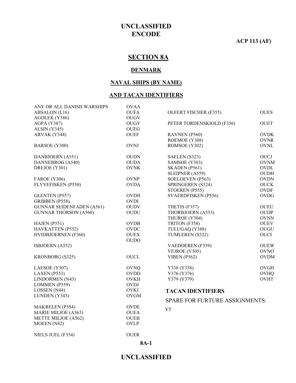**ACP 113 (AF)**

# **SECTION 8A**

#### **DENMARK**

#### **NAVAL SHIPS (BY NAME)**

#### **AND TACAN IDENTIFIERS**

| ANY OR ALL DANISH WARSHIPS       | <b>OVAA</b> |                                       |             |
|----------------------------------|-------------|---------------------------------------|-------------|
| ABSALON (L16)                    | <b>OUFA</b> | OLFERT FISCHER (F355)                 | <b>OUES</b> |
| AGDLEK (Y386)                    | <b>OUGV</b> |                                       |             |
| <b>AGPA (Y387)</b>               | <b>OUGY</b> | PETER TORDENSKIOLD (F356)             | <b>OUET</b> |
| ALSIN (Y345)                     | <b>OUEG</b> |                                       |             |
| ARVAK (Y344)                     | <b>OUEF</b> | RAVNEN (P560)                         | <b>OVDK</b> |
|                                  |             | ROEMOE (Y308)                         | <b>OVNR</b> |
| BARSOE (Y300)                    | <b>OVNJ</b> | ROMSOE (Y302)                         | <b>OVNL</b> |
| DANBJOERN (A551)                 | <b>OUDN</b> | SAELEN (S323)                         | <b>OUCJ</b> |
| DANNEBROG (A540)                 | <b>OUDA</b> | SAMSOE (Y303)                         | <b>OVNM</b> |
| DREJOE (Y301)                    | <b>OVNK</b> | SKADEN (P561)                         | <b>OVDL</b> |
|                                  |             | SLEIPNER (A559)                       | <b>OUDH</b> |
| <b>FAROE</b> (Y306)              | <b>OVNP</b> | SOELOEVEN (P563)                      | <b>OVDN</b> |
| FLYVEFISKEN (P550)               | <b>OVDA</b> | SPRINGEREN (S324)                     | <b>OUCK</b> |
|                                  |             | STOEREN (P555)                        | <b>OVDF</b> |
| GLENTEN (P557)                   | <b>OVDH</b> | <b>SVAERDFISKEN (P556)</b>            | <b>OVDG</b> |
| GRIBBEN (P558)                   | <b>OVDI</b> |                                       |             |
| <b>GUNNAR SEIDENFADEN (A561)</b> | <b>OUDV</b> | THETIS (F357)                         | <b>OUEU</b> |
| <b>GUNNAR THORSON (A560)</b>     | <b>OUDU</b> | THORBJOERN (A553)                     | <b>OUDP</b> |
|                                  |             | THUROE (Y304)                         | <b>OVNN</b> |
| HAJEN (P551)                     | <b>OVDB</b> | TRITON (F358)                         | <b>OUEV</b> |
| HAVKATTEN (P552)                 | <b>OVDC</b> | TULUGAQ (Y388)                        | OUGU        |
| <b>HVIDBJOERNEN (F360)</b>       | <b>OUEX</b> | TUMLEREN (S322)                       | <b>OUCI</b> |
|                                  | <b>OUDO</b> |                                       |             |
| ISBJOERN (A552)                  |             | <b>VAEDDEREN</b> (F359)               | <b>OUEW</b> |
|                                  |             | VEJROE (Y305)                         | <b>OVNO</b> |
| <b>KRONBORG (S325)</b>           | <b>OUCL</b> | <b>VIBEN</b> (P562)                   | <b>OVDM</b> |
| LAESOE (Y307)                    | <b>OVNQ</b> | Y338 (Y338)                           | <b>OVGH</b> |
| LAXEN (P553)                     | <b>OVDD</b> | Y376 (Y376)                           | <b>OVHQ</b> |
| LINDORMEN (N43)                  | <b>OVKH</b> | Y379 (Y379)                           | <b>OVHT</b> |
| LOMMEN (P559)                    | <b>OVDJ</b> |                                       |             |
| LOSSEN (N44)                     | <b>OVKI</b> | <b>TACAN IDENTIFIERS</b>              |             |
| LUNDEN (Y343)                    | <b>OVGM</b> | <b>SPARE FOR FURTURE ASSIGNMENTS:</b> |             |
| <b>MAKRELEN</b> (P554)           | <b>OVDE</b> |                                       |             |
| MARIE MILJOE (A563)              | <b>OUEA</b> | <b>YT</b>                             |             |
| METTE MILJOE (A562)              | <b>OUEB</b> |                                       |             |
| MOEEN (N82)                      | <b>OVLP</b> |                                       |             |
|                                  |             |                                       |             |
| NIELS JUEL (F354)                | <b>OUER</b> |                                       |             |

**8A-1**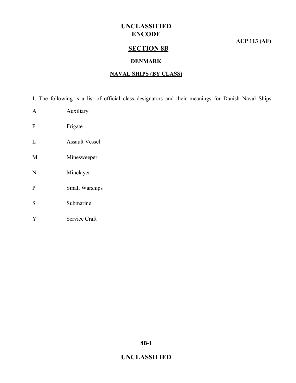**ACP 113 (AF)**

# **SECTION 8B**

#### **DENMARK**

#### **NAVAL SHIPS (BY CLASS)**

1. The following is a list of official class designators and their meanings for Danish Naval Ships

- A Auxiliary
- F Frigate
- L Assault Vessel
- M Minesweeper
- N Minelayer
- P Small Warships
- S Submarine
- Y Service Craft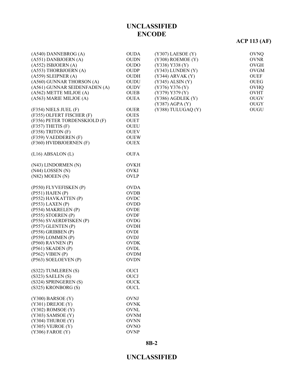# **ACP 113 (AF)**

| $(A540)$ DANNEBROG $(A)$      | <b>OUDA</b> | $(Y307)$ LAESOE $(Y)$ | <b>OVNQ</b> |
|-------------------------------|-------------|-----------------------|-------------|
| (A551) DANBJOERN (A)          | <b>OUDN</b> | $(Y308)$ ROEMOE $(Y)$ | <b>OVNR</b> |
| $(A552)$ ISBJOERN $(A)$       | <b>OUDO</b> | (Y338) Y338 (Y)       | <b>OVGH</b> |
| (A553) THORBJOERN (A)         | <b>OUDP</b> | $(Y343)$ LUNDEN $(Y)$ | <b>OVGM</b> |
| $(A559)$ SLEIPNER $(A)$       | <b>OUDH</b> | (Y344) ARVAK (Y)      | <b>OUEF</b> |
| (A560) GUNNAR THORSON (A)     |             | $(Y345)$ ALSIN $(Y)$  |             |
|                               | <b>OUDU</b> |                       | <b>OUEG</b> |
| (A561) GUNNAR SEIDENFADEN (A) | <b>OUDV</b> | (Y376) Y376 (Y)       | <b>OVHQ</b> |
| (A562) METTE MILJOE (A)       | <b>OUEB</b> | (Y379) Y379 (Y)       | <b>OVHT</b> |
| (A563) MARIE MILJOE (A)       | <b>OUEA</b> | $(Y386)$ AGDLEK $(Y)$ | <b>OUGV</b> |
|                               |             | (Y387) AGPA (Y)       | <b>OUGY</b> |
| (F354) NIELS JUEL (F)         | <b>OUER</b> | (Y388) TULUGAQ (Y)    | OUGU        |
| (F355) OLFERT FISCHER (F)     | <b>OUES</b> |                       |             |
| (F356) PETER TORDENSKIOLD (F) | <b>OUET</b> |                       |             |
| $(F357)$ THETIS $(F)$         | <b>OUEU</b> |                       |             |
| $(F358)$ TRITON $(F)$         | <b>OUEV</b> |                       |             |
| (F359) VAEDDEREN (F)          | <b>OUEW</b> |                       |             |
| (F360) HVIDBJOERNEN (F)       | <b>OUEX</b> |                       |             |
|                               |             |                       |             |
| $(L16)$ ABSALON $(L)$         | <b>OUFA</b> |                       |             |
|                               |             |                       |             |
| (N43) LINDORMEN (N)           | <b>OVKH</b> |                       |             |
| $(N44)$ LOSSEN $(N)$          | <b>OVKI</b> |                       |             |
| (N82) MOEEN(N)                | <b>OVLP</b> |                       |             |
|                               |             |                       |             |
| (P550) FLYVEFISKEN (P)        | <b>OVDA</b> |                       |             |
| $(P551)$ HAJEN $(P)$          | <b>OVDB</b> |                       |             |
| (P552) HAVKATTEN (P)          | OVDC        |                       |             |
| $(P553)$ LAXEN $(P)$          | <b>OVDD</b> |                       |             |
| (P554) MAKRELEN (P)           | <b>OVDE</b> |                       |             |
| $(P555)$ STOEREN $(P)$        | <b>OVDF</b> |                       |             |
| (P556) SVAERDFISKEN (P)       | <b>OVDG</b> |                       |             |
| $(P557)$ GLENTEN $(P)$        | <b>OVDH</b> |                       |             |
| $(P558)$ GRIBBEN $(P)$        | <b>OVDI</b> |                       |             |
| $(P559)$ LOMMEN $(P)$         | <b>OVDJ</b> |                       |             |
| $(P560)$ RAVNEN $(P)$         | <b>OVDK</b> |                       |             |
|                               |             |                       |             |
| $(P561)$ SKADEN $(P)$         | <b>OVDL</b> |                       |             |
| (P562) VIBEN (P)              | <b>OVDM</b> |                       |             |
| (P563) SOELOEVEN (P)          | <b>OVDN</b> |                       |             |
| (S322) TUMLEREN (S)           | <b>OUCI</b> |                       |             |
| $(S323)$ SAELEN $(S)$         | <b>OUCJ</b> |                       |             |
| (S324) SPRINGEREN (S)         | <b>OUCK</b> |                       |             |
|                               |             |                       |             |
| (S325) KRONBORG (S)           | <b>OUCL</b> |                       |             |
| $(Y300)$ BARSOE $(Y)$         | <b>OVNJ</b> |                       |             |
| $(Y301)$ DREJOE $(Y)$         | <b>OVNK</b> |                       |             |
| $(Y302)$ ROMSOE $(Y)$         | <b>OVNL</b> |                       |             |
| (Y303) SAMSOE (Y)             | <b>OVNM</b> |                       |             |
| (Y304) THUROE (Y)             | <b>OVNN</b> |                       |             |
|                               |             |                       |             |
| $(Y305)$ VEJROE $(Y)$         | <b>OVNO</b> |                       |             |
| $(Y306)$ FAROE $(Y)$          | <b>OVNP</b> |                       |             |

#### **8B-2**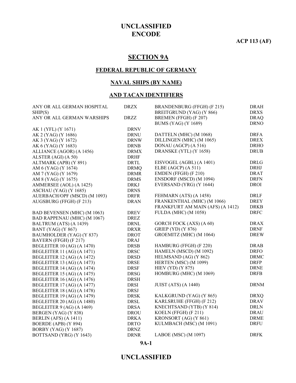**ACP 113 (AF)**

# **SECTION 9A**

#### **FEDERAL REPUBLIC OF GERMANY**

#### **NAVAL SHIPS (BY NAME)**

#### **AND TACAN IDENTIFIERS**

| ANY OR ALL GERMAN HOSPITAL        | <b>DRZX</b>           | BRANDENBURG (FFGH) (F 215)       | <b>DRAH</b> |
|-----------------------------------|-----------------------|----------------------------------|-------------|
| SHIP(S)                           |                       | BREITGRUND (YAG) (Y 866)         | <b>DRXS</b> |
| ANY OR ALL GERMAN WARSHIPS        | <b>DRZZ</b>           | BREMEN (FFGH) (F 207)            | <b>DRAQ</b> |
|                                   |                       | <b>BUMS (YAG) (Y 1689)</b>       | <b>DRNO</b> |
| AK 1 (YFL) (Y 1671)               | <b>DRNV</b>           |                                  |             |
| AK 2 (YAG) (Y 1686)               | <b>DRNU</b>           | DATTELN (MHC) (M 1068)           | <b>DRFA</b> |
| AK 3 (YAG) (Y 1672)               | <b>DRNW</b>           | DILLINGEN (MHC) (M 1065)         | <b>DREX</b> |
| AK 6 (YAG) (Y 1683)               | <b>DRNB</b>           | DONAU (AGCP) (A 516)             | <b>DRHO</b> |
| ALLIANCE (AGOR) (A 1456)          | <b>DRMX</b>           | DRANSKE (YTL) (Y 1658)           | <b>DRUB</b> |
| ALSTER (AGI) (A 50)               | <b>DRHF</b>           |                                  |             |
| ALTMARK (APB) (Y 891)             | <b>DRTL</b>           | EISVOGEL (AGBL) (A 1401)         | <b>DRLG</b> |
| AM 6 (YAG) (Y 1674)               | <b>DRMQ</b>           | ELBE (AGCP) (A 511)              | <b>DRHJ</b> |
| AM 7 (YAG) (Y 1679)               | <b>DRMR</b>           | EMDEN (FFGH) (F 210)             | <b>DRAT</b> |
| AM 8 (YAG) (Y 1675)               | <b>DRMS</b>           | ENSDORF (MSCD) (M 1094)          | <b>DRFN</b> |
| AMMERSEE (AOL) (A 1425)           | <b>DRKJ</b>           | EVERSAND (YRG) (Y 1644)          | <b>DROI</b> |
| ASCHAU (YAG) (Y 1685)             | <b>DRNS</b>           |                                  |             |
| AUERBACH/OPF (MSCD) (M 1093)      | <b>DRFR</b>           | FEHMARN (ATS) (A 1458)           | <b>DRLF</b> |
| AUGSBURG (FFGH) (F 213)           | <b>DRAN</b>           | FRANKENTHAL (MHC) (M 1066)       | <b>DREY</b> |
|                                   |                       | FRANKFURT AM MAIN (AFS) (A 1412) | <b>DRKB</b> |
| BAD BEVENSEN (MHC) (M 1063)       | <b>DREV</b>           | <b>FULDA</b> (MHC) (M 1058)      | <b>DRFC</b> |
| BAD RAPPENAU (MHC) (M 1067)       | <b>DREZ</b>           |                                  |             |
| BALTRUM (ATS) (A 1439)            | <b>DRNL</b>           | GORCH FOCK (AXS) (A 60)          | <b>DRAX</b> |
| <b>BANT</b> (YAG) (Y 867)         | <b>DRXR</b>           | <b>GRIEP</b> (YD) (Y 876)        | <b>DRNF</b> |
| BAUMHOLDER (YAG) (Y 837)          | <b>DROT</b>           | GROEMITZ (MHC) (M 1064)          | <b>DREW</b> |
| BAYERN (FFGH) (F 217)             | <b>DRAJ</b>           |                                  |             |
| <b>BEGLEITER 10 (AG) (A 1470)</b> | <b>DRSB</b>           | HAMBURG (FFGH) (F 220)           | <b>DRAB</b> |
| <b>BEGLEITER 11 (AG) (A 1471)</b> | <b>DRSC</b>           | HAMELN (MSCD) (M 1092)           | <b>DRFO</b> |
| <b>BEGLEITER 12 (AG) (A 1472)</b> | <b>DRSD</b>           | HELMSAND (AG) (Y 862)            | <b>DRMC</b> |
| <b>BEGLEITER 13 (AG) (A 1473)</b> | <b>DRSE</b>           | HERTEN (MSC) (M 1099)            | <b>DRFP</b> |
| <b>BEGLEITER 14 (AG) (A 1474)</b> | <b>DRSF</b>           | <b>HIEV</b> (YD) (Y 875)         | <b>DRNE</b> |
| <b>BEGLEITER 15 (AG) (A 1475)</b> | <b>DRSG</b>           | HOMBURG (MHC) (M 1069)           | <b>DRFB</b> |
| <b>BEGLEITER 16 (AG) (A 1476)</b> | <b>DRSH</b>           |                                  |             |
| <b>BEGLEITER 17 (AG) (A 1477)</b> | <b>DRSI</b>           | <b>JUIST (ATS) (A 1440)</b>      | <b>DRNM</b> |
| <b>BEGLEITER 18 (AG) (A 1478)</b> | <b>DRSJ</b>           |                                  |             |
| <b>BEGLEITER 19 (AG) (A 1479)</b> | <b>DRSK</b>           | KALKGRUND (YAG) (Y 865)          | <b>DRXQ</b> |
| BEGLEITER 20 (AG) (A 1480)        | <b>DRSL</b>           | KARLSRUHE (FFGH) (F 212)         | <b>DRAV</b> |
| <b>BEGLEITER 9 (AG) (A 1469)</b>  | <b>DRSA</b>           | KNECHTSAND (YTB) (Y 814)         | <b>DRLN</b> |
| BERGEN (YAG) (Y 838)              | $\operatorname{DROU}$ | KOELN (FFGH) (F 211)             | <b>DRAU</b> |
| BERLIN (AFS) (A 1411)             | <b>DRKA</b>           | KRONSORT (AG) (Y 861)            | <b>DRME</b> |
| BOERDE (APB) (Y 894)              | <b>DRTO</b>           | KULMBACH (MSC) (M 1091)          | <b>DRFU</b> |
| <b>BORBY (YAG) (Y 1687)</b>       | <b>DRNZ</b>           |                                  |             |
| BOTTSAND (YRG) (Y 1643)           | <b>DRNR</b>           | LABOE (MSC) (M 1097)             | <b>DRFK</b> |
|                                   |                       |                                  |             |

**9A-1**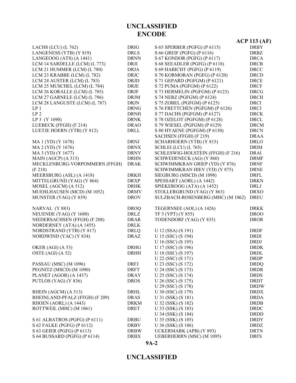### **UNCLASSIFIED**

|                                |             |                                   | <b>ACP 113 (AF)</b> |
|--------------------------------|-------------|-----------------------------------|---------------------|
| LACHS (LCU) (L 762)            | <b>DRIG</b> | S 65 SPERBER (PGFG) (P 6115)      | <b>DRBY</b>         |
| LANGENESS (YTB) (Y 819)        | <b>DRLS</b> | S 66 GREIF (PGFG) (P 6116)        | <b>DRBZ</b>         |
| LANGEOOG (ATS) (A 1441)        | <b>DRNN</b> | S 67 KONDOR (PGFG) (P 6117)       | <b>DRCA</b>         |
| LCM 14 SARDELLE (LCM) (L 773)  | <b>DRJI</b> | S 68 SEEADLER (PGFG) (P 6118)     | <b>DRCB</b>         |
| LCM 21 HUMMER (LCM) (L 780)    | <b>DRJA</b> | S 69 HABICHT (PGFG) (P 6119)      | <b>DRCC</b>         |
| LCM 23 KRABBE (LCM) (L 782)    | <b>DRJC</b> | S 70 KORMORAN (PGFG) (P 6120)     | <b>DRCD</b>         |
| LCM 24 AUSTER (LCM) (L 783)    | <b>DRJD</b> | S 71 GEPARD (PGFGM) (P 6121)      | <b>DRCE</b>         |
| LCM 25 MUSCHEL (LCM) (L 784)   | <b>DRJE</b> | S 72 PUMA (PGFGM) (P 6122)        | <b>DRCF</b>         |
| LCM 26 KORALLE (LCM) (L 785)   | <b>DRJF</b> | S 73 HERMELIN (PGFGM) (P 6123)    | <b>DRCG</b>         |
| LCM 27 GARNELE (LCM) (L 786)   | <b>DRJM</b> | S 74 NERZ (PGFGM) (P 6124)        | <b>DRCH</b>         |
| LCM 28 LANGUSTE (LCM) (L 787)  | <b>DRJN</b> | S 75 ZOBEL (PGFGM) (P 6125)       | <b>DRCI</b>         |
| LP <sub>1</sub>                | <b>DRNG</b> | S 76 FRETTCHEN (PGFGM) (P 6126)   | <b>DRCJ</b>         |
| LP <sub>2</sub>                | <b>DRNH</b> | S 77 DACHS (PGFGM) (P 6127)       | <b>DRCK</b>         |
| LP 3 (Y 1690)                  | <b>DRNK</b> | S 78 OZELOT (PGFGM) (P 6128)      | <b>DRCL</b>         |
| LUEBECK (FFGH) (F 214)         | <b>DRAO</b> | S 79 WIESEL (PGFGM) (P 6129)      | <b>DRCM</b>         |
| LUETJE HOERN (YTB) (Y 812)     | DRLL        | S 80 HYAENE (PGFGM) (P 6130)      | <b>DRCN</b>         |
|                                |             | SACHSEN (FFGH) (F 219)            | <b>DRAA</b>         |
| MA 1 (YD) (Y 1678)             | <b>DRNJ</b> | SCHARHOERN (YTB) (Y 815)          | <b>DRLO</b>         |
| MA 2 (YD) (Y 1676)             | <b>DRNX</b> | SCHLEI (LCU) (L 765)              | <b>DRIM</b>         |
| MA 3 (YD) (Y 1677)             | <b>DRNY</b> | SCHLESWIG-HOLSTEIN (FFGH) (F 216) | <b>DRAI</b>         |
| MAIN (AGCP) (A 515)            | <b>DRHN</b> | <b>SCHWEDENECK (AG) (Y 860)</b>   | <b>DRMF</b>         |
| MECKLENBURG-VORPOMMERN (FFGH)  | <b>DRAK</b> | SCHWIMMKRAN GRIEP (YD) (Y 876)    | <b>DRNF</b>         |
| (F 218)                        |             | SCHWIMMKRAN HIEV (YD) (Y 875)     | <b>DRNE</b>         |
| MEERSBURG (ASL) (A 1418)       | <b>DRKH</b> | SIEGBURG (MSCD) (M 1098)          | <b>DRFL</b>         |
| MITTELGRUND (YAG) (Y 864)      | <b>DRXP</b> | SPESSART (AORL) (A 1442)          | <b>DRKN</b>         |
| MOSEL (AGCM) (A 512)           | <b>DRHK</b> | SPIEKEROOG (ATA) (A 1452)         | <b>DRLJ</b>         |
| MUEHLHAUSEN (MCD) (M 1052)     | <b>DRMV</b> | STOLLERGRUND (YAG) (Y 863)        | <b>DRXO</b>         |
| MUNSTER (YAG) (Y 839)          | <b>DROV</b> | SULZBACH-ROSENBERG (MHC) (M 1062) | <b>DREU</b>         |
|                                |             |                                   |                     |
| NARVAL (Y 883)                 | <b>DROQ</b> | TEGERNSEE (AOL) (A 1426)          | <b>DRKK</b>         |
| NEUENDE (YAG) (Y 1680)         | DRLZ        | TF 5 (YPT) (Y 855)                | <b>DROO</b>         |
| NIEDERSACHSEN (FFGH) (F 208)   | <b>DRAR</b> | TODENDORF (YAG) (Y 835)           | <b>DROR</b>         |
| NORDERNEY (ATA) (A 1455)       | <b>DRLK</b> |                                   |                     |
| NORDSTRAND (YTB) (Y 817)       | <b>DRLQ</b> | U 12 (SSA) (S 191)                | <b>DRDF</b>         |
| NORDWIND (YAC) (Y 834)         | <b>DRAZ</b> | U 15 (SSC) (S 194)                | <b>DRDI</b>         |
|                                |             | U 16 (SSC) (S 195)                | <b>DRDJ</b>         |
| OKER (AGI) (A 53)              | <b>DRHG</b> | U 17 (SSC) (S 196)                | <b>DRDK</b>         |
| OSTE (AGI) (A 52)              | <b>DRHH</b> | U 18 (SSC) (S 197)                | <b>DRDL</b>         |
|                                |             | U 22 (SSC) (S 171)                | <b>DRDP</b>         |
| PASSAU (MSC) (M 1096)          | <b>DRFJ</b> | U 23 (SSC) (S 172)                | <b>DRDQ</b>         |
| PEGNITZ (MSCD) (M 1090)        | <b>DRFT</b> | U 24 (SSC) (S 173)                | <b>DRDR</b>         |
| PLANET (AGOR) (A 1437)         | <b>DRAY</b> | U 25 (SSC) (S 174)                | <b>DRDS</b>         |
| PUTLOS (YAG) (Y 836)           | <b>DROS</b> | U 26 (SSC) (S 175)                | <b>DRDT</b>         |
|                                |             | U 29 (SSC) (S 178)                | <b>DRDW</b>         |
| RHEIN (AGCM) (A 513)           | <b>DRHL</b> | U 30 (SSC) (S 179)                | <b>DRDX</b>         |
| RHEINLAND-PFALZ (FFGH) (F 209) | <b>DRAS</b> | U 31 (SSK) (S 181)                | <b>DRDA</b>         |
| RHOEN (AORL) (A 1443)          | <b>DRKM</b> | U 32 (SSK) (S 182)                | <b>DRDB</b>         |
| ROTTWEIL (MHC) (M 1061)        | <b>DRET</b> | U 33 (SSK) (S 183)                | <b>DRDC</b>         |
|                                |             | U 34 (SSK) (S 184)                | <b>DRDD</b>         |
| S 61 ALBATROS (PGFG) (P 6111)  | <b>DRBU</b> | U 35 (SSK) (S 185)                | <b>DRDY</b>         |
| S 62 FALKE (PGFG) (P 6112)     | <b>DRBV</b> | U 36 (SSK) (S 186)                | <b>DRDZ</b>         |
| S 63 GEIER (PGFG) (P 6113)     | <b>DRBW</b> | UCKERMARK (APB) (Y 893)           | <b>DRTN</b>         |
| S 64 BUSSARD (PGFG) (P 6114)   | <b>DRBX</b> | <b>UEBERHERRN</b> (MSC) (M 1095)  | <b>DRFS</b>         |
|                                | $9A-2$      |                                   |                     |
|                                |             |                                   |                     |

# **UNCLASSIFIED ENCODE**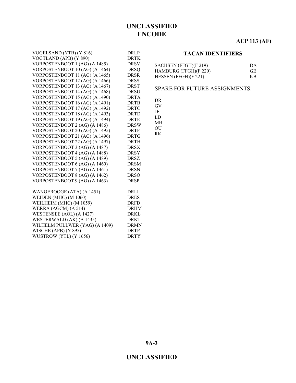#### **ACP 113 (AF)**

| SACHSEN (FFGH)(F 219)   | 1) A |
|-------------------------|------|
| HAMBURG (FFGH)(F 220)   | -GE  |
| HESSEN (FFGH) $(F 221)$ | K R  |

#### SPARE FOR FUTURE ASSIGNMENTS:

| VOGTLAND (APB) (Y 890)         | <b>DRTK</b> |
|--------------------------------|-------------|
| VORPOSTENBOOT 1 (AG) (A 1485)  | <b>DRSV</b> |
| VORPOSTENBOOT 10 (AG) (A 1464) | <b>DRSQ</b> |
| VORPOSTENBOOT 11 (AG) (A 1465) | <b>DRSR</b> |
| VORPOSTENBOOT 12 (AG) (A 1466) | <b>DRSS</b> |
| VORPOSTENBOOT 13 (AG) (A 1467) | <b>DRST</b> |
| VORPOSTENBOOT 14 (AG) (A 1468) | <b>DRSU</b> |
| VORPOSTENBOOT 15 (AG) (A 1490) | <b>DRTA</b> |
| VORPOSTENBOOT 16 (AG) (A 1491) | <b>DRTB</b> |
| VORPOSTENBOOT 17 (AG) (A 1492) | <b>DRTC</b> |
| VORPOSTENBOOT 18 (AG) (A 1493) | <b>DRTD</b> |
| VORPOSTENBOOT 19 (AG) (A 1494) | <b>DRTE</b> |
| VORPOSTENBOOT 2 (AG) (A 1486)  | <b>DRSW</b> |
| VORPOSTENBOOT 20 (AG) (A 1495) | <b>DRTF</b> |
| VORPOSTENBOOT 21 (AG) (A 1496) | <b>DRTG</b> |
| VORPOSTENBOOT 22 (AG) (A 1497) | <b>DRTH</b> |
| VORPOSTENBOOT 3 (AG) (A 1487)  | DRSX        |
| VORPOSTENBOOT 4 (AG) (A 1488)  | <b>DRSY</b> |
| VORPOSTENBOOT 5 (AG) (A 1489)  | <b>DRSZ</b> |
| VORPOSTENBOOT 6 (AG) (A 1460)  | <b>DRSM</b> |
| VORPOSTENBOOT 7 (AG) (A 1461)  | <b>DRSN</b> |
| VORPOSTENBOOT 8 (AG) (A 1462)  | <b>DRSO</b> |
| VORPOSTENBOOT 9 (AG) (A 1463)  | <b>DRSP</b> |
|                                |             |
| WANGEROOGE (ATA) (A 1451)      | DRLI        |
| WEIDEN (MHC) (M 1060)          | <b>DRES</b> |
| WEILHEIM (MHC) (M 1059)        | <b>DRFD</b> |
| WERRA (AGCM) (A 514)           | <b>DRHM</b> |
| WESTENSEE (AOL) (A 1427)       | DRKL.       |
| WESTERWALD (AK) (A 1435)       | <b>DRKT</b> |
| WILHELM PULLWER (YAG) (A 1409) | <b>DRMN</b> |

WISCHE (APB) (Y 895) DRTP WUSTROW (YTL) (Y 1656) DRTY

VOGELSAND (YTB) (Y 816) DRLP

DR GV

JF

LD MH

OU

RK

**9A-3**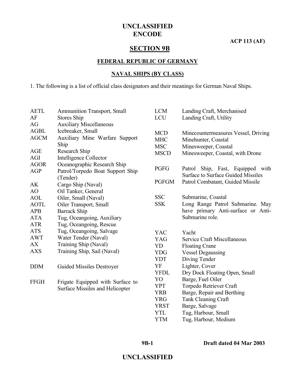**ACP 113 (AF)**

### **SECTION 9B**

#### **FEDERAL REPUBLIC OF GERMANY**

#### **NAVAL SHIPS (BY CLASS)**

1. The following is a list of official class designators and their meanings for German Naval Ships.

| <b>AETL</b><br>AF          | <b>Ammunition Transport, Small</b><br>Stores Ship               | <b>LCM</b><br><b>LCU</b>               | Landing Craft, Merchanised<br>Landing Craft, Utility                               |
|----------------------------|-----------------------------------------------------------------|----------------------------------------|------------------------------------------------------------------------------------|
| AG                         | <b>Auxiliary Miscellaneous</b>                                  |                                        |                                                                                    |
| <b>AGBL</b><br><b>AGCM</b> | Icebreaker, Small<br>Auxiliary Mine Warfare Support<br>Ship     | <b>MCD</b><br><b>MHC</b><br><b>MSC</b> | Minecountermeasures Vessel, Driving<br>Minehunter, Coastal<br>Minesweeper, Coastal |
| AGE                        | Research Ship                                                   | <b>MSCD</b>                            | Minesweeper, Coastal, with Drone                                                   |
| <b>AGI</b>                 | Intelligence Collector                                          |                                        |                                                                                    |
| <b>AGOR</b><br><b>AGP</b>  | Oceanographic Research Ship<br>Patrol/Torpedo Boat Support Ship | <b>PGFG</b>                            | Patrol Ship, Fast, Equipped with<br><b>Surface to Surface Guided Missiles</b>      |
| AK                         | (Tender)                                                        | <b>PGFGM</b>                           | Patrol Combatant, Guided Missile                                                   |
| AO                         | Cargo Ship (Naval)<br>Oil Tanker, General                       |                                        |                                                                                    |
| <b>AOL</b>                 | Oiler, Small (Naval)                                            | <b>SSC</b>                             | Submarine, Coastal                                                                 |
| <b>AOTL</b>                | Oiler Transport, Small                                          | <b>SSK</b>                             | Long Range Patrol Submarine. May                                                   |
| <b>APB</b>                 | <b>Barrack Ship</b>                                             |                                        | have primary Anti-surface or Anti-                                                 |
| <b>ATA</b>                 | Tug, Oceangoing, Auxiliary                                      |                                        | Submarine role.                                                                    |
| <b>ATR</b>                 | Tug, Oceangoing, Rescue                                         |                                        |                                                                                    |
| <b>ATS</b>                 | Tug, Oceangoing, Salvage                                        | <b>YAC</b>                             | Yacht                                                                              |
| <b>AWT</b>                 | Water Tender (Naval)                                            | <b>YAG</b>                             | Service Craft Miscellaneous                                                        |
| AX                         | Training Ship (Naval)                                           | YD                                     | <b>Floating Crane</b>                                                              |
| <b>AXS</b>                 | Training Ship, Sail (Naval)                                     | <b>YDG</b>                             | <b>Vessel Degaussing</b>                                                           |
|                            |                                                                 | <b>YDT</b>                             | Diving Tender                                                                      |
| <b>DDM</b>                 | <b>Guided Missiles Destroyer</b>                                | YF                                     | Lighter, Cover                                                                     |
|                            |                                                                 | <b>YFDL</b>                            | Dry Dock Floating Open, Small                                                      |
|                            |                                                                 | YO                                     | Barge, Fuel Oiler                                                                  |
| <b>FFGH</b>                | Frigate Equipped with Surface to                                | <b>YPT</b>                             | Torpedo Retriever Craft                                                            |
|                            | Surface Missiles and Helicopter                                 | <b>YRB</b>                             | Barge, Repair and Berthing                                                         |
|                            |                                                                 | <b>YRG</b>                             | Tank Cleaning Craft                                                                |
|                            |                                                                 | <b>YRST</b>                            | Barge, Salvage                                                                     |
|                            |                                                                 | <b>YTL</b>                             | Tug, Harbour, Small                                                                |
|                            |                                                                 | <b>YTM</b>                             | Tug, Harbour, Medium                                                               |

**9B-1**

**Draft dated 04 Mar 2003**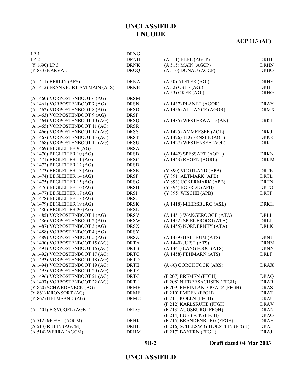# **ACP 113 (AF)**

| LP <sub>1</sub>                  | <b>DRNG</b>                |                                   |             |
|----------------------------------|----------------------------|-----------------------------------|-------------|
| LP <sub>2</sub>                  | <b>DRNH</b>                | (A 511) E LBE (AGCP)              | DRHJ        |
| (Y 1690) LP 3                    | <b>DRNK</b>                | $(A 515)$ MAIN $(AGCP)$           | <b>DRHN</b> |
| (Y 883) NARVAL                   | <b>DROQ</b>                | (A 516) DONAU (AGCP)              | <b>DRHO</b> |
| $(A 1411)$ BERLIN $(AFS)$        | <b>DRKA</b>                | (A 50) ALSTER (AGI)               | <b>DRHF</b> |
| (A 1412) FRANKFURT AM MAIN (AFS) | <b>DRKB</b>                | $(A 52)$ OSTE $(AGI)$             | <b>DRHH</b> |
|                                  |                            | $(A 53)$ OKER $(AGI)$             | <b>DRHG</b> |
| (A 1460) VORPOSTENBOOT 6 (AG)    | <b>DRSM</b>                |                                   |             |
| (A 1461) VORPOSTENBOOT 7 (AG)    | <b>DRSN</b>                | (A 1437) PLANET (AGOR)            | <b>DRAY</b> |
| (A 1462) VORPOSTENBOOT 8 (AG)    | <b>DRSO</b>                | (A 1456) ALLIANCE (AGOR)          | <b>DRMX</b> |
| (A 1463) VORPOSTENBOOT 9 (AG)    | <b>DRSP</b>                |                                   |             |
| (A 1464) VORPOSTENBOOT 10 (AG)   | <b>DRSQ</b>                | (A 1435) WESTERWALD (AK)          | <b>DRKT</b> |
| (A 1465) VORPOSTENBOOT 11 (AG)   | <b>DRSR</b>                |                                   |             |
| (A 1466) VORPOSTENBOOT 12 (AG)   | <b>DRSS</b>                | (A 1425) AMMERSEE (AOL)           | <b>DRKJ</b> |
| (A 1467) VORPOSTENBOOT 13 (AG)   | <b>DRST</b>                | (A 1426) TEGERNSEE (AOL)          | <b>DRKK</b> |
| (A 1468) VORPOSTENBOOT 14 (AG)   | <b>DRSU</b>                | (A 1427) WESTENSEE (AOL)          | <b>DRKL</b> |
| $(A 1469)$ BEGLEITER $9 (AG)$    | <b>DRSA</b>                |                                   |             |
| (A 1470) BEGLEITER 10 (AG)       | <b>DRSB</b>                | (A 1442) SPESSART (AORL)          | <b>DRKN</b> |
| (A 1471) BEGLEITER 11 (AG)       | <b>DRSC</b>                | (A 1443) RHOEN (AORL)             | <b>DRKM</b> |
| (A 1472) BEGLEITER 12 (AG)       | <b>DRSD</b>                |                                   |             |
| (A 1473) BEGLEITER 13 (AG)       | <b>DRSE</b>                | (Y 890) VOGTLAND (APB)            | <b>DRTK</b> |
| (A 1474) BEGLEITER 14 (AG)       | <b>DRSF</b>                | (Y 891) ALTMARK (APB)             | <b>DRTL</b> |
| (A 1475) BEGLEITER 15 (AG)       | <b>DRSG</b>                | (Y 893) UCKERMARK (APB)           | <b>DRTN</b> |
| (A 1476) BEGLEITER 16 (AG)       | <b>DRSH</b>                | (Y 894) BOERDE (APB)              | <b>DRTO</b> |
| (A 1477) BEGLEITER 17 (AG)       | <b>DRSI</b>                | (Y 895) WISCHE (APB)              | <b>DRTP</b> |
| (A 1478) BEGLEITER 18 (AG)       | <b>DRSJ</b>                |                                   |             |
| (A 1479) BEGLEITER 19 (AG)       | <b>DRSK</b>                | (A 1418) MEERSBURG (ASL)          | <b>DRKH</b> |
| (A 1480) BEGLEITER 20 (AG)       | <b>DRSL</b>                |                                   |             |
| (A 1485) VORPOSTENBOOT 1 (AG)    | <b>DRSV</b>                | (A 1451) WANGEROOGE (ATA)         | $\rm DRLI$  |
| (A 1486) VORPOSTENBOOT 2 (AG)    | <b>DRSW</b>                | (A 1452) SPIEKEROOG (ATA)         | DRLJ        |
| (A 1487) VORPOSTENBOOT 3 (AG)    | <b>DRSX</b>                | (A 1455) NORDERNEY (ATA)          | <b>DRLK</b> |
| (A 1488) VORPOSTENBOOT 4 (AG)    | <b>DRSY</b>                |                                   |             |
| (A 1489) VORPOSTENBOOT 5 (AG)    | <b>DRSZ</b>                | (A 1439) BALTRUM (ATS)            | <b>DRNL</b> |
| (A 1490) VORPOSTENBOOT 15 (AG)   | <b>DRTA</b>                | (A 1440) JUIST (ATS)              | <b>DRNM</b> |
| (A 1491) VORPOSTENBOOT 16 (AG)   | <b>DRTB</b>                | (A 1441) LANGEOOG (ATS)           | <b>DRNN</b> |
| (A 1492) VORPOSTENBOOT 17 (AG)   | <b>DRTC</b>                | (A 1458) FEHMARN (ATS)            | <b>DRLF</b> |
| (A 1493) VORPOSTENBOOT 18 (AG)   | <b>DRTD</b>                |                                   |             |
| (A 1494) VORPOSTENBOOT 19 (AG)   | <b>DRTE</b>                | (A 60) GORCH FOCK (AXS)           | <b>DRAX</b> |
| (A 1495) VORPOSTENBOOT 20 (AG)   | <b>DRTF</b>                |                                   |             |
| (A 1496) VORPOSTENBOOT 21 (AG)   | <b>DRTG</b>                | (F 207) BREMEN (FFGH)             | <b>DRAQ</b> |
| (A 1497) VORPOSTENBOOT 22 (AG)   | <b>DRTH</b>                | (F 208) NIEDERSACHSEN (FFGH)      | <b>DRAR</b> |
| (Y 860) SCHWEDENECK (AG)         |                            | (F 209) RHEINLAND-PFALZ (FFGH)    | <b>DRAS</b> |
| (Y 861) KRONSORT (AG)            | <b>DRMF</b><br><b>DRME</b> | (F 210) EMDEN (FFGH)              | <b>DRAT</b> |
| (Y 862) HELMSAND (AG)            | <b>DRMC</b>                | (F 211) KOELN (FFGH)              | <b>DRAU</b> |
|                                  |                            |                                   |             |
|                                  |                            | (F 212) KARLSRUHE (FFGH)          | <b>DRAV</b> |
| (A 1401) EISVOGEL (AGBL)         | <b>DRLG</b>                | (F 213) AUGSBURG (FFGH)           | <b>DRAN</b> |
|                                  |                            | (F 214) LUEBECK (FFGH)            | <b>DRAO</b> |
| (A 512) MOSEL (AGCM)             | <b>DRHK</b>                | (F 215) BRANDENBURG (FFGH)        | <b>DRAH</b> |
| $(A 513)$ RHEIN $(AGCM)$         | DRHL                       | (F 216) SCHLESWIG-HOLSTEIN (FFGH) | <b>DRAI</b> |
| (A 514) WERRA (AGCM)             | <b>DRHM</b>                | (F 217) BAYERN (FFGH)             | <b>DRAJ</b> |
|                                  |                            |                                   |             |

#### **9B-2**

**Draft dated 04 Mar 2003**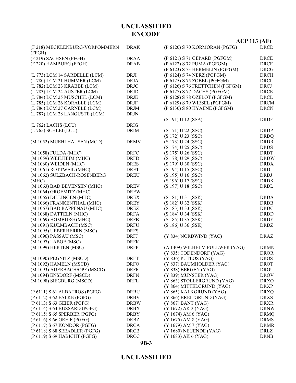# **UNCLASSIFIED**

**9B-3**

|                                          |             |                                 | AUT 113 (AF) |
|------------------------------------------|-------------|---------------------------------|--------------|
| (F 218) MECKLENBURG-VORPOMMERN<br>(FFGH) | <b>DRAK</b> | (P 6120) S 70 KORMORAN (PGFG)   | <b>DRCD</b>  |
| (F 219) SACHSEN (FFGH)                   | <b>DRAA</b> | (P 6121) S 71 GEPARD (PGFGM)    | <b>DRCE</b>  |
| (F 220) HAMBURG (FFGH)                   | <b>DRAB</b> | (P 6122) S 72 PUMA (PGFGM)      | <b>DRCF</b>  |
|                                          |             | (P 6123) S 73 HERMELIN (PGFGM)  | <b>DRCG</b>  |
| (L 773) LCM 14 SARDELLE (LCM)            | DRJI        | (P 6124) S 74 NERZ (PGFGM)      | <b>DRCH</b>  |
| (L 780) LCM 21 HUMMER (LCM)              | <b>DRJA</b> | (P 6125) S 75 ZOBEL (PGFGM)     | <b>DRCI</b>  |
| (L 782) LCM 23 KRABBE (LCM)              | <b>DRJC</b> | (P 6126) S 76 FRETTCHEN (PGFGM) | <b>DRCJ</b>  |
| (L 783) LCM 24 AUSTER (LCM)              | <b>DRJD</b> | (P 6127) S 77 DACHS (PGFGM)     | <b>DRCK</b>  |
| (L 784) LCM 25 MUSCHEL (LCM)             | <b>DRJE</b> | (P 6128) S 78 OZELOT (PGFGM)    | <b>DRCL</b>  |
| (L 785) LCM 26 KORALLE (LCM)             | <b>DRJF</b> | (P 6129) S 79 WIESEL (PGFGM)    | <b>DRCM</b>  |
| (L 786) LCM 27 GARNELE (LCM)             |             | (P 6130) S 80 HYAENE (PGFGM)    | <b>DRCN</b>  |
|                                          | <b>DRJM</b> |                                 |              |
| (L 787) LCM 28 LANGUSTE (LCM)            | <b>DRJN</b> |                                 |              |
|                                          |             | (S 191) U 12 (SSA)              | <b>DRDF</b>  |
| (L 762) LACHS (LCU)                      | <b>DRIG</b> |                                 |              |
| (L 765) SCHLEI (LCU)                     | <b>DRIM</b> | (S 171) U 22 (SSC)              | <b>DRDP</b>  |
|                                          |             | (S 172) U 23 (SSC)              | <b>DRDQ</b>  |
| (M 1052) MUEHLHAUSEN (MCD)               | <b>DRMV</b> | (S 173) U 24 (SSC)              | <b>DRDR</b>  |
|                                          |             | (S 174) U 25 (SSC)              | <b>DRDS</b>  |
| (M 1058) FULDA (MHC)                     | <b>DRFC</b> | (S 175) U 26 (SSC)              | <b>DRDT</b>  |
| (M 1059) WEILHEIM (MHC)                  | <b>DRFD</b> | (S 178) U 29 (SSC)              | <b>DRDW</b>  |
| (M 1060) WEIDEN (MHC)                    | <b>DRES</b> | (S 179) U 30 (SSC)              | <b>DRDX</b>  |
| (M 1061) ROTTWEIL (MHC)                  | <b>DRET</b> | (S 194) U 15 (SSC)              | <b>DRDI</b>  |
| (M 1062) SULZBACH-ROSENBERG              | <b>DREU</b> | (S 195) U 16 (SSC)              | <b>DRDJ</b>  |
| (MHC)                                    |             | (S 196) U 17 (SSC)              | <b>DRDK</b>  |
| (M 1063) BAD BEVENSEN (MHC)              | <b>DREV</b> | (S 197) U 18 (SSC)              | <b>DRDL</b>  |
| (M 1064) GROEMITZ (MHC)                  | <b>DREW</b> |                                 |              |
| (M 1065) DILLINGEN (MHC)                 | <b>DREX</b> | (S 181) U 31 (SSK)              | <b>DRDA</b>  |
| (M 1066) FRANKENTHAL (MHC)               | <b>DREY</b> | (S 182) U 32 (SSK)              | <b>DRDB</b>  |
| (M 1067) BAD RAPPENAU (MHC)              | <b>DREZ</b> | (S 183) U 33 (SSK)              | <b>DRDC</b>  |
| (M 1068) DATTELN (MHC)                   | <b>DRFA</b> | (S 184) U 34 (SSK)              | <b>DRDD</b>  |
| (M 1069) HOMBURG (MHC)                   | <b>DRFB</b> | (S 185) U 35 (SSK)              | <b>DRDY</b>  |
| (M 1091) KULMBACH (MSC)                  | <b>DRFU</b> | (S186) U36(SSK)                 | <b>DRDZ</b>  |
| (M 1095) UEBERHERRN (MSC)                | <b>DRFS</b> |                                 |              |
| (M 1096) PASSAU (MSC)                    | <b>DRFJ</b> | (Y 834) NORDWIND (YAC)          | <b>DRAZ</b>  |
| (M 1097) LABOE (MSC)                     | <b>DRFK</b> |                                 |              |
| (M 1099) HERTEN (MSC)                    | <b>DRFP</b> | (A 1409) WILHELM PULLWER (YAG)  | <b>DRMN</b>  |
|                                          |             | (Y 835) TODENDORF (YAG)         | <b>DROR</b>  |
| (M 1090) PEGNITZ (MSCD)                  | <b>DRFT</b> | (Y 836) PUTLOS (YAG)            | <b>DROS</b>  |
| (M 1092) HAMELN (MSCD)                   | <b>DRFO</b> | (Y 837) BAUMHOLDER (YAG)        | <b>DROT</b>  |
| (M 1093) AUERBACH/OPF (MSCD)             | <b>DRFR</b> | $(Y 838)$ BERGEN $(YAG)$        | <b>DROU</b>  |
| (M 1094) ENSDORF (MSCD)                  |             | (Y 839) MUNSTER (YAG)           |              |
|                                          | <b>DRFN</b> |                                 | <b>DROV</b>  |
| (M 1098) SIEGBURG (MSCD)                 | <b>DRFL</b> | (Y 863) STOLLERGRUND (YAG)      | <b>DRXO</b>  |
|                                          |             | (Y 864) MITTELGRUND (YAG)       | <b>DRXP</b>  |
| (P 6111) S 61 ALBATROS (PGFG)            | <b>DRBU</b> | (Y 865) KALKGRUND (YAG)         | <b>DRXQ</b>  |
| (P 6112) S 62 FALKE (PGFG)               | <b>DRBV</b> | (Y 866) BREITGRUND (YAG)        | <b>DRXS</b>  |
| (P 6113) S 63 GEIER (PGFG)               | <b>DRBW</b> | (Y 867) BANT (YAG)              | <b>DRXR</b>  |
| (P 6114) S 64 BUSSARD (PGFG)             | <b>DRBX</b> | (Y 1672) AK 3 (YAG)             | <b>DRNW</b>  |
| (P 6115) S 65 SPERBER (PGFG)             | <b>DRBY</b> | (Y 1674) AM 6 (YAG)             | <b>DRMQ</b>  |
| (P 6116) S 66 GREIF (PGFG)               | <b>DRBZ</b> | (Y 1675) AM 8 (YAG)             | <b>DRMS</b>  |
| (P 6117) S 67 KONDOR (PGFG)              | <b>DRCA</b> | (Y 1679) AM 7 (YAG)             | <b>DRMR</b>  |
| (P 6118) S 68 SEEADLER (PGFG)            | <b>DRCB</b> | (Y 1680) NEUENDE (YAG)          | DRLZ         |
| (P 6119) S 69 HABICHT (PGFG)             | <b>DRCC</b> | (Y 1683) AK 6 (YAG)             | <b>DRNB</b>  |

**UNCLASSIFIED ENCODE**

#### **ACP 113 (AF)**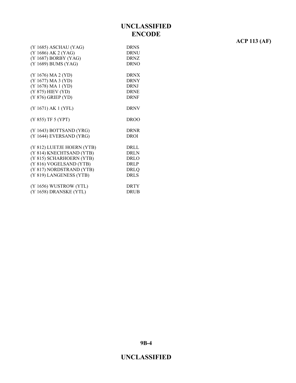# **ACP 113 (AF)**

| (Y 1685) ASCHAU (YAG)      | <b>DRNS</b> |
|----------------------------|-------------|
| (Y 1686) AK 2 (YAG)        | <b>DRNU</b> |
| (Y 1687) BORBY (YAG)       | <b>DRNZ</b> |
| (Y 1689) BUMS (YAG)        | <b>DRNO</b> |
|                            |             |
| (Y 1676) MA 2 (YD)         | <b>DRNX</b> |
| (Y 1677) MA 3 (YD)         | <b>DRNY</b> |
| (Y 1678) MA 1 (YD)         | <b>DRNJ</b> |
| (Y 875) HIEV (YD)          | <b>DRNE</b> |
| (Y 876) GRIEP (YD)         | <b>DRNF</b> |
|                            |             |
| (Y 1671) AK 1 (YFL)        | <b>DRNV</b> |
|                            |             |
| (Y 855) TF 5 (YPT)         | <b>DROO</b> |
|                            |             |
| (Y 1643) BOTTSAND (YRG)    | <b>DRNR</b> |
| (Y 1644) EVERSAND (YRG)    | <b>DROI</b> |
|                            |             |
| (Y 812) LUETJE HOERN (YTB) | DRLL        |
| (Y 814) KNECHTSAND (YTB)   | <b>DRLN</b> |
| (Y 815) SCHARHOERN (YTB)   | <b>DRLO</b> |
| (Y 816) VOGELSAND (YTB)    | <b>DRLP</b> |
| (Y 817) NORDSTRAND (YTB)   | <b>DRLQ</b> |
| (Y 819) LANGENESS (YTB)    | <b>DRLS</b> |
|                            |             |
| (Y 1656) WUSTROW (YTL)     | <b>DRTY</b> |
| (Y 1658) DRANSKE (YTL)     | DRUB        |
|                            |             |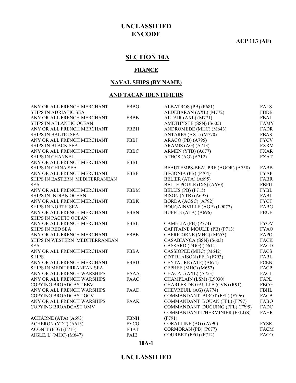**ACP 113 (AF)**

# **SECTION 10A**

#### **FRANCE**

#### **NAVAL SHIPS (BY NAME)**

#### **AND TACAN IDENTIFIERS**

| ANY OR ALL FRENCH MERCHANT     | <b>FBBG</b> | ALBATROS (PB) (P681)              | <b>FALS</b> |
|--------------------------------|-------------|-----------------------------------|-------------|
| <b>SHIPS IN ADRIATIC SEA</b>   |             | ALDEBARAN (AXL) (M772)            | <b>FBDB</b> |
| ANY OR ALL FRENCH MERCHANT     | <b>FBBB</b> | ALTAIR (AXL) (M771)               | FBAI        |
| SHIPS IN ATLANTIC OCEAN        |             | AMETHYSTE (SSN) (S605)            | <b>FAMY</b> |
| ANY OR ALL FRENCH MERCHANT     | <b>FBBH</b> | ANDROMEDE (MHC) (M643)            | <b>FADR</b> |
| SHIPS IN BALTIC SEA            |             | ANTARES (AXL) (M770)              | <b>FBAS</b> |
| ANY OR ALL FRENCH MERCHANT     | <b>FBBJ</b> | ARAGO (PB) (A795)                 | <b>FYCV</b> |
| <b>SHIPS IN BLACK SEA</b>      |             | ARAMIS (AG) (A713)                | <b>FXRM</b> |
| ANY OR ALL FRENCH MERCHANT     | <b>FBBC</b> | ARMEN (YTB) (A677)                | <b>FXAR</b> |
| <b>SHIPS IN CHANNEL</b>        |             | ATHOS $(AG)$ $(A712)$             | <b>FXAT</b> |
| ANY OR ALL FRENCH MERCHANT     | <b>FBBI</b> |                                   |             |
| <b>SHIPS IN CHINA SEA</b>      |             | BEAUTEMPS-BEAUPRE (AGOR) (A758)   | FABB        |
| ANY OR ALL FRENCH MERCHANT     | <b>FBBF</b> | BEGONIA (PB) (P704)               | <b>FYAP</b> |
| SHIPS IN EASTERN MEDITERRANEAN |             | BELIER (ATA) (A695)               | <b>FABR</b> |
| <b>SEA</b>                     |             | BELLE POULE (IXS) (A650)          | <b>FBPU</b> |
| ANY OR ALL FRENCH MERCHANT     | <b>FBBM</b> | BELLIS (PB) (P715)                | <b>FYBL</b> |
| SHIPS IN INDIAN OCEAN          |             | BISON (YTB) (A697)                | FABI        |
| ANY OR ALL FRENCH MERCHANT     | <b>FBBK</b> | BORDA (AGSC) (A792)               | <b>FYCT</b> |
| SHIPS IN NORTH SEA             |             | <b>BOUGAINVILLE (AGE) (L9077)</b> | FABG        |
| ANY OR ALL FRENCH MERCHANT     | <b>FBBN</b> | BUFFLE (ATA) (A696)               | <b>FBUF</b> |
| SHIPS IN PACIFIC OCEAN         |             |                                   |             |
| ANY OR ALL FRENCH MERCHANT     | <b>FBBL</b> | CAMELIA (PB) (P774)               | <b>FYOV</b> |
| SHIPS IN RED SEA               |             | CAPITAINE MOULIE (PB) (P713)      | <b>FYAO</b> |
| ANY OR ALL FRENCH MERCHANT     | <b>FBBE</b> | CAPRICORNE (MHC) (M653)           | FAPO        |
| SHIPS IN WESTERN MEDITERRANEAN |             | CASABIANCA (SSN) (S603)           | <b>FACK</b> |
| <b>SEA</b>                     |             | CASSARD (DDG) (D614)              | <b>FACD</b> |
| ANY OR ALL FRENCH MERCHANT     | <b>FBBA</b> | CASSIOPEE (MHC) (M642)            | <b>FACS</b> |
| <b>SHIPS</b>                   |             | CDT BLAISON (FFL) (F793)          | FABL        |
| ANY OR ALL FRENCH MERCHANT     | <b>FBBD</b> | CENTAURE (ATF) (A674)             | <b>FCEN</b> |
| SHIPS IN MEDITERRANEAN SEA     |             | CEPHEE (MHC) (M652)               | <b>FACP</b> |
| ANY OR ALL FRENCH WARSHIPS     | <b>FAAA</b> | CHACAL (AXL) (A753)               | <b>FACL</b> |
| ANY OR ALL FRENCH WARSHIPS     | <b>FAAC</b> | CHAMPLAIN (LSM) (L9030)           | FAPL        |
| <b>COPYING BROADCAST EBV</b>   |             | CHARLES DE GAULLE (CVN) (R91)     | <b>FBCG</b> |
| ANY OR ALL FRENCH WARSHIPS     | FAAD        | CHEVREUIL (AG) (A774)             | <b>FBHL</b> |
| COPYING BROADCAST GCV          |             | COMMANDANT BIROT (FFL) (F796)     | <b>FACB</b> |
| ANY OR ALL FRENCH WARSHIPS     | <b>FAAK</b> | COMMANDANT BOUAN (FFL) (F797)     | FABO        |
| COPYING BROADCAST OMV          |             | COMMANDANT DUCUING (FFL) (F795)   | FADC        |
|                                |             | COMMANDANT L'HERMINIER (FFLGS)    | <b>FAHR</b> |
| ACHARNE (ATA) (A693)           | <b>FBNH</b> | (F791)                            |             |
| ACHERON (YDT) (A613)           | <b>FYCO</b> | CORALLINE (AG) (A790)             | <b>FYSR</b> |
| ACONIT (FFG) (F713)            | <b>FBAT</b> | CORMORAN (PB) (P677)              | <b>FACM</b> |
| AIGLE, L'(MHC) (M647)          | FAIE        | COURBET (FFG) (F712)              | <b>FACO</b> |

**10A-1**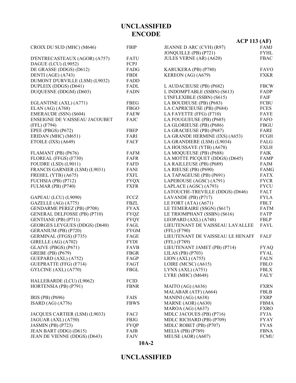|                                      |             | ACP 113 (AF)                     |             |
|--------------------------------------|-------------|----------------------------------|-------------|
| CROIX DU SUD (MHC) (M646)            | <b>FBIP</b> | JEANNE D ARC (CVH) (R97)         | FAMJ        |
|                                      |             | JONQUILLE (PB) (P721)            | <b>FYHL</b> |
| D'ENTRECASTEAUX (AGOR) (A757)        | FATU        | JULES VERNE (AR) (A620)          | <b>FBAC</b> |
| DAGUE (LCU) (L9052)                  | FCPJ        |                                  |             |
| DE GRASSE (DDGS) (D612)              | FADG        | KARUKERA (PB) (P780)             | <b>FAVO</b> |
| DENTI (AGE) (A743)                   | <b>FBDI</b> | KEREON (AG) (A679)               | <b>FXKR</b> |
| DUMONT D'URVILLE (LSM) (L9032)       | FADD        |                                  |             |
| DUPLEIX (DDGS) (D641)                | FADL        | L AUDACIEUSE (PB) (P682)         | <b>FBCW</b> |
| DUQUESNE (DDGM) (D603)               | <b>FADN</b> | L INDOMPTABLE (SSBN) (S613)      | FADP        |
|                                      |             | L'INFLEXIBLE (SSBN) (S615)       | FAIF        |
| EGLANTINE (AXL) (A771)               | <b>FBEG</b> | LA BOUDEUSE (PB) (P683)          | <b>FCBU</b> |
| ELAN $(AG)(A768)$                    | <b>FBGO</b> | LA CAPRICIEUSE (PB) (P684)       | <b>FCES</b> |
| EMERAUDE (SSN) (S604)                | <b>FAEW</b> | LA FAYETTE (FFG) (F710)          | <b>FAYE</b> |
| <b>ENSEIGNE DE VAISSEAU JACOUBET</b> | <b>FAJC</b> | LA FOUGUEUSE (PB) (P685)         | FAFO        |
| (FFL) (F794)                         |             | LA GLORIEUSE (PB) (P686)         | <b>FBGU</b> |
| EPEE (PBGS) (P672)                   | <b>FBEP</b> | LA GRACIEUSE (PB) (P687)         | FARE        |
| ERIDAN (MHC) (M651)                  | FARI        | LA GRANDE HERMINE (IXS) (A653)   | FCGH        |
| ETOILE (IXS) (A649)                  | <b>FACF</b> | LA GRANDIERE (LSM) (L9034)       | FALG        |
|                                      |             | LA HOUSSAYE (YTB) (A678)         | <b>FXLH</b> |
| FLAMANT (PB) (P676)                  | <b>FAFM</b> | LA MOQUEUSE (PB) (P688)          | <b>FAIK</b> |
| FLOREAL (FFGS) (F730)                | FAFR        | LA MOTTE PICQUET (DDGS) (D645)   | <b>FAMP</b> |
| FOUDRE (LSD) (L9011)                 | FAFD        | LA RAILLEUSE (PB) (P689)         | FAJM        |
| FRANCIS GARNIER (LSM) (L9031)        | FANI        | LA RIEUSE (PB) (P690)            | <b>FAMG</b> |
| FREHEL (YTB) (A675)                  | <b>FXFL</b> | LA TAPAGEUSE (PB) (P691)         | <b>FATX</b> |
| FUCHSIA (PB) (P712)                  | <b>FYQX</b> | LAPEROUSE (AGSC) (A791)          | <b>FYCR</b> |
| FULMAR (PB) (P740)                   | <b>FXFR</b> | LAPLACE (AGSC) (A793)            | <b>FYCU</b> |
|                                      |             | LATOUCHE-TREVILLE (DDGS) (D646)  | <b>FALT</b> |
| GAPEAU (LCU) (L9090)                 | FCCZ        | LAVANDE (PB) (P717)              | <b>FYLA</b> |
| GAZELLE (AG) (A775)                  | FBZL        | LE FORT (ATA) (A671)             | <b>FBLT</b> |
| <b>GENDARME PEREZ (PB) (P708)</b>    | <b>FYAX</b> | LE TEMERAIRE (SSGN) (S617)       | <b>FATM</b> |
| <b>GENERAL DELFOSSE (PB) (P710)</b>  | <b>FYQZ</b> | LE TRIOMPHANT (SSBN) (S616)      | FATP        |
| GENTIANE (PB) (P711)                 | <b>FYQY</b> | LEOPARD (AXL) (A748)             | <b>FBLP</b> |
| <b>GEORGES LEYGUES (DDGS) (D640)</b> | FAGL        | LIEUTENANT DE VAISSEAU LAVALLEE  | <b>FAVL</b> |
| GERANIUM (PB) (P720)                 | <b>FYGM</b> | (FFL) (F790)                     |             |
| GERMINAL (FFGS) (F735)               | FAGE        | LIEUTENANT DE VAISSEAU LE HENAFF | FALF        |
| GIRELLE (AG) (A702)                  | <b>FYDI</b> | (FFL) (F789)                     |             |
| GLAIVE (PBGS) (P671)                 | <b>FAVB</b> | LIEUTENANT JAMET (PB) (P714)     | <b>FYAQ</b> |
| <b>GREBE (PB) (P679)</b>             | <b>FBGR</b> | LILAS (PB) (P703)                | FYAL        |
| GUEPARD (AXL) (A752)                 | FAGP        | LION (AXL) (A755)                | <b>FALN</b> |
| <b>GUEPRATTE (FFG) (F714)</b>        | FAGT        | LOIRE (MCSC) (A615)              | <b>FBLO</b> |
| GYLCINE (AXL) (A770)                 | FBGL        | LYNX (AXL) (A751)                | <b>FBLX</b> |
|                                      |             | LYRE (MHC) (M648)                | <b>FALY</b> |
| HALLEBARDE (LCU) (L9062)             | FCID        |                                  |             |
| HORTENSIA (PB) (P791)                | <b>FBNR</b> | MAITO (AG) (A636)                | <b>FXRN</b> |
|                                      |             | MALABAR (ATF) (A664)             | FBLB        |
| IRIS (PB) (P696)                     | <b>FAIS</b> | MANINI (AG) (A638)               | <b>FXRP</b> |
| ISARD $(AG)$ $(A776)$                | <b>FBWS</b> | MARNE (AOR) (A630)               | <b>FBMA</b> |
|                                      |             | MAROA (AG) (A637)                | <b>FXRO</b> |
| JACQUES CARTIER (LSM) (L9033)        | FACJ        | MDLC JACOUES (PB) (P716)         | <b>FYJA</b> |
| JAGUAR (AXL) (A750)                  | FBJG        | MDLC RICHARD (PB) (P709)         | <b>FYAY</b> |
| <b>JASMIN (PB) (P723)</b>            | <b>FYQP</b> | MDLC ROBET (PB) (P707)           | <b>FYAS</b> |
| JEAN BART (DDG) (D615)               | FAJB        | MELIA (PB) (P789)                | <b>FBNA</b> |
| JEAN DE VIENNE (DDGS) (D643)         | FAJV        | MEUSE (AOR) (A607)               | <b>FCMU</b> |
|                                      |             |                                  |             |

**10A-2**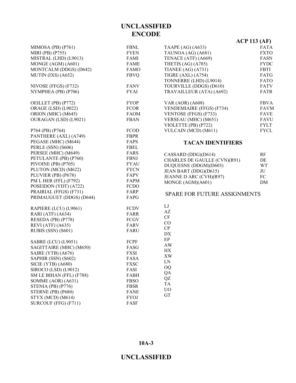|                            |             |                                     | $\mathbf{r}$ |
|----------------------------|-------------|-------------------------------------|--------------|
| MIMOSA (PB) (P761)         | <b>FBNL</b> | TAAPE (AG) (A633)                   | <b>FATA</b>  |
| MIRI (PB) (P755)           | <b>FYEN</b> | TAUNOA (AG) (A681)                  | <b>FXTO</b>  |
| MISTRAL (LHD) (L9013)      | FAMI        | TENACE (ATF) (A669)                 | FASN         |
| MONGE (AGM) (A601)         | <b>FAME</b> | THETIS (AG) (A785)                  | <b>FYDC</b>  |
| MONTCALM (DDGS) (D642)     | <b>FAMO</b> | TIANEE $(AG)$ $(A731)$              | FBTI         |
| MUTIN (IXS) (A652)         | <b>FBVQ</b> | <b>TIGRE (AXL) (A754)</b>           | FATG         |
|                            |             | TONNERRE (LHD) (L9014)              | FATO         |
| NIVOSE (FFGS) (F732)       | <b>FANV</b> | TOURVILLE (DDGS) (D610)             | <b>FATV</b>  |
| NYMPHEA (PB) (P706)        | <b>FYAI</b> | TRAVAILLEUR (ATA) (A692)            | FATR         |
| OEILLET (PB) (P772)        | <b>FYOP</b> | <b>VAR (AOR) (A608)</b>             | <b>FBVA</b>  |
| <b>ORAGE (LSD) (L9022)</b> | <b>FCOR</b> | VENDEMIAIRE (FFGS) (F734)           | <b>FAVM</b>  |
| ORION (MHC) (M645)         | <b>FAOM</b> | VENTOSE (FFGS) (F733)               | <b>FAVE</b>  |
| OURAGAN (LSD) (L9021)      | <b>FBAN</b> | VERSEAU (MHC) (M651)                | <b>FAVU</b>  |
|                            |             | VIOLETTE (PB) (P722)                | <b>FYLT</b>  |
| P764 (PB) (P764)           | <b>FCOD</b> | VULCAIN (MCD) (M611)                | <b>FYCL</b>  |
| PANTHERE (AXL) (A749)      | <b>FBPR</b> |                                     |              |
| PEGASE (MHC) (M644)        | FAPS        | <b>TACAN IDENTIFIERS</b>            |              |
| PERLE (SSN) (S606)         | <b>FBEL</b> |                                     |              |
| PERSEE (MHC) (M649)        | <b>FARS</b> |                                     |              |
| PETULANTE (PB) (P760)      | <b>FBNJ</b> | CASSARD (DDG)(D614)                 | RF           |
| PIVOINE (PB) (P705)        | <b>FYAU</b> | CHARLES DE GAULLE (CVN)(R91)        | DE           |
| PLUTON (MCD) (M622)        | <b>FYCN</b> | DUQUESNE (DDGM)(D603)               | <b>WT</b>    |
|                            |             | JEAN BART (DDG)(D615)               | JU           |
| PLUVIER (PB) (P678)        | FAPV        | JEANNE D ARC (CVH)(R97)             | FC           |
| PM L HER (FFL) (F792)      | FAPM        | MONGE (AGM)(A601)                   | DM           |
| POSEIDON (YDT) (A722)      | <b>FCDO</b> |                                     |              |
| PRAIRIAL (FFGS) (F731)     | FARP        | <b>SPARE FOR FUTURE ASSIGNMENTS</b> |              |
| PRIMAUGUET (DDGS) (D644)   | FAPG        |                                     |              |
| RAPIERE (LCU) (L9061)      | <b>FCDV</b> | LJ                                  |              |
| RARI (ATF) (A634)          | FARR        | AZ                                  |              |
| RESEDA (PB) (P778)         | FCGV        | $\cal{CF}$                          |              |
| REVI (ATF) (A635)          | FARV        | CO                                  |              |
| RUBIS (SSN) (S601)         | FARU        | CP                                  |              |
|                            |             | DX                                  |              |
| <b>SABRE (LCU) (L9051)</b> | FCPF        | $\rm EP$                            |              |
| SAGITTAIRE (MHC) (M650)    | FASG        | <b>AW</b>                           |              |
| SAIRE (YTB) (A676)         | <b>FXSI</b> | HX                                  |              |
| SAPHIR (SSN) (S602)        | FASA        | XW                                  |              |
| SICIE (YTB) (A680)         | <b>FXSC</b> | LN                                  |              |
| SIROCO (LSD) (L9012)       | FASI        | <b>OQ</b>                           |              |
| SM LE BIHAN (FFL) (F788)   | FABH        | QA                                  |              |
| SOMME (AOR) (A631)         | <b>FBSO</b> | QZ                                  |              |
| STENIA (PB) (P776)         | <b>FBSR</b> | TA                                  |              |
| STERNE (PB) (P680)         |             | <b>UO</b>                           |              |
|                            | <b>FANE</b> | GT                                  |              |
| STYX (MCD) (M614)          | <b>FYOJ</b> |                                     |              |
| SURCOUF (FFG) (F711)       | FASF        |                                     |              |

**ACP 113 (AF)**

#### **TDENTIFIERS**

| CASSARD (DDG)(D614)          | <b>RF</b> |
|------------------------------|-----------|
| CHARLES DE GAULLE (CVN)(R91) | DE        |
| DUQUESNE (DDGM)(D603)        | <b>WT</b> |
| JEAN BART (DDG)(D615)        | ЛU        |
| JEANNE D ARC (CVH)(R97)      | FC.       |
| MONGE (AGM)(A601)            | DM        |

**10A-3**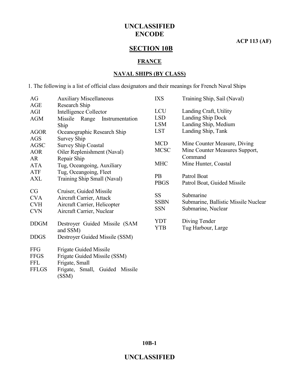**ACP 113 (AF)**

# **SECTION 10B**

#### **FRANCE**

#### **NAVAL SHIPS (BY CLASS)**

1. The following is a list of official class designators and their meanings for French Naval Ships

| AG           | <b>Auxiliary Miscellaneous</b>      | <b>IXS</b>  | Training Ship, Sail (Naval)          |
|--------------|-------------------------------------|-------------|--------------------------------------|
| AGE          | Research Ship                       |             |                                      |
| AGI          | Intelligence Collector              | <b>LCU</b>  | Landing Craft, Utility               |
| <b>AGM</b>   | Missile<br>Range<br>Instrumentation | <b>LSD</b>  | Landing Ship Dock                    |
|              | Ship                                | <b>LSM</b>  | Landing Ship, Medium                 |
| <b>AGOR</b>  | Oceanographic Research Ship         | <b>LST</b>  | Landing Ship, Tank                   |
| <b>AGS</b>   | <b>Survey Ship</b>                  |             |                                      |
| <b>AGSC</b>  | <b>Survey Ship Coastal</b>          | <b>MCD</b>  | Mine Counter Measure, Diving         |
| <b>AOR</b>   | Oiler Replenishment (Naval)         | <b>MCSC</b> | Mine Counter Measures Support,       |
| AR           | Repair Ship                         |             | Command                              |
| <b>ATA</b>   | Tug, Oceangoing, Auxiliary          | <b>MHC</b>  | Mine Hunter, Coastal                 |
| ATF          | Tug, Oceangoing, Fleet              |             |                                      |
| <b>AXL</b>   | Training Ship Small (Naval)         | <b>PB</b>   | Patrol Boat                          |
|              |                                     | <b>PBGS</b> | Patrol Boat, Guided Missile          |
| CG           | Cruiser, Guided Missile             |             |                                      |
| <b>CVA</b>   | Aircraft Carrier, Attack            | <b>SS</b>   | Submarine                            |
| <b>CVH</b>   | Aircraft Carrier, Helicopter        | <b>SSBN</b> | Submarine, Ballistic Missile Nuclear |
| <b>CVN</b>   | Aircraft Carrier, Nuclear           | <b>SSN</b>  | Submarine, Nuclear                   |
|              |                                     | <b>YDT</b>  | Diving Tender                        |
| <b>DDGM</b>  | Destroyer Guided Missile (SAM       | <b>YTB</b>  | Tug Harbour, Large                   |
|              | and SSM)                            |             |                                      |
| <b>DDGS</b>  | Destroyer Guided Missile (SSM)      |             |                                      |
| <b>FFG</b>   | <b>Frigate Guided Missile</b>       |             |                                      |
| <b>FFGS</b>  | Frigate Guided Missile (SSM)        |             |                                      |
| <b>FFL</b>   | Frigate, Small                      |             |                                      |
| <b>FFLGS</b> | Frigate, Small, Guided Missile      |             |                                      |
|              | (SSM)                               |             |                                      |
|              |                                     |             |                                      |

**10B-1**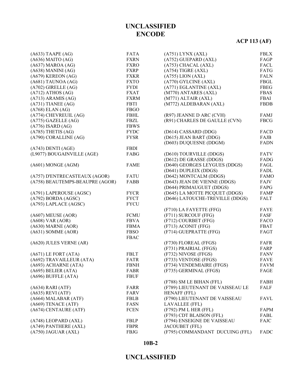# **ACP 113 (AF)**

| $(A633)$ TAAPE $(AG)$           | <b>FATA</b> | (A751) LYNX (AXL)                               | <b>FBLX</b> |
|---------------------------------|-------------|-------------------------------------------------|-------------|
| $(A636)$ MAITO $(AG)$           | <b>FXRN</b> | (A752) GUEPARD (AXL)                            | FAGP        |
| $(A637)$ MAROA $(AG)$           | <b>FXRO</b> | (A753) CHACAL (AXL)                             | FACL        |
| $(A638)$ MANINI $(AG)$          | <b>FXRP</b> | $(A754)$ TIGRE $(AXL)$                          | FATG        |
| $(A679)$ KEREON $(AG)$          | <b>FXKR</b> | $(A755)$ LION $(AXL)$                           | <b>FALN</b> |
| (A681) TAUNOA (AG)              | <b>FXTO</b> | (A770) GYLCINE (AXL)                            | FBGL        |
| (A702) GIRELLE (AG)             | <b>FYDI</b> | (A771) EGLANTINE (AXL)                          | <b>FBEG</b> |
| $(A712)$ ATHOS $(AG)$           | <b>FXAT</b> | (M770) ANTARES (AXL)                            | <b>FBAS</b> |
| $(A713)$ ARAMIS $(AG)$          | <b>FXRM</b> | (M771) ALTAIR (AXL)                             | FBAI        |
| $(A731)$ TIANEE $(AG)$          | FBTI        | (M772) ALDEBARAN (AXL)                          | <b>FBDB</b> |
| $(A768)$ ELAN $(AG)$            | <b>FBGO</b> |                                                 |             |
| (A774) CHEVREUIL (AG)           | <b>FBHL</b> | (R97) JEANNE D ARC (CVH)                        | FAMJ        |
| $(A775)$ GAZELLE $(AG)$         | FBZL        | (R91) CHARLES DE GAULLE (CVN)                   | <b>FBCG</b> |
| $(A776)$ ISARD $(AG)$           | <b>FBWS</b> |                                                 |             |
| $(A785)$ THETIS $(AG)$          | <b>FYDC</b> | (D614) CASSARD (DDG)                            | FACD        |
| (A790) CORALLINE (AG)           | <b>FYSR</b> | (D615) JEAN BART (DDG)                          | FAJB        |
|                                 |             | (D603) DUQUESNE (DDGM)                          | <b>FADN</b> |
| $(A743)$ DENTI $(AGE)$          | <b>FBDI</b> |                                                 |             |
| (L9077) BOUGAINVILLE (AGE)      | FABG        | (D610) TOURVILLE (DDGS)                         | <b>FATV</b> |
|                                 |             | (D612) DE GRASSE (DDGS)                         | FADG        |
| (A601) MONGE (AGM)              | <b>FAME</b> | (D640) GEORGES LEYGUES (DDGS)                   | FAGL        |
|                                 |             |                                                 |             |
|                                 |             | (D641) DUPLEIX (DDGS)<br>(D642) MONTCALM (DDGS) | FADL        |
| (A757) D'ENTRECASTEAUX (AGOR)   | FATU        |                                                 | <b>FAMO</b> |
| (A758) BEAUTEMPS-BEAUPRE (AGOR) | FABB        | (D643) JEAN DE VIENNE (DDGS)                    | FAJV        |
|                                 |             | (D644) PRIMAUGUET (DDGS)                        | FAPG        |
| (A791) LAPEROUSE (AGSC)         | <b>FYCR</b> | (D645) LA MOTTE PICQUET (DDGS)                  | FAMP        |
| $(A792)$ BORDA $(AGSC)$         | <b>FYCT</b> | (D646) LATOUCHE-TREVILLE (DDGS)                 | FALT        |
| (A793) LAPLACE (AGSC)           | <b>FYCU</b> |                                                 |             |
|                                 |             | (F710) LA FAYETTE (FFG)                         | <b>FAYE</b> |
| $(A607)$ MEUSE $(AOR)$          | <b>FCMU</b> | (F711) SURCOUF (FFG)                            | FASF        |
| $(A608)$ VAR $(AOR)$            | <b>FBVA</b> | (F712) COURBET (FFG)                            | FACO        |
| (A630) MARNE (AOR)              | <b>FBMA</b> | (F713) ACONIT (FFG)                             | <b>FBAT</b> |
| $(A631)$ SOMME $(AOR)$          | <b>FBSO</b> | (F714) GUEPRATTE (FFG)                          | FAGT        |
|                                 | <b>FBAC</b> |                                                 |             |
| (A620) JULES VERNE (AR)         |             | (F730) FLOREAL (FFGS)                           | FAFR        |
|                                 |             | (F731) PRAIRIAL (FFGS)                          | FARP        |
| $(A671)$ LE FORT $(ATA)$        | <b>FBLT</b> | (F732) NIVOSE (FFGS)                            | <b>FANV</b> |
| (A692) TRAVAILLEUR (ATA)        | FATR        | (F733) VENTOSE (FFGS)                           | <b>FAVE</b> |
| (A693) ACHARNE (ATA)            | <b>FBNH</b> | (F734) VENDEMIAIRE (FFGS)                       | <b>FAVM</b> |
| $(A695)$ BELIER $(ATA)$         | <b>FABR</b> | (F735) GERMINAL (FFGS)                          | FAGE        |
| (A696) BUFFLE (ATA)             | <b>FBUF</b> |                                                 |             |
|                                 |             | (F788) SM LE BIHAN (FFL)                        | FABH        |
| $(A634)$ RARI $(ATF)$           | FARR        | (F789) LIEUTENANT DE VAISSEAU LE                | FALF        |
| $(A635)$ REVI $(ATF)$           | FARV        | <b>HENAFF (FFL)</b>                             |             |
| (A664) MALABAR (ATF)            | FBLB        | (F790) LIEUTENANT DE VAISSEAU                   | FAVL        |
| (A669) TENACE (ATF)             | FASN        | <b>LAVALLEE</b> (FFL)                           |             |
| (A674) CENTAURE (ATF)           | <b>FCEN</b> | (F792) PM L HER (FFL)                           | FAPM        |
|                                 |             | (F793) CDT BLAISON (FFL)                        | FABL        |
| (A748) LEOPARD (AXL)            | <b>FBLP</b> | (F794) ENSEIGNE DE VAISSEAU                     | FAJC        |
| (A749) PANTHERE (AXL)           | <b>FBPR</b> | <b>JACOUBET (FFL)</b>                           |             |
| (A750) JAGUAR (AXL)             | <b>FBJG</b> | (F795) COMMANDANT DUCUING (FFL)                 | FADC        |
|                                 |             |                                                 |             |

#### **10B-2**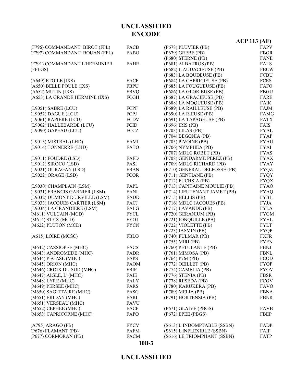|                                             |              |                                               | ACP 113 (AF)               |
|---------------------------------------------|--------------|-----------------------------------------------|----------------------------|
| (F796) COMMANDANT BIROT (FFL)               | <b>FACB</b>  | (P678) PLUVIER (PB)                           | FAPV                       |
| (F797) COMMANDANT BOUAN (FFL)               | FABO         | (P679) GREBE (PB)                             | <b>FBGR</b>                |
|                                             |              | (P680) STERNE (PB)                            | <b>FANE</b>                |
| (F791) COMMANDANT L'HERMINIER               | <b>FAHR</b>  | (P681) ALBATROS (PB)                          | <b>FALS</b>                |
| (FFLGS)                                     |              | (P682) L AUDACIEUSE (PB)                      | <b>FBCW</b>                |
|                                             |              | (P683) LA BOUDEUSE (PB)                       | <b>FCBU</b>                |
| $(A649)$ ETOILE $(IXS)$                     | FACF         | (P684) LA CAPRICIEUSE (PB)                    | <b>FCES</b>                |
| (A650) BELLE POULE (IXS)                    | <b>FBPU</b>  | (P685) LA FOUGUEUSE (PB)                      | <b>FAFO</b>                |
| $(A652)$ MUTIN $(IXS)$                      | <b>FBVQ</b>  | (P686) LA GLORIEUSE (PB)                      | <b>FBGU</b>                |
| (A653) LA GRANDE HERMINE (IXS)              | FCGH         | (P687) LA GRACIEUSE (PB)                      | FARE                       |
|                                             |              | (P688) LA MOQUEUSE (PB)                       | <b>FAIK</b>                |
| (L9051) SABRE (LCU)                         | FCPF         | (P689) LA RAILLEUSE (PB)                      | FAJM                       |
| (L9052) DAGUE (LCU)                         | FCPJ         | (P690) LA RIEUSE (PB)                         | <b>FAMG</b>                |
| (L9061) RAPIERE (LCU)                       | <b>FCDV</b>  | (P691) LA TAPAGEUSE (PB)                      | <b>FATX</b>                |
| (L9062) HALLEBARDE (LCU)                    | <b>FCID</b>  | (P696) IRIS (PB)                              | FAIS                       |
| (L9090) GAPEAU (LCU)                        | FCCZ         | (P703) LILAS (PB)                             | <b>FYAL</b>                |
|                                             |              | (P704) BEGONIA (PB)                           | <b>FYAP</b>                |
| (L9013) MISTRAL (LHD)                       | FAMI         | (P705) PIVOINE (PB)                           | <b>FYAU</b>                |
| (L9014) TONNERRE (LHD)                      | <b>FATO</b>  | (P706) NYMPHEA (PB)                           | <b>FYAI</b>                |
|                                             |              | (P707) MDLC ROBET (PB)                        | <b>FYAS</b>                |
| (L9011) FOUDRE (LSD)                        | FAFD         | (P708) GENDARME PEREZ (PB)                    | <b>FYAX</b>                |
| (L9012) SIROCO (LSD)                        | FASI         | (P709) MDLC RICHARD (PB)                      | <b>FYAY</b>                |
| (L9021) OURAGAN (LSD)                       | <b>FBAN</b>  | (P710) GENERAL DELFOSSE (PB)                  | <b>FYQZ</b>                |
| (L9022) ORAGE (LSD)                         | <b>FCOR</b>  | (P711) GENTIANE (PB)                          | <b>FYQY</b>                |
|                                             |              | (P712) FUCHSIA (PB)                           | <b>FYQX</b>                |
| (L9030) CHAMPLAIN (LSM)                     | FAPL         | (P713) CAPITAINE MOULIE (PB)                  | <b>FYAO</b>                |
| (L9031) FRANCIS GARNIER (LSM)               | FANI         | (P714) LIEUTENANT JAMET (PB)                  | <b>FYAQ</b>                |
| (L9032) DUMONT D'URVILLE (LSM)              | FADD         | (P715) BELLIS (PB)                            | <b>FYBL</b>                |
| (L9033) JACQUES CARTIER (LSM)               | FACJ         | (P716) MDLC JACOUES (PB)                      | <b>FYJA</b>                |
| (L9034) LA GRANDIERE (LSM)                  | FALG         | (P717) LAVANDE (PB)                           | <b>FYLA</b>                |
| (M611) VULCAIN (MCD)                        | <b>FYCL</b>  | (P720) GERANIUM (PB)                          | <b>FYGM</b>                |
| (M614) STYX (MCD)                           | <b>FYOJ</b>  | (P721) JONQUILLE (PB)                         | <b>FYHL</b>                |
| (M622) PLUTON (MCD)                         | <b>FYCN</b>  | (P722) VIOLETTE (PB)                          | <b>FYLT</b>                |
|                                             |              | (P723) JASMIN (PB)                            | <b>FYQP</b>                |
| (A615) LOIRE (MCSC)                         | <b>FBLO</b>  | (P740) FULMAR (PB)                            | <b>FXFR</b>                |
|                                             |              | (P755) MIRI (PB)                              | <b>FYEN</b>                |
| (M642) CASSIOPEE (MHC)                      | FACS         | (P760) PETULANTE (PB)                         | <b>FBNJ</b>                |
| (M643) ANDROMEDE (MHC)                      | FADR         | $(P761)$ MIMOSA $(PB)$                        | <b>FBNL</b>                |
| (M644) PEGASE (MHC)                         | FAPS         | (P764) P764 (PB)                              | <b>FCOD</b>                |
| (M645) ORION (MHC)                          | <b>FAOM</b>  | (P772) OEILLET (PB)                           | <b>FYOP</b>                |
| (M646) CROIX DU SUD (MHC)                   | <b>FBIP</b>  | (P774) CAMELIA (PB)<br>$(P776)$ STENIA $(PB)$ | <b>FYOV</b><br><b>FBSR</b> |
| (M647) AIGLE, L' (MHC)<br>(M648) LYRE (MHC) | <b>FAIE</b>  | (P778) RESEDA (PB)                            | FCGV                       |
| (M649) PERSEE (MHC)                         | FALY<br>FARS | (P780) KARUKERA (PB)                          | <b>FAVO</b>                |
| (M650) SAGITTAIRE (MHC)                     | FASG         | (P789) MELIA (PB)                             | <b>FBNA</b>                |
| (M651) ERIDAN (MHC)                         | FARI         | (P791) HORTENSIA (PB)                         | <b>FBNR</b>                |
| (M651) VERSEAU (MHC)                        | <b>FAVU</b>  |                                               |                            |
| (M652) CEPHEE (MHC)                         | FACP         | (P671) GLAIVE (PBGS)                          | <b>FAVB</b>                |
| (M653) CAPRICORNE (MHC)                     | FAPO         | $(P672)$ EPEE (PBGS)                          | <b>FBEP</b>                |
|                                             |              |                                               |                            |
| (A795) ARAGO (PB)                           | <b>FYCV</b>  | (S613) L INDOMPTABLE (SSBN)                   | FADP                       |
| (P676) FLAMANT (PB)                         | FAFM         | (S615) L'INFLEXIBLE (SSBN)                    | FAIF                       |
| (P677) CORMORAN (PB)                        | <b>FACM</b>  | (S616) LE TRIOMPHANT (SSBN)                   | FATP                       |
|                                             |              |                                               |                            |

#### **10B-3**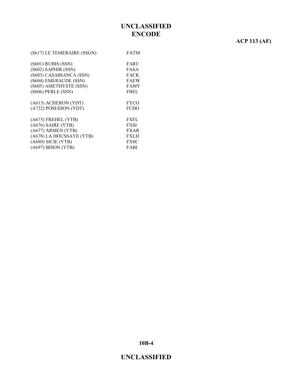# **ACP 113 (AF)**

| (S617) LE TEMERAIRE (SSGN) | <b>FATM</b> |
|----------------------------|-------------|
| (S601) RUBIS (SSN)         | FARU        |
| (S602) SAPHIR (SSN)        | FASA        |
| (S603) CASABIANCA (SSN)    | <b>FACK</b> |
| (S604) EMERAUDE (SSN)      | <b>FAEW</b> |
| (S605) AMETHYSTE (SSN)     | <b>FAMY</b> |
| (S606) PERLE (SSN)         | <b>FBEL</b> |
| (A613) ACHERON (YDT)       | <b>FYCO</b> |
| (A722) POSEIDON (YDT)      | <b>FCDO</b> |
| (A675) FREHEL (YTB)        | <b>FXFL</b> |
| $(A676)$ SAIRE (YTB)       | <b>FXSI</b> |
| (A677) ARMEN (YTB)         | <b>FXAR</b> |
| (A678) LA HOUSSAYE (YTB)   | <b>FXLH</b> |
| $(A680)$ SICIE (YTB)       | FXSC        |
| $(A697)$ BISON (YTB)       | FABI        |

**10B-4**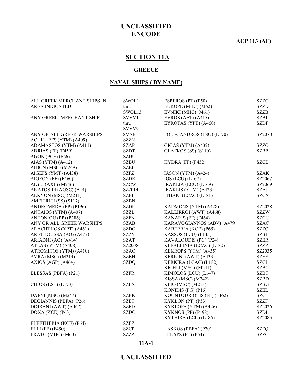#### **ACP 113 (AF)**

# **SECTION 11A**

#### **GREECE**

#### **NAVAL SHIPS ( BY NAME)**

| ALL GREEK MERCHANT SHIPS IN | SWOL1       | ESPEROS (PT) (P50)         | <b>SZZC</b> |
|-----------------------------|-------------|----------------------------|-------------|
| <b>AREA INDICATED</b>       | thru        | EUROPE (MHC) (M62)         | <b>SZZD</b> |
|                             | SWOL13      | EVNIKI (MHC) (M61)         | <b>SZZB</b> |
| ANY GREEK MERCHANT SHIP     | SVVV1       | EVROS (AET) $(A415)$       | <b>SZBJ</b> |
|                             | thru        | EYROTAS (YPT) (A460)       | <b>SZDF</b> |
|                             | SVVV9       |                            |             |
| ANY OR ALL GREEK WARSHIPS   | <b>SVAB</b> | FOLEGANDROS (LSU) (L170)   | SZ2070      |
| ACHILLEFS (YTM) (A409)      | <b>SZZN</b> |                            |             |
| ADAMASTOS (YTM) (A411)      | <b>SZAP</b> | GIGAS (YTM) (A432)         | <b>SZZO</b> |
| ADRIAS (FF) (F459)          | <b>SZDT</b> | $GLAFKOS$ (SS) (S110)      | <b>SZBP</b> |
| AGON (PCE) (P66)            | <b>SZDU</b> |                            |             |
| AIAS (YTM) $(A412)$         | <b>SZBU</b> | $HYDRA$ (FF) (F452)        | <b>SZCB</b> |
| AIDON (MSC) (M248)          | <b>SZBF</b> |                            |             |
| AIGEFS (YMT) (A438)         | <b>SZFZ</b> | IASON (YTM) (A424)         | <b>SZAK</b> |
| AIGEON (FF) (F460)          | <b>SZDR</b> | IOS (LCU) (L167)           | SZ2067      |
| AIGLI (AXL) (M246)          | <b>SZCW</b> | IRAKLIA (LCU) (L169)       | SZ2069      |
| AKATOS 14 (AGSC) (A14)      | SZ2014      | IRAKLIS (YTM) (A423)       | <b>SZAJ</b> |
| ALKYON (MSC) (M211)         | <b>SZBI</b> | ITHAKI (LCAC) (L181)       | <b>SZCX</b> |
| AMFITRITI (SS) (S117)       | <b>SZBN</b> |                            |             |
| ANDROMEDA (PP) (P196)       | <b>SZDI</b> | KADMONS (YTM) (A428)       | SZ2028      |
| ANTAIOS (YTM) (A407)        | <b>SZZL</b> | KALLIRROI (AWT) (A468)     | <b>SZZW</b> |
| ANTONIOU (PP) (P286)        | <b>SZFN</b> | KANARIS (FF) (F464)        | <b>SZCU</b> |
| ANY OR ALL GREEK WARSHIPS   | <b>SZAB</b> | KARAVOGIANNOS (ABV) (A479) | <b>SZAC</b> |
| ARACHTHOS (YPT) (A461)      | <b>SZDG</b> | KARTERIA (KCE) (P65)       | <b>SZZQ</b> |
| ARETHOUSSA (AO) (A477)      | <b>SZZY</b> | KASSOS (LCU) (L145)        | <b>SZBL</b> |
| ARIADNI (AO) (A414)         | <b>SZAT</b> | KAVALOUDIS (PG) (P24)      | <b>SZER</b> |
| ATLAS (YTM) (A408)          | SZ2008      | KEFALLINIA (LCAC) (L180)   | <b>SZZP</b> |
| ATROMITOS (YTM) (A410)      | <b>SZAQ</b> | KEKROPS (YTM) (A435)       | SZ2035      |
| AVRA (MSC) (M214)           | <b>SZBH</b> | KERKINI (AWT) (A433)       | <b>SZEE</b> |
| AXIOS (AGP) (A464)          | <b>SZDQ</b> | KERKIRA (LCAC) (L182)      | <b>SZCL</b> |
|                             |             | KICHLI (MSC) (M241)        | <b>SZBC</b> |
| BLESSAS (PBFA) (P21)        | <b>SZFR</b> | KIMOLOS (LCU) (L147)       | <b>SZBT</b> |
|                             |             | KISSA (MSC) (M242)         | <b>SZBD</b> |
| CHIOS (LST) (L173)          | <b>SZEX</b> | KLIO (MSC) (M213)          | <b>SZBG</b> |
|                             |             | KONIDIS (PG) (P16)         | <b>SZEL</b> |
| DAFNI (MSC) (M247)          | <b>SZBK</b> | KOUNTOURIOTIS (FF) (F462)  | <b>SZCT</b> |
| DEGIANNIS (PBFA) (P26)      | <b>SZET</b> | KYKLON (PT) (P53)          | <b>SZZF</b> |
| DOIRANI (AWT) (A467)        | <b>SZED</b> | KYKLOPS (YTM) (A426)       | SZ2026      |
| DOXA (KCE) (P63)            | <b>SZDC</b> | KYKNOS (PP) (P198)         | <b>SZDL</b> |
|                             |             | KYTHIRA (LCU) (L185)       | SZ2085      |
| ELEFTHERIA (KCE) (P64)      | <b>SZEZ</b> |                            |             |
| <b>ELLI</b> (FF) (F450)     | <b>SZCP</b> | LASKOS (PBFA) (P20)        | <b>SZFQ</b> |
| ERATO (MHC) (M60)           | <b>SZZA</b> | LELAPS (PT) (P54)          | <b>SZZG</b> |
|                             |             |                            |             |

**11A-1**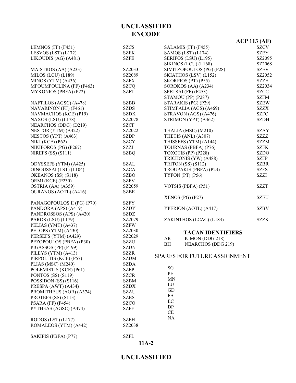|                              |             |                                 | <b>ACP 113 (AF)</b> |
|------------------------------|-------------|---------------------------------|---------------------|
| LEMNOS (FF) (F451)           | <b>SZCS</b> | SALAMIS (FF) (F455)             | SZCV                |
| LESVOS (LST) $(L172)$        | <b>SZEK</b> | SAMOS (LST) (L174)              | <b>SZEY</b>         |
| LIKOUDIS (AG) (A481)         | <b>SZFE</b> | SERIFOS (LSU) (L195)            | SZ2095              |
|                              |             | SIKINOS (LCU) (L168)            | SZ2068              |
| MAISTROS (AA) (A233)         | SZ2033      | SIMITZOPOULOS (PG) (P28)        | <b>SZEV</b>         |
| MILOS (LCU) (L189)           | SZ2089      | SKIATHOS (LSV) (L152)           | SZ2052              |
| MINOS (YTM) (A436)           | <b>SZFX</b> | SKORPIOS (PT) (P55)             | <b>SZZH</b>         |
| MPOUMPOULINA (FF) (F463)     | <b>SZCQ</b> | SOROKOS (AA) (A234)             | SZ2034              |
| MYKONIOS (PBFA) (P22)        | <b>SZFT</b> | SPETSAI (FF) (F453)             | <b>SZCC</b>         |
|                              |             | STAMOU (PP) (P287)              | <b>SZFM</b>         |
| NAFTILOS (AGSC) (A478)       | <b>SZBB</b> | STARAKIS (PG) (P29)             | <b>SZEW</b>         |
| NAVARINON (FF) (F461)        | <b>SZDS</b> | STIMFALIA (AGS) (A469)          | <b>SZZX</b>         |
| NAVMACHOS (KCE) (P19)        | <b>SZDK</b> | STRAVON (AGS) (A476)            | <b>SZFC</b>         |
| NAXOS (LSU) (L178)           | SZ2078      | STRIMON (YPT) (A462)            | <b>SZDH</b>         |
| NEARCHOS (DDG) (D219)        | <b>SZCF</b> |                                 |                     |
| NESTOR (YTM) (A422)          | SZ2022      | THALIA (MSC) (M210)             | <b>SZAY</b>         |
| NESTOS (YPT) (A463)          | <b>SZDP</b> | THETIS (ANL) (A307)             | <b>SZZZ</b>         |
| NIKI (KCE) (P62)             | <b>SZCY</b> | THISSEFS (YTM) (A144)           | <b>SZZM</b>         |
| NIKIFOROS (PG) (P267)        | <b>SZZJ</b> | TOURNAS (PBFA) (P76)            | <b>SZFK</b>         |
| NIREFS $(SS) (S111)$         | <b>SZBQ</b> | TOXOTIS (PP) (P228)             | <b>SZDO</b>         |
|                              |             | TRICHONIS (YW) (A488)           | <b>SZFP</b>         |
| ODYSSEFS (YTM) (A425)        | <b>SZAL</b> | TRITON (SS) (S112)              | <b>SZBR</b>         |
| OINOUSSAI (LST) (L104)       | <b>SZCA</b> | TROUPAKIS (PBFA) (P23)          | <b>SZFS</b>         |
| OKEANOS (SS) (S118)          | <b>SZBO</b> | TYFON (PT) (P56)                | <b>SZZI</b>         |
| ORMI (KCE) (P230)            | <b>SZFV</b> |                                 |                     |
| OSTRIA (AA) (A359)           | SZ2059      | VOTSIS (PBFA) (P51)             | <b>SZZT</b>         |
| <b>OURANOS (AOTL) (A416)</b> | <b>SZBE</b> |                                 |                     |
|                              |             | XENOS (PG) (P27)                | <b>SZEU</b>         |
| PANAGOPOULOS II (PG) (P70)   | <b>SZFY</b> |                                 |                     |
| PANDORA (APS) (A419)         | <b>SZDY</b> | YPERION (AOTL) (A417)           | <b>SZBV</b>         |
| PANDROSSOS (APS) (A420)      | <b>SZDZ</b> |                                 |                     |
| PAROS (LSU) (L179)           | SZ2079      | ZAKINTHOS (LCAC) (L183)         | <b>SZZK</b>         |
| PELIAS (YMT) (A437)          | <b>SZFW</b> |                                 |                     |
| PELOPS (YTM) (A430)          | SZ2030      | <b>TACAN IDENTIFIERS</b>        |                     |
| PERSEFS (YTM) (A429)         | SZ2029      | KIMON (DDG 218)<br>AR           |                     |
| PEZOPOULOS (PBFA) (P30)      | <b>SZZU</b> | <b>NEARCHOS (DDG 219)</b><br>BH |                     |
| PIGASSOS (PP) (P199)         | <b>SZDN</b> |                                 |                     |
| PILEYS (YTM) (A413)          | <b>SZZR</b> | SPARES FOR FUTURE ASSIGNMENT    |                     |
| PIRPOLITIS (KCE) (P57)       | <b>SZDM</b> |                                 |                     |
| PLIAS (MSC) (M240)           | <b>SZDA</b> | SG                              |                     |
| POLEMISTIS (KCE) (P61)       | <b>SZEP</b> | PE                              |                     |
| PONTOS (SS) (S119)           | <b>SZCR</b> |                                 |                     |
| POSSIDON (SS) (S116)         | <b>SZBM</b> | <b>MN</b><br>LU                 |                     |
| PRESPA (AWT) (A434)          | <b>SZDX</b> | GD                              |                     |
| PROMITHEUS (AOR) (A374)      | <b>SZAU</b> | FA                              |                     |
| PROTEFS (SS) (S113)          | <b>SZBS</b> | EC                              |                     |
| PSARA $(FF)$ $(F454)$        | <b>SZCO</b> | DP                              |                     |
| PYTHEAS (AGSC) (A474)        | <b>SZFF</b> | CE                              |                     |
|                              |             | NA                              |                     |
| RODOS (LST) (L177)           | SZEH        |                                 |                     |
| ROMALEOS (YTM) (A442)        | SZ2038      |                                 |                     |
|                              |             |                                 |                     |
| SAKIPIS (PBFA) (P77)         | <b>SZFL</b> |                                 |                     |
|                              |             | $11A-2$                         |                     |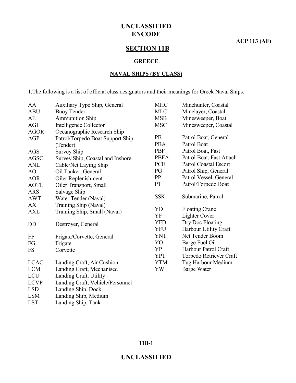**ACP 113 (AF)**

# **SECTION 11B**

#### **GREECE**

#### **NAVAL SHIPS (BY CLASS)**

1.The following is a list of official class designators and their meanings for Greek Naval Ships.

| AA          | Auxiliary Type Ship, General     | <b>MHC</b>  | Minehunter, Coastal          |
|-------------|----------------------------------|-------------|------------------------------|
| <b>ABU</b>  | <b>Buoy Tender</b>               | <b>MLC</b>  | Minelayer, Coastal           |
| AE          | <b>Ammunition Ship</b>           | <b>MSB</b>  | Minesweeper, Boat            |
| AGI         | Intelligence Collector           | <b>MSC</b>  | Minesweeper, Coastal         |
| <b>AGOR</b> | Oceanographic Research Ship      |             |                              |
| AGP         | Patrol/Torpedo Boat Support Ship | <b>PB</b>   | Patrol Boat, General         |
|             | (Tender)                         | <b>PBA</b>  | Patrol Boat                  |
| <b>AGS</b>  | <b>Survey Ship</b>               | <b>PBF</b>  | Patrol Boat, Fast            |
| <b>AGSC</b> | Survey Ship, Coastal and Inshore | <b>PBFA</b> | Patrol Boat, Fast Attach     |
| <b>ANL</b>  | Cable/Net Laying Ship            | <b>PCE</b>  | <b>Patrol Coastal Escort</b> |
| AO          | Oil Tanker, General              | PG          | Patrol Ship, General         |
| <b>AOR</b>  | Oiler Replenishment              | PP          | Patrol Vessel, General       |
| <b>AOTL</b> | Oiler Transport, Small           | <b>PT</b>   | Patrol/Torpedo Boat          |
| <b>ARS</b>  | Salvage Ship                     |             |                              |
| <b>AWT</b>  | Water Tender (Naval)             | <b>SSK</b>  | Submarine, Patrol            |
| AX          | Training Ship (Naval)            |             |                              |
| <b>AXL</b>  | Training Ship, Small (Naval)     | YD          | <b>Floating Crane</b>        |
|             |                                  | YF          | <b>Lighter Cover</b>         |
| <b>DD</b>   | Destroyer, General               | <b>YFD</b>  | Dry Doc Floating             |
|             |                                  | <b>YFU</b>  | Harbour Utility Craft        |
| FF          | Frigate/Corvette, General        | <b>YNT</b>  | Net Tender Boom              |
| FG          | Frigate                          | YO          | Barge Fuel Oil               |
| FS          | Corvette                         | <b>YP</b>   | Harbour Patrol Craft         |
|             |                                  | <b>YPT</b>  | Torpedo Retriever Craft      |
| <b>LCAC</b> | Landing Craft, Air Cushion       | <b>YTM</b>  | Tug Harbour Medium           |
| <b>LCM</b>  | Landing Craft, Mechanised        | YW          | <b>Barge Water</b>           |
| LCU         | Landing Craft, Utility           |             |                              |
| <b>LCVP</b> | Landing Craft, Vehicle/Personnel |             |                              |
| <b>LSD</b>  | Landing Ship, Dock               |             |                              |
| <b>LSM</b>  | Landing Ship, Medium             |             |                              |
| <b>LST</b>  | Landing Ship, Tank               |             |                              |

#### **11B-1**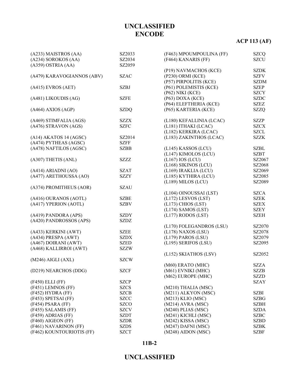# **ACP 113 (AF)**

| (A233) MAISTROS (AA)       | SZ2033      | (F463) MPOUMPOULINA (FF) | <b>SZCQ</b> |
|----------------------------|-------------|--------------------------|-------------|
| (A234) SOROKOS (AA)        | SZ2034      | (F464) KANARIS (FF)      | <b>SZCU</b> |
| $(A359)$ OSTRIA $(AA)$     | SZ2059      |                          |             |
|                            |             | (P19) NAVMACHOS (KCE)    | <b>SZDK</b> |
| (A479) KARAVOGIANNOS (ABV) | <b>SZAC</b> | (P230) ORMI (KCE)        | <b>SZFV</b> |
|                            |             | (P57) PIRPOLITIS (KCE)   | <b>SZDM</b> |
| $(A415)$ EVROS $(AET)$     | <b>SZBJ</b> | (P61) POLEMISTIS (KCE)   | <b>SZEP</b> |
|                            |             | (P62) NIKI (KCE)         | <b>SZCY</b> |
| (A481) LIKOUDIS (AG)       | <b>SZFE</b> | (P63) DOXA (KCE)         | <b>SZDC</b> |
|                            |             | (P64) ELEFTHERIA (KCE)   | <b>SZEZ</b> |
| $(A464)$ AXIOS $(AGP)$     | <b>SZDQ</b> | (P65) KARTERIA (KCE)     | <b>SZZQ</b> |
|                            |             |                          |             |
| (A469) STIMFALIA (AGS)     | <b>SZZX</b> | (L180) KEFALLINIA (LCAC) | <b>SZZP</b> |
| (A476) STRAVON (AGS)       | <b>SZFC</b> | (L181) ITHAKI (LCAC)     | <b>SZCX</b> |
|                            |             | (L182) KERKIRA (LCAC)    | <b>SZCL</b> |
| $(A14)$ AKATOS 14 $(AGSC)$ | SZ2014      | (L183) ZAKINTHOS (LCAC)  | <b>SZZK</b> |
| (A474) PYTHEAS (AGSC)      | <b>SZFF</b> |                          |             |
| (A478) NAFTILOS (AGSC)     | <b>SZBB</b> | (L145) KASSOS (LCU)      | <b>SZBL</b> |
|                            |             | (L147) KIMOLOS (LCU)     | <b>SZBT</b> |
| (A307) THETIS (ANL)        | <b>SZZZ</b> | $(L167)$ IOS $(LCU)$     | SZ2067      |
|                            |             |                          |             |
|                            |             | (L168) SIKINOS (LCU)     | SZ2068      |
| $(A414)$ ARIADNI $(AO)$    | <b>SZAT</b> | (L169) IRAKLIA (LCU)     | SZ2069      |
| (A477) ARETHOUSSA (AO)     | <b>SZZY</b> | (L185) KYTHIRA (LCU)     | SZ2085      |
|                            |             | (L189) MILOS (LCU)       | SZ2089      |
| (A374) PROMITHEUS (AOR)    | <b>SZAU</b> |                          |             |
|                            |             | (L104) OINOUSSAI (LST)   | <b>SZCA</b> |
| (A416) OURANOS (AOTL)      | <b>SZBE</b> | (L172) LESVOS (LST)      | <b>SZEK</b> |
| (A417) YPERION (AOTL)      | <b>SZBV</b> | $(L173)$ CHIOS $(LST)$   | <b>SZEX</b> |
|                            |             | (L174) SAMOS (LST)       | <b>SZEY</b> |
| (A419) PANDORA (APS)       | <b>SZDY</b> | (L177) RODOS (LST)       | <b>SZEH</b> |
| (A420) PANDROSSOS (APS)    | <b>SZDZ</b> |                          |             |
|                            |             | (L170) FOLEGANDROS (LSU) | SZ2070      |
| (A433) KERKINI (AWT)       | <b>SZEE</b> | (L178) NAXOS (LSU)       | SZ2078      |
| $(A434)$ PRESPA $(AWT)$    | <b>SZDX</b> | (L179) PAROS (LSU)       | SZ2079      |
| (A467) DOIRANI (AWT)       | <b>SZED</b> | (L195) SERIFOS (LSU)     | SZ2095      |
| (A468) KALLIRROI (AWT)     | <b>SZZW</b> |                          |             |
|                            |             | (L152) SKIATHOS (LSV)    | SZ2052      |
| $(M246)$ AIGLI $(AXL)$     | <b>SZCW</b> |                          |             |
|                            |             | (M60) ERATO (MHC)        | SZZA        |
| (D219) NEARCHOS (DDG)      | <b>SZCF</b> | (M61) EVNIKI (MHC)       | <b>SZZB</b> |
|                            |             | (M62) EUROPE (MHC)       | <b>SZZD</b> |
| (F450) ELLI (FF)           | <b>SZCP</b> |                          | <b>SZAY</b> |
| (F451) LEMNOS (FF)         | <b>SZCS</b> | (M210) THALIA (MSC)      |             |
| (F452) HYDRA (FF)          | <b>SZCB</b> | (M211) ALKYON (MSC)      | <b>SZBI</b> |
| (F453) SPETSAI (FF)        | <b>SZCC</b> | $(M213)$ KLIO $(MSC)$    | <b>SZBG</b> |
| $(F454)$ PSARA $(FF)$      | <b>SZCO</b> | $(M214)$ AVRA $(MSC)$    | <b>SZBH</b> |
| (F455) SALAMIS (FF)        | <b>SZCV</b> | $(M240)$ PLIAS $(MSC)$   | <b>SZDA</b> |
| (F459) ADRIAS (FF)         | <b>SZDT</b> | (M241) KICHLI (MSC)      | <b>SZBC</b> |
| (F460) AIGEON (FF)         | <b>SZDR</b> | $(M242)$ KISSA $(MSC)$   | <b>SZBD</b> |
| (F461) NAVARINON (FF)      |             | $(M247)$ DAFNI $(MSC)$   |             |
|                            | <b>SZDS</b> |                          | <b>SZBK</b> |
| (F462) KOUNTOURIOTIS (FF)  | <b>SZCT</b> | (M248) AIDON (MSC)       | <b>SZBF</b> |

### **11B-2**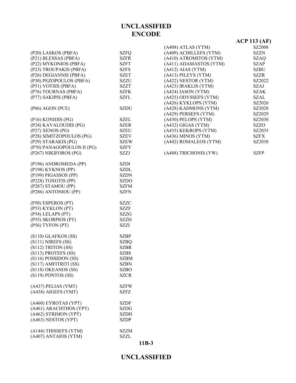| (P20) LASKOS (PBFA)                           | <b>SZFQ</b>                |
|-----------------------------------------------|----------------------------|
| (P21) BLESSAS (PBFA)                          | <b>SZFR</b>                |
| (P22) MYKONIOS (PBFA)                         | SZFT                       |
| (P23) TROUPAKIS (PBFA)                        | SZFS                       |
| (P26) DEGIANNIS (PBFA)                        | <b>SZET</b>                |
| (P30) PEZOPOULOS (PBFA)                       | SZZU                       |
| (P51) VOTSIS (PBFA)                           | <b>SZZT</b>                |
| (P76) TOURNAS (PBFA)                          | <b>SZFK</b>                |
| (P77) SAKIPIS (PBFA)                          | SZFL                       |
|                                               |                            |
| (P66) AGON (PCE)                              | <b>SZDU</b>                |
| (P16) KONIDIS (PG)                            | SZEL                       |
| (P24) KAVALOUDIS (PG)                         | <b>SZER</b>                |
| (P27) XENOS (PG)                              | <b>SZEU</b>                |
| (P28) SIMITZOPOULOS (PG)                      | <b>SZEV</b>                |
| (P29) STARAKIS (PG)                           | <b>SZEW</b>                |
| (P70) PANAGOPOULOS II (PG)                    | <b>SZFY</b>                |
| (P267) NIKIFOROS (PG)                         | SZZJ                       |
|                                               |                            |
| (P196) ANDROMEDA (PP)                         | SZDI                       |
| (P198) KYKNOS (PP)                            | <b>SZDL</b>                |
| (P199) PIGASSOS (PP)                          | <b>SZDN</b>                |
| (P228) TOXOTIS (PP)                           | <b>SZDO</b>                |
| (P287) STAMOU (PP)                            | <b>SZFM</b>                |
|                                               |                            |
|                                               |                            |
| (P286) ANTONIOU (PP)                          | SZFN                       |
|                                               |                            |
| (P50) ESPEROS (PT)                            | SZZC                       |
| (P53) KYKLON (PT)                             | <b>SZZF</b>                |
| (P54) LELAPS (PT)                             | <b>SZZG</b>                |
| (P55) SKORPIOS (PT)                           | SZZH<br>SZZI               |
| (P56) TYFON (PT)                              |                            |
| $(S110)$ GLAFKOS $(SS)$                       | <b>SZBP</b>                |
|                                               | <b>SZBQ</b>                |
| (S111) NIREFS (SS)                            | <b>SZBR</b>                |
| (S112) TRITON (SS)                            | <b>SZBS</b>                |
| (S113) PROTEFS (SS)                           | <b>SZBM</b>                |
| (S116) POSSIDON (SS)                          | SZBN                       |
| (S117) AMFITRITI (SS)                         |                            |
| (S118) OKEANOS (SS)                           | <b>SZBO</b><br><b>SZCR</b> |
| (S119) PONTOS (SS)                            |                            |
| (A437) PELIAS (YMT)                           | <b>SZFW</b>                |
| (A438) AIGEFS (YMT)                           | SZFZ                       |
|                                               |                            |
| (A460) EYROTAS (YPT)                          | SZDF                       |
| (A461) ARACHTHOS (YPT)                        | <b>SZDG</b>                |
| (A462) STRIMON (YPT)                          | <b>SZDH</b>                |
| (A463) NESTOS (YPT)                           | SZDP                       |
|                                               |                            |
| (A144) THISSEFS (YTM)<br>(A407) ANTAIOS (YTM) | SZZM<br>SZZL               |

|                        | $ACP$ 113 $(AF)$ |
|------------------------|------------------|
| (A408) ATLAS (YTM)     | SZ2008           |
| (A409) ACHILLEFS (YTM) | SZZN             |
| (A410) ATROMITOS (YTM) | SZAO             |
| (A411) ADAMASTOS (YTM) | SZAP             |
| $(A412)$ AIAS $(YTM)$  | SZBU             |
| (A413) PILEYS (YTM)    | SZZR             |
| (A422) NESTOR (YTM)    | SZ2022           |
| (A423) IRAKLIS (YTM)   | SZAJ             |
| $(A424)$ IASON (YTM)   | SZAK.            |
| (A425) ODYSSEFS (YTM)  | SZAL             |
| (A426) KYKLOPS (YTM)   | SZ2026           |
| (A428) KADMONS (YTM)   | SZ2028           |
| (A429) PERSEFS (YTM)   | SZ2029           |
| (A430) PELOPS (YTM)    | SZ2030           |
| $(A432)$ GIGAS (YTM)   | SZZO             |
| (A435) KEKROPS (YTM)   | SZ2035           |
| (A436) MINOS (YTM)     | SZFX             |
| (A442) ROMALEOS (YTM)  | SZ2038           |
| (A488) TRICHONIS (YW)  | SZFP             |
|                        |                  |

#### **11B-3**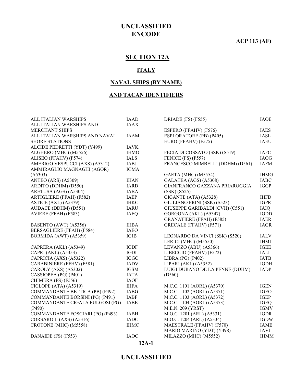**ACP 113 (AF)**

# **SECTION 12A**

#### **ITALY**

#### **NAVAL SHIPS (BY NAME)**

#### **AND TACAN IDENTIFIERS**

| ALL ITALIAN WARSHIPS             | <b>IAAD</b> | DRIADE (FS) (F555)               | <b>IAOE</b> |
|----------------------------------|-------------|----------------------------------|-------------|
| ALL ITALIAN WARSHIPS AND         | <b>IAAX</b> |                                  |             |
| <b>MERCHANT SHIPS</b>            |             | ESPERO (FFAHV) (F576)            | <b>IAES</b> |
| ALL ITALIAN WARSHIPS AND NAVAL   | <b>IAAM</b> | ESPLORATORE (PB) (P405)          | <b>IASL</b> |
| <b>SHORE STATIONS</b>            |             | EURO (FFAHV) (F575)              | <b>IAEU</b> |
| ALCIDE PEDRETTI (YDT) (Y499)     | <b>IAVK</b> |                                  |             |
| ALGHERO (MHC) (M5556)            | <b>IHMO</b> | FECIA DI COSSATO (SSK) (S519)    | <b>IAFC</b> |
| ALISEO (FFAHV) (F574)            | <b>IALS</b> | FENICE (FS) (F557)               | <b>IAOG</b> |
| AMERIGO VESPUCCI (AXS) (A5312)   | <b>IABJ</b> | FRANCESCO MIMBELLI (DDHM) (D561) | <b>IAFM</b> |
| AMMIRAGLIO MAGNAGHI (AGOR)       | <b>IGMA</b> |                                  |             |
| (A5303)                          |             | GAETA (MHC) (M5554)              | <b>IHMG</b> |
| ANTEO (ARS) (A5309)              | <b>IHAN</b> | GALATEA (AGS) (A5308)            | <b>IABC</b> |
| ARDITO (DDHM) (D550)             | <b>IARD</b> | GIANFRANCO GAZZANA PRIAROGGIA    | <b>IGGP</b> |
| ARETUSA (AGS) (A5304)            | <b>IABA</b> | (SSK) (S525)                     |             |
| ARTIGLIERE (FFAH) (F582)         | <b>IAEP</b> | GIGANTE (ATA) (A5328)            | <b>IHFD</b> |
| ASTICE (AXL) (A5379)             | <b>IHKC</b> | GIULIANO PRINI (SSK) (S523)      | <b>IGPR</b> |
| AUDACE (DDHM) (D551)             | <b>IARU</b> | GIUSEPPE GARIBALDI (CVH) (C551)  | <b>IAIQ</b> |
| AVIERE (FFAH) (F583)             | <b>IAEQ</b> | GORGONA (AKL) (A5347)            | <b>IGDD</b> |
|                                  |             | <b>GRANATIERE (FFAH) (F585)</b>  | <b>IAER</b> |
| BASENTO (AWT) (A5356)            | <b>IHBA</b> | GRECALE (FFAHV) (F571)           | IAGR        |
| BERSAGLIERE (FFAH) (F584)        | <b>IAEO</b> |                                  |             |
| BORMIDA (AWT) (A5359)            | IGJB        | LEONARDO DA VINCI (SSK) (S520)   | <b>IALV</b> |
|                                  |             | LERICI (MHC) (M5550)             | <b>IHML</b> |
| CAPRERA (AKL) (A5349)            | <b>IGDF</b> | LEVANZO (ABU) (A5366)            | <b>IGEE</b> |
| CAPRI (AKL) (A5353)              | IGDI        | LIBECCIO (FFAHV) (F572)          | <b>IALI</b> |
| CAPRICIA (AXS) (A5322)           | <b>IGGC</b> | LIBRA (PG) (P402)                | <b>IATB</b> |
| CARABINIERE (FFHV) (F581)        | <b>IADV</b> | LIPARI (AKL) (A5352)             | <b>IGDH</b> |
| CAROLY (AXS) (A5302)             | <b>IGSM</b> | LUIGI DURANO DE LA PENNE (DDHM)  | <b>IADP</b> |
| CASSIOPEA (PG) (P401)            | <b>IATA</b> | (D560)                           |             |
| CHIMERA (FS) (F556)              | <b>IAOF</b> |                                  |             |
| CICLOPE (ATA) (A5319)            | <b>IHFA</b> | M.C.C. 1101 (AORL) (A5370)       | <b>IGEN</b> |
| COMMANDANTE BETTICA (PB) (P492)  | <b>IABG</b> | M.C.C. 1102 (AORL) (A5371)       | <b>IGEO</b> |
| COMMANDANTE BORSINI (PG) (P491)  | <b>IABF</b> | M.C.C. 1103 (AORL) (A5372)       | <b>IGEP</b> |
| COMMANDANTE CIGALA FULGOSI (PG)  | <b>IABE</b> | M.C.C. 1104 (AORL) (A5373)       | <b>IGEQ</b> |
| (P490)                           |             | M.E.N. 209 (YRST)                | <b>IGMV</b> |
| COMMANDANTE FOSCIARI (PG) (P493) | <b>IABH</b> | M.O.C. 1201 (ARL) (A5331)        | <b>IGDR</b> |
| CORSARO II (AXS) (A5316)         | <b>IADC</b> | M.O.C. 1204 (ARL) (A5334)        | <b>IGDW</b> |
| CROTONE (MHC) (M5558)            | <b>IHMC</b> | MAESTRALE (FFAHV) (F570)         | <b>IAME</b> |
|                                  |             | MARIO MARINO (YDT) (Y498)        | <b>IAVJ</b> |
| DANAIDE (FS) (F553)              | <b>IAOC</b> | MILAZZO (MHC) (M5552)            | <b>IHMM</b> |
|                                  |             |                                  |             |

**12A-1**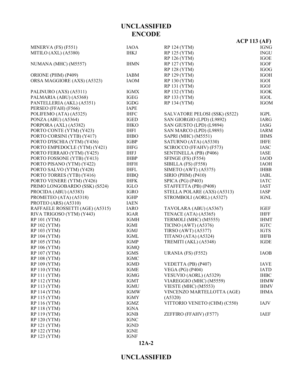|                                 |             |                               | ACP 113 (AF) |
|---------------------------------|-------------|-------------------------------|--------------|
| MINERVA (FS) (F551)             | <b>IAOA</b> | <b>RP 124 (YTM)</b>           | <b>IGNG</b>  |
| MITILO (AXL) (A5380)            | <b>IHKJ</b> | RP 125 (YTM)                  | <b>INGU</b>  |
|                                 |             | RP 126 (YTM)                  | <b>IGOE</b>  |
| NUMANA (MHC) (M5557)            | <b>IHMN</b> | RP 127 (YTM)                  | <b>IGOF</b>  |
|                                 |             | <b>RP 128 (YTM)</b>           | <b>IGOG</b>  |
| ORIONE (PHM) (P409)             | IABM        | <b>RP 129 (YTM)</b>           | <b>IGOH</b>  |
| ORSA MAGGIORE (AXS) (A5323)     | <b>IAOM</b> | <b>RP 130 (YTM)</b>           | IGOI         |
|                                 |             | <b>RP 131 (YTM)</b>           | IGOJ         |
| PALINURO (AXS) (A5311)          | <b>IGMX</b> | RP 132 (YTM)                  | <b>IGOK</b>  |
| PALMARIA (ABU) (A5368)          | <b>IGEG</b> | RP 133 (YTM)                  | <b>IGOL</b>  |
| PANTELLERIA (AKL) (A5351)       | <b>IGDG</b> | RP 134 (YTM)                  | <b>IGOM</b>  |
| PERSEO (FFAH) (F566)            | <b>IAPE</b> |                               |              |
| POLIFEMO (ATA) (A5325)          | <b>IHFC</b> | SALVATORE PELOSI (SSK) (S522) | IGPL         |
| PONZA (ABU) (A5364)             | <b>IGED</b> | SAN GIORGIO (LPD) (L9892)     | IARG         |
| PORPORA (AXL) (A5382)           | <b>IHKO</b> | SAN GIUSTO (LPD) (L9894)      | IASG         |
| PORTO CONTE (YTM) (Y423)        | <b>IHFI</b> | SAN MARCO (LPD) (L9893)       | <b>IARM</b>  |
| PORTO CORSINI (YTB) (Y417)      | <b>IHBO</b> | SAPRI (MHC) (M5551)           | <b>IHMS</b>  |
| PORTO D'ISCHIA (YTM) (Y436)     | <b>IGBP</b> | SATURNO (ATA) (A5330)         | <b>IHFE</b>  |
| PORTO EMPEDOCLE (YTM) (Y421)    | <b>IHFG</b> | SCIROCCO (FFAHV) (F573)       | <b>IASC</b>  |
| PORTO FERRAIO (YTM) (Y425)      | <b>IHFJ</b> | SENTINELLA (PB) (P406)        | IASE         |
| PORTO FOSSONE (YTB) (Y413)      | <b>IHBP</b> | SFINGE $(FS)$ $(F554)$        | <b>IAOD</b>  |
| PORTO PISANO (YTM) (Y422)       | <b>IHFH</b> | SIBILLA (FS) (F558)           | <b>IAOH</b>  |
| PORTO SALVO (YTM) (Y428)        | <b>IHFL</b> | SIMETO (AWT) $(A5375)$        | <b>IHBB</b>  |
| PORTO TORRES (YTB) (Y416)       | <b>IHBQ</b> | <b>SIRIO (PHM) (P410)</b>     | <b>IABL</b>  |
| PORTO VENERE (YTM) (Y426)       | <b>IHFK</b> | SPICA (PG) (P403)             | <b>IATC</b>  |
| PRIMO LONGOBARDO (SSK) (S524)   | <b>IGLO</b> | STAFFETTA (PB) (P408)         | <b>IAST</b>  |
| PROCIDA (ABU) (A5383)           | <b>IGRO</b> | STELLA POLARE (AXS) (A5313)   | <b>IASP</b>  |
| PROMETEO (ATA) (A5318)          | <b>IGHP</b> | STROMBOLI (AORL) (A5327)      | <b>IGNL</b>  |
| PROTEO (ARS) (A5310)            | <b>IAEN</b> |                               |              |
| RAFFAELE ROSSETTI (AGE) (A5315) | <b>IARO</b> | TAVOLARA (ABU) (A5367)        | <b>IGEF</b>  |
| RIVA TRIGOSO (YTM) (Y443)       | <b>IGAR</b> | TENACE (ATA) (A5365)          | <b>IHFF</b>  |
| <b>RP 101 (YTM)</b>             | <b>IGMH</b> | TERMOLI (MHC) (M5555)         | <b>IHMT</b>  |
| <b>RP 102 (YTM)</b>             | <b>IGMI</b> | <b>TICINO (AWT) (A5376)</b>   | <b>IGTC</b>  |
| <b>RP 103 (YTM)</b>             | <b>IGMJ</b> | TIRSO (AWT) (A5377)           | <b>IGTS</b>  |
| <b>RP 104 (YTM)</b>             | IGML        | TITANO (ATA) (A5324)          | <b>IHFB</b>  |
| <b>RP 105 (YTM)</b>             | <b>IGMP</b> | TREMITI (AKL) (A5348)         | <b>IGDE</b>  |
| <b>RP 106 (YTM)</b>             | <b>IGMQ</b> |                               |              |
| <b>RP 107 (YTM)</b>             | <b>IGMS</b> | URANIA (FS) (F552)            | <b>IAOB</b>  |
| <b>RP 108 (YTM)</b>             | <b>IGMC</b> |                               |              |
| <b>RP 109 (YTM)</b>             | <b>IGMD</b> | VEDETTA (PB) (P407)           | <b>IAVE</b>  |
| <b>RP 110 (YTM)</b>             | <b>IGME</b> | <b>VEGA (PG) (P404)</b>       | <b>IATD</b>  |
| <b>RP 111 (YTM)</b>             | <b>IGMG</b> | VESUVIO (AORL) (A5329)        | <b>IHBC</b>  |
| RP 112 (YTM)                    | IGMT        | VIAREGGIO (MHC) (M5559)       | <b>IHMW</b>  |
| RP 113 (YTM)                    | <b>IGMU</b> | VIESTE (MHC) (M5553)          | <b>IHMV</b>  |
| <b>RP 114 (YTM)</b>             | <b>IGMW</b> | VINCENZO MARTELLOTTA (AGE)    | <b>IHMA</b>  |
| <b>RP 115 (YTM)</b>             | <b>IGMY</b> | (A5320)                       |              |
| RP 116 (YTM)                    | IGMZ        | VITTORIO VENETO (CHM) (C550)  | <b>IAJV</b>  |
| <b>RP 118 (YTM)</b>             | <b>IGNA</b> |                               |              |
| <b>RP 119 (YTM)</b>             | <b>IGNB</b> | ZEFFIRO (FFAHV) (F577)        | <b>IAEF</b>  |
| <b>RP 120 (YTM)</b>             | <b>IGNC</b> |                               |              |
| <b>RP 121 (YTM)</b>             | <b>IGND</b> |                               |              |
| <b>RP 122 (YTM)</b>             | <b>IGNE</b> |                               |              |
| RP 123 (YTM)                    | <b>IGNF</b> |                               |              |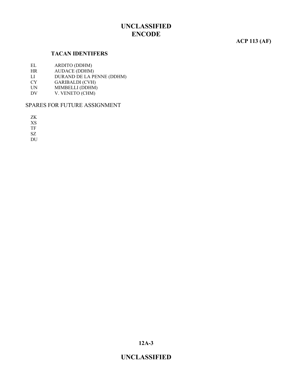#### **ACP 113 (AF)**

#### **TACAN IDENTIFERS**

- EL ARDITO (DDHM)<br>HR AUDACE (DDHM)
- AUDACE (DDHM)
- LI DURAND DE LA PENNE (DDHM)
- CY GARIBALDI (CVH)<br>UN MIMBELLI (DDHM)
- MIMBELLI (DDHM)
- DV V. VENETO (CHM)

#### SPARES FOR FUTURE ASSIGNMENT

ZK

XS

TF

SZ

DU

**12A-3**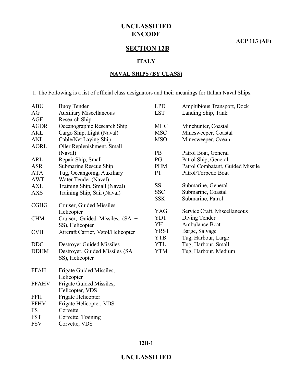**ACP 113 (AF)**

# **SECTION 12B**

#### **ITALY**

#### **NAVAL SHIPS (BY CLASS)**

1. The Following is a list of official class designators and their meanings for Italian Naval Ships.

| <b>ABU</b>   | <b>Buoy Tender</b>                 | <b>LPD</b>  | Amphibious Transport, Dock       |
|--------------|------------------------------------|-------------|----------------------------------|
| AG           | <b>Auxiliary Miscellaneous</b>     | <b>LST</b>  | Landing Ship, Tank               |
| AGE          | Research Ship                      |             |                                  |
| <b>AGOR</b>  | Oceanographic Research Ship        | <b>MHC</b>  | Minehunter, Coastal              |
| <b>AKL</b>   | Cargo Ship, Light (Naval)          | <b>MSC</b>  | Minesweeper, Coastal             |
| <b>ANL</b>   | Cable/Net Laying Ship              | <b>MSO</b>  | Minesweeper, Ocean               |
| <b>AORL</b>  | Oiler Replenishment, Small         |             |                                  |
|              | (Naval)                            | <b>PB</b>   | Patrol Boat, General             |
| <b>ARL</b>   | Repair Ship, Small                 | PG          | Patrol Ship, General             |
| <b>ASR</b>   | Submarine Rescue Ship              | <b>PHM</b>  | Patrol Combatant, Guided Missile |
| <b>ATA</b>   | Tug, Oceangoing, Auxiliary         | PT          | Patrol/Torpedo Boat              |
| <b>AWT</b>   | Water Tender (Naval)               |             |                                  |
| <b>AXL</b>   | Training Ship, Small (Naval)       | SS          | Submarine, General               |
| <b>AXS</b>   | Training Ship, Sail (Naval)        | <b>SSC</b>  | Submarine, Coastal               |
|              |                                    | <b>SSK</b>  | Submarine, Patrol                |
| <b>CGHG</b>  | Cruiser, Guided Missiles           |             |                                  |
|              | Helicopter                         | <b>YAG</b>  | Service Craft, Miscellaneous     |
| <b>CHM</b>   | Cruiser, Guided Missiles, (SA +    | <b>YDT</b>  | Diving Tender                    |
|              | SS), Helicopter                    | YH          | Ambulance Boat                   |
| <b>CVH</b>   | Aircraft Carrier, Vstol/Helicopter | <b>YRST</b> | Barge, Salvage                   |
|              |                                    | <b>YTB</b>  | Tug, Harbour, Large              |
| <b>DDG</b>   | <b>Destroyer Guided Missiles</b>   | <b>YTL</b>  | Tug, Harbour, Small              |
| <b>DDHM</b>  | Destroyer, Guided Missiles (SA +   | <b>YTM</b>  | Tug, Harbour, Medium             |
|              | SS), Helicopter                    |             |                                  |
| <b>FFAH</b>  | Frigate Guided Missiles,           |             |                                  |
|              | Helicopter                         |             |                                  |
| <b>FFAHV</b> | Frigate Guided Missiles,           |             |                                  |
|              | Helicopter, VDS                    |             |                                  |
| <b>FFH</b>   | Frigate Helicopter                 |             |                                  |
| <b>FFHV</b>  | Frigate Helicopter, VDS            |             |                                  |
| <b>FS</b>    | Corvette                           |             |                                  |
| <b>FST</b>   | Corvette, Training                 |             |                                  |
| <b>FSV</b>   | Corvette, VDS                      |             |                                  |
|              |                                    |             |                                  |

**12B-1**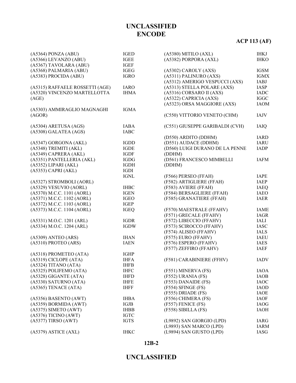# **ACP 113 (AF)**

| $(A5364)$ PONZA $(ABU)$         | <b>IGED</b>           | $(A5380)$ MITILO $(AXL)$        | <b>IHKJ</b> |
|---------------------------------|-----------------------|---------------------------------|-------------|
| (A5366) LEVANZO (ABU)           | <b>IGEE</b>           | (A5382) PORPORA (AXL)           | <b>IHKO</b> |
| (A5367) TAVOLARA (ABU)          | <b>IGEF</b>           |                                 |             |
| (A5368) PALMARIA (ABU)          | <b>IGEG</b>           | (A5302) CAROLY (AXS)            | <b>IGSM</b> |
| (A5383) PROCIDA (ABU)           | <b>IGRO</b>           | (A5311) PALINURO (AXS)          | <b>IGMX</b> |
|                                 |                       | (A5312) AMERIGO VESPUCCI (AXS)  | IABJ        |
| (A5315) RAFFAELE ROSSETTI (AGE) | <b>IARO</b>           | (A5313) STELLA POLARE (AXS)     | IASP        |
| (A5320) VINCENZO MARTELLOTTA    | <b>IHMA</b>           | (A5316) CORSARO II (AXS)        | <b>IADC</b> |
| (AGE)                           |                       | (A5322) CAPRICIA (AXS)          | <b>IGGC</b> |
|                                 |                       | (A5323) ORSA MAGGIORE (AXS)     | <b>IAOM</b> |
| (A5303) AMMIRAGLIO MAGNAGHI     | <b>IGMA</b>           |                                 |             |
| (AGOR)                          |                       | (C550) VITTORIO VENETO (CHM)    | IAJV        |
|                                 |                       |                                 |             |
| (A5304) ARETUSA (AGS)           | <b>IABA</b>           | (C551) GIUSEPPE GARIBALDI (CVH) | <b>IAIQ</b> |
| (A5308) GALATEA (AGS)           | <b>IABC</b>           |                                 |             |
|                                 |                       | (D550) ARDITO (DDHM)            | <b>IARD</b> |
| (A5347) GORGONA (AKL)           | <b>IGDD</b>           | (D551) AUDACE (DDHM)            | <b>IARU</b> |
| (A5348) TREMITI (AKL)           | <b>IGDE</b>           | (D560) LUIGI DURANO DE LA PENNE | <b>IADP</b> |
| (A5349) CAPRERA (AKL)           | <b>IGDF</b>           | (DDHM)                          |             |
| (A5351) PANTELLERIA (AKL)       | <b>IGDG</b>           | (D561) FRANCESCO MIMBELLI       | <b>IAFM</b> |
| (A5352) LIPARI (AKL)            | <b>IGDH</b>           | (DDHM)                          |             |
| $(A5353)$ CAPRI $(AKL)$         | IGDI                  |                                 |             |
|                                 | $\operatorname{IGNL}$ | (F566) PERSEO (FFAH)            | <b>IAPE</b> |
| (A5327) STROMBOLI (AORL)        |                       | (F582) ARTIGLIERE (FFAH)        | <b>IAEP</b> |
| (A5329) VESUVIO (AORL)          | <b>IHBC</b>           | (F583) AVIERE (FFAH)            | <b>IAEQ</b> |
| (A5370) M.C.C. 1101 (AORL)      | <b>IGEN</b>           | (F584) BERSAGLIERE (FFAH)       | <b>IAEO</b> |
| (A5371) M.C.C. 1102 (AORL)      | <b>IGEO</b>           | (F585) GRANATIERE (FFAH)        | <b>IAER</b> |
| (A5372) M.C.C. 1103 (AORL)      | IGEP                  |                                 |             |
| (A5373) M.C.C. 1104 (AORL)      | <b>IGEQ</b>           | (F570) MAESTRALE (FFAHV)        | <b>IAME</b> |
|                                 |                       | (F571) GRECALE (FFAHV)          | <b>IAGR</b> |
| (A5331) M.O.C. 1201 (ARL)       | <b>IGDR</b>           | (F572) LIBECCIO (FFAHV)         | IALI        |
| (A5334) M.O.C. 1204 (ARL)       | <b>IGDW</b>           | (F573) SCIROCCO (FFAHV)         | <b>IASC</b> |
|                                 |                       | (F574) ALISEO (FFAHV)           | <b>IALS</b> |
| $(A5309)$ ANTEO $(ARS)$         | <b>IHAN</b>           | (F575) EURO (FFAHV)             | <b>IAEU</b> |
| $(A5310)$ PROTEO $(ARS)$        | <b>IAEN</b>           | (F576) ESPERO (FFAHV)           | <b>IAES</b> |
|                                 |                       | (F577) ZEFFIRO (FFAHV)          | <b>IAEF</b> |
| (A5318) PROMETEO (ATA)          | <b>IGHP</b>           |                                 |             |
| (A5319) CICLOPE (ATA)           | <b>IHFA</b>           | (F581) CARABINIERE (FFHV)       | <b>IADV</b> |
| (A5324) TITANO (ATA)            | <b>IHFB</b>           |                                 |             |
| (A5325) POLIFEMO (ATA)          | <b>IHFC</b>           | (F551) MINERVA (FS)             | IAOA        |
| (A5328) GIGANTE (ATA)           | <b>IHFD</b>           | (F552) URANIA (FS)              | <b>IAOB</b> |
| (A5330) SATURNO (ATA)           | <b>IHFE</b>           | (F553) DANAIDE (FS)             | <b>IAOC</b> |
| (A5365) TENACE (ATA)            | <b>IHFF</b>           | (F554) SFINGE (FS)              | <b>IAOD</b> |
|                                 |                       | (F555) DRIADE (FS)              | <b>IAOE</b> |
| (A5356) BASENTO (AWT)           | <b>IHBA</b>           | (F556) CHIMERA (FS)             | <b>IAOF</b> |
| (A5359) BORMIDA (AWT)           | IGJB                  | (F557) FENICE (FS)              | <b>IAOG</b> |
| $(A5375)$ SIMETO $(AWT)$        | <b>IHBB</b>           | $(F558)$ SIBILLA $(FS)$         | <b>IAOH</b> |
| $(A5376)$ TICINO $(AWT)$        | <b>IGTC</b>           |                                 |             |
| (A5377) TIRSO (AWT)             | <b>IGTS</b>           | (L9892) SAN GIORGIO (LPD)       | <b>IARG</b> |
|                                 |                       | (L9893) SAN MARCO (LPD)         | <b>IARM</b> |
| (A5379) ASTICE (AXL)            | <b>IHKC</b>           | (L9894) SAN GIUSTO (LPD)        | IASG        |

#### **12B-2**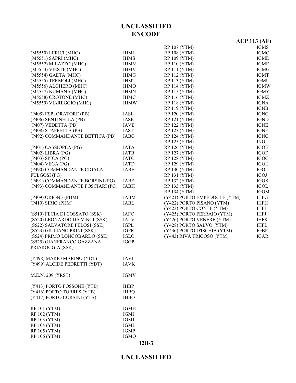|                                  |             |                              | <b>ACP 113 (AF)</b> |
|----------------------------------|-------------|------------------------------|---------------------|
|                                  |             | <b>RP 107 (YTM)</b>          | <b>IGMS</b>         |
| (M5550) LERICI (MHC)             | <b>IHML</b> | <b>RP 108 (YTM)</b>          | IGMC                |
| (M5551) SAPRI (MHC)              | <b>IHMS</b> | RP 109 (YTM)                 | <b>IGMD</b>         |
| (M5552) MILAZZO (MHC)            | <b>IHMM</b> | <b>RP 110 (YTM)</b>          | <b>IGME</b>         |
| (M5553) VIESTE (MHC)             | <b>IHMV</b> | <b>RP 111 (YTM)</b>          | <b>IGMG</b>         |
| (M5554) GAETA (MHC)              | <b>IHMG</b> | RP 112 (YTM)                 | <b>IGMT</b>         |
| (M5555) TERMOLI (MHC)            | <b>IHMT</b> | RP 113 (YTM)                 | <b>IGMU</b>         |
| (M5556) ALGHERO (MHC)            | <b>IHMO</b> | <b>RP 114 (YTM)</b>          | <b>IGMW</b>         |
| (M5557) NUMANA (MHC)             | <b>IHMN</b> | RP 115 (YTM)                 | <b>IGMY</b>         |
| (M5558) CROTONE (MHC)            | <b>IHMC</b> | RP 116 (YTM)                 | IGMZ                |
| (M5559) VIAREGGIO (MHC)          | <b>IHMW</b> | <b>RP 118 (YTM)</b>          | <b>IGNA</b>         |
|                                  |             | RP 119 (YTM)                 | <b>IGNB</b>         |
| (P405) ESPLORATORE (PB)          | <b>IASL</b> | RP 120 (YTM)                 | <b>IGNC</b>         |
| (P406) SENTINELLA (PB)           | <b>IASE</b> | RP 121 (YTM)                 | <b>IGND</b>         |
| (P407) VEDETTA (PB)              | <b>IAVE</b> | RP 122 (YTM)                 | <b>IGNE</b>         |
| (P408) STAFFETTA (PB)            | <b>IAST</b> | RP 123 (YTM)                 | <b>IGNF</b>         |
| (P492) COMMANDANTE BETTICA (PB)  | <b>IABG</b> | RP 124 (YTM)                 | <b>IGNG</b>         |
|                                  |             | RP 125 (YTM)                 | <b>INGU</b>         |
| (P401) CASSIOPEA (PG)            | <b>IATA</b> | RP 126 (YTM)                 | <b>IGOE</b>         |
| $(P402)$ LIBRA $(PG)$            | <b>IATB</b> | <b>RP 127 (YTM)</b>          | <b>IGOF</b>         |
| (P403) SPICA (PG)                | <b>IATC</b> | <b>RP 128 (YTM)</b>          | <b>IGOG</b>         |
| (P404) VEGA (PG)                 | <b>IATD</b> | RP 129 (YTM)                 | <b>IGOH</b>         |
| (P490) COMMANDANTE CIGALA        | <b>IABE</b> | <b>RP 130 (YTM)</b>          | IGOI                |
| FULGOSI (PG)                     |             | RP 131 (YTM)                 | <b>IGOJ</b>         |
| (P491) COMMANDANTE BORSINI (PG)  | <b>IABF</b> | RP 132 (YTM)                 | <b>IGOK</b>         |
| (P493) COMMANDANTE FOSCIARI (PG) | <b>IABH</b> | RP 133 (YTM)                 | <b>IGOL</b>         |
|                                  |             | RP 134 (YTM)                 | <b>IGOM</b>         |
| (P409) ORIONE (PHM)              | <b>IABM</b> | (Y421) PORTO EMPEDOCLE (YTM) | <b>IHFG</b>         |
| $(P410)$ SIRIO $(PHM)$           | <b>IABL</b> | (Y422) PORTO PISANO (YTM)    | <b>IHFH</b>         |
|                                  |             | (Y423) PORTO CONTE (YTM)     | <b>IHFI</b>         |
| (S519) FECIA DI COSSATO (SSK)    | <b>IAFC</b> | (Y425) PORTO FERRAIO (YTM)   | <b>IHFJ</b>         |
| (S520) LEONARDO DA VINCI (SSK)   | <b>IALV</b> | (Y426) PORTO VENERE (YTM)    | <b>IHFK</b>         |
| (S522) SALVATORE PELOSI (SSK)    | <b>IGPL</b> | (Y428) PORTO SALVO (YTM)     | <b>IHFL</b>         |
| (S523) GIULIANO PRINI (SSK)      | <b>IGPR</b> | (Y436) PORTO D'ISCHIA (YTM)  | <b>IGBP</b>         |
| (S524) PRIMO LONGOBARDO (SSK)    | <b>IGLO</b> | (Y443) RIVA TRIGOSO (YTM)    | <b>IGAR</b>         |
| (S525) GIANFRANCO GAZZANA        | <b>IGGP</b> |                              |                     |
| PRIAROGGIA (SSK)                 |             |                              |                     |
| (Y498) MARIO MARINO (YDT)        | <b>IAVJ</b> |                              |                     |
| (Y499) ALCIDE PEDRETTI (YDT)     | <b>IAVK</b> |                              |                     |
|                                  |             |                              |                     |
| M.E.N. 209 (YRST)                | <b>IGMV</b> |                              |                     |
| (Y413) PORTO FOSSONE (YTB)       | <b>IHBP</b> |                              |                     |
| (Y416) PORTO TORRES (YTB)        | <b>IHBQ</b> |                              |                     |
| (Y417) PORTO CORSINI (YTB)       | <b>IHBO</b> |                              |                     |
| <b>RP 101 (YTM)</b>              | <b>IGMH</b> |                              |                     |
| <b>RP 102 (YTM)</b>              | <b>IGMI</b> |                              |                     |
| RP 103 (YTM)                     | <b>IGMJ</b> |                              |                     |
| <b>RP 104 (YTM)</b>              | <b>IGML</b> |                              |                     |
| <b>RP 105 (YTM)</b>              | <b>IGMP</b> |                              |                     |
| RP 106 (YTM)                     | <b>IGMQ</b> |                              |                     |
|                                  |             |                              |                     |

### **UNCLASSIFIED**

**12B-3**

RP 106 (YTM)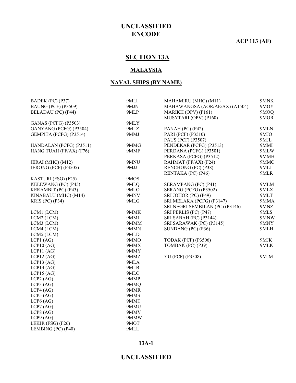**ACP 113 (AF)**

# **SECTION 13A**

#### **MALAYSIA**

#### **NAVAL SHIPS (BY NAME)**

| BADEK (PC) (P37)            | 9MLI | MAHAMIRU (MHC) (M11)            | 9MNK |
|-----------------------------|------|---------------------------------|------|
| <b>BAUNG (PCF) (P3509)</b>  | 9MJN | MAHAWANGSA (AOR/AE/AX) (A1504)  | 9MOY |
| <b>BELADAU</b> (PC) (P44)   | 9MLP | MARIKH (OPV) (P161)             | 9MOQ |
|                             |      | MUSYTARI (OPV) (P160)           | 9MOR |
| <b>GANAS (PCFG) (P3503)</b> | 9MLY |                                 |      |
| GANYANG (PCFG) (P3504)      | 9MLZ | PANAH (PC) (P42)                | 9MLN |
| GEMPITA (PCFG) (P3514)      | 9MMJ | PARI (PCF) (P3510)              | 9MJO |
|                             |      | PAUS (PCF) (P3507)              | 9MJL |
| HANDALAN (PCFG) (P3511)     | 9MMG | PENDEKAR (PCFG) (P3513)         | 9MMI |
| HANG TUAH (FF/AX) (F76)     | 9MMF | PERDANA (PCFG) (P3501)          | 9MLW |
|                             |      | PERKASA (PCFG) (P3512)          | 9MMH |
| JERAI (MHC) (M12)           | 9MNU | RAHMAT (FF/AX) (F24)            | 9MMC |
| <b>JERONG (PCF) (P3505)</b> | 9MJJ | RENCHONG (PC) (P38)             | 9MLJ |
|                             |      | RENTAKA (PC) (P46)              | 9MLR |
| KASTURI (FSG) (F25)         | 9MOS |                                 |      |
| KELEWANG (PC) (P45)         | 9MLQ | SERAMPANG (PC) (P41)            | 9MLM |
| KERAMBIT (PC) (P43)         | 9MLO | SERANG (PCFG) (P3502)           | 9MLX |
| KINABALU (MHC) (M14)        | 9MNV | SRI JOHOR (PC) (P49)            | 9MLT |
| <b>KRIS (PC) (P34)</b>      | 9MLG | SRI MELAKA (PCFG) (P3147)       | 9MMA |
|                             |      | SRI NEGRI SEMBILAN (PC) (P3146) | 9MNZ |
| LCM1 (LCM)                  | 9MMK | SRI PERLIS (PC) (P47)           | 9MLS |
| LCM2 (LCM)                  | 9MML | SRI SABAH (PC) (P3144)          | 9MNW |
| LCM3 (LCM)                  | 9MMM | SRI SARAWAK (PC) (P3145)        | 9MNY |
| LCM4 (LCM)                  | 9MMN | SUNDANG (PC) (P36)              | 9MLH |
| LCM5 (LCM)                  | 9MLD |                                 |      |
| $LCP1$ (AG)                 | 9MMO | <b>TODAK (PCF) (P3506)</b>      | 9MJK |
| LCP10 (AG)                  | 9MMX | TOMBAK (PC) (P39)               | 9MLK |
| LCP11 (AG)                  | 9MMY |                                 |      |
| $LCP12$ (AG)                | 9MMZ | YU (PCF) (P3508)                | 9MJM |
| $LCP13$ (AG)                | 9MLA |                                 |      |
| LCP14 (AG)                  | 9MLB |                                 |      |
| $LCP15$ (AG)                | 9MLC |                                 |      |
| $LCP2$ (AG)                 | 9MMP |                                 |      |
| $LCP3$ (AG)                 | 9MMQ |                                 |      |
| LCP4 (AG)                   | 9MMR |                                 |      |
| $LCP5$ (AG)                 | 9MMS |                                 |      |
| LCP6 (AG)                   | 9MMT |                                 |      |
| LCP7(AG)                    | 9MMU |                                 |      |
| $LCP8$ (AG)                 | 9MMV |                                 |      |
| $LCP9$ (AG)                 | 9MMW |                                 |      |
| LEKIR (FSG) (F26)           | 9MOT |                                 |      |
| LEMBING (PC) (P40)          | 9MLL |                                 |      |
|                             |      |                                 |      |

#### **13A-1**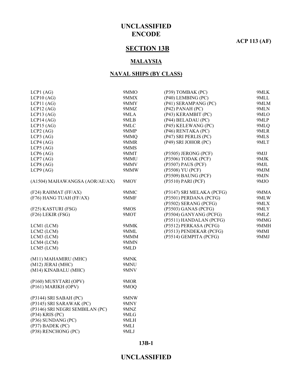**ACP 113 (AF)**

# **SECTION 13B**

#### **MALAYSIA**

#### **NAVAL SHIPS (BY CLASS)**

| $LCP1$ (AG)                     | 9MMO | (P39) TOMBAK (PC)         | 9MLK |
|---------------------------------|------|---------------------------|------|
| $LCP10$ (AG)                    | 9MMX | (P40) LEMBING (PC)        | 9MLL |
| LCP11 (AG)                      | 9MMY | (P41) SERAMPANG (PC)      | 9MLM |
| $LCP12$ (AG)                    | 9MMZ | $(P42)$ PANAH $(PC)$      | 9MLN |
| $LCP13$ (AG)                    | 9MLA | (P43) KERAMBIT (PC)       | 9MLO |
| LCP14 (AG)                      | 9MLB | (P44) BELADAU (PC)        | 9MLP |
| $LCP15$ (AG)                    | 9MLC | (P45) KELEWANG (PC)       | 9MLQ |
| $LCP2$ (AG)                     | 9MMP | (P46) RENTAKA (PC)        | 9MLR |
| $LCP3$ (AG)                     | 9MMQ | (P47) SRI PERLIS (PC)     | 9MLS |
| LCP4 (AG)                       | 9MMR | (P49) SRI JOHOR (PC)      | 9MLT |
| $LCP5$ (AG)                     | 9MMS |                           |      |
| $LCP6$ (AG)                     | 9MMT | (P3505) JERONG (PCF)      | 9MJJ |
| $LCP7$ (AG)                     | 9MMU | (P3506) TODAK (PCF)       | 9MJK |
| $LCP8$ (AG)                     | 9MMV | (P3507) PAUS (PCF)        | 9MJL |
| LCP9 (AG)                       | 9MMW | (P3508) YU (PCF)          | 9MJM |
|                                 |      | (P3509) BAUNG (PCF)       | 9MJN |
| (A1504) MAHAWANGSA (AOR/AE/AX)  | 9MOY | (P3510) PARI (PCF)        | 9MJO |
| (F24) RAHMAT (FF/AX)            | 9MMC | (P3147) SRI MELAKA (PCFG) | 9MMA |
| (F76) HANG TUAH (FF/AX)         | 9MMF | (P3501) PERDANA (PCFG)    | 9MLW |
|                                 |      | (P3502) SERANG (PCFG)     | 9MLX |
| (F25) KASTURI (FSG)             | 9MOS | (P3503) GANAS (PCFG)      | 9MLY |
| (F26) LEKIR (FSG)               | 9MOT | (P3504) GANYANG (PCFG)    | 9MLZ |
|                                 |      | (P3511) HANDALAN (PCFG)   | 9MMG |
| LCM1 (LCM)                      | 9MMK | (P3512) PERKASA (PCFG)    | 9MMH |
| LCM2 (LCM)                      | 9MML | (P3513) PENDEKAR (PCFG)   | 9MMI |
| LCM3 (LCM)                      | 9MMM | (P3514) GEMPITA (PCFG)    | 9MMJ |
| LCM4 (LCM)                      | 9MMN |                           |      |
| LCM5 (LCM)                      | 9MLD |                           |      |
| (M11) MAHAMIRU (MHC)            | 9MNK |                           |      |
| $(M12)$ JERAI (MHC)             | 9MNU |                           |      |
| (M14) KINABALU (MHC)            | 9MNV |                           |      |
| (P160) MUSYTARI (OPV)           | 9MOR |                           |      |
| (P161) MARIKH (OPV)             | 9MOQ |                           |      |
| (P3144) SRI SABAH (PC)          | 9MNW |                           |      |
| (P3145) SRI SARAWAK (PC)        | 9MNY |                           |      |
| (P3146) SRI NEGRI SEMBILAN (PC) | 9MNZ |                           |      |
| $(P34)$ KRIS $(PC)$             | 9MLG |                           |      |
| (P36) SUNDANG (PC)              | 9MLH |                           |      |
| (P37) BADEK (PC)                | 9MLI |                           |      |
| (P38) RENCHONG (PC)             | 9MLJ |                           |      |
|                                 |      |                           |      |

#### **13B-1**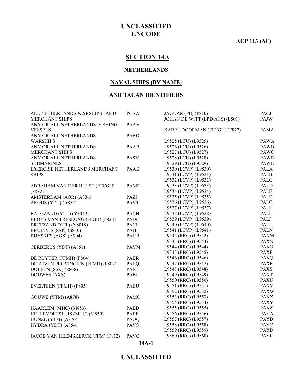**ACP 113 (AF)**

# **SECTION 14A**

#### **NETHERLANDS**

#### **NAVAL SHIPS (BY NAME)**

#### **AND TACAN IDENTIFIERS**

| ALL NETHERLANDS WARSHIPS AND      | <b>PCAA</b> | JAGUAR (PB) (P810)             | PACJ        |
|-----------------------------------|-------------|--------------------------------|-------------|
| <b>MERCHANT SHIPS</b>             |             | JOHAN DE WITT (LPD/ATS) (L801) | PAJW        |
| ANY OR ALL NETHERLANDS FISHING    | <b>PAAV</b> |                                |             |
| <b>VESSELS</b>                    |             | KAREL DOORMAN (FFCGH) (F827)   | <b>PAMA</b> |
| ANY OR ALL NETHERLANDS            | <b>PABO</b> |                                |             |
| <b>WARSHIPS</b>                   |             | L9525 (LCU) (L9525)            | <b>PAWA</b> |
| ANY OR ALL NETHERLANDS            | <b>PAAB</b> | L9526 (LCU) (L9526)            | <b>PAWB</b> |
| <b>MERCHANT SHIPS</b>             |             | L9527 (LCU) (L9527)            | <b>PAWC</b> |
| ANY OR ALL NETHERLANDS            | <b>PASM</b> | L9528 (LCU) (L9528)            | <b>PAWD</b> |
| <b>SUBMARINES</b>                 |             | L9529 (LCU) (L9529)            | <b>PAWE</b> |
| EXERCISE NETHERLANDS MERCHANT     | <b>PAAE</b> | L9530 (LCVP) (L9530)           | <b>PALA</b> |
| <b>SHIPS</b>                      |             | L9531 (LCVP) (L9531)           | <b>PALB</b> |
|                                   |             | L9532 (LCVP) (L9532)           | <b>PALC</b> |
| ABRAHAM VAN DER HULST (FFCGH)     | <b>PAMF</b> | L9533 (LCVP) (L9533)           | PALD        |
| (F832)                            |             | L9534 (LCVP) (L9534)           | PALE        |
| AMSTERDAM (AOR) (A836)            | PAZJ        | L9535 (LCVP) (L9535)           | <b>PALF</b> |
| ARGUS (YDT) (A852)                | <b>PAVT</b> | L9536 (LCVP) (L9536)           | PALG        |
|                                   |             | L9537 (LCVP) (L9537)           | <b>PALH</b> |
| BALGZAND (YTL) (Y8019)            | <b>PACH</b> | L9538 (LCVP) (L9538)           | PALI        |
| BLOYS VAN TRESLONG (FFGH) (F824)  | <b>PADG</b> | L9539 (LCVP) (L9539)           | PALJ        |
| BREEZAND (YTL) (Y8018)            | <b>PACI</b> | L9540 (LCVP) (L9540)           | PALL        |
| BRUINVIS (SSK) (S810)             | <b>PAIT</b> | L9541 (LCVP) (L9541)           | <b>PALN</b> |
| BUYSKES (AGS) (A904)              | <b>PAHB</b> | L9542 (RRC) (L9542)            | <b>PAXM</b> |
|                                   |             | L9543 (RRC) (L9543)            | <b>PAXN</b> |
| CERBERUS (YDT) (A851)             | <b>PAYM</b> | L9544 (RRC) (L9544)            | <b>PAXO</b> |
|                                   |             | L9545 (RRC) (L9545)            | <b>PAXP</b> |
| DE RUYTER (FFMH) (F804)           | <b>PAER</b> | L9546 (RRC) (L9546)            | <b>PAXQ</b> |
| DE ZEVEN PROVINCIEN (FFMH) (F802) | PAEQ        | L9547 (RRC) (L9547)            | <b>PAXR</b> |
| DOLFIJN (SSK) (S808)              | <b>PAFF</b> | L9548 (RRC) (L9548)            | <b>PAXS</b> |
| <b>DOUWES (AXS)</b>               | PABI        | L9549 (RRC) (L9549)            | <b>PAXT</b> |
|                                   |             | L9550 (RRC) (L9550)            | <b>PAXU</b> |
| EVERTSEN (FFMH) (F805)            | <b>PAEU</b> | L9551 (RRC) (L9551)            | <b>PAXV</b> |
|                                   |             | L9552 (RRC) (L9552)            | <b>PAXW</b> |
| GOUWE (YTM) (A878)                | <b>PAMO</b> | L9553 (RRC) (L9553)            | <b>PAXX</b> |
|                                   |             | L9554 (RRC) (L9554)            | <b>PAXY</b> |
| HAARLEM (MHC) (M853)              | PAED        | L9555 (RRC) (L9555)            | <b>PAXZ</b> |
| HELLEVOETSLUIS (MHC) (M859)       | PAEF        | L9556 (RRC) (L9556)            | <b>PAYA</b> |
| HUNZE (YTM) (A876)                | PAOQ        | L9557 (RRC) (L9557)            | <b>PAYB</b> |
| HYDRA (YDT) (A854)                | <b>PAVS</b> | L9558 (RRC) (L9558)            | <b>PAYC</b> |
|                                   |             | L9559 (RRC) (L9559)            | <b>PAYD</b> |
|                                   | <b>PAVO</b> | L9560 (RRC) (L9560)            | <b>PAYE</b> |
| JACOB VAN HEEMSKERCK (FFM) (F812) |             |                                |             |

#### **14A-1**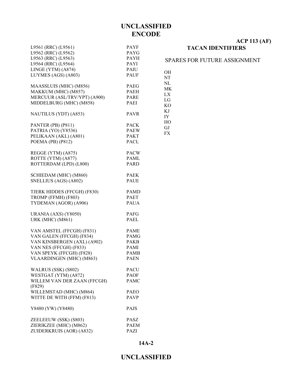OH NT NL MK LX LG KO KJ IY HO GJ FX

| L9561 (RRC) (L9561)                             | <b>PAYF</b>                |
|-------------------------------------------------|----------------------------|
| L9562 (RRC) (L9562)                             | <b>PAYG</b>                |
| L9563 (RRC) (L9563)                             | <b>PAYH</b>                |
| L9564 (RRC) (L9564)                             | <b>PAYI</b>                |
| LINGE (YTM) (A874)                              | PAIU                       |
| LUYMES (AGS) (A803)                             | <b>PAUF</b>                |
|                                                 |                            |
| MAASSLUIS (MHC) (M856)                          | <b>PAEG</b>                |
| MAKKUM (MHC) (M857)                             | <b>PAEH</b>                |
| MERCUUR (ASL/TRV/YPT) (A900)                    | <b>PARE</b>                |
| MIDDELBURG (MHC) (M858)                         | PAEI                       |
|                                                 |                            |
| NAUTILUS (YDT) (A853)                           | <b>PAVR</b>                |
| PANTER (PB) (P811)                              | <b>PACK</b>                |
| PATRIA (YO) (Y8536)                             | <b>PAEW</b>                |
| PELIKAAN (AKL) (A801)                           | <b>PAKT</b>                |
| POEMA (PB) (P812)                               | <b>PACL</b>                |
|                                                 |                            |
| REGGE (YTM) (A875)                              | <b>PACW</b>                |
| ROTTE (YTM) (A877)                              | <b>PAML</b>                |
| ROTTERDAM (LPD) (L800)                          | PARD                       |
|                                                 |                            |
| SCHIEDAM (MHC) (M860)                           | <b>PAEK</b>                |
| SNELLIUS (AGS) (A802)                           | <b>PAUE</b>                |
|                                                 |                            |
| TJERK HIDDES (FFCGH) (F830)                     | <b>PAMD</b>                |
| TROMP (FFMH) (F803)                             | <b>PAET</b>                |
| TYDEMAN (AGOR) (A906)                           | <b>PAUA</b>                |
|                                                 |                            |
| URANIA (AXS) (Y8050)<br><b>URK (MHC) (M861)</b> | <b>PAFG</b><br><b>PAEL</b> |
|                                                 |                            |
| VAN AMSTEL (FFCGH) (F831)                       | <b>PAME</b>                |
| VAN GALEN (FFCGH) (F834)                        | <b>PAMG</b>                |
| VAN KINSBERGEN (AXL) (A902)                     | <b>PAKB</b>                |
| VAN NES (FFCGH) (F833)                          | PAMI                       |
| VAN SPEYK (FFCGH) (F828)                        | <b>PAMB</b>                |
| <b>VLAARDINGEN</b> (MHC) (M863)                 | <b>PAEN</b>                |
|                                                 |                            |
| WALRUS (SSK) (S802)                             | <b>PACU</b>                |
| WESTGAT (YTM) (A872)                            | <b>PAOF</b>                |
| WILLEM VAN DER ZAAN (FFCGH)                     | <b>PAMC</b>                |
| (F829)                                          |                            |
| WILLEMSTAD (MHC) (M864)                         | <b>PAEO</b>                |
| WITTE DE WITH (FFM) (F813)                      | <b>PAVP</b>                |
|                                                 |                            |
| Y8480 (YW) (Y8480)                              | <b>PAJS</b>                |
| ZEELEEUW (SSK) (S803)                           | PASZ                       |
| ZIERIKZEE (MHC) (M862)                          | <b>PAEM</b>                |
| ZUIDERKRUIS (AOR) (A832)                        | PAZI                       |
|                                                 |                            |

#### **ACP 113 (AF) TACAN IDENTIFIERS**

#### SPARES FOR FUTURE ASSIGNMENT

**14A-2**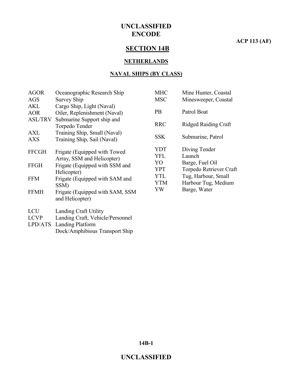#### **ACP 113 (AF)**

# **SECTION 14B**

#### **NETHERLANDS**

#### **NAVAL SHIPS (BY CLASS)**

| <b>AGOR</b>                                | Oceanographic Research Ship                                                             | <b>MHC</b>        | Mine Hunter, Coastal                       |
|--------------------------------------------|-----------------------------------------------------------------------------------------|-------------------|--------------------------------------------|
| AGS                                        | Survey Ship                                                                             | <b>MSC</b>        | Minesweeper, Coastal                       |
| <b>AKL</b><br><b>AOR</b><br><b>ASL/TRV</b> | Cargo Ship, Light (Naval)<br>Oiler, Replenishment (Naval)<br>Submarine Support ship and | <b>PB</b>         | Patrol Boat                                |
|                                            | Torpedo Tender                                                                          | <b>RRC</b>        | <b>Ridged Raiding Craft</b>                |
| AXL<br><b>AXS</b>                          | Training Ship, Small (Naval)<br>Training Ship, Sail (Naval)                             | <b>SSK</b>        | Submarine, Patrol                          |
| <b>FFCGH</b>                               | Frigate (Equipped with Towed<br>Array, SSM and Helicopter)                              | YDT<br>YFL<br>YO  | Diving Tender<br>Launch<br>Barge, Fuel Oil |
| <b>FFGH</b>                                | Frigate (Equipped with SSM and<br>Helicopter)                                           | <b>YPT</b>        | Torpedo Retriever Craft                    |
| <b>FFM</b>                                 | Frigate (Equipped with SAM and<br>SSM)                                                  | YTL<br><b>YTM</b> | Tug, Harbour, Small<br>Harbour Tug, Medium |
| <b>FFMH</b>                                | Frigate (Equipped with SAM, SSM<br>and Helicopter)                                      | YW                | Barge, Water                               |
| <b>LCU</b>                                 | Landing Craft Utility                                                                   |                   |                                            |
| <b>LCVP</b>                                | Landing Craft, Vehicle/Personnel                                                        |                   |                                            |

LPD/ATS Landing Platform Dock/Amphibious Transport Ship

**14B-1**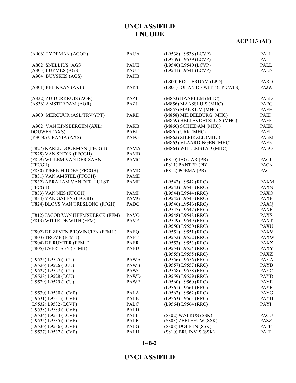# **ACP 113 (AF)**

| (L9540) L9540 (LCVP)<br>PALL<br>(A802) SNELLIUS (AGS)<br>PAUE<br>(A803) LUYMES (AGS)<br><b>PAUF</b><br>(L9541) L9541 (LCVP)<br><b>PALN</b><br>(A904) BUYSKES (AGS)<br><b>PAHB</b><br>(L800) ROTTERDAM (LPD)<br>PARD<br>(L801) JOHAN DE WITT (LPD/ATS)<br>(A801) PELIKAAN (AKL)<br><b>PAKT</b><br>PAJW<br>(A832) ZUIDERKRUIS (AOR)<br>PAZI<br>(M853) HAARLEM (MHC)<br><b>PAED</b><br>(A836) AMSTERDAM (AOR)<br>(M856) MAASSLUIS (MHC)<br>PAZJ<br>PAEG<br>(M857) MAKKUM (MHC)<br><b>PAEH</b><br>(A900) MERCUUR (ASL/TRV/YPT)<br>(M858) MIDDELBURG (MHC)<br>PAEI<br>PARE<br><b>PAEF</b><br>(M859) HELLEVOETSLUIS (MHC)<br>(A902) VAN KINSBERGEN (AXL)<br>(M860) SCHIEDAM (MHC)<br><b>PAEK</b><br><b>PAKB</b><br>(M861) URK (MHC)<br><b>DOUWES</b> (AXS)<br>PABI<br>PAEL<br>(M862) ZIERIKZEE (MHC)<br>(Y8050) URANIA (AXS)<br>PAFG<br><b>PAEM</b><br>(M863) VLAARDINGEN (MHC)<br><b>PAEN</b><br>(M864) WILLEMSTAD (MHC)<br>(F827) KAREL DOORMAN (FFCGH)<br><b>PAEO</b><br>PAMA<br>(F828) VAN SPEYK (FFCGH)<br><b>PAMB</b><br>(P810) JAGUAR (PB)<br>(F829) WILLEM VAN DER ZAAN<br><b>PAMC</b><br>PACJ<br>(P811) PANTER (PB)<br><b>PACK</b><br>(FFCGH)<br>(F830) TJERK HIDDES (FFCGH)<br><b>PAMD</b><br>(P812) POEMA (PB)<br>PACL<br>(F831) VAN AMSTEL (FFCGH)<br><b>PAME</b><br>(F832) ABRAHAM VAN DER HULST<br><b>PAMF</b><br>(L9542) L9542 (RRC)<br><b>PAXM</b><br>(L9543) L9543 (RRC)<br><b>PAXN</b><br>(FFCGH)<br>(F833) VAN NES (FFCGH)<br><b>PAXO</b><br>PAMI<br>(L9544) L9544 (RRC)<br>(F834) VAN GALEN (FFCGH)<br><b>PAXP</b><br><b>PAMG</b><br>(L9545) L9545 (RRC)<br>(F824) BLOYS VAN TRESLONG (FFGH)<br>(L9546) L9546 (RRC)<br><b>PAXQ</b><br>PADG<br>(L9547) L9547 (RRC)<br><b>PAXR</b><br>(L9548) L9548 (RRC)<br><b>PAXS</b><br>(F812) JACOB VAN HEEMSKERCK (FFM)<br><b>PAVO</b><br><b>PAXT</b><br>(F813) WITTE DE WITH (FFM)<br><b>PAVP</b><br>(L9549) L9549 (RRC)<br>(L9550) L9550 (RRC)<br><b>PAXU</b><br>(F802) DE ZEVEN PROVINCIEN (FFMH)<br>(L9551) L9551 (RRC)<br><b>PAXV</b><br>PAEQ<br>(F803) TROMP (FFMH)<br>PAET<br>(L9552) L9552 (RRC)<br><b>PAXW</b><br>(F804) DE RUYTER (FFMH)<br>PAER<br>(L9553) L9553 (RRC)<br><b>PAXX</b><br>(F805) EVERTSEN (FFMH)<br>(L9554) L9554 (RRC)<br><b>PAXY</b><br><b>PAEU</b><br><b>PAXZ</b><br>(L9555) L9555 (RRC)<br>(L9525) L9525 (LCU)<br><b>PAWA</b><br>(L9556) L9556 (RRC)<br><b>PAYA</b><br>(L9526) L9526 (LCU)<br><b>PAWB</b><br>(L9557) L9557 (RRC)<br><b>PAYB</b><br>(L9527) L9527 (LCU)<br><b>PAWC</b><br>(L9558) L9558 (RRC)<br><b>PAYC</b><br>(L9559) L9559 (RRC)<br>(L9528) L9528 (LCU)<br><b>PAYD</b><br><b>PAWD</b><br>(L9529) L9529 (LCU)<br>(L9560) L9560 (RRC)<br><b>PAYE</b><br><b>PAWE</b><br>(L9561) L9561 (RRC)<br><b>PAYF</b><br>(L9530) L9530 (LCVP)<br><b>PALA</b><br>(L9562) L9562 (RRC)<br>PAYG<br>(L9531) L9531 (LCVP)<br>(L9563) L9563 (RRC)<br><b>PAYH</b><br>PALB<br>(L9532) L9532 (LCVP)<br>PALC<br>(L9564) L9564 (RRC)<br><b>PAYI</b><br>(L9533) L9533 (LCVP)<br><b>PALD</b><br>(S802) WALRUS (SSK)<br><b>PACU</b><br>(L9534) L9534 (LCVP)<br>PALE<br>(L9535) L9535 (LCVP)<br><b>PALF</b><br>(S803) ZEELEEUW (SSK)<br>PASZ<br>(L9536) L9536 (LCVP)<br>(S808) DOLFIJN (SSK)<br>PALG<br><b>PAFF</b><br>(L9537) L9537 (LCVP)<br><b>PALH</b><br>(S810) BRUINVIS (SSK)<br>PAIT | (A906) TYDEMAN (AGOR) | PAUA | (L9538) L9538 (LCVP) | PALI |
|-----------------------------------------------------------------------------------------------------------------------------------------------------------------------------------------------------------------------------------------------------------------------------------------------------------------------------------------------------------------------------------------------------------------------------------------------------------------------------------------------------------------------------------------------------------------------------------------------------------------------------------------------------------------------------------------------------------------------------------------------------------------------------------------------------------------------------------------------------------------------------------------------------------------------------------------------------------------------------------------------------------------------------------------------------------------------------------------------------------------------------------------------------------------------------------------------------------------------------------------------------------------------------------------------------------------------------------------------------------------------------------------------------------------------------------------------------------------------------------------------------------------------------------------------------------------------------------------------------------------------------------------------------------------------------------------------------------------------------------------------------------------------------------------------------------------------------------------------------------------------------------------------------------------------------------------------------------------------------------------------------------------------------------------------------------------------------------------------------------------------------------------------------------------------------------------------------------------------------------------------------------------------------------------------------------------------------------------------------------------------------------------------------------------------------------------------------------------------------------------------------------------------------------------------------------------------------------------------------------------------------------------------------------------------------------------------------------------------------------------------------------------------------------------------------------------------------------------------------------------------------------------------------------------------------------------------------------------------------------------------------------------------------------------------------------------------------------------------------------------------------------------------------------------------------------------------------------------------------------------------------------------|-----------------------|------|----------------------|------|
|                                                                                                                                                                                                                                                                                                                                                                                                                                                                                                                                                                                                                                                                                                                                                                                                                                                                                                                                                                                                                                                                                                                                                                                                                                                                                                                                                                                                                                                                                                                                                                                                                                                                                                                                                                                                                                                                                                                                                                                                                                                                                                                                                                                                                                                                                                                                                                                                                                                                                                                                                                                                                                                                                                                                                                                                                                                                                                                                                                                                                                                                                                                                                                                                                                                                 |                       |      | (L9539) L9539 (LCVP) | PALJ |
|                                                                                                                                                                                                                                                                                                                                                                                                                                                                                                                                                                                                                                                                                                                                                                                                                                                                                                                                                                                                                                                                                                                                                                                                                                                                                                                                                                                                                                                                                                                                                                                                                                                                                                                                                                                                                                                                                                                                                                                                                                                                                                                                                                                                                                                                                                                                                                                                                                                                                                                                                                                                                                                                                                                                                                                                                                                                                                                                                                                                                                                                                                                                                                                                                                                                 |                       |      |                      |      |
|                                                                                                                                                                                                                                                                                                                                                                                                                                                                                                                                                                                                                                                                                                                                                                                                                                                                                                                                                                                                                                                                                                                                                                                                                                                                                                                                                                                                                                                                                                                                                                                                                                                                                                                                                                                                                                                                                                                                                                                                                                                                                                                                                                                                                                                                                                                                                                                                                                                                                                                                                                                                                                                                                                                                                                                                                                                                                                                                                                                                                                                                                                                                                                                                                                                                 |                       |      |                      |      |
|                                                                                                                                                                                                                                                                                                                                                                                                                                                                                                                                                                                                                                                                                                                                                                                                                                                                                                                                                                                                                                                                                                                                                                                                                                                                                                                                                                                                                                                                                                                                                                                                                                                                                                                                                                                                                                                                                                                                                                                                                                                                                                                                                                                                                                                                                                                                                                                                                                                                                                                                                                                                                                                                                                                                                                                                                                                                                                                                                                                                                                                                                                                                                                                                                                                                 |                       |      |                      |      |
|                                                                                                                                                                                                                                                                                                                                                                                                                                                                                                                                                                                                                                                                                                                                                                                                                                                                                                                                                                                                                                                                                                                                                                                                                                                                                                                                                                                                                                                                                                                                                                                                                                                                                                                                                                                                                                                                                                                                                                                                                                                                                                                                                                                                                                                                                                                                                                                                                                                                                                                                                                                                                                                                                                                                                                                                                                                                                                                                                                                                                                                                                                                                                                                                                                                                 |                       |      |                      |      |
|                                                                                                                                                                                                                                                                                                                                                                                                                                                                                                                                                                                                                                                                                                                                                                                                                                                                                                                                                                                                                                                                                                                                                                                                                                                                                                                                                                                                                                                                                                                                                                                                                                                                                                                                                                                                                                                                                                                                                                                                                                                                                                                                                                                                                                                                                                                                                                                                                                                                                                                                                                                                                                                                                                                                                                                                                                                                                                                                                                                                                                                                                                                                                                                                                                                                 |                       |      |                      |      |
|                                                                                                                                                                                                                                                                                                                                                                                                                                                                                                                                                                                                                                                                                                                                                                                                                                                                                                                                                                                                                                                                                                                                                                                                                                                                                                                                                                                                                                                                                                                                                                                                                                                                                                                                                                                                                                                                                                                                                                                                                                                                                                                                                                                                                                                                                                                                                                                                                                                                                                                                                                                                                                                                                                                                                                                                                                                                                                                                                                                                                                                                                                                                                                                                                                                                 |                       |      |                      |      |
|                                                                                                                                                                                                                                                                                                                                                                                                                                                                                                                                                                                                                                                                                                                                                                                                                                                                                                                                                                                                                                                                                                                                                                                                                                                                                                                                                                                                                                                                                                                                                                                                                                                                                                                                                                                                                                                                                                                                                                                                                                                                                                                                                                                                                                                                                                                                                                                                                                                                                                                                                                                                                                                                                                                                                                                                                                                                                                                                                                                                                                                                                                                                                                                                                                                                 |                       |      |                      |      |
|                                                                                                                                                                                                                                                                                                                                                                                                                                                                                                                                                                                                                                                                                                                                                                                                                                                                                                                                                                                                                                                                                                                                                                                                                                                                                                                                                                                                                                                                                                                                                                                                                                                                                                                                                                                                                                                                                                                                                                                                                                                                                                                                                                                                                                                                                                                                                                                                                                                                                                                                                                                                                                                                                                                                                                                                                                                                                                                                                                                                                                                                                                                                                                                                                                                                 |                       |      |                      |      |
|                                                                                                                                                                                                                                                                                                                                                                                                                                                                                                                                                                                                                                                                                                                                                                                                                                                                                                                                                                                                                                                                                                                                                                                                                                                                                                                                                                                                                                                                                                                                                                                                                                                                                                                                                                                                                                                                                                                                                                                                                                                                                                                                                                                                                                                                                                                                                                                                                                                                                                                                                                                                                                                                                                                                                                                                                                                                                                                                                                                                                                                                                                                                                                                                                                                                 |                       |      |                      |      |
|                                                                                                                                                                                                                                                                                                                                                                                                                                                                                                                                                                                                                                                                                                                                                                                                                                                                                                                                                                                                                                                                                                                                                                                                                                                                                                                                                                                                                                                                                                                                                                                                                                                                                                                                                                                                                                                                                                                                                                                                                                                                                                                                                                                                                                                                                                                                                                                                                                                                                                                                                                                                                                                                                                                                                                                                                                                                                                                                                                                                                                                                                                                                                                                                                                                                 |                       |      |                      |      |
|                                                                                                                                                                                                                                                                                                                                                                                                                                                                                                                                                                                                                                                                                                                                                                                                                                                                                                                                                                                                                                                                                                                                                                                                                                                                                                                                                                                                                                                                                                                                                                                                                                                                                                                                                                                                                                                                                                                                                                                                                                                                                                                                                                                                                                                                                                                                                                                                                                                                                                                                                                                                                                                                                                                                                                                                                                                                                                                                                                                                                                                                                                                                                                                                                                                                 |                       |      |                      |      |
|                                                                                                                                                                                                                                                                                                                                                                                                                                                                                                                                                                                                                                                                                                                                                                                                                                                                                                                                                                                                                                                                                                                                                                                                                                                                                                                                                                                                                                                                                                                                                                                                                                                                                                                                                                                                                                                                                                                                                                                                                                                                                                                                                                                                                                                                                                                                                                                                                                                                                                                                                                                                                                                                                                                                                                                                                                                                                                                                                                                                                                                                                                                                                                                                                                                                 |                       |      |                      |      |
|                                                                                                                                                                                                                                                                                                                                                                                                                                                                                                                                                                                                                                                                                                                                                                                                                                                                                                                                                                                                                                                                                                                                                                                                                                                                                                                                                                                                                                                                                                                                                                                                                                                                                                                                                                                                                                                                                                                                                                                                                                                                                                                                                                                                                                                                                                                                                                                                                                                                                                                                                                                                                                                                                                                                                                                                                                                                                                                                                                                                                                                                                                                                                                                                                                                                 |                       |      |                      |      |
|                                                                                                                                                                                                                                                                                                                                                                                                                                                                                                                                                                                                                                                                                                                                                                                                                                                                                                                                                                                                                                                                                                                                                                                                                                                                                                                                                                                                                                                                                                                                                                                                                                                                                                                                                                                                                                                                                                                                                                                                                                                                                                                                                                                                                                                                                                                                                                                                                                                                                                                                                                                                                                                                                                                                                                                                                                                                                                                                                                                                                                                                                                                                                                                                                                                                 |                       |      |                      |      |
|                                                                                                                                                                                                                                                                                                                                                                                                                                                                                                                                                                                                                                                                                                                                                                                                                                                                                                                                                                                                                                                                                                                                                                                                                                                                                                                                                                                                                                                                                                                                                                                                                                                                                                                                                                                                                                                                                                                                                                                                                                                                                                                                                                                                                                                                                                                                                                                                                                                                                                                                                                                                                                                                                                                                                                                                                                                                                                                                                                                                                                                                                                                                                                                                                                                                 |                       |      |                      |      |
|                                                                                                                                                                                                                                                                                                                                                                                                                                                                                                                                                                                                                                                                                                                                                                                                                                                                                                                                                                                                                                                                                                                                                                                                                                                                                                                                                                                                                                                                                                                                                                                                                                                                                                                                                                                                                                                                                                                                                                                                                                                                                                                                                                                                                                                                                                                                                                                                                                                                                                                                                                                                                                                                                                                                                                                                                                                                                                                                                                                                                                                                                                                                                                                                                                                                 |                       |      |                      |      |
|                                                                                                                                                                                                                                                                                                                                                                                                                                                                                                                                                                                                                                                                                                                                                                                                                                                                                                                                                                                                                                                                                                                                                                                                                                                                                                                                                                                                                                                                                                                                                                                                                                                                                                                                                                                                                                                                                                                                                                                                                                                                                                                                                                                                                                                                                                                                                                                                                                                                                                                                                                                                                                                                                                                                                                                                                                                                                                                                                                                                                                                                                                                                                                                                                                                                 |                       |      |                      |      |
|                                                                                                                                                                                                                                                                                                                                                                                                                                                                                                                                                                                                                                                                                                                                                                                                                                                                                                                                                                                                                                                                                                                                                                                                                                                                                                                                                                                                                                                                                                                                                                                                                                                                                                                                                                                                                                                                                                                                                                                                                                                                                                                                                                                                                                                                                                                                                                                                                                                                                                                                                                                                                                                                                                                                                                                                                                                                                                                                                                                                                                                                                                                                                                                                                                                                 |                       |      |                      |      |
|                                                                                                                                                                                                                                                                                                                                                                                                                                                                                                                                                                                                                                                                                                                                                                                                                                                                                                                                                                                                                                                                                                                                                                                                                                                                                                                                                                                                                                                                                                                                                                                                                                                                                                                                                                                                                                                                                                                                                                                                                                                                                                                                                                                                                                                                                                                                                                                                                                                                                                                                                                                                                                                                                                                                                                                                                                                                                                                                                                                                                                                                                                                                                                                                                                                                 |                       |      |                      |      |
|                                                                                                                                                                                                                                                                                                                                                                                                                                                                                                                                                                                                                                                                                                                                                                                                                                                                                                                                                                                                                                                                                                                                                                                                                                                                                                                                                                                                                                                                                                                                                                                                                                                                                                                                                                                                                                                                                                                                                                                                                                                                                                                                                                                                                                                                                                                                                                                                                                                                                                                                                                                                                                                                                                                                                                                                                                                                                                                                                                                                                                                                                                                                                                                                                                                                 |                       |      |                      |      |
|                                                                                                                                                                                                                                                                                                                                                                                                                                                                                                                                                                                                                                                                                                                                                                                                                                                                                                                                                                                                                                                                                                                                                                                                                                                                                                                                                                                                                                                                                                                                                                                                                                                                                                                                                                                                                                                                                                                                                                                                                                                                                                                                                                                                                                                                                                                                                                                                                                                                                                                                                                                                                                                                                                                                                                                                                                                                                                                                                                                                                                                                                                                                                                                                                                                                 |                       |      |                      |      |
|                                                                                                                                                                                                                                                                                                                                                                                                                                                                                                                                                                                                                                                                                                                                                                                                                                                                                                                                                                                                                                                                                                                                                                                                                                                                                                                                                                                                                                                                                                                                                                                                                                                                                                                                                                                                                                                                                                                                                                                                                                                                                                                                                                                                                                                                                                                                                                                                                                                                                                                                                                                                                                                                                                                                                                                                                                                                                                                                                                                                                                                                                                                                                                                                                                                                 |                       |      |                      |      |
|                                                                                                                                                                                                                                                                                                                                                                                                                                                                                                                                                                                                                                                                                                                                                                                                                                                                                                                                                                                                                                                                                                                                                                                                                                                                                                                                                                                                                                                                                                                                                                                                                                                                                                                                                                                                                                                                                                                                                                                                                                                                                                                                                                                                                                                                                                                                                                                                                                                                                                                                                                                                                                                                                                                                                                                                                                                                                                                                                                                                                                                                                                                                                                                                                                                                 |                       |      |                      |      |
|                                                                                                                                                                                                                                                                                                                                                                                                                                                                                                                                                                                                                                                                                                                                                                                                                                                                                                                                                                                                                                                                                                                                                                                                                                                                                                                                                                                                                                                                                                                                                                                                                                                                                                                                                                                                                                                                                                                                                                                                                                                                                                                                                                                                                                                                                                                                                                                                                                                                                                                                                                                                                                                                                                                                                                                                                                                                                                                                                                                                                                                                                                                                                                                                                                                                 |                       |      |                      |      |
|                                                                                                                                                                                                                                                                                                                                                                                                                                                                                                                                                                                                                                                                                                                                                                                                                                                                                                                                                                                                                                                                                                                                                                                                                                                                                                                                                                                                                                                                                                                                                                                                                                                                                                                                                                                                                                                                                                                                                                                                                                                                                                                                                                                                                                                                                                                                                                                                                                                                                                                                                                                                                                                                                                                                                                                                                                                                                                                                                                                                                                                                                                                                                                                                                                                                 |                       |      |                      |      |
|                                                                                                                                                                                                                                                                                                                                                                                                                                                                                                                                                                                                                                                                                                                                                                                                                                                                                                                                                                                                                                                                                                                                                                                                                                                                                                                                                                                                                                                                                                                                                                                                                                                                                                                                                                                                                                                                                                                                                                                                                                                                                                                                                                                                                                                                                                                                                                                                                                                                                                                                                                                                                                                                                                                                                                                                                                                                                                                                                                                                                                                                                                                                                                                                                                                                 |                       |      |                      |      |
|                                                                                                                                                                                                                                                                                                                                                                                                                                                                                                                                                                                                                                                                                                                                                                                                                                                                                                                                                                                                                                                                                                                                                                                                                                                                                                                                                                                                                                                                                                                                                                                                                                                                                                                                                                                                                                                                                                                                                                                                                                                                                                                                                                                                                                                                                                                                                                                                                                                                                                                                                                                                                                                                                                                                                                                                                                                                                                                                                                                                                                                                                                                                                                                                                                                                 |                       |      |                      |      |
|                                                                                                                                                                                                                                                                                                                                                                                                                                                                                                                                                                                                                                                                                                                                                                                                                                                                                                                                                                                                                                                                                                                                                                                                                                                                                                                                                                                                                                                                                                                                                                                                                                                                                                                                                                                                                                                                                                                                                                                                                                                                                                                                                                                                                                                                                                                                                                                                                                                                                                                                                                                                                                                                                                                                                                                                                                                                                                                                                                                                                                                                                                                                                                                                                                                                 |                       |      |                      |      |
|                                                                                                                                                                                                                                                                                                                                                                                                                                                                                                                                                                                                                                                                                                                                                                                                                                                                                                                                                                                                                                                                                                                                                                                                                                                                                                                                                                                                                                                                                                                                                                                                                                                                                                                                                                                                                                                                                                                                                                                                                                                                                                                                                                                                                                                                                                                                                                                                                                                                                                                                                                                                                                                                                                                                                                                                                                                                                                                                                                                                                                                                                                                                                                                                                                                                 |                       |      |                      |      |
|                                                                                                                                                                                                                                                                                                                                                                                                                                                                                                                                                                                                                                                                                                                                                                                                                                                                                                                                                                                                                                                                                                                                                                                                                                                                                                                                                                                                                                                                                                                                                                                                                                                                                                                                                                                                                                                                                                                                                                                                                                                                                                                                                                                                                                                                                                                                                                                                                                                                                                                                                                                                                                                                                                                                                                                                                                                                                                                                                                                                                                                                                                                                                                                                                                                                 |                       |      |                      |      |
|                                                                                                                                                                                                                                                                                                                                                                                                                                                                                                                                                                                                                                                                                                                                                                                                                                                                                                                                                                                                                                                                                                                                                                                                                                                                                                                                                                                                                                                                                                                                                                                                                                                                                                                                                                                                                                                                                                                                                                                                                                                                                                                                                                                                                                                                                                                                                                                                                                                                                                                                                                                                                                                                                                                                                                                                                                                                                                                                                                                                                                                                                                                                                                                                                                                                 |                       |      |                      |      |
|                                                                                                                                                                                                                                                                                                                                                                                                                                                                                                                                                                                                                                                                                                                                                                                                                                                                                                                                                                                                                                                                                                                                                                                                                                                                                                                                                                                                                                                                                                                                                                                                                                                                                                                                                                                                                                                                                                                                                                                                                                                                                                                                                                                                                                                                                                                                                                                                                                                                                                                                                                                                                                                                                                                                                                                                                                                                                                                                                                                                                                                                                                                                                                                                                                                                 |                       |      |                      |      |
|                                                                                                                                                                                                                                                                                                                                                                                                                                                                                                                                                                                                                                                                                                                                                                                                                                                                                                                                                                                                                                                                                                                                                                                                                                                                                                                                                                                                                                                                                                                                                                                                                                                                                                                                                                                                                                                                                                                                                                                                                                                                                                                                                                                                                                                                                                                                                                                                                                                                                                                                                                                                                                                                                                                                                                                                                                                                                                                                                                                                                                                                                                                                                                                                                                                                 |                       |      |                      |      |
|                                                                                                                                                                                                                                                                                                                                                                                                                                                                                                                                                                                                                                                                                                                                                                                                                                                                                                                                                                                                                                                                                                                                                                                                                                                                                                                                                                                                                                                                                                                                                                                                                                                                                                                                                                                                                                                                                                                                                                                                                                                                                                                                                                                                                                                                                                                                                                                                                                                                                                                                                                                                                                                                                                                                                                                                                                                                                                                                                                                                                                                                                                                                                                                                                                                                 |                       |      |                      |      |
|                                                                                                                                                                                                                                                                                                                                                                                                                                                                                                                                                                                                                                                                                                                                                                                                                                                                                                                                                                                                                                                                                                                                                                                                                                                                                                                                                                                                                                                                                                                                                                                                                                                                                                                                                                                                                                                                                                                                                                                                                                                                                                                                                                                                                                                                                                                                                                                                                                                                                                                                                                                                                                                                                                                                                                                                                                                                                                                                                                                                                                                                                                                                                                                                                                                                 |                       |      |                      |      |
|                                                                                                                                                                                                                                                                                                                                                                                                                                                                                                                                                                                                                                                                                                                                                                                                                                                                                                                                                                                                                                                                                                                                                                                                                                                                                                                                                                                                                                                                                                                                                                                                                                                                                                                                                                                                                                                                                                                                                                                                                                                                                                                                                                                                                                                                                                                                                                                                                                                                                                                                                                                                                                                                                                                                                                                                                                                                                                                                                                                                                                                                                                                                                                                                                                                                 |                       |      |                      |      |
|                                                                                                                                                                                                                                                                                                                                                                                                                                                                                                                                                                                                                                                                                                                                                                                                                                                                                                                                                                                                                                                                                                                                                                                                                                                                                                                                                                                                                                                                                                                                                                                                                                                                                                                                                                                                                                                                                                                                                                                                                                                                                                                                                                                                                                                                                                                                                                                                                                                                                                                                                                                                                                                                                                                                                                                                                                                                                                                                                                                                                                                                                                                                                                                                                                                                 |                       |      |                      |      |
|                                                                                                                                                                                                                                                                                                                                                                                                                                                                                                                                                                                                                                                                                                                                                                                                                                                                                                                                                                                                                                                                                                                                                                                                                                                                                                                                                                                                                                                                                                                                                                                                                                                                                                                                                                                                                                                                                                                                                                                                                                                                                                                                                                                                                                                                                                                                                                                                                                                                                                                                                                                                                                                                                                                                                                                                                                                                                                                                                                                                                                                                                                                                                                                                                                                                 |                       |      |                      |      |
|                                                                                                                                                                                                                                                                                                                                                                                                                                                                                                                                                                                                                                                                                                                                                                                                                                                                                                                                                                                                                                                                                                                                                                                                                                                                                                                                                                                                                                                                                                                                                                                                                                                                                                                                                                                                                                                                                                                                                                                                                                                                                                                                                                                                                                                                                                                                                                                                                                                                                                                                                                                                                                                                                                                                                                                                                                                                                                                                                                                                                                                                                                                                                                                                                                                                 |                       |      |                      |      |
|                                                                                                                                                                                                                                                                                                                                                                                                                                                                                                                                                                                                                                                                                                                                                                                                                                                                                                                                                                                                                                                                                                                                                                                                                                                                                                                                                                                                                                                                                                                                                                                                                                                                                                                                                                                                                                                                                                                                                                                                                                                                                                                                                                                                                                                                                                                                                                                                                                                                                                                                                                                                                                                                                                                                                                                                                                                                                                                                                                                                                                                                                                                                                                                                                                                                 |                       |      |                      |      |
|                                                                                                                                                                                                                                                                                                                                                                                                                                                                                                                                                                                                                                                                                                                                                                                                                                                                                                                                                                                                                                                                                                                                                                                                                                                                                                                                                                                                                                                                                                                                                                                                                                                                                                                                                                                                                                                                                                                                                                                                                                                                                                                                                                                                                                                                                                                                                                                                                                                                                                                                                                                                                                                                                                                                                                                                                                                                                                                                                                                                                                                                                                                                                                                                                                                                 |                       |      |                      |      |
|                                                                                                                                                                                                                                                                                                                                                                                                                                                                                                                                                                                                                                                                                                                                                                                                                                                                                                                                                                                                                                                                                                                                                                                                                                                                                                                                                                                                                                                                                                                                                                                                                                                                                                                                                                                                                                                                                                                                                                                                                                                                                                                                                                                                                                                                                                                                                                                                                                                                                                                                                                                                                                                                                                                                                                                                                                                                                                                                                                                                                                                                                                                                                                                                                                                                 |                       |      |                      |      |
|                                                                                                                                                                                                                                                                                                                                                                                                                                                                                                                                                                                                                                                                                                                                                                                                                                                                                                                                                                                                                                                                                                                                                                                                                                                                                                                                                                                                                                                                                                                                                                                                                                                                                                                                                                                                                                                                                                                                                                                                                                                                                                                                                                                                                                                                                                                                                                                                                                                                                                                                                                                                                                                                                                                                                                                                                                                                                                                                                                                                                                                                                                                                                                                                                                                                 |                       |      |                      |      |
|                                                                                                                                                                                                                                                                                                                                                                                                                                                                                                                                                                                                                                                                                                                                                                                                                                                                                                                                                                                                                                                                                                                                                                                                                                                                                                                                                                                                                                                                                                                                                                                                                                                                                                                                                                                                                                                                                                                                                                                                                                                                                                                                                                                                                                                                                                                                                                                                                                                                                                                                                                                                                                                                                                                                                                                                                                                                                                                                                                                                                                                                                                                                                                                                                                                                 |                       |      |                      |      |
|                                                                                                                                                                                                                                                                                                                                                                                                                                                                                                                                                                                                                                                                                                                                                                                                                                                                                                                                                                                                                                                                                                                                                                                                                                                                                                                                                                                                                                                                                                                                                                                                                                                                                                                                                                                                                                                                                                                                                                                                                                                                                                                                                                                                                                                                                                                                                                                                                                                                                                                                                                                                                                                                                                                                                                                                                                                                                                                                                                                                                                                                                                                                                                                                                                                                 |                       |      |                      |      |
|                                                                                                                                                                                                                                                                                                                                                                                                                                                                                                                                                                                                                                                                                                                                                                                                                                                                                                                                                                                                                                                                                                                                                                                                                                                                                                                                                                                                                                                                                                                                                                                                                                                                                                                                                                                                                                                                                                                                                                                                                                                                                                                                                                                                                                                                                                                                                                                                                                                                                                                                                                                                                                                                                                                                                                                                                                                                                                                                                                                                                                                                                                                                                                                                                                                                 |                       |      |                      |      |
|                                                                                                                                                                                                                                                                                                                                                                                                                                                                                                                                                                                                                                                                                                                                                                                                                                                                                                                                                                                                                                                                                                                                                                                                                                                                                                                                                                                                                                                                                                                                                                                                                                                                                                                                                                                                                                                                                                                                                                                                                                                                                                                                                                                                                                                                                                                                                                                                                                                                                                                                                                                                                                                                                                                                                                                                                                                                                                                                                                                                                                                                                                                                                                                                                                                                 |                       |      |                      |      |
|                                                                                                                                                                                                                                                                                                                                                                                                                                                                                                                                                                                                                                                                                                                                                                                                                                                                                                                                                                                                                                                                                                                                                                                                                                                                                                                                                                                                                                                                                                                                                                                                                                                                                                                                                                                                                                                                                                                                                                                                                                                                                                                                                                                                                                                                                                                                                                                                                                                                                                                                                                                                                                                                                                                                                                                                                                                                                                                                                                                                                                                                                                                                                                                                                                                                 |                       |      |                      |      |

#### **14B-2**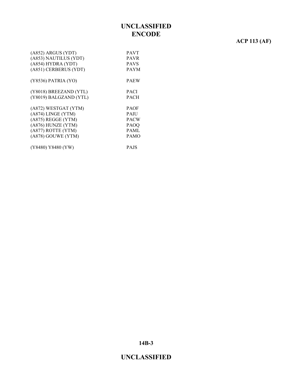# **ACP 113 (AF)**

| $(AB52)$ ARGUS (YDT)   | <b>PAVT</b> |
|------------------------|-------------|
| (A853) NAUTILUS (YDT)  | <b>PAVR</b> |
| (A854) HYDRA (YDT)     | <b>PAVS</b> |
| (A851) CERBERUS (YDT)  | <b>PAYM</b> |
| (Y8536) PATRIA (YO)    | <b>PAEW</b> |
| (Y8018) BREEZAND (YTL) | <b>PACI</b> |
| (Y8019) BALGZAND (YTL) | PACH        |
| (A872) WESTGAT (YTM)   | <b>PAOF</b> |
| (A874) LINGE (YTM)     | <b>PAIU</b> |
| (A875) REGGE (YTM)     | <b>PACW</b> |
| (A876) HUNZE (YTM)     | <b>PAOQ</b> |
| (A877) ROTTE (YTM)     | PAML        |
| (A878) GOUWE (YTM)     | <b>PAMO</b> |
| (Y8480) Y8480 (YW)     | <b>PAJS</b> |

**14B-3**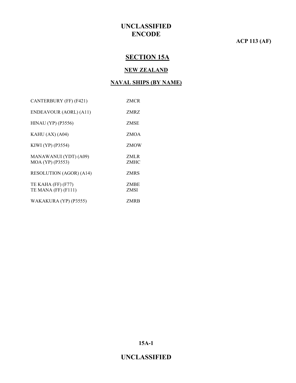#### **ACP 113 (AF)**

# **SECTION 15A**

#### **NEW ZEALAND**

#### **NAVAL SHIPS (BY NAME)**

| CANTERBURY (FF) (F421)                    | ZMCR         |
|-------------------------------------------|--------------|
| ENDEAVOUR (AORL) (A11)                    | ZMRZ         |
| $HINAU$ (YP) (P3556)                      | ZMSE         |
| KAHU $(AX)$ $(A04)$                       | ZMOA         |
| KIWI (YP) (P3554)                         | ZMOW         |
| MANAWANUI (YDT) (A09)<br>MOA (YP) (P3553) | ZMLR<br>ZMHC |
| <b>RESOLUTION (AGOR) (A14)</b>            | ZMRS         |
| TE KAHA (FF) (F77)<br>TE MANA (FF) (F111) | ZMBE<br>ZMSI |
| WAKAKURA (YP) (P3555)                     | ZMRB         |

**15A-1**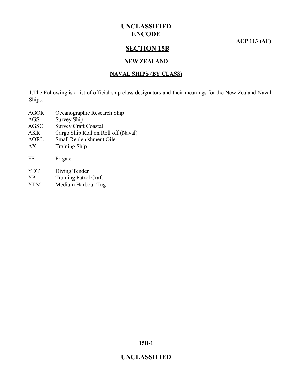**ACP 113 (AF)**

#### **SECTION 15B**

#### **NEW ZEALAND**

#### **NAVAL SHIPS (BY CLASS)**

1.The Following is a list of official ship class designators and their meanings for the New Zealand Naval Ships.

- AGOR Oceanographic Research Ship
- AGS Survey Ship
- AGSC Survey Craft Coastal
- AKR Cargo Ship Roll on Roll off (Naval)
- AORL Small Replenishment Oiler
- AX Training Ship

| FF | Frigate |
|----|---------|
|    |         |

- YDT Diving Tender
- YP Training Patrol Craft
- YTM Medium Harbour Tug

**15B-1**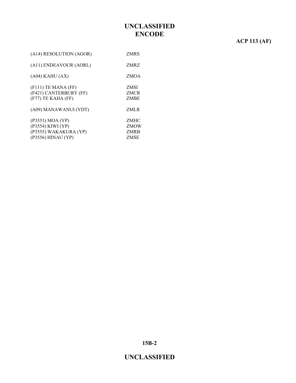# **ACP 113 (AF)**

| ZMRS                               |
|------------------------------------|
| ZMRZ                               |
| ZMOA                               |
| <b>ZMSI</b><br><b>ZMCR</b><br>ZMBE |
| ZMLR                               |
| ZMHC<br>ZMOW<br>ZMRB<br>ZMSE       |
|                                    |

**15B-2**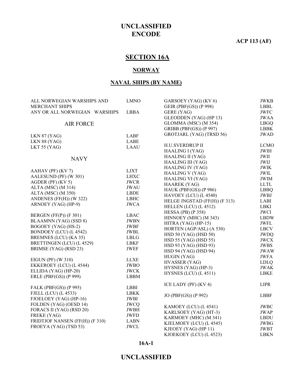#### **ACP 113 (AF)**

# **SECTION 16A**

#### **NORWAY**

#### **NAVAL SHIPS (BY NAME)**

| ALL NORWEGIAN WARSHIPS AND                     | <b>LMNO</b> | GARSOEY (YAG) (KV 6)          | <b>JWKB</b>   |
|------------------------------------------------|-------------|-------------------------------|---------------|
| <b>MERCHANT SHIPS</b>                          |             | GEIR (PBF(GS)) (P 998)        | <b>LBBL</b>   |
| ANY OR ALL NORWEGIAN WARSHIPS                  | <b>LBBA</b> | GERE (YAG)                    | <b>JWFC</b>   |
|                                                |             | GLEODDEN (YAG) (HP 13)        | <b>JWAA</b>   |
| <b>AIR FORCE</b>                               |             | GLOMMA (MSC) (M 354)          | <b>LBGQ</b>   |
|                                                |             | GRIBB (PBF(GS)) (P 997)       | <b>LBBK</b>   |
| LKN 87 (YAG)                                   | <b>LABF</b> | GROTJARL (YAG) (TRSD 56)      | <b>JWAD</b>   |
| LKN 88 (YAG)                                   | <b>LABE</b> |                               |               |
| LKT 55 (YAG)                                   | <b>LAAU</b> | H.U.SVERDRUP II               | <b>LCMO</b>   |
|                                                |             | HAALING I (YAG)               | <b>JWIH</b>   |
| <b>NAVY</b>                                    |             | <b>HAALING II (YAG)</b>       | JWII          |
|                                                |             | <b>HAALING III (YAG)</b>      | JWIJ          |
|                                                | <b>LJXT</b> | <b>HAALING IV (YAG)</b>       | <b>JWIK</b>   |
| AAHAV (PF) (KV 7)<br>AALESUND (PF) (W 301)     | <b>LHXC</b> | <b>HAALING V (YAG)</b>        | <b>JWIL</b>   |
| AGDER (PF) (KV 5)                              | <b>JWCR</b> | <b>HAALING VI (YAG)</b>       | <b>JWIM</b>   |
|                                                |             | HAAREK (YAG)                  | $\mbox{LLTL}$ |
| ALTA (MSC) (M 314)                             | <b>JWAU</b> | HAUK (PBF(GS)) (P 986)        | <b>LBBQ</b>   |
| ALTA (MSC) (M 350)                             | <b>LBDE</b> | HAVOEY (LCU) (L 4540)         | <b>JWBJ</b>   |
| ANDENES (FF(H)) (W 322)                        | <b>LBHC</b> | HELGE INGSTAD (FF(H)) (F 313) | LABI          |
| ARNOEY (YAG) (HP-9)                            | <b>JWCA</b> | HELLEN (LCU) (L 4512)         | <b>LBKI</b>   |
|                                                |             | HESSA (PB) (P $358$ )         | <b>JWCI</b>   |
| BERGEN (FF(P)) (F 301)                         | <b>LBAC</b> | HINNOEY (MHC) (M 343)         | <b>LBDW</b>   |
| BLAAMNN (YAG) (SSD 8)                          | <b>JWBN</b> | HITRA (YAG) (HP-15)           | <b>JWFL</b>   |
| BOGOEY (YAG) (HS-2)                            | <b>JWBF</b> | HORTEN (AGP/ASL) (A 530)      | <b>LBCV</b>   |
| BONDOEY (LCU) (L 4542)                         | <b>JWBL</b> | HSD 50 (YAG) (HSD 50)         | <b>JWDQ</b>   |
| BREMNES (LCU) (KA 35)                          | <b>LBLG</b> | HSD 55 (YAG) (HSD 55)         | <b>JWCX</b>   |
| BRETTINGEN (LCU) (L 4529)                      | <b>LBKF</b> | HSD 93 (YAG) (HSD 93)         | <b>JWBS</b>   |
| BRIMSE (YAG) (RSD 23)                          | JWEF        | HSD 94 (YAG) (HSD 94)         | <b>JWAW</b>   |
|                                                |             | HUGIN (YAG)                   | <b>JWFA</b>   |
| EIGUN (PF) (W 310)                             | <b>LLXE</b> | <b>HVASSER (YAG)</b>          | <b>LDLQ</b>   |
| EKKEROEY (LCU) (L 4544)                        | <b>JWBO</b> | HYSNES (YAG) (HP-3)           | <b>JWAK</b>   |
| ELLIDA (YAG) (HP-20)                           | <b>JWCK</b> | HYSNES (LCU) (L 4511)         | <b>LBKE</b>   |
| ERLE (PBF(GS)) (P 999)                         | <b>LBBM</b> |                               |               |
|                                                | <b>LBBI</b> | ICE LADY (PF) (KV4)           | <b>LIPR</b>   |
| FALK (PBF(GS)) (P 995)                         | <b>LBKK</b> |                               |               |
| FJELL (LCU) (L 4533)<br>FJOELOEY (YAG) (HP-16) | <b>JWBI</b> | JO (PBF(GS)) (P 992)          | <b>LBBF</b>   |
|                                                |             |                               |               |
| FOLDEN (YAG) (OESD 14)                         | <b>JWCQ</b> | KAMOEY (LCU) (L 4541)         | <b>JWBC</b>   |
| FORACS II (YAG) (RSD 20)                       | <b>JWBH</b> | KARLSOEY (YAG) (HT-3)         | <b>JWAP</b>   |
| FREKE (YAG)                                    | <b>JWFD</b> | KARMOEY (MHC) (M 341)         | <b>LBDU</b>   |
| FRIDTJOF NANSEN (FF(H)) (F 310)                | <b>LABN</b> | KJELMOEY (LCU) (L 4545)       | <b>JWBG</b>   |
| FROEYA (YAG) (TSD 53)                          | <b>JWCL</b> | KJEOEY (YAG) (HP 11)          | <b>JWBT</b>   |
|                                                |             | KJOEKOEY (LCU) (L 4523)       | <b>LBKN</b>   |

#### **16A-1**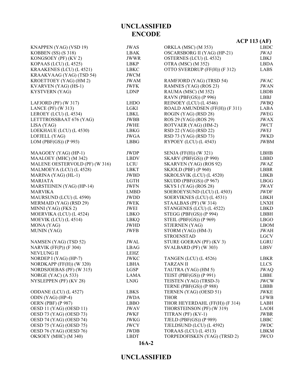|                                |             |                                | <b>ACP 113 (AF)</b> |
|--------------------------------|-------------|--------------------------------|---------------------|
| KNAPPEN (YAG) (VSD 19)         | <b>JWAS</b> | ORKLA (MSC) (M 353)            | <b>LBDC</b>         |
| KOBBEN (SS) (S 318)            | LBAK        | OSCARSBORG II (YAG) (HP-21)    | JWAJ                |
| KONGSOEY (PF) (KV 2)           | <b>JWWR</b> | OSTERNES (LCU) (L 4532)        | <b>LBKJ</b>         |
| KOPAAS (LCU) (L 4525)          | LBKP        | OTRA (MSC) (M 352)             | <b>LBDA</b>         |
| KRAAKENES (LCU) (L 4521)       | <b>LBKC</b> | OTTO SVERDRUP (FF(H)) (F 312)  | <b>LABS</b>         |
| KRAAKVAAG (YAG) (TSD 54)       | <b>JWCM</b> |                                |                     |
| KROETTOEY (YAG) (HM 2)         | <b>JWAM</b> | RAMFJORD (YAG) (TRSD 54)       | <b>JWAC</b>         |
| KVARVEN (YAG) (HS-1)           | <b>JWFK</b> | RAMNES (YAG) (ROS 23)          | <b>JWAN</b>         |
| KYSTVERN (YAG)                 | <b>LDNP</b> | RAUMA (MSC) (M 352)            | <b>LBDB</b>         |
|                                |             | RAVN (PBF(GS)) (P 996)         | LBBJ                |
| LAFJORD (PF) (W 317)           | <b>LHDO</b> | REINOEY (LCU) (L 4546)         | <b>JWBQ</b>         |
| LANCE (PF) (W 313)             | <b>LGKI</b> | ROALD AMUNDSEN (FF(H)) (F 311) | <b>LABA</b>         |
| LEROEY (LCU) (L 4534)          | <b>LBKL</b> | ROGIN (YAG) (RSD 28)           | <b>JWEG</b>         |
| LETTTROSSBAAT 676 (YAG)        | JWBB        | ROS 29 (YAG) (ROS 29)          | <b>JWAX</b>         |
| LISA (YAG)                     | <b>JWHE</b> | ROTVAER (YAG) (HM-2)           | <b>JWCT</b>         |
| LOEKHAUE (LCU) (L 4530)        | LBKG        | RSD 22 (YAG) (RSD 22)          | JWEJ                |
| LOFJELL (YAG)                  | <b>JWGA</b> | RSD 73 (YAG) (RSD 73)          | <b>JWKD</b>         |
| LOM (PBF(GS)) (P 993)          | <b>LBBG</b> | RYPOEY (LCU) (L 4543)          | <b>JWBM</b>         |
| MAAGOEY (YAG) (HP-1)           | <b>JWDP</b> | SENJA (FF(H)) (W 321)          | LBHB                |
| MAALOEY (MHC) (M 342)          | <b>LBDV</b> | <b>SKARV (PBF(GS)) (P 990)</b> | <b>LBBD</b>         |
| MALENE OESTERVOLD (PF) (W 316) | <b>LCIU</b> | SKARVEN (YAG) (ROS 92)         | <b>JWAZ</b>         |
| MALMOEYA (LCU) (L 4528)        | LBKT        | SKJOLD (PBF) (P 960)           | LBBR                |
| MARINA (YAG) (HL-1)            | <b>JWBD</b> | SKROLSVIK (LCU) (L 4520)       | <b>LBKB</b>         |
| <b>MARJATA</b>                 | <b>LGTH</b> | SKUDD (PBF(GS)) (P 967)        | <b>LBGG</b>         |
| MARSTEINEN (YAG) (HP-14)       | <b>JWFN</b> | SKYS I (YAG) (ROS 28)          | <b>JWAY</b>         |
| <b>MARVIKA</b>                 | <b>LMBD</b> | SOEROEYSUND (LCU) (L 4503)     | <b>JWDF</b>         |
| MAURSUND (LCU) (L 4590)        | JWDD        | SOERVIKNES (LCU) (L 4531)      | <b>LBKH</b>         |
| MERMAID (YAG) (RSD 29)         | <b>JWEK</b> | STAALBAS (PF) (W 314)          | <b>LNXH</b>         |
| MINNI (YAG) (FKS 2)            | JWEI        | STANGENES (LCU) (L 4522)       | <b>LBKD</b>         |
| MOERVIKA (LCU) (L 4524)        | <b>LBKO</b> | STEGG (PBF(GS)) (P 994)        | <b>LBBH</b>         |
| MOEVIK (LCU) (L 4514)          | LBKQ        | STEIL (PBF(GS)) (P 969)        | <b>LBGO</b>         |
| MONA (YAG)                     | <b>JWHD</b> | STJERNEN (YAG)                 | <b>LBOM</b>         |
| MUNIN (YAG)                    | <b>JWFB</b> | STORM (YAG) (HM-3)             | <b>JWAH</b>         |
|                                |             | <b>STROENSTAD</b>              | <b>LGCV</b>         |
| NAMSEN (YAG) (TSD 52)          | JWAL        | STURE GOERAN (PF) (KV3)        | <b>LGRU</b>         |
| NARVIK $(FF(P))$ $(F 304)$     | <b>LBAG</b> | SVALBARD (PF) (W 303)          | <b>LBSV</b>         |
| NEVLUNG II                     | LEHZ        |                                |                     |
| NORDEP I (YAG) (HP-7)          | <b>JWKC</b> | TANGEN (LCU) (L 4526)          | LBKR                |
| NORDKAPP (FF(H)) (W 320)       | LBHA        | <b>TARZAN II</b>               | <b>LLCS</b>         |
| NORDSJOEBAS (PF) (W 315)       | LGSP        | TAUTRA (YAG) (HM 5)            | <b>JWAQ</b>         |
| NORGE (YAC) (A 533)            | <b>LAMA</b> | TEIST (PBF(GS)) (P 991)        | <b>LBBE</b>         |
| NYSLEPPEN (PF) (KV 28)         | <b>LNJG</b> | TEISTEN (YAG) (TRSD-3)         | <b>JWCW</b>         |
|                                |             | TERNE (PBF(GS)) (P 988)        | LBBB                |
| ODDANE (LCU) (L 4527)          | LBKS        | TERNEN (YAG) (OESD 51)         | <b>JWKE</b>         |
| ODIN (YAG) (HP-4)              | <b>JWDA</b> | <b>THOR</b>                    | <b>LFWB</b>         |
| <b>OERN (PBF) (P 987)</b>      | <b>LBBO</b> | THOR HEYERDAHL (FF(H)) (F 314) | LABH                |
| OESD 11 (YAG) (OESD 11)        | <b>JWAV</b> | THORSTEINSON (PF) (W 319)      | <b>LAOH</b>         |
| OESD 73 (YAG) (OESD 73)        | JWKF        | TITRAN (PF) (KV-1)             | <b>JWBR</b>         |
| OESD 74 (YAG) (OESD 74)        | JWKG        | TJELD (PBF(GS)) (P 989)        | <b>LBBC</b>         |
| OESD 75 (YAG) (OESD 75)        | <b>JWCY</b> | TJELDSUND (LCU) (L 4592)       | JWDC                |
| OESD 76 (YAG) (OESD 76)        | <b>JWDB</b> | TORAAS (LCU) (L 4513)          | <b>LBKM</b>         |
| OKSOEY (MHC) (M 340)           | <b>LBDT</b> | TORPEDOFISKEN (YAG) (TRSD 2)   | <b>JWCO</b>         |

# **16A-2**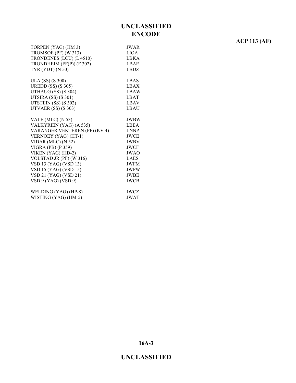| TORPEN (YAG) (HM 3)           | <b>JWAR</b> |
|-------------------------------|-------------|
| TROMSOE (PF) (W 313)          | LIOA        |
| TRONDENES (LCU) (L 4510)      | <b>LBKA</b> |
| TRONDHEIM (FF(P)) (F 302)     | <b>LBAE</b> |
| TYR $(YDT)$ $(N 50)$          | LBDZ        |
| ULA (SS) (S 300)              | <b>LBAS</b> |
| <b>UREDD</b> (SS) (S 305)     | <b>LBAX</b> |
| UTHAUG (SS) (S 304)           | <b>LBAW</b> |
| UTSIRA (SS) (S 301)           | <b>LBAT</b> |
| UTSTEIN (SS) (S 302)          | <b>LBAV</b> |
| UTVAER (SS) (S 303)           | LBAU        |
| VALE (MLC) (N 53)             | <b>JWBW</b> |
| VALKYRIEN (YAG) (A 535)       | LBEA        |
| VARANGER VEKTEREN (PF) (KV 4) | <b>LNNP</b> |
| VERNOEY (YAG) (HT-1)          | <b>JWCE</b> |
| VIDAR (MLC) (N 52)            | <b>JWBV</b> |
| VIGRA (PB) (P 359)            | <b>JWCF</b> |
| VIKEN (YAG) (HD-2)            | <b>JWAO</b> |
| VOLSTAD JR (PF) (W 316)       | <b>LAES</b> |
| VSD 13 (YAG) (VSD 13)         | <b>JWFM</b> |
| VSD 15 (YAG) (VSD 15)         | <b>JWFW</b> |
| VSD 21 (YAG) (VSD 21)         | <b>JWBE</b> |
| VSD 9 (YAG) (VSD 9)           | <b>JWCB</b> |
| WELDING (YAG) (HP-8)          | <b>JWCZ</b> |

| WELDING $(YAG)$ (HP-8) | JWCZ        |
|------------------------|-------------|
| WISTING (YAG) (HM-5)   | <b>JWAT</b> |

**ACP 113 (AF)**

**16A-3**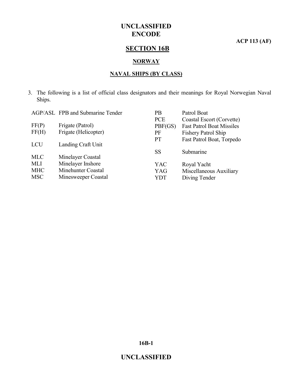**ACP 113 (AF)**

# **SECTION 16B**

#### **NORWAY**

#### **NAVAL SHIPS (BY CLASS)**

3. The following is a list of official class designators and their meanings for Royal Norwegian Naval Ships.

|            | AGP/ASL FPB and Submarine Tender | PB         | Patrol Boat                      |
|------------|----------------------------------|------------|----------------------------------|
|            |                                  | <b>PCE</b> | Coastal Escort (Corvette)        |
| FF(P)      | Frigate (Patrol)                 | PBF(GS)    | <b>Fast Patrol Boat Missiles</b> |
| FF(H)      | Frigate (Helicopter)             | PF         | Fishery Patrol Ship              |
|            |                                  | <b>PT</b>  | Fast Patrol Boat, Torpedo        |
| <b>LCU</b> | Landing Craft Unit               |            |                                  |
|            |                                  | SS         | Submarine                        |
| <b>MLC</b> | Minelayer Coastal                |            |                                  |
| <b>MLI</b> | Minelayer Inshore                | YAC        | Royal Yacht                      |
| <b>MHC</b> | Minehunter Coastal               | YAG        | Miscellaneous Auxiliary          |
| <b>MSC</b> | Minesweeper Coastal              | YDT        | Diving Tender                    |

**16B-1**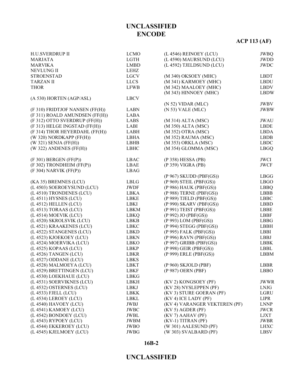#### **UNCLASSIFIED**

#### **16B-2**

| H.U.SVERDRUP II                 | <b>LCMO</b>         | (L 4546) REINOEY (LCU)        | <b>JWBQ</b>  |
|---------------------------------|---------------------|-------------------------------|--------------|
| <b>MARJATA</b>                  | LGTH                | (L 4590) MAURSUND (LCU)       | <b>JWDD</b>  |
| <b>MARVIKA</b>                  | <b>LMBD</b>         | (L 4592) TJELDSUND (LCU)      | <b>JWDC</b>  |
| <b>NEVLUNG II</b>               | LEHZ                |                               |              |
| <b>STROENSTAD</b>               | <b>LGCV</b>         | (M 340) OKSOEY (MHC)          | <b>LBDT</b>  |
| <b>TARZAN II</b>                | <b>LLCS</b>         | (M 341) KARMOEY (MHC)         | <b>LBDU</b>  |
| <b>THOR</b>                     | <b>LFWB</b>         | (M 342) MAALOEY (MHC)         | <b>LBDV</b>  |
|                                 |                     | (M 343) HINNOEY (MHC)         | <b>LBDW</b>  |
| (A 530) HORTEN (AGP/ASL)        | <b>LBCV</b>         |                               |              |
|                                 |                     | $(N 52)$ VIDAR $(MLC)$        | <b>JWBV</b>  |
| (F 310) FRIDTJOF NANSEN (FF(H)) | <b>LABN</b>         | $(N 53)$ VALE $(MLC)$         | <b>JWBW</b>  |
| (F 311) ROALD AMUNDSEN (FF(H))  | <b>LABA</b>         |                               |              |
| (F 312) OTTO SVERDRUP (FF(H))   | LABS                | (M 314) ALTA (MSC)            | <b>JWAU</b>  |
| (F 313) HELGE INGSTAD (FF(H))   | LABI                | (M 350) ALTA (MSC)            | <b>LBDE</b>  |
| (F 314) THOR HEYERDAHL (FF(H))  | <b>LABH</b>         | (M 352) OTRA (MSC)            | <b>LBDA</b>  |
| (W 320) NORDKAPP (FF(H))        | <b>LBHA</b>         | (M 352) RAUMA (MSC)           | <b>LBDB</b>  |
| $(W 321)$ SENJA $(FF(H))$       | LBHB                | (M 353) ORKLA (MSC)           | ${\rm LBDC}$ |
| $(W 322)$ ANDENES $(FF(H))$     | <b>LBHC</b>         | (M 354) GLOMMA (MSC)          | <b>LBGQ</b>  |
|                                 |                     |                               |              |
| (F 301) BERGEN (FF(P))          | <b>LBAC</b>         | (P 358) HESSA (PB)            | <b>JWCI</b>  |
| (F 302) TRONDHEIM (FF(P))       | <b>LBAE</b>         | (P 359) VIGRA (PB)            | <b>JWCF</b>  |
| (F 304) NARVIK (FF(P))          | <b>LBAG</b>         |                               |              |
|                                 |                     | $(P 967)$ SKUDD $(PBF(GS))$   | <b>LBGG</b>  |
| (KA 35) BREMNES (LCU)           | <b>LBLG</b>         | $(P 969)$ STEIL $(PBF(GS))$   | <b>LBGO</b>  |
| (L 4503) SOEROEYSUND (LCU)      | <b>JWDF</b>         | (P 986) HAUK (PBF(GS))        | <b>LBBQ</b>  |
| (L 4510) TRONDENES (LCU)        | LBKA                | $(P 988)$ TERNE $(PBF(GS))$   | <b>LBBB</b>  |
| (L 4511) HYSNES (LCU)           | <b>LBKE</b>         | $(P 989)$ TJELD $(PBF(GS))$   | <b>LBBC</b>  |
| (L 4512) HELLEN (LCU)           | LBKI                | (P 990) SKARV (PBF(GS))       | <b>LBBD</b>  |
| (L 4513) TORAAS (LCU)           | <b>LBKM</b>         | (P 991) TEIST (PBF(GS))       | <b>LBBE</b>  |
| (L 4514) MOEVIK (LCU)           | LBKQ                | (P 992) JO (PBF(GS))          | <b>LBBF</b>  |
| (L 4520) SKROLSVIK (LCU)        | <b>LBKB</b>         | (P 993) LOM (PBF(GS))         | <b>LBBG</b>  |
| (L 4521) KRAAKENES (LCU)        | LBKC                | (P 994) STEGG (PBF(GS))       | <b>LBBH</b>  |
| (L 4522) STANGENES (LCU)        | LBKD                | (P 995) FALK (PBF(GS))        | LBBI         |
| (L 4523) KJOEKOEY (LCU)         | <b>LBKN</b>         | (P 996) RAVN (PBF(GS))        | LBBJ         |
| (L 4524) MOERVIKA (LCU)         | <b>LBKO</b>         | $(P 997)$ GRIBB $(PBF(GS))$   | <b>LBBK</b>  |
| (L 4525) KOPAAS (LCU)           | LBKP                | $(P 998)$ GEIR $(PBF(GS))$    | LBBL         |
| (L 4526) TANGEN (LCU)           | LBKR                | (P 999) ERLE (PBF(GS))        | <b>LBBM</b>  |
| (L 4527) ODDANE (LCU)           | <b>LBKS</b>         |                               |              |
| (L 4528) MALMOEYA (LCU)         | LBKT                | (P 960) SKJOLD (PBF)          | LBBR         |
| (L 4529) BRETTINGEN (LCU)       |                     | (P 987) OERN (PBF)            | LBBO         |
| (L 4530) LOEKHAUE (LCU)         | LBKF                |                               |              |
|                                 | LBKG                | (KV 2) KONGSOEY (PF)          | <b>JWWR</b>  |
| (L 4531) SOERVIKNES (LCU)       | LBKH<br><b>LBKJ</b> | (KV 28) NYSLEPPEN (PF)        |              |
| (L 4532) OSTERNES (LCU)         |                     | (KV 3) STURE GOERAN (PF)      | LNJG         |
| (L 4533) FJELL (LCU)            | <b>LBKK</b>         |                               | <b>LGRU</b>  |
| (L 4534) LEROEY (LCU)           | LBKL                | (KV 4) ICE LADY (PF)          | <b>LIPR</b>  |
| (L 4540) HAVOEY (LCU)           | JWBJ                | (KV 4) VARANGER VEKTEREN (PF) | <b>LNNP</b>  |
| (L 4541) KAMOEY (LCU)           | <b>JWBC</b>         | $(KV 5)$ AGDER (PF)           | <b>JWCR</b>  |
| (L 4542) BONDOEY (LCU)          | JWBL                | $(KV 7)$ AAHAV (PF)           | LJXT         |
| (L 4543) RYPOEY (LCU)           | JWBM                | (KV-1) TITRAN (PF)            | <b>JWBR</b>  |
| (L 4544) EKKEROEY (LCU)         | <b>JWBO</b>         | (W 301) AALESUND (PF)         | <b>LHXC</b>  |
| (L 4545) KJELMOEY (LCU)         | <b>JWBG</b>         | (W 303) SVALBARD (PF)         | LBSV         |

**UNCLASSIFIED ENCODE**

# **ACP 113 (AF)**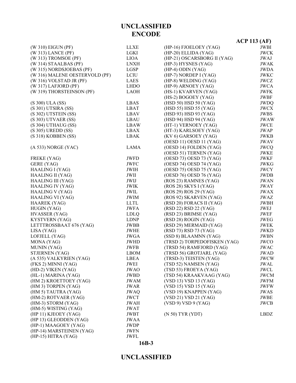|                                |             |                              | $ACP$ 113 (AF) |
|--------------------------------|-------------|------------------------------|----------------|
| (W 310) EIGUN (PF)             | <b>LLXE</b> | (HP-16) FJOELOEY (YAG)       | JWBI           |
| (W 313) LANCE (PF)             | LGKI        | (HP-20) ELLIDA (YAG)         | <b>JWCK</b>    |
| $(W 313)$ TROMSOE (PF)         | <b>LIOA</b> | (HP-21) OSCARSBORG II (YAG)  | <b>JWAJ</b>    |
| (W 314) STAALBAS (PF)          | <b>LNXH</b> | (HP-3) HYSNES (YAG)          | <b>JWAK</b>    |
| (W 315) NORDSJOEBAS (PF)       | LGSP        | $(HP-4)$ ODIN $(YAG)$        | <b>JWDA</b>    |
| (W 316) MALENE OESTERVOLD (PF) | LCIU        | (HP-7) NORDEP I (YAG)        | <b>JWKC</b>    |
| (W 316) VOLSTAD JR (PF)        | LAES        | (HP-8) WELDING (YAG)         | <b>JWCZ</b>    |
| $(W 317)$ LAFJORD (PF)         | <b>LHDO</b> | (HP-9) ARNOEY (YAG)          | <b>JWCA</b>    |
| (W 319) THORSTEINSON (PF)      | <b>LAOH</b> | (HS-1) KVARVEN (YAG)         | <b>JWFK</b>    |
|                                |             | (HS-2) BOGOEY (YAG)          | <b>JWBF</b>    |
| (S 300) ULA (SS)               | LBAS        | (HSD 50) HSD 50 (YAG)        | <b>JWDQ</b>    |
| (S 301) UTSIRA (SS)            | LBAT        | (HSD 55) HSD 55 (YAG)        | <b>JWCX</b>    |
| (S 302) UTSTEIN (SS)           | LBAV        | (HSD 93) HSD 93 (YAG)        | <b>JWBS</b>    |
| $(S 303)$ UTVAER $(SS)$        | LBAU        | (HSD 94) HSD 94 (YAG)        | <b>JWAW</b>    |
| (S 304) UTHAUG (SS)            | LBAW        | (HT-1) VERNOEY (YAG)         | <b>JWCE</b>    |
| $(S 305)$ UREDD $(SS)$         | LBAX        | (HT-3) KARLSOEY (YAG)        | <b>JWAP</b>    |
| $(S318)$ KOBBEN $(SS)$         | <b>LBAK</b> | (KV 6) GARSOEY (YAG)         | <b>JWKB</b>    |
|                                |             | (OESD 11) OESD 11 (YAG)      | <b>JWAV</b>    |
| (A 533) NORGE (YAC)            | LAMA        | (OESD 14) FOLDEN (YAG)       | <b>JWCQ</b>    |
|                                |             | (OESD 51) TERNEN (YAG)       | <b>JWKE</b>    |
| FREKE (YAG)                    | <b>JWFD</b> | (OESD 73) OESD 73 (YAG)      | <b>JWKF</b>    |
| GERE (YAG)                     | <b>JWFC</b> | (OESD 74) OESD 74 (YAG)      | <b>JWKG</b>    |
| HAALING I (YAG)                | <b>JWIH</b> | (OESD 75) OESD 75 (YAG)      | <b>JWCY</b>    |
| HAALING II (YAG)               | JWII        | (OESD 76) OESD 76 (YAG)      | <b>JWDB</b>    |
| <b>HAALING III (YAG)</b>       | JWIJ        | (ROS 23) RAMNES (YAG)        | <b>JWAN</b>    |
| <b>HAALING IV (YAG)</b>        | <b>JWIK</b> | $(ROS 28)$ SKYS I $(YAG)$    | <b>JWAY</b>    |
| <b>HAALING V (YAG)</b>         | JWIL        | (ROS 29) ROS 29 (YAG)        | <b>JWAX</b>    |
| <b>HAALING VI (YAG)</b>        | <b>JWIM</b> | (ROS 92) SKARVEN (YAG)       | <b>JWAZ</b>    |
| <b>HAAREK (YAG)</b>            | <b>LLTL</b> | (RSD 20) FORACS II (YAG)     | <b>JWBH</b>    |
| HUGIN (YAG)                    | <b>JWFA</b> | (RSD 22) RSD 22 (YAG)        | JWEJ           |
| HVASSER (YAG)                  | <b>LDLQ</b> | (RSD 23) BRIMSE (YAG)        | JWEF           |
| KYSTVERN (YAG)                 | <b>LDNP</b> | (RSD 28) ROGIN (YAG)         | <b>JWEG</b>    |
| LETTTROSSBAAT 676 (YAG)        | JWBB        | (RSD 29) MERMAID (YAG)       | <b>JWEK</b>    |
| LISA (YAG)                     | JWHE        | (RSD 73) RSD 73 (YAG)        | <b>JWKD</b>    |
| LOFJELL (YAG)                  | <b>JWGA</b> | (SSD 8) BLAAMNN (YAG)        | <b>JWBN</b>    |
| MONA (YAG)                     | <b>JWHD</b> | (TRSD 2) TORPEDOFISKEN (YAG) | <b>JWCO</b>    |
| MUNIN (YAG)                    | <b>JWFB</b> | (TRSD 54) RAMFJORD (YAG)     | <b>JWAC</b>    |
| STJERNEN (YAG)                 | <b>LBOM</b> | (TRSD 56) GROTJARL (YAG)     | JWAD           |
| (A 535) VALKYRIEN (YAG)        | LBEA        | (TRSD-3) TEISTEN (YAG)       | <b>JWCW</b>    |
| (FKS 2) MINNI (YAG)            | JWEI        | (TSD 52) NAMSEN (YAG)        | JWAL           |
| (HD-2) VIKEN (YAG)             | <b>JWAO</b> | (TSD 53) FROEYA (YAG)        | <b>JWCL</b>    |
| (HL-1) MARINA (YAG)            | JWBD        | (TSD 54) KRAAKVAAG (YAG)     | <b>JWCM</b>    |
| (HM 2) KROETTOEY (YAG)         | <b>JWAM</b> | (VSD 13) VSD 13 (YAG)        | <b>JWFM</b>    |
| (HM 3) TORPEN (YAG)            | <b>JWAR</b> | (VSD 15) VSD 15 (YAG)        | <b>JWFW</b>    |
| (HM 5) TAUTRA (YAG)            | <b>JWAQ</b> | (VSD 19) KNAPPEN (YAG)       | <b>JWAS</b>    |
| (HM-2) ROTVAER (YAG)           | <b>JWCT</b> | (VSD 21) VSD 21 (YAG)        | JWBE           |
| (HM-3) STORM (YAG)             | <b>JWAH</b> | (VSD 9) VSD 9 (YAG)          | <b>JWCB</b>    |
| (HM-5) WISTING (YAG)           | <b>JWAT</b> |                              |                |
| (HP 11) KJEOEY (YAG)           | <b>JWBT</b> | (N 50) TYR (YDT)             | LBDZ           |
| (HP 13) GLEODDEN (YAG)         | <b>JWAA</b> |                              |                |
| (HP-1) MAAGOEY (YAG)           | <b>JWDP</b> |                              |                |
| (HP-14) MARSTEINEN (YAG)       | <b>JWFN</b> |                              |                |
| (HP-15) HITRA (YAG)            | JWFL        |                              |                |

#### **UNCLASSIFIED**

**16B-3**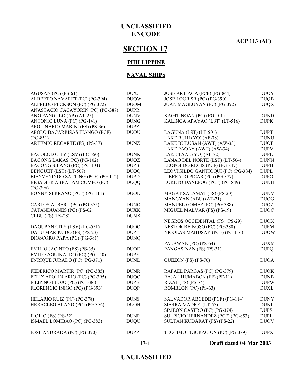# **ACP 113 (AF)**

# **SECTION 17**

#### **PHILLIPPINE**

#### **NAVAL SHIPS**

|                                                           | $17-1$                     | Draft dated 04 Mar 2003                                         |                            |
|-----------------------------------------------------------|----------------------------|-----------------------------------------------------------------|----------------------------|
| JOSE ANDRADA (PC) (PG-370)                                | <b>DUPP</b>                | TEOTIMO FIGURACION (PC) (PG-389)                                | <b>DUPX</b>                |
| ISMAEL LOMIBAO (PC) (PG-383)                              | <b>DUQU</b>                | SULTAN KUDARAT (FS) (PS-22)                                     | <b>DUOV</b>                |
| ILOILO (FS) $(PS-32)$                                     | <b>DUNP</b>                | SULPICIO HERNANDEZ (PCF) (PG-853)                               | <b>DUPI</b>                |
|                                                           |                            | SIMEON CASTRO (PC) (PG-374)                                     | <b>DUPS</b>                |
| HERACLEO ALANO (PC) (PG-376)                              | <b>DUOH</b>                | SIERRA MADRE (LT-57)                                            | <b>DUNI</b>                |
| HELARIO RUIZ (PC) (PG-378)                                | <b>DUNS</b>                | SALVADOR ABCEDE (PCF) (PG-114)                                  | <b>DUNY</b>                |
| FLORENCIO INIGO (PC) (PG-393)                             | <b>DUQP</b>                | ROMBLON (PC) (PS-63)                                            | <b>DUXL</b>                |
| FILIPINO FLOJO (PC) (PG-386)                              | <b>DUPE</b>                | RIZAL (FS) (PS-74)                                              | <b>DUPW</b>                |
| FELIX APOLIN ARIO (PC) (PG-395)                           | <b>DUQC</b>                | RAJAH HUMABON (FF) (PF-11)                                      | <b>DUNB</b>                |
| FEDERICO MARTIR (PC) (PG-385)                             | <b>DUNR</b>                | RAFAEL PARGAS (PC) (PG-379)                                     | <b>DUOK</b>                |
| ENRIQUE JURADO (PC) (PG-371)                              | <b>DUNL</b>                | QUEZON (FS) (PS-70)                                             | <b>DUOA</b>                |
| EMILO AGUINALDO (PC) (PG-140)                             | <b>DUPY</b>                |                                                                 |                            |
| <b>EMILIO JACINTO (FS) (PS-35)</b>                        | <b>DUOE</b>                | PANGASINAN (FS) (PS-31)                                         | <b>DUPQ</b>                |
|                                                           |                            | PALAWAN (PC) (PS-64)                                            | <b>DUXM</b>                |
| DIOSCORO PAPA (PC) (PG-381)                               | <b>DUNQ</b>                |                                                                 |                            |
| DATU MARIKUDO (FS) (PS-23)                                | <b>DUPF</b>                | NICOLAS MAHUSAY (PCF) (PG-116)                                  | <b>DUOW</b>                |
| DAGUPAN CITY (LSV) (LC-551)                               | DU <sub>00</sub>           | NESTOR REINOSO (PC) (PG-380)                                    | <b>DUPM</b>                |
|                                                           |                            | NEGROS OCCIDENTAL (FS) (PS-29)                                  | <b>DUOX</b>                |
| CEBU (FS) (PS-28)                                         | <b>DUNX</b>                |                                                                 |                            |
| CATANDUANES (PC) (PS-62)                                  | <b>DUXK</b>                | MIGUEL MALVAR (FS) (PS-19)                                      | <b>DUOC</b>                |
| CARLOS ALBERT (PC) (PG-375)                               | <b>DUNO</b>                | MANUEL GOMEZ (PC) (PG-388)                                      | <b>DUQZ</b>                |
|                                                           |                            | MANGYAN (ABU) (AT-71)                                           | <b>DUOG</b>                |
| BONNY SERRANO (PCF) (PG-111)                              | <b>DUOL</b>                | MAGAT SALAMAT (FS) (PS-20)                                      | <b>DUNM</b>                |
| $(PG-396)$                                                |                            |                                                                 |                            |
| BIGADIER ABRAHAM COMPO (PC)                               | <b>DUQQ</b>                | LORETO DANEPOG (PCF) (PG-849)                                   | <b>DUNH</b>                |
| BIENVENINDO SALTING (PCF) (PG-112)                        | <b>DUPD</b>                | LIBERATO PICAR (PC) (PG-377)                                    | <b>DUPO</b>                |
| BENGUET (LST) (LT-507)                                    | <b>DUOQ</b>                | LEOVIGILDO GANTIOQUI (PC) (PG-384)                              | <b>DUPL</b>                |
| BAGONG LAKAS (PC) (PG-102)<br>BAGONG SILANG (PC) (PG-104) | <b>DUOZ</b><br><b>DUPB</b> | LANAO DEL NORTE (LST) (LT-504)<br>LEOPOLDO REGIS (PCF) (PG-847) | <b>DUNN</b><br><b>DUPH</b> |
| BACOLOD CITY (LSV) (LC-550)                               | <b>DUNK</b>                | LAKE TAAL (YO) (AF-72)                                          | <b>DUPU</b>                |
|                                                           |                            | LAKE PAOAY (AWT) (AW-34)                                        | <b>DUPV</b>                |
| ARTEMIO RECARTE (FS) (PS-37)                              | <b>DUNZ</b>                | LAKE BULUSAN (AWT) (AW-33)                                      | <b>DUOF</b>                |
| $(PG-851)$                                                |                            | LAKE BUHI (YO) (AF-78)                                          | <b>DUNU</b>                |
| APOLO BACARRISAS TIANGO (PCF)                             | <b>DUOU</b>                | LAGUNA (LST) (LT-501)                                           | <b>DUPT</b>                |
| APOLINARIO MABINI (FS) (PS-36)                            | <b>DUPZ</b>                |                                                                 |                            |
| ANTONIO LUNA (PC) (PG-141)                                | <b>DUNG</b>                | KALINGA APAYAO (LST) (LT-516)                                   | <b>DUPK</b>                |
| ANG PANGULO (AP) (AT-25)                                  | <b>DUNV</b>                | KAGITINGAN (PC) (PG-101)                                        | <b>DUND</b>                |
| ANASTACIO CACAYORIN (PC) (PG-387)                         | <b>DUPR</b>                |                                                                 |                            |
| ALFREDO PECKSON (PC) (PG-372)                             | <b>DUOM</b>                | JUAN MAGLUYAN (PC) (PG-392)                                     | <b>DUQX</b>                |
| ALBERTO NAVARET (PC) (PG-394)                             | <b>DUQW</b>                | JOSE LOOR SR (PC) (PG-390)                                      | <b>DUQB</b>                |
| AGUSAN (PC) (PS-61)                                       | <b>DUXJ</b>                | JOSE ARTIAGA (PCF) (PG-844)                                     | <b>DUOY</b>                |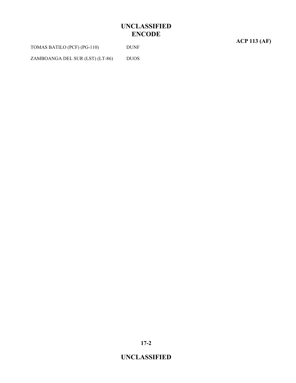| TOMAS BATILO (PCF) (PG-110)     | <b>DUNF</b> |
|---------------------------------|-------------|
| ZAMBOANGA DEL SUR (LST) (LT-86) | <b>DUOS</b> |

**ACP 113 (AF)**

**17-2**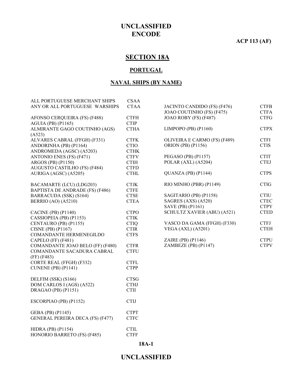#### **ACP 113 (AF)**

# **SECTION 18A**

#### **PORTUGAL**

#### **NAVAL SHIPS (BY NAME)**

| ALL PORTUGUESE MERCHANT SHIPS<br>ANY OR ALL PORTUGUESE WARSHIPS | <b>CSAA</b><br><b>CTAA</b> |
|-----------------------------------------------------------------|----------------------------|
|                                                                 |                            |
| AFONSO CERQUEIRA (FS) (F488)                                    | <b>CTFH</b>                |
| <b>AGUIA (PB) (P1165)</b>                                       | <b>CTIP</b>                |
| ALMIRANTE GAGO COUTINHO (AGS)                                   | <b>CTHA</b>                |
| (A523)                                                          |                            |
| ALVARES CABRAL (FFGH) (F331)                                    | <b>CTFK</b>                |
| ANDORINHA (PB) (P1164)                                          | <b>CTIO</b>                |
| ANDROMEDA (AGSC) (A5203)                                        | <b>CTHK</b>                |
| ANTONIO ENES (FS) (F471)                                        | <b>CTFV</b>                |
| ARGOS (PB) (P1150)                                              | <b>CTIH</b>                |
| AUGUSTO CASTILHO (FS) (F484)                                    | <b>CTFD</b>                |
| AURIGA (AGSC) (A5205)                                           | <b>CTHL</b>                |
| <b>BACAMARTE (LCU) (LDG203)</b>                                 | <b>CTJK</b>                |
| BAPTISTA DE ANDRADE (FS) (F486)                                 | <b>CTFE</b>                |
| BARRACUDA (SSK) (S164)                                          | <b>CTSE</b>                |
| <b>BERRIO</b> (AO) (A5210)                                      | <b>CTEA</b>                |
| <b>CACINE</b> (PB) (P1140)                                      | <b>CTPO</b>                |
| CASSIOPEIA (PB) (P1153)                                         | <b>CTIK</b>                |
| CENTAURO (PB) (P1155)                                           | <b>CTIQ</b>                |
| <b>CISNE</b> (PB) (P1167)                                       | <b>CTIR</b>                |
| <b>COMANDANTE HERMENEGILDO</b>                                  | <b>CTFS</b>                |
| CAPELO (FF) (F481)                                              |                            |
| COMANDANTE JOAO BELO (FF) (F480)                                | <b>CTFR</b>                |
| COMANDANTE SACADURA CABRAL                                      | <b>CTFU</b>                |
| $(FF)$ $(F483)$                                                 |                            |
| CORTE REAL (FFGH) (F332)                                        | <b>CTFL</b>                |
| CUNENE (PB) (P1141)                                             | <b>CTPP</b>                |
| DELFIM (SSK) (S166)                                             | <b>CTSG</b>                |
| DOM CARLOS I (AGS) (A522)                                       | <b>CTHJ</b>                |
| DRAGAO (PB) (P1151)                                             | <b>CTII</b>                |
| ESCORPIAO (PB) (P1152)                                          | <b>CTIJ</b>                |
| GEBA (PB) (P1145)                                               | <b>CTPT</b>                |
| <b>GENERAL PEREIRA DECA (FS) (F477)</b>                         | <b>CTFC</b>                |
| <b>HIDRA (PB) (P1154)</b>                                       | <b>CTIL</b>                |
| HONORIO BARRETO (FS) (F485)                                     | <b>CTFF</b>                |

| JACINTO CANDIDO (FS) (F476)<br>JOAO COUTINHO (FS) (F475)<br>JOAO ROBY (FS) (F487)                        | <b>CTFB</b><br><b>CTFA</b><br><b>CTFG</b>                |
|----------------------------------------------------------------------------------------------------------|----------------------------------------------------------|
| LIMPOPO (PB) (P1160)                                                                                     | <b>CTPX</b>                                              |
| OLIVEIRA E CARMO (FS) (F489)<br><b>ORION (PB) (P1156)</b>                                                | <b>CTFI</b><br><b>CTIS</b>                               |
| PEGASO (PB) (P1157)<br>POLAR (AXL) (A5204)                                                               | <b>CTIT</b><br><b>CTEJ</b>                               |
| QUANZA (PB) (P1144)                                                                                      | <b>CTPS</b>                                              |
| RIO MINHO (PBR) (P1149)                                                                                  | <b>CTIG</b>                                              |
| SAGITARIO (PB) (P1158)<br>SAGRES (AXS) (A520)<br>SAVE (PB) (P1161)<br><b>SCHULTZ XAVIER (ABU) (A521)</b> | <b>CTIU</b><br><b>CTEC</b><br><b>CTPY</b><br><b>CTED</b> |
| VASCO DA GAMA (FFGH) (F330)<br><b>VEGA (AXL) (A5201)</b>                                                 | <b>CTFJ</b><br><b>CTEH</b>                               |
| ZAIRE (PB) (P1146)<br>ZAMBEZE (PB) (P1147)                                                               | <b>CTPU</b><br><b>CTPV</b>                               |

#### **18A-1**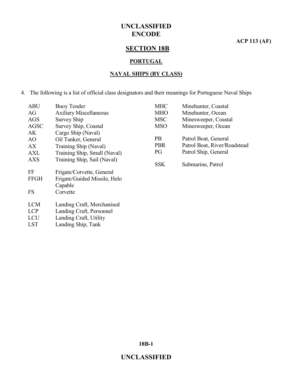**ACP 113 (AF)**

# **SECTION 18B**

#### **PORTUGAL**

#### **NAVAL SHIPS (BY CLASS)**

4. The following is a list of official class designators and their meanings for Portuguese Naval Ships

| <b>ABU</b>     | <b>Buoy Tender</b>            |
|----------------|-------------------------------|
| AG             | <b>Axiliary Miscellaneous</b> |
| AGS            | <b>Survey Ship</b>            |
| <b>AGSC</b>    | Survey Ship, Coastal          |
| AK.            | Cargo Ship (Naval)            |
| A <sub>O</sub> | Oil Tanker, General           |
| АX             | Training Ship (Naval)         |
| AXL            | Training Ship, Small (Naval)  |
| <b>AXS</b>     | Training Ship, Sail (Naval)   |
| FF             | Frigate/Corvette, General     |
| <b>FFGH</b>    | Frigate/Guided Missile, Helo  |
|                | Capable                       |
| FS             | Corvette                      |
| <b>LCM</b>     |                               |
|                | Landing Craft, Merchanised    |
| <b>LCP</b>     | Landing Craft, Personnel      |
| <b>LCU</b>     | Landing Craft, Utility        |

| <b>MHC</b> | Minehunter, Coastal          |
|------------|------------------------------|
| <b>MHO</b> | Minehunter, Ocean            |
| <b>MSC</b> | Minesweeper, Coastal         |
| <b>MSO</b> | Minesweeper, Ocean           |
| <b>PB</b>  | Patrol Boat, General         |
| <b>PBR</b> | Patrol Boat, River/Roadstead |
| PG         | Patrol Ship, General         |
| SSK.       | Submarine, Patrol            |

**18B-1**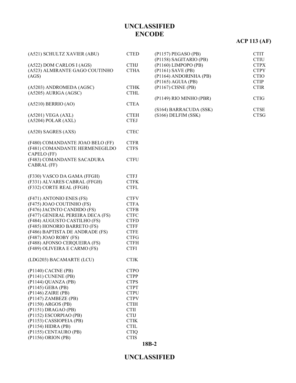# **ACP 113 (AF)**

| (A521) SCHULTZ XAVIER (ABU)                                                                                                                                                                                                                                                                                             | <b>CTED</b>                                                                                                                                                                                     |
|-------------------------------------------------------------------------------------------------------------------------------------------------------------------------------------------------------------------------------------------------------------------------------------------------------------------------|-------------------------------------------------------------------------------------------------------------------------------------------------------------------------------------------------|
| (A522) DOM CARLOS I (AGS)<br>(A523) ALMIRANTE GAGO COUTINHO<br>(AGS)                                                                                                                                                                                                                                                    | <b>CTHJ</b><br><b>CTHA</b>                                                                                                                                                                      |
| (A5203) ANDROMEDA (AGSC)<br>(A5205) AURIGA (AGSC)                                                                                                                                                                                                                                                                       | <b>CTHK</b><br><b>CTHL</b>                                                                                                                                                                      |
| $(A5210)$ BERRIO $(AO)$                                                                                                                                                                                                                                                                                                 | <b>CTEA</b>                                                                                                                                                                                     |
| (A5201) VEGA (AXL)<br>(A5204) POLAR (AXL)                                                                                                                                                                                                                                                                               | <b>CTEH</b><br><b>CTEJ</b>                                                                                                                                                                      |
| (A520) SAGRES (AXS)                                                                                                                                                                                                                                                                                                     | <b>CTEC</b>                                                                                                                                                                                     |
| (F480) COMANDANTE JOAO BELO (FF)<br>(F481) COMANDANTE HERMENEGILDO<br>CAPELO (FF)                                                                                                                                                                                                                                       | <b>CTFR</b><br><b>CTFS</b>                                                                                                                                                                      |
| (F483) COMANDANTE SACADURA<br>CABRAL (FF)                                                                                                                                                                                                                                                                               | <b>CTFU</b>                                                                                                                                                                                     |
| (F330) VASCO DA GAMA (FFGH)<br>(F331) ALVARES CABRAL (FFGH)<br>(F332) CORTE REAL (FFGH)                                                                                                                                                                                                                                 | <b>CTFJ</b><br><b>CTFK</b><br><b>CTFL</b>                                                                                                                                                       |
| (F471) ANTONIO ENES (FS)<br>(F475) JOAO COUTINHO (FS)<br>(F476) JACINTO CANDIDO (FS)<br>(F477) GENERAL PEREIRA DECA (FS)<br>(F484) AUGUSTO CASTILHO (FS)<br>(F485) HONORIO BARRETO (FS)<br>(F486) BAPTISTA DE ANDRADE (FS)<br>(F487) JOAO ROBY (FS)<br>(F488) AFONSO CERQUEIRA (FS)<br>(F489) OLIVEIRA E CARMO (FS)     | <b>CTFV</b><br><b>CTFA</b><br><b>CTFB</b><br><b>CTFC</b><br><b>CTFD</b><br><b>CTFF</b><br><b>CTFE</b><br><b>CTFG</b><br><b>CTFH</b><br><b>CTFI</b>                                              |
| (LDG203) BACAMARTE (LCU)                                                                                                                                                                                                                                                                                                | <b>CTJK</b>                                                                                                                                                                                     |
| $($ P1140 $)$ CACINE $($ PB $)$<br>(P1141) CUNENE (PB)<br>(P1144) QUANZA (PB)<br>(P1145) GEBA (PB)<br>(P1146) ZAIRE (PB)<br>(P1147) ZAMBEZE (PB)<br>(P1150) ARGOS (PB)<br>(P1151) DRAGAO (PB)<br>(P1152) ESCORPIAO (PB)<br>(P1153) CASSIOPEIA (PB)<br>(P1154) HIDRA (PB)<br>(P1155) CENTAURO (PB)<br>(P1156) ORION (PB) | <b>CTPO</b><br><b>CTPP</b><br><b>CTPS</b><br><b>CTPT</b><br><b>CTPU</b><br><b>CTPV</b><br><b>CTIH</b><br><b>CTII</b><br><b>CTIJ</b><br><b>CTIK</b><br><b>CTIL</b><br><b>CTIQ</b><br><b>CTIS</b> |
|                                                                                                                                                                                                                                                                                                                         |                                                                                                                                                                                                 |

| (P1157) PEGASO (PB)     | <b>CTIT</b> |
|-------------------------|-------------|
| (P1158) SAGITARIO (PB)  | CTIU        |
| (P1160) LIMPOPO (PB)    | <b>CTPX</b> |
| (P1161) SAVE (PB)       | <b>CTPY</b> |
| (P1164) ANDORINHA (PB)  | CTIO        |
| (P1165) AGUIA (PB)      | <b>CTIP</b> |
| (P1167) CISNE (PB)      | <b>CTIR</b> |
| (P1149) RIO MINHO (PBR) | CTIG        |
| (S164) BARRACUDA (SSK)  | <b>CTSE</b> |
| (S166) DELFIM (SSK)     | CTSG        |

#### **18B-2**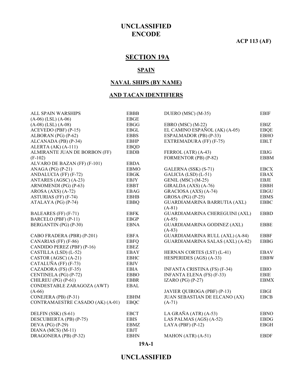**ACP 113 (AF)**

# **SECTION 19A**

#### **SPAIN**

#### **NAVAL SHIPS (BY NAME)**

#### **AND TACAN IDENTIFIERS**

| ALL SPAIN WARSHIPS               | <b>EBBB</b> | DUERO (MSC) (M-35)                      | <b>EBIF</b> |
|----------------------------------|-------------|-----------------------------------------|-------------|
| $(A-06)$ (LSL) $(A-06)$          | <b>EBGE</b> |                                         |             |
| $(A-08)$ (LSL) $(A-08)$          | <b>EBGG</b> | EBRO (MSC) (M-22)                       | EBIZ        |
| ACEVEDO (PBF) (P-15)             | <b>EBGL</b> | EL CAMINO ESPAÑOL (AK) (A-05)           | <b>EBQE</b> |
| ALBORAN (PG) (P-62)              | <b>EBBS</b> | ESPALMADOR (PB) (P-33)                  | <b>EBHO</b> |
| ALCANADA (PB) (P-34)             | <b>EBHP</b> | EXTREMADURA (FF) (F-75)                 | <b>EBLT</b> |
| ALERTA (AK) (A-111)              | <b>EBQD</b> |                                         |             |
| ALMIRANTE JUAN DE BORBON (FF)    | <b>EBDB</b> | FERROL (ATR) (A-43)                     | <b>EBJG</b> |
| $(F-102)$                        |             | FORMENTOR (PB) (P-82)                   | <b>EBBM</b> |
| ALVARO DE BAZAN (FF) (F-101)     | <b>EBDA</b> |                                         |             |
| ANAGA (PG) $(P-21)$              | <b>EBMO</b> | GALERNA (SSK) (S-71)                    | <b>EBCX</b> |
| ANDALUCIA (FF) (F-72)            | <b>EBGK</b> | GALICIA (LSD) (L-51)                    | <b>EBAX</b> |
| ANTARES (AGSC) (A-23)            | <b>EBJY</b> | GENIL (MSC) (M-25)                      | <b>EBJE</b> |
| ARNOMENDI (PG) (P-63)            | <b>EBBT</b> | GIRALDA (AXS) (A-76)                    | <b>EBBH</b> |
| AROSA (AXS) (A-72)               | <b>EBAG</b> | GRACIOSA (AXS) (A-74)                   | <b>EBGU</b> |
| ASTURIAS (FF) (F-74)             | <b>EBHB</b> | GROSA (PG) $(P-25)$                     | <b>EBMS</b> |
| ATALAYA (PG) (P-74)              | <b>EBBQ</b> | GUARDIAMARINA BARRUTIA (AXL)            | <b>EBBC</b> |
|                                  |             | $(A-81)$                                |             |
| BALEARES (FF) (F-71)             | <b>EBFK</b> | <b>GUARDIAMARINA CHEREGUINI (AXL)</b>   | <b>EBBD</b> |
| BARCELO (PBF) (P-11)             | <b>EBGP</b> | $(A-85)$                                |             |
| BERGANTIN (PG) (P-30)            | <b>EBNA</b> | <b>GUARDIAMARINA GODINEZ (AXL)</b>      | <b>EBBE</b> |
|                                  |             | $(A-83)$                                |             |
| CABO FRADERA (PBR) (P-201)       | <b>EBFA</b> | GUARDIAMARINA RULL (AXL) (A-84)         | <b>EBBF</b> |
| CANARIAS (FF) (F-86)             | <b>EBFQ</b> | <b>GUARDIAMARINA SALAS (AXL) (A-82)</b> | <b>EBBG</b> |
| CANDIDO PEREZ (PBF) (P-16)       | <b>EBEZ</b> |                                         |             |
| CASTILLA (LSD) (L-52)            | EBAY        | HERNAN CORTES (LST) (L-41)              | <b>EBAV</b> |
| CASTOR (AGSC) (A-21)             | <b>EBHC</b> | HESPERIDES (AGS) (A-33)                 | <b>EBBW</b> |
| CATALUÑA (FF) (F-73)             | <b>EBJV</b> |                                         |             |
| CAZADORA (FS) (F-35)             | <b>EBIA</b> | <b>INFANTA CRISTINA (FS) (F-34)</b>     | <b>EBIO</b> |
| CENTINELA (PG) (P-72)            | <b>EBBO</b> | <b>INFANTA ELENA (FS) (F-33)</b>        | <b>EBIE</b> |
| CHILREU (PG) (P-61)              | <b>EBBR</b> | IZARO (PG) $(P-27)$                     | <b>EBMX</b> |
| CONDESTABLE ZARAGOZA (AWT)       | <b>EBAL</b> |                                         |             |
| $(A-66)$                         |             | JAVIER QUIROGA (PBF) (P-13)             | <b>EBGI</b> |
| CONEJERA (PB) (P-31)             | <b>EBHM</b> | <b>JUAN SEBASTIAN DE ELCANO (AX)</b>    | <b>EBCB</b> |
| CONTRAMAESTRE CASADO (AK) (A-01) | <b>EBQC</b> | $(A-71)$                                |             |
| DELFIN (SSK) (S-61)              | <b>EBCT</b> | LA GRAÑA (ATR) $(A-53)$                 | <b>EBNO</b> |
| DESCUBIERTA (PB) (P-75)          | <b>EBIS</b> | LAS PALMAS (AGS) (A-52)                 | <b>EBDG</b> |
| DEVA (PG) (P-29)                 | EBMZ        | LAYA (PBF) $(P-12)$                     | <b>EBGH</b> |
| $DIANA(MCS) (M-11)$              | <b>EBJT</b> |                                         |             |
| DRAGONERA (PB) (P-32)            | <b>EBHN</b> | MAHON (ATR) (A-51)                      | <b>EBDF</b> |
|                                  |             |                                         |             |

#### **19A-1**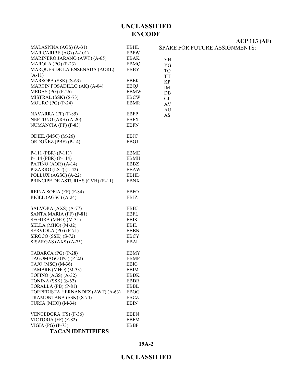YH YG TQ TH KP IM DB CJ AV AU AS

| MALASPINA (AGS) (A-31)            | EBHL        |
|-----------------------------------|-------------|
| MAR CARIBE (AG) (A-101)           | EBFW        |
| MARINERO JARANO (AWT) (A-65)      | EBAK        |
| MAROLA (PG) (P-23)                | <b>EBMQ</b> |
| MARQUES DE LA ENSENADA (AORL)     | <b>EBBY</b> |
| $(A-11)$                          |             |
| MARSOPA (SSK) (S-63)              | <b>EBEK</b> |
| MARTIN POSADILLO (AK) (A-04)      | <b>EBQJ</b> |
| MEDAS (PG) $(P-26)$               | <b>EBMW</b> |
| MISTRAL (SSK) (S-73)              | <b>EBCW</b> |
| MOURO (PG) (P-24)                 | <b>EBMR</b> |
|                                   |             |
| NAVARRA (FF) (F-85)               | <b>EBFP</b> |
| NEPTUNO (ARS) (A-20)              | <b>EBFX</b> |
| NUMANCIA (FF) (F-83)              | EBFN        |
|                                   |             |
| ODIEL (MSC) (M-26)                | <b>EBJC</b> |
| ORDOÑEZ (PBF) (P-14)              | EBGJ        |
| $P-111$ (PBR) (P-111)             | <b>EBME</b> |
| P-114 (PBR) (P-114)               | EBMH        |
| PATIÑO (AOR) (A-14)               | EBBZ        |
| PIZARRO (LST) (L-42)              | <b>EBAW</b> |
| POLLUX (AGSC) (A-22)              | <b>EBHD</b> |
| PRINCIPE DE ASTURIAS (CVH) (R-11) | EBNX        |
|                                   |             |
| REINA SOFIA (FF) (F-84)           | <b>EBFO</b> |
| RIGEL (AGSC) (A-24)               | EBJZ        |
|                                   |             |
| SALVORA (AXS) (A-77)              | <b>EBBJ</b> |
| SANTA MARIA (FF) (F-81)           | <b>EBFL</b> |
| SEGURA (MHO) (M-31)               | <b>EBIK</b> |
| SELLA (MHO) (M-32)                | EBIL        |
| SERVIOLA (PG) (P-71)              | EBBN        |
| SIROCO (SSK) (S-72)               | <b>EBCY</b> |
| SISARGAS (AXS) (A-75)             | EBAI        |
|                                   |             |
| TABARCA (PG) (P-28)               | EBMY        |
| TAGOMAGO (PG) (P-22)              | EBMP        |
| TAJO (MSC) (M-36)                 | <b>EBIG</b> |
| TAMBRE (MHO) (M-33)               | <b>EBIM</b> |
| TOFIÑO (AGS) (A-32)               | EBDK        |
| TONINA (SSK) (S-62)               | EBDR        |
| TORALLA (PB) (P-81)               | EBBL        |
| TORPEDISTA HERNANDEZ (AWT) (A-63) | <b>EBOG</b> |

**ACP 113 (AF)**

SPARE FOR FUTURE ASSIGNMENTS:

**19A-2**

**UNCLASSIFIED**

#### **TACAN IDENTIFIERS**

TRAMONTANA (SSK) (S-74) EBCZ<br>TURIA (MHO) (M-34) EBIN

VENCEDORA (FS) (F-36) EBEN<br>VICTORIA (FF) (F-82) EBFM VICTORIA (FF) (F-82) EBFM<br>VIGIA (PG) (P-73) EBBP

TURIA (MHO)  $(M-34)$ 

VIGIA (PG)  $(P-73)$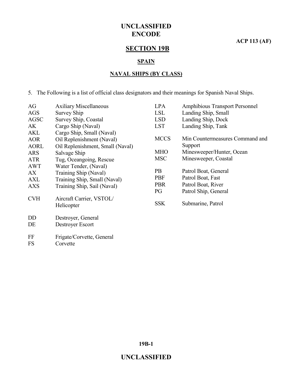**ACP 113 (AF)**

# **SECTION 19B**

#### **SPAIN**

#### **NAVAL SHIPS (BY CLASS)**

5. The Following is a list of official class designators and their meanings for Spanish Naval Ships.

| AG          | <b>Axiliary Miscellaneous</b>    | <b>LPA</b>  | <b>Amphibious Transport Personnel</b> |
|-------------|----------------------------------|-------------|---------------------------------------|
| AGS         | Survey Ship                      | <b>LSL</b>  | Landing Ship, Small                   |
| <b>AGSC</b> | Survey Ship, Coastal             | <b>LSD</b>  | Landing Ship, Dock                    |
| AK          | Cargo Ship (Naval)               | <b>LST</b>  | Landing Ship, Tank                    |
| AKL         | Cargo Ship, Small (Naval)        |             |                                       |
| <b>AOR</b>  | Oil Replenishment (Naval)        | <b>MCCS</b> | Min Countermeasures Command and       |
| <b>AORL</b> | Oil Replenishment, Small (Naval) |             | Support                               |
| <b>ARS</b>  | Salvage Ship                     | <b>MHO</b>  | Minesweeper/Hunter, Ocean             |
| <b>ATR</b>  | Tug, Oceangoing, Rescue          | <b>MSC</b>  | Minesweeper, Coastal                  |
| <b>AWT</b>  | Water Tender, (Naval)            |             |                                       |
| AX          | Training Ship (Naval)            | <b>PB</b>   | Patrol Boat, General                  |
| AXL         | Training Ship, Small (Naval)     | <b>PBF</b>  | Patrol Boat, Fast                     |
| <b>AXS</b>  | Training Ship, Sail (Naval)      | <b>PBR</b>  | Patrol Boat, River                    |
|             |                                  | PG          | Patrol Ship, General                  |
| <b>CVH</b>  | Aircraft Carrier, VSTOL/         |             |                                       |
|             | Helicopter                       | <b>SSK</b>  | Submarine, Patrol                     |
|             |                                  |             |                                       |
| DD          | Destroyer, General               |             |                                       |
| DE          | Destroyer Escort                 |             |                                       |
|             |                                  |             |                                       |
| FF          | Frigate/Corvette, General        |             |                                       |
| FS          | Corvette                         |             |                                       |

**19B-1**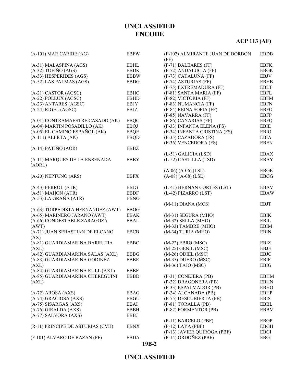# **ACP 113 (AF)**

| $(A-101)$ MAR CARIBE $(AG)$       | <b>EBFW</b> | (F-102) ALMIRANTE JUAN DE BORBON<br>(FF)    | <b>EBDB</b> |
|-----------------------------------|-------------|---------------------------------------------|-------------|
| (A-31) MALASPINA (AGS)            | EBHL        | (F-71) BALEARES (FF)                        | <b>EBFK</b> |
| $(A-32)$ TOFIÑO $(AGS)$           | <b>EBDK</b> | (F-72) ANDALUCIA (FF)                       | <b>EBGK</b> |
| (A-33) HESPERIDES (AGS)           | <b>EBBW</b> | (F-73) CATALUÑA (FF)                        | EBJV        |
| (A-52) LAS PALMAS (AGS)           | <b>EBDG</b> | (F-74) ASTURIAS (FF)                        | <b>EBHB</b> |
|                                   |             | (F-75) EXTREMADURA (FF)                     | <b>EBLT</b> |
| (A-21) CASTOR (AGSC)              | <b>EBHC</b> | (F-81) SANTA MARIA (FF)                     | <b>EBFL</b> |
| (A-22) POLLUX (AGSC)              | <b>EBHD</b> | (F-82) VICTORIA (FF)                        | <b>EBFM</b> |
| (A-23) ANTARES (AGSC)             | <b>EBJY</b> | (F-83) NUMANCIA (FF)                        | <b>EBFN</b> |
| $(A-24)$ RIGEL $(AGSC)$           | EBJZ        | (F-84) REINA SOFIA (FF)                     | <b>EBFO</b> |
|                                   |             |                                             | <b>EBFP</b> |
|                                   |             | (F-85) NAVARRA (FF)<br>(F-86) CANARIAS (FF) |             |
| (A-01) CONTRAMAESTRE CASADO (AK)  | <b>EBQC</b> |                                             | <b>EBFQ</b> |
| (A-04) MARTIN POSADILLO (AK)      | <b>EBQJ</b> | (F-33) INFANTA ELENA (FS)                   | EBIE        |
| (A-05) EL CAMINO ESPAÑOL (AK)     | <b>EBQE</b> | (F-34) INFANTA CRISTINA (FS)                | <b>EBIO</b> |
| $(A-111)$ ALERTA $(AK)$           | <b>EBQD</b> | (F-35) CAZADORA (FS)                        | EBIA        |
| $(A-14)$ PATIÑO $(AOR)$           | <b>EBBZ</b> | (F-36) VENCEDORA (FS)                       | <b>EBEN</b> |
|                                   |             | (L-51) GALICIA (LSD)                        | <b>EBAX</b> |
| (A-11) MARQUES DE LA ENSENADA     | <b>EBBY</b> | (L-52) CASTILLA (LSD)                       | <b>EBAY</b> |
| (AORL)                            |             |                                             |             |
|                                   |             | $(A-06) (A-06) (LSL)$                       | <b>EBGE</b> |
| (A-20) NEPTUNO (ARS)              | <b>EBFX</b> | $(A-08) (A-08) (LSL)$                       | <b>EBGG</b> |
|                                   |             |                                             |             |
| $(A-43) FERROL (ATR)$             | EBJG        | (L-41) HERNAN CORTES (LST)                  | <b>EBAV</b> |
| $(A-51)$ MAHON $(ATR)$            | <b>EBDF</b> | (L-42) PIZARRO (LST)                        | <b>EBAW</b> |
| $(A-53)$ LA GRAÑA (ATR)           | <b>EBNO</b> |                                             |             |
|                                   |             | $(M-11)$ DIANA $(MCS)$                      | <b>EBJT</b> |
| (A-63) TORPEDISTA HERNANDEZ (AWT) | <b>EBOG</b> |                                             |             |
| (A-65) MARINERO JARANO (AWT)      | <b>EBAK</b> | (M-31) SEGURA (MHO)                         | <b>EBIK</b> |
| (A-66) CONDESTABLE ZARAGOZA       | EBAL        | $(M-32)$ SELLA $(MHO)$                      | EBIL        |
| (AWT)                             |             | (M-33) TAMBRE (MHO)                         | <b>EBIM</b> |
| (A-71) JUAN SEBASTIAN DE ELCANO   | <b>EBCB</b> | (M-34) TURIA (MHO)                          | <b>EBIN</b> |
| (AX)                              |             |                                             |             |
| (A-81) GUARDIAMARINA BARRUTIA     | <b>EBBC</b> | $(M-22)$ EBRO $(MSC)$                       | EBIZ        |
| (AXL)                             |             | $(M-25)$ GENIL $(MSC)$                      | <b>EBJE</b> |
| (A-82) GUARDIAMARINA SALAS (AXL)  | <b>EBBG</b> | (M-26) ODIEL (MSC)                          | <b>EBJC</b> |
| (A-83) GUARDIAMARINA GODINEZ      | <b>EBBE</b> | (M-35) DUERO (MSC)                          | <b>EBIF</b> |
| (AXL)                             |             | $(M-36)$ TAJO $(MSC)$                       | <b>EBIG</b> |
| (A-84) GUARDIAMARINA RULL (AXL)   | <b>EBBF</b> |                                             |             |
| (A-85) GUARDIAMARINA CHEREGUINI   | <b>EBBD</b> | (P-31) CONEJERA (PB)                        | <b>EBHM</b> |
| (AXL)                             |             | (P-32) DRAGONERA (PB)                       | <b>EBHN</b> |
|                                   |             | (P-33) ESPALMADOR (PB)                      | <b>EBHO</b> |
| $(A-72)$ AROSA $(AXS)$            | <b>EBAG</b> | (P-34) ALCANADA (PB)                        | <b>EBHP</b> |
| (A-74) GRACIOSA (AXS)             | <b>EBGU</b> | (P-75) DESCUBIERTA (PB)                     | <b>EBIS</b> |
| $(A-75)$ SISARGAS $(AXS)$         | EBAI        | (P-81) TORALLA (PB)                         | <b>EBBL</b> |
| $(A-76)$ GIRALDA $(AXS)$          | <b>EBBH</b> | (P-82) FORMENTOR (PB)                       | <b>EBBM</b> |
| (A-77) SALVORA (AXS)              | <b>EBBJ</b> |                                             |             |
|                                   |             | (P-11) BARCELO (PBF)                        | EBGP        |
| (R-11) PRINCIPE DE ASTURIAS (CVH) | <b>EBNX</b> | $(P-12)$ LAYA (PBF)                         | <b>EBGH</b> |
|                                   |             | (P-13) JAVIER QUIROGA (PBF)                 | EBGI        |
| (F-101) ALVARO DE BAZAN (FF)      | <b>EBDA</b> | (P-14) ORDOÑEZ (PBF)                        | EBGJ        |
|                                   |             |                                             |             |

# **19B-2**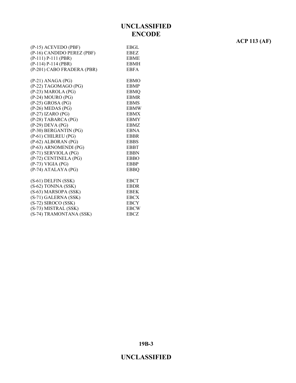#### (P-15) ACEVEDO (PBF) EBGL (P-16) CANDIDO PEREZ (PBF) EBEZ (P-111) P-111 (PBR) EBME (P-114) P-114 (PBR) EBMH (P-201) CABO FRADERA (PBR) EBFA (P-21) ANAGA (PG) EBMO (P-22) TAGOMAGO (PG) EBMP (P-23) MAROLA (PG) EBMQ (P-24) MOURO (PG) EBMR (P-25) GROSA (PG) EBMS (P-26) MEDAS (PG) EBMW (P-27) IZARO (PG) EBMX (P-28) TABARCA (PG) EBMY (P-29) DEVA (PG) EBMZ (P-30) BERGANTIN (PG) EBNA (P-61) CHILREU (PG) EBBR (P-62) ALBORAN (PG) EBBS (P-63) ARNOMENDI (PG) EBBT (P-71) SERVIOLA (PG) EBBN (P-72) CENTINELA (PG) EBBO (P-73) VIGIA (PG) EBBP (P-74) ATALAYA (PG) EBBQ (S-61) DELFIN (SSK) EBCT (S-62) TONINA (SSK) EBDR (S-63) MARSOPA (SSK) EBEK (S-71) GALERNA (SSK) EBCX (S-72) SIROCO (SSK) EBCY (S-73) MISTRAL (SSK) EBCW (S-74) TRAMONTANA (SSK) EBCZ

**ACP 113 (AF)**

**19B-3**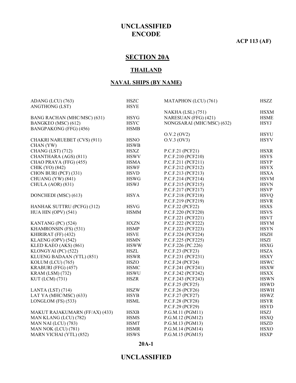#### **ACP 113 (AF)**

# **SECTION 20A**

#### **THAILAND**

#### **NAVAL SHIPS (BY NAME)**

| <b>ANGTHONG (LST)</b><br><b>HSYE</b><br>NAKHA (LSL) (751)<br><b>HSXM</b><br>BANG RACHAN (MHC/MSC) (631)<br>NARESUAN (FFG) (421)<br><b>HSYG</b><br><b>HSME</b><br><b>HSYC</b><br>NONGSARAI (MHC/MSC) (632)<br><b>HSYJ</b><br>BANGKEO (MSC) (612)<br>BANGPAKONG (FFG) (456)<br><b>HSMB</b><br>O.V.2 (OV2)<br><b>HSYU</b><br>CHAKRI NARUEBET (CVS) (911)<br><b>HSNO</b><br>O.V.3 (OV3)<br><b>HSYV</b><br>CHAN (YW)<br><b>HSWB</b><br>CHANG (LST) (712)<br><b>HSXR</b><br><b>HSXZ</b><br>P.C.F.21 (PCF21)<br><b>HSYS</b><br>CHANTHARA (AGS) (811)<br><b>HSWV</b><br>P.C.F.210 (PCF210)<br><b>HSYP</b><br>P.C.F.211 (PCF211)<br>CHAO PRAYA (FFG) (455)<br><b>HSMA</b><br><b>HSYX</b><br>CHIK (YO) (842)<br><b>HSWF</b><br>P.C.F.212 (PCF212)<br><b>HSXA</b><br>CHON BURI (PCF) (331)<br><b>HSVD</b><br>P.C.F.213 (PCF213)<br><b>HSWG</b><br><b>HSVM</b><br>CHUANG (YW) (841)<br>P.C.F.214 (PCF214)<br><b>HSWJ</b><br><b>HSVN</b><br>CHULA (AOR) (831)<br>P.C.F.215 (PCF215)<br><b>HSVP</b><br>P.C.F.217 (PCF217)<br><b>HSYA</b><br><b>HSVQ</b><br>DONCHEDI (MSC) (613)<br>P.C.F.218 (PCF218)<br>P.C.F.219 (PCF219)<br><b>HSVR</b><br><b>HSXS</b><br>HANHAK SUTTRU (PCFG) (312)<br><b>HSVG</b><br>P.C.F.22 (PCF22)<br><b>HSVS</b><br>HUA HIN (OPV) (541)<br>P.C.F.220 (PCF220)<br><b>HSMM</b><br><b>HSVT</b><br>P.C.F.221 (PCF221)<br>KANTANG (PC) (524)<br><b>HXZN</b><br>P.C.F.222 (PCF222)<br><b>HSYM</b><br>KHAMRONSIN (FS) (531)<br><b>HSYN</b><br><b>HSMP</b><br>P.C.F.223 (PCF223)<br><b>HSZH</b><br><b>HSVE</b><br>P.C.F.224 (PCF224)<br>KHIRIRAT (FF) (432)<br><b>HSZI</b><br>KLAENG (OPV) (542)<br><b>HSMN</b><br>P.C.F.225 (PCF225)<br><b>HSXG</b><br>KLED KAEO (AKS) (861)<br><b>HSWW</b><br>P.C.F.226 (PC.226)<br><b>HSZA</b><br><b>HSZL</b><br>P.C.F.23 (PCF23)<br>KLONGYAI (PC) (522)<br><b>HSXY</b><br>KLUENG BADAAN (YTL) (851)<br><b>HSWR</b><br>P.C.F.231 (PCF231)<br><b>HSWC</b><br><b>HSZO</b><br>P.C.F.24 (PCF24)<br>KOLUM (LCU) (765)<br><b>HSMC</b><br>KRABURI (FFG) (457)<br>P.C.F.241 (PCF241)<br><b>HSXW</b><br><b>HSWU</b><br><b>HSXX</b><br><b>KRAM (LSM) (732)</b><br>P.C.F.242 (PCF242)<br><b>HSZR</b><br>P.C.F.243 (PCF243)<br><b>HSWN</b><br>KUT (LCM) (731)<br>P.C.F.25 (PCF25)<br><b>HSWD</b><br>LANTA (LST) $(714)$<br><b>HSZW</b><br>P.C.F.26 (PCF26)<br><b>HSWH</b><br>P.C.F.27 (PCF27)<br>LAT YA (MHC/MSC) (633)<br><b>HSYB</b><br><b>HSWZ</b><br>LONGLOM $(FS)$ (533)<br><b>HSML</b><br>P.C.F.28 (PCF28)<br><b>HSYR</b><br>P.C.F.29 (PCF29)<br><b>HSYD</b><br><b>HSZJ</b><br>MAKUT RAJAKUMARN (FF/AX) (433)<br>P.G.M.11 (PGM11)<br><b>HSXB</b><br><b>HSXQ</b><br>MAN KLANG (LCU) (782)<br><b>HSMS</b><br>P.G.M.12 (PGM12)<br><b>HSZD</b><br><b>HSMT</b><br>MAN NAI (LCU) (783)<br>P.G.M.13 (PGM13)<br>P.G.M.14 (PGM14)<br><b>HSXO</b><br>MAN NOK (LCU) (781)<br><b>HSMR</b><br><b>HSWS</b><br><b>HSXP</b><br>MARN VICHAI (YTL) (852)<br>P.G.M.15 (PGM15) | ADANG (LCU) (763) | <b>HSZC</b> | MATAPHON (LCU) (761) | <b>HSZZ</b> |
|--------------------------------------------------------------------------------------------------------------------------------------------------------------------------------------------------------------------------------------------------------------------------------------------------------------------------------------------------------------------------------------------------------------------------------------------------------------------------------------------------------------------------------------------------------------------------------------------------------------------------------------------------------------------------------------------------------------------------------------------------------------------------------------------------------------------------------------------------------------------------------------------------------------------------------------------------------------------------------------------------------------------------------------------------------------------------------------------------------------------------------------------------------------------------------------------------------------------------------------------------------------------------------------------------------------------------------------------------------------------------------------------------------------------------------------------------------------------------------------------------------------------------------------------------------------------------------------------------------------------------------------------------------------------------------------------------------------------------------------------------------------------------------------------------------------------------------------------------------------------------------------------------------------------------------------------------------------------------------------------------------------------------------------------------------------------------------------------------------------------------------------------------------------------------------------------------------------------------------------------------------------------------------------------------------------------------------------------------------------------------------------------------------------------------------------------------------------------------------------------------------------------------------------------------------------------------------------------------------------------------------------------------------------------------------------------------------------------------------------------------------------------------------------------------------------------------------------------------------------------------------------------|-------------------|-------------|----------------------|-------------|
|                                                                                                                                                                                                                                                                                                                                                                                                                                                                                                                                                                                                                                                                                                                                                                                                                                                                                                                                                                                                                                                                                                                                                                                                                                                                                                                                                                                                                                                                                                                                                                                                                                                                                                                                                                                                                                                                                                                                                                                                                                                                                                                                                                                                                                                                                                                                                                                                                                                                                                                                                                                                                                                                                                                                                                                                                                                                                            |                   |             |                      |             |
|                                                                                                                                                                                                                                                                                                                                                                                                                                                                                                                                                                                                                                                                                                                                                                                                                                                                                                                                                                                                                                                                                                                                                                                                                                                                                                                                                                                                                                                                                                                                                                                                                                                                                                                                                                                                                                                                                                                                                                                                                                                                                                                                                                                                                                                                                                                                                                                                                                                                                                                                                                                                                                                                                                                                                                                                                                                                                            |                   |             |                      |             |
|                                                                                                                                                                                                                                                                                                                                                                                                                                                                                                                                                                                                                                                                                                                                                                                                                                                                                                                                                                                                                                                                                                                                                                                                                                                                                                                                                                                                                                                                                                                                                                                                                                                                                                                                                                                                                                                                                                                                                                                                                                                                                                                                                                                                                                                                                                                                                                                                                                                                                                                                                                                                                                                                                                                                                                                                                                                                                            |                   |             |                      |             |
|                                                                                                                                                                                                                                                                                                                                                                                                                                                                                                                                                                                                                                                                                                                                                                                                                                                                                                                                                                                                                                                                                                                                                                                                                                                                                                                                                                                                                                                                                                                                                                                                                                                                                                                                                                                                                                                                                                                                                                                                                                                                                                                                                                                                                                                                                                                                                                                                                                                                                                                                                                                                                                                                                                                                                                                                                                                                                            |                   |             |                      |             |
|                                                                                                                                                                                                                                                                                                                                                                                                                                                                                                                                                                                                                                                                                                                                                                                                                                                                                                                                                                                                                                                                                                                                                                                                                                                                                                                                                                                                                                                                                                                                                                                                                                                                                                                                                                                                                                                                                                                                                                                                                                                                                                                                                                                                                                                                                                                                                                                                                                                                                                                                                                                                                                                                                                                                                                                                                                                                                            |                   |             |                      |             |
|                                                                                                                                                                                                                                                                                                                                                                                                                                                                                                                                                                                                                                                                                                                                                                                                                                                                                                                                                                                                                                                                                                                                                                                                                                                                                                                                                                                                                                                                                                                                                                                                                                                                                                                                                                                                                                                                                                                                                                                                                                                                                                                                                                                                                                                                                                                                                                                                                                                                                                                                                                                                                                                                                                                                                                                                                                                                                            |                   |             |                      |             |
|                                                                                                                                                                                                                                                                                                                                                                                                                                                                                                                                                                                                                                                                                                                                                                                                                                                                                                                                                                                                                                                                                                                                                                                                                                                                                                                                                                                                                                                                                                                                                                                                                                                                                                                                                                                                                                                                                                                                                                                                                                                                                                                                                                                                                                                                                                                                                                                                                                                                                                                                                                                                                                                                                                                                                                                                                                                                                            |                   |             |                      |             |
|                                                                                                                                                                                                                                                                                                                                                                                                                                                                                                                                                                                                                                                                                                                                                                                                                                                                                                                                                                                                                                                                                                                                                                                                                                                                                                                                                                                                                                                                                                                                                                                                                                                                                                                                                                                                                                                                                                                                                                                                                                                                                                                                                                                                                                                                                                                                                                                                                                                                                                                                                                                                                                                                                                                                                                                                                                                                                            |                   |             |                      |             |
|                                                                                                                                                                                                                                                                                                                                                                                                                                                                                                                                                                                                                                                                                                                                                                                                                                                                                                                                                                                                                                                                                                                                                                                                                                                                                                                                                                                                                                                                                                                                                                                                                                                                                                                                                                                                                                                                                                                                                                                                                                                                                                                                                                                                                                                                                                                                                                                                                                                                                                                                                                                                                                                                                                                                                                                                                                                                                            |                   |             |                      |             |
|                                                                                                                                                                                                                                                                                                                                                                                                                                                                                                                                                                                                                                                                                                                                                                                                                                                                                                                                                                                                                                                                                                                                                                                                                                                                                                                                                                                                                                                                                                                                                                                                                                                                                                                                                                                                                                                                                                                                                                                                                                                                                                                                                                                                                                                                                                                                                                                                                                                                                                                                                                                                                                                                                                                                                                                                                                                                                            |                   |             |                      |             |
|                                                                                                                                                                                                                                                                                                                                                                                                                                                                                                                                                                                                                                                                                                                                                                                                                                                                                                                                                                                                                                                                                                                                                                                                                                                                                                                                                                                                                                                                                                                                                                                                                                                                                                                                                                                                                                                                                                                                                                                                                                                                                                                                                                                                                                                                                                                                                                                                                                                                                                                                                                                                                                                                                                                                                                                                                                                                                            |                   |             |                      |             |
|                                                                                                                                                                                                                                                                                                                                                                                                                                                                                                                                                                                                                                                                                                                                                                                                                                                                                                                                                                                                                                                                                                                                                                                                                                                                                                                                                                                                                                                                                                                                                                                                                                                                                                                                                                                                                                                                                                                                                                                                                                                                                                                                                                                                                                                                                                                                                                                                                                                                                                                                                                                                                                                                                                                                                                                                                                                                                            |                   |             |                      |             |
|                                                                                                                                                                                                                                                                                                                                                                                                                                                                                                                                                                                                                                                                                                                                                                                                                                                                                                                                                                                                                                                                                                                                                                                                                                                                                                                                                                                                                                                                                                                                                                                                                                                                                                                                                                                                                                                                                                                                                                                                                                                                                                                                                                                                                                                                                                                                                                                                                                                                                                                                                                                                                                                                                                                                                                                                                                                                                            |                   |             |                      |             |
|                                                                                                                                                                                                                                                                                                                                                                                                                                                                                                                                                                                                                                                                                                                                                                                                                                                                                                                                                                                                                                                                                                                                                                                                                                                                                                                                                                                                                                                                                                                                                                                                                                                                                                                                                                                                                                                                                                                                                                                                                                                                                                                                                                                                                                                                                                                                                                                                                                                                                                                                                                                                                                                                                                                                                                                                                                                                                            |                   |             |                      |             |
|                                                                                                                                                                                                                                                                                                                                                                                                                                                                                                                                                                                                                                                                                                                                                                                                                                                                                                                                                                                                                                                                                                                                                                                                                                                                                                                                                                                                                                                                                                                                                                                                                                                                                                                                                                                                                                                                                                                                                                                                                                                                                                                                                                                                                                                                                                                                                                                                                                                                                                                                                                                                                                                                                                                                                                                                                                                                                            |                   |             |                      |             |
|                                                                                                                                                                                                                                                                                                                                                                                                                                                                                                                                                                                                                                                                                                                                                                                                                                                                                                                                                                                                                                                                                                                                                                                                                                                                                                                                                                                                                                                                                                                                                                                                                                                                                                                                                                                                                                                                                                                                                                                                                                                                                                                                                                                                                                                                                                                                                                                                                                                                                                                                                                                                                                                                                                                                                                                                                                                                                            |                   |             |                      |             |
|                                                                                                                                                                                                                                                                                                                                                                                                                                                                                                                                                                                                                                                                                                                                                                                                                                                                                                                                                                                                                                                                                                                                                                                                                                                                                                                                                                                                                                                                                                                                                                                                                                                                                                                                                                                                                                                                                                                                                                                                                                                                                                                                                                                                                                                                                                                                                                                                                                                                                                                                                                                                                                                                                                                                                                                                                                                                                            |                   |             |                      |             |
|                                                                                                                                                                                                                                                                                                                                                                                                                                                                                                                                                                                                                                                                                                                                                                                                                                                                                                                                                                                                                                                                                                                                                                                                                                                                                                                                                                                                                                                                                                                                                                                                                                                                                                                                                                                                                                                                                                                                                                                                                                                                                                                                                                                                                                                                                                                                                                                                                                                                                                                                                                                                                                                                                                                                                                                                                                                                                            |                   |             |                      |             |
|                                                                                                                                                                                                                                                                                                                                                                                                                                                                                                                                                                                                                                                                                                                                                                                                                                                                                                                                                                                                                                                                                                                                                                                                                                                                                                                                                                                                                                                                                                                                                                                                                                                                                                                                                                                                                                                                                                                                                                                                                                                                                                                                                                                                                                                                                                                                                                                                                                                                                                                                                                                                                                                                                                                                                                                                                                                                                            |                   |             |                      |             |
|                                                                                                                                                                                                                                                                                                                                                                                                                                                                                                                                                                                                                                                                                                                                                                                                                                                                                                                                                                                                                                                                                                                                                                                                                                                                                                                                                                                                                                                                                                                                                                                                                                                                                                                                                                                                                                                                                                                                                                                                                                                                                                                                                                                                                                                                                                                                                                                                                                                                                                                                                                                                                                                                                                                                                                                                                                                                                            |                   |             |                      |             |
|                                                                                                                                                                                                                                                                                                                                                                                                                                                                                                                                                                                                                                                                                                                                                                                                                                                                                                                                                                                                                                                                                                                                                                                                                                                                                                                                                                                                                                                                                                                                                                                                                                                                                                                                                                                                                                                                                                                                                                                                                                                                                                                                                                                                                                                                                                                                                                                                                                                                                                                                                                                                                                                                                                                                                                                                                                                                                            |                   |             |                      |             |
|                                                                                                                                                                                                                                                                                                                                                                                                                                                                                                                                                                                                                                                                                                                                                                                                                                                                                                                                                                                                                                                                                                                                                                                                                                                                                                                                                                                                                                                                                                                                                                                                                                                                                                                                                                                                                                                                                                                                                                                                                                                                                                                                                                                                                                                                                                                                                                                                                                                                                                                                                                                                                                                                                                                                                                                                                                                                                            |                   |             |                      |             |
|                                                                                                                                                                                                                                                                                                                                                                                                                                                                                                                                                                                                                                                                                                                                                                                                                                                                                                                                                                                                                                                                                                                                                                                                                                                                                                                                                                                                                                                                                                                                                                                                                                                                                                                                                                                                                                                                                                                                                                                                                                                                                                                                                                                                                                                                                                                                                                                                                                                                                                                                                                                                                                                                                                                                                                                                                                                                                            |                   |             |                      |             |
|                                                                                                                                                                                                                                                                                                                                                                                                                                                                                                                                                                                                                                                                                                                                                                                                                                                                                                                                                                                                                                                                                                                                                                                                                                                                                                                                                                                                                                                                                                                                                                                                                                                                                                                                                                                                                                                                                                                                                                                                                                                                                                                                                                                                                                                                                                                                                                                                                                                                                                                                                                                                                                                                                                                                                                                                                                                                                            |                   |             |                      |             |
|                                                                                                                                                                                                                                                                                                                                                                                                                                                                                                                                                                                                                                                                                                                                                                                                                                                                                                                                                                                                                                                                                                                                                                                                                                                                                                                                                                                                                                                                                                                                                                                                                                                                                                                                                                                                                                                                                                                                                                                                                                                                                                                                                                                                                                                                                                                                                                                                                                                                                                                                                                                                                                                                                                                                                                                                                                                                                            |                   |             |                      |             |
|                                                                                                                                                                                                                                                                                                                                                                                                                                                                                                                                                                                                                                                                                                                                                                                                                                                                                                                                                                                                                                                                                                                                                                                                                                                                                                                                                                                                                                                                                                                                                                                                                                                                                                                                                                                                                                                                                                                                                                                                                                                                                                                                                                                                                                                                                                                                                                                                                                                                                                                                                                                                                                                                                                                                                                                                                                                                                            |                   |             |                      |             |
|                                                                                                                                                                                                                                                                                                                                                                                                                                                                                                                                                                                                                                                                                                                                                                                                                                                                                                                                                                                                                                                                                                                                                                                                                                                                                                                                                                                                                                                                                                                                                                                                                                                                                                                                                                                                                                                                                                                                                                                                                                                                                                                                                                                                                                                                                                                                                                                                                                                                                                                                                                                                                                                                                                                                                                                                                                                                                            |                   |             |                      |             |
|                                                                                                                                                                                                                                                                                                                                                                                                                                                                                                                                                                                                                                                                                                                                                                                                                                                                                                                                                                                                                                                                                                                                                                                                                                                                                                                                                                                                                                                                                                                                                                                                                                                                                                                                                                                                                                                                                                                                                                                                                                                                                                                                                                                                                                                                                                                                                                                                                                                                                                                                                                                                                                                                                                                                                                                                                                                                                            |                   |             |                      |             |
|                                                                                                                                                                                                                                                                                                                                                                                                                                                                                                                                                                                                                                                                                                                                                                                                                                                                                                                                                                                                                                                                                                                                                                                                                                                                                                                                                                                                                                                                                                                                                                                                                                                                                                                                                                                                                                                                                                                                                                                                                                                                                                                                                                                                                                                                                                                                                                                                                                                                                                                                                                                                                                                                                                                                                                                                                                                                                            |                   |             |                      |             |
|                                                                                                                                                                                                                                                                                                                                                                                                                                                                                                                                                                                                                                                                                                                                                                                                                                                                                                                                                                                                                                                                                                                                                                                                                                                                                                                                                                                                                                                                                                                                                                                                                                                                                                                                                                                                                                                                                                                                                                                                                                                                                                                                                                                                                                                                                                                                                                                                                                                                                                                                                                                                                                                                                                                                                                                                                                                                                            |                   |             |                      |             |
|                                                                                                                                                                                                                                                                                                                                                                                                                                                                                                                                                                                                                                                                                                                                                                                                                                                                                                                                                                                                                                                                                                                                                                                                                                                                                                                                                                                                                                                                                                                                                                                                                                                                                                                                                                                                                                                                                                                                                                                                                                                                                                                                                                                                                                                                                                                                                                                                                                                                                                                                                                                                                                                                                                                                                                                                                                                                                            |                   |             |                      |             |
|                                                                                                                                                                                                                                                                                                                                                                                                                                                                                                                                                                                                                                                                                                                                                                                                                                                                                                                                                                                                                                                                                                                                                                                                                                                                                                                                                                                                                                                                                                                                                                                                                                                                                                                                                                                                                                                                                                                                                                                                                                                                                                                                                                                                                                                                                                                                                                                                                                                                                                                                                                                                                                                                                                                                                                                                                                                                                            |                   |             |                      |             |
|                                                                                                                                                                                                                                                                                                                                                                                                                                                                                                                                                                                                                                                                                                                                                                                                                                                                                                                                                                                                                                                                                                                                                                                                                                                                                                                                                                                                                                                                                                                                                                                                                                                                                                                                                                                                                                                                                                                                                                                                                                                                                                                                                                                                                                                                                                                                                                                                                                                                                                                                                                                                                                                                                                                                                                                                                                                                                            |                   |             |                      |             |
|                                                                                                                                                                                                                                                                                                                                                                                                                                                                                                                                                                                                                                                                                                                                                                                                                                                                                                                                                                                                                                                                                                                                                                                                                                                                                                                                                                                                                                                                                                                                                                                                                                                                                                                                                                                                                                                                                                                                                                                                                                                                                                                                                                                                                                                                                                                                                                                                                                                                                                                                                                                                                                                                                                                                                                                                                                                                                            |                   |             |                      |             |
|                                                                                                                                                                                                                                                                                                                                                                                                                                                                                                                                                                                                                                                                                                                                                                                                                                                                                                                                                                                                                                                                                                                                                                                                                                                                                                                                                                                                                                                                                                                                                                                                                                                                                                                                                                                                                                                                                                                                                                                                                                                                                                                                                                                                                                                                                                                                                                                                                                                                                                                                                                                                                                                                                                                                                                                                                                                                                            |                   |             |                      |             |
|                                                                                                                                                                                                                                                                                                                                                                                                                                                                                                                                                                                                                                                                                                                                                                                                                                                                                                                                                                                                                                                                                                                                                                                                                                                                                                                                                                                                                                                                                                                                                                                                                                                                                                                                                                                                                                                                                                                                                                                                                                                                                                                                                                                                                                                                                                                                                                                                                                                                                                                                                                                                                                                                                                                                                                                                                                                                                            |                   |             |                      |             |
|                                                                                                                                                                                                                                                                                                                                                                                                                                                                                                                                                                                                                                                                                                                                                                                                                                                                                                                                                                                                                                                                                                                                                                                                                                                                                                                                                                                                                                                                                                                                                                                                                                                                                                                                                                                                                                                                                                                                                                                                                                                                                                                                                                                                                                                                                                                                                                                                                                                                                                                                                                                                                                                                                                                                                                                                                                                                                            |                   |             |                      |             |
|                                                                                                                                                                                                                                                                                                                                                                                                                                                                                                                                                                                                                                                                                                                                                                                                                                                                                                                                                                                                                                                                                                                                                                                                                                                                                                                                                                                                                                                                                                                                                                                                                                                                                                                                                                                                                                                                                                                                                                                                                                                                                                                                                                                                                                                                                                                                                                                                                                                                                                                                                                                                                                                                                                                                                                                                                                                                                            |                   |             |                      |             |
|                                                                                                                                                                                                                                                                                                                                                                                                                                                                                                                                                                                                                                                                                                                                                                                                                                                                                                                                                                                                                                                                                                                                                                                                                                                                                                                                                                                                                                                                                                                                                                                                                                                                                                                                                                                                                                                                                                                                                                                                                                                                                                                                                                                                                                                                                                                                                                                                                                                                                                                                                                                                                                                                                                                                                                                                                                                                                            |                   |             |                      |             |
|                                                                                                                                                                                                                                                                                                                                                                                                                                                                                                                                                                                                                                                                                                                                                                                                                                                                                                                                                                                                                                                                                                                                                                                                                                                                                                                                                                                                                                                                                                                                                                                                                                                                                                                                                                                                                                                                                                                                                                                                                                                                                                                                                                                                                                                                                                                                                                                                                                                                                                                                                                                                                                                                                                                                                                                                                                                                                            |                   |             |                      |             |
|                                                                                                                                                                                                                                                                                                                                                                                                                                                                                                                                                                                                                                                                                                                                                                                                                                                                                                                                                                                                                                                                                                                                                                                                                                                                                                                                                                                                                                                                                                                                                                                                                                                                                                                                                                                                                                                                                                                                                                                                                                                                                                                                                                                                                                                                                                                                                                                                                                                                                                                                                                                                                                                                                                                                                                                                                                                                                            |                   |             |                      |             |
|                                                                                                                                                                                                                                                                                                                                                                                                                                                                                                                                                                                                                                                                                                                                                                                                                                                                                                                                                                                                                                                                                                                                                                                                                                                                                                                                                                                                                                                                                                                                                                                                                                                                                                                                                                                                                                                                                                                                                                                                                                                                                                                                                                                                                                                                                                                                                                                                                                                                                                                                                                                                                                                                                                                                                                                                                                                                                            |                   |             |                      |             |

#### **20A-1**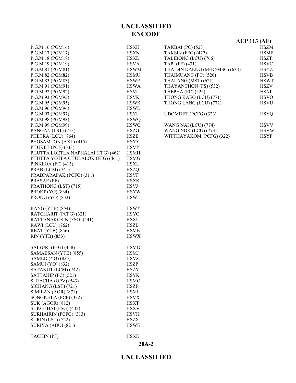| P.G.M.16 (PGM16)                   | <b>HSXH</b> |
|------------------------------------|-------------|
| P.G.M.17 (PGM17)                   | <b>HSXN</b> |
| P.G.M.18 (PGM18)                   | <b>HSXD</b> |
| P.G.M.19 (PGM19)                   | <b>HSVA</b> |
| P.G.M.81 (PGM81)                   | <b>HSWM</b> |
| P.G.M.82 (PGM82)                   | <b>HSMU</b> |
| P.G.M.83 (PGM83)                   | <b>HSWP</b> |
| P.G.M.91 (PGM91)                   | <b>HSWA</b> |
| P.G.M.92 (PGM92)                   | <b>HSVI</b> |
| P.G.M.93 (PGM93)                   | <b>HSVK</b> |
| P.G.M.95 (PGM95)                   | <b>HSWK</b> |
| P.G.M.96 (PGM96)                   | <b>HSWL</b> |
| P.G.M.97 (PGM97)                   | <b>HSYI</b> |
| P.G.M.98 (PGM98)                   | <b>HSWQ</b> |
| P.G.M.99 (PGM99)                   | <b>HSWO</b> |
| PANGAN (LST) (713)                 | <b>HSZG</b> |
| PHETRA (LCU) (764)                 | HSZE        |
| PHOSAMTON (AXL) (415)              | <b>HSYY</b> |
| PHUKET (PCF) (333)                 |             |
|                                    | <b>HSVY</b> |
| PHUTTA LOETLA NAPHALAI (FFG) (462) | <b>HSMH</b> |
| PHUTTA YOTFA CHULALOK (FFG) (461)  | <b>HSMG</b> |
| PINKLOA (FF) (413)                 | <b>HSXL</b> |
| PRAB (LCM) (741)                   | <b>HSZQ</b> |
| PRABPARAPAK (PCFG) (311)           | <b>HSVF</b> |
| PRASAE (PF)                        | <b>HSXK</b> |
| PRATHONG (LST) (715)               | <b>HSVJ</b> |
| PROET (YO) (834)                   | <b>HSYW</b> |
| PRONG (YO) (833)                   | <b>HSWI</b> |
| RANG (YTB) (854)                   | <b>HSWY</b> |
| RATCHARIT (PCFG) (321)             | <b>HSYO</b> |
| RATTANAKOSIN (FSG) (441)           | <b>HSXU</b> |
| RAWI (LCU) (762)                   | <b>HSZB</b> |
| <b>REAT (YTB) (856)</b>            | <b>HSMK</b> |
| RIN (YTB) (853)                    | <b>HSWX</b> |
| SAIBURI (FFG) (458)                | <b>HSMD</b> |
| SAMAESAN (YTB) (855)               | <b>HSMJ</b> |
| SAMED (YO) (835)                   | <b>HSVZ</b> |
| <b>SAMUI</b> (YO) (832)            | <b>HSZP</b> |
| SATAKUT (LCM) (742)                | HSZY        |
| SATTAHIP (PC) (521)                | <b>HSYK</b> |
| SI RACHA (OPV) (543)               | <b>HSMO</b> |
| SICHANG (LST) (721)                | <b>HSZF</b> |
| SIMILAN (AOR) (871)                | <b>HSMI</b> |
| SONGKHLA (PCF) (332)               | <b>HSVX</b> |
| <b>SUK (AGOR) (812)</b>            | <b>HSXT</b> |
| SUKOTHAI (FSG) (442)               | <b>HSXV</b> |
| SURHAIRIN (PCFG) (313)             | <b>HSVH</b> |
| <b>SURIN (LST) (722)</b>           | <b>HSZX</b> |
| SURIYA (ABU) (821)                 | <b>HSWE</b> |
|                                    |             |

| $ACP$ 113 (AF)                |             |
|-------------------------------|-------------|
| <b>TAKBAI</b> (PC) (523)      | <b>HSZM</b> |
| TAKSIN (FFG) (422)            | <b>HSMF</b> |
| TALIBONG (LCU) (766)          | <b>HSZT</b> |
| TAPI (FF) (431)               | <b>HSVC</b> |
| THA DIN DAENG (MHC/MSC) (634) | <b>HSYZ</b> |
| THAIMUANG (PC) (526)          | <b>HSVB</b> |
| THALANG (MST) (621)           | <b>HSWT</b> |
| THAYANCHON (FS) (532)         | <b>HSZV</b> |
| THEPHA (PC) (525)             | <b>HSXI</b> |
| THONG KAEO (LCU) (771)        | <b>HSVO</b> |
| THONG LANG (LCU) (772)        | <b>HSVU</b> |
| UDOMDET (PCFG) (323)          | <b>HSYO</b> |
| WANG NAI (LCU) (774)          | <b>HSVV</b> |
| WANG NOK (LCU) (773)          | <b>HSVW</b> |
| WITTHAYAKOM (PCFG) (322)      | <b>HSYF</b> |

TACHIN (PF) HSXE

**20A-2**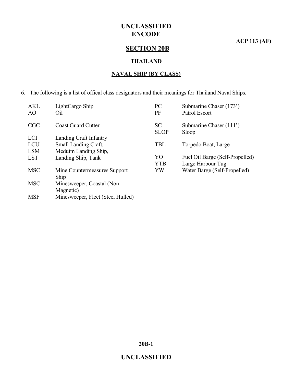**ACP 113 (AF)**

# **SECTION 20B**

#### **THAILAND**

#### **NAVAL SHIP (BY CLASS)**

6. The following is a list of offical class designators and their meanings for Thailand Naval Ships.

| <b>AKL</b><br>AO | LightCargo Ship<br>Oil            | PC<br>PF    | Submarine Chaser (173')<br>Patrol Escort |
|------------------|-----------------------------------|-------------|------------------------------------------|
|                  |                                   |             |                                          |
| <b>CGC</b>       | <b>Coast Guard Cutter</b>         | <b>SC</b>   | Submarine Chaser (111')                  |
|                  |                                   | <b>SLOP</b> | Sloop                                    |
| <b>LCI</b>       | Landing Craft Infantry            |             |                                          |
| <b>LCU</b>       | Small Landing Craft,              | <b>TBL</b>  | Torpedo Boat, Large                      |
| <b>LSM</b>       | Meduim Landing Ship,              |             |                                          |
| <b>LST</b>       | Landing Ship, Tank                | YO          | Fuel Oil Barge (Self-Propelled)          |
|                  |                                   | <b>YTB</b>  | Large Harbour Tug                        |
| <b>MSC</b>       | Mine Countermeasures Support      | YW          | Water Barge (Self-Propelled)             |
|                  | Ship                              |             |                                          |
| <b>MSC</b>       | Minesweeper, Coastal (Non-        |             |                                          |
|                  | Magnetic)                         |             |                                          |
| <b>MSF</b>       | Minesweeper, Fleet (Steel Hulled) |             |                                          |

**20B-1**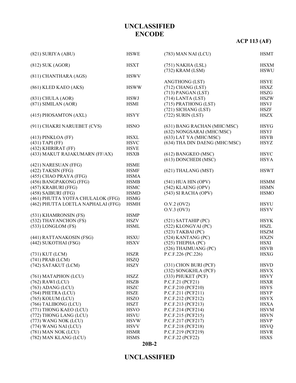# **ACP 113 (AF)**

| (821) SURIYA (ABU)                 | <b>HSWE</b> | (783) MAN NAI (LCU)           | <b>HSMT</b> |
|------------------------------------|-------------|-------------------------------|-------------|
| $(812)$ SUK (AGOR)                 | <b>HSXT</b> | $(751)$ NAKHA (LSL)           | <b>HSXM</b> |
|                                    |             | (732) KRAM (LSM)              | <b>HSWU</b> |
| (811) CHANTHARA (AGS)              | <b>HSWV</b> |                               |             |
|                                    |             | <b>ANGTHONG (LST)</b>         | <b>HSYE</b> |
| (861) KLED KAEO (AKS)              | <b>HSWW</b> | $(712)$ CHANG (LST)           | <b>HSXZ</b> |
|                                    |             | $(713)$ PANGAN (LST)          | <b>HSZG</b> |
| $(831)$ CHULA $(AOR)$              | <b>HSWJ</b> | $(714)$ LANTA (LST)           | <b>HSZW</b> |
| $(871)$ SIMILAN $(AOR)$            | <b>HSMI</b> | (715) PRATHONG (LST)          | <b>HSVJ</b> |
|                                    |             | (721) SICHANG (LST)           | <b>HSZF</b> |
| (415) PHOSAMTON (AXL)              | <b>HSYY</b> | $(722)$ SURIN $(LST)$         | <b>HSZX</b> |
| (911) CHAKRI NARUEBET (CVS)        | <b>HSNO</b> | (631) BANG RACHAN (MHC/MSC)   | <b>HSYG</b> |
|                                    |             | (632) NONGSARAI (MHC/MSC)     | <b>HSYJ</b> |
| $(413)$ PINKLOA (FF)               | <b>HSXL</b> | (633) LAT YA (MHC/MSC)        | <b>HSYB</b> |
| $(431)$ TAPI (FF)                  | <b>HSVC</b> | (634) THA DIN DAENG (MHC/MSC) | <b>HSYZ</b> |
| (432) KHIRIRAT (FF)                | <b>HSVE</b> |                               |             |
| (433) MAKUT RAJAKUMARN (FF/AX)     | <b>HSXB</b> | (612) BANGKEO (MSC)           | <b>HSYC</b> |
|                                    |             | (613) DONCHEDI (MSC)          | <b>HSYA</b> |
| (421) NARESUAN (FFG)               | <b>HSME</b> |                               |             |
| $(422)$ TAKSIN (FFG)               | <b>HSMF</b> | (621) THALANG (MST)           | <b>HSWT</b> |
| (455) CHAO PRAYA (FFG)             | <b>HSMA</b> |                               |             |
| (456) BANGPAKONG (FFG)             | <b>HSMB</b> | (541) HUA HIN (OPV)           | <b>HSMM</b> |
| (457) KRABURI (FFG)                | <b>HSMC</b> | (542) KLAENG (OPV)            | <b>HSMN</b> |
| (458) SAIBURI (FFG)                | <b>HSMD</b> | (543) SI RACHA (OPV)          | <b>HSMO</b> |
| (461) PHUTTA YOTFA CHULALOK (FFG)  | <b>HSMG</b> |                               |             |
| (462) PHUTTA LOETLA NAPHALAI (FFG) | <b>HSMH</b> | O.V.2 (OV2)                   | <b>HSYU</b> |
|                                    |             | O.V.3 (OV3)                   | <b>HSYV</b> |
| (531) KHAMRONSIN (FS)              | <b>HSMP</b> |                               |             |
| (532) THAYANCHON (FS)              | <b>HSZV</b> | $(521)$ SATTAHIP (PC)         | <b>HSYK</b> |
| (533) LONGLOM (FS)                 | <b>HSML</b> | (522) KLONGYAI (PC)           | <b>HSZL</b> |
|                                    |             | $(523)$ TAKBAI (PC)           | <b>HSZM</b> |
| (441) RATTANAKOSIN (FSG)           | <b>HSXU</b> | (524) KANTANG (PC)            | <b>HXZN</b> |
| (442) SUKOTHAI (FSG)               | <b>HSXV</b> | $(525)$ THEPHA (PC)           | <b>HSXI</b> |
|                                    |             | (526) THAIMUANG (PC)          | <b>HSVB</b> |
| (731) KUT (LCM)                    | <b>HSZR</b> | P.C.F.226 (PC.226)            | <b>HSXG</b> |
| $(741)$ PRAB (LCM)                 | <b>HSZQ</b> |                               |             |
| (742) SATAKUT (LCM)                | <b>HSZY</b> | (331) CHON BURI (PCF)         | <b>HSVD</b> |
|                                    |             | (332) SONGKHLA (PCF)          | <b>HSVX</b> |
| (761) MATAPHON (LCU)               | HSZZ        | (333) PHUKET (PCF)            | <b>HSVY</b> |
| $(762)$ RAWI (LCU)                 | <b>HSZB</b> | P.C.F.21 (PCF21)              | <b>HSXR</b> |
| $(763)$ ADANG (LCU)                | <b>HSZC</b> | P.C.F.210 (PCF210)            | <b>HSYS</b> |
| (764) PHETRA (LCU)                 | <b>HSZE</b> | P.C.F.211 (PCF211)            | <b>HSYP</b> |
| $(765)$ KOLUM $(LCU)$              | <b>HSZO</b> | P.C.F.212 (PCF212)            | <b>HSYX</b> |
| (766) TALIBONG (LCU)               | <b>HSZT</b> | P.C.F.213 (PCF213)            | <b>HSXA</b> |
| (771) THONG KAEO (LCU)             | <b>HSVO</b> | P.C.F.214 (PCF214)            | <b>HSVM</b> |
| (772) THONG LANG (LCU)             | <b>HSVU</b> | P.C.F.215 (PCF215)            | <b>HSVN</b> |
| (773) WANG NOK (LCU)               | <b>HSVW</b> | P.C.F.217 (PCF217)            | <b>HSVP</b> |
| (774) WANG NAI (LCU)               | <b>HSVV</b> | P.C.F.218 (PCF218)            | <b>HSVQ</b> |
| (781) MAN NOK (LCU)                | <b>HSMR</b> | P.C.F.219 (PCF219)            | <b>HSVR</b> |
| (782) MAN KLANG (LCU)              | <b>HSMS</b> | P.C.F.22 (PCF22)              | <b>HSXS</b> |
|                                    | $20B-2$     |                               |             |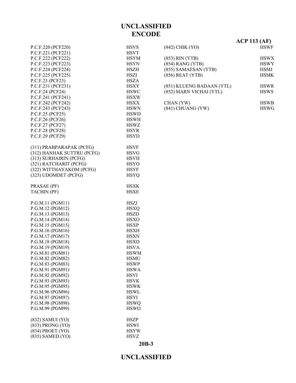#### P.C.F.220 (PCF220) HSVS P.C.F.221 (PCF221) HSVT P.C.F.222 (PCF222) HSYM P.C.F.223 (PCF223) HSYN P.C.F.224 (PCF224) HSZH P.C.F.225 (PCF225) HSZI P.C.F.23 (PCF23) HSZA P.C.F.231 (PCF231) HSXY P.C.F.24 (PCF24) HSWC P.C.F.241 (PCF241) HSXW P.C.F.242 (PCF242) HSXX P.C.F.243 (PCF243) HSWN P.C.F.25 (PCF25) HSWD P.C.F.26 (PCF26) HSWH P.C.F.27 (PCF27) HSWZ P.C.F.28 (PCF28) HSYR P.C.F.29 (PCF29) HSYD (311) PRABPARAPAK (PCFG) HSVF (312) HANHAK SUTTRU (PCFG) HSVG (313) SURHAIRIN (PCFG) HSVH (321) RATCHARIT (PCFG) HSYO (322) WITTHAYAKOM (PCFG) HSYF (323) UDOMDET (PCFG) HSYQ PRASAE (PF) HSXK TACHIN (PF) HSXE P.G.M.11 (PGM11) HSZJ P.G.M.12 (PGM12) HSXQ P.G.M.13 (PGM13) HSZD P.G.M.14 (PGM14) HSXO P.G.M.15 (PGM15) HSXP P.G.M.16 (PGM16) HSXH P.G.M.17 (PGM17) HSXN P.G.M.18 (PGM18) HSXD P.G.M.19 (PGM19) HSVA P.G.M.81 (PGM81) HSWM P.G.M.82 (PGM82) HSMU P.G.M.83 (PGM83) HSWP P.G.M.91 (PGM91) HSWA P.G.M.92 (PGM92) HSVI P.G.M.93 (PGM93) HSVK P.G.M.95 (PGM95) HSWK P.G.M.96 (PGM96) HSWL P.G.M.97 (PGM97) HSYI P.G.M.98 (PGM98) HSWQ P.G.M.99 (PGM99) HSWO (832) SAMUI (YO) HSZP (833) PRONG (YO) HSWI (834) PROET (YO) HSYW (835) SAMED (YO) HSVZ

|                           | $ACP$ 113 (AF) |
|---------------------------|----------------|
| (842) CHIK (YO)           | <b>HSWF</b>    |
| $(853)$ RIN $(YTB)$       | <b>HSWX</b>    |
| $(854)$ RANG $(YTB)$      | <b>HSWY</b>    |
| (855) SAMAESAN (YTB)      | <b>HSMJ</b>    |
| $(856)$ REAT $(YTB)$      | <b>HSMK</b>    |
| (851) KLUENG BADAAN (YTL) | <b>HSWR</b>    |
| (852) MARN VICHAI (YTL)   | <b>HSWS</b>    |
| CHAN (YW)                 | <b>HSWB</b>    |
| $(841)$ CHUANG $(YW)$     | <b>HSWG</b>    |

#### **UNCLASSIFIED**

**20B-3**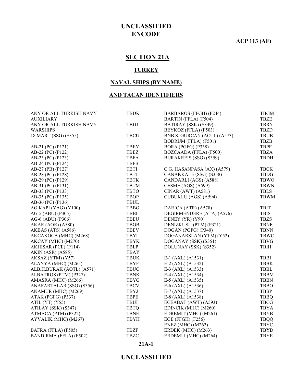**ACP 113 (AF)**

# **SECTION 21A**

#### **TURKEY**

#### **NAVAL SHIPS (BY NAME)**

#### **AND TACAN IDENTIFIERS**

| ANY OR ALL TURKISH NAVY       | <b>TBDK</b> | BARBAROS (FFGH) (F244)      | <b>TBGM</b> |
|-------------------------------|-------------|-----------------------------|-------------|
| <b>AUXILIARY</b>              |             | BARTIN (FFLA) (F504)        | TBZE        |
| ANY OR ALL TURKISH NAVY       | <b>TBDJ</b> | BATIRAY (SSK) (S349)        | <b>TBRY</b> |
| <b>WARSHIPS</b>               |             | BEYKOZ (FFLA) (F503)        | <b>TBZD</b> |
| 18 MART (SSG) (S355)          | <b>TBCU</b> | BNB.S. GURCAN (AOTL) (A573) | <b>TBUB</b> |
|                               |             | <b>BODRUM (FFLA) (F501)</b> | <b>TBZB</b> |
| AB-21 (PC) (P121)             | <b>TBEY</b> | BORA (PGFG) (P338)          | <b>TBPF</b> |
| AB-22 (PC) (P122)             | <b>TBEZ</b> | BOZCAADA (FFLA) (F500)      | <b>TBZA</b> |
| AB-23 (PC) (P123)             | <b>TBFA</b> | BURAKREIS (SSG) (S359)      | <b>TBDH</b> |
| AB-24 (PC) (P124)             | <b>TBFB</b> |                             |             |
| AB-27 (PB) (P127)             | <b>TBTI</b> | C.G. HASANPASA (AX) (A579)  | <b>TBCK</b> |
| AB-28 (PC) (P128)             | <b>TBTJ</b> | CANAKKALE (SSG) (S358)      | <b>TBDG</b> |
| AB-29 (PC) (P129)             | <b>TBTK</b> | CANDARLI (AGS) (A588)       | <b>TBWO</b> |
| AB-31 (PC) (P131)             | <b>TBTM</b> | CESME (AGS) (A599)          | <b>TBWN</b> |
| AB-33 (PC) (P133)             | <b>TBTO</b> | CINAR (AWT) (A581)          | <b>TBLS</b> |
| AB-35 (PC) (P135)             | <b>TBOP</b> | CUBUKLU (AGS) (A594)        | <b>TBWM</b> |
| AB-36 (PC) (P136)             | <b>TBUL</b> |                             |             |
| AG KAPI (YAG) (Y100)          | <b>TBBG</b> | DARICA (ATR) (A578)         | <b>TBIT</b> |
| AG-5 (ABU) (P305)             | <b>TBBI</b> | DEGIRMENDERE (ATA) (A576)   | <b>TBIS</b> |
| AG-6 (ABU) (P306)             | <b>TBEU</b> | DENEY (YR) (Y90)            | <b>TBZS</b> |
| AKAR (AOR) (A580)             | <b>TBGB</b> | DENIZKUSU (PTM) (P321)      | <b>TBNF</b> |
| AKBAS (ATS) (A586)            | <b>TBEV</b> | DOGAN (PGFG) (P340)         | <b>TBNN</b> |
| AKCAKOCA (MHC) (M268)         | <b>TBYI</b> | DOGANARSLAN (YTM) (Y52)     | <b>TBWC</b> |
| AKCAY (MHC) (M270)            | <b>TBYK</b> | DOGANAY (SSK) (S351)        | <b>TBVG</b> |
| AKHISAR (PCE) (P114)          | <b>TBLP</b> | DOLUNAY (SSK) (S352)        | <b>TBIH</b> |
| <b>AKIN (ASR) (A585)</b>      | <b>TBAY</b> |                             |             |
| AKSAZ (YTM) (Y57)             | <b>TBUK</b> | E-1 (AXL) (A1531)           | <b>TBBJ</b> |
| ALANYA (MHC) (M265)           | <b>TBYF</b> | $E-2$ (AXL) (A1532)         | <b>TBBK</b> |
| ALB.H.BURAK (AOTL) (A571)     | <b>TBUC</b> | E-3 (AXL) (A1533)           | <b>TBBL</b> |
| ALBATROS (PTM) (P327)         | <b>TBNK</b> | E-4 (AXL) (A1534)           | <b>TBBM</b> |
| AMASRA (MHC) (M266)           | <b>TBYG</b> | $E-5$ (AXL) (A1535)         | <b>TBBN</b> |
| ANAFARTALAR (SSG) (S356)      | <b>TBCV</b> | $E-6$ (AXL) (A1536)         | <b>TBBO</b> |
| ANAMUR (MHC) (M269)           | <b>TBYJ</b> | $E-7$ (AXL) (A1537)         | <b>TBBP</b> |
| ATAK (PGFG) (P337)            | <b>TBPE</b> | E-8 (AXL) (A1538)           | <b>TBBQ</b> |
| ATIL $(YT)$ $(Y55)$           | <b>TBUI</b> | ECEABAT (AWT) (A593)        | <b>TBCG</b> |
| ATILAY (SSK) (S347)           | <b>TBTQ</b> | EDINCIK (MHC) (M260)        | <b>TBYA</b> |
| ATMACA (PTM) (P322)           | <b>TBNE</b> | EDREMIT (MHC) (M261)        | <b>TBYB</b> |
| AYVALIK (MHC) (M267)          | <b>TBYH</b> | EGE (FFGH) (F256)           | <b>TBQQ</b> |
|                               |             | <b>ENEZ</b> (MHC) (M262)    | <b>TBYC</b> |
| BAFRA (FFLA) (F505)           | <b>TBZF</b> | ERDEK (MHC) (M263)          | <b>TBYD</b> |
| <b>BANDIRMA (FFLA) (F502)</b> | <b>TBZC</b> | ERDEMLI (MHC) (M264)        | <b>TBYE</b> |

#### **21A-1**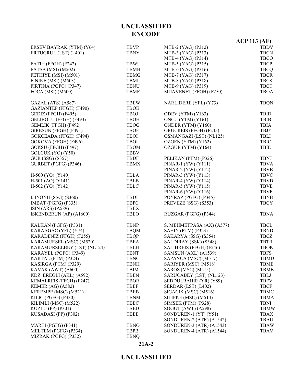|                             |             |                           | $ACP$ 113 (AF) |
|-----------------------------|-------------|---------------------------|----------------|
| ERSEV BAYRAK (YTM) (Y64)    | <b>TBVP</b> | MTB-2 (YAG) (P312)        | <b>TBDV</b>    |
| ERTUGRUL (LST) (L401)       | <b>TBNY</b> | MTB-3 (YAG) (P313)        | <b>TBCN</b>    |
|                             |             | MTB-4 (YAG) (P314)        | <b>TBCO</b>    |
| FATIH (FFGH) (F242)         | <b>TBWU</b> | MTB-5 (YAG) (P315)        | <b>TBCP</b>    |
| FATSA (MSI) (M502)          | <b>TBMH</b> | MTB-6 (YAG) (P316)        | <b>TBCQ</b>    |
| FETHIYE (MSI) (M501)        | <b>TBMG</b> | MTB-7 (YAG) (P317)        | <b>TBCR</b>    |
| FINIKE (MSI) (M503)         | TBMI        | MTB-8 (YAG) (P318)        | <b>TBCS</b>    |
| FIRTINA (PGFG) (P347)       | <b>TBNU</b> | MTB-9 (YAG) (P319)        | <b>TBCT</b>    |
| FOCA (MSI) (M500)           | <b>TBMF</b> | MUAVENET (FFGH) (F250)    | <b>TBOA</b>    |
| GAZAL (ATS) (A587)          | <b>TBEW</b> | NARLIDERE (YFL) (Y73)     | <b>TBQN</b>    |
| GAZIANTEP (FFGH) (F490)     | <b>TBOE</b> |                           |                |
| GEDIZ (FFGH) (F495)         | <b>TBOJ</b> | ODEV (YTM) (Y163)         | <b>TBID</b>    |
| GELIBOLU (FFGH) (F493)      | <b>TBOH</b> | ONCU (YTM) (Y161)         | <b>TBIB</b>    |
| GEMLIK (FFGH) (F492)        | <b>TBOG</b> | ONDER (YTM) (Y160)        | <b>TBIA</b>    |
| GIRESUN (FFGH) (F491)       | <b>TBOF</b> | ORUCREIS (FFGH) (F245)    | <b>TBJY</b>    |
| GOKCEADA (FFGH) (F494)      | <b>TBOI</b> | OSMANGAZI (LST) (NL125)   | TBLI           |
| GOKOVA (FFGH) (F496)        | <b>TBOL</b> | OZGEN (YTM) (Y162)        | <b>TBIC</b>    |
| GOKSU (FFGH) (F497)         | <b>TBOM</b> | OZGUR (YTM) (Y164)        | <b>TBIE</b>    |
| GOLCUK (YO) (Y50)           | <b>TBBV</b> |                           |                |
| GUR (SSG) (S357)            | <b>TBDF</b> | PELIKAN (PTM) (P326)      | <b>TBNJ</b>    |
| GURBET (PGFG) (P346)        | <b>TBMX</b> | PINAR-1 $(YW) (Y111)$     | <b>TBVA</b>    |
|                             |             | PINAR-2 (YW) (Y112)       | <b>TBVB</b>    |
| H-500 (YO) (Y140)           | <b>TBLA</b> | PINAR-3 (YW) (Y113)       | <b>TBVC</b>    |
| $H-501$ (AO) (Y141)         | <b>TBLB</b> | PINAR-4 (YW) (Y114)       | <b>TBVD</b>    |
| H-502 (YO) (Y142)           | <b>TBLC</b> | PINAR-5 (YW) (Y115)       | <b>TBVE</b>    |
|                             |             | PINAR-6 (YW) (Y116)       | <b>TBVF</b>    |
| I. INONU (SSG) (S360)       | <b>TBDI</b> | POYRAZ (PGFG) (P345)      | <b>TBNB</b>    |
| IMBAT (PGFG) (P335)         | <b>TBPC</b> | PREVEZE (SSG) (S353)      | <b>TBCY</b>    |
| ISIN (ARS) (A589)           | <b>TBEX</b> |                           |                |
| ISKENDERUN (AP) (A1600)     | <b>TBEO</b> | RUZGAR (PGFG) (P344)      | <b>TBNA</b>    |
| KALKAN (PGFG) (P331)        | <b>TBNP</b> | S. MEHMETPASA (AX) (A577) | <b>TBCL</b>    |
| KARAAGAC (YFL) (Y74)        | <b>TBQM</b> | SAHIN (PTM) (P323)        | <b>TBND</b>    |
| KARADENIZ (FFGH) (F255)     | <b>TBQP</b> | SAKARYA (SSG) (S354)      | <b>TBCZ</b>    |
| KARAMURSEL (MSC) (M520)     | <b>TBEA</b> | SALDIRAY (SSK) (S348)     | <b>TBTR</b>    |
| KARAMURSELBEY (LST) (NL124) | <b>TBLH</b> | SALIHREIS (FFGH) (F246)   | <b>TBOK</b>    |
| KARAYEL (PGFG) (P349)       | <b>TBNT</b> | SAMSUN (AXL) (A1539)      | <b>TBFS</b>    |
| KARTAL (PTM) (P324)         | <b>TBNC</b> | SAPANCA (MSC) (M517)      | <b>TBMD</b>    |
| KASIRGA (PTM) (P329)        | <b>TBNH</b> | SARIYER (MSC) (M518)      | TBME           |
| KAVAK (AWT) (A600)          | TBIM        | SAROS (MSC) (M515)        | TBMB           |
| KDZ. EREGLI (AKL) (A592)    | <b>TBEN</b> | SARUCABEY (LST) (NL123)   | TBLJ           |
| KEMALREIS (FFGH) (F247)     | <b>TBOR</b> | SEDDULBAHIR (YR) (Y89)    | <b>TBFV</b>    |
| KEMER (AG) (A582)           | <b>TBEF</b> | SERDAR (LST) (L402)       | <b>TBCF</b>    |
| KEREMPE (MSC) (M521)        | <b>TBEB</b> | SIGACIK (MSC) (M516)      | <b>TBMC</b>    |
| KILIC (PGFG) (P330)         | <b>TBNM</b> | SILIFKE (MSC) (M514)      | <b>TBMA</b>    |
| KILIMLI (MSC) (M522)        | <b>TBEC</b> | SIMSEK (PTM) (P328)       | <b>TBNI</b>    |
| KOZLU (PP) (P301)           | <b>TBED</b> | SOGUT (AWT) (A598)        | <b>TBMW</b>    |
| KUSADASI (PP) (P302)        | <b>TBEE</b> | SONDUREN-1 (YT) (Y51)     | TBAX           |
|                             |             | SONDUREN-2 (ATR) (A1542)  | TBAU           |
| MARTI (PGFG) (P341)         | <b>TBNO</b> | SONDUREN-3 (ATR) (A1543)  | <b>TBAW</b>    |
| MELTEM (PGFG) (P334)        | <b>TBPB</b> | SONDUREN-4 (ATR) (A1544)  | <b>TBAV</b>    |
| MIZRAK (PGFG) (P332)        | <b>TBNQ</b> |                           |                |

# **21A-2**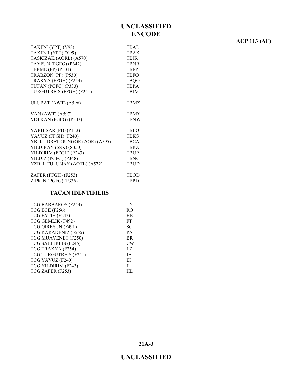# **ACP 113 (AF)**

| TAKIP-I (YPT) (Y98)            | <b>TBAL</b> |
|--------------------------------|-------------|
| TAKIP-II (YPT) (Y99)           | TBAK        |
| TASKIZAK (AORL) (A570)         | <b>TBJR</b> |
| TAYFUN (PGFG) (P342)           | <b>TBNR</b> |
| <b>TERME (PP) (P531)</b>       | <b>TBFP</b> |
| TRABZON (PP) (P530)            | <b>TBFO</b> |
| TRAKYA (FFGH) (F254)           | <b>TBQO</b> |
| TUFAN (PGFG) (P333)            | <b>TBPA</b> |
| TURGUTREIS (FFGH) (F241)       | <b>TBJM</b> |
|                                |             |
| ULUBAT (AWT) (A596)            | <b>TBMZ</b> |
|                                |             |
| VAN (AWT) (A597)               | <b>TBMY</b> |
| VOLKAN (PGFG) (P343)           | <b>TBNW</b> |
|                                |             |
| YARHISAR (PB) (P113)           | <b>TBLO</b> |
| YAVUZ (FFGH) (F240)            | <b>TBKS</b> |
| YB. KUDRET GUNGOR (AOR) (A595) | <b>TBCA</b> |
| YILDIRAY (SSK) (S350)          | <b>TBRZ</b> |
| YILDIRIM (FFGH) (F243)         | <b>TBUP</b> |
| YILDIZ (PGFG) (P348)           | <b>TBNG</b> |
| YZB. I. TULUNAY (AOTL) (A572)  | <b>TBUD</b> |
|                                |             |
| ZAFER (FFGH) (F253)            | <b>TBOD</b> |
| ZIPKIN (PGFG) (P336)           | <b>TBPD</b> |
|                                |             |

#### **TACAN IDENTIFIERS**

| TCG BARBAROS (F244)   | TN             |
|-----------------------|----------------|
| TCG EGE (F256)        | R <sub>O</sub> |
| TCG FATIH (F242)      | HE             |
| TCG GEMLIK (F492)     | FT             |
| TCG GIRESUN (F491)    | <b>SC</b>      |
| TCG KARADENIZ (F255)  | PA             |
| TCG MUAVENET (F250)   | <b>BR</b>      |
| TCG SALIHREIS (F246)  | CW             |
| TCG TRAKYA (F254)     | LZ             |
| TCG TURGUTREIS (F241) | JA             |
| TCG YAVUZ (F240)      | EI             |
| TCG YILDIRIM (F243)   | $\Pi$ .        |
| TCG ZAFER (F253)      | HL.            |
|                       |                |

**21A-3**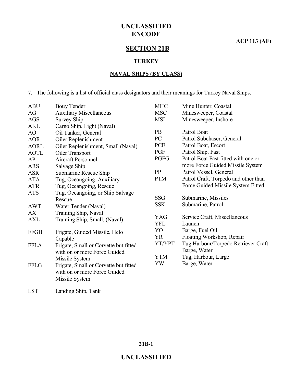**ACP 113 (AF)**

# **SECTION 21B**

#### **TURKEY**

#### **NAVAL SHIPS (BY CLASS)**

7. The following is a list of official class designators and their meanings for Turkey Naval Ships.

| <b>ABU</b>  | <b>Bouy Tender</b>                    | <b>MHC</b> | Mine Hunter, Coastal                 |
|-------------|---------------------------------------|------------|--------------------------------------|
| AG          | <b>Auxiliary Miscellaneous</b>        | <b>MSC</b> | Minesweeper, Coastal                 |
| <b>AGS</b>  | <b>Survey Ship</b>                    | <b>MSI</b> | Minesweeper, Inshore                 |
| <b>AKL</b>  | Cargo Ship, Light (Naval)             |            |                                      |
| AO          | Oil Tanker, General                   | <b>PB</b>  | Patrol Boat                          |
| <b>AOR</b>  | Oiler Replenishment                   | PC         | Patrol Subchaser, General            |
| <b>AORL</b> | Oiler Replenishment, Small (Naval)    | PCE        | Patrol Boat, Escort                  |
| <b>AOTL</b> | Oiler Transport                       | PGF        | Patrol Ship, Fast                    |
| AP          | <b>Aircraft Personnel</b>             | PGFG       | Patrol Boat Fast fitted with one or  |
| <b>ARS</b>  | Salvage Ship                          |            | more Force Guided Missile System     |
| <b>ASR</b>  | Submarine Rescue Ship                 | PP         | Patrol Vessel, General               |
| <b>ATA</b>  | Tug, Oceangoing, Auxiliary            | <b>PTM</b> | Patrol Craft, Torpedo and other than |
| <b>ATR</b>  | Tug, Oceangoing, Rescue               |            | Force Guided Missile System Fitted   |
| <b>ATS</b>  | Tug, Oceangoing, or Ship Salvage      |            |                                      |
|             | Rescue                                | <b>SSG</b> | Submarine, Missiles                  |
| <b>AWT</b>  | Water Tender (Naval)                  | <b>SSK</b> | Submarine, Patrol                    |
| AX          | Training Ship, Naval                  |            |                                      |
| <b>AXL</b>  | Training Ship, Small, (Naval)         | <b>YAG</b> | Service Craft, Miscellaneous         |
|             |                                       | <b>YFL</b> | Launch                               |
| <b>FFGH</b> | Frigate, Guided Missile, Helo         | YO         | Barge, Fuel Oil                      |
|             | Capable                               | <b>YR</b>  | Floating Workshop, Repair            |
| <b>FFLA</b> | Frigate, Small or Corvette but fitted | YT/YPT     | Tug Harbour/Torpedo Retriever Craft  |
|             | with on or more Force Guided          |            | Barge, Water                         |
|             | Missile System                        | <b>YTM</b> | Tug, Harbour, Large                  |
| <b>FFLG</b> | Frigate, Small or Corvette but fitted | YW         | Barge, Water                         |
|             | with on or more Force Guided          |            |                                      |
|             | Missile System                        |            |                                      |
|             |                                       |            |                                      |

LST Landing Ship, Tank

#### **21B-1**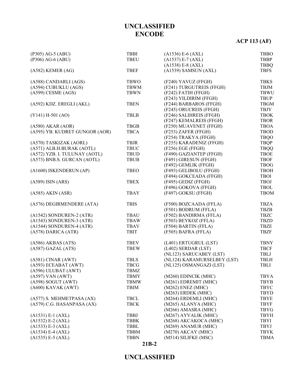# **ACP 113 (AF)**

| (P305) AG-5 (ABU)              | <b>TBBI</b> | $(A1536) E-6 (AXL)$         | <b>TBBO</b> |
|--------------------------------|-------------|-----------------------------|-------------|
| (P306) AG-6 (ABU)              | <b>TBEU</b> | $(A1537) E-7 (AXL)$         | <b>TBBP</b> |
|                                |             | $(A1538) E-8 (AXL)$         | <b>TBBQ</b> |
| $(A582)$ KEMER $(AG)$          | <b>TBEF</b> | (A1539) SAMSUN (AXL)        | <b>TBFS</b> |
| (A588) CANDARLI (AGS)          | <b>TBWO</b> | (F240) YAVUZ (FFGH)         | <b>TBKS</b> |
| (A594) CUBUKLU (AGS)           | <b>TBWM</b> | (F241) TURGUTREIS (FFGH)    | <b>TBJM</b> |
| $(A599)$ CESME $(AGS)$         | <b>TBWN</b> | (F242) FATIH (FFGH)         | <b>TBWU</b> |
|                                |             | (F243) YILDIRIM (FFGH)      | <b>TBUP</b> |
| (A592) KDZ. EREGLI (AKL)       | <b>TBEN</b> | (F244) BARBAROS (FFGH)      | <b>TBGM</b> |
|                                |             | (F245) ORUCREIS (FFGH)      | TBJY        |
| $(Y141) H-501 (AO)$            | <b>TBLB</b> | (F246) SALIHREIS (FFGH)     | <b>TBOK</b> |
|                                |             | (F247) KEMALREIS (FFGH)     | <b>TBOR</b> |
| $(A580)$ AKAR $(AOR)$          | <b>TBGB</b> | (F250) MUAVENET (FFGH)      | <b>TBOA</b> |
| (A595) YB. KUDRET GUNGOR (AOR) | <b>TBCA</b> | (F253) ZAFER (FFGH)         | TBOD        |
|                                |             | (F254) TRAKYA (FFGH)        | <b>TBQO</b> |
| (A570) TASKIZAK (AORL)         | TBJR        | (F255) KARADENIZ (FFGH)     | <b>TBQP</b> |
| (A571) ALB.H.BURAK (AOTL)      | <b>TBUC</b> | (F256) EGE (FFGH)           | <b>TBQQ</b> |
| (A572) YZB. I. TULUNAY (AOTL)  | TBUD        | (F490) GAZIANTEP (FFGH)     | <b>TBOE</b> |
| (A573) BNB.S. GURCAN (AOTL)    | <b>TBUB</b> | (F491) GIRESUN (FFGH)       | <b>TBOF</b> |
|                                |             | (F492) GEMLIK (FFGH)        | <b>TBOG</b> |
| (A1600) ISKENDERUN (AP)        | <b>TBEO</b> | (F493) GELIBOLU (FFGH)      | <b>TBOH</b> |
|                                |             | (F494) GOKCEADA (FFGH)      | <b>TBOI</b> |
| $(A589)$ ISIN $(ARS)$          | <b>TBEX</b> | (F495) GEDIZ (FFGH)         | <b>TBOJ</b> |
|                                |             | (F496) GOKOVA (FFGH)        | <b>TBOL</b> |
| $(A585)$ AKIN $(ASR)$          | <b>TBAY</b> | (F497) GOKSU (FFGH)         | <b>TBOM</b> |
| (A576) DEGIRMENDERE (ATA)      | <b>TBIS</b> | (F500) BOZCAADA (FFLA)      | <b>TBZA</b> |
|                                |             | (F501) BODRUM (FFLA)        | <b>TBZB</b> |
| (A1542) SONDUREN-2 (ATR)       | <b>TBAU</b> | (F502) BANDIRMA (FFLA)      | <b>TBZC</b> |
| (A1543) SONDUREN-3 (ATR)       | <b>TBAW</b> | (F503) BEYKOZ (FFLA)        | <b>TBZD</b> |
| (A1544) SONDUREN-4 (ATR)       | <b>TBAV</b> | (F504) BARTIN (FFLA)        | <b>TBZE</b> |
| (A578) DARICA (ATR)            | <b>TBIT</b> | (F505) BAFRA (FFLA)         | <b>TBZF</b> |
| $(A586)$ AKBAS $(ATS)$         | <b>TBEV</b> | (L401) ERTUGRUL (LST)       | <b>TBNY</b> |
| $(A587)$ GAZAL $(ATS)$         | <b>TBEW</b> | (L402) SERDAR (LST)         | <b>TBCF</b> |
|                                |             | (NL123) SARUCABEY (LST)     | TBLJ        |
| $(A581)$ CINAR $(AWT)$         | <b>TBLS</b> | (NL124) KARAMURSELBEY (LST) | <b>TBLH</b> |
| (A593) ECEABAT (AWT)           | <b>TBCG</b> | (NL125) OSMANGAZI (LST)     | TBLI        |
| (A596) ULUBAT (AWT)            | TBMZ        |                             |             |
| $(A597)$ VAN $(AWT)$           | <b>TBMY</b> | (M260) EDINCIK (MHC)        | <b>TBYA</b> |
| $(A598)$ SOGUT $(AWT)$         | <b>TBMW</b> | (M261) EDREMIT (MHC)        | <b>TBYB</b> |
| (A600) KAVAK (AWT)             | <b>TBIM</b> | $(M262)$ ENEZ $(MHC)$       | <b>TBYC</b> |
|                                |             | (M263) ERDEK (MHC)          | <b>TBYD</b> |
| (A577) S. MEHMETPASA (AX)      | <b>TBCL</b> | (M264) ERDEMLI (MHC)        | <b>TBYE</b> |
| (A579) C.G. HASANPASA (AX)     | <b>TBCK</b> | (M265) ALANYA (MHC)         | <b>TBYF</b> |
|                                |             | (M266) AMASRA (MHC)         | <b>TBYG</b> |
| $(A1531) E-1 (AXL)$            | <b>TBBJ</b> | (M267) AYVALIK (MHC)        | <b>TBYH</b> |
| $(A1532) E-2 (AXL)$            | <b>TBBK</b> | (M268) AKCAKOCA (MHC)       | TBYI        |
| $(A1533) E-3 (AXL)$            | TBBL        | (M269) ANAMUR (MHC)         | TBYJ        |
| $(A1534) E-4 (AXL)$            | <b>TBBM</b> | (M270) AKCAY (MHC)          | <b>TBYK</b> |
| $(A1535) E-5 (AXL)$            | <b>TBBN</b> | (M514) SILIFKE (MSC)        | <b>TBMA</b> |

#### **21B-2**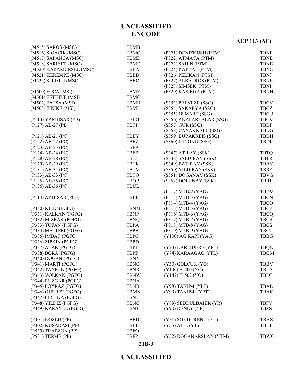#### **UNCLASSIFIED**

#### **21B-3**

|                         |             |                          | $A \cup I \cup \{AI\}$ |
|-------------------------|-------------|--------------------------|------------------------|
| $(M515)$ SAROS $(MSC)$  | <b>TBMB</b> |                          |                        |
| (M516) SIGACIK (MSC)    | <b>TBMC</b> | (P321) DENIZKUSU (PTM)   | <b>TBNF</b>            |
| (M517) SAPANCA (MSC)    | <b>TBMD</b> | (P322) ATMACA (PTM)      | <b>TBNE</b>            |
| (M518) SARIYER (MSC)    | <b>TBME</b> | (P323) SAHIN (PTM)       | <b>TBND</b>            |
| (M520) KARAMURSEL (MSC) | <b>TBEA</b> | (P324) KARTAL (PTM)      | <b>TBNC</b>            |
| (M521) KEREMPE (MSC)    | <b>TBEB</b> | (P326) PELIKAN (PTM)     | <b>TBNJ</b>            |
| (M522) KILIMLI (MSC)    | <b>TBEC</b> | (P327) ALBATROS (PTM)    | <b>TBNK</b>            |
|                         |             | (P328) SIMSEK (PTM)      | <b>TBNI</b>            |
| (M500) FOCA (MSI)       | <b>TBMF</b> | (P329) KASIRGA (PTM)     | <b>TBNH</b>            |
| (M501) FETHIYE (MSI)    | <b>TBMG</b> |                          |                        |
| (M502) FATSA (MSI)      | <b>TBMH</b> | (S353) PREVEZE (SSG)     | <b>TBCY</b>            |
| (M503) FINIKE (MSI)     | <b>TBMI</b> | (S354) SAKARYA (SSG)     | <b>TBCZ</b>            |
|                         |             | (S355) 18 MART (SSG)     | <b>TBCU</b>            |
| (P113) YARHISAR (PB)    | TBLO        | (S356) ANAFARTALAR (SSG) | <b>TBCV</b>            |
| $(P127)$ AB-27 $(PB)$   | <b>TBTI</b> | $(S357)$ GUR $(SSG)$     | <b>TBDF</b>            |
|                         |             | (S358) CANAKKALE (SSG)   | <b>TBDG</b>            |
| $(P121)$ AB-21 $(PC)$   | <b>TBEY</b> | (S359) BURAKREIS (SSG)   | <b>TBDH</b>            |
| $(P122)$ AB-22 $(PC)$   | <b>TBEZ</b> | (S360) I. INONU (SSG)    | <b>TBDI</b>            |
| $(P123)$ AB-23 $(PC)$   | <b>TBFA</b> |                          |                        |
| $(P124)$ AB-24 $(PC)$   | <b>TBFB</b> | (S347) ATILAY (SSK)      | <b>TBTQ</b>            |
| (P128) AB-28 (PC)       | <b>TBTJ</b> | (S348) SALDIRAY (SSK)    | <b>TBTR</b>            |
| $(P129)$ AB-29 $(PC)$   | <b>TBTK</b> | (S349) BATIRAY (SSK)     | <b>TBRY</b>            |
| $(P131)$ AB-31 $(PC)$   | <b>TBTM</b> | (S350) YILDIRAY (SSK)    | <b>TBRZ</b>            |
| $(P133)$ AB-33 $(PC)$   | <b>TBTO</b> | (S351) DOGANAY (SSK)     | <b>TBVG</b>            |
| $(P135)$ AB-35 $(PC)$   | <b>TBOP</b> | (S352) DOLUNAY (SSK)     | <b>TBIH</b>            |
| $(P136)$ AB-36 $(PC)$   | <b>TBUL</b> |                          |                        |
|                         |             | (P312) MTB-2 (YAG)       | <b>TBDV</b>            |
| (P114) AKHISAR (PCE)    | <b>TBLP</b> | (P313) MTB-3 (YAG)       | <b>TBCN</b>            |
|                         |             | $(P314) MTB-4 (YAG)$     | <b>TBCO</b>            |
| (P330) KILIC (PGFG)     | <b>TBNM</b> | (P315) MTB-5 (YAG)       | <b>TBCP</b>            |
| (P331) KALKAN (PGFG)    | <b>TBNP</b> | (P316) MTB-6 (YAG)       | <b>TBCQ</b>            |
| (P332) MIZRAK (PGFG)    | <b>TBNQ</b> | (P317) MTB-7 (YAG)       | <b>TBCR</b>            |
| (P333) TUFAN (PGFG)     | <b>TBPA</b> | (P318) MTB-8 (YAG)       | <b>TBCS</b>            |
| (P334) MELTEM (PGFG)    | <b>TBPB</b> | (P319) MTB-9 (YAG)       | <b>TBCT</b>            |
| (P335) IMBAT (PGFG)     | <b>TBPC</b> | $(Y100)$ AG KAPI $(YAG)$ | <b>TBBG</b>            |
| (P336) ZIPKIN (PGFG)    | <b>TBPD</b> |                          |                        |
| (P337) ATAK (PGFG)      | <b>TBPE</b> |                          |                        |
|                         | <b>TBPF</b> | (Y73) NARLIDERE (YFL)    | <b>TBQN</b>            |
| (P338) BORA (PGFG)      |             | (Y74) KARAAGAC (YFL)     | <b>TBQM</b>            |
| (P340) DOGAN (PGFG)     | <b>TBNN</b> |                          |                        |
| (P341) MARTI (PGFG)     | <b>TBNO</b> | (Y50) GOLCUK (YO)        | <b>TBBV</b>            |
| (P342) TAYFUN (PGFG)    | <b>TBNR</b> | $(Y140) H-500 (YO)$      | TBLA                   |
| (P343) VOLKAN (PGFG)    | <b>TBNW</b> | $(Y142) H-502 (YO)$      | <b>TBLC</b>            |
| (P344) RUZGAR (PGFG)    | <b>TBNA</b> |                          |                        |
| (P345) POYRAZ (PGFG)    | <b>TBNB</b> | (Y98) TAKIP-I (YPT)      | <b>TBAL</b>            |
| (P346) GURBET (PGFG)    | <b>TBMX</b> | (Y99) TAKIP-II (YPT)     | <b>TBAK</b>            |
| (P347) FIRTINA (PGFG)   | <b>TBNU</b> |                          |                        |
| (P348) YILDIZ (PGFG)    | <b>TBNG</b> | (Y89) SEDDULBAHIR (YR)   | <b>TBFV</b>            |
| (P349) KARAYEL (PGFG)   | <b>TBNT</b> | (Y90) DENEY (YR)         | <b>TBZS</b>            |
| (P301) KOZLU (PP)       | <b>TBED</b> | (Y51) SONDUREN-1 (YT)    | <b>TBAX</b>            |
| (P302) KUSADASI (PP)    | <b>TBEE</b> | $(Y55)$ ATIL $(YT)$      | <b>TBUI</b>            |
| (P530) TRABZON (PP)     | <b>TBFO</b> |                          |                        |
| (P531) TERME (PP)       | <b>TBFP</b> | (Y52) DOGANARSLAN (YTM)  | <b>TBWC</b>            |
|                         |             |                          |                        |

# **UNCLASSIFIED ENCODE**

# **ACP 113 (AF)**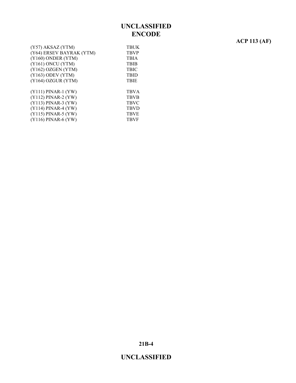# **ACP 113 (AF)**

| (Y57) AKSAZ (YTM)        | <b>TBUK</b> |
|--------------------------|-------------|
| (Y64) ERSEV BAYRAK (YTM) | <b>TBVP</b> |
| (Y160) ONDER (YTM)       | <b>TBIA</b> |
| (Y161) ONCU (YTM)        | <b>TBIB</b> |
| $(Y162)$ OZGEN $(YTM)$   | <b>TBIC</b> |
| $(Y163)$ ODEV $(YTM)$    | <b>TBID</b> |
| (Y164) OZGUR (YTM)       | <b>TBIE</b> |
|                          |             |
| $(Y111)$ PINAR-1 $(YW)$  | <b>TBVA</b> |
| $(Y112)$ PINAR-2 $(YW)$  | <b>TBVB</b> |
| (Y113) PINAR-3 (YW)      | <b>TBVC</b> |
| $(Y114)$ PINAR-4 $(YW)$  | <b>TBVD</b> |
| (Y115) PINAR-5 (YW)      | <b>TBVE</b> |
| $(Y116)$ PINAR-6 $(YW)$  | <b>TBVF</b> |
|                          |             |

**21B-4**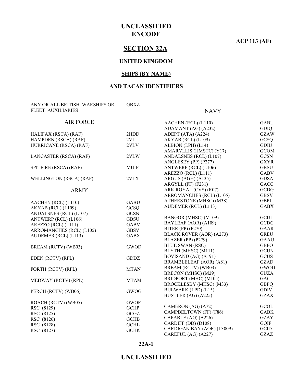**ACP 113 (AF)**

### **SECTION 22A**

#### **UNITED KINGDOM**

#### **SHIPS (BY NAME)**

### **AND TACAN IDENTIFIERS**

| ANY OR ALL BRITISH WARSHIPS OR | <b>GBXZ</b> |                            |                            |
|--------------------------------|-------------|----------------------------|----------------------------|
| FLEET AUXILIARIES              |             | <b>NAVY</b>                |                            |
| <b>AIR FORCE</b>               |             | AACHEN (RCL) (L110)        | <b>GABU</b>                |
|                                |             | ADAMANT (AG) (A232)        | <b>GDIO</b>                |
| HALIFAX (RSCA) (RAF)           | 2HDD        | ADEPT (ATA) (A224)         | <b>GZAW</b>                |
| HAMPDEN (RSCA) (RAF)           | 2VLU        | AKYAB (RCL) (L109)         | GCSQ                       |
| HURRICANE (RSCA) (RAF)         | 2VLV        | ALBION (LPH) (L14)         | <b>GDIU</b>                |
|                                |             | AMARYLLIS (HMSTC) (Y17)    | <b>GCOM</b>                |
| LANCASTER (RSCA) (RAF)         | 2VLW        | ANDALSNES (RCL) (L107)     | <b>GCSN</b>                |
|                                |             | ANGLESEY (PP) (P277)       | <b>GXYR</b>                |
| SPITFIRE (RSCA) (RAF)          | <b>MUIF</b> | ANTWERP (RCL) (L106)       | <b>GBSU</b>                |
|                                |             | AREZZO (RCL) (L111)        | <b>GABV</b>                |
| WELLINGTON (RSCA) (RAF)        | 2VLX        | ARGUS (AGH) (A135)         | <b>GDSA</b>                |
|                                |             | ARGYLL (FF) (F231)         | <b>GACG</b>                |
| <b>ARMY</b>                    |             | ARK ROYAL (CVS) (R07)      | <b>GCDG</b>                |
|                                |             | ARROMANCHES (RCL) (L105)   | <b>GBSV</b>                |
| AACHEN (RCL) (L110)            | <b>GABU</b> | ATHERSTONE (MHSC) (M38)    | <b>GBPJ</b>                |
| AKYAB (RCL) (L109)             | GCSQ        | AUDEMER (RCL) (L113)       | <b>GABX</b>                |
| ANDALSNES (RCL) (L107)         | <b>GCSN</b> |                            |                            |
| ANTWERP (RCL) (L106)           | <b>GBSU</b> | BANGOR (MHSC) (M109)       | <b>GCUL</b>                |
| AREZZO (RCL) (L111)            | <b>GABV</b> | BAYLEAF (AOR) (A109)       | <b>GCDC</b>                |
| ARROMANCHES (RCL) (L105)       | <b>GBSV</b> | <b>BITER (PP) (P270)</b>   | <b>GAAR</b>                |
| AUDEMER (RCL) (L113)           | <b>GABX</b> | BLACK ROVER (AOR) (A273)   | <b>GREU</b>                |
|                                |             | BLAZER (PP) (P279)         | <b>GAAU</b>                |
| BREAM (RCTV) (WB03)            | <b>GWOD</b> | <b>BLUE SWAN (RSC)</b>     | <b>GBPO</b>                |
|                                |             | BLYTH (MHSC) (M111)        | <b>GCUN</b>                |
| EDEN (RCTV) (RPL)              | <b>GDDZ</b> | BOVISAND (AG) (A191)       | <b>GCUS</b>                |
|                                |             | BRAMBLELEAF (AOR) (A81)    | <b>GZAD</b>                |
| FORTH (RCTV) (RPL)             | <b>MTAN</b> | BREAM (RCTV) (WB03)        | <b>GWOD</b>                |
|                                |             | BRECON (MHSC) (M29)        | <b>GUZA</b>                |
| MEDWAY (RCTV) (RPL)            | <b>MTAM</b> | BRIDPORT (MHC) (M105)      | <b>GACU</b>                |
|                                |             | BROCKLESBY (MHSC) (M33)    | <b>GBPQ</b>                |
| PERCH (RCTV) (WB06)            | <b>GWOG</b> | BULWARK (LPD) (L15)        | <b>GDIV</b><br><b>GZAX</b> |
|                                |             | BUSTLER (AG) (A225)        |                            |
| ROACH (RCTV) (WB05)            | <b>GWOF</b> | CAMERON (AG) (A72)         | GCOL                       |
| RSC (8129)                     | <b>GCHP</b> | CAMPBELTOWN (FF) (F86)     | <b>GABK</b>                |
| RSC (8125)                     | GCGZ        | CAPABLE (AG) (A226)        | <b>GZAY</b>                |
| RSC (8126)                     | <b>GCHB</b> | CARDIFF (DD) (D108)        | GQIF                       |
| RSC (8128)                     | <b>GCHL</b> | CARDIGAN BAY (AOR) (L3009) | GCID                       |
| RSC (8127)                     | <b>GCHK</b> | CAREFUL (AG) (A227)        | <b>GZAZ</b>                |
|                                |             |                            |                            |

#### **22A-1**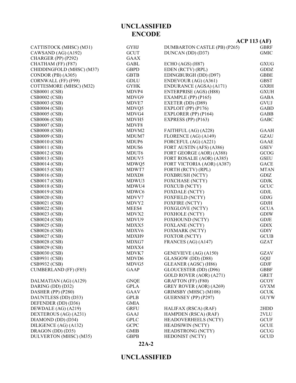#### **22A-2**

|                           |                   | $ACP$ 113 (AF)               |             |
|---------------------------|-------------------|------------------------------|-------------|
| CATTISTOCK (MHSC) (M31)   | <b>GYHJ</b>       | DUMBARTON CASTLE (PB) (P265) | <b>GBRF</b> |
| CAWSAND (AG) (A192)       | <b>GCUT</b>       | DUNCAN (DD) (D37)            | <b>GMIC</b> |
| CHARGER (PP) (P292)       | <b>GAAX</b>       |                              |             |
| CHATHAM (FF) (F87)        | GABL              | ECHO (AGS) (H87)             | <b>GXUG</b> |
| CHIDDINGFOLD (MHSC) (M37) | <b>GBPD</b>       | EDEN (RCTV) (RPL)            | <b>GDDZ</b> |
| CONDOR (PB) (A305)        | <b>GBTB</b>       | EDINGBURGH (DD) (D97)        | <b>GBBE</b> |
| CORNWALL (FF) (F99)       | <b>GDLU</b>       | ENDEVOUR (AG) (A361)         | <b>GBST</b> |
| COTTESMORE (MHSC) (M32)   | <b>GYHK</b>       | ENDURANCE (AGSA) (A171)      | <b>GXRH</b> |
| <b>CSB0001 (CSB)</b>      | MDVP4             | ENTERPRISE (AGS) (H88)       | <b>GXUH</b> |
| <b>CSB0002 (CSB)</b>      | MDVG9             | EXAMPLE (PP) $(P165)$        | <b>GABA</b> |
| <b>CSB0003 (CSB)</b>      | MDVE7             | EXETER (DD) (D89)            | GVUJ        |
| <b>CSB0004 (CSB)</b>      | MDVQ5             | EXPLOIT (PP) (P176)          | <b>GABD</b> |
| <b>CSB0005 (CSB)</b>      | MDVG4             | EXPLORER (PP) (P164)         | <b>GABB</b> |
| <b>CSB0006 (CSB)</b>      | MDVH5             | EXPRESS (PP) $(P163)$        | <b>GABC</b> |
| <b>CSB0007 (CSB)</b>      | MDVF8             |                              |             |
| <b>CSB0008 (CSB)</b>      | MDVM2             | FAITHFUL (AG) (A228)         | <b>GAAH</b> |
| <b>CSB0009 (CSB)</b>      | MDUM7             | FLORENCE (AG) (A149)         | <b>GZAU</b> |
| <b>CSB0010 (CSB)</b>      | MDUP <sub>6</sub> | FORCEFUL (AG) (A221)         | <b>GAAE</b> |
| <b>CSB0011 (CSB)</b>      | MDUS <sub>6</sub> | FORT AUSTIN (AFS) (A386)     | <b>GSEV</b> |
| <b>CSB0012 (CSB)</b>      | MDUT <sub>6</sub> | FORT GEORGE (AOR) (A388)     | GCOG        |
| <b>CSB0013 (CSB)</b>      | MDUV <sub>5</sub> | FORT ROSALIE (AOR) (A385)    | <b>GSEU</b> |
| <b>CSB0014 (CSB)</b>      | MDWQ5             | FORT VICTORIA (AOR) (A387)   | <b>GACE</b> |
| <b>CSB0015 (CSB)</b>      | MDWT7             | FORTH (RCTV) (RPL)           | <b>MTAN</b> |
| <b>CSB0016 (CSB)</b>      | MDXD8             | <b>FOXBRUSH (NCTY)</b>       | GDIZ        |
| <b>CSB0017 (CSB)</b>      | MDWU3             | <b>FOXCHASE (NCTY)</b>       | <b>GDJK</b> |
| <b>CSB0018 (CSB)</b>      | MDWU4             | <b>FOXCUB</b> (NCTY)         | GCUC        |
| <b>CSB0019 (CSB)</b>      | MDWC6             | <b>FOXDALE (NCTY)</b>        | <b>GDJL</b> |
| <b>CSB0020 (CSB)</b>      | MDVV7             | FOXFIELD (NCTY)              | <b>GDJG</b> |
| <b>CSB0021 (CSB)</b>      | MDVY <sub>2</sub> | <b>FOXFIRE (NCTY)</b>        | <b>GDJH</b> |
| <b>CSB0022 (CSB)</b>      | MEES4             | <b>FOXGLOVE (NCTY)</b>       | <b>GCUA</b> |
| <b>CSB0023 (CSB)</b>      | MDVX2             | <b>FOXHOLE (NCTY)</b>        | <b>GDIW</b> |
| <b>CSB0024 (CSB)</b>      | MDVU9             | <b>FOXHOUND (NCTY)</b>       | <b>GDJE</b> |
| <b>CSB0025 (CSB)</b>      | MDXX5             | <b>FOXLANE (NCTY)</b>        | <b>GDIX</b> |
| <b>CSB0026 (CSB)</b>      | MDXV6             | <b>FOXMARK (NCTY)</b>        | <b>GDIY</b> |
| <b>CSB0027 (CSB)</b>      | MDXH9             | <b>FOXTOR (NCTY)</b>         | <b>GCUB</b> |
| <b>CSB0028 (CSB)</b>      | MDXG7             | FRANCES (AG) (A147)          | <b>GZAT</b> |
| <b>CSB0029 (CSB)</b>      | MDXX4             |                              |             |
| <b>CSB0030 (CSB)</b>      | MDVK7             | GENEVIEVE (AG) (A150)        | <b>GZAV</b> |
| CSB9931 (CSB)             | MDVD <sub>6</sub> | GLASGOW (DD) (D88)           | GQIJ        |
| <b>CSB9932 (CSB)</b>      | MDVG5             | GLEANER (AGSC) (H86)         | <b>GDJF</b> |
| CUMBERLAND (FF) (F85)     | <b>GAAP</b>       | GLOUCESTER (DD) (D96)        | <b>GBBF</b> |
|                           |                   | GOLD ROVER (AOR) (A271)      | <b>GRET</b> |
| DALMATIAN (AG) (A129)     | <b>GNQE</b>       | <b>GRAFTON (FF) (F80)</b>    | <b>GCOY</b> |
| DARING (DD) (D32)         | GPLA              | GREY ROVER (AOR) (A269)      | <b>GYXM</b> |
| DASHER (PP) (P280)        | <b>GAAV</b>       | GRIMSBY (MHSC) (M108)        | <b>GCUK</b> |
| DAUNTLESS (DD) (D33)      | <b>GPLB</b>       | GUERNSEY (PP) (P297)         | <b>GUYW</b> |
| DEFENDER (DD) (D36)       | <b>GMIA</b>       |                              |             |
| DEWDALE (AG) (A219)       | <b>GRFU</b>       | HALIFAX (RSCA) (RAF)         | 2HDD        |
| DEXTEROUS (AG) (A231)     | <b>GAAJ</b>       | HAMPDEN (RSCA) (RAF)         | 2VLU        |
| DIAMOND (DD) (D34)        | <b>GPLC</b>       | <b>HEADOVERHEELS (NCTY)</b>  | <b>GCUF</b> |
| DILIGENCE (AG) (A132)     | <b>GCPC</b>       | <b>HEADSIWIN (NCTY)</b>      | <b>GCUE</b> |
| DRAGON (DD) (D35)         | <b>GMIB</b>       | HEADSTRONG (NCTY)            | GCUG        |
| DULVERTON (MHSC) (M35)    | <b>GBPB</b>       | HEDONIST (NCTY)              | <b>GCUD</b> |

**UNCLASSIFIED ENCODE**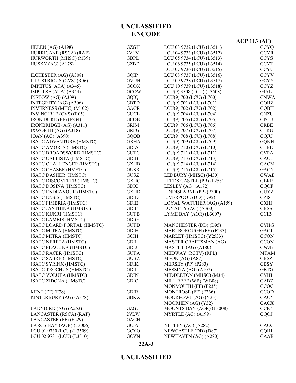|                                 |                       |                           | $ACP$ 113 (AF)        |
|---------------------------------|-----------------------|---------------------------|-----------------------|
| HELEN $(AG)$ $(A198)$           | <b>GZGH</b>           | LCU 03 9732 (LCU) (L3511) | <b>GCYQ</b>           |
| HURRICANE (RSCA) (RAF)          | 2VLV                  | LCU 04 9733 (LCU) (L3512) | <b>GCYR</b>           |
| HURWORTH (MHSC) (M39)           | $\operatorname{GBPL}$ | LCU 05 9734 (LCU) (L3513) | <b>GCYS</b>           |
| HUSKY $(AG)$ $(A178)$           | <b>GZBD</b>           | LCU 06 9735 (LCU) (L3514) | <b>GCYT</b>           |
|                                 |                       | LCU 07 9736 (LCU) (L3515) | <b>GCYU</b>           |
| ILCHESTER (AG) (A308)           | GQIP                  | LCU 08 9737 (LCU) (L3516) | <b>GCYV</b>           |
| ILLUSTRIOUS (CVS) (R06)         | <b>GVUH</b>           | LCU 09 9738 (LCU) (L3517) | <b>GCYY</b>           |
| IMPETUS (ATA) (A345)            | <b>GCOX</b>           | LCU 10 9739 (LCU) (L3518) | <b>GCYZ</b>           |
| IMPULSE (ATA) (A344)            | <b>GCOW</b>           | LCU(9) 3508 (LCU) (L3508) | $\operatorname{GIAL}$ |
| INSTOW (AG) (A309)              | GQIQ                  | LCU(9) 700 (LCU) (L700)   | <b>GNWA</b>           |
| INTEGRITY (AG) (A306)           | <b>GBTD</b>           | LCU(9) 701 (LCU) (L701)   | GOHZ                  |
| INVERNESS (MHC) (M102)          | <b>GACR</b>           | LCU(9) 702 (LCU) (L702)   | <b>GQBH</b>           |
| <b>INVINCIBLE (CVS) (R05)</b>   | <b>GUCL</b>           | LCU(9) 704 (LCU) (L704)   | <b>GNZU</b>           |
| <b>IRON DUKE (FF) (F234)</b>    | <b>GCOB</b>           | LCU(9) 705 (LCU) (L705)   | <b>GPCU</b>           |
| IRONBRIDGE (AG) (A311)          | <b>GRIM</b>           | LCU(9) 706 (LCU) (L706)   | <b>GRBE</b>           |
| IXWORTH (AG) (A318)             | <b>GRFG</b>           | LCU(9) 707 (LCU) (L707)   | <b>GTRU</b>           |
| <b>JOAN</b> (AG) (A390)         | <b>GQOB</b>           | LCU(9) 708 (LCU) (L708)   | <b>GQJU</b>           |
| <b>JSATC ADVENTURE (HMSTC)</b>  | <b>GXHA</b>           | LCU(9) 709 (LCU) (L709)   | <b>GQKH</b>           |
| <b>JSATC AMORIA (HMSTC)</b>     | <b>GDIA</b>           | LCU(9) 710 (LCU) (L710)   | <b>GTBE</b>           |
| <b>JSATC BROADSWORD (HMSTC)</b> | <b>GUTC</b>           | LCU(9) 711 (LCU) (L711)   | <b>GVPA</b>           |
| <b>JSATC CALLISTA (HMSTC)</b>   | <b>GDIB</b>           | LCU(9) 713 (LCU) (L713)   | <b>GACL</b>           |
| <b>JSATC CHALLENGER (HMSTC)</b> | <b>GXHB</b>           | LCU(9) 714 (LCU) (L714)   | <b>GACM</b>           |
| <b>JSATC CHASER (HMSTC)</b>     | <b>GUSR</b>           | LCU(9) 715 (LCU) (L715)   | <b>GACN</b>           |
| <b>JSATC DASHER (HMSTC)</b>     | <b>GUSZ</b>           | LEDBURY (MHSC) (M30)      | <b>GWAE</b>           |
| <b>JSATC DISCOVERER (HMSTC)</b> | <b>GXHC</b>           | LEEDS CASTLE (PB) (P258)  | <b>GBRE</b>           |
| <b>JSATC DOSINA (HMSTC)</b>     | <b>GDIC</b>           | LESLEY (AG) $(A172)$      | <b>GQOF</b>           |
| <b>JSATC ENDEAVOUR (HMSTC)</b>  | <b>GXHD</b>           | LINDISFARNE (PP) (P300)   | <b>GUYZ</b>           |
| <b>JSATC ENSIS (HMSTC)</b>      | <b>GDID</b>           | LIVERPOOL (DD) (D92)      | <b>GZIS</b>           |
| <b>JSATC FIMBRIA (HMSTC)</b>    | <b>GDIE</b>           | LOYAL WATCHER (AG) (A159) | <b>GXHJ</b>           |
| <b>JSATC JANTHINA (HMSTC)</b>   | <b>GDIF</b>           | LOYALTY (AG) (A360)       | <b>GBSS</b>           |
| <b>JSATC KUKRI (HMSTC)</b>      | <b>GUTB</b>           | LYME BAY (AOR) (L3007)    | <b>GCIB</b>           |
| <b>JSATC LAMBIS (HMSTC)</b>     | <b>GDIG</b>           |                           |                       |
| JSATC LOARD PORTAL (HMSTC)      | <b>GUTD</b>           | MANCHESTER (DD) (D95)     | <b>GYHG</b>           |
| <b>JSATC MITRA (HMSTC)</b>      | <b>GDIH</b>           | MARLBOROUGH (FF) (F233)   | GACJ                  |
| <b>JSATC MITRA (HMSTC)</b>      | <b>GCIH</b>           | MARLET (HMSTC) (Y2533)    | <b>GCON</b>           |
| <b>JSATC NERETA (HMSTC)</b>     | <b>GDII</b>           | MASTER CRAFTSMAN (AG)     | <b>GCOV</b>           |
| <b>JSATC PLACUNA (HMSTC)</b>    | GDIJ                  | MASTIFF (AG) (A180)       | <b>GWJE</b>           |
| <b>JSATC RACER (HMSTC)</b>      | <b>GUTA</b>           | MEDWAY (RCTV) (RPL)       | <b>MTAM</b>           |
| <b>JSATC SABRE (HMSTC)</b>      | <b>GUBZ</b>           | MEON (AG) (A87)           | GBSZ                  |
| <b>JSATC SYRINX (HMSTC)</b>     | <b>GDIK</b>           | MERSEY (PP) (P283)        | <b>GBSY</b>           |
| <b>JSATC TROCHUS (HMSTC)</b>    | <b>GDIL</b>           | MESSINA (AG) (A107)       | <b>GBTG</b>           |
| <b>JSATC VOLUTA (HMSTC)</b>     | <b>GDIN</b>           | MIDDLETON (MHSC) (M34)    | <b>GYHL</b>           |
| <b>JSATC ZIDONA (HMSTC)</b>     | <b>GDIO</b>           | MILL REEF (WB) (WB08)     | GABZ                  |
|                                 |                       | MONMOUTH (FF) (F235)      | GCOC                  |
| KENT (FF) (F78)                 | <b>GDIR</b>           | MONTROSE (FF) (F236)      | GCOD                  |
| KINTERBURY (AG) (A378)          | <b>GBKX</b>           | MOORFOWL (AG) (Y33)       | <b>GACY</b>           |
|                                 |                       | MOORHEN (AG) (Y32)        | <b>GACX</b>           |
| LADYBIRD (AG) (A253)            | GZGU                  | MOUNTS BAY (AOR) (L3008)  | <b>GCIC</b>           |
| LANCASTER (RSCA) (RAF)          | 2VLW                  | MYRTLE (AG) (A199)        | GQOJ                  |
| LANCASTER (FF) (F229)           | <b>GACH</b>           |                           |                       |
| LARGS BAY (AOR) (L3006)         | <b>GCIA</b>           | NETLEY (AG) (A282)        | GACC                  |
| LCU 01 9730 (LCU) (L3509)       | GCYO                  | NEWCASTLE (DD) (D87)      | <b>GQIH</b>           |
| LCU 02 9731 (LCU) (L3510)       | <b>GCYN</b>           | NEWHAVEN (AG) (A280)      | <b>GAAB</b>           |
|                                 |                       |                           |                       |

#### **22A-3**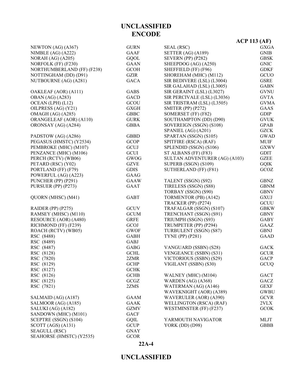|                            |             |                               | $ACP$ 113 (AF) |
|----------------------------|-------------|-------------------------------|----------------|
| NEWTON (AG) (A367)         | <b>GURN</b> | SEAL (RSC)                    | <b>GXGA</b>    |
| NIMBLE $(AG)$ $(A222)$     | GAAF        | SETTER (AG) (A189)            | <b>GNIB</b>    |
| NORAH $(AG)(A205)$         | <b>GQOL</b> | SEVERN (PP) (P282)            | <b>GBSK</b>    |
| NORFOLK (FF) (F230)        | <b>GAAN</b> | SHEEPDOG (AG) (A250)          | <b>GNIC</b>    |
| NORTHUMBERLAND (FF) (F238) | <b>GCOH</b> | SHEFFIELD (FF) (F96)          | <b>GDKF</b>    |
| NOTTINGHAM (DD) (D91)      | GZIR        | SHOREHAM (MHC) (M112)         | GCUO           |
| NUTBOURNE (AG) (A281)      | <b>GACA</b> | SIR BEDIVERE (LSL) (L3004)    | <b>GSRE</b>    |
|                            |             | SIR GALAHAD (LSL) (L3005)     | <b>GABN</b>    |
| OAKLEAF (AOR) (A111)       | <b>GABS</b> | SIR GERAINT (LSL) (L3027)     | <b>GVNU</b>    |
| <b>OBAN</b> (AG) (A283)    | GACD        | SIR PERCIVALE (LSL) (L3036)   | <b>GVTA</b>    |
| OCEAN (LPH) (L12)          | GCOU        | SIR TRISTRAM (LSL) (L3505)    | <b>GVMA</b>    |
| OILPRESS (AG) (Y21)        | <b>GXGH</b> | <b>SMITER (PP) (P272)</b>     | GAAS           |
| OMAGH (AG) (A285)          | <b>GBBC</b> | SOMERSET (FF) (F82)           | <b>GDIP</b>    |
| ORANGELEAF (AOR) (A110)    | <b>GURK</b> | SOUTHAMPTON (DD) (D90)        | <b>GVUK</b>    |
| ORONSAY (AG) (A284)        | <b>GBBA</b> | SOVEREIGN (SSGN) (S108)       | <b>GPAB</b>    |
|                            |             | SPANIEL (AG) (A201)           | <b>GZCK</b>    |
| PADSTOW (AG) (A286)        | <b>GBBD</b> | SPARTAN (SSGN) (S105)         | <b>GWAD</b>    |
| PEGASUS (HMSTC) (Y2534)    | <b>GCOP</b> | SPITFIRE (RSCA) (RAF)         | <b>MUIF</b>    |
| PEMBROKE (MHC) (M107)      | GCUJ        | SPLENDID (SSGN) (S106)        | <b>GXWV</b>    |
| PENZANCE (MHC) (M106)      | <b>GCUI</b> | ST ALBANS (FF) (F83)          | <b>GDIT</b>    |
| PERCH (RCTV) (WB06)        | GWOG        | SULTAN ADVENTURER (AG) (A103) | <b>GZEE</b>    |
| PETARD (RSC) (Y02)         | <b>GZVE</b> | SUPERB (SSGN) (S109)          | <b>GQIK</b>    |
| PORTLAND (FF) (F79)        | <b>GDIS</b> | SUTHERLAND (FF) (F81)         | GCOZ           |
| POWERFUL (AG) (A223)       | <b>GAAG</b> |                               |                |
| PUNCHER (PP) (P291)        | <b>GAAW</b> | TALENT (SSGN) (S92)           | <b>GBNZ</b>    |
| PURSUER (PP) (P273)        | GAAT        | TIRELESS (SSGN) (S88)         | <b>GBNM</b>    |
|                            |             | TORBAY (SSGN) (S90)           | <b>GBNV</b>    |
| QUORN (MHSC) (M41)         | <b>GABT</b> | TORMENTOR (PB) (A142)         | <b>GXUJ</b>    |
|                            |             | TRACKER (PP) (P274)           | GCUU           |
| RAIDER (PP) (P275)         | <b>GCUV</b> | TRAFALGAR (SSGN) (S107)       | <b>GBKW</b>    |
| RAMSEY (MHSC) (M110)       | <b>GCUM</b> | TRENCHANT (SSGN) (S91)        | <b>GBNY</b>    |
| RESOURCE (AOR) (A480)      | <b>GRFE</b> | TRIUMPH (SSGN) (S93)          | <b>GABY</b>    |
| RICHMOND (FF) (F239)       | GCOJ        | TRUMPETER (PP) (P294)         | <b>GAAZ</b>    |
| ROACH (RCTV) (WB05)        | <b>GWOF</b> | TURBULENT (SSGN) (S87)        | <b>GBNJ</b>    |
| RSC (8488)                 | <b>GABH</b> | <b>TYNE (PP) (P281)</b>       | <b>GAAD</b>    |
| RSC (8489)                 | GABJ        |                               |                |
| RSC (8487)                 | <b>GABG</b> | VANGUARD (SSBN) (S28)         | <b>GACK</b>    |
| RSC (8128)                 | <b>GCHL</b> | VENGEANCE (SSBN) (S31)        | <b>GCUR</b>    |
| RSC (7820)                 | 2ZMR        | VICTORIOUS (SSBN) (S29)       | GACP           |
| RSC (8129)                 | <b>GCHP</b> | VIGILANT (SSBN) (S30)         | GCUQ           |
| RSC (8127)                 | <b>GCHK</b> |                               |                |
| RSC (8126)                 | <b>GCHB</b> | WALNEY (MHC) (M104)           | <b>GACT</b>    |
| RSC (8125)                 | GCGZ        | WARDEN (AG) (A368)            | GACZ           |
| RSC (7821)                 | 2ZMS        | WATERMAN (AG) (A146)          | <b>GEXF</b>    |
|                            |             | WAVEKNIGHT (AOR) (A389)       | <b>GWBU</b>    |
| SALMAID (AG) (A187)        | <b>GAAM</b> | WAVERULER (AOR) (A390)        | <b>GCVR</b>    |
| SALMOOR (AG) (A185)        | <b>GAAK</b> | WELLINGTON (RSCA) (RAF)       | 2VLX           |
| SALUKI (AG) (A182)         | <b>GZMV</b> | WESTMINSTER (FF) (F237)       | <b>GCOK</b>    |
| SANDOWN (MHC) (M101)       | <b>GACF</b> |                               |                |
| SCEPTRE (SSGN) (S104)      | GQIL        | YARMOUTH NAVIGATOR            | MLJT           |
| SCOTT (AGS) (A131)         | <b>GCUP</b> | <b>YORK (DD) (D98)</b>        | <b>GBBB</b>    |
| SEAGULL (RSC)              | <b>GNAY</b> |                               |                |

### **UNCLASSIFIED**

**22A-4**

SEAHORSE (HMSTC) (Y2535) GCOR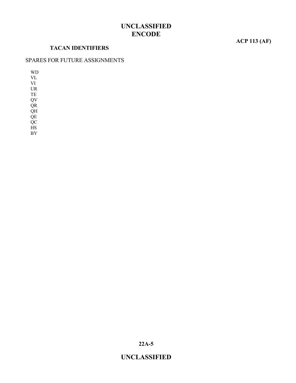#### **TACAN IDENTIFIERS**

### **ACP 113 (AF)**

#### SPARES FOR FUTURE ASSIGNMENTS

WD VL VI UR

TE QV

QR

QH QE

QC

HS

BY

**22A-5**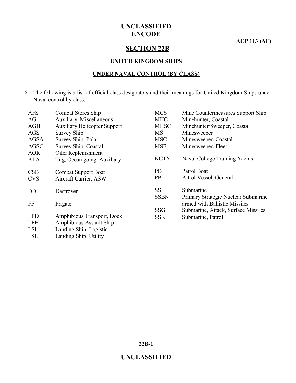**ACP 113 (AF)**

### **SECTION 22B**

#### **UNITED KINGDOM SHIPS**

#### **UNDER NAVAL CONTROL (BY CLASS)**

8. The following is a list of official class designators and their meanings for United Kingdom Ships under Naval control by class.

| <b>AFS</b>  | <b>Combat Stores Ship</b>           | <b>MCS</b>  | Mine Countermeasures Support Ship   |
|-------------|-------------------------------------|-------------|-------------------------------------|
| AG          | Auxiliary, Miscellaneous            | <b>MHC</b>  | Minehunter, Coastal                 |
| <b>AGH</b>  | <b>Auxiliary Helicopter Support</b> | <b>MHSC</b> | Minehunter/Sweeper, Coastal         |
| <b>AGS</b>  | Survey Ship                         | <b>MS</b>   | Minesweeper                         |
| <b>AGSA</b> | Survey Ship, Polar                  | <b>MSC</b>  | Minesweeper, Coastal                |
| <b>AGSC</b> | Survey Ship, Coastal                | <b>MSF</b>  | Minesweeper, Fleet                  |
| <b>AOR</b>  | Oiler Replenishment                 |             |                                     |
| <b>ATA</b>  | Tug, Ocean going, Auxiliary         | <b>NCTY</b> | Naval College Training Yachts       |
|             |                                     |             |                                     |
| CSB         | <b>Combat Support Boat</b>          | <b>PB</b>   | Patrol Boat                         |
| <b>CVS</b>  | Aircraft Carrier, ASW               | PP          | Patrol Vessel, General              |
| <b>DD</b>   | Destroyer                           | <b>SS</b>   | Submarine                           |
|             |                                     | <b>SSBN</b> | Primary Strategic Nuclear Submarine |
| FF          | Frigate                             |             | armed with Ballistic Missiles       |
|             |                                     | <b>SSG</b>  | Submarine, Attack, Surface Missiles |
| <b>LPD</b>  | Amphibious Transport, Dock          | <b>SSK</b>  | Submarine, Patrol                   |
| <b>LPH</b>  | <b>Amphibious Assault Ship</b>      |             |                                     |
| <b>LSL</b>  | Landing Ship, Logistic              |             |                                     |
|             |                                     |             |                                     |

LSU Landing Ship, Utility

**22B-1**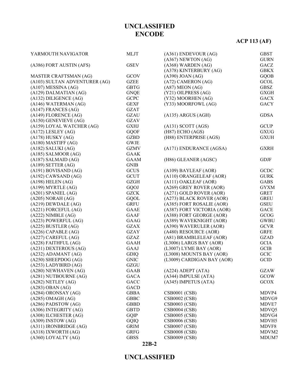#### **22B-2**

| YARMOUTH NAVIGATOR            | <b>MLJT</b> | $(A361)$ ENDEVOUR $(AG)$   | <b>GBST</b> |
|-------------------------------|-------------|----------------------------|-------------|
|                               |             | $(A367)$ NEWTON $(AG)$     | <b>GURN</b> |
| (A386) FORT AUSTIN (AFS)      | <b>GSEV</b> | $(A368)$ WARDEN $(AG)$     | GACZ        |
|                               |             | (A378) KINTERBURY (AG)     | <b>GBKX</b> |
| MASTER CRAFTSMAN (AG)         | GCOV        | $(A390)$ JOAN $(AG)$       | <b>GQOB</b> |
| (A103) SULTAN ADVENTURER (AG) | <b>GZEE</b> | (A72) CAMERON (AG)         | GCOL        |
| $(A107)$ MESSINA $(AG)$       | <b>GBTG</b> | $(A87)$ MEON $(AG)$        | GBSZ        |
| (A129) DALMATIAN (AG)         | <b>GNQE</b> | (Y21) OILPRESS (AG)        | <b>GXGH</b> |
| $(A132)$ DILIGENCE $(AG)$     | <b>GCPC</b> | (Y32) MOORHEN (AG)         | <b>GACX</b> |
| (A146) WATERMAN (AG)          | <b>GEXF</b> | (Y33) MOORFOWL (AG)        | <b>GACY</b> |
| $(A147)$ FRANCES $(AG)$       | <b>GZAT</b> |                            |             |
| $(A149)$ FLORENCE $(AG)$      | <b>GZAU</b> | (A135) ARGUS (AGH)         | <b>GDSA</b> |
| $(A150)$ GENEVIEVE $(AG)$     | <b>GZAV</b> |                            |             |
| (A159) LOYAL WATCHER (AG)     | <b>GXHJ</b> | $(A131)$ SCOTT $(AGS)$     | <b>GCUP</b> |
| $(A172)$ LESLEY $(AG)$        | <b>GQOF</b> | (H87) ECHO (AGS)           | <b>GXUG</b> |
| $(A178)$ HUSKY $(AG)$         | <b>GZBD</b> | (H88) ENTERPRISE (AGS)     | <b>GXUH</b> |
| $(A180)$ MASTIFF $(AG)$       | <b>GWJE</b> |                            |             |
| $(A182)$ SALUKI $(AG)$        | <b>GZMV</b> | (A171) ENDURANCE (AGSA)    | <b>GXRH</b> |
| $(A185)$ SALMOOR $(AG)$       | <b>GAAK</b> |                            |             |
| $(A187)$ SALMAID $(AG)$       | <b>GAAM</b> | (H86) GLEANER (AGSC)       |             |
|                               |             |                            | <b>GDJF</b> |
| $(A189)$ SETTER $(AG)$        | <b>GNIB</b> |                            |             |
| $(A191)$ BOVISAND $(AG)$      | <b>GCUS</b> | (A109) BAYLEAF (AOR)       | <b>GCDC</b> |
| $(A192)$ CAWSAND $(AG)$       | <b>GCUT</b> | (A110) ORANGELEAF (AOR)    | <b>GURK</b> |
| $(A198)$ HELEN $(AG)$         | <b>GZGH</b> | (A111) OAKLEAF (AOR)       | <b>GABS</b> |
| $(A199)$ MYRTLE $(AG)$        | GQOJ        | (A269) GREY ROVER (AOR)    | <b>GYXM</b> |
| $(A201)$ SPANIEL $(AG)$       | <b>GZCK</b> | (A271) GOLD ROVER (AOR)    | <b>GRET</b> |
| (A205) NORAH(AG)              | <b>GQOL</b> | (A273) BLACK ROVER (AOR)   | <b>GREU</b> |
| $(A219)$ DEWDALE $(AG)$       | <b>GRFU</b> | (A385) FORT ROSALIE (AOR)  | <b>GSEU</b> |
| (A221) FORCEFUL (AG)          | <b>GAAE</b> | (A387) FORT VICTORIA (AOR) | <b>GACE</b> |
| $(A222)$ NIMBLE $(AG)$        | <b>GAAF</b> | (A388) FORT GEORGE (AOR)   | GCOG        |
| (A223) POWERFUL (AG)          | <b>GAAG</b> | (A389) WAVEKNIGHT (AOR)    | <b>GWBU</b> |
| $(A225)$ BUSTLER $(AG)$       | <b>GZAX</b> | (A390) WAVERULER (AOR)     | <b>GCVR</b> |
| $(A226)$ CAPABLE $(AG)$       | <b>GZAY</b> | (A480) RESOURCE (AOR)      | <b>GRFE</b> |
| (A227) CAREFUL (AG)           | <b>GZAZ</b> | (A81) BRAMBLELEAF (AOR)    | <b>GZAD</b> |
| (A228) FAITHFUL (AG)          | <b>GAAH</b> | (L3006) LARGS BAY (AOR)    | <b>GCIA</b> |
| (A231) DEXTEROUS (AG)         | <b>GAAJ</b> | (L3007) LYME BAY (AOR)     | <b>GCIB</b> |
| $(A232)$ ADAMANT $(AG)$       | <b>GDIQ</b> | (L3008) MOUNTS BAY (AOR)   | <b>GCIC</b> |
| $(A250)$ SHEEPDOG $(AG)$      | <b>GNIC</b> | (L3009) CARDIGAN BAY (AOR) | GCID        |
| $(A253)$ LADYBIRD $(AG)$      | GZGU        |                            |             |
| (A280) NEWHAVEN (AG)          | GAAB        | $(A224)$ ADEPT $(ATA)$     | <b>GZAW</b> |
| (A281) NUTBOURNE (AG)         | <b>GACA</b> | (A344) IMPULSE (ATA)       | <b>GCOW</b> |
| $(A282)$ NETLEY $(AG)$        | GACC        | (A345) IMPETUS (ATA)       | <b>GCOX</b> |
| $(A283)$ OBAN $(AG)$          | <b>GACD</b> |                            |             |
| (A284) ORONSAY (AG)           | <b>GBBA</b> | <b>CSB0001 (CSB)</b>       | MDVP4       |
| $(A285)$ OMAGH $(AG)$         | <b>GBBC</b> | <b>CSB0002 (CSB)</b>       | MDVG9       |
| (A286) PADSTOW (AG)           | <b>GBBD</b> | <b>CSB0003 (CSB)</b>       | MDVE7       |
| (A306) INTEGRITY (AG)         | <b>GBTD</b> | <b>CSB0004 (CSB)</b>       | MDVQ5       |
| (A308) ILCHESTER (AG)         | GQIP        | <b>CSB0005 (CSB)</b>       | MDVG4       |
| $(A309)$ INSTOW $(AG)$        | GQIQ        | <b>CSB0006 (CSB)</b>       | MDVH5       |
| (A311) IRONBRIDGE (AG)        | <b>GRIM</b> | <b>CSB0007 (CSB)</b>       | MDVF8       |
| $(A318)$ IXWORTH $(AG)$       | <b>GRFG</b> | <b>CSB0008 (CSB)</b>       | MDVM2       |
| (A360) LOYALTY (AG)           | <b>GBSS</b> | <b>CSB0009 (CSB)</b>       | MDUM7       |
|                               |             |                            |             |

# **UNCLASSIFIED ENCODE**

# **ACP 113 (AF)**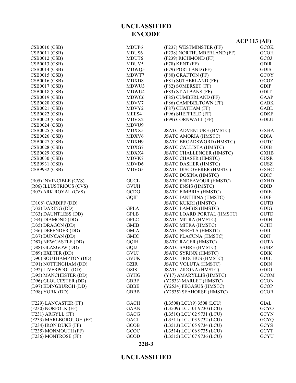# **22B-3**

|                         |                   |                                 | $ACP$ 113 (AF) |
|-------------------------|-------------------|---------------------------------|----------------|
| <b>CSB0010 (CSB)</b>    | MDUP <sub>6</sub> | (F237) WESTMINSTER (FF)         | <b>GCOK</b>    |
| <b>CSB0011 (CSB)</b>    | MDUS <sub>6</sub> | (F238) NORTHUMBERLAND (FF)      | <b>GCOH</b>    |
| <b>CSB0012 (CSB)</b>    | MDUT <sub>6</sub> | (F239) RICHMOND (FF)            | GCOJ           |
| <b>CSB0013 (CSB)</b>    | MDUV5             | (F78) KENT (FF)                 | <b>GDIR</b>    |
| <b>CSB0014 (CSB)</b>    | MDWQ5             | (F79) PORTLAND (FF)             | <b>GDIS</b>    |
| <b>CSB0015 (CSB)</b>    | MDWT7             | (F80) GRAFTON (FF)              | <b>GCOY</b>    |
| <b>CSB0016 (CSB)</b>    | MDXD8             | (F81) SUTHERLAND (FF)           | GCOZ           |
| <b>CSB0017 (CSB)</b>    | MDWU3             | (F82) SOMERSET (FF)             | <b>GDIP</b>    |
| <b>CSB0018 (CSB)</b>    | MDWU4             | (F83) ST ALBANS (FF)            | <b>GDIT</b>    |
| <b>CSB0019 (CSB)</b>    | MDWC <sub>6</sub> | (F85) CUMBERLAND (FF)           | <b>GAAP</b>    |
| <b>CSB0020 (CSB)</b>    | MDVV7             | (F86) CAMPBELTOWN (FF)          | <b>GABK</b>    |
| <b>CSB0021 (CSB)</b>    | MDVY <sub>2</sub> | (F87) CHATHAM (FF)              | <b>GABL</b>    |
| <b>CSB0022 (CSB)</b>    | MEES4             | (F96) SHEFFIELD (FF)            | <b>GDKF</b>    |
| <b>CSB0023 (CSB)</b>    | MDVX2             | (F99) CORNWALL (FF)             | <b>GDLU</b>    |
| <b>CSB0024 (CSB)</b>    | MDVU9             |                                 |                |
| <b>CSB0025 (CSB)</b>    | MDXX5             | <b>JSATC ADVENTURE (HMSTC)</b>  | <b>GXHA</b>    |
| <b>CSB0026 (CSB)</b>    | MDXV6             | <b>JSATC AMORIA (HMSTC)</b>     | <b>GDIA</b>    |
| <b>CSB0027 (CSB)</b>    | MDXH9             | <b>JSATC BROADSWORD (HMSTC)</b> | <b>GUTC</b>    |
| <b>CSB0028 (CSB)</b>    | MDXG7             | <b>JSATC CALLISTA (HMSTC)</b>   | <b>GDIB</b>    |
| <b>CSB0029 (CSB)</b>    | MDXX4             | <b>JSATC CHALLENGER (HMSTC)</b> | <b>GXHB</b>    |
| <b>CSB0030 (CSB)</b>    | MDVK7             | <b>JSATC CHASER (HMSTC)</b>     | <b>GUSR</b>    |
| CSB9931 (CSB)           | MDVD <sub>6</sub> | <b>JSATC DASHER (HMSTC)</b>     | <b>GUSZ</b>    |
| <b>CSB9932 (CSB)</b>    | MDVG5             | <b>JSATC DISCOVERER (HMSTC)</b> | <b>GXHC</b>    |
|                         |                   | <b>JSATC DOSINA (HMSTC)</b>     | <b>GDIC</b>    |
| (R05) INVINCIBLE (CVS)  | <b>GUCL</b>       | <b>JSATC ENDEAVOUR (HMSTC)</b>  | <b>GXHD</b>    |
| (R06) ILLUSTRIOUS (CVS) | <b>GVUH</b>       | <b>JSATC ENSIS (HMSTC)</b>      | <b>GDID</b>    |
| (R07) ARK ROYAL (CVS)   | <b>GCDG</b>       | <b>JSATC FIMBRIA (HMSTC)</b>    | <b>GDIE</b>    |
|                         | <b>GQIF</b>       | <b>JSATC JANTHINA (HMSTC)</b>   | <b>GDIF</b>    |
| (D108) CARDIFF (DD)     |                   | <b>JSATC KUKRI (HMSTC)</b>      | <b>GUTB</b>    |
| (D32) DARING (DD)       | <b>GPLA</b>       | <b>JSATC LAMBIS (HMSTC)</b>     | <b>GDIG</b>    |
| (D33) DAUNTLESS (DD)    | <b>GPLB</b>       | JSATC LOARD PORTAL (HMSTC)      | <b>GUTD</b>    |
| (D34) DIAMOND (DD)      | <b>GPLC</b>       | <b>JSATC MITRA (HMSTC)</b>      | <b>GDIH</b>    |
| (D35) DRAGON (DD)       | <b>GMIB</b>       | <b>JSATC MITRA (HMSTC)</b>      | <b>GCIH</b>    |
| (D36) DEFENDER (DD)     | <b>GMIA</b>       | <b>JSATC NERETA (HMSTC)</b>     | <b>GDII</b>    |
| (D37) DUNCAN (DD)       | <b>GMIC</b>       | <b>JSATC PLACUNA (HMSTC)</b>    | GDIJ           |
| (D87) NEWCASTLE (DD)    | <b>GQIH</b>       | <b>JSATC RACER (HMSTC)</b>      | <b>GUTA</b>    |
| (D88) GLASGOW (DD)      | GQIJ              | <b>JSATC SABRE (HMSTC)</b>      | <b>GUBZ</b>    |
| $(D89)$ EXETER $(DD)$   | GVUJ              | <b>JSATC SYRINX (HMSTC)</b>     | <b>GDIK</b>    |
| (D90) SOUTHAMPTON (DD)  | <b>GVUK</b>       | <b>JSATC TROCHUS (HMSTC)</b>    | <b>GDIL</b>    |
| (D91) NOTTINGHAM (DD)   | <b>GZIR</b>       | <b>JSATC VOLUTA (HMSTC)</b>     | <b>GDIN</b>    |
| (D92) LIVERPOOL (DD)    | <b>GZIS</b>       | <b>JSATC ZIDONA (HMSTC)</b>     | <b>GDIO</b>    |
| (D95) MANCHESTER (DD)   | <b>GYHG</b>       | (Y17) AMARYLLIS (HMSTC)         | <b>GCOM</b>    |
| (D96) GLOUCESTER (DD)   | <b>GBBF</b>       | (Y2533) MARLET (HMSTC)          | <b>GCON</b>    |
| (D97) EDINGBURGH (DD)   | <b>GBBE</b>       | (Y2534) PEGASUS (HMSTC)         | <b>GCOP</b>    |
| (D98) YORK (DD)         | <b>GBBB</b>       | (Y2535) SEAHORSE (HMSTC)        | <b>GCOR</b>    |
| (F229) LANCASTER (FF)   | <b>GACH</b>       | (L3508) LCU(9) 3508 (LCU)       | <b>GIAL</b>    |
| (F230) NORFOLK (FF)     | <b>GAAN</b>       | (L3509) LCU 01 9730 (LCU)       | <b>GCYO</b>    |
| (F231) ARGYLL (FF)      | GACG              | (L3510) LCU 02 9731 (LCU)       | <b>GCYN</b>    |
| (F233) MARLBOROUGH (FF) | GACJ              | (L3511) LCU 03 9732 (LCU)       | <b>GCYQ</b>    |
| (F234) IRON DUKE (FF)   | <b>GCOB</b>       | (L3513) LCU 05 9734 (LCU)       | <b>GCYS</b>    |
| (F235) MONMOUTH (FF)    | GCOC              | (L3514) LCU 06 9735 (LCU)       | <b>GCYT</b>    |
| (F236) MONTROSE (FF)    | GCOD              | (L3515) LCU 07 9736 (LCU)       | <b>GCYU</b>    |

# **UNCLASSIFIED ENCODE**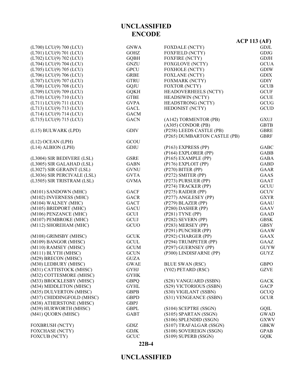#### **22B-4**

|                             |             |                              | <b>ACP 113 (AF)</b> |
|-----------------------------|-------------|------------------------------|---------------------|
| (L700) LCU(9) 700 (LCU)     | <b>GNWA</b> | <b>FOXDALE (NCTY)</b>        | <b>GDJL</b>         |
| (L701) LCU(9) 701 (LCU)     | <b>GOHZ</b> | <b>FOXFIELD (NCTY)</b>       | <b>GDJG</b>         |
| (L702) LCU(9) 702 (LCU)     | <b>GQBH</b> | <b>FOXFIRE (NCTY)</b>        | <b>GDJH</b>         |
| (L704) LCU(9) 704 (LCU)     | <b>GNZU</b> | <b>FOXGLOVE (NCTY)</b>       | <b>GCUA</b>         |
| (L705) LCU(9) 705 (LCU)     | <b>GPCU</b> | FOXHOLE (NCTY)               | <b>GDIW</b>         |
| (L706) LCU(9) 706 (LCU)     | <b>GRBE</b> | <b>FOXLANE (NCTY)</b>        | <b>GDIX</b>         |
| (L707) LCU(9) 707 (LCU)     | <b>GTRU</b> | <b>FOXMARK (NCTY)</b>        | <b>GDIY</b>         |
| (L708) LCU(9) 708 (LCU)     | <b>GQJU</b> | FOXTOR (NCTY)                | <b>GCUB</b>         |
| (L709) LCU(9) 709 (LCU)     | <b>GQKH</b> | <b>HEADOVERHEELS (NCTY)</b>  | <b>GCUF</b>         |
| (L710) LCU(9) 710 (LCU)     | <b>GTBE</b> | HEADSIWIN (NCTY)             | <b>GCUE</b>         |
| (L711) LCU(9) 711 (LCU)     | <b>GVPA</b> | <b>HEADSTRONG (NCTY)</b>     | GCUG                |
| (L713) LCU(9) 713 (LCU)     | <b>GACL</b> | HEDONIST (NCTY)              | <b>GCUD</b>         |
| (L714) LCU(9) 714 (LCU)     | <b>GACM</b> |                              |                     |
| (L715) LCU(9) 715 (LCU)     | <b>GACN</b> | (A142) TORMENTOR (PB)        | <b>GXUJ</b>         |
|                             |             | $(A305)$ CONDOR (PB)         | <b>GBTB</b>         |
| (L15) BULWARK (LPD)         | <b>GDIV</b> | (P258) LEEDS CASTLE (PB)     | <b>GBRE</b>         |
|                             |             | (P265) DUMBARTON CASTLE (PB) | <b>GBRF</b>         |
| (L12) OCEAN (LPH)           | GCOU        |                              |                     |
| (L14) ALBION (LPH)          | <b>GDIU</b> | (P163) EXPRESS (PP)          | <b>GABC</b>         |
|                             |             | (P164) EXPLORER (PP)         | <b>GABB</b>         |
| (L3004) SIR BEDIVERE (LSL)  | <b>GSRE</b> | (P165) EXAMPLE (PP)          | <b>GABA</b>         |
| (L3005) SIR GALAHAD (LSL)   | <b>GABN</b> | (P176) EXPLOIT (PP)          | <b>GABD</b>         |
| (L3027) SIR GERAINT (LSL)   | <b>GVNU</b> | (P270) BITER (PP)            | <b>GAAR</b>         |
| (L3036) SIR PERCIVALE (LSL) | <b>GVTA</b> | (P272) SMITER (PP)           | <b>GAAS</b>         |
| (L3505) SIR TRISTRAM (LSL)  | <b>GVMA</b> | (P273) PURSUER (PP)          | <b>GAAT</b>         |
|                             |             | (P274) TRACKER (PP)          | <b>GCUU</b>         |
| (M101) SANDOWN (MHC)        | <b>GACF</b> | (P275) RAIDER (PP)           | <b>GCUV</b>         |
| (M102) INVERNESS (MHC)      | <b>GACR</b> | (P277) ANGLESEY (PP)         | <b>GXYR</b>         |
| (M104) WALNEY (MHC)         | <b>GACT</b> | (P279) BLAZER (PP)           | <b>GAAU</b>         |
| (M105) BRIDPORT (MHC)       | <b>GACU</b> | (P280) DASHER (PP)           | <b>GAAV</b>         |
| (M106) PENZANCE (MHC)       | <b>GCUI</b> | (P281) TYNE (PP)             | <b>GAAD</b>         |
| (M107) PEMBROKE (MHC)       | GCUJ        | (P282) SEVERN (PP)           | <b>GBSK</b>         |
| (M112) SHOREHAM (MHC)       | GCUO        | (P283) MERSEY (PP)           | <b>GBSY</b>         |
|                             |             | (P291) PUNCHER (PP)          | <b>GAAW</b>         |
| (M108) GRIMSBY (MHSC)       | <b>GCUK</b> | (P292) CHARGER (PP)          | <b>GAAX</b>         |
| (M109) BANGOR (MHSC)        | <b>GCUL</b> | (P294) TRUMPETER (PP)        | GAAZ                |
| (M110) RAMSEY (MHSC)        | <b>GCUM</b> | (P297) GUERNSEY (PP)         | <b>GUYW</b>         |
| (M111) BLYTH(MHSC)          | <b>GCUN</b> | (P300) LINDISFARNE (PP)      | <b>GUYZ</b>         |
| (M29) BRECON (MHSC)         | <b>GUZA</b> |                              |                     |
| (M30) LEDBURY (MHSC)        | <b>GWAE</b> | <b>BLUE SWAN (RSC)</b>       | <b>GBPO</b>         |
| (M31) CATTISTOCK (MHSC)     | <b>GYHJ</b> | (Y02) PETARD (RSC)           | <b>GZVE</b>         |
| (M32) COTTESMORE (MHSC)     | <b>GYHK</b> |                              |                     |
| (M33) BROCKLESBY (MHSC)     | <b>GBPQ</b> | (S28) VANGUARD (SSBN)        | <b>GACK</b>         |
| (M34) MIDDLETON (MHSC)      | <b>GYHL</b> | (S29) VICTORIOUS (SSBN)      | <b>GACP</b>         |
| (M35) DULVERTON (MHSC)      | <b>GBPB</b> | (S30) VIGILANT (SSBN)        | GCUQ                |
| (M37) CHIDDINGFOLD (MHSC)   | <b>GBPD</b> | (S31) VENGEANCE (SSBN)       | <b>GCUR</b>         |
| (M38) ATHERSTONE (MHSC)     | <b>GBPJ</b> |                              |                     |
| (M39) HURWORTH (MHSC)       | <b>GBPL</b> | (S104) SCEPTRE (SSGN)        | GQIL                |
| (M41) QUORN (MHSC)          | <b>GABT</b> | (S105) SPARTAN (SSGN)        | <b>GWAD</b>         |
|                             |             | (S106) SPLENDID (SSGN)       | <b>GXWV</b>         |
| <b>FOXBRUSH (NCTY)</b>      | <b>GDIZ</b> | (S107) TRAFALGAR (SSGN)      | <b>GBKW</b>         |
| <b>FOXCHASE (NCTY)</b>      | <b>GDJK</b> | (S108) SOVEREIGN (SSGN)      | <b>GPAB</b>         |
| <b>FOXCUB (NCTY)</b>        | GCUC        | (S109) SUPERB (SSGN)         | <b>GQIK</b>         |

**UNCLASSIFIED ENCODE**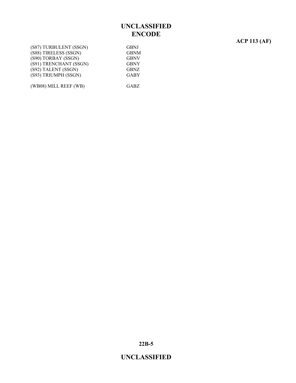### **ACP 113 (AF)**

| (S87) TURBULENT (SSGN) | <b>GBNJ</b> |
|------------------------|-------------|
| (S88) TIRELESS (SSGN)  | <b>GBNM</b> |
| (S90) TORBAY (SSGN)    | <b>GBNV</b> |
| (S91) TRENCHANT (SSGN) | <b>GBNY</b> |
| (S92) TALENT (SSGN)    | <b>GBNZ</b> |
| (S93) TRIUMPH (SSGN)   | <b>GABY</b> |
|                        |             |
| (WB08) MILL REEF (WB)  | <b>GABZ</b> |

**22B-5**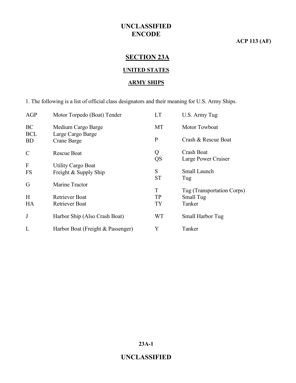### **ACP 113 (AF)**

# **SECTION 23A**

### **UNITED STATES**

#### **ARMY SHIPS**

1. The following is a list of official class designators and their meaning for U.S. Army Ships.

| Motor Torpedo (Boat) Tender       | <b>LT</b>         | U.S. Army Tug              |
|-----------------------------------|-------------------|----------------------------|
| Medium Cargo Barge                | MT                | Motor Towboat              |
| Crane Barge                       | $\mathbf{P}$      | Crash & Rescue Boat        |
| <b>Rescue Boat</b>                | Q                 | Crash Boat                 |
|                                   | QS                | Large Power Cruiser        |
| <b>Utility Cargo Boat</b>         |                   |                            |
| Freight & Supply Ship             |                   | Small Launch               |
|                                   |                   | Tug                        |
| Marine Tractor                    |                   |                            |
|                                   |                   | Tug (Transportation Corps) |
| Retriever Boat                    | <b>TP</b>         | Small Tug                  |
| <b>Retriever Boat</b>             | <b>TY</b>         | Tanker                     |
| Harbor Ship (Also Crash Boat)     | <b>WT</b>         | Small Harbor Tug           |
| Harbor Boat (Freight & Passenger) | Y                 | Tanker                     |
|                                   | Large Cargo Barge | S<br><b>ST</b><br>T        |

**23A-1**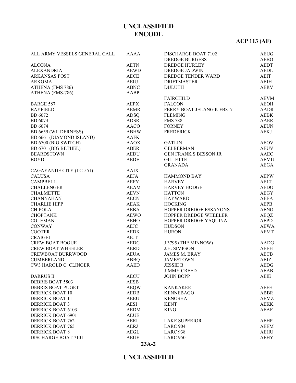# **ACP 113 (AF)**

| ALL ARMY VESSELS GENERAL CALL | AAAA        | DISCHARGE BOAT 7102                  | <b>AEUG</b> |
|-------------------------------|-------------|--------------------------------------|-------------|
|                               |             | <b>DREDGE BURGESS</b>                | <b>AEBO</b> |
| <b>ALCONA</b>                 | <b>AETN</b> | <b>DREDGE HURLEY</b>                 | <b>AEDT</b> |
| <b>ALEXANDRIA</b>             | <b>AEWD</b> | <b>DREDGE JADWIN</b>                 | <b>AEDL</b> |
| <b>ARKANSAS POST</b>          | <b>AECE</b> | DREDGE TENDER WARD                   | <b>AEIT</b> |
| <b>ARKOMA</b>                 | <b>AEIU</b> | <b>DRIFTMASTER</b>                   | AEJH        |
| ATHENA (FMS 786)              | <b>ABNC</b> | <b>DULUTH</b>                        | <b>AERV</b> |
| ATHENA (FMS-786)              | AABP        |                                      |             |
|                               |             | <b>FAIRCHILD</b>                     | <b>AEVM</b> |
| <b>BARGE 587</b>              | <b>AEPX</b> | <b>FALCON</b>                        | AEOH        |
| <b>BAYFIELD</b>               | <b>AEMR</b> | FERRY BOAT JELANG K FB817            | <b>AADR</b> |
| <b>BD</b> 6072                | <b>ADSQ</b> | <b>FLEMING</b>                       | <b>AEBK</b> |
| <b>BD</b> 6073                | <b>ADSR</b> | <b>FMS 788</b>                       | AAER        |
| <b>BD</b> 6074                | AACO        | <b>FORNEY</b>                        | <b>AEUN</b> |
| BD 6659 (WILDERNESS)          | <b>ABHW</b> | <b>FREDERICK</b>                     | <b>AEKJ</b> |
| BD 6661 (DIAMOND ISLAND)      | AAFK        |                                      |             |
| BD 6700 (BIG SWITCH)          | AAOX        | <b>GATLIN</b>                        | <b>AEOV</b> |
| BD 6701 (BIG BETHEL)          | ABER        | <b>GELBERMAN</b>                     | <b>AEUV</b> |
| <b>BEARDSTOWN</b>             | <b>AEDU</b> | <b>GEN FRANK S BESSON JR</b>         | AAEC        |
| <b>BOYD</b>                   | AEDE        | <b>GILLETTE</b>                      | <b>AEMU</b> |
|                               |             | <b>GRANADA</b>                       | <b>AEGA</b> |
| CAGAYANDE CITY (LC-551)       | <b>AAIX</b> |                                      |             |
| <b>CALUSA</b>                 | <b>AEJA</b> | HAMMOND BAY                          | <b>AEPW</b> |
| <b>CAMPBELL</b>               |             |                                      | <b>AELT</b> |
|                               | <b>AEFY</b> | <b>HARVEY</b><br><b>HARVEY HODGE</b> |             |
| <b>CHALLENGER</b>             | AEAM        |                                      | <b>AEDO</b> |
| <b>CHALMETTE</b>              | <b>AEVN</b> | <b>HATTON</b>                        | <b>AEGY</b> |
| <b>CHANNAHAN</b>              | <b>AECN</b> | <b>HAYWARD</b>                       | AEEA        |
| <b>CHARLIE HIPP</b>           | AEAK        | <b>HOCKING</b>                       | <b>AEPB</b> |
| <b>CHIPOLA</b>                | AEBA        | HOPPER DREDGE ESSAYONS               | <b>AENO</b> |
| <b>CHOPTANK</b>               | <b>AEWO</b> | HOPPER DREDGE WHEELER                | AEQZ        |
| <b>COLEMAN</b>                | <b>AEHO</b> | HOPPER DREDGE YAQUINA                | <b>AEPD</b> |
| <b>CONWAY</b>                 | AEJC        | <b>HUDSON</b>                        | <b>AEWA</b> |
| <b>COOTER</b>                 | <b>AEDK</b> | <b>HURON</b>                         | <b>AEMT</b> |
| <b>CRAIGEL</b>                | AEJT        |                                      |             |
| <b>CREW BOAT BOGUE</b>        | AEDC        | J 3795 (THE MINNOW)                  | AADG        |
| <b>CREW BOAT WHEELER</b>      | <b>AERD</b> | <b>J.H. SIMPSON</b>                  | <b>AEEH</b> |
| <b>CREWBOAT BURRWOOD</b>      | <b>AEUA</b> | <b>JAMES M. BRAY</b>                 | <b>AECB</b> |
| <b>CUMBERLAND</b>             | ABBQ        | <b>JAMESTOWN</b>                     | AEJZ        |
| CW3 HAROLD C. CLINGER         | <b>AAED</b> | <b>JESSIE B</b>                      | <b>AEDG</b> |
|                               |             | <b>JIMMY CREED</b>                   | AEAB        |
| <b>DARRUS II</b>              | <b>AECU</b> | <b>JOHN BOPP</b>                     | <b>AEIE</b> |
| DEBRIS BOAT 5803              | <b>AESB</b> |                                      |             |
| <b>DEBRIS BOAT PUGET</b>      | <b>AEQW</b> | <b>KANKAKEE</b>                      | <b>AEFE</b> |
| <b>DERRICK BOAT 10</b>        | <b>AEDB</b> | <b>KENNEBAGO</b>                     | <b>ABBR</b> |
| <b>DERRICK BOAT 11</b>        | <b>AEEU</b> | <b>KENOSHA</b>                       | <b>AEMZ</b> |
| <b>DERRICK BOAT 3</b>         | <b>AESI</b> | <b>KENT</b>                          | <b>AEKK</b> |
| <b>DERRICK BOAT 6103</b>      | <b>AEDM</b> | <b>KING</b>                          | <b>AEAF</b> |
| <b>DERRICK BOAT 6901</b>      | <b>AEUE</b> |                                      |             |
| <b>DERRICK BOAT 762</b>       | <b>AERI</b> | <b>LAKE SUPERIOR</b>                 | AEHP        |
| <b>DERRICK BOAT 765</b>       | <b>AERJ</b> | <b>LARC 904</b>                      | <b>AEEM</b> |
| <b>DERRICK BOAT 8</b>         |             | <b>LARC 938</b>                      |             |
|                               | AEGL        |                                      | <b>AEHU</b> |
| DISCHARGE BOAT 7101           | <b>AEUF</b> | <b>LARC 950</b>                      | <b>AEHY</b> |

**23A-2**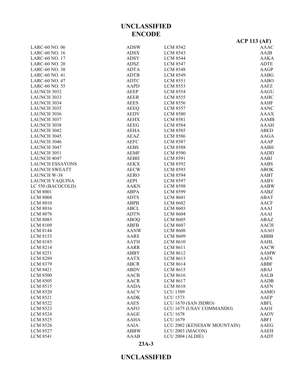### **23A-3**

|                        | <b>ENCODE</b>              |                             |                       |
|------------------------|----------------------------|-----------------------------|-----------------------|
|                        |                            |                             | <b>ACP 113 (AF)</b>   |
| LARC-60 NO. 06         | <b>ADSW</b>                | <b>LCM 8542</b>             | <b>AAAC</b>           |
| LARC-60 NO. 16         | <b>ADSX</b>                | <b>LCM 8543</b>             | AAJB                  |
| LARC-60 NO. 17         | <b>ADSY</b>                | <b>LCM 8544</b>             | <b>AAKA</b>           |
| LARC-60 NO. 20         | ADSZ                       | <b>LCM 8547</b>             | <b>ADTE</b>           |
| <b>LARC-60 NO. 38</b>  | <b>ADTA</b>                | <b>LCM 8548</b>             | <b>AAGP</b>           |
|                        |                            |                             | <b>AABG</b>           |
| <b>LARC-60 NO. 41</b>  | <b>ADTB</b><br><b>ADTC</b> | <b>LCM 8549</b>             | <b>AABO</b>           |
| LARC-60 NO. 47         |                            | <b>LCM 8551</b>             |                       |
| <b>LARC-60 NO. 55</b>  | <b>AAPD</b>                | <b>LCM 8553</b>             | AAFZ                  |
| <b>LAUNCH 3032</b>     | <b>AEEP</b>                | <b>LCM 8554</b>             | <b>AAGU</b>           |
| <b>LAUNCH 3033</b>     | <b>AEER</b>                | <b>LCM 8555</b>             | <b>AAHC</b>           |
| <b>LAUNCH 3034</b>     | <b>AEES</b>                | <b>LCM 8556</b>             | <b>AAHF</b>           |
| <b>LAUNCH 3035</b>     | <b>AEEQ</b>                | <b>LCM 8557</b>             | <b>AANC</b>           |
| <b>LAUNCH 3036</b>     | <b>AEDV</b>                | <b>LCM 8580</b>             | <b>AAAX</b>           |
| <b>LAUNCH 3037</b>     | <b>AEHX</b>                | <b>LCM 8581</b>             | <b>AAMB</b>           |
| <b>LAUNCH 3038</b>     | <b>AEEG</b>                | <b>LCM 8584</b>             | <b>AAAH</b>           |
| <b>LAUNCH 3042</b>     | <b>AEHA</b>                | <b>LCM 8585</b>             | <b>ABED</b>           |
| <b>LAUNCH 3045</b>     | <b>AEAZ</b>                | <b>LCM 8586</b>             | <b>AAGA</b>           |
| <b>LAUNCH 3046</b>     | <b>AEFC</b>                | <b>LCM 8587</b>             | <b>AAAP</b>           |
| <b>LAUNCH 3047</b>     | <b>AEBS</b>                | <b>LCM 8588</b>             | <b>AABH</b>           |
| <b>LAUNCH 3051</b>     | <b>AEMF</b>                | <b>LCM 8590</b>             | <b>AADD</b>           |
| <b>LAUNCH 4047</b>     | <b>AEBH</b>                | <b>LCM 8591</b>             | AABJ                  |
| <b>LAUNCH ESSAYONS</b> | <b>AEKX</b>                | <b>LCM 8592</b>             | <b>AABS</b>           |
| <b>LAUNCH SWEATT</b>   | <b>AECW</b>                | <b>LCM 8593</b>             | <b>ABOK</b>           |
| <b>LAUNCH W-38</b>     | <b>AERO</b>                | <b>LCM 8594</b>             | <b>AABT</b>           |
| LAUNCH YAQUINA         | <b>AEPI</b>                | <b>LCM 8597</b>             | <b>AABV</b>           |
| LC 550 (BACOCOLD)      | <b>AAKN</b>                | <b>LCM 8598</b>             | <b>AABW</b>           |
| <b>LCM 8001</b>        | <b>ABPA</b>                | <b>LCM 8599</b>             | AABZ                  |
| <b>LCM 8004</b>        | <b>ADTS</b>                | <b>LCM 8601</b>             | <b>ABAT</b>           |
| <b>LCM 8010</b>        | <b>ABPB</b>                | <b>LCM 8602</b>             | <b>AACF</b>           |
| <b>LCM 8016</b>        | <b>ABCL</b>                | <b>LCM 8603</b>             | <b>AAAJ</b>           |
| <b>LCM 8078</b>        | <b>ADTN</b>                | <b>LCM 8604</b>             | <b>AAAI</b>           |
| <b>LCM 8085</b>        | <b>ABOQ</b>                | <b>LCM 8605</b>             | <b>ABAZ</b>           |
| <b>LCM 8109</b>        | <b>ABFB</b>                | <b>LCM 8607</b>             | <b>AACH</b>           |
| <b>LCM 8144</b>        | <b>AANW</b>                | <b>LCM 8608</b>             | <b>AAAO</b>           |
|                        |                            |                             |                       |
| <b>LCM 8153</b>        | <b>AARS</b>                | <b>LCM 8609</b>             | <b>ABBB</b>           |
| <b>LCM 8185</b>        | <b>AATH</b>                | <b>LCM 8610</b>             | <b>AAHL</b>           |
| <b>LCM 8214</b>        | <b>AARR</b>                | <b>LCM 8611</b>             | $\operatorname{AACW}$ |
| <b>LCM 8251</b>        | <b>ABBY</b>                | <b>LCM 8612</b>             | <b>AAMW</b>           |
| <b>LCM 8289</b>        | <b>AATX</b>                | <b>LCM 8613</b>             | AAFS                  |
| <b>LCM 8379</b>        | <b>ABCR</b>                | <b>LCM 8614</b>             | <b>ABBF</b>           |
| <b>LCM 8421</b>        | <b>ABDV</b>                | <b>LCM 8615</b>             | ABAJ                  |
| <b>LCM 8500</b>        | AACB                       | <b>LCM 8616</b>             | AALB                  |
| <b>LCM 8505</b>        | <b>AACR</b>                | <b>LCM 8617</b>             | AADB                  |
| <b>LCM 8515</b>        | <b>AADA</b>                | <b>LCM 8618</b>             | <b>AAFN</b>           |
| <b>LCM 8520</b>        | <b>AACV</b>                | <b>LCU 1509</b>             | <b>AAMO</b>           |
| <b>LCM 8521</b>        | <b>AADK</b>                | <b>LCU 1573</b>             | AAEP                  |
| <b>LCM 8522</b>        | AAES                       | LCU 1670 (SAN ISDRO)        | <b>ABFL</b>           |
| <b>LCM 8523</b>        | <b>AAFO</b>                | LCU 1675 (USAV COMMANDO)    | <b>AAOJ</b>           |
| <b>LCM 8524</b>        | AAGE                       | <b>LCU 1678</b>             | <b>AAOY</b>           |
| <b>LCM 8525</b>        | <b>AAHA</b>                | <b>LCU 1679</b>             | ABFJ                  |
| <b>LCM 8526</b>        | <b>AAIA</b>                | LCU 2002 (KENESAW MOUNTAIN) | AAEG                  |
| <b>LCM 8527</b>        | <b>ABBW</b>                | LCU 2003 (MACON)            | <b>AAEH</b>           |
| <b>LCM 8541</b>        | <b>AAAB</b>                | LCU 2004 (ALDIE)            | AADT                  |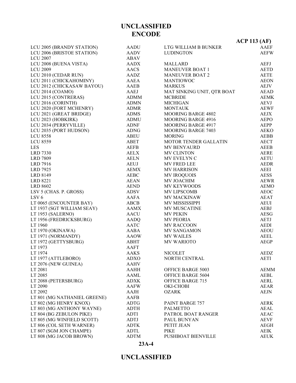|                                              |              |                                 | $ACP$ 113 (AF)             |
|----------------------------------------------|--------------|---------------------------------|----------------------------|
| LCU 2005 (BRANDY STATION)                    | <b>AADU</b>  | LTG WILLIAM B BUNKER            | AAEF                       |
| LCU 2006 (BRISTOE STATION)                   | AADV         | <b>LUDINGTON</b>                | <b>AEFW</b>                |
| <b>LCU 2007</b>                              | ABAV         |                                 |                            |
| LCU 2008 (BUENA VISTA)                       | AADX         | <b>MALLARD</b>                  | <b>AEFJ</b>                |
| <b>LCU 2009</b>                              | AACS         | <b>MANEUVER BOAT 1</b>          | <b>AETD</b>                |
| LCU 2010 (CEDAR RUN)                         | AADZ         | <b>MANEUVER BOAT 2</b>          | <b>AETE</b>                |
| LCU 2011 (CHICKAHOMINY)                      | AAEA         | <b>MANTIOWOC</b>                | <b>AEON</b>                |
| LCU 2012 (CHICKASAW BAYOU)                   | AAEB         | <b>MARKUS</b>                   | <b>AEJV</b>                |
| LCU 2014 (COAMO)                             | AAEJ         | MAT SINKING UNIT, QTR BOAT      | <b>AEAD</b>                |
| LCU 2015 (CONTRERAS)                         | <b>ADMM</b>  | <b>MCBRIDE</b>                  | <b>AEMK</b>                |
| LCU 2016 (CORINTH)                           | <b>ADMN</b>  | <b>MICHIGAN</b>                 | <b>AEVJ</b>                |
| LCU 2020 (FORT MCHENRY)                      | <b>ADMR</b>  | <b>MONTAUK</b>                  | <b>AEWF</b>                |
| LCU 2021 (GREAT BRIDGE)                      | <b>ADMS</b>  | MOORING BARGE 4802              | <b>AEJX</b>                |
| LCU 2023 (HOBKIRK)                           | <b>ADMU</b>  | <b>MOORING BARGE 4916</b>       | <b>AEPO</b>                |
| LCU 2034 (PERRYVILLE)                        | <b>ADNF</b>  | <b>MOORING BARGE 4917</b>       | AEPP                       |
| LCU 2035 (PORT HUDSON)                       | <b>ADNG</b>  | <b>MOORING BARGE 7403</b>       | <b>AEKO</b>                |
| <b>LCU 8558</b>                              | ABEU         | <b>MORING</b>                   | <b>AEBB</b>                |
| <b>LCU 8559</b>                              | ABET         | MOTOR TENDER GALLATIN           | <b>AECT</b>                |
| <b>LES</b>                                   | <b>AEFB</b>  | MV BENYAURD                     | <b>AEEB</b>                |
| <b>LRD 7330</b>                              | <b>AELX</b>  | <b>MV CLINTON</b>               | <b>AERE</b>                |
| <b>LRD 7809</b>                              | <b>AELN</b>  | MV EVELYN C                     | <b>AETU</b>                |
| LRD 7916                                     | AEUJ         | MV FRED LEE                     | <b>AEDR</b>                |
| <b>LRD 7925</b>                              | AEMX         | <b>MV HARRISON</b>              | AEEI                       |
| LRD 8149                                     | AEBC         | <b>MV IROQUOIS</b>              | <b>AESS</b>                |
| LRD 8221                                     | <b>AEAN</b>  | MV JOACHIM                      | <b>AEWR</b>                |
| <b>LRD 8602</b>                              | <b>AEND</b>  | MV KEYWOODS                     | <b>AEMO</b>                |
| LSV 5 (CHAS. P. GROSS)                       | ADSV         | MV LIPSCOMB                     | <b>AEOC</b>                |
| LSV <sub>6</sub>                             | AAFA         | MV MACKINAW                     | AEAT                       |
| LT 0065 (ENCOUNTER BAY)                      | ABCB         | MV MISSISSIPPI                  | <b>AEUI</b>                |
| LT 1937 (SGT WILLIAM SEAY)                   | AAMX<br>AACU | MV MUSCATINE<br><b>MV PEKIN</b> | <b>AEBJ</b><br><b>AESG</b> |
| LT 1953 (SALERNO)<br>LT 1956 (FREDRICKSBURG) | AADQ         | <b>MV PEORIA</b>                | AETJ                       |
| LT 1960                                      | AATC         | <b>MV RACCOON</b>               | <b>AEDI</b>                |
| LT 1970 (OKINAWA)                            | AABA         | MV SANGAMON                     | <b>AEOU</b>                |
| LT 1971 (NORMANDY)                           | <b>AAOW</b>  | <b>MV WAILES</b>                | <b>AEEL</b>                |
| LT 1972 (GETTYSBURG)                         | <b>ABHT</b>  | <b>MV WARIOTO</b>               | AEGP                       |
| LT 1973                                      | AAFT         |                                 |                            |
| LT 1974                                      | <b>AAKS</b>  | NICOLET                         | AEDZ                       |
| LT 1977 (ATTLEBORO)                          | <b>ADXO</b>  | NORTH CENTRAL                   | AETI                       |
| LT 2076 (NEW GUINEA)                         | <b>AAHV</b>  |                                 |                            |
| LT 2081                                      | <b>AAHH</b>  | OFFICE BARGE 5003               | <b>AEMM</b>                |
| LT 2085                                      | <b>AAML</b>  | OFFICE BARGE 5604               | AEBL                       |
| LT 2088 (PETERSBURG)                         | <b>ADXK</b>  | OFFICE BARGE 715                | AERL                       |
| LT 2090                                      | <b>AAFW</b>  | OKI-CHOBI                       | AEAR                       |
| LT 2092                                      | AAJH         | <b>OZARK</b>                    | <b>AEJN</b>                |
| LT 801 (MG NATHANIEL GREENE)                 | AAFB         |                                 |                            |
| LT 802 (MG HENRY KNOX)                       | ADTG         | PAINT BARGE 757                 | <b>AERK</b>                |
| LT 803 (MG ANTHONY WAYNE)                    | <b>ADTH</b>  | <b>PALMETTO</b>                 | AEAL                       |
| LT 804 (BG ZEBULON PIKE)                     | ADTI         | PATROL BOAT RANGER              | AEAC                       |
| LT 805 (MG WINFIELD SCOTT)                   | ADTJ         | PAUL BUNYAN                     | <b>AEVF</b>                |
| LT 806 (COL SETH WARNER)                     | <b>ADTK</b>  | PETIT JEAN                      | AEGH                       |
| LT 807 (SGM JON CHAMPE)                      | ADTL         | PIKE                            | <b>AEIK</b>                |
| LT 808 (MG JACOB BROWN)                      | <b>ADTM</b>  | PUSHBOAT BIENVILLE              | <b>AEUK</b>                |

**23A-4**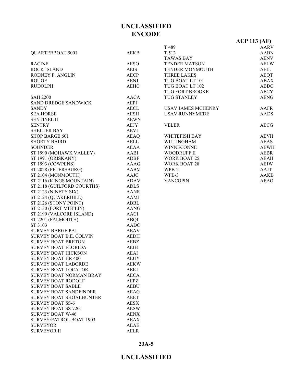|                                | LIVUDL      |                           |                     |
|--------------------------------|-------------|---------------------------|---------------------|
|                                |             |                           | <b>ACP 113 (AF)</b> |
|                                |             | T 489                     | <b>AARV</b>         |
| <b>QUARTERBOAT 5001</b>        | <b>AEKB</b> | T 512                     | <b>AABN</b>         |
|                                |             | <b>TAWAS BAY</b>          | <b>AENV</b>         |
| <b>RACINE</b>                  | <b>AESO</b> | <b>TENDER MATSON</b>      | <b>AELW</b>         |
| ROCK ISLAND                    | <b>AEIS</b> | TENDER MONMOUTH           | AEIL                |
| RODNEY P. ANGLIN               | <b>AECP</b> | THREE LAKES               | <b>AEQT</b>         |
| <b>ROUGE</b>                   | <b>AENJ</b> | TUG BOAT LT 101           | <b>ABAX</b>         |
| <b>RUDOLPH</b>                 | <b>AEHC</b> | TUG BOAT LT 102           | <b>ABDG</b>         |
|                                |             | TUG FORT BROOKE           | <b>AECY</b>         |
| <b>SAH 2200</b>                | AACA        | <b>TUG STANLEY</b>        | <b>AENG</b>         |
| <b>SAND DREDGE SANDWICK</b>    | AEPJ        |                           |                     |
| <b>SANDY</b>                   | <b>AECL</b> | <b>USAV JAMES MCHENRY</b> | AAFR                |
| <b>SEA HORSE</b>               | AESH        | <b>USAV RUNNYMEDE</b>     | <b>AADS</b>         |
| <b>SENTINEL II</b>             | <b>AEWN</b> |                           |                     |
| <b>SENTRY</b>                  | AEJY        | <b>VELER</b>              | AECG                |
| <b>SHELTER BAY</b>             | <b>AEVI</b> |                           |                     |
| <b>SHOP BARGE 601</b>          | <b>AEAQ</b> | WHITEFISH BAY             | <b>AEVH</b>         |
| <b>SHORTY BAIRD</b>            | <b>AELL</b> | WILLINGHAM                | <b>AEAS</b>         |
| <b>SOUNDER</b>                 | <b>AEAA</b> | <b>WINNECONNE</b>         | <b>AEWH</b>         |
| ST 1990 (MOHAWK VALLEY)        | AABI        | <b>WOODRUFF II</b>        | <b>AEBR</b>         |
| ST 1991 (ORISKANY)             | <b>ADBF</b> | <b>WORK BOAT 25</b>       | <b>AEAH</b>         |
| ST 1993 (COWPENS)              | AAAG        | <b>WORK BOAT 28</b>       | <b>AEJW</b>         |
| ST 2028 (PETERSBURG)           | AABM        | WPB-2                     | AAJT                |
| ST 2104 (MONMOUTH)             | AAJG        | WPB-3                     | <b>AAKB</b>         |
| ST 2116 (KINGS MOUNTAIN)       | ADAV        | <b>YANCOPIN</b>           | <b>AEAO</b>         |
| ST 2118 (GUILFORD COURTHS)     | <b>ADLS</b> |                           |                     |
| ST 2123 (NINETY SIX)           | <b>AANR</b> |                           |                     |
| ST 2124 (QUAKERHILL)           | <b>AAMJ</b> |                           |                     |
| ST 2126 (STONY POINT)          | ABBL        |                           |                     |
| ST 2130 (FORT MIFFLIN)         | <b>AANG</b> |                           |                     |
| ST 2199 (VALCORE ISLAND)       | <b>AACI</b> |                           |                     |
| ST 2201 (FALMOUTH)             | ABQI        |                           |                     |
| ST 3103                        | <b>AADC</b> |                           |                     |
| <b>SURVEY BARGE PAJ</b>        | <b>AEAV</b> |                           |                     |
| SURVEY BOAT B.E. COLVIN        | <b>AEDH</b> |                           |                     |
| <b>SURVEY BOAT BRETON</b>      | AEBZ        |                           |                     |
| <b>SURVEY BOAT FLORIDA</b>     | <b>AEIH</b> |                           |                     |
| <b>SURVEY BOAT HICKSON</b>     | <b>AEAI</b> |                           |                     |
| <b>SURVEY BOAT HR 400</b>      | <b>AEUY</b> |                           |                     |
| <b>SURVEY BOAT LABORDE</b>     | <b>AEKW</b> |                           |                     |
| <b>SURVEY BOAT LOCATOR</b>     | <b>AEKI</b> |                           |                     |
| <b>SURVEY BOAT NORMAN BRAY</b> | <b>AECA</b> |                           |                     |
| <b>SURVEY BOAT RODOLF</b>      | AEPZ        |                           |                     |
| <b>SURVEY BOAT SABLE</b>       | <b>AEBU</b> |                           |                     |
| <b>SURVEY BOAT SANDFINDER</b>  | <b>AEAG</b> |                           |                     |
| <b>SURVEY BOAT SHOALHUNTER</b> | <b>AEET</b> |                           |                     |
| <b>SURVEY BOAT SS-6</b>        | <b>AESX</b> |                           |                     |
| <b>SURVEY BOAT SS-7201</b>     | <b>AESW</b> |                           |                     |
| <b>SURVEY BOAT W-46</b>        | <b>AENX</b> |                           |                     |
| SURVEY/PATROL BOAT 1903        | <b>AEAX</b> |                           |                     |
| <b>SURVEYOR</b>                | <b>AEAE</b> |                           |                     |
|                                |             |                           |                     |

**23A-5**

SURVEYOR II AELR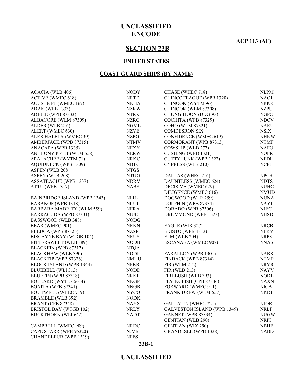**ACP 113 (AF)**

### **SECTION 23B**

#### **UNITED STATES**

#### **COAST GUARD SHIPS (BY NAME)**

| <b>NODY</b> | CHASE (WHEC 718)             | <b>NLPM</b>                                                                                                                                                                                                                                                                               |
|-------------|------------------------------|-------------------------------------------------------------------------------------------------------------------------------------------------------------------------------------------------------------------------------------------------------------------------------------------|
| <b>NRTF</b> | CHINCOTEAGUE (WPB 1320)      | <b>NAOI</b>                                                                                                                                                                                                                                                                               |
| <b>NNHA</b> | CHINOOK (WYTM 96)            | <b>NRKK</b>                                                                                                                                                                                                                                                                               |
| <b>NZRW</b> | CHINOOK (WLM 87308)          | <b>NZPU</b>                                                                                                                                                                                                                                                                               |
| <b>NTRK</b> | CHUNG-HOON (DDG-93)          | <b>NGPC</b>                                                                                                                                                                                                                                                                               |
| NZRG        | COCHITA (WPB 87329)          | <b>NDCV</b>                                                                                                                                                                                                                                                                               |
| <b>NGML</b> | COHO (WLM 87321)             | <b>NARU</b>                                                                                                                                                                                                                                                                               |
| <b>NZVE</b> | <b>COMDESRON SIX</b>         | ${\rm NSIX}$                                                                                                                                                                                                                                                                              |
| <b>NZPO</b> | <b>CONFIDENCE (WMEC 619)</b> | <b>NHKW</b>                                                                                                                                                                                                                                                                               |
|             |                              | <b>NTMF</b>                                                                                                                                                                                                                                                                               |
| <b>NEXY</b> | COWSLIP (WLB 277)            | <b>NAFO</b>                                                                                                                                                                                                                                                                               |
| <b>NERW</b> | CUSHING (WPB 1321)           | <b>NOFR</b>                                                                                                                                                                                                                                                                               |
| <b>NRKC</b> |                              | <b>NEDI</b>                                                                                                                                                                                                                                                                               |
| <b>NBTC</b> |                              | <b>NCPI</b>                                                                                                                                                                                                                                                                               |
| <b>NTGS</b> |                              |                                                                                                                                                                                                                                                                                           |
| <b>NTUG</b> |                              | <b>NPCR</b>                                                                                                                                                                                                                                                                               |
| <b>NDRV</b> |                              | <b>NDTS</b>                                                                                                                                                                                                                                                                               |
| <b>NABS</b> | DECISIVE (WMEC 629)          | <b>NUHC</b>                                                                                                                                                                                                                                                                               |
|             |                              | <b>NMUD</b>                                                                                                                                                                                                                                                                               |
| <b>NLIL</b> | DOGWOOD (WLR 259)            | <b>NUNA</b>                                                                                                                                                                                                                                                                               |
| <b>NCUI</b> | DOLPHIN (WPB 87354)          | <b>NAYL</b>                                                                                                                                                                                                                                                                               |
| <b>NERA</b> | DORADO (WPB 87306)           | <b>NJEC</b>                                                                                                                                                                                                                                                                               |
| NIUD        |                              | <b>NHSD</b>                                                                                                                                                                                                                                                                               |
| <b>NODG</b> |                              |                                                                                                                                                                                                                                                                                           |
| <b>NRKN</b> | EAGLE (WIX 327)              | <b>NRCB</b>                                                                                                                                                                                                                                                                               |
| <b>NZSR</b> | EDISTO (WPB 1313)            | <b>NLKY</b>                                                                                                                                                                                                                                                                               |
|             | $ELM$ (WLB 204)              | <b>NRPK</b>                                                                                                                                                                                                                                                                               |
| <b>NODH</b> |                              | <b>NNAS</b>                                                                                                                                                                                                                                                                               |
| <b>NTQA</b> |                              |                                                                                                                                                                                                                                                                                           |
| NODI        | FARALLON (WPB 1301)          | <b>NABK</b>                                                                                                                                                                                                                                                                               |
| <b>NMHU</b> | FINBACK (WPB 87314)          | <b>NTMR</b>                                                                                                                                                                                                                                                                               |
| <b>NPBB</b> | <b>FIR (WLM 212)</b>         | <b>NRYR</b>                                                                                                                                                                                                                                                                               |
| <b>NODD</b> | FIR (WLB 213)                | <b>NAYV</b>                                                                                                                                                                                                                                                                               |
| <b>NRKI</b> |                              | <b>NODL</b>                                                                                                                                                                                                                                                                               |
| <b>NNGP</b> |                              | <b>NAXN</b>                                                                                                                                                                                                                                                                               |
| <b>NNGB</b> | FORWARD (WMEC 911)           | $\rm NICB$                                                                                                                                                                                                                                                                                |
| NYCQ        | <b>FRANK DREW (WLM 557)</b>  | <b>NKDL</b>                                                                                                                                                                                                                                                                               |
| <b>NODK</b> |                              |                                                                                                                                                                                                                                                                                           |
| <b>NAYS</b> | <b>GALLATIN (WHEC 721)</b>   | <b>NJOR</b>                                                                                                                                                                                                                                                                               |
| <b>NRLY</b> |                              | <b>NRLP</b>                                                                                                                                                                                                                                                                               |
| <b>NADT</b> | GANNET (WPB 87334)           | <b>NUGW</b>                                                                                                                                                                                                                                                                               |
|             | <b>GENTIAN (WLB 290)</b>     | NRPI                                                                                                                                                                                                                                                                                      |
| <b>NRDC</b> | <b>GENTIAN (WIX 290)</b>     | <b>NBHF</b>                                                                                                                                                                                                                                                                               |
| <b>NJVB</b> | GRAND ISLE (WPB 1338)        | <b>NABD</b>                                                                                                                                                                                                                                                                               |
| <b>NFFS</b> |                              |                                                                                                                                                                                                                                                                                           |
|             | <b>NTMV</b><br><b>NRUS</b>   | CORMORANT (WPB 87313)<br><b>CUTTYHUNK (WPB 1322)</b><br><b>CYPRESS (WLB 210)</b><br>DALLAS (WHEC 716)<br>DAUNTLESS (WMEC 624)<br>DILIGENCE (WMEC 616)<br>DRUMMOND (WPB 1323)<br>ESCANABA (WMEC 907)<br>FIREBUSH (WLB 393)<br>FLYINGFISH (CPB 87346)<br><b>GALVESTON ISLAND (WPB 1349)</b> |

#### **23B-1**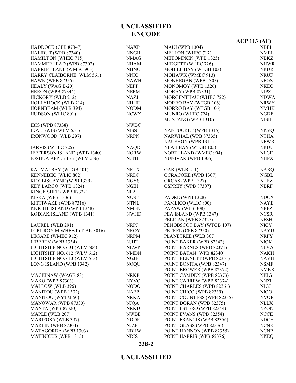#### **23B-2**

|                                |             |                            | <b>ACP 113 (AF)</b> |
|--------------------------------|-------------|----------------------------|---------------------|
| HADDOCK (CPB 87347)            | NAXP        | <b>MAUI</b> (WPB 1304)     | <b>NBEI</b>         |
| HALIBUT (WPB 87340)            | <b>NNGH</b> | MELLON (WHEC 717)          | <b>NMEL</b>         |
| <b>HAMILTON (WHEC 715)</b>     | <b>NMAG</b> | METOMPKIN (WPB 1325)       | <b>NBKZ</b>         |
| HAMMERHEAD (WPB 87302)         | <b>NHAM</b> | MIDGETT (WHEC 726)         | <b>NHWR</b>         |
| <b>HARRIET LANE (WMEC 903)</b> | <b>NHNC</b> | MOBILE BAY (WTGB 103)      | <b>NRUR</b>         |
| HARRY CLAIBORNE (WLM 561)      | <b>NNIC</b> | MOHAWK (WMEC 913)          | <b>NRUF</b>         |
| <b>HAWK (WPB 87355)</b>        | <b>NAWH</b> | MONHEGAN (WPB 1305)        | <b>NEGS</b>         |
| HEALY (WAG B-20)               | <b>NEPP</b> | MONOMOY (WPB 1326)         | <b>NKEC</b>         |
| HERON (WPB 87344)              | <b>NEPM</b> | <b>MORAY</b> (WPB 87331)   | <b>NJPZ</b>         |
| HICKORY (WLB 212)              | <b>NAZJ</b> | MORGENTHAU (WHEC 722)      | <b>NDWA</b>         |
| HOLLYHOCK (WLB 214)            | <b>NHHF</b> | MORRO BAY (WTGB 106)       | <b>NRWY</b>         |
| HORNBEAM (WLB 394)             | <b>NODM</b> | MORRO BAY (WTGB 106)       | <b>NMHK</b>         |
| HUDSON (WLIC 801)              | <b>NCWX</b> | MUNRO (WHEC 724)           | <b>NGDF</b>         |
|                                |             | MUSTANG (WPB 1310)         | <b>NJSH</b>         |
| IBIS (WPB 87338)               | <b>NWBC</b> |                            |                     |
| IDA LEWIS (WLM 551)            | <b>NISS</b> | NANTUCKET (WPB 1316)       | <b>NKVQ</b>         |
| IRONWOOD (WLB 297)             | <b>NRPN</b> | NARWHAL (WPB 87335)        | <b>NTHA</b>         |
|                                |             | <b>NAUSHON (WPB 1311)</b>  | <b>NEWR</b>         |
| JARVIS (WHEC 725)              | <b>NAQD</b> | NEAH BAY (WTGB 105)        | <b>NRUU</b>         |
| JEFFERSON ISLAND (WPB 1340)    | <b>NORW</b> | NORTHLAND (WMEC 904)       | <b>NLGF</b>         |
| JOSHUA APPLEBEE (WLM 556)      | <b>NJTH</b> | NUNIVAK (WPB 1306)         | <b>NHPX</b>         |
|                                |             |                            |                     |
| KATMAI BAY (WTGB 101)          | <b>NRLX</b> | <b>OAK (WLB 211)</b>       | <b>NAXQ</b>         |
| KENNEBEC (WLIC 802)            | <b>NRDJ</b> | OCRACOKE (WPB 1307)        | <b>NGBL</b>         |
| KEY BISCAYNE (WPB 1339)        | <b>NGYS</b> | ORCAS (WPB 1327)           | <b>NTBZ</b>         |
| KEY LARGO (WPB 1324)           | <b>NGEI</b> | OSPREY (WPB 87307)         | <b>NBRF</b>         |
| KINGFISHER (WPB 87322)         | <b>NPAL</b> |                            |                     |
| <b>KISKA</b> (WPB 1336)        | <b>NUSF</b> | PADRE (WPB 1328)           | <b>NDCX</b>         |
| KITTIWAKE (WPB 87316)          | <b>NTNL</b> | PAMLICO (WLIC 800)         | <b>NAYE</b>         |
| KNIGHT ISLAND (WPB 1348)       | <b>NMFN</b> | PAPAW (WLB 308)            | <b>NRPZ</b>         |
| KODIAK ISLAND (WPB 1341)       | <b>NWHD</b> | PEA ISLAND (WPB 1347)      | <b>NCSR</b>         |
|                                |             | PELICAN (WPB 87327)        | <b>NFSH</b>         |
| LAUREL (WLB 291)               | <b>NRPJ</b> | PENOBSCOT BAY (WTGB 107)   | <b>NIGY</b>         |
| LCPL ROY M WHEAT (T-AK 3016)   | <b>NROY</b> | PETREL (CPB 87350)         | <b>NAYU</b>         |
| LEGARE (WMEC 912)              | <b>NRPM</b> | PLANETREE (WLB 307)        | <b>NRPY</b>         |
| LIBERTY (WPB 1334)             | <b>NJHT</b> | POINT BAKER (WPB 82342)    | <b>NIQK</b>         |
| LIGHTSHIP NO. 604 (WLV 604)    | <b>NEWP</b> | POINT BARNES (WPB 82371)   | <b>NLVA</b>         |
| LIGHTSHIP NO. 612 (WLV 612)    | <b>NMDN</b> | POINT BATAN (WPB 82340)    | <b>NAKH</b>         |
| LIGHTSHIP NO. 613 (WLV 613)    | NGJE        | POINT BENNETT (WPB 82351)  | NAVH                |
| LONG ISLAND (WPB 1342)         | <b>NOQU</b> | POINT BONITA (WPB 82347)   | NSMF                |
|                                |             | POINT BROWER (WPB 82372)   | NMEX                |
| <b>MACKINAW</b> (WAGB 83)      | <b>NRKP</b> | POINT CAMDEN (WPB 82373)   | NKIG                |
| <b>MAKO</b> (WPB 87303)        | <b>NYVC</b> | POINT CARREW (WPB 82374)   | <b>NNZL</b>         |
| MALLOW (WLB 396)               | NODO        | POINT CHARLES (WPB 82361)  | NJGJ                |
| <b>MANITOU</b> (WPB 1302)      | NAEP        | POINT CHICO (WPB 82339)    | NIOO                |
| MANITOU (WYTM 60)              | <b>NRKA</b> | POINT COUNTESS (WPB 82335) | <b>NVOR</b>         |
| MANOWAR (WPB 87330)            | <b>NJQA</b> | POINT DORAN (WPB 82375)    | <b>NLLX</b>         |
| MANTA (WPB 87320)              | <b>NRKD</b> | POINT ESTERO (WPB 82344)   | <b>NZON</b>         |
| MAPLE (WLB 207)                | <b>NWBE</b> | POINT EVANS (WPB 82354)    | <b>NCCE</b>         |
| MARIPOSA (WLB 397)             | <b>NODP</b> | POINT FRANCIS (WPB 82356)  | <b>NDCH</b>         |
| MARLIN (WPB 87304)             | NJZP        | POINT GLASS (WPB 82336)    | <b>NCNK</b>         |
| MATAGORDA (WPB 1303)           | <b>NBHW</b> | POINT HANNON (WPB 82355)   | <b>NCNP</b>         |
| <b>MATINICUS (WPB 1315)</b>    | <b>NDIS</b> | POINT HARRIS (WPB 82376)   | <b>NKEQ</b>         |
|                                |             |                            |                     |

### **UNCLASSIFIED ENCODE**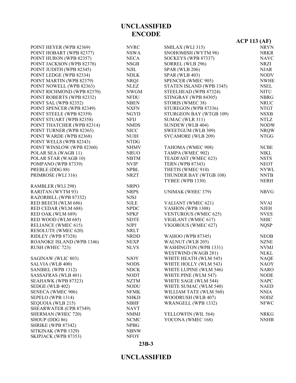|                            |                          |                             | $ACP$ 113 (AF) |
|----------------------------|--------------------------|-----------------------------|----------------|
| POINT HEYER (WPB 82369)    | <b>NVRC</b>              | SMILAX (WLI 315)            | <b>NRYN</b>    |
| POINT HOBART (WPB 82377)   | NSWA                     | SNOHOMISH (WYTM 98)         | <b>NRKR</b>    |
| POINT HURON (WPB 82357)    | <b>NECA</b>              | SOCKEYS (WPB 87337)         | <b>NAVC</b>    |
| POINT JACKSON (WPB 82378)  | <b>NSGB</b>              | SORREL (WLB 296)            | NRZI           |
| POINT JUDITH (WPB 82345)   | <b>NJIL</b>              | <b>SPAR (WLB 206)</b>       | <b>NJAR</b>    |
| POINT LEDGE (WPB 82334)    | <b>NDLK</b>              | <b>SPAR (WLB 403)</b>       | <b>NODV</b>    |
| POINT MARTIN (WPB 82379)   | <b>NRQJ</b>              | SPENCER (WMEC 905)          | <b>NWHE</b>    |
| POINT NOWELL (WPB 82363)   | <b>NLEZ</b>              | STATEN ISLAND (WPB 1345)    | <b>NSEL</b>    |
| POINT RICHMOND (WPB 82370) | <b>NWGM</b>              | STEELHEAD (WPB 87324)       | <b>NITU</b>    |
| POINT ROBERTS (WPB 82332)  | <b>NFDU</b>              | STINGRAY (WPB 84305)        | <b>NBRG</b>    |
| POINT SAL (WPB 82352)      | <b>NBEN</b>              | STORIS (WMEC 38)            | <b>NRUC</b>    |
| POINT SPENCER (WPB 82349)  | <b>NXFN</b>              | STUREGON (WPB 87336)        | <b>NTGT</b>    |
| POINT STEELE (WPB 82359)   | <b>NGYD</b>              | STURGEON BAY (WTGB 109)     | <b>NSXB</b>    |
| POINT STUART (WPB 82358)   | <b>NFIJ</b>              | SUMAC (WLR 311)             | NTLZ           |
| POINT THATCHER (WPB 82314) | <b>NMDS</b>              | SUNDEW (WLB 404)            | <b>NODW</b>    |
| POINT TURNER (WPB 82365)   | <b>NICC</b>              | <b>SWEETGUM (WLB 309)</b>   | <b>NRQW</b>    |
| POINT WARDE (WPB 82368)    | <b>NUIH</b>              | SYCAMORE (WLB 209)          | <b>NTGG</b>    |
| POINT WELLS (WPB 82343)    | <b>NTDG</b>              |                             |                |
| POINT WINSLOW (WPB 82360)  | NHMV                     | TAHOMA (WMEC 908)           | <b>NCBE</b>    |
| POLAR SEA (WAGB 11)        | <b>NRUO</b>              | TAMPA (WMEC 902)            | NIKL           |
|                            |                          |                             |                |
| POLAR STAR (WAGB 10)       | <b>NBTM</b>              | TEADFAST (WMEC 623)         | <b>NSTS</b>    |
| POMPANO (WPB 87339)        | <b>NVIP</b>              | <b>TERN (WPB 87343)</b>     | <b>NEOT</b>    |
| PREBLE (DDG 88)            | <b>NPBL</b>              | THETIS (WMEC 910)           | <b>NYWL</b>    |
| PRIMROSE (WLI 316)         | <b>NRZT</b>              | THUNDER BAY (WTGB 108)      | <b>NNTB</b>    |
|                            |                          | <b>TYBEE (WPB 1330)</b>     | <b>NERH</b>    |
| RAMBLER (WLI 298)          | <b>NRPO</b>              |                             |                |
| RARITAN (WYTM 93)          | <b>NRPS</b>              | UNIMAK (WHEC 379)           | <b>NBVG</b>    |
| RAZORBILL (WPB 87332)      | <b>NJSJ</b>              |                             |                |
| RED BEECH (WLM 686)        | <b>NJLE</b>              | VALIANT (WMEC 621)          | <b>NVAI</b>    |
| RED CEDAR (WLM 688)        | <b>NPDC</b>              | VASHON (WPB 1308)           | <b>NJEH</b>    |
| RED OAK (WLM 689)          | <b>NPKF</b>              | <b>VENTUROUS (WMEC 625)</b> | <b>NVES</b>    |
| RED WOOD (WLM 685)         | <b>NDTE</b>              | VIGILANT (WMEC 617)         | <b>NHIC</b>    |
| RELIANCE (WMEC 615)        | <b>NJPJ</b>              | VIGOROUS (WMEC 627)         | <b>NQSP</b>    |
| <b>RESOLUTE (WMEC 620)</b> | <b>NRLT</b>              |                             |                |
| RIDLEY (WPB 87328)         | ${\small \textsf{NRDD}}$ | WAHOO (WPB 87345)           | <b>NEOB</b>    |
| ROANOKE ISLAND (WPB 1346)  | <b>NEXP</b>              | WALNUT (WLB 205)            | <b>NZNE</b>    |
| RUSH (WHEC 723)            | <b>NLVS</b>              | WASHINGTON (WPB 1331)       | <b>NVMJ</b>    |
|                            |                          | WESTWIND (WAGB 281)         | NLKL           |
| SAGINAW (WLIC 803)         | <b>NJOY</b>              | WHITE HEATH (WLM 545)       | <b>NAQE</b>    |
| SALVIA (WLB 400)           | <b>NODS</b>              | WHITE HOLLY (WLM 543)       | <b>NAOY</b>    |
| SANIBEL (WPB 1312)         | <b>NDCK</b>              | WHITE LUPINE (WLM 546)      | <b>NARO</b>    |
| SASSAFRAS (WLB 401)        | <b>NODT</b>              | WHITE PINE (WLM 547)        | <b>NODE</b>    |
| SEAHAWK (WPB 87323)        | <b>NZTM</b>              | WHITE SAGE (WLM 544)        | <b>NAPC</b>    |
| SEDGE (WLB 402)            | <b>NODU</b>              | WHITE SUMAC (WLM 540)       | <b>NAED</b>    |
| SENECA (WMEC 906)          | <b>NFMK</b>              | WILLIAM TATE (WLM 560)      | <b>NNIA</b>    |
| SEPELO (WPB 1314)          | <b>NHKD</b>              | WOODRUSH (WLB 407)          | <b>NODZ</b>    |
| SEQUOIA (WLB 215)          | <b>NBHF</b>              | WRANGELL (WPB 1332)         | <b>NFWC</b>    |
| SHEARWATER (CPB 87349)     | NAYT                     |                             |                |
| SHERMAN (WHEC 720)         | <b>NMMJ</b>              | YELLOWFIN (WIL 564)         | <b>NRKG</b>    |
| SHOUP (DDG 86)             | <b>NCMC</b>              | YOCONA (WMEC 168)           | <b>NNHB</b>    |
| <b>SHRIKE (WPB 87342)</b>  | <b>NPBG</b>              |                             |                |
| SITKINAK (WPB 1329)        | <b>NBNW</b>              |                             |                |
| SKIPJACK (WPB 87353)       | <b>NFOY</b>              |                             |                |

# **UNCLASSIFIED**

### **23B-3**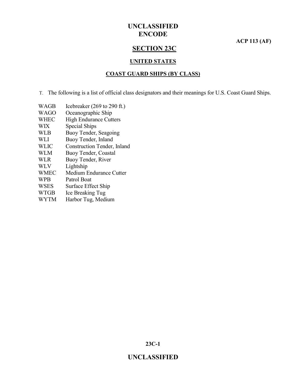**ACP 113 (AF)**

### **SECTION 23C**

#### **UNITED STATES**

#### **COAST GUARD SHIPS (BY CLASS)**

T. The following is a list of official class designators and their meanings for U.S. Coast Guard Ships.

- WAGB Icebreaker (269 to 290 ft.)
- WAGO Oceanographic Ship
- WHEC High Endurance Cutters
- WIX Special Ships
- WLB Buoy Tender, Seagoing
- WLI Buoy Tender, Inland
- WLIC Construction Tender, Inland
- WLM Buoy Tender, Coastal
- WLR Buoy Tender, River
- WLV Lightship
- WMEC Medium Endurance Cutter
- WPB Patrol Boat
- WSES Surface Effect Ship
- WTGB Ice Breaking Tug
- WYTM Harbor Tug, Medium

**23C-1**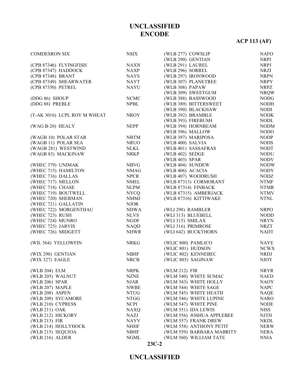# **ACP 113 (AF)**

| <b>COMDESRON SIX</b>                     | <b>NSIX</b> | (WLB 277) COWSLIP         | <b>NAFO</b> |
|------------------------------------------|-------------|---------------------------|-------------|
|                                          |             | (WLB 290) GENTIAN         | <b>NRPI</b> |
| (CPB 87346) FLYINGFISH                   | <b>NAXN</b> | (WLB 291) LAUREL          | <b>NRPJ</b> |
| (CPB 87347) HADDOCK                      | <b>NAXP</b> | (WLB 296) SORREL          | <b>NRZI</b> |
| (CPB 87348) BRANT                        | <b>NAYS</b> | (WLB 297) IRONWOOD        | <b>NRPN</b> |
| (CPB 87349) SHEARWATER                   | <b>NAYT</b> | (WLB 307) PLANETREE       | <b>NRPY</b> |
| (CPB 87350) PETREL                       | <b>NAYU</b> | (WLB 308) PAPAW           | <b>NRPZ</b> |
|                                          |             | (WLB 309) SWEETGUM        | <b>NRQW</b> |
| (DDG 86) SHOUP                           | <b>NCMC</b> | (WLB 388) BASSWOOD        | <b>NODG</b> |
| (DDG 88) PREBLE                          | <b>NPBL</b> | (WLB 389) BITTERSWEET     | <b>NODH</b> |
|                                          |             | (WLB 390) BLACKHAW        | <b>NODI</b> |
| (T-AK 3016) LCPL ROY M WHEAT             | <b>NROY</b> | (WLB 392) BRAMBLE         | <b>NODK</b> |
|                                          |             | (WLB 393) FIREBUSH        | <b>NODL</b> |
| (WAG B-20) HEALY                         | <b>NEPP</b> | (WLB 394) HORNBEAM        | <b>NODM</b> |
|                                          |             | (WLB 396) MALLOW          | <b>NODO</b> |
| (WAGB 10) POLAR STAR                     | <b>NBTM</b> | (WLB 397) MARIPOSA        | <b>NODP</b> |
| (WAGB 11) POLAR SEA                      | <b>NRUO</b> | (WLB 400) SALVIA          | <b>NODS</b> |
| (WAGB 281) WESTWIND                      | <b>NLKL</b> | (WLB 401) SASSAFRAS       | <b>NODT</b> |
| (WAGB 83) MACKINAW                       | <b>NRKP</b> | (WLB 402) SEDGE           | <b>NODU</b> |
|                                          |             | (WLB 403) SPAR            | <b>NODV</b> |
| (WHEC 379) UNIMAK                        | <b>NBVG</b> |                           | <b>NODW</b> |
|                                          |             | (WLB 404) SUNDEW          |             |
| (WHEC 715) HAMILTON<br>(WHEC 716) DALLAS | <b>NMAG</b> | (WLB 406) ACACIA          | <b>NODY</b> |
|                                          | <b>NPCR</b> | (WLB 407) WOODRUSH        | <b>NODZ</b> |
| (WHEC 717) MELLON                        | <b>NMEL</b> | (WLB 87313) CORMORANT     | <b>NTMF</b> |
| (WHEC 718) CHASE                         | <b>NLPM</b> | (WLB 87314) FINBACK       | <b>NTMR</b> |
| (WHEC 719) BOUTWELL                      | <b>NYCQ</b> | (WLB 87315) AMBERJACK     | <b>NTMV</b> |
| (WHEC 720) SHERMAN                       | <b>NMMJ</b> | (WLB 87316) KITTIWAKE     | <b>NTNL</b> |
| (WHEC 721) GALLATIN                      | <b>NJOR</b> |                           |             |
| (WHEC 722) MORGENTHAU                    | <b>NDWA</b> | (WLI 298) RAMBLER         | <b>NRPO</b> |
| (WHEC 723) RUSH                          | <b>NLVS</b> | (WLI 313) BLUEBELL        | <b>NODD</b> |
| (WHEC 724) MUNRO                         | <b>NGDF</b> | (WLI 315) SMILAX          | <b>NRYN</b> |
| (WHEC 725) JARVIS                        | <b>NAQD</b> | (WLI 316) PRIMROSE        | <b>NRZT</b> |
| (WHEC 726) MIDGETT                       | <b>NHWR</b> | (WLI 642) BUCKTHORN       | <b>NADT</b> |
| (WIL 564) YELLOWFIN                      | <b>NRKG</b> | (WLIC 800) PAMLICO        | <b>NAYE</b> |
|                                          |             | (WLIC 801) HUDSON         | <b>NCWX</b> |
| (WIX 290) GENTIAN                        | <b>NBHF</b> | (WLIC 802) KENNEBEC       | <b>NRDJ</b> |
| (WIX 327) EAGLE                          | <b>NRCB</b> | (WLIC 803) SAGINAW        | <b>NJOY</b> |
| (WLB 204) ELM                            | <b>NRPK</b> | (WLM 212) FIR             | NRYR        |
| (WLB 205) WALNUT                         | NZNE        | (WLM 540) WHITE SUMAC     | NAED        |
| (WLB 206) SPAR                           | <b>NJAR</b> | (WLM 543) WHITE HOLLY     | <b>NAOY</b> |
| (WLB 207) MAPLE                          | <b>NWBE</b> | (WLM 544) WHITE SAGE      | <b>NAPC</b> |
| (WLB 208) ASPEN                          | NTUG        | (WLM 545) WHITE HEATH     | <b>NAQE</b> |
| (WLB 209) SYCAMORE                       | NTGG        | (WLM 546) WHITE LUPINE    | <b>NARO</b> |
| (WLB 210) CYPRESS                        | <b>NCPI</b> | (WLM 547) WHITE PINE      | <b>NODE</b> |
| (WLB 211) OAK                            | <b>NAXQ</b> | (WLM 551) IDA LEWIS       | <b>NISS</b> |
| (WLB 212) HICKORY                        | <b>NAZJ</b> | (WLM 556) JOSHUA APPLEBEE | NJTH        |
| (WLB 213) FIR                            | <b>NAYV</b> | (WLM 557) FRANK DREW      | <b>NKDL</b> |
| (WLB 214) HOLLYHOCK                      | <b>NHHF</b> | (WLM 558) ANTHONY PETIT   | <b>NERW</b> |
| (WLB 215) SEQUIOA                        | <b>NBHF</b> | (WLM 559) BARBARA MABRITY | NERA        |
| (WLB 216) ALDER                          | <b>NGML</b> | (WLM 560) WILLIAM TATE    | <b>NNIA</b> |
|                                          |             |                           |             |

#### **23C-2**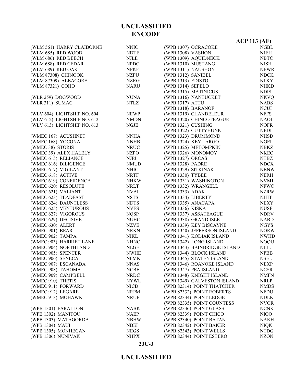|                                         |                            |                                                       | ACP 113 (AF)               |
|-----------------------------------------|----------------------------|-------------------------------------------------------|----------------------------|
| (WLM 561) HARRY CLAIBORNE               | <b>NNIC</b>                | (WPB 1307) OCRACOKE                                   | <b>NGBL</b>                |
| (WLM 685) RED WOOD                      | <b>NDTE</b>                | (WPB 1308) VASHON                                     | <b>NJEH</b>                |
| (WLM 686) RED BEECH                     | <b>NJLE</b>                | (WPB 1309) AQUIDNECK                                  | <b>NBTC</b>                |
| (WLM 688) RED CEDAR                     | <b>NPDC</b>                | (WPB 1310) MUSTANG                                    | <b>NJSH</b>                |
| (WLM 689) RED OAK                       | <b>NPKF</b>                | (WPB 1311) NAUSHON                                    | <b>NEWR</b>                |
| (WLM 87308) CHINOOK                     | <b>NZPU</b>                | (WPB 1312) SANIBEL                                    | ${\rm NDCK}$               |
| (WLM 87309) ALBACORE                    | <b>NZRG</b>                | (WPB 1313) EDISTO                                     | <b>NLKY</b>                |
| (WLM 87321) COHO                        | <b>NARU</b>                | (WPB 1314) SEPELO                                     | <b>NHKD</b>                |
|                                         |                            | (WPB 1315) MATINICUS                                  | <b>NDIS</b>                |
| (WLR 259) DOGWOOD                       | <b>NUNA</b>                | (WPB 1316) NANTUCKET                                  | <b>NKVQ</b>                |
| (WLR 311) SUMAC                         | NTLZ                       | (WPB 1317) ATTU                                       | <b>NABS</b>                |
|                                         |                            | (WPB 1318) BARANOF                                    | NCUI                       |
| (WLV 604) LIGHTSHIP NO. 604             | <b>NEWP</b>                | (WPB 1319) CHANDELEUR                                 | <b>NFFS</b>                |
| (WLV 612) LIGHTSHIP NO. 612             | <b>NMDN</b>                | (WPB 1320) CHINCOTEAGUE                               | <b>NAOI</b>                |
| (WLV 613) LIGHTSHIP NO. 613             | <b>NGJE</b>                | (WPB 1321) CUSHING                                    | <b>NOFR</b>                |
|                                         |                            | (WPB 1322) CUTTYHUNK                                  | NEDI                       |
| (WMEC 167) ACUSHNET                     | <b>NNHA</b>                | (WPB 1323) DRUMMOND                                   | <b>NHSD</b>                |
| (WMEC 168) YOCONA                       | <b>NNHB</b>                | (WPB 1324) KEY LARGO                                  | NGEI                       |
| (WMEC 38) STORIS                        | <b>NRUC</b>                | (WPB 1325) METOMPKIN                                  | <b>NBKZ</b>                |
| (WMEC 39) ALEX HALELY                   | <b>NZPO</b>                | (WPB 1326) MONOMOY                                    | <b>NKEC</b>                |
| (WMEC 615) RELIANCE                     | <b>NJPJ</b>                | (WPB 1327) ORCAS                                      | <b>NTBZ</b>                |
| (WMEC 616) DILIGENCE                    | <b>NMUD</b>                | (WPB 1328) PADRE                                      | <b>NDCX</b>                |
| (WMEC 617) VIGILANT                     | <b>NHIC</b>                | (WPB 1329) SITKINAK                                   | <b>NBNW</b>                |
| (WMEC 618) ACTIVE                       | <b>NRTF</b>                | (WPB 1330) TYBEE                                      | <b>NERH</b>                |
| (WMEC 619) CONFIDENCE                   | NHKW                       | (WPB 1331) WASHINGTON                                 | <b>NVMJ</b>                |
| (WMEC 620) RESOLUTE                     | <b>NRLT</b>                | (WPB 1332) WRANGELL                                   | <b>NFWC</b>                |
| (WMEC 621) VALIANT                      | NVAI                       | (WPB 1333) ADAK                                       | <b>NZRW</b>                |
| (WMEC 623) TEADFAST                     | <b>NSTS</b>                | (WPB 1334) LIBERTY                                    | NJHT                       |
| (WMEC 624) DAUNTLESS                    | <b>NDTS</b>                | (WPB 1335) ANACAPA                                    | <b>NEXY</b>                |
| (WMEC 625) VENTUROUS                    | <b>NVES</b>                | (WPB 1336) KISKA                                      | <b>NUSF</b>                |
| (WMEC 627) VIGOROUS                     | <b>NQSP</b>                | (WPB 1337) ASSATEAGUE                                 | <b>NDRV</b>                |
| (WMEC 629) DECISIVE                     | <b>NUHC</b>                | (WPB 1338) GRAND ISLE                                 | <b>NABD</b>                |
| (WMEC 630) ALERT                        | <b>NZVE</b>                | (WPB 1339) KEY BISCAYNE                               | <b>NGYS</b>                |
| (WMEC 901) BEAR                         | <b>NRKN</b>                | (WPB 1340) JEFFERSON ISLAND                           | <b>NORW</b>                |
| (WMEC 902) TAMPA                        | <b>NIKL</b>                | (WPB 1341) KODIAK ISLAND                              | <b>NWHD</b>                |
| (WMEC 903) HARRIET LANE                 | <b>NHNC</b>                | (WPB 1342) LONG ISLAND                                | <b>NOQU</b>                |
| (WMEC 904) NORTHLAND                    | <b>NLGF</b>                | (WPB 1343) BAINBRIDGE ISLAND                          | <b>NLIL</b>                |
| (WMEC 905) SPENCER<br>(WMEC 906) SENECA | <b>NWHE</b>                | (WPB 1344) BLOCK ISLAND                               | <b>NPBB</b>                |
| (WMEC 907) ESCANABA                     | <b>NFMK</b><br><b>NNAS</b> | (WPB 1345) STATEN ISLAND<br>(WPB 1346) ROANOKE ISLAND | <b>NSEL</b><br><b>NEXP</b> |
| (WMEC 908) TAHOMA                       | <b>NCBE</b>                | (WPB 1347) PEA ISLAND                                 | <b>NCSR</b>                |
| (WMEC 909) CAMPBELL                     | <b>NRDC</b>                | (WPB 1348) KNIGHT ISLAND                              | <b>NMFN</b>                |
| (WMEC 910) THETIS                       | <b>NYWL</b>                | (WPB 1349) GALVESTON ISLAND                           | NRLP                       |
| (WMEC 911) FORWARD                      | <b>NICB</b>                | (WPB 82314) POINT THATCHER                            | <b>NMDS</b>                |
| (WMEC 912) LEGARE                       | <b>NRPM</b>                | (WPB 82332) POINT ROBERTS                             | <b>NFDU</b>                |
| (WMEC 913) MOHAWK                       | <b>NRUF</b>                | (WPB 82334) POINT LEDGE                               | <b>NDLK</b>                |
|                                         |                            | (WPB 82335) POINT COUNTESS                            | <b>NVOR</b>                |
| (WPB 1301) FARALLON                     | NABK                       | (WPB 82336) POINT GLASS                               | <b>NCNK</b>                |
| (WPB 1302) MANITOU                      | NAEP                       | (WPB 82339) POINT CHICO                               | NIOO                       |
| (WPB 1303) MATAGORDA                    | <b>NBHW</b>                | (WPB 82340) POINT BATAN                               | NAKH                       |
| (WPB 1304) MAUI                         | <b>NBEI</b>                | (WPB 82342) POINT BAKER                               | NIQK                       |
| (WPB 1305) MONHEGAN                     | <b>NEGS</b>                | (WPB 82343) POINT WELLS                               | NTDG                       |
| (WPB 1306) NUNIVAK                      | <b>NHPX</b>                | (WPB 82344) POINT ESTERO                              | <b>NZON</b>                |

# **23C-3**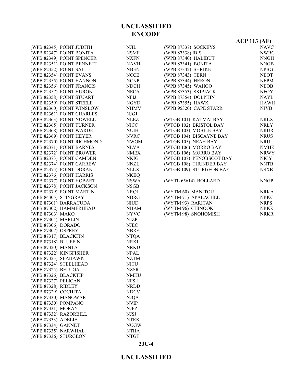NSMF NXFN NAVH  $N\!\!B\mathrm{EN}$ NCCE<sup></sup> NCNP  ${\rm NDCH}$ NECA<sup>3</sup>

NGYD NHMV  $NJGJ$  $\sf NLEZ$ 

NUIH NVRC NWGM NLVA NMEX NKIG  ${\tt NNZL}$ NLLX NKEQ NSWA NSGB NRQJ NBRG  $\rm NIUD$ NHAM NYVC

NJEC NBRF NTQA NRKI NRKD NPAL NZTM

NZSR NMHU NFSH NRDD NDCV NJQA  $\ensuremath{\text{NVIP}}$  $N\mathrm{J} \mathrm{P} \mathrm{Z}$ 

NTRK NUGW NTHA NTGT

|                       | (WPB 82345) POINT JUDITH   | NJIL             |
|-----------------------|----------------------------|------------------|
|                       | (WPB 82347) POINT BONITA   | <b>NSMI</b>      |
|                       | (WPB 82349) POINT SPENCER  | <b>NXFN</b>      |
|                       | (WPB 82351) POINT BENNETT  | <b>NAVI</b>      |
| (WPB 82352) POINT SAL |                            | <b>NBEN</b>      |
|                       | (WPB 82354) POINT EVANS    | <b>NCCE</b>      |
|                       | (WPB 82355) POINT HANNON   | <b>NCNI</b>      |
|                       | (WPB 82356) POINT FRANCIS  | <b>NDCI</b>      |
|                       | (WPB 82357) POINT HURON    | NEC/             |
|                       | (WPB 82358) POINT STUART   | NFIJ             |
|                       | (WPB 82359) POINT STEELE   | NGYI             |
|                       | (WPB 82360) POINT WINSLOW  | <b>NHM</b>       |
|                       | (WPB 82361) POINT CHARLES  | NJGJ             |
|                       | (WPB 82363) POINT NOWELL   | NLEZ             |
|                       | (WPB 82365) POINT TURNER   | <b>NICC</b>      |
|                       | (WPB 82368) POINT WARDE    | <b>NUIH</b>      |
|                       | (WPB 82369) POINT HEYER    | <b>NVR</b>       |
|                       | (WPB 82370) POINT RICHMOND | <b>NWG</b>       |
|                       | (WPB 82371) POINT BARNES   | NLV/             |
|                       | (WPB 82372) POINT BROWER   | NME.             |
|                       |                            |                  |
|                       | (WPB 82373) POINT CAMDEN   | <b>NKIG</b>      |
|                       | (WPB 82374) POINT CARREW   | <b>NNZI</b>      |
|                       | (WPB 82375) POINT DORAN    | <b>NLL</b>       |
|                       | (WPB 82376) POINT HARRIS   | <b>NKE</b>       |
|                       | (WPB 82377) POINT HOBART   | NSW.             |
|                       | (WPB 82378) POINT JACKSON  | <b>NSGE</b>      |
|                       | (WPB 82379) POINT MARTIN   | <b>NRQJ</b>      |
| (WPB 84305) STINGRAY  |                            | NBR(             |
|                       | (WPB 87301) BARRACUDA      | NIUD             |
|                       | (WPB 87302) HAMMERHEAD     | <b>NHAI</b>      |
| (WPB 87303) MAKO      |                            | NYV0             |
| (WPB 87304) MARLIN    |                            | NJZP             |
| (WPB 87306) DORADO    |                            | <b>NJEC</b>      |
| (WPB 87307) OSPREY    |                            | <b>NBRI</b>      |
| (WPB 87317) BLACKFIN  |                            | NTQ/             |
| (WPB 87318) BLUEFIN   |                            | <b>NRKI</b>      |
| (WPB 87320) MANTA     |                            | <b>NRKI</b>      |
|                       | (WPB 87322) KINGFISHER     | <b>NPAI</b>      |
| (WPB 87323) SEAHAWK   |                            | <b>NZTM</b>      |
|                       | (WPB 87324) STEELHEAD      | <b>NITU</b>      |
| (WPB 87325) BELUGA    |                            | NZSR             |
| (WPB 87326) BLACKTIP  |                            | <b>NMH</b>       |
| (WPB 87327) PELICAN   |                            | <b>NFSH</b>      |
| (WPB 87328) RIDLEY    |                            | NRDI             |
| (WPB 87329) COCHITA   |                            | <b>NDC</b>       |
| (WPB 87330) MANOWAR   |                            | <b>NJQA</b>      |
| (WPB 87330) POMPANO   |                            | <b>NVIP</b>      |
| (WPB 87331) MORAY     |                            | <b>NJPZ</b>      |
|                       | (WPB 87332) RAZORBILL      | NJSJ             |
| (WPB 87333) ADELIE    |                            | <b>NTRF</b>      |
| (WPB 87334) GANNET    |                            | NUG'             |
| (WPB 87335) NARWHAL   |                            | NTH/             |
| (WPB 87336) STURGEON  |                            | NTG <sub>1</sub> |
|                       |                            |                  |

|                          | <b>ACP 113 (AF)</b> |
|--------------------------|---------------------|
| (WPB 87337) SOCKEYS      | <b>NAVC</b>         |
| (WPB 87338) IBIS         | <b>NWBC</b>         |
| (WPB 87340) HALIBUT      | <b>NNGH</b>         |
| (WPB 87341) BONITA       | <b>NNGB</b>         |
| (WPB 87342) SHRIKE       | <b>NPBG</b>         |
| (WPB 87343) TERN         | <b>NEOT</b>         |
| (WPB 87344) HERON        | <b>NEPM</b>         |
| (WPB 87345) WAHOO        | <b>NEOB</b>         |
| (WPB 87353) SKIPJACK     | <b>NFOY</b>         |
| (WPB 87354) DOLPHIN      | NAYL                |
| (WPB 87355) HAWK         | <b>HAWH</b>         |
| (WPB 95320) CAPE STARR   | <b>NJVB</b>         |
| (WTGB 101) KATMAI BAY    | <b>NRLX</b>         |
| (WTGB 102) BRISTOL BAY   | NRLY                |
| (WTGB 103) MOBILE BAY    | <b>NRUR</b>         |
| (WTGB 104) BISCAYNE BAY  | <b>NRUS</b>         |
| (WTGB 105) NEAH BAY      | <b>NRUU</b>         |
| (WTGB 106) MORRO BAY     | <b>NMHK</b>         |
| (WTGB 106) MORRO BAY     | <b>NRWY</b>         |
| (WTGB 107) PENOBSCOT BAY | NIGY                |
| (WTGB 108) THUNDER BAY   | <b>NNTB</b>         |
| (WTGB 109) STURGEON BAY  | <b>NSXB</b>         |
| (WYTL 65614) BOLLARD     | <b>NNGP</b>         |
| (WYTM 60) MANITOU        | <b>NRKA</b>         |
| (WYTM 71) APALACHEE      | <b>NRKC</b>         |
| (WYTM 93) RARITAN        | <b>NRPS</b>         |
| (WYTM 96) CHINOOK        | <b>NRKK</b>         |
| (WYTM 98) SNOHOMISH      | <b>NRKR</b>         |

**23C-4**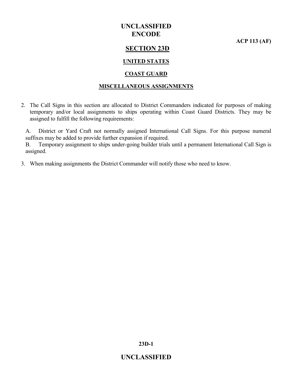**ACP 113 (AF)**

### **SECTION 23D**

#### **UNITED STATES**

#### **COAST GUARD**

#### **MISCELLANEOUS ASSIGNMENTS**

2. The Call Signs in this section are allocated to District Commanders indicated for purposes of making temporary and/or local assignments to ships operating within Coast Guard Districts. They may be assigned to fulfill the following requirements:

A. District or Yard Craft not normally assigned International Call Signs. For this purpose numeral suffixes may be added to provide further expansion if required.

B. Temporary assignment to ships under-going builder trials until a permanent International Call Sign is assigned.

3. When making assignments the District Commander will notify those who need to know.

**23D-1**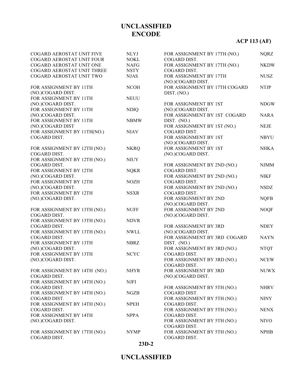# **ACP 113 (AF)**

| COGARD AEROSTAT UNIT FIVE    | <b>NLYJ</b> | FOR ASSIGNMENT BY 17TH (NO.)  | <b>NQRZ</b> |
|------------------------------|-------------|-------------------------------|-------------|
| COGARD AEROSTAT UNIT FOUR    | <b>NOKL</b> | COGARD DIST.                  |             |
| COGARD AEROSTAT UNIT ONE     | <b>NAFG</b> | FOR ASSIGNMENT BY 17TH (NO.)  | <b>NKDW</b> |
| COGARD AEROSTAT UNIT THREE   | <b>NSTY</b> | COGARD DIST.                  |             |
| COGARD AEROSTAT UNIT TWO     | <b>NJAS</b> | FOR ASSIGNMENT BY 17TH        | <b>NUSZ</b> |
|                              |             | (NO.)COGARD DIST.             |             |
| FOR ASSIGNMENT BY 11TH       | <b>NCOH</b> | FOR ASSIGNMENT BY 17TH COGARD | <b>NTJP</b> |
| (NO.)COGARD DIST.            |             | DIST. (NO.)                   |             |
| FOR ASSIGNMENT BY 11TH       | <b>NEUU</b> |                               |             |
| (NO.)COGARD DIST.            |             | FOR ASSIGNMENT BY 1ST         | <b>NDGW</b> |
| FOR ASSIGNMENT BY 11TH       | <b>NDIQ</b> | (NO.)COGARD DIST.             |             |
| (NO.)COGARD DIST.            |             | FOR ASSIGNMENT BY 1ST COGARD  | <b>NARA</b> |
| FOR ASSIGNMENT BY 11TH       | <b>NBMW</b> | DIST. (NO.)                   |             |
| (NO.)COGARD DIST             |             | FOR ASSIGNMENT BY 1ST (NO.)   | <b>NEJE</b> |
| FOR ASSIGNMENT BY 11TH(NO.)  | <b>NIAV</b> | COGARD DIST.                  |             |
| COGARD DIST.                 |             | FOR ASSIGNMENT BY 1ST         | <b>NBYU</b> |
|                              |             | (NO.)COGARD DIST.             |             |
| FOR ASSIGNMENT BY 12TH (NO.) | <b>NKRQ</b> | FOR ASSIGNMENT BY 1ST         | <b>NHKA</b> |
| COGARD DIST.                 |             | (NO.)COGARD DIST.             |             |
| FOR ASSIGNMENT BY 12TH (NO.) | <b>NIUY</b> |                               |             |
| COGARD DIST.                 |             | FOR ASSIGNMENT BY 2ND (NO.)   | <b>NJMM</b> |
| FOR ASSIGNMENT BY 12TH       | <b>NQKR</b> | COGARD DIST.                  |             |
| (NO.)COGARD DIST.            |             | FOR ASSIGNMENT BY 2ND (NO.)   | <b>NIKF</b> |
| FOR ASSIGNMENT BY 12TH       | <b>NOZH</b> | COGARD DIST.                  |             |
| (NO.)COGARD DIST.            |             | FOR ASSIGNMENT BY 2ND (NO.)   | <b>NSDZ</b> |
| FOR ASSIGNMENT BY 12TH       | <b>NSXR</b> | COGARD DIST.                  |             |
| (NO.)COGARD DIST.            |             | FOR ASSIGNMENT BY 2ND         | <b>NQFB</b> |
|                              |             | (NO.)COGARD DIST.             |             |
| FOR ASSIGNMENT BY 13TH (NO.) | <b>NUFF</b> | FOR ASSIGNMENT BY 2ND         | <b>NOQF</b> |
| COGARD DIST.                 |             | (NO.)COGARD DIST.             |             |
| FOR ASSIGNMENT BY 13TH (NO.) | <b>NDVR</b> |                               |             |
| COGARD DIST.                 |             | FOR ASSIGNMENT BY 3RD         | <b>NDEY</b> |
| FOR ASSIGNMENT BY 13TH (NO.) | <b>NWLL</b> | (NO.)COGARD DIST.             |             |
| COGARD DIST.                 |             | FOR ASSIGNMENT BY 3RD COGARD  | <b>NAYN</b> |
| FOR ASSIGNMENT BY 13TH       | <b>NBRZ</b> | DIST. (NO.)                   |             |
| (NO.)COGARD DIST.            |             | FOR ASSIGNMENT BY 3RD (NO.)   | <b>NTQT</b> |
| FOR ASSIGNMENT BY 13TH       | <b>NCYC</b> | COGARD DIST.                  |             |
| (NO.)COGARD DIST.            |             | FOR ASSIGNMENT BY 3RD (NO.)   | <b>NCEW</b> |
|                              |             | COGARD DIST.                  |             |
| FOR ASSIGNMENT BY 14TH (NO.) | <b>NHYR</b> | FOR ASSIGNMENT BY 3RD         | <b>NUWX</b> |
| COGARD DIST.                 |             |                               |             |
|                              |             | (NO.)COGARD DIST.             |             |
| FOR ASSIGNMENT BY 14TH (NO.) | <b>NJFI</b> |                               |             |
| COGARD DIST.                 |             | FOR ASSIGNMENT BY 5TH (NO.)   | <b>NHRV</b> |
| FOR ASSIGNMENT BY 14TH (NO.) | <b>NGZB</b> | COGARD DIST.                  |             |
| COGARD DIST.                 |             | FOR ASSIGNMENT BY 5TH (NO.)   | <b>NINY</b> |
| FOR ASSIGNMENT BY 14TH (NO.) | <b>NPEH</b> | COGARD DIST.                  |             |
| COGARD DIST.                 |             | FOR ASSIGNMENT BY 5TH (NO.)   | <b>NENX</b> |
| FOR ASSIGNMENT BY 14TH       | <b>NPPA</b> | COGARD DIST.                  |             |
| (NO.)COGARD DIST.            |             | FOR ASSIGNMENT BY 5TH (NO.)   | <b>NIVO</b> |
|                              |             | COGARD DIST.                  |             |
| FOR ASSIGNMENT BY 17TH (NO.) | <b>NYMP</b> | FOR ASSIGNMENT BY 5TH (NO.)   | <b>NPHB</b> |
| COGARD DIST.                 |             | COGARD DIST.                  |             |

**23D-2**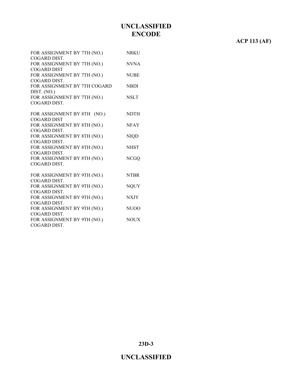### **ACP 113 (AF)**

| FOR ASSIGNMENT BY 7TH (NO.)                       | <b>NRKU</b> |
|---------------------------------------------------|-------------|
| COGARD DIST.                                      | <b>NVNA</b> |
| FOR ASSIGNMENT BY 7TH (NO.)<br><b>COGARD DIST</b> |             |
| FOR ASSIGNMENT BY 7TH (NO.)                       | <b>NUBE</b> |
| COGARD DIST.                                      |             |
| FOR ASSIGNMENT BY 7TH COGARD                      | <b>NBDI</b> |
| DIST. (NO.)                                       |             |
| FOR ASSIGNMENT BY 7TH (NO.)                       | <b>NSLT</b> |
| COGARD DIST.                                      |             |
|                                                   |             |
| FOR ASSIGNMENT BY 8TH (NO.)                       | <b>NDTH</b> |
| <b>COGARD DIST</b>                                |             |
| FOR ASSIGNMENT BY 8TH (NO.)                       | <b>NFAY</b> |
| COGARD DIST.                                      |             |
| FOR ASSIGNMENT BY 8TH (NO.)                       | <b>NIQD</b> |
| COGARD DIST.                                      |             |
| FOR ASSIGNMENT BY 8TH (NO.)                       | <b>NHST</b> |
| COGARD DIST.                                      |             |
| FOR ASSIGNMENT BY 8TH (NO.)                       | <b>NCGQ</b> |
| COGARD DIST.                                      |             |
|                                                   |             |
| FOR ASSIGNMENT BY 9TH (NO.)                       | <b>NTBR</b> |
| COGARD DIST.                                      |             |
| FOR ASSIGNMENT BY 9TH (NO.)                       | <b>NQUY</b> |
| COGARD DIST.<br>FOR ASSIGNMENT BY 9TH (NO.)       | <b>NXJY</b> |
| COGARD DIST.                                      |             |
| FOR ASSIGNMENT BY 9TH (NO.)                       | NUOO        |
| COGARD DIST.                                      |             |
| FOR ASSIGNMENT BY 9TH (NO.)                       | <b>NOUX</b> |
| COGARD DIST.                                      |             |
|                                                   |             |

**23D-3**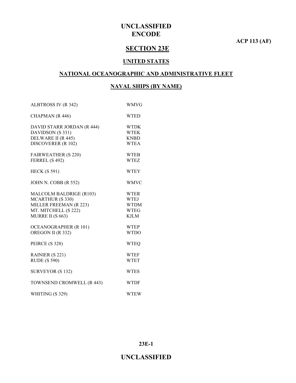**ACP 113 (AF)**

### **SECTION 23E**

#### **UNITED STATES**

#### **NATIONAL OCEANOGRAPHIC AND ADMINISTRATIVE FLEET**

### **NAVAL SHIPS (BY NAME)**

| ALBTROSS IV (R 342)          | <b>WMVG</b> |
|------------------------------|-------------|
| CHAPMAN (R 446)              | <b>WTED</b> |
| DAVID STARR JORDAN (R 444)   | <b>WTDK</b> |
| DAVIDSON (S 331)             | <b>WTEK</b> |
| DELWARE II (R 445)           | <b>KNBD</b> |
| DISCOVERER (R 102)           | <b>WTEA</b> |
| <b>FAIRWEATHER (S 220)</b>   | <b>WTEB</b> |
| FERREL (S 492)               | <b>WTEZ</b> |
| <b>HECK (S 591)</b>          | <b>WTEY</b> |
| JOHN N. COBB (R 552)         | <b>WMVC</b> |
| MALCOLM BALDRIGE (R103)      | <b>WTER</b> |
| <b>MCARTHUR (S 330)</b>      | <b>WTEJ</b> |
| MILLER FREEMAN (R 223)       | <b>WTDM</b> |
| MT. MITCHELL (S 222)         | <b>WTEG</b> |
| MURRE II (S 663)             | <b>KJLM</b> |
| <b>OCEANOGRAPHER (R 101)</b> | <b>WTEP</b> |
| OREGON II (R 332)            | <b>WTDO</b> |
| PEIRCE (S 328)               | <b>WTEQ</b> |
| RAINIER (S 221)              | <b>WTEF</b> |
| <b>RUDE (S 590)</b>          | <b>WTET</b> |
| SURVEYOR (S 132)             | <b>WTES</b> |
| TOWNSEND CROMWELL (R 443)    | <b>WTDF</b> |
| WHITING (S 329)              | <b>WTEW</b> |

**23E-1**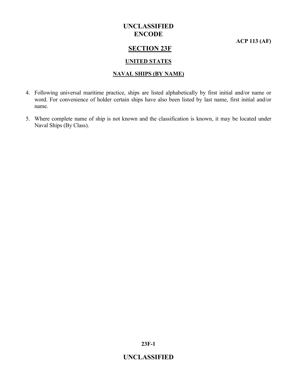**ACP 113 (AF)**

### **SECTION 23F**

#### **UNITED STATES**

#### **NAVAL SHIPS (BY NAME)**

- 4. Following universal maritime practice, ships are listed alphabetically by first initial and/or name or word. For convenience of holder certain ships have also been listed by last name, first initial and/or name.
- 5. Where complete name of ship is not known and the classification is known, it may be located under Naval Ships (By Class).

**23F-1**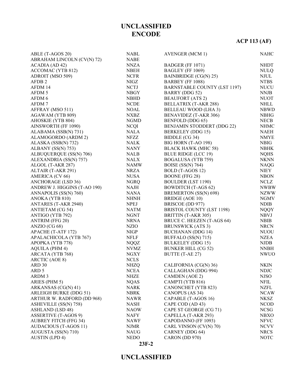# **ACP 113 (AF)**

| ABLE (T-AGOS 20)                             | <b>NABL</b> | <b>AVENGER (MCM 1)</b>              | <b>NAHC</b>                |
|----------------------------------------------|-------------|-------------------------------------|----------------------------|
| ABRAHAM LINCOLN (CV(N) 72)                   | <b>NABE</b> |                                     |                            |
| ACADIA (AD 42)                               | <b>NNZA</b> | BADGER (FF 1071)                    | <b>NHDT</b>                |
| ACCOMAC (YTB 812)                            | <b>NBEH</b> | BAGLEY (FF 1069)                    | <b>NULQ</b>                |
| ADROIT (MSO 509)                             | <b>NCFR</b> | BAINBRIDGE (CG(N) 25)               | <b>NJUL</b>                |
| AFDB <sub>2</sub>                            | NIGZ        | BARBEY (FF 1088)                    | <b>NTBS</b>                |
| AFDM 14                                      | <b>NCTJ</b> | <b>BARNSTABLE COUNTY (LST 1197)</b> | <b>NUCU</b>                |
| AFDM 5                                       | <b>NBGY</b> | <b>BARRY</b> (DDG 52)               | <b>NNJB</b>                |
| AFDM 6                                       | <b>NBHD</b> | <b>BEAUFORT</b> (ATS 2)             | <b>NUOT</b>                |
| AFDM7                                        | <b>NCDE</b> | BELLATRIX (T-AKR 288)               | <b>NHLL</b>                |
| AFFRAY (MSO 511)                             | <b>NOAL</b> | <b>BELLEAU WOOD (LHA 3)</b>         | <b>NBWD</b>                |
| AGAWAM (YTB 809)                             | <b>NXBZ</b> | BENAVIDEZ (T-AKR 306)               | <b>NBHG</b>                |
| AHOSKIE (YTB 804)                            | <b>NGMD</b> | BENFOLD (DDG 65)                    | <b>NECB</b>                |
| AINSWORTH (FF 1090)                          | <b>NCQI</b> | BENJAMIN STODDERT (DDG 22)          | <b>NHMC</b>                |
| ALABAMA (SSB(N) 731)                         | <b>NALA</b> | BERKELEY (DDG 15)                   | NAEH                       |
| ALAMOGORDO (ARDM 2)                          | NFZZ        | BIDDLE (CG 34)                      | <b>NMYE</b>                |
| ALASKA (SSB(N) 732)                          | NALK        | BIG HORN (T-AO 198)                 | <b>NBIG</b>                |
| ALBANY (SS(N) 753)                           | <b>NANY</b> | <b>BLACK HAWK (MHC 58)</b>          | <b>NBHK</b>                |
| ALBUQUERQUE (SS(N) 706)                      | <b>NALB</b> | <b>BLUE RIDGE (LCC 19)</b>          | <b>NQHS</b>                |
| ALEXANDRIA (SS(N) 757)                       | <b>NALX</b> | <b>BOGALUSA (YTB 759)</b>           | <b>NKNN</b>                |
| ALGOL (T-AKR 287)                            | <b>NAMW</b> | <b>BOISE</b> (SS(N) 764)            | <b>NAQG</b>                |
| ALTAIR (T-AKR 291)                           | NRZA        | BOLD (T-AGOS 12)                    | <b>NIEY</b>                |
| AMERICA (CV 66)                              | <b>NUSA</b> | <b>BOONE</b> (FFG 28)               | <b>NBON</b>                |
| <b>ANCHORAGE (LSD 36)</b>                    | <b>NGRQ</b> | <b>BOULDER (LST 1190)</b>           | <b>NCLZ</b>                |
| ANDREW J. HIGGINS (T-AO 190)                 | NAJH        | <b>BOWDITCH</b> (T-AGS 62)          | <b>NWBW</b>                |
| ANNAPOLIS (SS(N) 760)                        | <b>NANA</b> | BREMERTON (SS(N) 698)               | <b>NZWW</b>                |
| ANOKA (YTB 810)                              | <b>NHNH</b> | <b>BRIDGE (AOE 10)</b>              | <b>NGMV</b>                |
| ANTARES (T-AKR 2940)                         | <b>NPEJ</b> | BRISCOE (DD 977)                    | <b>NDIB</b>                |
| <b>ANTIETAM (CG 54)</b>                      | <b>NATM</b> | <b>BRISTOL COUNTY (LST 1198)</b>    | <b>NQQY</b>                |
| ANTIGO (YTB 792)                             | <b>NGNT</b> | BRITTIN (T-AKR 305)                 | <b>NBVJ</b>                |
| <b>ANTRIM (FFG 20)</b>                       | <b>NRNA</b> | BRUCE C. HEEZEN (T-AGS 64)          | <b>NBIB</b>                |
| ANZIO (CG 68)                                | <b>NZIO</b> | <b>BRUNSWICK (ATS 3)</b>            | <b>NRCN</b>                |
| APACHE (T-ATF 172)                           | <b>NIGP</b> | <b>BUCHANAN (DDG 14)</b>            | <b>NUOU</b>                |
| APALACHICOLA (YTB 767)                       | <b>NFLF</b> | BUFFALO (SS(N) 715)                 | <b>NZEA</b>                |
| APOPKA (YTB 778)                             | <b>NQQZ</b> | <b>BULKELEY (DDG 15)</b>            | <b>NJDB</b>                |
| <b>AQUILA (PHM 4)</b>                        | <b>NVMZ</b> | <b>BUNKER HILL (CG 52)</b>          | <b>NNBH</b>                |
| ARCATA (YTB 768)                             | <b>NGXY</b> | BUTTE (T-AE 27)                     | <b>NWUO</b>                |
| <b>ARCTIC (AOE 8)</b>                        | <b>NCLS</b> |                                     |                            |
| ARD 30                                       | <b>NHZQ</b> | CALIFORNIA (CG(N) 36)               | <b>NKIN</b>                |
| ARD <sub>5</sub>                             | <b>NCEA</b> | CALLAGHAN (DDG 994)                 | <b>NDJC</b>                |
| ARDM 3                                       | <b>NHZE</b> | <b>CAMDEN</b> (AOE 2)               | <b>NJSO</b>                |
| ARIES (PHM 5)                                | <b>NQAS</b> | CAMPTI (YTB 816)                    | <b>NFIL</b>                |
| ARKANSAS (CG(N) 41)                          | NARK        | <b>CANONCHET (YTB 823)</b>          | <b>NZFL</b>                |
| <b>ARLEIGH BURKE (DDG 51)</b>                | <b>NBRK</b> | CANOPUS (AS 34)                     | <b>NCAW</b>                |
| ARTHUR W. RADFORD (DD 968)                   | <b>NAWR</b> | CAPABLE (T-AGOS 16)                 | NKSZ                       |
| ASHEVILLE (SS(N) 758)                        | <b>NASH</b> | CAPE COD (AD 43)                    | <b>NCOD</b>                |
| <b>ASHLAND</b> (LSD 48)                      | <b>NAOW</b> | CAPE ST GEORGE (CG 71)              | <b>NCSG</b>                |
| <b>ASSERTIVE (T-AGOS 9)</b>                  |             | CAPELLA (T-AKR 293)                 |                            |
| <b>AUBREY FITCH (FFG 34)</b>                 | NAFY        | CAPODANNO (FF 1093)                 | <b>NBXO</b><br><b>NFVC</b> |
|                                              | NAWF        |                                     |                            |
| AUDACIOUS (T-AGOS 11)<br>AUGUSTA (SS(N) 710) | <b>NJMR</b> | CARL VINSON (CV(N) 70)              | <b>NCVV</b>                |
|                                              | <b>NAUG</b> | CARNEY (DDG 64)                     | <b>NRCS</b>                |
| <b>AUSTIN</b> (LPD 4)                        | <b>NEDO</b> | CARON (DD 970)                      | <b>NOTC</b>                |

#### **23F-2**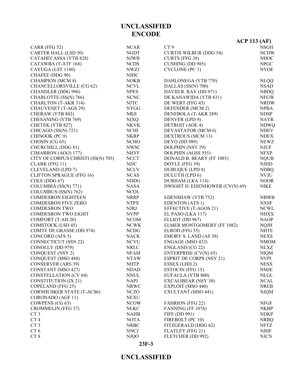# **23F-3**

|                                    |             |                                 | $ACP$ 113 (AF) |
|------------------------------------|-------------|---------------------------------|----------------|
| CARR (FFG 52)                      | <b>NCAR</b> | CT <sub>9</sub>                 | <b>NSGH</b>    |
| <b>CARTER HALL (LSD 50)</b>        | <b>NGDT</b> | <b>CURTIS WILBUR (DDG 54)</b>   | <b>NCDW</b>    |
| CATAHECASSA (YTB 828)              | <b>NJWB</b> | CURTS (FFG 38)                  | <b>NHOC</b>    |
| CATAWBA (T-ATF 168)                | <b>NCDS</b> | <b>CUSHING (DD 985)</b>         | <b>NPGC</b>    |
| CAYUGA (LST 1186)                  | <b>NWZJ</b> | CYCLONE (PC 1)                  | <b>NYOE</b>    |
| CHAFEE (DDG 90)                    | <b>NJHC</b> |                                 |                |
| <b>CHAMPION</b> (MCM 4)            | <b>NOKB</b> | DAHLONEGA (YTB 770)             | <b>NLQQ</b>    |
| <b>CHANCELLORSVILLE (CG 62)</b>    | <b>NCVL</b> | DALLAS (SS(N) 700)              | <b>NSAD</b>    |
| CHANDLER (DDG 996)                 | <b>NPES</b> | DAVID R. RAY (DD 971)           | <b>NBDQ</b>    |
| CHARLOTTE (SS(N) 766)              | <b>NCNC</b> | DE KANAWIDA (YTB 831)           | <b>NFGW</b>    |
| <b>CHARLTON (T-AKR 314)</b>        | <b>NJTC</b> | DE WERT (FFG 45)                | <b>NRDW</b>    |
|                                    | <b>NYGG</b> |                                 | <b>NPBA</b>    |
| <b>CHAUVENET</b> (T-AGS 29)        |             | DEFENDER (MCM 2)                |                |
| CHERAW (YTB 802)                   | NRJI        | DENEBOLA (T-AKR 289)            | <b>NDSP</b>    |
| CHESANING (YTB 769)                | <b>NIXQ</b> | DENVER (LPD 9)                  | <b>NAYR</b>    |
| CHETEK (YTB 827)                   | <b>NKVK</b> | DETROIT (AOE 4)                 | <b>NDWQ</b>    |
| CHICAGO (SS(N) 721)                | <b>NCHI</b> | DEVASTATOR (MCM 6)              | <b>NDEV</b>    |
| CHINOOK (PC 9)                     | <b>NKRP</b> | <b>DEXTROUS (MCM 13)</b>        | <b>NDEX</b>    |
| CHOSIN (CG 65)                     | <b>NCHO</b> | <b>DEYO</b> (DD 989)            | <b>NEWZ</b>    |
| CHURCHILL (DDG 81)                 | <b>NWSC</b> | DOLPHIN (NSY 29)                | <b>NJUF</b>    |
| CIMARRON (AO(J) 177)               | <b>NHYF</b> | DOLPHIN (AGSS 555)              | <b>NFXP</b>    |
| CITY OF CORPUS CHRISTI (SS(N) 705) | <b>NCCT</b> | DONALD B. BEARY (FF 1085)       | <b>NQUB</b>    |
| CLARK (FFG 11)                     | <b>NJJC</b> | DOYLE (FFG 39)                  | <b>NJHD</b>    |
| <b>CLEVELAND</b> (LPD 7)           | <b>NCLV</b> | <b>DUBUQUE (LPD 8)</b>          | <b>NDBQ</b>    |
| <b>CLIFTON SPRAGUE (FFG 16)</b>    | <b>NCAS</b> | DULUTH (LPD 6)                  | <b>NVJU</b>    |
| COLE (DDG 67)                      | <b>NDDG</b> | DURHAM (LKA 114)                | <b>NOOR</b>    |
| COLUMBIA (SS(N) 771)               | <b>NASA</b> | DWIGHT D. EISENHOWER (CV(N) 69) | <b>NIKE</b>    |
| COLUMBUS (SS(N) 762)               | <b>NCOL</b> |                                 |                |
| <b>COMDESRON EIGHTEEN</b>          | <b>NRRP</b> | EDENSHAW (YTB 752)              | <b>NBWB</b>    |
| <b>COMDESRON FIVE ZERO</b>         | <b>NTPX</b> | <b>EDENTON</b> (ATS 1)          | <b>NXSF</b>    |
| <b>COMDESRON TWO</b>               | <b>NJRJ</b> | EFFECTIVE (T-AGOS 21)           | <b>NCWL</b>    |
| <b>COMDESRON TWO EIGHT</b>         | <b>NVPP</b> | EL PASO (LKA 117)               | <b>NHXX</b>    |
| COMFORT (T-AH 20)                  | <b>NCOM</b> | ELLIOT (DD 967)                 | <b>NAOP</b>    |
| <b>COMSTOCK (LSD 45)</b>           | <b>NCWK</b> | ELMER MONTGOMERY (FF 1082)      | <b>NQJH</b>    |
| <b>COMTE DE GRASSE (DD 974)</b>    | <b>NCDG</b> | ELROD (FFG 55)                  | <b>NHTE</b>    |
| CONCORD (AFS 5)                    | <b>NACK</b> | <b>EMORY S. LAND (AS 39)</b>    | <b>NEXS</b>    |
| <b>CONNECTICUT (SSN 22)</b>        | <b>NCVU</b> | ENGAGE (MSO 433)                | <b>NMOM</b>    |
| CONOLLY (DD 979)                   | <b>NRLC</b> | ENGLAND (CG 22)                 | <b>NLXZ</b>    |
| <b>CONQUEST (NSY 2)</b>            | <b>NFAM</b> | ENTERPRISE (CV(N) 65)           | <b>NIQM</b>    |
| CONQUEST (MSO 488)                 | <b>NTAW</b> | <b>ESPRIT DE CORPS (NSY 21)</b> | <b>NVPI</b>    |
| <b>CONSERVER (ARS 39)</b>          | <b>NHTP</b> | ESSEX (LHD 2)                   | <b>NESX</b>    |
| CONSTANT (MSO 427)                 | <b>NDAD</b> | <b>ESTOCIN (FFG 15)</b>         | <b>NMJE</b>    |
| <b>CONSTELLATION (CV 64)</b>       | <b>NNUL</b> | EUFAULA (YTB 800)               | <b>NLGL</b>    |
|                                    | <b>NAPJ</b> |                                 | <b>NCAL</b>    |
| <b>CONSTITUTION (IX 21)</b>        |             | <b>EXCALIBEAR (NSY 30)</b>      | <b>NREB</b>    |
| COPELAND (FFG 25)                  | <b>NRWC</b> | EXPLOIT (MSO 440)               |                |
| <b>CORNHUSKER STATE (T-ACS6)</b>   | <b>NCZO</b> | EXULTANT (MSO 441)              | <b>NJQM</b>    |
| CORONADO (AGF 11)                  | <b>NEXU</b> |                                 |                |
| COWPENS (CG 63)                    | <b>NCOW</b> | <b>FAHRION (FFG 22)</b>         | <b>NFGF</b>    |
| <b>CROMMELIN (FFG 37)</b>          | <b>NLKC</b> | FANNING (FF 1076)               | <b>NKBP</b>    |
| CT <sub>3</sub>                    | <b>NAHB</b> | FIFE (DD 991)                   | <b>NDKP</b>    |
| CT <sub>4</sub>                    | <b>NOTA</b> | FIREBOLT (PC 10)                | <b>NRBQ</b>    |
| CT <sub>5</sub>                    | <b>NRBC</b> | FITZGERALD (DDG 62)             | <b>NFTZ</b>    |
| CT <sub>6</sub>                    | <b>NNCJ</b> | FLATLEY (FFG 21)                | <b>NJHF</b>    |
| CT8                                | <b>NJQO</b> | FLETCHER (DD 992)               | <b>NJCN</b>    |

### **UNCLASSIFIED ENCODE**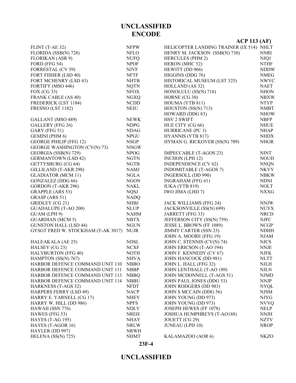|                                     |             | $ACP$ 113 (AF)                           |                     |
|-------------------------------------|-------------|------------------------------------------|---------------------|
| FLINT (T-AE 32)                     | <b>NFPW</b> | HELICOPTER LANDING TRAINER (IX 514) NHLT |                     |
| FLORIDA (SSB(N) 728)                | <b>NFLO</b> | HENRY M. JACKSON (SSB(N) 730)            | <b>NNRI</b>         |
| FLORIKAN (ASR 9)                    | <b>NUFQ</b> | <b>HERCULES</b> (PHM 2)                  | <b>NJQJ</b>         |
| FORD (FFG 54)                       | <b>NPOF</b> | HERON (MHC 52)                           | <b>NTHF</b>         |
| FORRESTAL (CV 59)                   | <b>NJVF</b> | HEWITT (DD 966)                          | <b>NDDW</b>         |
| FORT FISHER (LSD 40)                | <b>NFTF</b> | HIGGINS (DDG 76)                         | <b>NMEG</b>         |
| FORT MCHENRY (LSD 43)               | <b>NHTB</b> | HISTORICAL MUSEUM (LST 325)              | <b>NWVC</b>         |
| FORTIFY (MSO 446)                   | <b>NQTN</b> | HOLLAND (AS 32)                          | <b>NAET</b>         |
| FOX (CG 33)                         | <b>NFOX</b> | HONOLULU (SS(N) 718)                     | <b>NHON</b>         |
| <b>FRANK CABLE (AS 40)</b>          | <b>NGXQ</b> | HORNE (CG 30)                            | <b>NBXW</b>         |
| FREDERICK (LST 1184)                | <b>NCDD</b> | HOUMA (YTB 811)                          | <b>NTYP</b>         |
| FRESNO (LST 1182)                   | NEIU        | HOUSTON (SS(N) 713)                      | <b>NMBT</b>         |
|                                     |             | HOWARD (DDG 83)                          | <b>NHOW</b>         |
| GALLANT (MSO 489)                   | <b>NEWK</b> | <b>HSV 2 SWIFT</b>                       | <b>NBFP</b>         |
| <b>GALLERY</b> (FFG 26)             | <b>NDPG</b> | HUE CITY (CG 66)                         | <b>NHUE</b>         |
| GARY (FFG 51)                       | <b>NDAG</b> | HURRICANE (PC 3)                         | <b>NHAP</b>         |
| <b>GEMINI</b> (PHM 6)               | <b>NPGU</b> | HYANNIS (YTB 817)                        | <b>NHDX</b>         |
| <b>GEORGE PHILIP (FFG 12)</b>       | <b>NSGP</b> | HYMAN G. RICKOVER (SS(N) 709)            | <b>NHGR</b>         |
| <b>GEORGE WASHINGTON (CV(N) 73)</b> | <b>NNGW</b> |                                          |                     |
| GEORGIA (SSB(N) 729)                | <b>NPOG</b> | IMPECCABLE (T-AGOS 23)                   | <b>NINT</b>         |
| <b>GERMANTOWN</b> (LSD 42)          | <b>NGTN</b> | INCHON (LPH 12)                          | <b>NOUD</b>         |
| GETTYSBURG (CG 64)                  | <b>NGTB</b> | <b>INDEPENDENCE (CV 62)</b>              | <b>NNQN</b>         |
| GILLILAND (T-AKR 298)               | <b>NAMJ</b> | INDOMITABLE (T-AGOS 7)                   | <b>NKVY</b>         |
| <b>GLADIATOR (MCM 11)</b>           | <b>NGLA</b> | INGERSOLL (DD 990)                       | <b>NBKW</b>         |
| GONZALEZ (DDG 66)                   | <b>NGON</b> | <b>INGRAHAM</b> (FFG 61)                 | <b>NDNI</b>         |
| GORDON (T-AKR 296)                  | <b>NAKL</b> | <b>IUKA (YTB 819)</b>                    | <b>NOLT</b>         |
| <b>GRAPPLE (ARS 53)</b>             | <b>NQSJ</b> | <b>IWO JIMA (LHD 7)</b>                  | <b>NXXG</b>         |
| GRASP (ARS 51)                      | <b>NADQ</b> |                                          |                     |
| GRIDLEY (CG 21)                     | <b>NHBJ</b> | JACK WILLIAMS (FFG 24)                   | <b>NNJW</b>         |
| <b>GUADALUPE (T-AO 200)</b>         | <b>NLUP</b> | JACKSONVILLE (SS(N) 699)                 | <b>NUYX</b>         |
| GUAM (LPH 9)                        | <b>NAHM</b> | JARRETT (FFG 33)                         | <b>NRCD</b>         |
| <b>GUARDIAN</b> (MCM 5)             | <b>NBTX</b> | JEFFERSON CITY (SS(N) 759)               | <b>NJFC</b>         |
| <b>GUNSTON HALL (LSD 44)</b>        | <b>NGUN</b> | JESSE L. BROWN (FF 1089)                 | <b>NCGP</b>         |
| GYSGT FRED W. STOCKHAM (T-AK 3017)  | <b>NUJR</b> | <b>JIMMY CARTER (SSN 23)</b>             | <b>NDHH</b>         |
|                                     |             | JOHN A. MOORE (FFG 19)                   | <b>NJAM</b>         |
| HALEAKALA (AE 25)                   | <b>NDSL</b> | JOHN C. STENNIS (CV(N) 74)               | <b>NJCS</b>         |
| HALSEY (CG 23)                      | <b>NCXF</b> | JOHN ERICSON (T-AO 194)                  | <b>NNJE</b>         |
| <b>HALYBURTON (FFG 40)</b>          | <b>NOTH</b> | JOHN F. KENNEDY (CV 67)                  | NJFK                |
| HAMPTON (SS(N) 767)                 | <b>NHVA</b> | JOHN HANCOCK (DD 981)                    | <b>NLTT</b>         |
| HARBOR DEFENCE COMMAND UNIT 110     | <b>NBBO</b> | JOHN L. HALL (FFG 32)                    | NJLH                |
| HARBOR DEFENCE COMMAND UNIT 111     | <b>NBBP</b> | JOHN LENTHALL (T-AO 189)                 | <b>NJLN</b>         |
| HARBOR DEFENCE COMMAND UNIT 113     | <b>NBBQ</b> | JOHN MCDONNELL (T-AGS 51)                | <b>NJMD</b>         |
| HARBOR DEFENCE COMMAND UNIT 114     | <b>NBBU</b> | JOHN PAUL JONES (DDG 53)                 | <b>NNJP</b>         |
| <b>HARKNESS</b> (T-AGS 32)          | <b>NFDT</b> | JOHN RODGERS (DD 983)                    | <b>NYQL</b>         |
| <b>HARPERS FERRY (LSD 49)</b>       | <b>NACP</b> | JOHN S MCCAIN (DDG 56)                   | <b>NJSM</b>         |
| HARRY E. YARNELL (CG 17)            | <b>NHEY</b> | JOHN YOUNG (DD 973)                      | <b>NJYG</b>         |
| HARRY W. HILL (DD 986)              | <b>NPFS</b> | JOHN YOUNG (DD 973)                      | <b>NVVQ</b>         |
| HAWAII (SSN 776)                    |             | JOSEPH HEWES (FF 1078)                   | <b>NELP</b>         |
| HAWES (FFG 53)                      | <b>NDLV</b> | <b>JOSHUA HUMPHREYS (T-AO188)</b>        |                     |
| <b>HAYES</b> (T-AG 195)             | NREH        | JOUETT (CG 29)                           | NNJH<br><b>NZTV</b> |
| HAYES (T-AGOR 16)                   | NHAY        | <b>JUNEAU</b> (LPD 10)                   | <b>NROP</b>         |
| HAYLER (DD 997)                     | <b>NRLW</b> |                                          |                     |
| HELENA (SS(N) 725)                  | <b>NRWH</b> | KALAMAZOO (AOR 6)                        | <b>NKZO</b>         |
|                                     | <b>NHMT</b> |                                          |                     |

# **23F-4**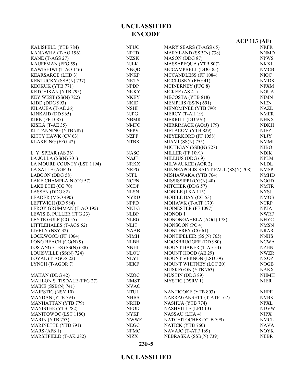**23F-5**

|                              |             | <b>ACP 113 (AF)</b>                |             |
|------------------------------|-------------|------------------------------------|-------------|
| KALISPELL (YTB 784)          | <b>NFUC</b> | MARY SEARS (T-AGS 65)              | <b>NRFR</b> |
| KANAWHA (T-AO 196)           | <b>NPTD</b> | MARYLAND (SSB(N) 738)              | <b>NNMD</b> |
| KANE (T-AGS 27)              | <b>NZSK</b> | MASON (DDG 87)                     | <b>NPWS</b> |
| KAUFFMAN (FFG 59)            | <b>NJLK</b> | MASSAPEQUA (YTB 807)               | <b>NKXJ</b> |
| KAWISHIWI (T-AO 146)         | <b>NNQD</b> | MCCAMPBELL (DDG 85)                | <b>NMCB</b> |
| <b>KEARSARGE (LHD 3)</b>     | <b>NNKP</b> | MCCANDLESS (FF 1084)               | <b>NIQC</b> |
| <b>KENTUCKY (SSB(N) 737)</b> | <b>NKTY</b> | MCCLUSKY (FFG 41)                  | <b>NMDK</b> |
| <b>KEOKUK (YTB 771)</b>      | <b>NPDP</b> | <b>MCINERNEY</b> (FFG 8)           | <b>NFXM</b> |
| KETCHIKAN (YTB 795)          | <b>NKKY</b> | MCKEE (AS 41)                      | <b>NGUA</b> |
| KEY WEST (SS(N) 722)         | <b>NKEY</b> | MECOSTA (YTB 818)                  | <b>NIMN</b> |
| KIDD (DDG 993)               | <b>NKID</b> | MEMPHIS (SS(N) 691)                | NIEN        |
| KILAUEA (T-AE 26)            | NSHI        | <b>MENOMINEE (YTB 790)</b>         | <b>NAZL</b> |
| KINKAID (DD 965)             | <b>NJPG</b> | MERCY (T-AH 19)                    | <b>NMER</b> |
| <b>KIRK (FF 1087)</b>        | <b>NBMR</b> | MERRILL (DD 976)                   | <b>NHKX</b> |
| KISKA (T-AE 35)              | <b>NMFC</b> | MERRIMACK (AO(J) 179)              | <b>NDKH</b> |
| KITTANNING (YTB 787)         | <b>NFPV</b> | METACOM (YTB 829)                  | NJEZ        |
| KITTY HAWK (CV 63)           | <b>NZFF</b> | <b>MEYERKORD (FF 1058)</b>         | <b>NLJY</b> |
| KLAKRING (FFG 42)            | <b>NTBK</b> | MIAMI $(SS(N) 755)$                | <b>NMMI</b> |
|                              |             | MICHIGAN (SSB(N) 727)              | <b>NJBO</b> |
| L. Y. SPEAR $(AS 36)$        | <b>NASO</b> | <b>MILLER (FF 1091)</b>            | <b>NDIK</b> |
| LA JOLLA $(SS(N) 701)$       | <b>NAJF</b> | MILLIUS (DDG 69)                   | <b>NPLM</b> |
| LA MOURE COUNTY (LST 1194)   | <b>NRKX</b> | MILWAUKEE (AOR 2)                  | <b>NLDL</b> |
| LA SALLE (AGF 3)             | <b>NRPG</b> | MINNEAPOLIS-SAINT PAUL (SS(N) 708) | <b>NMSP</b> |
| LABOON (DDG 58)              | <b>NJFL</b> | MISHAWAKA (YTB 764)                | <b>NMHD</b> |
| LAKE CHAMPLAIN (CG 57)       | <b>NCPN</b> | MISSISSIPPI (CG(N) 40)             | <b>NGGD</b> |
| LAKE ETIE (CG 70)            | <b>NCDP</b> | MITCHER (DDG 57)                   | <b>NMTR</b> |
| LASSEN (DDG 82)              | <b>NLSN</b> | MOBILE (LKA 115)                   | <b>NYSJ</b> |
| LEADER (MSO 490)             | <b>NYRD</b> | MOBILE BAY (CG 53)                 | <b>NMOB</b> |
| LEFTWICH (DD 984)            | <b>NPFD</b> | MOHAWK (T-ATF 170)                 | <b>NCRP</b> |
| LEROY GRUMMAN (T-AO 195)     | <b>NNLG</b> | MOINESTER (FF 1097)                | <b>NKIA</b> |
| LEWIS B. PULLER (FFG 23)     | <b>NLBP</b> | MONOB <sub>1</sub>                 | <b>NWRF</b> |
| LEYTE GULF (CG 55)           | <b>NLEG</b> | MONONGAHELA (AO(J) 178)            | <b>NHYC</b> |
| LITTLEHALES (T-AGS 52)       | <b>NLIT</b> | MONSOON (PC 4)                     | <b>NMSN</b> |
| LIVELY (NSY 32)              | <b>NAAB</b> | MONTEREY (CG 61)                   | <b>NRAR</b> |
| LOCKWOOD (FF 1064)           | NIMH        | MONTIPELIER (SS(N) 765)            | <b>NNHS</b> |
| LONG BEACH (CG(N) 9)         | <b>NLBH</b> | MOOSBRUGGER (DD 980)               | <b>NCWA</b> |
| LOS ANGELES (SS(N) 688)      | <b>NNHI</b> | <b>MOUNT BAKER (T-AE 34)</b>       | <b>NZHN</b> |
| LOUISVILLE (SS(N) 724)       | <b>NLOU</b> | MOUNT HOOD (AE 29)                 | <b>NWZR</b> |
| LOYAL (T-AGOS 22)            | <b>NLYL</b> | <b>MOUNT VERNON (LSD 39)</b>       | <b>NXOZ</b> |
| LYNCH (T-AGOR 7)             | <b>NEKF</b> | MOUNT WHITNEY (LCC 20)             | <b>NOGB</b> |
|                              |             | MUSKEGON (YTB 763)                 | <b>NAKX</b> |
| MAHAN (DDG 42)               | <b>NZOC</b> | MUSTIN (DDG 89)                    | <b>NHMH</b> |
| MAHLON S. TISDALE (FFG 27)   | <b>NMST</b> | MYSTIC (DSRV 1)                    | <b>NJER</b> |
| MAINE $(SSB(N) 741)$         | <b>NVAC</b> |                                    |             |
| <b>MAJESTIC (NSY 10)</b>     | <b>NTUL</b> | <b>NANTICOKE (YTB 803)</b>         | <b>NHPE</b> |
| <b>MANDAN (YTB 794)</b>      | <b>NHBS</b> | NARRAGANSETT (T-ATF 167)           | <b>NVBK</b> |
| <b>MANHATTAN (YTB 779)</b>   | <b>NRHD</b> | NASHUA (YTB 774)                   | <b>NPXL</b> |
| <b>MANISTEE (YTB 782)</b>    | <b>NFOD</b> | <b>NASHVILLE (LPD 13)</b>          | <b>NDVW</b> |
| MANITOWOC (LST 1180)         | <b>NYKF</b> | NASSAU (LHA 4)                     | <b>NJPX</b> |
| <b>MARIN (YTB 753)</b>       | <b>NWWE</b> | NATCHITOCHES (YTB 799)             | <b>NMCL</b> |
| <b>MARINETTE (YTB 791)</b>   | <b>NEGC</b> | NATICK (YTB 760)                   | <b>NAVA</b> |
| MARS (AFS 1)                 | <b>NFMC</b> | NAVAJO (T-ATF 169)                 | <b>NOYK</b> |
| MARSHFIELD (T-AK 282)        | <b>NIZX</b> | NEBRASKA (SSB(N) 739)              | <b>NEBR</b> |

# **UNCLASSIFIED ENCODE**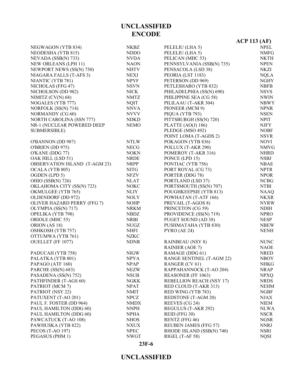|                                 |             |                                 | $ACP$ 113 (AF) |
|---------------------------------|-------------|---------------------------------|----------------|
| NEGWAGON (YTB 834)              | <b>NKBZ</b> | PELELIU (LHA 5)                 | <b>NPEL</b>    |
| NEODESHA (YTB 815)              | <b>NDDO</b> | PELELIU (LHA 5)                 | <b>NMFG</b>    |
| NEVADA (SSB(N) 733)             | <b>NVDA</b> | PELICAN (MHC 53)                | <b>NKTH</b>    |
| NEW ORLEANS (LPH 11)            | <b>NAON</b> | PENNSYLVANIA (SSB(N) 735)       | <b>NPEN</b>    |
| <b>NEWPORT NEWS (SS(N) 750)</b> | <b>NHTV</b> | PENSACOLA (LSD 38)              | NKZI           |
| NIAGARA FALLS (T-AFS 3)         | <b>NEXJ</b> | PEORIA (LST 1183)               | <b>NQLA</b>    |
| NIANTIC (YTB 781)               | <b>NPYF</b> | PETERSON (DD 969)               | <b>NGHY</b>    |
| NICHOLAS (FFG 47)               | <b>NSVN</b> | PETLESHARO (YTB 832)            | <b>NBFB</b>    |
| NICHOLSON (DD 982)              | <b>NICK</b> | PHILADELPHIA (SS(N) 690)        | <b>NSVS</b>    |
| NIMITZ (CV(N) 68)               | <b>NMTZ</b> | PHILIPPINE SEA (CG 58)          | <b>NWIN</b>    |
| NOGALES (YTB 777)               | <b>NQIT</b> | PILILAAU (T-AKR 304)            | <b>NBWY</b>    |
| NORFOLK (SS(N) 714)             | <b>NNVA</b> | PIONEER (MCM 9)                 | <b>NPNR</b>    |
| NORMANDY (CG 60)                | <b>NVVV</b> | PIQUA (YTB 793)                 | <b>NSEN</b>    |
| <b>NORTH CAROLINA (SSN 777)</b> | <b>NDKD</b> | PITTSBURGH (SS(N) 720)          | <b>NPIT</b>    |
| NR-1 (NUCLEAR POWERED DEEP      | <b>NEMO</b> | PLATTE $(AO(J) 186)$            | <b>NJFY</b>    |
| SUBMERSIBLE)                    |             | PLEDGE (MSO 492)                | <b>NOBF</b>    |
|                                 |             | POINT LOMA (T-AGDS 2)           | <b>NSVR</b>    |
| O'BANNON (DD 987)               | <b>NTLW</b> | POKAGON (YTB 836)               | <b>NOVI</b>    |
| O'BRIEN (DD 975)                | <b>NECG</b> | POLLUX (T-AKR 290)              | <b>NMVG</b>    |
| O'KANE (DDG 77)                 | <b>NOKN</b> | POMEROY (T-AKR 316)             | <b>NHRD</b>    |
| OAK HILL (LSD 51)               | <b>NRDE</b> | PONCE (LPD 15)                  | <b>NSBJ</b>    |
| OBSERVATION ISLAND (T-AGM 23)   | <b>NRPP</b> | PONTIAC (YTB 756)               | <b>NBAE</b>    |
| OCALA (YTB 805)                 | <b>NITG</b> | PORT ROYAL (CG 73)              | <b>NPTR</b>    |
| OGDEN (LPD 5)                   | <b>NFZV</b> | PORTER (DDG 78)                 | <b>NPOR</b>    |
| <b>OHIO (SSB(N) 726)</b>        | <b>NLAT</b> | PORTLAND (LSD 37)               | <b>NCBG</b>    |
| OKLAHOMA CITY (SS(N) 723)       | <b>NOKC</b> | PORTSMOUTH (SS(N) 707)          | <b>NTBI</b>    |
| OKMULGEE (YTB 765)              | NLIY        | POUGHKEEPSIE (YTB 813)          | <b>NAAQ</b>    |
| OLDENDORF (DD 972)              | <b>NOLY</b> | POWHATAN (T-ATF 166)            | <b>NKXR</b>    |
| OLIVER HAZARD PERRY (FFG 7)     | <b>NOHP</b> | PREVAIL (T-AGOS 8)              | <b>NYRW</b>    |
| OLYMPIA (SS(N) 717)             | <b>NRKM</b> | PRINCETON (CG 59)               | <b>NDIH</b>    |
| OPELIKA (YTB 798)               | <b>NBDZ</b> | PROVIDENCE (SS(N) 719)          | <b>NPRO</b>    |
| ORIOLE (MHC 55)                 | <b>NRBI</b> | PUGET SOUND (AD 38)             | <b>NESP</b>    |
| ORION (AS 18)                   | <b>NUGZ</b> | PUSHMATAHA (YTB 830)            | <b>NBEW</b>    |
| OSHKOSH (YTB 757)               | <b>NHFI</b> | PYRO (AE 24)                    | <b>NENH</b>    |
| OTTUMWA (YTB 761)               | <b>NZKC</b> |                                 |                |
| OUELLET (FF 1077)               | <b>NDNR</b> | <b>RAINBEAU</b> (NSY 8)         | <b>NUNC</b>    |
|                                 |             | <b>RAINIER (AOE 7)</b>          | <b>NAOE</b>    |
| PADUCAH (YTB 758)               | <b>NIGW</b> | RAMAGE (DDG 61)                 | <b>NRED</b>    |
| PALATKA (YTB 801)               | <b>NPYA</b> | RANGE SENTINEL (T-AGM 22)       | <b>NBOY</b>    |
| PAPAGO (ATF 160)                | <b>NPAP</b> | RANGER (CV 61)                  | <b>NHKG</b>    |
| PARCHE (SS(N) 683)              | <b>NEZW</b> | RAPPAHANNOCK (T-AO 204)         | <b>NRAP</b>    |
| PASADENA (SS(N) 752)            | <b>NSUB</b> | REASONER (FF 1063)              | <b>NPXQ</b>    |
| PATHFINDER (T-AGS 60)           | <b>NGKK</b> | <b>REBELLION REACH (NSY 17)</b> | <b>NRDS</b>    |
| PATRIOT (MCM 7)                 | <b>NPAT</b> | RED CLOUD (T-AKR 313)           | <b>NEHM</b>    |
| PATRIOT (NSY 22)                | <b>NMIT</b> | RED WING (YTB 783)              | <b>NGBF</b>    |
| PATUXENT (T-AO 201)             | <b>NPCZ</b> | <b>REDSTONE</b> (T-AGM 20)      | NJAX           |
| PAUL F. FOSTER (DD 964)         | <b>NMDX</b> | REEVES (CG 24)                  | <b>NIEM</b>    |
| PAUL HAMILTON (DDG 60)          | <b>NNPH</b> | REGULUS (T-AKR 292)             | <b>NLWA</b>    |
| PAUL HAMILTON (DDG 60)          | <b>NPHA</b> | REID (FFG 30)                   | <b>NSCR</b>    |
| PAWCATUCK (T-AO 108)            | <b>NHOS</b> | RENTZ (FFG 46)                  | <b>NGSR</b>    |
| PAWHUSKA (YTB 822)              | NXUX        | <b>REUBEN JAMES (FFG 57)</b>    | <b>NNRJ</b>    |
| PECOS (T-AO 197)                | <b>NPEC</b> | RHODE ISLAND (SSB(N) 740)       | <b>NSRI</b>    |
| PEGASUS (PHM 1)                 | <b>NWGT</b> | RIGEL (T-AF 58)                 | <b>NQSI</b>    |

#### **23F-6**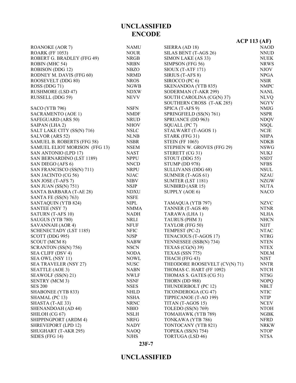|                               |             |                               | $ACP$ 113 (AF) |
|-------------------------------|-------------|-------------------------------|----------------|
| <b>ROANOKE (AOR 7)</b>        | <b>NAMU</b> | SIERRA (AD 18)                | <b>NAOD</b>    |
| <b>ROARK (FF 1053)</b>        | <b>NOUR</b> | SILAS BENT (T-AGS 26)         | <b>NNUD</b>    |
| ROBERT G. BRADLEY (FFG 49)    | <b>NRGB</b> | SIMON LAKE (AS 33)            | <b>NUEK</b>    |
| ROBIN (MHC 54)                | NRBN        | SIMPSON (FFG 56)              | <b>NRWS</b>    |
| ROBISON (DDG 12)              | <b>NBZO</b> | $SIOUX(T-ATF 171)$            | <b>NJOV</b>    |
| RODNEY M. DAVIS (FFG 60)      | <b>NRMD</b> | SIRIUS (T-AFS 8)              | <b>NPGA</b>    |
| ROOSEVELT (DDG 80)            | <b>NROS</b> | SIROCCO (PC 6)                | <b>NSIR</b>    |
| ROSS (DDG 71)                 | <b>NGWB</b> | <b>SKENANDOA (YTB 835)</b>    | <b>NMPC</b>    |
| <b>RUSHMORE (LSD 47)</b>      | <b>NDXW</b> | SODERMAN (T-AKR 299)          | <b>NANL</b>    |
| RUSSELL (DDG 59)              | <b>NEVV</b> | SOUTH CAROLINA (CG(N) 37)     | <b>NLVQ</b>    |
|                               |             | SOUTHERN CROSS (T-AK 285)     | <b>NGYV</b>    |
| SACO (YTB 796)                | <b>NSFN</b> | SPICA (T-AFS 9)               | <b>NMJG</b>    |
| SACRAMENTO (AOE 1)            | NMDF        | SPRINGFIELD (SS(N) 761)       | <b>NSPR</b>    |
| SAFEGUARD (ARS 50)            | <b>NRUD</b> | SPRUANCE (DD 963)             | <b>NDQV</b>    |
| SAIPAN (LHA 2)                | <b>NHOV</b> | SQUALL (PC 7)                 | <b>NSQL</b>    |
| SALT LAKE CITY (SS(N) 716)    | <b>NSLC</b> | STALWART (T-AGOS 1)           | NCJE           |
| SALVOR (ARS 52)               | <b>NLNB</b> | STARK (FFG 31)                | <b>NHPA</b>    |
| SAMUEL B. ROBERTS (FFG 58)    | <b>NSBR</b> | <b>STEIN (FF 1065)</b>        | <b>NDKB</b>    |
| SAMUEL ELIOT MORISON (FFG 13) | <b>NSEM</b> | STEPHEN W. GROVES (FFG 29)    | <b>NSWG</b>    |
| SAN ANTONIO (LPD 17)          | <b>NAST</b> | STERETT (CG 31)               | <b>NUKJ</b>    |
| SAN BERNARDINO (LST 1189)     | <b>NPPU</b> | STOUT (DDG 55)                | <b>NSDT</b>    |
| SAN DIEGO (AFS 6)             | <b>NNCD</b> | STUMP (DD 978)                | <b>NFBS</b>    |
| SAN FRANCISCO (SS(N) 711)     | <b>NRPU</b> | <b>SULLIVANS (DDG 68)</b>     | <b>NSUL</b>    |
| SAN JACINTO (CG 56)           | <b>NJAC</b> | SUMNER (T-AGS 61)             | <b>NZAU</b>    |
| SAN JOSE (T-AFS 7)            | <b>NIBV</b> | SUMTER (LST 1181)             | <b>NZGW</b>    |
| SAN JUAN (SS(N) 751)          | <b>NSJP</b> | SUNBIRD (ASR 15)              | <b>NUTA</b>    |
| SANTA BARBARA (T-AE 28)       | <b>NDXU</b> | SUPPLY (AOE 6)                | <b>NACO</b>    |
| SANTA FE (SS(N) 763)          | <b>NSFE</b> |                               |                |
| SANTAQUIN (YTB 824)           | <b>NIPL</b> | TAMAQUA (YTB 797)             | <b>NZVC</b>    |
| <b>SANTEE (NSY 7)</b>         | <b>NMMA</b> | TANNER (T-AGS 40)             | <b>NTNR</b>    |
| SATURN (T-AFS 10)             | <b>NADH</b> | TARAWA (LHA 1)                | <b>NLHA</b>    |
| SAUGUS (YTB 780)              | <b>NRLI</b> | TAURUS (PHM 3)                | <b>NHCN</b>    |
| SAVANNAH (AOR 4)              | <b>NFUF</b> | TAYLOR (FFG 50)               | <b>NJJT</b>    |
| SCHENECTADY (LST 1185)        | <b>NFIC</b> | TEMPEST (PC-2)                | <b>NTAC</b>    |
| SCOTT (DDG 995)               | <b>NJSP</b> | TENACIOUS (T-AGOS 17)         | <b>NTRG</b>    |
| SCOUT (MCM 8)                 | <b>NABW</b> | TENNESSEE (SSB(N) 734)        | <b>NTEN</b>    |
| SCRANTON (SS(N) 756)          | <b>NSCN</b> | TEXAS $(CG(N)$ 39)            | <b>NTEX</b>    |
| SEA CLIFF (DSV 4)             | <b>NODA</b> | TEXAS (SSN 775)               | <b>NDLM</b>    |
| SEA OWL (NSY 11)              | <b>NOWL</b> | THACH (FFG 43)                | <b>NJST</b>    |
| <b>SEA TRAVELER (NSY 27)</b>  | <b>NUSC</b> | THEODORE ROOSEVELT (CV(N) 71) | <b>NNTR</b>    |
| SEATTLE (AOE 3)               | <b>NABN</b> | THOMAS C. HART (FF 1092)      | <b>NTCH</b>    |
| SEAWOLF (SS(N) 21)            | NWLF        | THOMAS S. GATES (CG 51)       | <b>NTSG</b>    |
| <b>SENTRY (MCM 3)</b>         | <b>NSNF</b> | THORN (DD 988)                | <b>NOPQ</b>    |
| <b>SES 200</b>                | <b>NSES</b> | THUNDERBOLT (PC 12)           | <b>NBLT</b>    |
| SHABONEE (YTB 833)            | <b>NHLD</b> | TICONDEROGA (CG 47)           | <b>NTIC</b>    |
| SHAMAL (PC 13)                | <b>NSHA</b> | TIPPECANOE (T-AO 199)         | <b>NTIP</b>    |
| SHASTA (T-AE 33)              | <b>NRNC</b> | TITAN (T-AGOS 15)             | <b>NCEV</b>    |
| SHENANDOAH (AD 44)            | <b>NBIO</b> | TOLEDO (SS(N) 769)            | <b>NTOH</b>    |
| SHILOH (CG 67)                | <b>NSLH</b> | TOMAHAWK (YTB 789)            | <b>NGBK</b>    |
| SHIPPINGPORT (ARDM 4)         | NRFG        | TONKAWA (YTB 786)             | <b>NFRD</b>    |
| SHREVEPORT (LPD 12)           | <b>NADY</b> | TONTOCANY (YTB 821)           | <b>NRKW</b>    |
| SHUGHART (T-AKR 295)          | <b>NAOQ</b> | TOPEKA (SS(N) 754)            | <b>NTOP</b>    |
| SIDES (FFG 14)                | <b>NJHS</b> | <b>TORTUGA (LSD 46)</b>       | <b>NTSA</b>    |

**23F-7**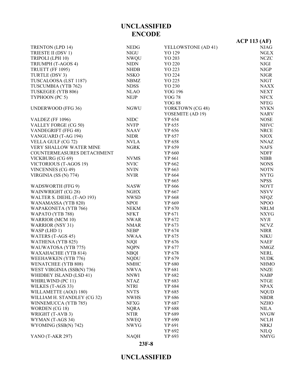#### **23F-8**

|                             |             |                     | <b>ACP 113 (AF)</b> |
|-----------------------------|-------------|---------------------|---------------------|
| <b>TRENTON (LPD 14)</b>     | <b>NEDG</b> | YELLOWSTONE (AD 41) | NJAG                |
| TRIESTE II (DSV 1)          | <b>NIGU</b> | YO 129              | <b>NGLX</b>         |
| TRIPOLI (LPH 10)            | <b>NWQU</b> | YO 203              | <b>NCZC</b>         |
| TRIUMPH (T-AGOS 4)          | <b>NIDN</b> | YO 220              | <b>NJGI</b>         |
| <b>TRUETT (FF 1095)</b>     | <b>NHDB</b> | YO 223              | <b>NJGP</b>         |
| TURTLE (DSV 3)              | <b>NSKO</b> | YO 224              | <b>NJGR</b>         |
| TUSCALOOSA (LST 1187)       | <b>NBMZ</b> | YO 225              | <b>NJGT</b>         |
| TUSCUMBIA (YTB 762)         | <b>NDSS</b> | YO 230              | <b>NAXX</b>         |
| TUSKEGEE (YTB 806)          | <b>NLAO</b> | <b>YOG 196</b>      | <b>NEXT</b>         |
| TYPHOON (PC 5)              | <b>NEJP</b> | <b>YOG 78</b>       | <b>NFCX</b>         |
|                             |             | <b>YOG 88</b>       | <b>NFEG</b>         |
| <b>UNDERWOOD (FFG 36)</b>   | <b>NGWU</b> | YORKTOWN (CG 48)    | <b>NYKN</b>         |
|                             |             | YOSEMITE (AD 19)    | <b>NARV</b>         |
| <b>VALDEZ</b> (FF 1096)     | <b>NIDC</b> | YP 654              | <b>NOSE</b>         |
| VALLEY FORGE (CG 50)        | <b>NVFP</b> | YP 655              | <b>NHVC</b>         |
| VANDEGRIFT (FFG 48)         | <b>NAAV</b> | YP 656              | <b>NRCE</b>         |
| VANGUARD (T-AG 194)         | <b>NIDR</b> | YP 657              | <b>NJOX</b>         |
| VELLA GULF (CG 72)          | <b>NVLA</b> | YP 658              | <b>NNAZ</b>         |
| VERY SHALLOW WATER MINE     | <b>NGRK</b> | YP 659              | <b>NAFS</b>         |
| COUNTERMEASURES DETACHMENT  |             | YP 660              | <b>NDFF</b>         |
| VICKBURG (CG 69)            | <b>NVMS</b> | YP 661              | <b>NIBB</b>         |
| VICTORIOUS (T-AGOS 19)      | <b>NVIC</b> | YP 662              | <b>NONS</b>         |
| <b>VINCENNES (CG 49)</b>    | <b>NVIN</b> | YP 663              | <b>NOTN</b>         |
| VIRGINIA (SS (N) 774)       | <b>NVIR</b> | YP 664              | <b>NYTG</b>         |
|                             |             | YP 665              | <b>NPSS</b>         |
| WADSWORTH (FFG 9)           | <b>NASW</b> | YP 666              | <b>NOYT</b>         |
| WAINWRIGHT (CG 28)          | <b>NGHX</b> | YP 667              | <b>NSVV</b>         |
| WALTER S. DIEHL (T-AO 193)  | <b>NWSD</b> | YP 668              | <b>NFQZ</b>         |
| WANAMASSA (YTB 820)         | <b>NPOI</b> | YP 669              | NPOO                |
| WAPAKONETA (YTB 766)        | <b>NEKM</b> | YP 670              | <b>NRLM</b>         |
| WAPATO (YTB 788)            | <b>NFKT</b> | YP 671              | <b>NXYG</b>         |
| <b>WARRIOR (MCM 10)</b>     | <b>NWAR</b> | YP 672              | <b>NYJI</b>         |
| <b>WARRIOR (NSY 31)</b>     | <b>NMAR</b> | YP 673              | <b>NCVZ</b>         |
| WASP (LHD 1)                | <b>NEBP</b> | YP 674              | <b>NIRR</b>         |
| WATERS (T-AGS 45)           | <b>NWAA</b> | YP 675              | NJKU                |
| WATHENA (YTB 825)           | <b>NJQI</b> | YP 676              | <b>NAEF</b>         |
| WAUWATOSA (YTB 775)         | <b>NQPN</b> | YP 677              | <b>NMGZ</b>         |
| WAXAHACHIE (YTB 814)        | <b>NBQI</b> | YP 678              | NERL                |
| WEEHAWKEN (YTB 776)         | <b>NQDU</b> | YP 679              | <b>NUDK</b>         |
| <b>WENATCHEE (YTB 808)</b>  | <b>NMHC</b> | YP 680              | <b>NHMO</b>         |
| WEST VIRGINIA (SSB(N) 736)  | <b>NWVA</b> | YP 681              | <b>NNZE</b>         |
| WHIDBEY ISLAND (LSD 41)     | <b>NNWI</b> | YP 682              | <b>NABP</b>         |
| WHIRLWIND (PC 11)           | <b>NTAZ</b> | YP 683              | <b>NTGE</b>         |
| WILKES (T-AGS 33)           | <b>NTRI</b> | YP 684              | <b>NPAX</b>         |
| WILLAMETTE (AO(J) 180)      | <b>NVTS</b> | YP 685              | <b>NQUD</b>         |
| WILLIAM H. STANDLEY (CG 32) | <b>NWHS</b> | YP 686              | <b>NBDR</b>         |
| WINNEMUCCA (YTB 785)        | <b>NFXG</b> | YP 687              | <b>NZHO</b>         |
| WORDEN (CG 18)              | <b>NQRA</b> | YP 688              | <b>NILA</b>         |
| WRIGHT (T-AVB 3)            | <b>NTIR</b> | YP 689              | <b>NVGW</b>         |
| WYMAN (T-AGS 34)            | <b>NWEQ</b> | YP 690              | <b>NCLH</b>         |
| WYOMING (SSB(N) 742)        | <b>NWYG</b> | YP 691              | <b>NRKJ</b>         |
|                             |             | YP 692              | <b>NJLQ</b>         |
| <b>YANO</b> (T-AKR 297)     | <b>NAQH</b> | YP 693              | <b>NMYG</b>         |
|                             |             |                     |                     |

**UNCLASSIFIED ENCODE**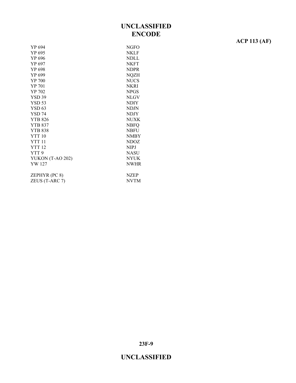#### YP 694 NGFO YP 695 NKLF YP 696 NDLL YP 697 NKFT YP 698 NDPR YP 699 NQZH YP 700 NUCS YP 701 NKRI YP 702 NPGS YSD 39 NLGV YSD 53 NDIY YSD 63 NDJN YSD 74 NDJY YTB 826 NUXK YTB 837 NBFQ YTB 838 NBFU YTT 10 NMBY YTT 11 NDOZ YTT 12 NIPJ YTT 9 NASU YUKON (T-AO 202) NYUK YW 127 NWHR ZEPHYR (PC 8) NZEP ZEUS (T-ARC 7) NVTM

**ACP 113 (AF)**

**23F-9**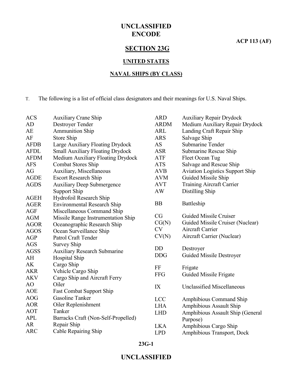**ACP 113 (AF)**

# **SECTION 23G**

#### **UNITED STATES**

#### **NAVAL SHIPS (BY CLASS)**

T. The following is a list of official class designators and their meanings for U.S. Naval Ships.

| <b>ACS</b>  | <b>Auxiliary Crane Ship</b>             | <b>ARD</b>  | <b>Auxiliary Repair Drydock</b>        |
|-------------|-----------------------------------------|-------------|----------------------------------------|
| AD          | Destroyer Tender                        | <b>ARDM</b> | Medium Auxiliary Repair Drydock        |
| AE          | <b>Ammunition Ship</b>                  | <b>ARL</b>  | Landing Craft Repair Ship              |
| AF          | Store Ship                              | <b>ARS</b>  | Salvage Ship                           |
| <b>AFDB</b> | Large Auxiliary Floating Drydock        | <b>AS</b>   | <b>Submarine Tender</b>                |
| <b>AFDL</b> | <b>Small Auxiliary Floating Drydock</b> | <b>ASR</b>  | Submarine Rescue Ship                  |
| <b>AFDM</b> | Medium Auxiliary Floating Drydock       | ATF         | Fleet Ocean Tug                        |
| <b>AFS</b>  | <b>Combat Stores Ship</b>               | <b>ATS</b>  | Salvage and Rescue Ship                |
| AG          | Auxiliary, Miscellaneous                | <b>AVB</b>  | <b>Aviation Logistics Support Ship</b> |
| <b>AGDE</b> | <b>Escort Research Ship</b>             | <b>AVM</b>  | Guided Missile Ship                    |
| <b>AGDS</b> | <b>Auxiliary Deep Submergence</b>       | <b>AVT</b>  | <b>Training Aircraft Carrier</b>       |
|             | Support Ship                            | <b>AW</b>   | Distilling Ship                        |
| <b>AGEH</b> | Hydrofoil Research Ship                 |             |                                        |
| <b>AGER</b> | <b>Environmental Research Ship</b>      | <b>BB</b>   | Battleship                             |
| <b>AGF</b>  | Miscellaneous Command Ship              |             |                                        |
| <b>AGM</b>  | Missile Range Instrumentation Ship      | CG          | Guided Missile Cruiser                 |
| <b>AGOR</b> | Oceanographic Research Ship             | CG(N)       | Guided Missile Cruiser (Nuclear)       |
| <b>AGOS</b> | Ocean Surveillance Ship                 | <b>CV</b>   | Aircraft Carrier                       |
| <b>AGP</b>  | Patrol Craft Tender                     | CV(N)       | Aircraft Carrier (Nuclear)             |
| <b>AGS</b>  | <b>Survey Ship</b>                      |             |                                        |
| <b>AGSS</b> | <b>Auxiliary Research Submarine</b>     | <b>DD</b>   | Destroyer                              |
| AH          | Hospital Ship                           | <b>DDG</b>  | <b>Guided Missile Destroyer</b>        |
| AK          | Cargo Ship                              | FF          | Frigate                                |
| <b>AKR</b>  | Vehicle Cargo Ship                      | <b>FFG</b>  | Guided Missile Frigate                 |
| <b>AKV</b>  | Cargo Ship and Aircraft Ferry           |             |                                        |
| AO          | Oiler                                   | IX          | <b>Unclassified Miscellaneous</b>      |
| <b>AOE</b>  | <b>Fast Combat Support Ship</b>         |             |                                        |
| <b>AOG</b>  | Gasoline Tanker                         | <b>LCC</b>  | Amphibious Command Ship                |
| <b>AOR</b>  | Oiler Replenishment                     | <b>LHA</b>  | Amphibious Assault Ship                |
| <b>AOT</b>  | Tanker                                  | <b>LHD</b>  | Amphibious Assault Ship (General       |
| <b>APL</b>  | Barracks Craft (Non-Self-Propelled)     |             | Purpose)                               |
| <b>AR</b>   | Repair Ship                             | <b>LKA</b>  | Amphibious Cargo Ship                  |
| <b>ARC</b>  | Cable Repairing Ship                    | <b>LPD</b>  | Amphibious Transport, Dock             |

#### **23G-1**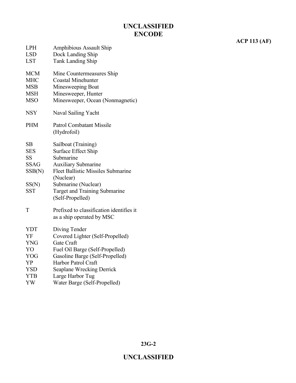# **ACP 113 (AF)**

| <b>LSD</b>  | Dock Landing Ship                                      |
|-------------|--------------------------------------------------------|
| <b>LST</b>  | <b>Tank Landing Ship</b>                               |
| <b>MCM</b>  | Mine Countermeasures Ship                              |
| <b>MHC</b>  | <b>Coastal Minehunter</b>                              |
| <b>MSB</b>  | Minesweeping Boat                                      |
| <b>MSH</b>  | Minesweeper, Hunter                                    |
| <b>MSO</b>  | Minesweeper, Ocean (Nonmagnetic)                       |
| <b>NSY</b>  | Naval Sailing Yacht                                    |
| <b>PHM</b>  | <b>Patrol Combatant Missile</b>                        |
|             | (Hydrofoil)                                            |
| SB          | Sailboat (Training)                                    |
| <b>SES</b>  | <b>Surface Effect Ship</b>                             |
| <b>SS</b>   | Submarine                                              |
| <b>SSAG</b> | <b>Auxiliary Submarine</b>                             |
| SSB(N)      | <b>Fleet Ballistic Missiles Submarine</b><br>(Nuclear) |
| SS(N)       | Submarine (Nuclear)                                    |
| <b>SST</b>  | <b>Target and Training Submarine</b>                   |
|             | (Self-Propelled)                                       |
| T           | Prefixed to classification identifies it               |
|             | as a ship operated by MSC                              |
| <b>YDT</b>  | Diving Tender                                          |
| YF          | Covered Lighter (Self-Propelled)                       |
| <b>YNG</b>  | Gate Craft                                             |
| YO          | Fuel Oil Barge (Self-Propelled)                        |
| <b>YOG</b>  | Gasoline Barge (Self-Propelled)                        |
| YP          | <b>Harbor Patrol Craft</b>                             |
| <b>YSD</b>  | Seaplane Wrecking Derrick                              |
| <b>YTB</b>  | Large Harbor Tug                                       |
| YW          | Water Barge (Self-Propelled)                           |

LPH Amphibious Assault Ship

**23G-2**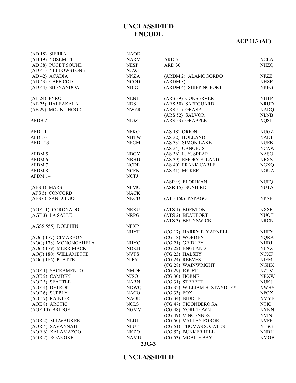# **ACP 113 (AF)**

| (AD 18) SIERRA          | <b>NAOD</b>  |                             |              |
|-------------------------|--------------|-----------------------------|--------------|
| (AD 19) YOSEMITE        | <b>NARV</b>  | ARD 5                       | <b>NCEA</b>  |
| (AD 38) PUGET SOUND     | <b>NESP</b>  | ARD 30                      | <b>NHZQ</b>  |
| (AD 41) YELLOWSTONE     | <b>NJAG</b>  |                             |              |
| (AD 42) ACADIA          | <b>NNZA</b>  | (ARDM 2) ALAMOGORDO         | <b>NFZZ</b>  |
| (AD 43) CAPE COD        | <b>NCOD</b>  | (ARDM 3)                    | <b>NHZE</b>  |
| (AD 44) SHENANDOAH      | <b>NBIO</b>  | (ARDM 4) SHIPPINGPORT       | <b>NRFG</b>  |
|                         |              |                             |              |
| $(AE 24)$ PYRO          | <b>NENH</b>  | (ARS 39) CONSERVER          | <b>NHTP</b>  |
| (AE 25) HALEAKALA       | <b>NDSL</b>  | (ARS 50) SAFEGUARD          | <b>NRUD</b>  |
| (AE 29) MOUNT HOOD      | <b>NWZR</b>  | (ARS 51) GRASP              | <b>NADQ</b>  |
|                         |              | (ARS 52) SALVOR             | <b>NLNB</b>  |
| AFDB <sub>2</sub>       | <b>NIGZ</b>  | (ARS 53) GRAPPLE            | <b>NQSJ</b>  |
|                         |              |                             |              |
| AFDL 1                  | <b>NFKO</b>  | (AS 18) ORION               | ${\rm NUGZ}$ |
| AFDL 6                  | <b>NHTW</b>  | (AS 32) HOLLAND             | <b>NAET</b>  |
| AFDL 23                 | <b>NPCM</b>  | (AS 33) SIMON LAKE          | <b>NUEK</b>  |
|                         |              | (AS 34) CANOPUS             | <b>NCAW</b>  |
| AFDM 5                  | <b>NBGY</b>  | (AS 36) L. Y. SPEAR         | <b>NASO</b>  |
| AFDM 6                  | <b>NBHD</b>  | (AS 39) EMORY S. LAND       | <b>NEXS</b>  |
| AFDM7                   | <b>NCDE</b>  | (AS 40) FRANK CABLE         | <b>NGXQ</b>  |
| AFDM 8                  | <b>NCFN</b>  | (AS 41) MCKEE               | <b>NGUA</b>  |
| AFDM 14                 | <b>NCTJ</b>  |                             |              |
|                         |              | (ASR 9) FLORIKAN            | <b>NUFQ</b>  |
| (AFS 1) MARS            | ${\rm NFMC}$ | (ASR 15) SUNBIRD            | <b>NUTA</b>  |
| (AFS 5) CONCORD         | <b>NACK</b>  |                             |              |
| (AFS 6) SAN DIEGO       | <b>NNCD</b>  | (ATF 160) PAPAGO            | <b>NPAP</b>  |
| (AGF 11) CORONADO       | <b>NEXU</b>  | (ATS 1) EDENTON             | <b>NXSF</b>  |
| (AGF 3) LA SALLE        | <b>NRPG</b>  | (ATS 2) BEAUFORT            | <b>NUOT</b>  |
|                         |              | (ATS 3) BRUNSWICK           | <b>NRCN</b>  |
| (AGSS 555) DOLPHIN      | <b>NFXP</b>  |                             |              |
|                         | <b>NHYF</b>  | (CG 17) HARRY E. YARNELL    | <b>NHEY</b>  |
| (AO(J) 177) CIMARRON    |              | (CG 18) WORDEN              | <b>NQRA</b>  |
| (AO(J) 178) MONONGAHELA | <b>NHYC</b>  | (CG 21) GRIDLEY             | <b>NHBJ</b>  |
| (AO(J) 179) MERRIMACK   | <b>NDKH</b>  | (CG 22) ENGLAND             | <b>NLXZ</b>  |
| (AO(J) 180) WILLAMETTE  | <b>NVTS</b>  | (CG 23) HALSEY              | <b>NCXF</b>  |
| $(AO(J) 186)$ PLATTE    | <b>NJFY</b>  | (CG 24) REEVES              | <b>NIEM</b>  |
|                         |              | (CG 28) WAINWRIGHT          | <b>NGHX</b>  |
| (AOE 1) SACRAMENTO      | <b>NMDF</b>  | (CG 29) JOUETT              | <b>NZTV</b>  |
| (AOE 2) CAMDEN          | <b>NJSO</b>  | (CG 30) HORNE               | <b>NBXW</b>  |
| (AOE 3) SEATTLE         | <b>NABN</b>  | (CG 31) STERETT             | <b>NUKJ</b>  |
| (AOE 4) DETROIT         | <b>NDWQ</b>  | (CG 32) WILLIAM H. STANDLEY | <b>NWHS</b>  |
| (AOE 6) SUPPLY          | <b>NACO</b>  | $(CG 33)$ FOX               | <b>NFOX</b>  |
| (AOE 7) RAINIER         | <b>NAOE</b>  | (CG 34) BIDDLE              | <b>NMYE</b>  |
| (AOE 8) ARCTIC          | <b>NCLS</b>  | (CG 47) TICONDEROGA         | <b>NTIC</b>  |
| (AOE 10) BRIDGE         | <b>NGMV</b>  | (CG 48) YORKTOWN            | <b>NYKN</b>  |
|                         |              | (CG 49) VINCENNES           | <b>NVIN</b>  |
| (AOR 2) MILWAUKEE       | <b>NLDL</b>  | (CG 50) VALLEY FORGE        | <b>NVFP</b>  |
| (AOR 4) SAVANNAH        | <b>NFUF</b>  | (CG 51) THOMAS S. GATES     | <b>NTSG</b>  |
| (AOR 6) KALAMAZOO       | <b>NKZO</b>  | (CG 52) BUNKER HILL         | <b>NNBH</b>  |
| (AOR 7) ROANOKE         | <b>NAMU</b>  | (CG 53) MOBILE BAY          | <b>NMOB</b>  |
|                         |              |                             |              |

#### **23G-3**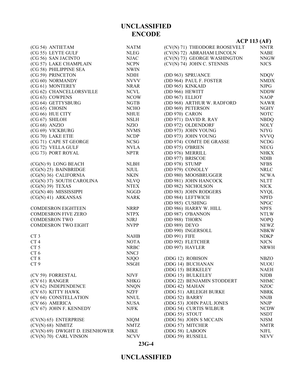|                                 |             |                               | $ACP$ 113 (AF) |
|---------------------------------|-------------|-------------------------------|----------------|
| (CG 54) ANTIETAM                | <b>NATM</b> | (CV(N) 71) THEODORE ROOSEVELT | <b>NNTR</b>    |
| (CG 55) LEYTE GULF              | <b>NLEG</b> | (CV(N) 72) ABRAHAM LINCOLN    | <b>NABE</b>    |
| (CG 56) SAN JACINTO             | <b>NJAC</b> | (CV(N) 73) GEORGE WASHINGTON  | <b>NNGW</b>    |
| (CG 57) LAKE CHAMPLAIN          | <b>NCPN</b> | (CV(N) 74) JOHN C. STENNIS    | <b>NJCS</b>    |
| (CG 58) PHILIPPINE SEA          | <b>NWIN</b> |                               |                |
| (CG 59) PRINCETON               | <b>NDIH</b> | (DD 963) SPRUANCE             | <b>NDQV</b>    |
| (CG 60) NORMANDY                | <b>NVVV</b> | (DD 964) PAUL F. FOSTER       | <b>NMDX</b>    |
| (CG 61) MONTEREY                | <b>NRAR</b> | (DD 965) KINKAID              | <b>NJPG</b>    |
| (CG 62) CHANCELLORSVILLE        | <b>NCVL</b> | (DD 966) HEWITT               | <b>NDDW</b>    |
| (CG 63) COWPENS                 | <b>NCOW</b> | (DD 967) ELLIOT               | <b>NAOP</b>    |
| (CG 64) GETTYSBURG              | <b>NGTB</b> | (DD 968) ARTHUR W. RADFORD    | <b>NAWR</b>    |
| (CG 65) CHOSIN                  | <b>NCHO</b> | (DD 969) PETERSON             | <b>NGHY</b>    |
| (CG 66) HUE CITY                | <b>NHUE</b> | (DD 970) CARON                | <b>NOTC</b>    |
| (CG 67) SHILOH                  | <b>NSLH</b> | (DD 971) DAVID R. RAY         | <b>NBDQ</b>    |
| $(CG 68)$ ANZIO                 | <b>NZIO</b> | (DD 972) OLDENDORF            | <b>NOLY</b>    |
| (CG 69) VICKBURG                | <b>NVMS</b> | (DD 973) JOHN YOUNG           | <b>NJYG</b>    |
| (CG 70) LAKE ETIE               | <b>NCDP</b> | (DD 973) JOHN YOUNG           | <b>NVVQ</b>    |
| (CG 71) CAPE ST GEORGE          | <b>NCSG</b> | (DD 974) COMTE DE GRASSE      | <b>NCDG</b>    |
| (CG 72) VELLA GULF              | <b>NVLA</b> | (DD 975) O'BRIEN              | <b>NECG</b>    |
| (CG 73) PORT ROYAL              | <b>NPTR</b> | (DD 976) MERRILL              | <b>NHKX</b>    |
|                                 |             | (DD 977) BRISCOE              | <b>NDIB</b>    |
| $(CG(N) 9)$ LONG BEACH          | <b>NLBH</b> | (DD 978) STUMP                | <b>NFBS</b>    |
| (CG(N) 25) BAINBRIDGE           | <b>NJUL</b> | (DD 979) CONOLLY              | <b>NRLC</b>    |
| (CG(N) 36) CALIFORNIA           | <b>NKIN</b> | (DD 980) MOOSBRUGGER          | <b>NCWA</b>    |
| (CG(N) 37) SOUTH CAROLINA       | <b>NLVQ</b> | (DD 981) JOHN HANCOCK         | <b>NLTT</b>    |
| $(CG(N) 39)$ TEXAS              | <b>NTEX</b> | (DD 982) NICHOLSON            | <b>NICK</b>    |
| (CG(N) 40) MISSISSIPPI          | <b>NGGD</b> | (DD 983) JOHN RODGERS         | <b>NYQL</b>    |
| $(CG(N) 41)$ ARKANSAS           | <b>NARK</b> | (DD 984) LEFTWICH             | <b>NPFD</b>    |
|                                 |             | (DD 985) CUSHING              | <b>NPGC</b>    |
| <b>COMDESRON EIGHTEEN</b>       | <b>NRRP</b> | (DD 986) HARRY W. HILL        | <b>NPFS</b>    |
| <b>COMDESRON FIVE ZERO</b>      | <b>NTPX</b> | (DD 987) O'BANNON             | <b>NTLW</b>    |
| <b>COMDESRON TWO</b>            | <b>NJRJ</b> | (DD 988) THORN                | <b>NOPQ</b>    |
| <b>COMDESRON TWO EIGHT</b>      | <b>NVPP</b> | (DD 989) DEYO                 | <b>NEWZ</b>    |
|                                 |             | (DD 990) INGERSOLL            | <b>NBKW</b>    |
| CT <sub>3</sub>                 | <b>NAHB</b> | (DD 991) FIFE                 | <b>NDKP</b>    |
| CT4                             | <b>NOTA</b> | (DD 992) FLETCHER             | <b>NJCN</b>    |
| CT <sub>5</sub>                 | <b>NRBC</b> | (DD 997) HAYLER               | <b>NRWH</b>    |
| CT <sub>6</sub>                 | <b>NNCJ</b> |                               |                |
| CT <sub>8</sub>                 | <b>NJQO</b> | (DDG 12) ROBISON              | <b>NBZO</b>    |
| CT <sub>9</sub>                 | <b>NSGH</b> | (DDG 14) BUCHANAN             | <b>NUOU</b>    |
|                                 |             | (DDG 15) BERKELEY             | <b>NAEH</b>    |
| (CV 59) FORRESTAL               | <b>NJVF</b> | (DDG 15) BULKELEY             | <b>NJDB</b>    |
| (CV 61) RANGER                  | <b>NHKG</b> | (DDG 22) BENJAMIN STODDERT    | <b>NHMC</b>    |
| (CV 62) INDEPENDENCE            | <b>NNQN</b> | (DDG 42) MAHAN                | <b>NZOC</b>    |
| (CV 63) KITTY HAWK              | <b>NZFF</b> | (DDG 51) ARLEIGH BURKE        | <b>NBRK</b>    |
| (CV 64) CONSTELLATION           | <b>NNUL</b> | (DDG 52) BARRY                | <b>NNJB</b>    |
| (CV 66) AMERICA                 | <b>NUSA</b> | (DDG 53) JOHN PAUL JONES      | <b>NNJP</b>    |
| (CV 67) JOHN F. KENNEDY         | <b>NJFK</b> | (DDG 54) CURTIS WILBUR        | <b>NCDW</b>    |
|                                 |             | (DDG 55) STOUT                | <b>NSDT</b>    |
| (CV(N) 65) ENTERPRISE           | <b>NIQM</b> | (DDG 56) JOHN S MCCAIN        | <b>NJSM</b>    |
| $(CV(N) 68)$ NIMITZ             | <b>NMTZ</b> | (DDG 57) MITCHER              | <b>NMTR</b>    |
| (CV(N) 69) DWIGHT D. EISENHOWER | <b>NIKE</b> | (DDG 58) LABOON               | NJFL           |
| (CV(N) 70) CARL VINSON          | <b>NCVV</b> | (DDG 59) RUSSELL              | <b>NEVV</b>    |

#### **23G-4**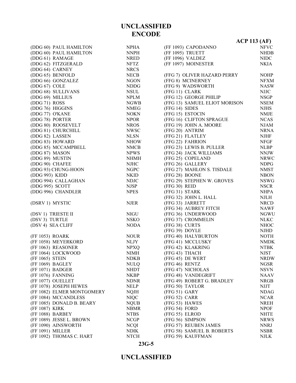|                            |             |                               | <b>ACP 113 (AF)</b> |
|----------------------------|-------------|-------------------------------|---------------------|
| (DDG 60) PAUL HAMILTON     | <b>NPHA</b> | (FF 1093) CAPODANNO           | <b>NFVC</b>         |
| (DDG 60) PAUL HAMILTON     | <b>NNPH</b> | (FF 1095) TRUETT              | <b>NHDB</b>         |
| (DDG 61) RAMAGE            | <b>NRED</b> | (FF 1096) VALDEZ              | <b>NIDC</b>         |
| (DDG 62) FITZGERALD        | <b>NFTZ</b> | (FF 1097) MOINESTER           | <b>NKIA</b>         |
| (DDG 64) CARNEY            | <b>NRCS</b> |                               |                     |
| (DDG 65) BENFOLD           | <b>NECB</b> | (FFG 7) OLIVER HAZARD PERRY   | <b>NOHP</b>         |
| (DDG 66) GONZALEZ          | <b>NGON</b> | (FFG 8) MCINERNEY             | <b>NFXM</b>         |
| (DDG 67) COLE              | <b>NDDG</b> | (FFG 9) WADSWORTH             | <b>NASW</b>         |
| (DDG 68) SULLIVANS         | <b>NSUL</b> | (FFG 11) CLARK                | NJJC                |
| (DDG 69) MILLIUS           | <b>NPLM</b> | (FFG 12) GEORGE PHILIP        | <b>NSGP</b>         |
| (DDG 71) ROSS              | <b>NGWB</b> | (FFG 13) SAMUEL ELIOT MORISON | <b>NSEM</b>         |
| (DDG 76) HIGGINS           | <b>NMEG</b> | (FFG 14) SIDES                | <b>NJHS</b>         |
| (DDG 77) O'KANE            | <b>NOKN</b> | (FFG 15) ESTOCIN              | <b>NMJE</b>         |
| (DDG 78) PORTER            | <b>NPOR</b> | (FFG 16) CLIFTON SPRAGUE      | <b>NCAS</b>         |
| (DDG 80) ROOSEVELT         | <b>NROS</b> | (FFG 19) JOHN A. MOORE        | <b>NJAM</b>         |
| (DDG 81) CHURCHILL         | <b>NWSC</b> | (FFG 20) ANTRIM               | <b>NRNA</b>         |
| (DDG 82) LASSEN            | <b>NLSN</b> | (FFG 21) FLATLEY              | <b>NJHF</b>         |
| (DDG 83) HOWARD            | <b>NHOW</b> | (FFG 22) FAHRION              | <b>NFGF</b>         |
| (DDG 85) MCCAMPBELL        | <b>NMCB</b> | (FFG 23) LEWIS B. PULLER      | <b>NLBP</b>         |
| (DDG 87) MASON             | <b>NPWS</b> | (FFG 24) JACK WILLIAMS        | <b>NNJW</b>         |
| (DDG 89) MUSTIN            | $\it NHMH$  | (FFG 25) COPELAND             | <b>NRWC</b>         |
| (DDG 90) CHAFEE            | <b>NJHC</b> | (FFG 26) GALLERY              | <b>NDPG</b>         |
| (DDG 93) CHUNG-HOON        | <b>NGPC</b> | (FFG 27) MAHLON S. TISDALE    | <b>NMST</b>         |
| (DDG 993) KIDD             | <b>NKID</b> | (FFG 28) BOONE                | <b>NBON</b>         |
| (DDG 994) CALLAGHAN        | <b>NDJC</b> | (FFG 29) STEPHEN W. GROVES    | <b>NSWG</b>         |
| (DDG 995) SCOTT            | <b>NJSP</b> | (FFG 30) REID                 | <b>NSCR</b>         |
| (DDG 996) CHANDLER         | <b>NPES</b> | (FFG 31) STARK                | <b>NHPA</b>         |
|                            |             | (FFG 32) JOHN L. HALL         | <b>NJLH</b>         |
| (DSRV 1) MYSTIC            | <b>NJER</b> | (FFG 33) JARRETT              | <b>NRCD</b>         |
|                            |             | (FFG 34) AUBREY FITCH         | <b>NAWF</b>         |
| (DSV 1) TRIESTE II         | <b>NIGU</b> | (FFG 36) UNDERWOOD            | <b>NGWU</b>         |
| (DSV 3) TURTLE             | <b>NSKO</b> | (FFG 37) CROMMELIN            | <b>NLKC</b>         |
| (DSV 4) SEA CLIFF          | <b>NODA</b> | (FFG 38) CURTS                | <b>NHOC</b>         |
|                            |             | (FFG 39) DOYLE                | <b>NJHD</b>         |
| (FF 1053) ROARK            | <b>NOUR</b> | (FFG 40) HALYBURTON           | <b>NOTH</b>         |
| (FF 1058) MEYERKORD        | <b>NLJY</b> | (FFG 41) MCCLUSKY             | <b>NMDK</b>         |
| (FF 1063) REASONER         | <b>NPXQ</b> | (FFG 42) KLAKRING             | <b>NTBK</b>         |
| (FF 1064) LOCKWOOD         | <b>NIMH</b> | (FFG 43) THACH                | <b>NJST</b>         |
| (FF 1065) STEIN            | <b>NDKB</b> | (FFG 45) DE WERT              | <b>NRDW</b>         |
| (FF 1069) BAGLEY           | <b>NULQ</b> | (FFG 46) RENTZ                | <b>NGSR</b>         |
| (FF 1071) BADGER           | <b>NHDT</b> | (FFG 47) NICHOLAS             | <b>NSVN</b>         |
| (FF 1076) FANNING          | NKBP        | (FFG 48) VANDEGRIFT           | <b>NAAV</b>         |
| (FF 1077) OUELLET          | <b>NDNR</b> | (FFG 49) ROBERT G. BRADLEY    | <b>NRGB</b>         |
| (FF 1078) JOSEPH HEWES     | <b>NELP</b> | (FFG 50) TAYLOR               | <b>NJJT</b>         |
| (FF 1082) ELMER MONTGOMERY | <b>NQJH</b> | (FFG 51) GARY                 | <b>NDAG</b>         |
| (FF 1084) MCCANDLESS       | <b>NIQC</b> | (FFG 52) CARR                 | <b>NCAR</b>         |
| (FF 1085) DONALD B. BEARY  | <b>NQUB</b> | (FFG 53) HAWES                | <b>NREH</b>         |
| (FF 1087) KIRK             | <b>NBMR</b> | (FFG 54) FORD                 | <b>NPOF</b>         |
| (FF 1088) BARBEY           | <b>NTBS</b> | (FFG 55) ELROD                | <b>NHTE</b>         |
| (FF 1089) JESSE L. BROWN   | <b>NCGP</b> | (FFG 56) SIMPSON              | <b>NRWS</b>         |
| (FF 1090) AINSWORTH        | <b>NCQI</b> | (FFG 57) REUBEN JAMES         | <b>NNRJ</b>         |
| (FF 1091) MILLER           | <b>NDIK</b> | (FFG 58) SAMUEL B. ROBERTS    | <b>NSBR</b>         |
| (FF 1092) THOMAS C. HART   | <b>NTCH</b> | (FFG 59) KAUFFMAN             | <b>NJLK</b>         |

#### **23G-5**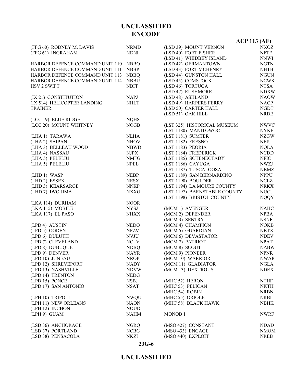|                                 |             |                              | <b>ACP 113 (AF)</b> |
|---------------------------------|-------------|------------------------------|---------------------|
| (FFG 60) RODNEY M. DAVIS        | <b>NRMD</b> | (LSD 39) MOUNT VERNON        | NXOZ                |
| (FFG 61) INGRAHAM               | <b>NDNI</b> | (LSD 40) FORT FISHER         | <b>NFTF</b>         |
|                                 |             | (LSD 41) WHIDBEY ISLAND      | <b>NNWI</b>         |
| HARBOR DEFENCE COMMAND UNIT 110 | <b>NBBO</b> | (LSD 42) GERMANTOWN          | <b>NGTN</b>         |
| HARBOR DEFENCE COMMAND UNIT 111 | <b>NBBP</b> | (LSD 43) FORT MCHENRY        | <b>NHTB</b>         |
| HARBOR DEFENCE COMMAND UNIT 113 | <b>NBBQ</b> | (LSD 44) GUNSTON HALL        | <b>NGUN</b>         |
| HARBOR DEFENCE COMMAND UNIT 114 | <b>NBBU</b> | (LSD 45) COMSTOCK            | <b>NCWK</b>         |
| <b>HSV 2 SWIFT</b>              | <b>NBFP</b> | (LSD 46) TORTUGA             | <b>NTSA</b>         |
|                                 |             | (LSD 47) RUSHMORE            | <b>NDXW</b>         |
| (IX 21) CONSTITUTION            | <b>NAPJ</b> | (LSD 48) ASHLAND             | <b>NAOW</b>         |
| (IX 514) HELICOPTER LANDING     | <b>NHLT</b> | (LSD 49) HARPERS FERRY       | <b>NACP</b>         |
| <b>TRAINER</b>                  |             | (LSD 50) CARTER HALL         | <b>NGDT</b>         |
|                                 |             | (LSD 51) OAK HILL            | <b>NRDE</b>         |
| (LCC 19) BLUE RIDGE             | <b>NQHS</b> |                              |                     |
| (LCC 20) MOUNT WHITNEY          | <b>NOGB</b> | (LST 325) HISTORICAL MUSEUM  | <b>NWVC</b>         |
|                                 |             | (LST 1180) MANITOWOC         | <b>NYKF</b>         |
| (LHA 1) TARAWA                  | <b>NLHA</b> | (LST 1181) SUMTER            | <b>NZGW</b>         |
| (LHA2) SAIPAN                   | <b>NHOV</b> | (LST 1182) FRESNO            | NEIU                |
| (LHA 3) BELLEAU WOOD            | <b>NBWD</b> | (LST 1183) PEORIA            | <b>NQLA</b>         |
| (LHA 4) NASSAU                  | <b>NJPX</b> | (LST 1184) FREDERICK         | <b>NCDD</b>         |
| (LHA 5) PELELIU                 | <b>NMFG</b> | (LST 1185) SCHENECTADY       | <b>NFIC</b>         |
| (LHA 5) PELELIU                 | <b>NPEL</b> | (LST 1186) CAYUGA            | <b>NWZJ</b>         |
|                                 |             | (LST 1187) TUSCALOOSA        | <b>NBMZ</b>         |
| (LHD 1) WASP                    | <b>NEBP</b> | (LST 1189) SAN BERNARDINO    | <b>NPPU</b>         |
| (LHD 2) ESSEX                   | <b>NESX</b> | (LST 1190) BOULDER           | <b>NCLZ</b>         |
| (LHD 3) KEARSARGE               | <b>NNKP</b> | (LST 1194) LA MOURE COUNTY   | <b>NRKX</b>         |
| (LHD 7) IWO JIMA                | <b>NXXG</b> | (LST 1197) BARNSTABLE COUNTY | <b>NUCU</b>         |
|                                 |             | (LST 1198) BRISTOL COUNTY    | <b>NQQY</b>         |
| (LKA 114) DURHAM                | <b>NOOR</b> |                              |                     |
| (LKA 115) MOBILE                | <b>NYSJ</b> | (MCM 1) AVENGER              | <b>NAHC</b>         |
| (LKA 117) EL PASO               | <b>NHXX</b> | (MCM 2) DEFENDER             | <b>NPBA</b>         |
|                                 |             | (MCM 3) SENTRY               | <b>NSNF</b>         |
| (LPD 4) AUSTIN                  | <b>NEDO</b> | (MCM 4) CHAMPION             | <b>NOKB</b>         |
| (LPD 5) OGDEN                   | NFZV        | (MCM 5) GUARDIAN             | <b>NBTX</b>         |
| (LPD 6) DULUTH                  | <b>NVJU</b> | (MCM 6) DEVASTATOR           | <b>NDEV</b>         |
| (LPD 7) CLEVELAND               | <b>NCLV</b> | (MCM 7) PATRIOT              | <b>NPAT</b>         |
| (LPD 8) DUBUQUE                 | <b>NDBQ</b> | (MCM 8) SCOUT                | <b>NABW</b>         |
| (LPD 9) DENVER                  | <b>NAYR</b> | (MCM 9) PIONEER              | <b>NPNR</b>         |
| (LPD 10) JUNEAU                 | <b>NROP</b> | (MCM 10) WARRIOR             | <b>NWAR</b>         |
| (LPD 12) SHREVEPORT             | <b>NADY</b> | (MCM 11) GLADIATOR           | NGLA                |
| (LPD 13) NASHVILLE              | <b>NDVW</b> | (MCM 13) DEXTROUS            | <b>NDEX</b>         |
| (LPD 14) TRENTON                | <b>NEDG</b> |                              |                     |
| (LPD 15) PONCE                  | <b>NSBJ</b> | (MHC 52) HERON               | <b>NTHF</b>         |
| (LPD 17) SAN ANTONIO            | <b>NSAT</b> | (MHC 53) PELICAN             | <b>NKTH</b>         |
|                                 |             | (MHC 54) ROBIN               | <b>NRBN</b>         |
| (LPH 10) TRIPOLI                | <b>NWQU</b> | (MHC 55) ORIOLE              | <b>NRBI</b>         |
| (LPH 11) NEW ORLEANS            | <b>NAON</b> | (MHC 58) BLACK HAWK          | <b>NBHK</b>         |
| (LPH 12) INCHON                 | <b>NOUD</b> |                              |                     |
| $(LPH 9)$ GUAM                  | <b>NAHM</b> | MONOB <sub>1</sub>           | <b>NWRF</b>         |
| (LSD 36) ANCHORAGE              | <b>NGRQ</b> | (MSO 427) CONSTANT           | <b>NDAD</b>         |
| (LSD 37) PORTLAND               | <b>NCBG</b> | (MSO 433) ENGAGE             | <b>NMOM</b>         |
| (LSD 38) PENSACOLA              | <b>NKZI</b> | (MSO 440) EXPLOIT            | <b>NREB</b>         |

**23G-6**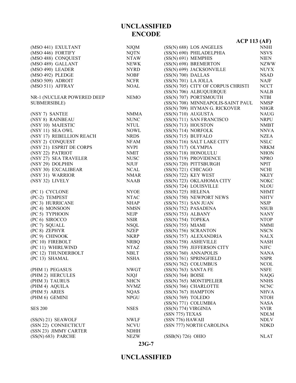#### **23G-7**

|                            |                            | $ACP$ 113 (AF)                                      |                            |
|----------------------------|----------------------------|-----------------------------------------------------|----------------------------|
| (MSO 441) EXULTANT         | <b>NJQM</b>                | (SS(N) 688) LOS ANGELES                             | <b>NNHI</b>                |
| (MSO 446) FORTIFY          | <b>NQTN</b>                | (SS(N) 690) PHILADELPHIA                            | <b>NSVS</b>                |
| (MSO 488) CONQUEST         | <b>NTAW</b>                | (SS(N) 691) MEMPHIS                                 | <b>NIEN</b>                |
| (MSO 489) GALLANT          | <b>NEWK</b>                | (SS(N) 698) BREMERTON                               | <b>NZWW</b>                |
| (MSO 490) LEADER           | <b>NYRD</b>                | (SS(N) 699) JACKSONVILLE                            | <b>NUYX</b>                |
| (MSO 492) PLEDGE           | <b>NOBF</b>                | (SS(N) 700) DALLAS                                  | <b>NSAD</b>                |
| (MSO 509) ADROIT           | <b>NCFR</b>                | $(SS(N) 701)$ LA JOLLA                              | <b>NAJF</b>                |
| (MSO 511) AFFRAY           | <b>NOAL</b>                | (SS(N) 705) CITY OF CORPUS CHRISTI                  | <b>NCCT</b>                |
|                            |                            | (SS(N) 706) ALBUQUERQUE                             | <b>NALB</b>                |
| NR-1 (NUCLEAR POWERED DEEP | <b>NEMO</b>                | (SS(N) 707) PORTSMOUTH                              | <b>NTBI</b>                |
| <b>SUBMERSIBLE)</b>        |                            | (SS(N) 708) MINNEAPOLIS-SAINT PAUL                  | <b>NMSP</b>                |
|                            |                            | (SS(N) 709) HYMAN G. RICKOVER                       | <b>NHGR</b>                |
| (NSY 7) SANTEE             | <b>NMMA</b>                | $(SS(N) 710)$ AUGUSTA                               | <b>NAUG</b>                |
| (NSY 8) RAINBEAU           | <b>NUNC</b>                | (SS(N) 711) SAN FRANCISCO                           | <b>NRPU</b>                |
| (NSY 10) MAJESTIC          | <b>NTUL</b>                | $(SS(N) 713)$ HOUSTON                               | <b>NMBT</b>                |
| (NSY 11) SEA OWL           | <b>NOWL</b>                | (SS(N) 714) NORFOLK                                 | <b>NNVA</b>                |
| (NSY 17) REBELLION REACH   | <b>NRDS</b>                | (SS(N) 715) BUFFALO                                 | <b>NZEA</b>                |
| (NSY 2) CONQUEST           | NFAM                       | (SS(N) 716) SALT LAKE CITY                          | <b>NSLC</b>                |
| (NSY 21) ESPRIT DE CORPS   | <b>NVPI</b>                | $(SS(N) 717)$ OLYMPIA                               | <b>NRKM</b>                |
| (NSY 22) PATRIOT           | <b>NMIT</b>                | (SS(N) 718) HONOLULU                                | <b>NHON</b>                |
| (NSY 27) SEA TRAVELER      | <b>NUSC</b>                | (SS(N) 719) PROVIDENCE                              | <b>NPRO</b>                |
| (NSY 29) DOLPHIN           | <b>NJUF</b>                | (SS(N) 720) PITTSBURGH                              | <b>NPIT</b>                |
| (NSY 30) EXCALIBEAR        | <b>NCAL</b>                | (SS(N) 721) CHICAGO                                 | <b>NCHI</b>                |
| (NSY 31) WARRIOR           | <b>NMAR</b>                | $(SS(N) 722)$ KEY WEST                              | <b>NKEY</b>                |
| (NSY 32) LIVELY            | <b>NAAB</b>                | (SS(N) 723) OKLAHOMA CITY                           | <b>NOKC</b>                |
|                            |                            | (SS(N) 724) LOUISVILLE                              | <b>NLOU</b>                |
| (PC 1) CYCLONE             | <b>NYOE</b>                | $(SS(N) 725)$ HELENA                                | <b>NHMT</b>                |
| (PC-2) TEMPEST             | <b>NTAC</b>                | (SS(N) 750) NEWPORT NEWS                            | <b>NHTV</b>                |
| (PC 3) HURRICANE           | <b>NHAP</b>                | $(SS(N) 751)$ SAN JUAN                              | <b>NSJP</b>                |
| (PC 4) MONSOON             | <b>NMSN</b>                | (SS(N) 752) PASADENA                                | <b>NSUB</b>                |
| (PC 5) TYPHOON             | <b>NEJP</b>                | (SS(N) 753) ALBANY                                  | <b>NANY</b>                |
| (PC 6) SIROCCO             | <b>NSIR</b>                | (SS(N) 754) TOPEKA                                  | <b>NTOP</b>                |
| (PC 7) SQUALL              | <b>NSQL</b>                | $(SS(N) 755)$ MIAMI                                 | <b>NMMI</b>                |
| (PC 8) ZEPHYR              | <b>NZEP</b>                | (SS(N) 756) SCRANTON                                | <b>NSCN</b>                |
| (PC 9) CHINOOK             | <b>NKRP</b>                | (SS(N) 757) ALEXANDRIA                              | <b>NALX</b>                |
| (PC 10) FIREBOLT           |                            |                                                     | <b>NASH</b>                |
| (PC 11) WHIRLWIND          | <b>NRBQ</b><br><b>NTAZ</b> | (SS(N) 758) ASHEVILLE<br>(SS(N) 759) JEFFERSON CITY | <b>NJFC</b>                |
| (PC 12) THUNDERBOLT        | <b>NBLT</b>                | (SS(N) 760) ANNAPOLIS                               | <b>NANA</b>                |
| (PC 13) SHAMAL             | <b>NSHA</b>                | (SS(N) 761) SPRINGFIELD                             |                            |
|                            |                            | (SS(N) 762) COLUMBUS                                | <b>NSPR</b><br><b>NCOL</b> |
| (PHM 1) PEGASUS            | <b>NWGT</b>                | $(SS(N) 763)$ SANTA FE                              | <b>NSFE</b>                |
| (PHM 2) HERCULES           |                            | (SS(N) 764) BOISE                                   |                            |
| (PHM 3) TAURUS             | <b>NJQJ</b><br><b>NHCN</b> | (SS(N) 765) MONTIPELIER                             | <b>NAQG</b><br><b>NNHS</b> |
|                            |                            |                                                     |                            |
| (PHM 4) AQUILA             | <b>NVMZ</b>                | (SS(N) 766) CHARLOTTE                               | <b>NCNC</b>                |
| (PHM 5) ARIES              | <b>NQAS</b>                | $(SS(N) 767)$ HAMPTON                               | <b>NHVA</b>                |
| (PHM 6) GEMINI             | <b>NPGU</b>                | (SS(N) 769) TOLEDO                                  | <b>NTOH</b>                |
|                            |                            | (SS(N) 771) COLUMBIA                                | <b>NASA</b>                |
| <b>SES 200</b>             | <b>NSES</b>                | (SS(N) 774) VIRGINIA                                | <b>NVIR</b>                |
|                            |                            | (SSN 775) TEXAS                                     | <b>NDLM</b>                |
| $(SS(N) 21)$ SEAWOLF       | <b>NWLF</b>                | (SSN 776) HAWAII                                    | <b>NDLV</b>                |
| (SSN 22) CONNECTICUT       | <b>NCVU</b>                | (SSN 777) NORTH CAROLINA                            | <b>NDKD</b>                |
| (SSN 23) JIMMY CARTER      | <b>NDHH</b>                |                                                     |                            |
| $(SS(N) 683)$ PARCHE       | <b>NEZW</b>                | $(SSB(N) 726)$ OHIO                                 | <b>NLAT</b>                |

**UNCLASSIFIED ENCODE**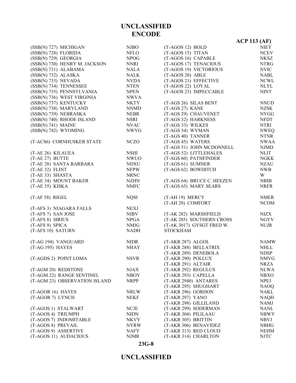|                                         |                            |                                                        | <b>ACP 113 (AF)</b> |
|-----------------------------------------|----------------------------|--------------------------------------------------------|---------------------|
| (SSB(N) 727) MICHIGAN                   | <b>NJBO</b>                | $(T-AGOS 12) BOLD$                                     | <b>NIEY</b>         |
| (SSB(N) 728) FLORIDA                    | <b>NFLO</b>                | (T-AGOS 15) TITAN                                      | <b>NCEV</b>         |
| (SSB(N) 729) GEORGIA                    | <b>NPOG</b>                | (T-AGOS 16) CAPABLE                                    | <b>NKSZ</b>         |
| (SSB(N) 730) HENRY M. JACKSON           | NNRI                       | (T-AGOS 17) TENACIOUS                                  | <b>NTRG</b>         |
| (SSB(N) 731) ALABAMA                    | <b>NALA</b>                | (T-AGOS 19) VICTORIOUS                                 | <b>NVIC</b>         |
| (SSB(N) 732) ALASKA                     | <b>NALK</b>                | (T-AGOS 20) ABLE                                       | <b>NABL</b>         |
| (SSB(N) 733) NEVADA                     | <b>NVDA</b>                | (T-AGOS 21) EFFECTIVE                                  | <b>NCWL</b>         |
| (SSB(N) 734) TENNESSEE                  | <b>NTEN</b>                | (T-AGOS 22) LOYAL                                      | <b>NLYL</b>         |
| (SSB(N) 735) PENNSYLVANIA               | <b>NPEN</b>                | (T-AGOS 23) IMPECCABLE                                 | <b>NINT</b>         |
| (SSB(N) 736) WEST VIRGINIA              | <b>NWVA</b>                |                                                        |                     |
| (SSB(N) 737) KENTUCKY                   | <b>NKTY</b>                | (T-AGS 26) SILAS BENT                                  | <b>NNUD</b>         |
| (SSB(N) 738) MARYLAND                   | <b>NNMD</b>                | (T-AGS 27) KANE                                        | <b>NZSK</b>         |
| (SSB(N) 739) NEBRASKA                   | <b>NEBR</b>                | (T-AGS 29) CHAUVENET                                   | <b>NYGG</b>         |
| (SSB(N) 740) RHODE ISLAND               | NSRI                       | (T-AGS 32) HARKNESS                                    | <b>NFDT</b>         |
| $(SSB(N) 741)$ MAINE                    | <b>NVAC</b>                | (T-AGS 33) WILKES                                      | <b>NTRI</b>         |
| (SSB(N) 742) WYOMING                    | <b>NWYG</b>                | (T-AGS 34) WYMAN                                       | <b>NWEQ</b>         |
|                                         |                            | (T-AGS 40) TANNER                                      | <b>NTNR</b>         |
| (T-ACS6) CORNHUSKER STATE               | <b>NCZO</b>                | (T-AGS 45) WATERS                                      | <b>NWAA</b>         |
|                                         |                            | (T-AGS 51) JOHN MCDONNELL                              | <b>NJMD</b>         |
| (T-AE 26) KILAUEA                       | <b>NSHI</b>                | (T-AGS 52) LITTLEHALES                                 | <b>NLIT</b>         |
| (T-AE 27) BUTTE                         | <b>NWUO</b>                | (T-AGS 60) PATHFINDER                                  | <b>NGKK</b>         |
| (T-AE 28) SANTA BARBARA                 | <b>NDXU</b>                | (T-AGS 61) SUMNER                                      | <b>NZAU</b>         |
| (T-AE 32) FLINT                         | <b>NFPW</b>                | (T-AGS 62) BOWDITCH                                    | <b>NWB</b>          |
| (T-AE 33) SHASTA                        | <b>NRNC</b>                |                                                        | W                   |
| (T-AE 34) MOUNT BAKER                   | <b>NZHN</b>                | (T-AGS 64) BRUCE C. HEEZEN                             | <b>NBIB</b>         |
| (T-AE 35) KISKA                         | <b>NMFC</b>                | (T-AGS 65) MARY SEARS                                  | <b>NRFR</b>         |
| (T-AF 58) RIGEL                         | <b>NQSI</b>                | (T-AH 19) MERCY                                        | <b>NMER</b>         |
|                                         |                            | (T-AH 20) COMFORT                                      | <b>NCOM</b>         |
| (T-AFS 3) NIAGARA FALLS                 | <b>NEXJ</b>                |                                                        |                     |
| (T-AFS 7) SAN JOSE                      | <b>NIBV</b>                | (T-AK 282) MARSHFIELD                                  | NIZX                |
| (T-AFS 8) SIRIUS                        | <b>NPGA</b>                | (T-AK 285) SOUTHERN CROSS<br>(T-AK 3017) GYSGT FRED W. | <b>NGYV</b>         |
| (T-AFS 9) SPICA<br>(T-AFS 10) SATURN    | NMJG<br><b>NADH</b>        | <b>STOCKHAM</b>                                        | <b>NUJR</b>         |
|                                         |                            |                                                        |                     |
| (T-AG 194) VANGUARD<br>(T-AG 195) HAYES | <b>NIDR</b><br><b>NHAY</b> | (T-AKR 287) ALGOL<br>(T-AKR 288) BELLATRIX             | <b>NAMW</b><br>NHLL |
|                                         |                            | (T-AKR 289) DENEBOLA                                   | <b>NDSP</b>         |
| (T-AGDS 2) POINT LOMA                   | <b>NSVR</b>                | (T-AKR 290) POLLUX                                     | <b>NMVG</b>         |
|                                         |                            | (T-AKR 291) ALTAIR                                     | NRZA                |
| (T-AGM 20) REDSTONE                     | <b>NJAX</b>                | (T-AKR 292) REGULUS                                    | <b>NLWA</b>         |
| (T-AGM 22) RANGE SENTINEL               | <b>NBOY</b>                | (T-AKR 293) CAPELLA                                    | <b>NBXO</b>         |
| (T-AGM 23) OBSERVATION ISLAND           | <b>NRPP</b>                | (T-AKR 2940) ANTARES                                   | <b>NPEJ</b>         |
|                                         |                            | (T-AKR 295) SHUGHART                                   | <b>NAOQ</b>         |
| (T-AGOR 16) HAYES                       | <b>NRLW</b>                | (T-AKR 296) GORDON                                     | <b>NAKL</b>         |
| (T-AGOR 7) LYNCH                        | NEKF                       | (T-AKR 297) YANO                                       | <b>NAQH</b>         |
|                                         |                            | (T-AKR 298) GILLILAND                                  | <b>NAMJ</b>         |
| (T-AGOS 1) STALWART                     | <b>NCJE</b>                | (T-AKR 299) SODERMAN                                   | <b>NANL</b>         |
| (T-AGOS 4) TRIUMPH                      | <b>NIDN</b>                | (T-AKR 304) PILILAAU                                   | <b>NBWY</b>         |
| (T-AGOS 7) INDOMITABLE                  | <b>NKVY</b>                | (T-AKR 305) BRITTIN                                    | <b>NBVJ</b>         |
| (T-AGOS 8) PREVAIL                      | <b>NYRW</b>                | (T-AKR 306) BENAVIDEZ                                  | <b>NBHG</b>         |
| (T-AGOS 9) ASSERTIVE                    | NAFY                       | (T-AKR 313) RED CLOUD                                  | <b>NEHM</b>         |
| (T-AGOS 11) AUDACIOUS                   | <b>NJMR</b>                | (T-AKR 314) CHARLTON                                   | <b>NJTC</b>         |
|                                         |                            |                                                        |                     |

#### **23G-8**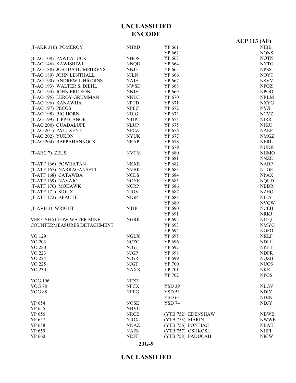|                                |             |                    | $ACP$ 113 (AF) |
|--------------------------------|-------------|--------------------|----------------|
| (T-AKR 316) POMEROY            | <b>NHRD</b> | YP 661             | <b>NIBB</b>    |
|                                |             | YP 662             | <b>NONS</b>    |
| (T-AO 108) PAWCATUCK           | <b>NHOS</b> | YP 663             | <b>NOTN</b>    |
| (T-AO 146) KAWISHIWI           | <b>NNQD</b> | YP 664             | <b>NYTG</b>    |
| (T-AO 188) JOSHUA HUMPHREYS    | <b>NNJH</b> | YP 665             | <b>NPSS</b>    |
| (T-AO 189) JOHN LENTHALL       | <b>NJLN</b> | YP 666             | <b>NOYT</b>    |
| (T-AO 190) ANDREW J. HIGGINS   | <b>NAJH</b> | YP 667             | <b>NSVV</b>    |
| (T-AO 193) WALTER S. DIEHL     | <b>NWSD</b> | YP 668             | <b>NFQZ</b>    |
| (T-AO 194) JOHN ERICSON        | <b>NNJE</b> | YP 669             | NPOO           |
| (T-AO 195) LEROY GRUMMAN       | <b>NNLG</b> | YP 670             | <b>NRLM</b>    |
| (T-AO 196) KANAWHA             | <b>NPTD</b> | YP 671             | <b>NXYG</b>    |
| (T-AO 197) PECOS               | <b>NPEC</b> | YP 672             | <b>NYJI</b>    |
| (T-AO 198) BIG HORN            | <b>NBIG</b> | YP 673             | <b>NCVZ</b>    |
| (T-AO 199) TIPPECANOE          | <b>NTIP</b> | YP 674             | <b>NIRR</b>    |
| (T-AO 200) GUADALUPE           | <b>NLUP</b> | YP 675             | <b>NJKU</b>    |
| (T-AO 201) PATUXENT            | <b>NPCZ</b> | YP 676             | <b>NAEF</b>    |
| (T-AO 202) YUKON               | <b>NYUK</b> | YP 677             | <b>NMGZ</b>    |
| (T-AO 204) RAPPAHANNOCK        | <b>NRAP</b> | YP 678             | <b>NERL</b>    |
|                                |             | YP 679             | <b>NUDK</b>    |
| (T-ARC 7) ZEUS                 | <b>NVTM</b> | YP 680             | <b>NHMO</b>    |
|                                |             | YP 681             | <b>NNZE</b>    |
| (T-ATF 166) POWHATAN           | <b>NKXR</b> | YP 682             | <b>NABP</b>    |
| (T-ATF 167) NARRAGANSETT       | <b>NVBK</b> | YP 683             | <b>NTGE</b>    |
| (T-ATF 168) CATAWBA            | <b>NCDS</b> | YP 684             | <b>NPAX</b>    |
| (T-ATF 169) NAVAJO             | <b>NOYK</b> | YP 685             | <b>NQUD</b>    |
| (T-ATF 170) MOHAWK             | <b>NCRP</b> | YP 686             | <b>NBDR</b>    |
| (T-ATF 171) SIOUX              | <b>NJOV</b> | YP 687             | <b>NZHO</b>    |
| (T-ATF 172) APACHE             | <b>NIGP</b> | YP 688             | <b>NILA</b>    |
|                                |             | YP 689             | <b>NVGW</b>    |
| (T-AVB 3) WRIGHT               | <b>NTIR</b> | YP 690             | <b>NCLH</b>    |
|                                |             | YP 691             | <b>NRKJ</b>    |
| <b>VERY SHALLOW WATER MINE</b> | <b>NGRK</b> | YP 692             | <b>NJLQ</b>    |
| COUNTERMEASURES DETACHMENT     |             | YP 693             | <b>NMYG</b>    |
|                                |             | YP 694             | <b>NGFO</b>    |
| YO 129                         | <b>NGLX</b> | YP 695             | <b>NKLF</b>    |
| YO 203                         | <b>NCZC</b> | YP 696             | <b>NDLL</b>    |
| YO 220                         | <b>NJGI</b> | YP 697             | <b>NKFT</b>    |
| YO 223                         | <b>NJGP</b> | YP 698             | <b>NDPR</b>    |
| YO 224                         | <b>NJGR</b> | YP 699             | <b>NQZH</b>    |
| YO 225                         | <b>NJGT</b> | YP 700             | <b>NUCS</b>    |
| YO 230                         | <b>NAXX</b> | YP 701             | <b>NKRI</b>    |
|                                |             | YP 702             | <b>NPGS</b>    |
| <b>YOG 196</b>                 | <b>NEXT</b> |                    |                |
| <b>YOG 78</b>                  | <b>NFCX</b> | <b>YSD 39</b>      | <b>NLGV</b>    |
| <b>YOG 88</b>                  | <b>NFEG</b> | <b>YSD 53</b>      | <b>NDIY</b>    |
|                                |             | <b>YSD 63</b>      | <b>NDJN</b>    |
| YP 654                         | <b>NOSE</b> | <b>YSD 74</b>      | <b>NDJY</b>    |
| YP 655                         | <b>NHVC</b> |                    |                |
| YP 656                         | <b>NRCE</b> | (YTB 752) EDENSHAW | <b>NBWB</b>    |
| YP 657                         | <b>NJOX</b> | (YTB 753) MARIN    | <b>NWWE</b>    |
| YP 658                         | <b>NNAZ</b> | (YTB 756) PONTIAC  | <b>NBAE</b>    |
| YP 659                         | <b>NAFS</b> | (YTB 757) OSHKOSH  | <b>NHFI</b>    |
| YP 660                         | <b>NDFF</b> | (YTB 758) PADUCAH  | <b>NIGW</b>    |
|                                |             |                    |                |

# **UNCLASSIFIED**

**23G-9**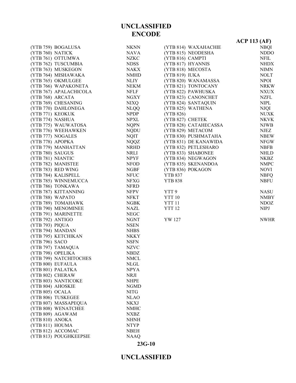| <b>NKNN</b><br>(YTB 759) BOGALUSA<br>(YTB 814) WAXAHACHIE<br>(YTB 760) NATICK<br>NAVA<br>(YTB 815) NEODESHA<br>(YTB 761) OTTUMWA<br>(YTB 816) CAMPTI<br>NZKC<br>(YTB 762) TUSCUMBIA<br>(YTB 817) HYANNIS<br><b>NDSS</b><br>(YTB 763) MUSKEGON<br>(YTB 818) MECOSTA<br>NAKX<br>(YTB 764) MISHAWAKA<br>(YTB 819) IUKA<br><b>NMHD</b><br>(YTB 765) OKMULGEE<br>(YTB 820) WANAMASSA<br>NLIY<br>(YTB 766) WAPAKONETA<br>(YTB 821) TONTOCANY<br>NEKM<br>(YTB 767) APALACHICOLA<br><b>NFLF</b><br>(YTB 822) PAWHUSKA<br>(YTB 768) ARCATA<br>(YTB 823) CANONCHET<br><b>NGXY</b><br>(YTB 769) CHESANING<br>(YTB 824) SANTAQUIN<br><b>NIXQ</b><br>(YTB 770) DAHLONEGA<br><b>NLQQ</b><br>(YTB 825) WATHENA<br>(YTB 771) KEOKUK<br>NPDP<br>(YTB 826)<br><b>NPXL</b><br>(YTB 774) NASHUA<br>(YTB 827) CHETEK<br><b>NQPN</b><br>(YTB 775) WAUWATOSA<br>(YTB 828) CATAHECASSA<br>(YTB 776) WEEHAWKEN<br><b>NQDU</b><br>(YTB 829) METACOM<br>(YTB 777) NOGALES<br><b>NQIT</b><br>(YTB 830) PUSHMATAHA<br>(YTB 778) APOPKA<br><b>NQQZ</b><br>(YTB 831) DE KANAWIDA<br>(YTB 779) MANHATTAN<br><b>NRHD</b><br>(YTB 832) PETLESHARO<br>(YTB 833) SHABONEE<br>(YTB 780) SAUGUS<br>NRLI<br>(YTB 781) NIANTIC<br><b>NPYF</b><br>(YTB 834) NEGWAGON<br>(YTB 782) MANISTEE<br>(YTB 835) SKENANDOA<br><b>NFOD</b><br>(YTB 783) RED WING<br>(YTB 836) POKAGON<br>NGBF |                     |             | $ACP$ 113 (AF) |
|--------------------------------------------------------------------------------------------------------------------------------------------------------------------------------------------------------------------------------------------------------------------------------------------------------------------------------------------------------------------------------------------------------------------------------------------------------------------------------------------------------------------------------------------------------------------------------------------------------------------------------------------------------------------------------------------------------------------------------------------------------------------------------------------------------------------------------------------------------------------------------------------------------------------------------------------------------------------------------------------------------------------------------------------------------------------------------------------------------------------------------------------------------------------------------------------------------------------------------------------------------------------------------------------------------------------------------------------|---------------------|-------------|----------------|
|                                                                                                                                                                                                                                                                                                                                                                                                                                                                                                                                                                                                                                                                                                                                                                                                                                                                                                                                                                                                                                                                                                                                                                                                                                                                                                                                            |                     |             | <b>NBQI</b>    |
|                                                                                                                                                                                                                                                                                                                                                                                                                                                                                                                                                                                                                                                                                                                                                                                                                                                                                                                                                                                                                                                                                                                                                                                                                                                                                                                                            |                     |             | NDDO           |
|                                                                                                                                                                                                                                                                                                                                                                                                                                                                                                                                                                                                                                                                                                                                                                                                                                                                                                                                                                                                                                                                                                                                                                                                                                                                                                                                            |                     |             | NFIL           |
|                                                                                                                                                                                                                                                                                                                                                                                                                                                                                                                                                                                                                                                                                                                                                                                                                                                                                                                                                                                                                                                                                                                                                                                                                                                                                                                                            |                     |             | <b>NHDX</b>    |
|                                                                                                                                                                                                                                                                                                                                                                                                                                                                                                                                                                                                                                                                                                                                                                                                                                                                                                                                                                                                                                                                                                                                                                                                                                                                                                                                            |                     |             | <b>NIMN</b>    |
|                                                                                                                                                                                                                                                                                                                                                                                                                                                                                                                                                                                                                                                                                                                                                                                                                                                                                                                                                                                                                                                                                                                                                                                                                                                                                                                                            |                     |             | <b>NOLT</b>    |
|                                                                                                                                                                                                                                                                                                                                                                                                                                                                                                                                                                                                                                                                                                                                                                                                                                                                                                                                                                                                                                                                                                                                                                                                                                                                                                                                            |                     |             | <b>NPOI</b>    |
|                                                                                                                                                                                                                                                                                                                                                                                                                                                                                                                                                                                                                                                                                                                                                                                                                                                                                                                                                                                                                                                                                                                                                                                                                                                                                                                                            |                     |             | <b>NRKW</b>    |
|                                                                                                                                                                                                                                                                                                                                                                                                                                                                                                                                                                                                                                                                                                                                                                                                                                                                                                                                                                                                                                                                                                                                                                                                                                                                                                                                            |                     |             | <b>NXUX</b>    |
|                                                                                                                                                                                                                                                                                                                                                                                                                                                                                                                                                                                                                                                                                                                                                                                                                                                                                                                                                                                                                                                                                                                                                                                                                                                                                                                                            |                     |             | <b>NZFL</b>    |
|                                                                                                                                                                                                                                                                                                                                                                                                                                                                                                                                                                                                                                                                                                                                                                                                                                                                                                                                                                                                                                                                                                                                                                                                                                                                                                                                            |                     |             | <b>NIPL</b>    |
|                                                                                                                                                                                                                                                                                                                                                                                                                                                                                                                                                                                                                                                                                                                                                                                                                                                                                                                                                                                                                                                                                                                                                                                                                                                                                                                                            |                     |             | NJQI           |
|                                                                                                                                                                                                                                                                                                                                                                                                                                                                                                                                                                                                                                                                                                                                                                                                                                                                                                                                                                                                                                                                                                                                                                                                                                                                                                                                            |                     |             | <b>NUXK</b>    |
|                                                                                                                                                                                                                                                                                                                                                                                                                                                                                                                                                                                                                                                                                                                                                                                                                                                                                                                                                                                                                                                                                                                                                                                                                                                                                                                                            |                     |             | <b>NKVK</b>    |
|                                                                                                                                                                                                                                                                                                                                                                                                                                                                                                                                                                                                                                                                                                                                                                                                                                                                                                                                                                                                                                                                                                                                                                                                                                                                                                                                            |                     |             | <b>NJWB</b>    |
|                                                                                                                                                                                                                                                                                                                                                                                                                                                                                                                                                                                                                                                                                                                                                                                                                                                                                                                                                                                                                                                                                                                                                                                                                                                                                                                                            |                     |             | NJEZ           |
|                                                                                                                                                                                                                                                                                                                                                                                                                                                                                                                                                                                                                                                                                                                                                                                                                                                                                                                                                                                                                                                                                                                                                                                                                                                                                                                                            |                     |             | <b>NBEW</b>    |
|                                                                                                                                                                                                                                                                                                                                                                                                                                                                                                                                                                                                                                                                                                                                                                                                                                                                                                                                                                                                                                                                                                                                                                                                                                                                                                                                            |                     |             | <b>NFGW</b>    |
|                                                                                                                                                                                                                                                                                                                                                                                                                                                                                                                                                                                                                                                                                                                                                                                                                                                                                                                                                                                                                                                                                                                                                                                                                                                                                                                                            |                     |             | <b>NBFB</b>    |
|                                                                                                                                                                                                                                                                                                                                                                                                                                                                                                                                                                                                                                                                                                                                                                                                                                                                                                                                                                                                                                                                                                                                                                                                                                                                                                                                            |                     |             | <b>NHLD</b>    |
|                                                                                                                                                                                                                                                                                                                                                                                                                                                                                                                                                                                                                                                                                                                                                                                                                                                                                                                                                                                                                                                                                                                                                                                                                                                                                                                                            |                     |             | <b>NKBZ</b>    |
|                                                                                                                                                                                                                                                                                                                                                                                                                                                                                                                                                                                                                                                                                                                                                                                                                                                                                                                                                                                                                                                                                                                                                                                                                                                                                                                                            |                     |             | <b>NMPC</b>    |
|                                                                                                                                                                                                                                                                                                                                                                                                                                                                                                                                                                                                                                                                                                                                                                                                                                                                                                                                                                                                                                                                                                                                                                                                                                                                                                                                            |                     |             | <b>NOVI</b>    |
| <b>YTB 837</b>                                                                                                                                                                                                                                                                                                                                                                                                                                                                                                                                                                                                                                                                                                                                                                                                                                                                                                                                                                                                                                                                                                                                                                                                                                                                                                                             | (YTB 784) KALISPELL | <b>NFUC</b> | <b>NBFQ</b>    |
| <b>NFXG</b><br><b>YTB 838</b><br>(YTB 785) WINNEMUCCA                                                                                                                                                                                                                                                                                                                                                                                                                                                                                                                                                                                                                                                                                                                                                                                                                                                                                                                                                                                                                                                                                                                                                                                                                                                                                      |                     |             | <b>NBFU</b>    |
| (YTB 786) TONKAWA<br>NFRD                                                                                                                                                                                                                                                                                                                                                                                                                                                                                                                                                                                                                                                                                                                                                                                                                                                                                                                                                                                                                                                                                                                                                                                                                                                                                                                  |                     |             |                |
| (YTB 787) KITTANNING<br>YTT 9<br>NFPV                                                                                                                                                                                                                                                                                                                                                                                                                                                                                                                                                                                                                                                                                                                                                                                                                                                                                                                                                                                                                                                                                                                                                                                                                                                                                                      |                     |             | <b>NASU</b>    |
| <b>NFKT</b><br><b>YTT 10</b><br>(YTB 788) WAPATO                                                                                                                                                                                                                                                                                                                                                                                                                                                                                                                                                                                                                                                                                                                                                                                                                                                                                                                                                                                                                                                                                                                                                                                                                                                                                           |                     |             | <b>NMBY</b>    |
| (YTB 789) TOMAHAWK<br>YTT <sub>11</sub><br>NGBK                                                                                                                                                                                                                                                                                                                                                                                                                                                                                                                                                                                                                                                                                                                                                                                                                                                                                                                                                                                                                                                                                                                                                                                                                                                                                            |                     |             | <b>NDOZ</b>    |
| (YTB 790) MENOMINEE<br>NAZL<br><b>YTT 12</b>                                                                                                                                                                                                                                                                                                                                                                                                                                                                                                                                                                                                                                                                                                                                                                                                                                                                                                                                                                                                                                                                                                                                                                                                                                                                                               |                     |             | <b>NIPJ</b>    |
| (YTB 791) MARINETTE<br>${\rm NEGC}$                                                                                                                                                                                                                                                                                                                                                                                                                                                                                                                                                                                                                                                                                                                                                                                                                                                                                                                                                                                                                                                                                                                                                                                                                                                                                                        |                     |             |                |
| (YTB 792) ANTIGO<br>YW 127<br><b>NGNT</b>                                                                                                                                                                                                                                                                                                                                                                                                                                                                                                                                                                                                                                                                                                                                                                                                                                                                                                                                                                                                                                                                                                                                                                                                                                                                                                  |                     |             | <b>NWHR</b>    |
| (YTB 793) PIQUA<br><b>NSEN</b>                                                                                                                                                                                                                                                                                                                                                                                                                                                                                                                                                                                                                                                                                                                                                                                                                                                                                                                                                                                                                                                                                                                                                                                                                                                                                                             |                     |             |                |
| (YTB 794) MANDAN<br><b>NHBS</b>                                                                                                                                                                                                                                                                                                                                                                                                                                                                                                                                                                                                                                                                                                                                                                                                                                                                                                                                                                                                                                                                                                                                                                                                                                                                                                            |                     |             |                |
| (YTB 795) KETCHIKAN<br><b>NKKY</b>                                                                                                                                                                                                                                                                                                                                                                                                                                                                                                                                                                                                                                                                                                                                                                                                                                                                                                                                                                                                                                                                                                                                                                                                                                                                                                         |                     |             |                |
| (YTB 796) SACO<br><b>NSFN</b>                                                                                                                                                                                                                                                                                                                                                                                                                                                                                                                                                                                                                                                                                                                                                                                                                                                                                                                                                                                                                                                                                                                                                                                                                                                                                                              |                     |             |                |
| (YTB 797) TAMAQUA<br><b>NZVC</b>                                                                                                                                                                                                                                                                                                                                                                                                                                                                                                                                                                                                                                                                                                                                                                                                                                                                                                                                                                                                                                                                                                                                                                                                                                                                                                           |                     |             |                |
| (YTB 798) OPELIKA<br><b>NBDZ</b>                                                                                                                                                                                                                                                                                                                                                                                                                                                                                                                                                                                                                                                                                                                                                                                                                                                                                                                                                                                                                                                                                                                                                                                                                                                                                                           |                     |             |                |
| (YTB 799) NATCHITOCHES<br><b>NMCL</b>                                                                                                                                                                                                                                                                                                                                                                                                                                                                                                                                                                                                                                                                                                                                                                                                                                                                                                                                                                                                                                                                                                                                                                                                                                                                                                      |                     |             |                |
| (YTB 800) EUFAULA<br><b>NLGL</b>                                                                                                                                                                                                                                                                                                                                                                                                                                                                                                                                                                                                                                                                                                                                                                                                                                                                                                                                                                                                                                                                                                                                                                                                                                                                                                           |                     |             |                |
| (YTB 801) PALATKA<br><b>NPYA</b>                                                                                                                                                                                                                                                                                                                                                                                                                                                                                                                                                                                                                                                                                                                                                                                                                                                                                                                                                                                                                                                                                                                                                                                                                                                                                                           |                     |             |                |
| (YTB 802) CHERAW<br><b>NRJI</b>                                                                                                                                                                                                                                                                                                                                                                                                                                                                                                                                                                                                                                                                                                                                                                                                                                                                                                                                                                                                                                                                                                                                                                                                                                                                                                            |                     |             |                |
| (YTB 803) NANTICOKE<br><b>NHPE</b>                                                                                                                                                                                                                                                                                                                                                                                                                                                                                                                                                                                                                                                                                                                                                                                                                                                                                                                                                                                                                                                                                                                                                                                                                                                                                                         |                     |             |                |
| (YTB 804) AHOSKIE<br><b>NGMD</b>                                                                                                                                                                                                                                                                                                                                                                                                                                                                                                                                                                                                                                                                                                                                                                                                                                                                                                                                                                                                                                                                                                                                                                                                                                                                                                           |                     |             |                |
| (YTB 805) OCALA<br><b>NITG</b>                                                                                                                                                                                                                                                                                                                                                                                                                                                                                                                                                                                                                                                                                                                                                                                                                                                                                                                                                                                                                                                                                                                                                                                                                                                                                                             |                     |             |                |
| (YTB 806) TUSKEGEE<br><b>NLAO</b>                                                                                                                                                                                                                                                                                                                                                                                                                                                                                                                                                                                                                                                                                                                                                                                                                                                                                                                                                                                                                                                                                                                                                                                                                                                                                                          |                     |             |                |
| (YTB 807) MASSAPEQUA<br><b>NKXJ</b>                                                                                                                                                                                                                                                                                                                                                                                                                                                                                                                                                                                                                                                                                                                                                                                                                                                                                                                                                                                                                                                                                                                                                                                                                                                                                                        |                     |             |                |
| (YTB 808) WENATCHEE<br><b>NMHC</b>                                                                                                                                                                                                                                                                                                                                                                                                                                                                                                                                                                                                                                                                                                                                                                                                                                                                                                                                                                                                                                                                                                                                                                                                                                                                                                         |                     |             |                |
| (YTB 809) AGAWAM<br>NXBZ                                                                                                                                                                                                                                                                                                                                                                                                                                                                                                                                                                                                                                                                                                                                                                                                                                                                                                                                                                                                                                                                                                                                                                                                                                                                                                                   |                     |             |                |
| (YTB 810) ANOKA<br><b>NHNH</b>                                                                                                                                                                                                                                                                                                                                                                                                                                                                                                                                                                                                                                                                                                                                                                                                                                                                                                                                                                                                                                                                                                                                                                                                                                                                                                             |                     |             |                |
| (YTB 811) HOUMA<br>NTYP                                                                                                                                                                                                                                                                                                                                                                                                                                                                                                                                                                                                                                                                                                                                                                                                                                                                                                                                                                                                                                                                                                                                                                                                                                                                                                                    |                     |             |                |
| (YTB 812) ACCOMAC<br><b>NBEH</b>                                                                                                                                                                                                                                                                                                                                                                                                                                                                                                                                                                                                                                                                                                                                                                                                                                                                                                                                                                                                                                                                                                                                                                                                                                                                                                           |                     |             |                |
| (YTB 813) POUGHKEEPSIE<br><b>NAAQ</b>                                                                                                                                                                                                                                                                                                                                                                                                                                                                                                                                                                                                                                                                                                                                                                                                                                                                                                                                                                                                                                                                                                                                                                                                                                                                                                      |                     |             |                |

# **23G-10**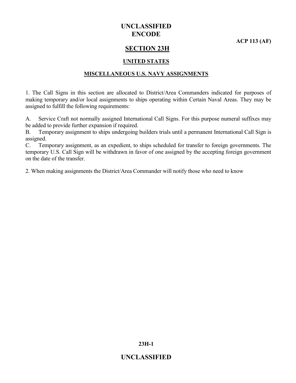**ACP 113 (AF)**

#### **SECTION 23H**

#### **UNITED STATES**

#### **MISCELLANEOUS U.S. NAVY ASSIGNMENTS**

1. The Call Signs in this section are allocated to District/Area Commanders indicated for purposes of making temporary and/or local assignments to ships operating within Certain Naval Areas. They may be assigned to fulfill the following requirements:

A. Service Craft not normally assigned International Call Signs. For this purpose numeral suffixes may be added to provide further expansion if required.

B. Temporary assignment to ships undergoing builders trials until a permanent International Call Sign is assigned.

C. Temporary assignment, as an expedient, to ships scheduled for transfer to foreign governments. The temporary U.S. Call Sign will be withdrawn in favor of one assigned by the accepting foreign government on the date of the transfer.

2. When making assignments the District/Area Commander will notify those who need to know

**23H-1**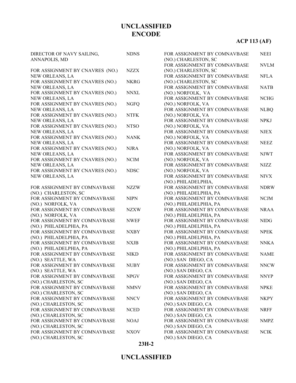# **ACP 113 (AF)**

| DIRECTOR OF NAVY SAILING,<br>ANNAPOLIS, MD           | <b>NDNS</b> |
|------------------------------------------------------|-------------|
|                                                      |             |
| FOR ASSIGNMENT BY CNAVRES (NO.)                      | NZZX        |
| NEW ORLEANS, LA                                      |             |
| FOR ASSIGNMENT BY CNAVRES (NO.)                      | <b>NKRG</b> |
| NEW ORLEANS, LA                                      |             |
| FOR ASSIGNMENT BY CNAVRES (NO.)<br>NEW ORLEANS, LA   | <b>NNXL</b> |
| FOR ASSIGNMENT BY CNAVRES (NO.)                      | <b>NGFQ</b> |
| NEW ORLEANS, LA                                      |             |
| FOR ASSIGNMENT BY CNAVRES (NO.)                      | <b>NTFK</b> |
| NEW ORLEANS, LA                                      |             |
| FOR ASSIGNMENT BY CNAVRES (NO.)                      | <b>NTSO</b> |
| NEW ORLEANS, LA                                      |             |
| FOR ASSIGNMENT BY CNAVRES (NO.)                      | <b>NANK</b> |
| NEW ORLEANS, LA                                      |             |
| FOR ASSIGNMENT BY CNAVRES (NO.)                      | <b>NJRA</b> |
| NEW ORLEANS, LA<br>FOR ASSIGNMENT BY CNAVRES (NO.)   | <b>NCIM</b> |
| NEW ORLEANS, LA                                      |             |
| FOR ASSIGNMENT BY CNAVRES (NO.)                      | <b>NDSC</b> |
| NEW ORLEANS, LA                                      |             |
|                                                      |             |
| FOR ASSIGNMENT BY COMNAVBASE                         | <b>NZZW</b> |
| (NO.) CHARLESTON, SC                                 |             |
| FOR ASSIGNMENT BY COMNAVBASE                         | <b>NIPN</b> |
| (NO.) NORFOLK, VA                                    |             |
| FOR ASSIGNMENT BY COMNAVBASE<br>(NO.) NORFOLK, VA    | <b>NZXW</b> |
| FOR ASSIGNMENT BY COMNAVBASE                         | <b>NWEF</b> |
| (NO.) PHILADELPHIA, PA                               |             |
| FOR ASSIGNMENT BY COMNAVBASE                         | <b>NXBY</b> |
| (NO.) PHILADELPHIA, PA                               |             |
| FOR ASSIGNMENT BY COMNAVBASE                         | <b>NXJB</b> |
| (NO.) PHILADELPHIA, PA                               |             |
| FOR ASSIGNMENT BY COMNAVBASE                         | <b>NIKD</b> |
| (NO.) SEATTLE, WA                                    |             |
| FOR ASSIGNMENT BY COMNAVBASE                         | <b>NUBY</b> |
| (NO.) SEATTLE, WA<br>FOR ASSIGNMENT BY COMNAVBASE    |             |
| (NO.) CHARLESTON, SC                                 | <b>NPGV</b> |
| FOR ASSIGNMENT BY COMNAVBASE                         | <b>NMNV</b> |
| (NO.) CHARLESTON, SC                                 |             |
| FOR ASSIGNMENT BY COMNAVBASE                         | <b>NNCV</b> |
| (NO.) CHARLESTON, SC                                 |             |
| FOR ASSIGNMENT BY COMNAVBASE                         | <b>NCED</b> |
| (NO.) CHARLESTON, SC                                 |             |
| FOR ASSIGNMENT BY COMNAVBASE                         | <b>NOAJ</b> |
| (NO.) CHARLESTON, SC<br>FOR ASSIGNMENT BY COMNAVBASE |             |
| (NO.) CHARLESTON, SC                                 | <b>NXOV</b> |
|                                                      |             |

| FOR ASSIGNMENT BY COMNAVBASE                           | <b>NEEI</b> |
|--------------------------------------------------------|-------------|
| (NO.) CHARLESTON, SC<br>FOR ASSIGNMENT BY COMNAVBASE   | <b>NVLM</b> |
| (NO.) CHARLESTON, SC                                   |             |
| FOR ASSIGNMENT BY COMNAVBASE                           | <b>NFLA</b> |
| (NO.) CHARLESTON, SC                                   |             |
| FOR ASSIGNMENT BY COMNAVBASE                           | <b>NATB</b> |
| (NO.) NORFOLK, VA                                      |             |
| FOR ASSIGNMENT BY COMNAVBASE                           | <b>NCHG</b> |
| (NO.) NORFOLK, VA<br>FOR ASSIGNMENT BY COMNAVBASE      | <b>NLBQ</b> |
| (NO.) NORFOLK, VA                                      |             |
| FOR ASSIGNMENT BY COMNAVBASE                           | NPKJ        |
| (NO.) NORFOLK, VA                                      |             |
| FOR ASSIGNMENT BY COMNAVBASE                           | <b>NJEX</b> |
| (NO.) NORFOLK, VA                                      |             |
| FOR ASSIGNMENT BY COMNAVBASE                           | <b>NEEZ</b> |
| (NO.) NORFOLK, VA                                      |             |
| FOR ASSIGNMENT BY COMNAVBASE                           | <b>NJWT</b> |
| (NO.) NORFOLK, VA                                      |             |
| FOR ASSIGNMENT BY COMNAVBASE                           | NJZZ        |
| (NO.) NORFOLK, VA                                      |             |
| FOR ASSIGNMENT BY COMNAVBASE                           | <b>NIVX</b> |
| (NO.) PHILADELPHIA,                                    |             |
| FOR ASSIGNMENT BY COMNAVBASE                           | <b>NDRW</b> |
| (NO.) PHILADELPHIA, PA<br>FOR ASSIGNMENT BY COMNAVBASE | <b>NCJM</b> |
| (NO.) PHILADELPHIA, PA                                 |             |
| FOR ASSIGNMENT BY COMNAVBASE                           | <b>NRAA</b> |
| (NO.) PHILADELPHIA, PA                                 |             |
| FOR ASSIGNMENT BY COMNAVBASE                           | <b>NIDG</b> |
| (NO.) PHILADELPHIA, PA                                 |             |
| FOR ASSIGNMENT BY COMNAVBASE                           | <b>NPEK</b> |
| (NO.) PHILADELPHIA, PA                                 |             |
| FOR ASSIGNMENT BY COMNAVBASE                           | <b>NNKA</b> |
| (NO.) PHILADELPHIA, PA                                 |             |
| FOR ASSIGNMENT BY COMNAVBASE                           | <b>NAME</b> |
| (NO.) SAN DIEGO, CA                                    |             |
| FOR ASSIGNMENT BY COMNAVBASE                           | <b>NNCW</b> |
| (NO.) SAN DIEGO, CA<br>FOR ASSIGNMENT BY COMNAVBASE    | <b>NNYP</b> |
| (NO.) SAN DIEGO, CA                                    |             |
| FOR ASSIGNMENT BY COMNAVBASE                           | <b>NPKE</b> |
| (NO.) SAN DIEGO, CA                                    |             |
| FOR ASSIGNMENT BY COMNAVBASE                           | <b>NKPY</b> |
| (NO.) SAN DIEGO, CA                                    |             |
| FOR ASSIGNMENT BY COMNAVBASE                           | <b>NRFF</b> |
| (NO.) SAN DIEGO, CA                                    |             |
| FOR ASSIGNMENT BY COMNAVBASE                           | <b>NMPZ</b> |
| (NO.) SAN DIEGO, CA                                    |             |
| FOR ASSIGNMENT BY COMNAVBASE                           | <b>NCIK</b> |
| (NO.) SAN DIEGO, CA                                    |             |

#### **23H-2**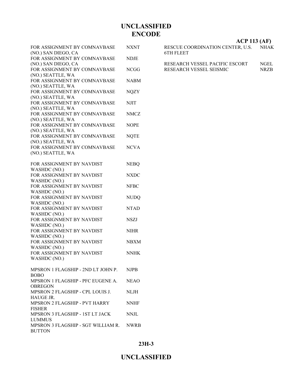| FOR ASSIGNMENT BY COMNAVBASE                             | <b>NXNT</b> |
|----------------------------------------------------------|-------------|
| (NO.) SAN DIEGO, CA                                      |             |
| FOR ASSIGNMENT BY COMNAVBASE                             | <b>NDJE</b> |
| (NO.) SAN DIEGO, CA                                      |             |
| FOR ASSIGNMENT BY COMNAVBASE                             | <b>NCGG</b> |
| (NO.) SEATTLE, WA<br>FOR ASSIGNMENT BY COMNAVBASE        | <b>NABM</b> |
| (NO.) SEATTLE, WA                                        |             |
| FOR ASSIGNMENT BY COMNAVBASE                             | <b>NQZY</b> |
| (NO.) SEATTLE, WA                                        |             |
| FOR ASSIGNMENT BY COMNAVBASE                             | <b>NJIT</b> |
| (NO.) SEATTLE, WA                                        |             |
| FOR ASSIGNMENT BY COMNAVBASE                             | <b>NMCZ</b> |
| (NO.) SEATTLE, WA<br>FOR ASSIGNMENT BY COMNAVBASE        |             |
| (NO.) SEATTLE, WA                                        | <b>NOPE</b> |
| FOR ASSIGNMENT BY COMNAVBASE                             | <b>NQTE</b> |
| (NO.) SEATTLE, WA                                        |             |
| FOR ASSIGNMENT BY COMNAVBASE                             | <b>NCVA</b> |
| (NO.) SEATTLE, WA                                        |             |
|                                                          |             |
| FOR ASSIGNMENT BY NAVDIST                                | <b>NEBQ</b> |
| WASHDC (NO.)<br>FOR ASSIGNMENT BY NAVDIST                | <b>NXDC</b> |
| WASHDC (NO.)                                             |             |
| FOR ASSIGNMENT BY NAVDIST                                | <b>NFBC</b> |
| WASHDC (NO.)                                             |             |
| FOR ASSIGNMENT BY NAVDIST                                | <b>NUDQ</b> |
| WASHDC (NO.)                                             |             |
| FOR ASSIGNMENT BY NAVDIST                                | <b>NTAD</b> |
| WASHDC (NO.)                                             |             |
| FOR ASSIGNMENT BY NAVDIST                                | NSZJ        |
| WASHDC (NO.)<br>FOR ASSIGNMENT BY NAVDIST                | <b>NIHR</b> |
| WASHDC (NO.)                                             |             |
| FOR ASSIGNMENT BY NAVDIST                                | <b>NBXM</b> |
| WASHDC (NO.)                                             |             |
| FOR ASSIGNMENT BY NAVDIST                                | <b>NNHK</b> |
| WASHDC (NO.)                                             |             |
| MPSRON 1 FLAGSHIP - 2ND LT JOHN P.                       | NJPB        |
| <b>BOBO</b>                                              |             |
| MPSRON 1 FLAGSHIP - PFC EUGENE A.                        | <b>NEAO</b> |
| <b>OBREGON</b>                                           |             |
| MPSRON 2 FLAGSHIP - CPL LOUIS J.                         | <b>NLJH</b> |
| HAUGE JR.                                                |             |
| MPSRON 2 FLAGSHIP - PVT HARRY                            | <b>NNHF</b> |
| <b>FISHER</b>                                            |             |
| MPSRON 3 FLAGSHIP - 1ST LT JACK                          | <b>NNJL</b> |
| <b>LUMMUS</b><br>MPSRON 3 FLAGSHIP - SGT WILLIAM R. NWRB |             |
| <b>BUTTON</b>                                            |             |
|                                                          |             |

**ACP 113 (AF)**

| RESCUE COORDINATION CENTER, U.S. | <b>NHAK</b> |
|----------------------------------|-------------|
| 6TH FLEET                        |             |

RESEARCH VESSEL PACIFIC ESCORT NGEL RESEARCH VESSEL SEISMIC NRZB RESEARCH VESSEL SEISMIC

**23H-3**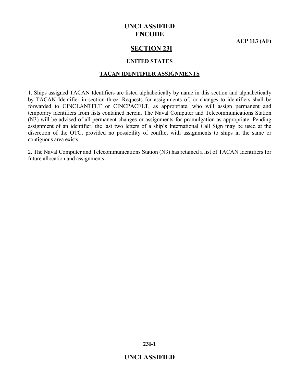**ACP 113 (AF)**

#### **SECTION 23I**

#### **UNITED STATES**

#### **TACAN IDENTIFIER ASSIGNMENTS**

1. Ships assigned TACAN Identifiers are listed alphabetically by name in this section and alphabetically by TACAN Identifier in section three. Requests for assignments of, or changes to identifiers shall be forwarded to CINCLANTFLT or CINCPACFLT, as appropriate, who will assign permanent and temporary identifiers from lists contained herein. The Naval Computer and Telecommunications Station (N3) will be advised of all permanent changes or assignments for promulgation as appropriate. Pending assignment of an identifier, the last two letters of a ship's International Call Sign may be used at the discretion of the OTC, provided no possibility of conflict with assignments to ships in the same or contiguous area exists.

2. The Naval Computer and Telecommunications Station (N3) has retained a list of TACAN Identifiers for future allocation and assignments.

**23I-1**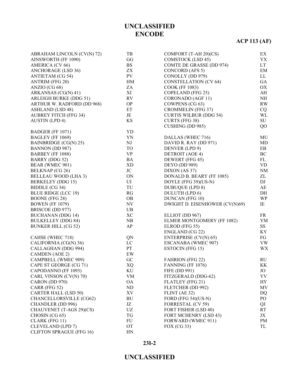# **ACP 113 (AF)**

| ABRAHAM LINCOLN (CV(N) 72)      | TB                       | COMFORT (T-AH 20)(CS)           | ЕX         |
|---------------------------------|--------------------------|---------------------------------|------------|
| AINSWORTH (FF 1090)             | GG                       | COMSTOCK (LSD 45)               | YX         |
| AMERICA (CV 66)                 | <b>BS</b>                | <b>COMTE DE GRASSE (DD 974)</b> | LT         |
| <b>ANCHORAGE (LSD 36)</b>       | ZX                       | CONCORD (AFS 5)                 | EM         |
| <b>ANTIETAM (CG 54)</b>         | PV                       | CONOLLY (DD 979)                | LL         |
| <b>ANTRIM (FFG 20)</b>          | HM                       | <b>CONSTELLATION (CV 64)</b>    | GA         |
| ANZIO (CG 68)                   | ZA                       | <b>COOK (FF 1083)</b>           | OX         |
| ARKANSAS (CG(N) 41)             | XI                       | COPELAND (FFG 25)               | AH         |
| <b>ARLEIGH BURKE (DDG 51)</b>   | RV                       | CORONADO (AGF 11)               | NH         |
| ARTHUR W. RADFORD (DD 968)      | $\rm OP$                 | COWPENS (CG 63)                 | RW         |
| ASHLAND (LSD 48)                | ET                       | <b>CROMMELIN (FFG 37)</b>       | CQ         |
| <b>AUBREY FITCH (FFG 34)</b>    | JE                       | <b>CURTIS WILBUR (DDG 54)</b>   | WL         |
| <b>AUSTIN</b> (LPD 4)           | KS                       | <b>CURTS (FFG 38)</b>           | ${\rm SU}$ |
|                                 |                          | <b>CUSHING (DD 985)</b>         | QO         |
| BADGER (FF 1071)                | YD                       |                                 |            |
| BAGLEY (FF 1069)                | YN                       | DALLAS (WHEC 716)               | MU         |
| BAINBRIDGE (CG(N) 25)           | NJ                       | DAVID R. RAY (DD 971)           | MD         |
| BANNON (DD 987)                 | TO                       | DENVER (LPD 9)                  | EB         |
|                                 | <b>VP</b>                |                                 | BC         |
| BARBEY (FF 1088)                |                          | DETROIT (AOE 4)                 |            |
| BARRY (DDG 52)                  | $\rm BA$                 | DEWERT (FFG 45)                 | FL         |
| BEAR (WMEC 901)                 | XD                       | <b>DEYO</b> (DD 989)            | <b>VD</b>  |
| BELKNAP (CG 26)                 | JC                       | DIXON (AS 37)                   | NM         |
| <b>BELLEAU WOOD (LHA 3)</b>     | ON                       | DONALD B. BEARY (FF 1085)       | ZL         |
| <b>BERKELEY</b> (DDG 15)        | UI                       | DOYLE (FFG 39)(US-N)            | DJ         |
| BIDDLE (CG 34)                  | TU                       | <b>DUBUQUE (LPD 8)</b>          | AE         |
| <b>BLUE RIDGE (LCC 19)</b>      | RG                       | DULUTH (LPD 6)                  | DH         |
| <b>BOONE</b> (FFG 28)           | <b>OB</b>                | <b>DUNCAN (FFG 10)</b>          | <b>WP</b>  |
| <b>BOWEN</b> (FF 1079)          | $\ensuremath{\text{NV}}$ | DWIGHT D. EISENHOWER (CV(N)69)  | IE         |
| BRISCOE (DD 977)                | UB                       |                                 |            |
| <b>BUCHANAN (DDG 14)</b>        | XC                       | ELLIOT (DD 967)                 | FR         |
| <b>BULKELLEY (DDG 84)</b>       | NB                       | ELMER MONTGOMERY (FF 1082)      | YM         |
| <b>BUNKER HILL (CG 52)</b>      | AP                       | ELROD (FFG 55)                  | SS         |
|                                 |                          | ENGLAND (CG 22)                 | KY         |
| CAHSE (WHEC 718)                | QN                       | <b>ENTERPRISE (CV(N) 65)</b>    | FG         |
| CALIFORNIA (CG(N) 36)           | $_{\rm LC}$              | ESCANABA (WMEC 907)             | VW         |
| CALLAGHAN (DDG 994)             | PT                       | ESTOCIN (FFG 15)                | WX         |
| CAMDEN (AOE 2)                  | EW                       |                                 |            |
| CAMPBELL (WMEC 909)             | ${\rm GC}$               | <b>FAHRION (FFG 22)</b>         | <b>RU</b>  |
| CAPE ST GEORGE (CG 71)          | <b>XQ</b>                | FANNING (FF 1076)               | KK         |
| CAPODANNO (FF 1093)             | KU                       | FIFE (DD 991)                   | JO         |
| CARL VINSON (CV(N) 70)          | VM                       | FITZGERALD (DDG-62)             | YV         |
| CARON (DD 970)                  | <b>OA</b>                | FLATLEY (FFG 21)                | HY         |
| CARR (FFG 52)                   | ND                       | FLETCHER (DD 992)               | MV         |
| <b>CARTER HALL (LSD 50)</b>     | XV                       | FLINT (AE 32)                   | DQ         |
| CHANCELLORSVILLE (CG62)         | $\rm BU$                 | FORD (FFG 54)(US-N)             | PO         |
| CHANDLER (DD 996)               | JZ                       | FORRESTAL (CV 59)               | QJ         |
| CHAUVENET (T-AGS 29)(CS)        | UZ                       | FORT FISHER (LSD 40)            | <b>RT</b>  |
| CHOSIN (CG 65)                  | TG                       | FORT MCHENRY (LSD 43)           | JX         |
| CLARK (FFG 11)                  | FU                       | FORWARD (WMEC 911)              | PM         |
| CLEVELAND (LPD 7)               | <b>OT</b>                | FOX (CG 33)                     | TL         |
| <b>CLIFTON SPRAGUE (FFG 16)</b> | HN                       |                                 |            |
|                                 |                          |                                 |            |

#### **23I-2**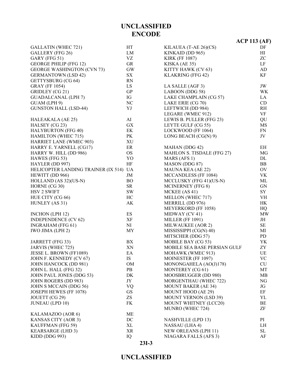|                                        |           |                              | $ACP$ 113 (AF)      |
|----------------------------------------|-----------|------------------------------|---------------------|
| <b>GALLATIN (WHEC 721)</b>             | HT        | KILAUEA (T-AE 26)(CS)        | DF                  |
| GALLERY (FFG 26)                       | LM        | KINKAID (DD 965)             | H                   |
| GARY (FFG 51)                          | VZ        | <b>KIRK (FF 1087)</b>        | ZC                  |
| <b>GEORGE PHILIP (FFG 12)</b>          | <b>GR</b> | KISKA (AE 35)                | $\rm LF$            |
| <b>GEORGE WASHINGTON (CVN 73)</b>      | GW        | KITTY HAWK (CV 63)           | AD                  |
| <b>GERMANTOWN (LSD 42)</b>             | SX        | KLAKRING (FFG 42)            | KF                  |
| GETTYSBURG (CG 64)                     | <b>RN</b> |                              |                     |
| <b>GRAY (FF 1054)</b>                  | LS.       | LA SALLE (AGF 3)             | JW                  |
| GRIDLEY (CG 21)                        | GP        | LABOON (DDG 58)              | <b>WK</b>           |
| <b>GUADALCANAL (LPH 7)</b>             | IG        | LAKE CHAMPLAIN (CG 57)       | LA                  |
| GUAM (LPH 9)                           | <b>NC</b> | LAKE ERIE (CG 70)            | CD                  |
| <b>GUNSTON HALL (LSD-44)</b>           | YJ        | LEFTWICH (DD 984)            | R <sub>H</sub>      |
|                                        |           | LEGARE (WMEC 912)            | VF                  |
| HALEAKALA (AE 25)                      | AI        | LEWIS B. PULLER (FFG 23)     | QU                  |
| HALSEY (CG 23)                         | GX        | LEYTE GULF (CG 55)           | <b>MS</b>           |
| <b>HALYBURTON (FFG 40)</b>             | EK        | LOCKWOOD (FF 1064)           | ${\rm FN}$          |
| <b>HAMILTON (WHEC 715)</b>             | PK        | LONG BEACH (CG(N) 9)         | JV                  |
| HARRIET LANE (WMEC 903)                | <b>XU</b> |                              |                     |
| HARRY E. YARNELL (CG17)                | ER        | MAHAN (DDG 42)               | EH                  |
| HARRY W. HILL (DD 986)                 | <b>OS</b> | MAHLON S. TISDALE (FFG 27)   | MG                  |
|                                        |           |                              | DL                  |
| HAWES (FFG 53)                         | YO<br>HF  | MARS (AFS 1)                 | BB                  |
| HAYLER (DD 997)                        |           | MASON (DDG 87)               | OV                  |
| HELICOPTER LANDING TRAINER (IX 514) UA |           | MAUNA KEA (AE 22)            |                     |
| HEWITT (DD 966)                        | JM        | MCCANDLESS (FF 1084)         | VK                  |
| HOLLAND (AS 32)(US-N)                  | <b>BO</b> | MCCLUSKY (FFG 41)(US-N)      | ML                  |
| HORNE (CG 30)                          | <b>SR</b> | <b>MCINERNEY</b> (FFG 8)     | GN                  |
| HSV 2 SWIFT                            | <b>SW</b> | MCKEE (AS 41)                | SY                  |
| HUE CITY (CG 66)                       | HC        | MELLON (WHEC 717)            | VH                  |
| HUNLEY (AS 31)                         | AK        | MERRILL (DD 976)             | HK                  |
|                                        |           | MEYERKORD (FF 1058)          | HQ                  |
| <b>INCHON</b> (LPH 12)                 | ES        | MIDWAY (CV 41)               | MW                  |
| <b>INDEPENDENCE (CV 62)</b>            | XF        | <b>MILLER (FF 1091)</b>      | JH                  |
| <b>INGRAHAM</b> (FFG 61)               | NI        | MILWAUKEE (AOR 2)            | $\rm SE$            |
| IWO JIMA (LPH 2)                       | MY        | MISSISSIPPI (CG(N) 40)       | МI                  |
|                                        |           | MITSCHER (DDG 57)            | <b>PD</b>           |
| JARRETT (FFG 33)                       | BX        | MOBILE BAY (CG 53)           | YK                  |
| JARVIS (WHEC 725)                      | XN        | MOBILE SEA BASE PERSIAN GULF | ZY                  |
| JESSE L. BROWN (FF1089)                | EA        | MOHAWK (WMEC 913)            | UE                  |
| JOHN F. KENNEDY (CV 67)                | IS        | MOINESTER (FF 1097)          | <b>VC</b>           |
| JOHN HANCOCK (DD 981)                  | $OM$      | MONONGAHELA (AO(J)178)       | CU                  |
| JOHN L. HALL (FFG 32)                  | PB        | MONTEREY (CG 61)             | MT                  |
| JOHN PAUL JONES (DDG 53)               | DK        | MOOSBRUGGER (DD 980)         | MB                  |
| JOHN ROGERS (DD 983)                   | JY        | MORGENTHAU (WHEC 722)        | NG                  |
| JOHN S MCCAIN (DDG 56)                 | VQ        | <b>MOUNT BAKER (AE 34)</b>   | JG                  |
| JOSEPH HEWES (FF 1078)                 | <b>GS</b> | MOUNT HOOD (AE 29)           | EF                  |
| JOUETT (CG 29)                         | ZS        | <b>MOUNT VERNON (LSD 39)</b> | YL                  |
| <b>JUNEAU</b> (LPD 10)                 | FK        | MOUNT WHITNEY (LCC20)        | BE                  |
|                                        |           | MUNRO (WHEC 724)             | ZF                  |
| KALAMAZOO (AOR 6)                      | ME        |                              |                     |
| KANSAS CITY (AOR 3)                    | DC        | <b>NASHVILLE (LPD 13)</b>    | PI                  |
| KAUFFMAN (FFG 59)                      | XL        | NASSAU (LHA 4)               | LH                  |
| <b>KEARSARGE (LHD 3)</b>               | <b>XR</b> | <b>NEW ORLEANS (LPH 11)</b>  | $\operatorname{SL}$ |
| KIDD (DDG 993)                         | IQ        | NIAGARA FALLS (AFS 3)        | AF                  |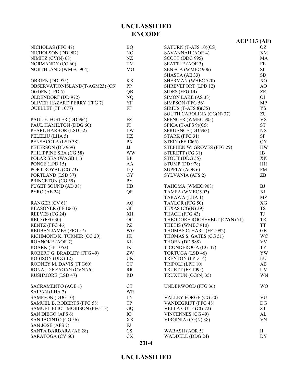#### **23I-4**

|                                 |                |                               | <b>ACP 113 (AF)</b> |
|---------------------------------|----------------|-------------------------------|---------------------|
| NICHOLAS (FFG 47)               | <b>BQ</b>      | SATURN (T-AFS 10)(CS)         | OZ                  |
| NICHOLSON (DD 982)              | NO             | SAVANNAH (AOR 4)              | XM                  |
| NIMITZ $(CV(N) 68)$             | NZ             | SCOTT (DDG 995)               | MA                  |
| NORMANDY (CG 60)                | TM             | SEATTLE (AOE 3)               | FE                  |
| NORTHLAND (WMEC 904)            | M <sub>O</sub> | SENECA (WMEC 906)             | SI                  |
|                                 |                | SHASTA (AE 33)                | <b>SD</b>           |
| OBRIEN (DD 975)                 | KХ             | SHERMAN (WHEC 720)            | XO                  |
| OBSERVATIONISLAND(T-AGM23) (CS) | PP             | SHREVEPORT (LPD 12)           | AO                  |
| OGDEN (LPD 5)                   | QB             | SIDES (FFG 14)                | ZE                  |
| OLDENDORF (DD 972)              | <b>NQ</b>      | SIMON LAKE (AS 33)            | OJ                  |
| OLIVER HAZARD PERRY (FFG 7)     | YF             | SIMPSON (FFG 56)              | MP                  |
| <b>OUELLET</b> (FF 1077)        | FF             | SIRIUS (T-AFS 8)(CS)          | YS                  |
|                                 |                | SOUTH CAROLINA (CG(N) 37)     | ZU                  |
| PAUL F. FOSTER (DD 964)         | FZ             | SPENCER (WMEC 905)            | <b>VX</b>           |
| PAUL HAMILTON (DDG 60)          | FI             | SPICA $(T-AFS 9)(CS)$         | <b>ST</b>           |
| PEARL HARBOR (LSD 52)           | LW             | SPRUANCE (DD 963)             | NX                  |
| PELELIU (LHA 5)                 | HZ             | STARK (FFG 31)                | SP                  |
| PENSACOLA (LSD 38)              | PX             | <b>STEIN (FF 1065)</b>        | QY                  |
| PETERSON (DD 969)               | JJ             | STEPHEN W. GROVES (FFG 29)    | HW                  |
| PHILIPPINE SEA (CG 58)          | <b>WW</b>      | STERETT (CG 31)               | IB                  |
| POLAR SEA (WAGB 11)             | BP             | STOUT (DDG 55)                | XK                  |
| PONCE (LPD 15)                  | AA             | STUMP (DD 978)                | HH                  |
| PORT ROYAL (CG 73)              | LQ             | SUPPLY (AOE 6)                | FM                  |
| PORTLAND (LSD 37)               | GY             | SYLVANIA (AFS 2)              | ZB                  |
| PRINCETON (CG 59)               | <b>PY</b>      |                               |                     |
| PUGET SOUND (AD 38)             | HB             | TAHOMA (WMEC 908)             | BJ                  |
| PYRO(AE 24)                     | QP             | TAMPA (WMEC 902)              | XJ                  |
|                                 |                | TARAWA (LHA 1)                | MZ                  |
| RANGER (CV 61)                  | <b>AQ</b>      | TAYLOR (FFG 50)               | XG                  |
| REASONER (FF 1063)              | GF             | TEXAS (CG(N) 39)              | <b>TS</b>           |
| REEVES (CG 24)                  | <b>XH</b>      | THACH (FFG 43)                | TJ                  |
| REID (FFG 30)                   | OC             | THEODORE ROOSEVELT (CV(N) 71) | TR                  |
| RENTZ (FFG 46)                  | PZ             | THETIS (WMEC 910)             | <b>TT</b>           |
| <b>REUBEN JAMES (FFG 57)</b>    | WG             | THOMAS C. HART (FF 1092)      | <b>GB</b>           |
| RICHMOND K. TURNER (CG 20)      | JK             | THOMAS S. GATES (CG 51)       | WC                  |
| <b>ROANOKE (AOR 7)</b>          | KL             | THORN (DD 988)                | <b>VV</b>           |
| <b>ROARK (FF 1053)</b>          | IK             | TICONDEROGA (CG 47)           | TY                  |
| ROBERT G. BRADLEY (FFG 49)      | ZW             | <b>TORTUGA (LSD 46)</b>       | YW                  |
| ROBISON (DDG 12)                | UK             | <b>TRENTON (LPD 14)</b>       | EU                  |
| RODNEY M. DAVIS (FFG60)         | $\rm CC$       | TRIPOLI (LPH 10)              | AB                  |
| <b>RONALD REAGAN (CVN 76)</b>   | RR             | TRUETT (FF 1095)              | <b>UV</b>           |
| <b>RUSHMORE (LSD 47)</b>        | RD             | TRUXTUN (CG(N) 35)            | <b>WN</b>           |
| <b>SACRAMENTO (AOE 1)</b>       | CT             | <b>UNDERWOOD (FFG 36)</b>     | <b>WO</b>           |
| SAIPAN (LHA 2)                  | <b>WR</b>      |                               |                     |
| SAMPSON (DDG 10)                | LY             | VALLEY FORGE (CG 50)          | VU                  |
| SAMUEL B. ROBERTS (FFG 58)      | TP             | VANDEGRIFT (FFG 48)           | DG                  |
| SAMUEL ELIOT MORISON (FFG 13)   | GQ             | VELLA GULF (CG 72)            | ZT                  |
| SAN DIEGO (AFS 6)               | IO             | <b>VINCENNES (CG 49)</b>      | AL                  |
| SAN JACINTO (CG 56)             | XX             | VIRGINIA (CG(N) 38)           | VN                  |
| SAN JOSE (AFS 7)                | FJ             |                               |                     |
| SANTA BARBARA (AE 28)           | CS             | WABASH (AOR 5)                | $\mathbf{I}$        |
| SARATOGA (CV 60)                | CX             | WADDELL (DDG 24)              | DY                  |

## **UNCLASSIFIED ENCODE**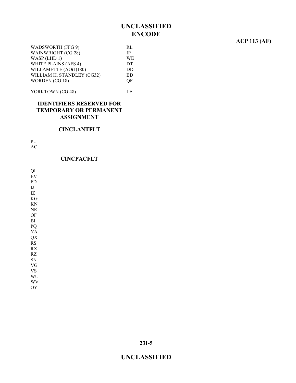#### **ACP 113 (AF)**

| WADSWORTH (FFG 9)          | RL        |
|----------------------------|-----------|
| WAINWRIGHT (CG 28)         | <b>IP</b> |
| WASP (LHD 1)               | WE        |
| WHITE PLAINS (AFS 4)       | DT.       |
| WILLAMETTE (AO(J)180)      | DD        |
| WILLIAM H. STANDLEY (CG32) | BD.       |
| WORDEN (CG 18)             | OF.       |
|                            |           |

YORKTOWN (CG 48) LE

#### **IDENTIFIERS RESERVED FOR TEMPORARY OR PERMANENT ASSIGNMENT**

#### **CINCLANTFLT**

PU

AC

#### **CINCPACFLT**

QI EV FD IJ IZ KG KN NR OF BI PQ YA QX RS RX RZ SN VG VS WU WV

OY

**23I-5**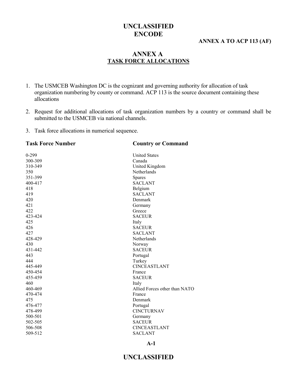#### **ANNEX A TO ACP 113 (AF)**

#### **ANNEX A TASK FORCE ALLOCATIONS**

- 1. The USMCEB Washington DC is the cognizant and governing authority for allocation of task organization numbering by county or command. ACP 113 is the source document containing these allocations
- 2. Request for additional allocations of task organization numbers by a country or command shall be submitted to the USMCEB via national channels.
- 3. Task force allocations in numerical sequence.

| <b>Task Force Number</b> | <b>Country or Command</b>     |
|--------------------------|-------------------------------|
| $0 - 299$                | <b>United States</b>          |
| 300-309                  | Canada                        |
| 310-349                  | United Kingdom                |
| 350                      | Netherlands                   |
| 351-399                  | Spares                        |
| 400-417                  | <b>SACLANT</b>                |
| 418                      | Belgium                       |
| 419                      | <b>SACLANT</b>                |
| 420                      | Denmark                       |
| 421                      | Germany                       |
| 422                      | Greece                        |
| 423-424                  | <b>SACEUR</b>                 |
| 425                      | Italy                         |
| 426                      | <b>SACEUR</b>                 |
| 427                      | <b>SACLANT</b>                |
| 428-429                  | Netherlands                   |
| 430                      | Norway                        |
| 431-442                  | <b>SACEUR</b>                 |
| 443                      | Portugal                      |
| 444                      | Turkey                        |
| 445-449                  | <b>CINCEASTLANT</b>           |
| 450-454                  | France                        |
| 455-459                  | <b>SACEUR</b>                 |
| 460                      | Italy                         |
| 460-469                  | Allied Forces other than NATO |
| 470-474                  | France                        |
| 475                      | Denmark                       |
| 476-477                  | Portugal                      |
| 478-499                  | <b>CINCTURNAV</b>             |
| 500-501                  | Germany                       |
| 502-505                  | <b>SACEUR</b>                 |
| 506-508                  | <b>CINCEASTLANT</b>           |
| 509-512                  | <b>SACLANT</b>                |
|                          |                               |

#### **A-1**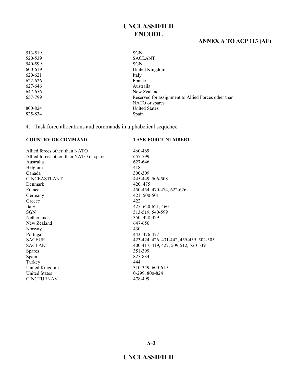#### **ANNEX A TO ACP 113 (AF)**

| <b>SGN</b>                                          |
|-----------------------------------------------------|
| <b>SACLANT</b>                                      |
| SGN                                                 |
| United Kingdom                                      |
| Italy                                               |
| France                                              |
| Australia                                           |
| New Zealand                                         |
| Reserved for assignment to Allied Forces other than |
| NATO or spares                                      |
| <b>United States</b>                                |
| Spain                                               |
|                                                     |

4. Task force allocations and commands in alphabetical sequence.

#### **COUNTRY OR COMMAND TASK FORCE NUMBER1**

Allied forces other than NATO 460-469 Allied forces other than NATO or spares 657-799 Australia 627-646 Belgium 418<br>Canada 300-CINCEASTLANT 445-449, 506-508 Denmark 420, 475 France 450-454, 470-474, 622-626 Germany 421, 500-501 Greece 422 Italy 425, 620-621, 460 SGN 513-519, 540-599 Netherlands 350, 428-429 New Zealand 647-656 Norway 430 Portugal 443, 476-477 SACEUR 423-424, 426, 431-442, 455-459, 502-505 SACLANT 400-417, 419, 427, 509-512, 520-539 Spares 351-399 Spain 825-834 Turkey 444 United Kingdom 310-349, 600-619 United States 0-299, 800-824 CINCTURNAV 478-499

300-309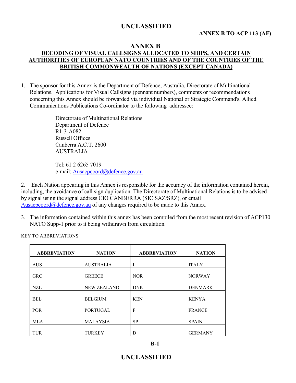#### **ANNEX B TO ACP 113 (AF)**

#### **ANNEX B**

#### **DECODING OF VISUAL CALLSIGNS ALLOCATED TO SHIPS, AND CERTAIN AUTHORITIES OF EUROPEAN NATO COUNTRIES AND OF THE COUNTRIES OF THE BRITISH COMMONWEALTH OF NATIONS (EXCEPT CANADA)**

1. The sponsor for this Annex is the Department of Defence, Australia, Directorate of Multinational Relations. Applications for Visual Callsigns (pennant numbers), comments or recommendations concerning this Annex should be forwarded via individual National or Strategic Command's, Allied Communications Publications Co-ordinator to the following addressee:

> Directorate of Multinational Relations Department of Defence R1-3-A082 Russell Offices Canberra A.C.T. 2600 AUSTRALIA

> Tel: 61 2 6265 7019 e-mail: Ausacpcoord@defence.gov.au

2. Each Nation appearing in this Annex is responsible for the accuracy of the information contained herein, including, the avoidance of call sign duplication. The Directorate of Multinational Relations is to be advised by signal using the signal address CIO CANBERRA (SIC SAZ/SRZ), or email Ausacpcoord@defence.gov.au of any changes required to be made to this Annex.

3. The information contained within this annex has been compiled from the most recent revision of ACP130 NATO Supp-1 prior to it being withdrawn from circulation.

| <b>ABBREVIATION</b> | <b>NATION</b>      | <b>ABBREVIATION</b> | <b>NATION</b>  |
|---------------------|--------------------|---------------------|----------------|
| <b>AUS</b>          | <b>AUSTRALIA</b>   |                     | <b>ITALY</b>   |
| <b>GRC</b>          | <b>GREECE</b>      | <b>NOR</b>          | <b>NORWAY</b>  |
| NZL                 | <b>NEW ZEALAND</b> | <b>DNK</b>          | <b>DENMARK</b> |
| <b>BEL</b>          | <b>BELGIUM</b>     | <b>KEN</b>          | <b>KENYA</b>   |
| <b>POR</b>          | PORTUGAL           | F                   | <b>FRANCE</b>  |
| <b>MLA</b>          | <b>MALAYSIA</b>    | <b>SP</b>           | <b>SPAIN</b>   |
| TUR                 | <b>TURKEY</b>      | D                   | <b>GERMANY</b> |

KEY TO ABBREVIATIONS: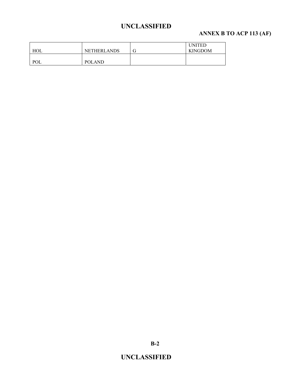# **ANNEX B TO ACP 113 (AF)**

| HOL | <b>NETHERLANDS</b> | <b>UNITED</b><br><b>KINGDOM</b> |
|-----|--------------------|---------------------------------|
| POL | <b>POLAND</b>      |                                 |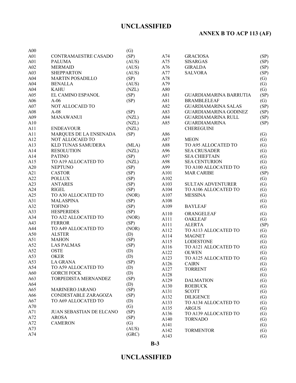# **ANNEX B TO ACP 113 (AF)**

| A00 |                                 | (G)   |                   |                              |                   |
|-----|---------------------------------|-------|-------------------|------------------------------|-------------------|
| A01 | CONTRAMAESTRE CASADO            | (SP)  | A74               | <b>GRACIOSA</b>              | (SP)              |
| A01 | <b>PALUMA</b>                   | (AUS) | A75               | <b>SISARGAS</b>              | (SP)              |
| A02 | <b>MERMAID</b>                  | (AUS) | A76               | <b>GIRALDA</b>               | (SP)              |
| A03 | <b>SHEPPARTON</b>               | (AUS) | A77               | <b>SALVORA</b>               | (SP)              |
| A04 | <b>MARTIN POSADILLO</b>         | (SP)  | A78               |                              | $\left( G\right)$ |
| A04 | <b>BENALLA</b>                  | (AUS) | A79               |                              | (G)               |
| A04 | <b>KAHU</b>                     | (NZL) | A80               |                              | (G)               |
| A05 | EL CAMINO ESPANOL               | (SP)  | A81               | GUARDIAMARINA BARRUTIA       | (SP)              |
| A06 | $A-06$                          | (SP)  | A81               | <b>BRAMBLELEAF</b>           | $\left( G\right)$ |
| A07 | NOT ALLOCAED TO                 |       | A82               | <b>GUARDIAMARINA SALAS</b>   | (SP)              |
| A08 | $A-08$                          | (SP)  | A83               | <b>GUARDIAMARINA GODINEZ</b> | (SP)              |
|     | <b>MANAWANUI</b>                |       | A84               |                              |                   |
| A09 |                                 | (NZL) |                   | <b>GUARDIAMARINA RULL</b>    | (SP)              |
| A10 |                                 | (NZL) | A85               | <b>GUARDIAMARINA</b>         | (SP)              |
| A11 | <b>ENDEAVOUR</b>                | (NZL) |                   | <b>CHEREGUINI</b>            |                   |
| A11 | MARQUES DE LA ENSENADA          | (SP)  | A86               |                              | $\left( G\right)$ |
| A12 | NOT ALLOCAED TO                 |       | A87               | <b>MEON</b>                  | $\left( G\right)$ |
| A13 | KLD TUNAS SAMUDERA              | (MLA) | A88               | TO A95 ALLOCATED TO          | $\left( G\right)$ |
| A14 | <b>RESOLUTION</b>               | (NZL) | A96               | <b>SEA CRUSADER</b>          | (G)               |
| A14 | <b>PATINO</b>                   | (SP)  | A97               | <b>SEA CHIEFTAIN</b>         | (G)               |
| A15 | TO A19 ALLOCATED TO             | (NZL) | A98               | <b>SEA CENTURION</b>         | (G)               |
| A20 | <b>NEPTUNO</b>                  | (SP)  | A99               | TO A100 ALLOCATED TO         | (G)               |
| A21 | <b>CASTOR</b>                   | (SP)  | A <sub>10</sub> 1 | <b>MAR CARIBE</b>            | (SP)              |
| A22 | <b>POLLUX</b>                   | (SP)  | A102              |                              | $\left( G\right)$ |
| A23 | <b>ANTARES</b>                  | (SP)  | A103              | <b>SULTAN ADVENTURER</b>     | $\left( G\right)$ |
| A24 | <b>RIGEL</b>                    | (SP)  | A104              | TO A106 ALLOCATED TO         | (G)               |
| A25 | TO A30 ALLOCATED TO             | (NOR) | A107              | <b>MESSINA</b>               | (G)               |
| A31 | <b>MALASPINA</b>                | (SP)  | A108              |                              | (G)               |
| A32 | <b>TOFINO</b>                   | (SP)  | A109              | <b>BAYLEAF</b>               | (G)               |
| A33 | <b>HESPERIDES</b>               | (SP)  |                   |                              |                   |
| A34 | TO A32 ALLOCATED TO             | (NOR) | A110              | ORANGELEAF                   | (G)               |
| A43 | <b>FERROR</b>                   | (SP)  | A111              | <b>OAKLEAF</b>               | (G)               |
| A44 | TO A49 ALLOCATED TO             | (NOR) | A111              | <b>ALERTA</b>                | (SP)              |
| A50 | <b>ALSTER</b>                   | (D)   | A112              | TO A113 ALLOCATED TO         | $\left( G\right)$ |
| A51 | <b>MAHON</b>                    | (SP)  | A114              | <b>MAGNET</b>                | (G)               |
| A52 | <b>LAS PALMAS</b>               | (SP)  | A115              | <b>LODESTONE</b>             | $\left( G\right)$ |
| A52 | <b>OSTE</b>                     |       | A116              | TO A121 ALLOCATED TO         | $\left( G\right)$ |
| A53 |                                 | (D)   | A122              | <b>OLWEN</b>                 | $\left( G\right)$ |
|     | <b>OKER</b>                     | (D)   | A123              | TO A125 ALLOCATED TO         | $\left( G\right)$ |
| A53 | <b>LA GRANA</b>                 | (SP)  | A126              | <b>CAIRN</b>                 | (G)               |
| A54 | TO A59 ALLOCATED TO             | (D)   | A127              | <b>TORRENT</b>               | $\left( G\right)$ |
| A60 | <b>GORCH FOCK</b>               | (D)   | A128              |                              | (G)               |
| A63 | TORPEDISTA MERNANDEZ            | (SP)  | A129              | <b>DALMATION</b>             | $\left( G\right)$ |
| A64 |                                 | (D)   | A130              | <b>ROEBUCK</b>               | (G)               |
| A65 | MARINERO JARANO                 | (SP)  | A131              | <b>SCOTT</b>                 | $\left( G\right)$ |
| A66 | CONDESTABLE ZARAGOZA            | (SP)  | A132              | <b>DILIGENCE</b>             | $\left( G\right)$ |
| A67 | TO A69 ALLOCATED TO             | (D)   | A133              | TO A134 ALLOCATED TO         | $\left( G\right)$ |
| A70 |                                 | (G)   | A135              | <b>ARGUS</b>                 | $\left( G\right)$ |
| A71 | <b>JUAN SEBASTIAN DE ELCANO</b> | (SP)  | A136              | TO A139 ALLOCATED TO         | $\left( G\right)$ |
| A72 | AROSA                           | (SP)  | A140              | <b>TORNADO</b>               | $\left( G\right)$ |
| A72 | <b>CAMERON</b>                  | (G)   | A141              |                              | $\left( G\right)$ |
| A73 |                                 | (AUS) | A142              | <b>TORMENTOR</b>             | (G)               |
| A74 |                                 | (GRC) | A143              |                              | (G)               |
|     |                                 |       |                   |                              |                   |

**B-3**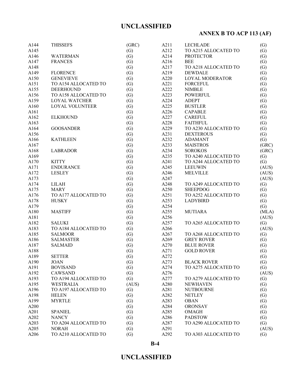# **ANNEX B TO ACP 113 (AF)**

| A144 | <b>THISSEFS</b>      | (GRC) | A211 | <b>LECHLADE</b>      | (G)               |
|------|----------------------|-------|------|----------------------|-------------------|
| A145 |                      | (G)   | A212 | TO A215 ALLOCATED TO | (G)               |
| A146 | <b>WATERMAN</b>      | (G)   | A214 | <b>PROTECTOR</b>     | (G)               |
| A147 | <b>FRANCES</b>       | (G)   | A216 | <b>BEE</b>           | (G)               |
| A148 |                      | (G)   | A217 | TO A218 ALLOCATED TO | (G)               |
| A149 | <b>FLORENCE</b>      | (G)   | A219 | <b>DEWDALE</b>       | (G)               |
| A150 | <b>GENEVIEVE</b>     | (G)   | A220 | LOYAL MODERATOR      | (G)               |
| A151 | TO A154 ALLOCATED TO | (G)   | A221 | <b>FORCEFUL</b>      | (G)               |
| A155 | <b>DEERHOUND</b>     | (G)   | A222 | <b>NIMBLE</b>        | (G)               |
| A156 | TO A158 ALLOCATED TO | (G)   | A223 | <b>POWERFUL</b>      | (G)               |
| A159 | <b>LOYAL WATCHER</b> | (G)   | A224 | <b>ADEPT</b>         | (G)               |
| A160 | LOYAL VOLUNTEER      | (G)   | A225 | <b>BUSTLER</b>       | (G)               |
| A161 |                      | (G)   | A226 | <b>CAPABLE</b>       | (G)               |
| A162 | <b>ELKHOUND</b>      | (G)   | A227 | <b>CAREFUL</b>       | (G)               |
| A163 |                      | (G)   | A228 | <b>FAITHFUL</b>      | $\left( G\right)$ |
| A164 | <b>GOOSANDER</b>     | (G)   | A229 | TO A230 ALLOCATED TO | (G)               |
|      |                      |       |      | <b>DEXTEROUS</b>     |                   |
| A156 |                      | (G)   | A231 |                      | (G)               |
| A166 | <b>KATHLEEN</b>      | (G)   | A232 | <b>ADAMANT</b>       | (G)               |
| A167 |                      | (G)   | A233 | <b>MAISTROS</b>      | (GRC)             |
| A168 | <b>LABRADOR</b>      | (G)   | A234 | <b>SOROKOS</b>       | (GRC)             |
| A169 |                      | (G)   | A235 | TO A240 ALLOCATED TO | (G)               |
| A170 | <b>KITTY</b>         | (G)   | A241 | TO A244 ALLOCATED TO | (G)               |
| A171 | <b>ENDURANCE</b>     | (G)   | A245 | <b>LEEUWIN</b>       | (AUS)             |
| A172 | <b>LESLEY</b>        | (G)   | A246 | <b>MELVILLE</b>      | (AUS)             |
| A173 |                      | (G)   | A247 |                      | (AUS)             |
| A174 | LILAH                | (G)   | A248 | TO A249 ALLOCATED TO | (G)               |
| A175 | <b>MARY</b>          | (G)   | A250 | <b>SHEEPDOG</b>      | (G)               |
| A176 | TO A177 ALLOCATED TO | (G)   | A251 | TO A252 ALLOCATED TO | (G)               |
| A178 | <b>HUSKY</b>         | (G)   | A253 | <b>LADYBIRD</b>      | (G)               |
| A179 |                      | (G)   | A254 |                      | (G)               |
| A180 | <b>MASTIFF</b>       | (G)   | A255 | <b>MUTIARA</b>       | (MLA)             |
| A181 |                      | (G)   | A256 |                      | (AUS)             |
| A182 | <b>SALUKI</b>        | (G)   | A257 | TO A265 ALLOCATED TO | (G)               |
| A183 | TO A184 ALLOCATED TO | (G)   | A266 |                      | (AUS)             |
| A185 | <b>SALMOOR</b>       | (G)   | A267 | TO A268 ALLOCATED TO | (G)               |
| A186 | <b>SALMASTER</b>     | (G)   | A269 | <b>GREY ROVER</b>    | (G)               |
| A187 | <b>SALMAID</b>       | (G)   | A270 | <b>BLUE ROVER</b>    | (G)               |
| A188 |                      | (G)   | A271 | <b>GOLD ROVER</b>    | (G)               |
| A189 | <b>SETTER</b>        | (G)   | A272 |                      | $\left( G\right)$ |
| A190 | <b>JOAN</b>          | (G)   | A273 | <b>BLACK ROVER</b>   | (G)               |
| A191 | <b>BOVISAND</b>      | (G)   | A274 | TO A275 ALLOCATED TO | (G)               |
| A192 | CAWSAND              | (G)   | A276 |                      | (AUS)             |
| A193 | TO A194 ALLOCATED TO | (G)   | A277 | TO A279 ALLOCATED TO | $\left( G\right)$ |
| A195 | <b>WESTRALIA</b>     | (AUS) | A280 | <b>NEWHAVEN</b>      | (G)               |
| A196 | TO A197 ALLOCATED TO | (G)   | A281 | <b>NUTBOURNE</b>     | (G)               |
| A198 | <b>HELEN</b>         | (G)   | A282 | <b>NETLEY</b>        | (G)               |
| A199 | <b>MYRTLE</b>        | (G)   | A283 | <b>OBAN</b>          | (G)               |
| A200 |                      | (G)   | A284 | <b>ORONSAY</b>       | (G)               |
| A201 | <b>SPANIEL</b>       | (G)   | A285 | <b>OMAGH</b>         | (G)               |
| A202 | <b>NANCY</b>         | (G)   | A286 | <b>PADSTOW</b>       | (G)               |
| A203 | TO A204 ALLOCATED TO | (G)   | A287 | TO A290 ALLOCATED TO | (G)               |
| A205 | <b>NORAH</b>         | (G)   | A291 |                      | (AUS)             |
| A206 | TO A210 ALLOCATED TO | (G)   | A292 | TO A303 ALLOCATED TO | (G)               |
|      |                      |       |      |                      |                   |

**B-4**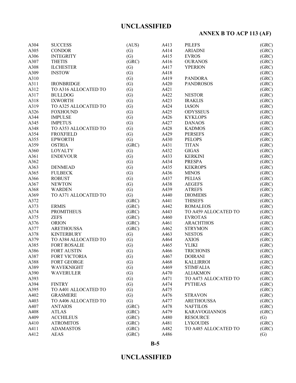# **ANNEX B TO ACP 113 (AF)**

| A304 | <b>SUCCESS</b>       | (AUS)             | A413 | <b>PILEFS</b>        | (GRC) |
|------|----------------------|-------------------|------|----------------------|-------|
| A305 | <b>CONDOR</b>        | (G)               | A414 | <b>ARIADNI</b>       | (GRC) |
| A306 | <b>INTEGRITY</b>     | (G)               | A415 | <b>EVROS</b>         | (GRC) |
| A307 | <b>THETIS</b>        | (GRC)             | A416 | <b>OURANOS</b>       | (GRC) |
| A308 | <b>ILCHESTER</b>     | (G)               | A417 | <b>YPERION</b>       | (GRC) |
| A309 | <b>INSTOW</b>        | (G)               | A418 |                      | (GRC) |
| A310 |                      | (G)               | A419 | <b>PANDORA</b>       | (GRC) |
| A311 | <b>IRONBRIDGE</b>    | (G)               | A420 | <b>PANDROSOS</b>     | (GRC) |
| A312 | TO A316 ALLOCATED TO | (G)               | A421 |                      | (GRC) |
| A317 | <b>BULLDOG</b>       | (G)               | A422 | <b>NESTOR</b>        | (GRC) |
| A318 | <b>IXWORTH</b>       | (G)               | A423 | <b>IRAKLIS</b>       | (GRC) |
| A319 | TO A325 ALLOCATED TO | (G)               | A424 | <b>IASON</b>         | (GRC) |
| A326 | <b>FOXHOUND</b>      | (G)               | A425 | <b>ODYSSEUS</b>      | (GRC) |
| A344 | <b>IMPULSE</b>       | (G)               | A426 | <b>KYKLOPS</b>       | (GRC) |
| A345 | <b>IMPETUS</b>       | (G)               | A427 | <b>DANAOS</b>        | (GRC) |
| A348 | TO A353 ALLOCATED TO | (G)               | A428 | <b>KADMOS</b>        | (GRC) |
| A354 | <b>FROXFIELD</b>     | (G)               | A429 | <b>PERSEFS</b>       | (GRC) |
|      | <b>EPWORTH</b>       |                   |      |                      |       |
| A355 |                      | (G)               | A430 | <b>PELOPS</b>        | (GRC) |
| A359 | <b>OSTRIA</b>        | (GRC)             | A431 | <b>TITAN</b>         | (GRC) |
| A360 | <b>LOYALTY</b>       | (G)               | A432 | <b>GIGAS</b>         | (GRC) |
| A361 | <b>ENDEVOUR</b>      | (G)               | A433 | <b>KERKINI</b>       | (GRC) |
| A362 |                      | (G)               | A434 | <b>PRESPA</b>        | (GRC) |
| A363 | <b>DENMEAD</b>       | (G)               | A435 | <b>KEKROPS</b>       | (GRC) |
| A365 | <b>FULBECK</b>       | (G)               | A436 | <b>MINOS</b>         | (GRC) |
| A366 | <b>ROBUST</b>        | (G)               | A437 | <b>PELIAS</b>        | (GRC) |
| A367 | <b>NEWTON</b>        | (G)               | A438 | <b>AEGEFS</b>        | (GRC) |
| A368 | <b>WARDEN</b>        | (G)               | A439 | <b>ATREFS</b>        | (GRC) |
| A369 | TO A371 ALLOCATED TO | (G)               | A440 | <b>DIOMIDIS</b>      | (GRC) |
| A372 |                      | (GRC)             | A441 | <b>THISEFS</b>       | (GRC) |
| A373 | <b>ERMIS</b>         | (GRC)             | A442 | <b>ROMALEOS</b>      | (GRC) |
| A374 | <b>PROMITHEUS</b>    | (GRC)             | A443 | TO A459 ALLOCATED TO | (GRC) |
| A375 | <b>ZEFS</b>          | (GRC)             | A460 | <b>EVROTAS</b>       | (GRC) |
| A376 | <b>ORION</b>         | (GRC)             | A461 | <b>ARACHTHOS</b>     | (GRC) |
| A377 | <b>ARETHOUSSA</b>    | (GRC)             | A462 | <b>STRYMON</b>       | (GRC) |
| A378 | <b>KINTERBURY</b>    | (G)               | A463 | <b>NESTOS</b>        | (GRC) |
| A379 | TO A384 ALLOCATED TO | (G)               | A464 | <b>AXIOS</b>         | (GRC) |
| A385 | <b>FORT ROSALIE</b>  | (G)               | A465 | <b>YLIKI</b>         | (GRC) |
| A386 | <b>FORT AUSTIN</b>   | (G)               | A466 | <b>TRICHONIS</b>     | (GRC) |
| A387 | FORT VICTORIA        | (G)               | A467 | <b>DOIRANI</b>       | (GRC) |
| A388 | FORT GEORGE          | (G)               | A468 | <b>KALLIRROI</b>     | (GRC) |
| A389 | <b>WAVEKNIGHT</b>    | (G)               | A469 | <b>STIMFALIA</b>     | (GRC) |
| A390 | <b>WAVERULER</b>     | (G)               | A470 | <b>ALIAKMON</b>      | (GRC) |
| A393 |                      | $\left( G\right)$ | A471 | TO A473 ALLOCATED TO | (GRC) |
| A394 | <b>FINTRY</b>        | (G)               | A474 | <b>PYTHEAS</b>       | (GRC) |
| A395 | TO A401 ALLOCATED TO | (G)               | A475 |                      | (GRC) |
| A402 | <b>GRASMERE</b>      | (G)               | A476 | <b>STRAVON</b>       | (GRC) |
| A403 | TO A406 ALLOCATED TO | (G)               | A477 | <b>ARETHOUSSA</b>    | (GRC) |
| A407 | <b>ANTAIOS</b>       | (GRC)             | A478 | <b>NAFTILOS</b>      | (GRC) |
| A408 | <b>ATLAS</b>         | (GRC)             | A479 | <b>KARAVOGIANNOS</b> | (GRC) |
| A409 | <b>ACCHILEUS</b>     | (GRC)             | A480 | <b>RESOURCE</b>      | (G)   |
| A410 | <b>ATROMITOS</b>     | (GRC)             | A481 | <b>LYKOUDIS</b>      | (GRC) |
| A411 | <b>ADAMASTOS</b>     | (GRC)             | A482 | TO A485 ALLOCATED TO | (GRC) |
| A412 | <b>AEAS</b>          | (GRC)             | A486 |                      | (G)   |
|      |                      |                   |      |                      |       |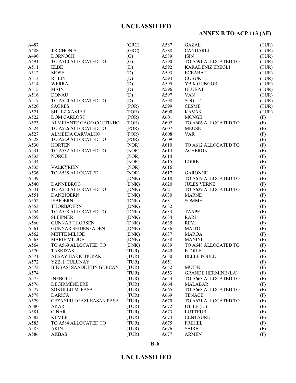# **ANNEX B TO ACP 113 (AF)**

| A487 |                                 | (GRC) | A587         | <b>GAZAL</b>                     | (TUR) |
|------|---------------------------------|-------|--------------|----------------------------------|-------|
| A488 | <b>TRICHONIS</b>                | (GRC) | A588         | <b>CANDARLI</b>                  | (TUR) |
| A490 | <b>DORNOCH</b>                  | (G)   | A589         | <b>ISIN</b>                      | (TUR) |
| A491 | TO A510 ALLOCATED TO            | (G)   | A590         | TO A591 ALLOCATED TO             | (TUR) |
| A511 | <b>ELBE</b>                     | (D)   | A592         | <b>KARADENIZ EREGLI</b>          | (TUR) |
| A512 | <b>MOSEL</b>                    | (D)   | A593         | <b>ECEABAT</b>                   | (TUR) |
| A513 | <b>RHEIN</b>                    | (D)   | A594         | <b>CUBUKLU</b>                   | (TUR) |
| A514 | <b>WERRA</b>                    | (D)   | A595         | YB.K.GUNGOR                      | (TUR) |
| A515 | <b>MAIN</b>                     | (D)   | A596         | <b>ULUBAT</b>                    | (TUR) |
| A516 | <b>DONAU</b>                    | (D)   | A597         | <b>VAN</b>                       | (TUR) |
| A517 | TO A520 ALLOCATED TO            | (D)   | A598         | <b>SOGUT</b>                     | (TUR) |
| A520 | <b>SAGRES</b>                   | (POR) | A599         | <b>CESME</b>                     | (TUR) |
| A521 | <b>SHULZ XAVIER</b>             | (POR) | A600         | <b>KAVAK</b>                     | (TUR) |
| A522 | <b>DOM CARLOS I</b>             | (POR) | A601         | <b>MONGE</b>                     | (F)   |
| A523 | ALMIRANTE GAGO COUTINHO         | (POR) | A602         | TO A606 ALLOCATED TO             | (F)   |
| A524 | TO A526 ALLOCATED TO            | (POR) | A607         | <b>MEUSE</b>                     | (F)   |
| A527 | ALMEIDA CARVALHO                | (POR) | A608         | <b>VAR</b>                       | (F)   |
| A528 | TO A529 ALLOCATED TO            | (POR) | A609         |                                  | (F)   |
| A530 | <b>HORTEN</b>                   | (NOR) | A610         | TO A612 ALLOCATED TO             | (F)   |
| A531 | TO A532 ALLOCATED TO            | (NOR) | A613         | <b>ACHERON</b>                   | (F)   |
| A533 | <b>NORGE</b>                    | (NOR) | A614         |                                  | (F)   |
| A534 |                                 | (NOR) | A615         | <b>LOIRE</b>                     | (F)   |
| A535 | <b>VALKYRIEN</b>                | (NOR) | A616         |                                  | (F)   |
| A536 | TO A538 ALLOCATED               | (NOR) | A617         | <b>GARONNE</b>                   | (F)   |
| A539 |                                 | (DNK) | A618         | TO A619 ALLOCATED TO             | (F)   |
| A540 | <b>DANNEBROG</b>                | (DNK) | A620         | <b>JULES VERNE</b>               | (F)   |
| A541 | TO A550 ALLOCATED TO            | (DNK) | A621         | TO A629 ALLOCATED TO             | (F)   |
| A551 | <b>DANBJOERN</b>                | (DNK) | A630         | <b>MARNE</b>                     | (F)   |
| A552 | <b>ISBJOERN</b>                 | (DNK) | A631         | <b>SOMME</b>                     | (F)   |
| A553 | <b>THORBJOERN</b>               | (DNK) | A632         |                                  | (F)   |
| A554 | TO A558 ALLOCATED TO            | (DNK) | A633         | <b>TAAPE</b>                     | (F)   |
| A559 | <b>SLEIPNER</b>                 | (DNK) | A634         | <b>RARI</b>                      | (F)   |
| A560 | <b>GUNNAR THORSEN</b>           | (DNK) | A635         | <b>REVI</b>                      | (F)   |
| A561 | <b>GUNNAR SEIDENFADEN</b>       | (DNK) | A636         | <b>MAITO</b>                     | (F)   |
| A562 | <b>METTE MILJOE</b>             | (DNK) | A637         | <b>MAROA</b>                     | (F)   |
| A563 | <b>MARIE MILJOE</b>             | (DNK) | A638         | <b>MANINI</b>                    | (F)   |
| A564 | TO A569 ALLOCATED TO            | (DNK) | A639         | TO A648 ALLOCATED TO             | (F)   |
| A570 | <b>TASKIZAK</b>                 | (TUR) | A649         | <b>ETOILE</b>                    | (F)   |
| A571 | ALBAY HAKKI BURAK               | (TUR) | A650         | <b>BELLE POULE</b>               | (F)   |
| A572 | YZB. I. TULUNAY                 | (TUR) | A651         |                                  | (F)   |
| A573 | <b>BINBASI SAADETTIN GURCAN</b> | (TUR) | A652         | <b>MUTIN</b>                     | (F)   |
| A574 |                                 | (TUR) | A653         | <b>GRANDE HERMINE (LA)</b>       | (F)   |
| A575 | <b>INEBOLU</b>                  | (TUR) | A654         | TO A663 ALLOCATED TO             | (F)   |
| A576 | DEGIRMENDERE                    | (TUR) | A664         | <b>MALABAR</b>                   | (F)   |
| A577 | <b>SOKULLU M. PASA</b>          | (TUR) | A665         | TO A668 ALLOCATED TO             | (F)   |
| A578 | <b>DARICA</b>                   | (TUR) | A669         | <b>TENACE</b>                    | (F)   |
| A579 | CEZAYIRLI GAZI HASAN PASA       | (TUR) | A670         | TO A671 ALLOCATED TO             | (F)   |
| A580 | <b>AKAR</b>                     | (TUR) | A672         |                                  |       |
| A581 | <b>CINAR</b>                    | (TUR) | A673         | UTILE $(L')$<br><b>LUTTEUR</b>   | (F)   |
| A582 | <b>KEMER</b>                    | (TUR) |              |                                  | (F)   |
| A583 | TO A584 ALLOCATED TO            | (TUR) | A674<br>A675 | <b>CENTAURE</b><br><b>FREHEL</b> | (F)   |
| A585 |                                 |       |              |                                  | (F)   |
|      | <b>AKIN</b>                     | (TUR) | A676         | <b>SAIRE</b>                     | (F)   |
| A586 | <b>AKBAS</b>                    | (TUR) | A677         | <b>ARMEN</b>                     | (F)   |

**B-6**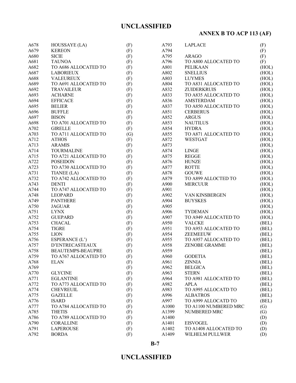# **ANNEX B TO ACP 113 (AF)**

| A678       | HOUSSAYE (LA)            | (F) | A793  | <b>LAPLACE</b>        | (F)               |
|------------|--------------------------|-----|-------|-----------------------|-------------------|
| A679       | <b>KEREON</b>            |     | A794  |                       |                   |
| A680       | <b>SICIE</b>             | (F) | A795  | <b>ARAGO</b>          | (F)               |
|            | <b>TAUNOA</b>            | (F) | A796  |                       | (F)               |
| A681       |                          | (F) |       | TO A800 ALLOCATED TO  | (F)               |
| A682       | TO A686 ALLOCATED TO     | (F) | A801  | PELIKAAN              | (HOL)             |
| A687       | <b>LABORIEUX</b>         | (F) | A802  | <b>SNELLIUS</b>       | (HOL)             |
| A688       | <b>VALEUREUX</b>         | (F) | A803  | <b>LUYMES</b>         | (HOL)             |
| A689       | TO A691 ALLOCATED TO     | (F) | A804  | TO A831 ALLOCATED TO  | (HOL)             |
| A692       | <b>TRAVAILEUR</b>        | (F) | A832  | <b>ZUIDERKRUIS</b>    | (HOL)             |
| A693       | <b>ACHARNE</b>           | (F) | A833  | TO A835 ALLOCATED TO  | (HOL)             |
| A694       | <b>EFFICACE</b>          | (F) | A836  | <b>AMSTERDAM</b>      | (HOL)             |
| A695       | <b>BELIER</b>            | (F) | A837  | TO A850 ALLOCATED TO  | (HOL)             |
| A696       | <b>BUFFLE</b>            | (F) | A851  | <b>CERBERUS</b>       | (HOL)             |
| A697       | <b>BISON</b>             | (F) | A852  | <b>ARGUS</b>          | (HOL)             |
| A698       | TO A701 ALLOCATED TO     | (F) | A853  | <b>NAUTILUS</b>       | (HOL)             |
| $\rm A702$ | <b>GIRELLE</b>           | (F) | A854  | <b>HYDRA</b>          | (HOL)             |
| A703       | TO A711 ALLOCATED TO     | (G) | A855  | TO A871 ALLOCATED TO  | (HOL)             |
| A712       | <b>ATHOS</b>             | (F) | A872  | <b>WESTGAT</b>        | (HOL)             |
| A713       | <b>ARAMIS</b>            | (F) | A873  |                       | (HOL)             |
| A714       | <b>TOURMALINE</b>        | (F) | A874  | <b>LINGE</b>          | (HOL)             |
| A715       | TO A721 ALLOCATED TO     | (F) | A875  | <b>REGGE</b>          | (HOL)             |
| A722       | <b>POSEIDON</b>          | (F) | A876  | <b>HUNZE</b>          | (HOL)             |
| A723       | TO A730 ALLOCATED TO     | (F) | A877  | <b>ROTTE</b>          | (HOL)             |
| A731       | TIANEE (LA)              | (F) | A878  | <b>GOUWE</b>          | (HOL)             |
| A732       | TO A742 ALLOCATED TO     | (F) | A879  | TO A899 ALLOCTED TO   | (HOL)             |
| A743       | <b>DENTI</b>             | (F) | A900  | <b>MERCUUR</b>        | (HOL)             |
| A744       | TO A747 ALLOCATED TO     | (F) | A901  |                       | (HOL)             |
| A748       | <b>LEOPARD</b>           |     | A902  | VAN KINSBERGEN        |                   |
|            |                          | (F) |       |                       | (HOL)             |
| A749       | <b>PANTHERE</b>          | (F) | A904  | <b>BUYSKES</b>        | (HOL)             |
| A750       | <b>JAGUAR</b>            | (F) | A905  |                       | (HOL)             |
| A751       | <b>LYNX</b>              | (F) | A906  | <b>TYDEMAN</b>        | (HOL)             |
| A752       | <b>GUEPARD</b>           | (F) | A907  | TO A949 ALLOCATED TO  | (HOL)             |
| A753       | <b>CHACAL</b>            | (F) | A950  | <b>VALCKE</b>         | (BEL)             |
| A754       | <b>TIGRE</b>             | (F) | A951  | TO A953 ALLOCATED TO  | (BEL)             |
| A755       | <b>LION</b>              | (F) | A954  | <b>ZEEMEEUW</b>       | (BEL)             |
| A756       | ESPERANCE (L')           | (F) | A955  | TO A957 ALLOCATED TO  | (BEL)             |
| A757       | D'ENTRECASTEAUX          | (F) | A958  | ZENOBE GRAMME         | (BEL)             |
| A758       | <b>BEAUTEMPS-BEAUPRE</b> | (F) | A959  |                       | (BEL)             |
| A759       | TO A767 ALLOCATED TO     | (F) | A960  | <b>GODETIA</b>        | (BEL)             |
| A768       | <b>ELAN</b>              | (F) | A961  | <b>ZINNIA</b>         | (BEL)             |
| A769       |                          | (F) | A962  | <b>BELGICA</b>        | (BEL)             |
| A770       | <b>GLYCINE</b>           | (F) | A963  | <b>STERN</b>          | (BEL)             |
| A771       | <b>EGLANTINE</b>         | (F) | A964  | TO A981 ALLOCATED TO  | (BEL)             |
| A772       | TO A773 ALLOCATED TO     | (F) | A982  | <b>APLA</b>           | (BEL)             |
| A774       | <b>CHEVREUIL</b>         | (F) | A983  | TO A995 ALLOCATD TO   | (BEL)             |
| A775       | <b>GAZELLE</b>           | (F) | A996  | <b>ALBATROS</b>       | (BEL)             |
| A776       | <b>ISARD</b>             | (F) | A997  | TO A999 ALLOCATD TO   | (BEL)             |
| A777       | TO A784 ALLOCATED TO     | (F) | A1000 | TO A1100 NUMBERED MRC | (G)               |
| A785       | <b>THETIS</b>            | (F) | A1399 | NUMBERED MRC          | $\left( G\right)$ |
| A786       | TO A789 ALLOCATED TO     | (F) | A1400 |                       | (D)               |
| A790       | <b>CORALLINE</b>         | (F) | A1401 | <b>EISVOGEL</b>       | (D)               |
| A791       | <b>LAPEROUSE</b>         | (F) | A1402 | TO A1408 ALLOCATED TO | (D)               |
| A792       | <b>BORDA</b>             | (F) | A1409 | WILHELM PULLWER       |                   |
|            |                          |     |       |                       | (D)               |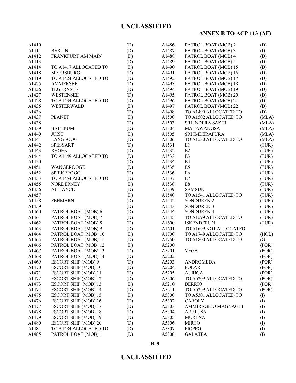# **ANNEX B TO ACP 113 (AF)**

| A1410 |                             | (D) | A1486             | PATROL BOAT (MOB) 2    | (D)       |
|-------|-----------------------------|-----|-------------------|------------------------|-----------|
| A1411 | <b>BERLIN</b>               | (D) | A1487             | PATROL BOAT (MOB) 3    | (D)       |
| A1412 | FRANKFURT AM MAIN           | (D) | A1488             | PATROL BOAT (MOB) 4    | (D)       |
| A1413 |                             | (D) | A1489             | PATROL BOAT (MOB) 5    | (D)       |
| A1414 | TO A1417 ALLOCATED TO       | (D) | A1490             | PATROL BOAT (MOB) 15   | (D)       |
| A1418 | <b>MEERSBURG</b>            | (D) | A1491             | PATROL BOAT (MOB) 16   | (D)       |
| A1419 | TO A1424 ALLOCATED TO       | (D) | A1492             | PATROL BOAT (MOB) 17   | (D)       |
| A1425 | <b>AMMERSEE</b>             | (D) | A1493             | PATROL BOAT (MOB) 18   | (D)       |
| A1426 | <b>TEGERNSEE</b>            | (D) | A1494             | PATROL BOAT (MOB) 19   | (D)       |
| A1427 | <b>WESTENSEE</b>            | (D) | A1495             | PATROL BOAT (MOB) 20   | (D)       |
| A1428 | TO A1434 ALLOCATED TO       | (D) | A1496             | PATROL BOAT (MOB) 21   | (D)       |
| A1435 | WESTERWALD                  | (D) | A1497             | PATROL BOAT (MOB) 22   | (D)       |
| A1436 |                             | (D) | A1498             | TO A1499 ALLOCATED TO  | (D)       |
| A1437 | <b>PLANET</b>               | (D) | A1500             | TO A1502 ALLOCATED TO  | (MLA)     |
| A1438 |                             | (D) | A1503             | SRI INDERA SAKTI       | (MLA)     |
| A1439 | <b>BALTRUM</b>              | (D) | A1504             | MAHAWANGSA             | (MLA)     |
| A1440 | <b>JUIST</b>                | (D) | A1505             | SRI IMDERAPURA         | (MLA)     |
|       |                             |     |                   | TO A1530 ALLOCATED TO  |           |
| A1441 | LANGEOOG                    | (D) | A1506             |                        | (MLA)     |
| A1442 | <b>SPESSART</b>             | (D) | A1531             | E1                     | (TUR)     |
| A1443 | <b>RHOEN</b>                | (D) | A <sub>1532</sub> | E2                     | (TUR)     |
| A1444 | TO A1449 ALLOCATED TO       | (D) | A1533             | E3                     | (TUR)     |
| A1450 |                             | (D) | A1534             | E <sub>4</sub>         | (TUR)     |
| A1451 | WANGEROOGE                  | (D) | A1535             | E <sub>5</sub>         | (TUR)     |
| A1452 | <b>SPIEKEROGG</b>           | (D) | A1536             | E <sub>6</sub>         | (TUR)     |
| A1453 | TO A1454 ALLOCATED TO       | (D) | A1537             | E7                     | (TUR)     |
| A1455 | <b>NORDERNEY</b>            | (D) | A1538             | E8                     | (TUR)     |
| A1456 | <b>ALLIANCE</b>             | (D) | A1539             | <b>SAMSUN</b>          | (TUR)     |
| A1457 |                             | (D) | A1540             | TO A1541 ALLOCATED TO  | (TUR)     |
| A1458 | <b>FEHMARN</b>              | (D) | A1542             | <b>SONDUREN 2</b>      | (TUR)     |
| A1459 |                             | (D) | A1543             | <b>SONDUREN 3</b>      | (TUR)     |
| A1460 | PATROL BOAT (MOB) 6         | (D) | A1544             | <b>SONDUREN 4</b>      | (TUR)     |
| A1461 | PATROL BOAT (MOB) 7         | (D) | A1545             | TO A1599 ALLOCATED TO  | (TUR)     |
| A1462 | PATROL BOAT (MOB) 8         | (D) | A1600             | <b>ISKENDERUN</b>      | (TUR)     |
| A1463 | PATROL BOAT (MOB) 9         | (D) | A1601             | TO A1699 NOT ALLOCATED |           |
| A1464 | PATROL BOAT (MOB) 10        | (D) | A1700             | TO A1749 ALLOCATED TO  | (HOL)     |
| A1465 | PATROL BOAT (MOB) 11        | (D) | A1750             | TO A1800 ALLOCATED TO  | (G)       |
| A1466 | PATROL BOAT (MOB) 12        | (D) | A5200             |                        | (POR)     |
| A1467 | PATROL BOAT (MOB) 13        | (D) | A5201             | <b>VEGA</b>            | (POR)     |
| A1468 | PATROL BOAT (MOB) 14        | (D) | A5202             |                        | (POR)     |
| A1469 | <b>ESCORT SHIP (MOB) 9</b>  | (D) | A5203             | <b>ANDROMEDA</b>       | (POR)     |
| A1470 | <b>ESCORT SHIP (MOB) 10</b> | (D) | A5204             | <b>POLAR</b>           | (POR)     |
| A1471 | <b>ESCORT SHIP (MOB) 11</b> | (D) | A5205             | <b>AURIGA</b>          | (POR)     |
| A1472 | <b>ESCORT SHIP (MOB) 12</b> | (D) | A5206             | TO A5209 ALLOCATED TO  | (POR)     |
| A1473 | <b>ESCORT SHIP (MOB) 13</b> | (D) | A5210             | <b>BERRIO</b>          | (POR)     |
| A1474 | <b>ESCORT SHIP (MOB) 14</b> | (D) | A5211             | TO A5299 ALLOCATED TO  | (POR)     |
| A1475 | <b>ESCORT SHIP (MOB) 15</b> | (D) | A5300             | TO A5301 ALLOCATED TO  | (I)       |
| A1476 | <b>ESCORT SHIP (MOB) 16</b> | (D) | A5302             | <b>CAROLY</b>          | (I)       |
| A1477 | <b>ESCORT SHIP (MOB) 17</b> | (D) | A5303             | AMMIRAGLIO MAGNAGHI    | $\rm (I)$ |
| A1478 | <b>ESCORT SHIP (MOB) 18</b> | (D) | A5304             | <b>ARETUSA</b>         | $\rm (I)$ |
| A1479 | <b>ESCORT SHIP (MOB) 19</b> | (D) | A5305             | <b>MURENA</b>          | $\rm (I)$ |
| A1480 | <b>ESCORT SHIP (MOB) 20</b> | (D) | A5306             | <b>MIRTO</b>           | (I)       |
| A1481 | TO A1484 ALLOCATED TO       | (D) | A5307             | <b>PIOPPO</b>          | (I)       |
| A1485 | PATROL BOAT (MOB) 1         | (D) | A5308             | <b>GALATEA</b>         | (1)       |
|       |                             |     |                   |                        |           |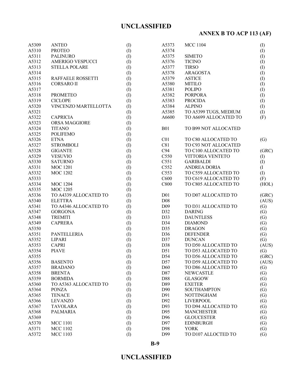# **ANNEX B TO ACP 113 (AF)**

| A5309 | <b>ANTEO</b>            | (I)       | A5373            | <b>MCC 1104</b>       | (I)               |
|-------|-------------------------|-----------|------------------|-----------------------|-------------------|
| A5310 | <b>PROTEO</b>           | (1)       | A5374            |                       | (1)               |
| A5311 | <b>PALINURO</b>         | (1)       | A5375            | <b>SIMETO</b>         | (1)               |
| A5312 | <b>AMERIGO VESPUCCI</b> | (I)       | A5376            | <b>TICINO</b>         | (1)               |
| A5313 | <b>STELLA POLARE</b>    | (I)       | A5377            | <b>TIRSO</b>          | (1)               |
| A5314 |                         | (I)       | A5378            | <b>ARAGOSTA</b>       | (1)               |
| A5315 | RAFFAELE ROSSETTI       | (1)       | A5379            | <b>ASTICE</b>         | (1)               |
| A5316 | <b>CORSARO II</b>       | (1)       | A5380            | <b>MITILO</b>         | (1)               |
| A5317 |                         | (1)       | A5381            | <b>POLIPO</b>         | (1)               |
| A5318 | <b>PROMETEO</b>         | (I)       | A5382            | <b>PORPORA</b>        | (1)               |
| A5319 | <b>CICLOPE</b>          | (I)       | A5383            | <b>PROCIDA</b>        | (1)               |
| A5320 | VINCENZO MARTELLOTTA    | (I)       | A5384            | <b>ALPINO</b>         | $\left( I\right)$ |
| A5321 |                         | (I)       | A5385            | TO A5399 TUGS, MEDIUM | (1)               |
| A5322 | <b>CAPRICIA</b>         | (1)       | A6600            | TO A6699 ALLOCATED TO | (F)               |
| A5323 | ORSA MAGGIORE           | (I)       |                  |                       |                   |
| A5324 | <b>TITANO</b>           |           | <b>B01</b>       | TO B99 NOT ALLOCATED  |                   |
| A5325 | <b>POLIFEMO</b>         | (I)       |                  |                       |                   |
|       |                         | (I)       |                  |                       |                   |
| A5326 | <b>ETNA</b>             | (I)       | C <sub>01</sub>  | TO C80 ALLOCATED TO   | (G)               |
| A5327 | <b>STROMBOLI</b>        | (I)       | C81              | TO C93 NOT ALLOCATED  |                   |
| A5328 | <b>GIGANTE</b>          | (I)       | C94              | TO C100 ALLOCATED TO  | (GRC)             |
| A5329 | <b>VESUVIO</b>          | (I)       | C550             | VITTORIA VENTETO      | $\rm (I)$         |
| A5330 | <b>SATURNO</b>          | (I)       | C551             | <b>GARIBALDI</b>      | (I)               |
| A5331 | <b>MOC 1201</b>         | (I)       | C552             | <b>ANDREA DORIA</b>   | $\overline{I}$    |
| A5332 | <b>MOC 1202</b>         | (I)       | C553             | TO C559 ALLOCATED TO  | (1)               |
| A5333 |                         | (I)       | C600             | TO C619 ALLOCATED TO  | (F)               |
| A5334 | <b>MOC 1204</b>         | (1)       | C800             | TO C805 ALLOCATED TO  | (HOL)             |
| A5335 | <b>MOC 1205</b>         | (I)       |                  |                       |                   |
| A5336 | TO A4339 ALLOCATED TO   | (I)       | D <sub>01</sub>  | TO D07 ALLOCATED TO   | (GRC)             |
| A5340 | <b>ELETTRA</b>          | (I)       | D <sub>0</sub> 8 |                       | (AUS)             |
| A5341 | TO A4346 ALLOCATED TO   | (I)       | D <sub>09</sub>  | TO D31 ALLOCATED TO   | (G)               |
| A5347 | <b>GORGONA</b>          | (I)       | D32              | <b>DARING</b>         | (G)               |
| A5348 | <b>TREMITI</b>          | (I)       | D33              | <b>DAUNTLESS</b>      | (G)               |
| A5349 | <b>CAPRERA</b>          | (1)       | D34              | <b>DIAMOND</b>        | (G)               |
| A5350 |                         | (I)       | D35              | <b>DRAGON</b>         | (G)               |
| A5351 | PANTELLERIA             | (I)       | D36              | <b>DEFENDER</b>       | (G)               |
| A5352 | <b>LIPARI</b>           | (I)       | D37              | <b>DUNCAN</b>         | (G)               |
| A5353 | <b>CAPRI</b>            | (1)       | D38              | TO D50 ALLOCATED TO   | (AUS)             |
| A5354 | <b>PIAVE</b>            | (1)       | D51              | TO D53 ALLOCATED TO   | (G)               |
| A5355 |                         | (1)       | D54              | TO D56 ALLOCATED TO   | (GRC)             |
| A5356 | <b>BASENTO</b>          | $\rm (I)$ | D57              | TO D59 ALLOCATED TO   | (AUS)             |
| A5357 | <b>BRADANO</b>          | (1)       | D <sub>60</sub>  | TO D86 ALLOCATED TO   | (G)               |
| A5358 | <b>BRENTA</b>           | $\rm (I)$ | D87              | <b>NEWCASTLE</b>      | (G)               |
| A5359 | <b>BORMIDA</b>          | $\rm (I)$ | D88              | <b>GLASGOW</b>        | (G)               |
| A5360 | TO A5363 ALLOCATED TO   | (I)       | D89              | <b>EXETER</b>         | (G)               |
| A5364 | <b>PONZA</b>            | (I)       | D90              | <b>SOUTHAMPTON</b>    | (G)               |
| A5365 | <b>TENACE</b>           | (I)       | D91              | <b>NOTTINGHAM</b>     | (G)               |
| A5366 | <b>LEVANZO</b>          | (I)       | D92              | <b>LIVERPOOL</b>      | (G)               |
| A5367 | <b>TAVOLARA</b>         | (I)       | D93              | TO D94 ALLOCATED TO   | (G)               |
| A5368 | <b>PALMARIA</b>         | (I)       | D95              | <b>MANCHESTER</b>     | (G)               |
| A5369 |                         | (I)       | D <sub>96</sub>  | <b>GLOUCESTER</b>     | (G)               |
| A5370 | <b>MCC 1101</b>         |           | D97              | <b>EDINBURGH</b>      | (G)               |
| A5371 | <b>MCC 1102</b>         | (1)       | D98              | <b>YORK</b>           |                   |
|       |                         | (I)       |                  |                       | (G)               |
| A5372 | <b>MCC 1103</b>         | (I)       | D99              | TO D107 ALLOCTED TO   | (G)               |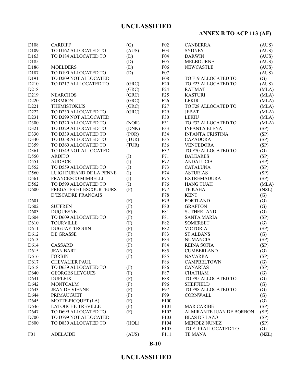# **ANNEX B TO ACP 113 (AF)**

| D108              | <b>CARDIFF</b>            | (G)   | F02              | <b>CANBERRA</b>          | (AUS)                     |
|-------------------|---------------------------|-------|------------------|--------------------------|---------------------------|
| D109              | TO D162 ALLOCATED TO      | (AUS) | F <sub>0</sub> 3 | <b>SYDNEY</b>            | (AUS)                     |
| D163              | TO D184 ALLOCATED TO      | (D)   | F04              | <b>DARWIN</b>            | (AUS)                     |
| D185              |                           | (D)   | F <sub>05</sub>  | <b>MELBOURNE</b>         | (AUS)                     |
| D186              | <b>MOELDERS</b>           | (D)   | F <sub>06</sub>  | <b>NEWCASTLE</b>         | (AUS)                     |
| D187              | TO D190 ALLOCATED TO      | (D)   | F07              |                          | (AUS)                     |
| D191              | TO D209 NOT ALLOCATED     |       | <b>F08</b>       | TO F19 ALLOCATED TO      | (G)                       |
| D210              | TO D217 ALLLOCATED TO     | (GRC) | F20              | TO F23 ALLOCATED TO      | (AUS)                     |
| D218              |                           | (GRC) | F24              | <b>RAHMAT</b>            | (MLA)                     |
| D219              | <b>NEARCHOS</b>           | (GRC) | F25              | <b>KASTURI</b>           | (MLA)                     |
| D220              | <b>FORMION</b>            | (GRC) | F26              | <b>LEKIR</b>             | (MLA)                     |
| D221              | <b>THEMISTOKLIS</b>       | (GRC) | F27              | TO F28 ALLOCATED TO      | (MLA)                     |
| D222              | TO D230 ALLOCATED TO      | (GRC) | F29              | <b>JEBAT</b>             | (MLA)                     |
| D231              | TO D299 NOT ALLOCATED     |       | F30              | <b>LEKIU</b>             | (MLA)                     |
| D300              | TO D320 ALLOCATED TO      | (NOR) | F31              | TO F32 ALLOCATED TO      | (MLA)                     |
| D321              | TO D329 ALLOCATED TO      | (DNK) | F33              | <b>INFANTA ELENA</b>     | (SP)                      |
| D330              | TO D339 ALLOCATED TO      | (POR) | F34              | <b>INFANTA CRISTINA</b>  | (SP)                      |
| D340              | TO D358 ALLOCATED TO      | (TUR) | F35              | <b>CAZADORA</b>          | (SP)                      |
| D359              | TO D360 ALLOCATED TO      | (TUR) | F36              | <b>VENCEDORA</b>         | (SP)                      |
| D361              | TO D549 NOT ALLOCATED     |       | F37              | TO F70 ALLOCATED TO      |                           |
| D550              | <b>ARDITO</b>             |       | F71              | <b>BALEARES</b>          | $\left( G\right)$<br>(SP) |
|                   | <b>AUDACE</b>             | (I)   | F72              |                          |                           |
| D551              |                           | (I)   |                  | <b>ANDALUCIA</b>         | (SP)                      |
| D552              | TO D559 ALLOCATED TO      | (1)   | F73              | <b>CATALUNA</b>          | (SP)                      |
| D560              | LUIGI DURAND DE LA PENNE  | (I)   | F74              | <b>ASTURIAS</b>          | (SP)                      |
| D561              | FRANCESCO MIMBELLI        | (I)   | F75              | <b>EXTREMADURA</b>       | (SP)                      |
| D562              | TO D599 ALLOCATED TO      | (I)   | F76              | <b>HANG TUAH</b>         | (MLA)                     |
| D600              | FREGATES ET ESCOURTEURS   | (F)   | F77              | TE KAHA                  | (NZL)                     |
|                   | <b>D'ESCADRE FRANCAIS</b> |       | F78              | <b>KENT</b>              | (G)                       |
| D601              |                           | (F)   | F79              | <b>PORTLAND</b>          | (G)                       |
| D602              | <b>SUFFREN</b>            | (F)   | F80              | <b>GRAFTON</b>           | (G)                       |
| D603              | <b>DUQUESNE</b>           | (F)   | F81              | <b>SUTHERLAND</b>        | (G)                       |
| D604              | TO D609 ALLOCATED TO      | (F)   | F81              | <b>SANTA MARIA</b>       | (SP)                      |
| D610              | <b>TOURVILLE</b>          | (F)   | F82              | <b>SOMERSET</b>          | (G)                       |
| D611              | <b>DUGUAY-TROUIN</b>      | (F)   | F82              | <b>VICTORIA</b>          | (SP)                      |
| D612              | DE GRASSE                 | (F)   | F83              | <b>ST ALBANS</b>         | (G)                       |
| D613              |                           | (F)   | F83              | <b>NUMANCIA</b>          | (SP)                      |
| D614              | <b>CASSARD</b>            | (F)   | F84              | <b>REINA SOFIA</b>       | (SP)                      |
| D615              | <b>JEAN BART</b>          | (F)   | F85              | <b>CUMBERLAND</b>        | (G)                       |
| D616              | <b>FORBIN</b>             | (F)   | F85              | <b>NAVARRA</b>           | (SP)                      |
| D <sub>6</sub> 17 | CHEVALIER PAUL            |       | F86              | <b>CAMPBELTOWN</b>       | (G)                       |
| D618              | TO D639 ALLOCATED TO      | (F)   | F86              | <b>CANARIAS</b>          | (SP)                      |
| D640              | <b>GEORGES LEYGUES</b>    | (F)   | F87              | <b>CHATHAM</b>           | (G)                       |
| D641              | <b>DUPLEIX</b>            | (F)   | F88              | TO F95 ALLOCATED TO      | (G)                       |
| D642              | <b>MONTCALM</b>           | (F)   | F96              | <b>SHEFFIELD</b>         | (G)                       |
| D643              | <b>JEAN DE VIENNE</b>     | (F)   | F97              | TO F98 ALLOCATED TO      | (G)                       |
| D644              | PRIMAUGUET                | (F)   | F99              | <b>CORNWALL</b>          | (G)                       |
| D645              | MOTTE-PICQUET (LA)        | (F)   | F100             |                          | (G)                       |
| D646              | LATOUCHE-TREVILLE         | (F)   | F101             | <b>MAR CARIBE</b>        | (SP)                      |
| D647              | TO D699 ALLOCATED TO      | (F)   | F102             | ALMIRANTE JUAN DE BORBON | (SP)                      |
| D700              | TO D799 NOT ALLOCATED     |       | F103             | <b>BLAS DE LAZO</b>      | (SP)                      |
| D800              | TO D830 ALLOCATED TO      | (HOL) | F104             | <b>MENDEZ NUNEZ</b>      | (SP)                      |
|                   |                           |       | F105             | TO F110 ALLOCATED TO     | (G)                       |
| F01               | <b>ADELAIDE</b>           | (AUS) | F111             | TE MANA                  | (NZL)                     |

**B-10**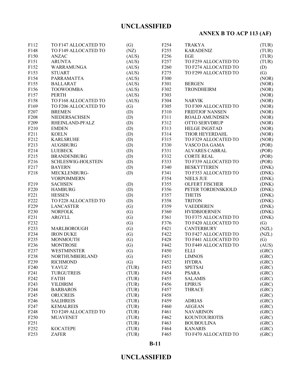# **ANNEX B TO ACP 113 (AF)**

| F112              | TO F147 ALLOCATED TO      | (G)               | F <sub>254</sub> | <b>TRAKYA</b>          | (TUR)          |
|-------------------|---------------------------|-------------------|------------------|------------------------|----------------|
| F148              | TO F149 ALLOCATED TO      | (NZ)              | F <sub>255</sub> | <b>KARADENIZ</b>       | (TUR)          |
| F150              | <b>ANZAC</b>              | (AUS)             | F <sub>256</sub> | EGE                    | (TUR)          |
| F151              | <b>ARUNTA</b>             | (AUS)             | F <sub>257</sub> | TO F259 ALLOCATED TO   | (TUR)          |
| F152              | WARRAMUNGA                | (AUS)             | F <sub>260</sub> | TO F274 ALLOCATED TO   | (D)            |
| F153              | <b>STUART</b>             | (AUS)             | F <sub>275</sub> | TO F299 ALLOCATED TO   | (G)            |
| F154              | PARRAMATTA                | (AUS)             | F300             |                        | (NOR)          |
| F155              | <b>BALLARAT</b>           | (AUS)             | F301             | <b>BERGEN</b>          | (NOR)          |
| F156              | <b>TOOWOOMBA</b>          | (AUS)             | F302             | <b>TRONDHEIRM</b>      | (NOR)          |
| F157              | <b>PERTH</b>              | (AUS)             | F303             |                        | (NOR)          |
| F158              | TO F168 ALLOCATED TO      | (AUS)             | F304             | <b>NARVIK</b>          | (NOR)          |
| F169              | TO F206 ALLOCATED TO      | (G)               | F305             | TO F309 ALLOCATED TO   | (NOR)          |
| F207              | <b>BREMEN</b>             | (D)               | F310             | <b>FRIDTJOF NANSEN</b> | (NOR)          |
| F <sub>208</sub>  | NIEDERSACHSEN             | (D)               | F311             | <b>ROALD AMUNDSEN</b>  | (NOR)          |
| F <sub>209</sub>  | RHEINLAND-PFALZ           | (D)               | F312             | OTTO SERVDRUP          | (NOR)          |
| F210              | <b>EMDEN</b>              | (D)               | F313             | HELGE INGSTAD          | (NOR)          |
| F211              | <b>KOELN</b>              | (D)               | F314             | THOR HEYERDAHL         | (NOR)          |
| F <sub>2</sub> 12 | <b>KARLSRUHE</b>          | (D)               | F315             | TO F329 ALLOCATED TO   | (NOR)          |
| F213              | <b>AUGSBURG</b>           | (D)               | F330             | VASCO DA GAMA          | (POR)          |
| F214              | <b>LUEBECK</b>            | (D)               | F331             | ALVARES CABRAL         | (POR)          |
| F <sub>215</sub>  | <b>BRANDENBURG</b>        | (D)               | F332             | <b>CORTE REAL</b>      | (POR)          |
| F216              | <b>SCHLESWIG-HOLSTEIN</b> | (D)               | F333             | TO F339 ALLOCATED TO   | (POR)          |
| F217              | <b>BAYERN</b>             | (D)               | F340             | <b>BESKYTTEREN</b>     | (DNK)          |
| F218              | MECKLENBURG-              | (D)               | F341             | TO F353 ALLOCATED TO   | (DNK)          |
|                   | <b>VORPOMMERN</b>         |                   | F354             | <b>NIELS JUE</b>       | (DNK)          |
| F <sub>219</sub>  | <b>SACHSEN</b>            | (D)               | F355             | <b>OLFERT FISCHER</b>  | (DNK)          |
| F220              | <b>HAMBURG</b>            | (D)               | F356             | PETER TORDENSKIOLD     | (DNK)          |
| F221              | <b>HESSEN</b>             | (D)               | F357             | <b>THETIS</b>          | (DNK)          |
| F222              | TO F228 ALLOCATED TO      | (D)               | F358             | <b>TRITON</b>          | (DNK)          |
| F229              | <b>LANCASTER</b>          | (G)               | F359             | <b>VAEDDEREN</b>       | (DNK)          |
| F230              | <b>NORFOLK</b>            | (G)               | F360             | <b>HVIDBJOERNEN</b>    | (DNK)          |
| F231              | ARGYLL                    | (G)               | F361             | TO F375 ALLOCATED TO   | (DNK)          |
| F <sub>232</sub>  |                           | (G)               | F376             | TO F420 ALLOCATED TO   | (G)            |
| F233              | MARLBOROUGH               | (G)               | F421             | <b>CANTERBURY</b>      | (NZL)          |
| F234              | <b>IRON DUKE</b>          | (G)               | F422             | TO F427 ALLOCATED TO   | (NZL)          |
| F235              | <b>MONMOUTH</b>           | (G)               | F428             | TO F441 ALLOCATED TO   | (G)            |
| F <sub>236</sub>  | <b>MONTROSE</b>           | (G)               | F442             | TO F449 ALLOCATED TO   | (AUS)          |
| F237              | <b>WESTMINSTER</b>        | (G)               | F450             | <b>ELLI</b>            | (GRC)          |
| F238              | <b>NORTHUMBERLAND</b>     |                   | F451             | <b>LIMNOS</b>          |                |
|                   |                           | $\left( G\right)$ |                  |                        | (GRC)<br>(GRC) |
| F <sub>2</sub> 39 | <b>RICHMOND</b>           | (G)               | F452             | <b>HYDRA</b>           |                |
| F240              | YAVUZ                     | (TUR)             | F453             | <b>SPETSAI</b>         | (GRC)          |
| F241              | TURGUTREIS                | (TUR)             | F454             | <b>PSARA</b>           | (GRC)          |
| F <sub>242</sub>  | <b>FATIH</b>              | (TUR)             | F455             | <b>SALAMIS</b>         | (GRC)          |
| F <sub>243</sub>  | YILDIRIM                  | (TUR)             | F456             | <b>EPIRUS</b>          | (GRC)          |
| F <sub>244</sub>  | <b>BARBAROS</b>           | (TUR)             | F457             | <b>THRACE</b>          | (GRC)          |
| F <sub>245</sub>  | <b>ORUCREIS</b>           | (TUR)             | F458             |                        | (GRC)          |
| F <sub>246</sub>  | <b>SALIHREIS</b>          | (TUR)             | F459             | <b>ADRIAS</b>          | (GRC)          |
| F <sub>247</sub>  | <b>KEMALREIS</b>          | (TUR)             | F460             | <b>AEGEAN</b>          | (GRC)          |
| F <sub>248</sub>  | TO F249 ALLOCATED TO      | (TUR)             | F461             | <b>NAVARINON</b>       | (GRC)          |
| F <sub>250</sub>  | <b>MUAVENET</b>           | (TUR)             | F462             | <b>KOUNTOURIOTIS</b>   | (GRC)          |
| F <sub>251</sub>  |                           | (TUR)             | F463             | <b>BOUBOULINA</b>      | (GRC)          |
| F <sub>252</sub>  | <b>KOCATEPE</b>           | (TUR)             | F464             | <b>KANARIS</b>         | (GRC)          |
| F <sub>253</sub>  | <b>ZAFER</b>              | (TUR)             | F465             | TO F470 ALLOCATED TO   | (GRC)          |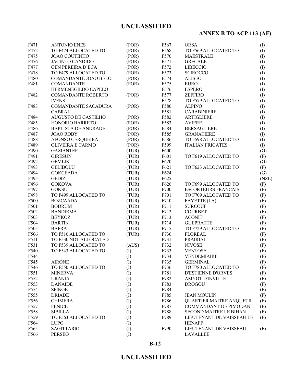# **ANNEX B TO ACP 113 (AF)**

| F471 | <b>ANTONIO ENES</b>        | (POR)        | F567 | <b>ORSA</b>                     | (I)   |
|------|----------------------------|--------------|------|---------------------------------|-------|
| F472 | TO F474 ALLOCATED TO       | (POR)        | F568 | TO F569 ALLOCATED TO            | (I)   |
| F475 | <b>JOAO COUTINHO</b>       | (POR)        | F570 | <b>MAESTRALE</b>                | (I)   |
| F476 | <b>JACINTO CANDIDO</b>     | (POR)        | F571 | <b>GRECALE</b>                  | (1)   |
| F477 | <b>GEN PEREIRA D'ECA</b>   |              | F572 |                                 |       |
|      |                            | (POR)        |      | <b>LIBECCIO</b>                 | (1)   |
| F478 | TO F479 ALLOCATED TO       | (POR)        | F573 | <b>SCIROCCO</b>                 | (1)   |
| F480 | COMANDANTE JOAO BELO       | (POR)        | F574 | <b>ALISEO</b>                   | (1)   |
| F481 | <b>COMANDANTE</b>          | (POR)        | F575 | <b>EURO</b>                     | (1)   |
|      | HERMENEGILDO CAPELO        |              | F576 | <b>ESPERO</b>                   | (1)   |
| F482 | <b>COMANDANTE ROBERTO</b>  | (POR)        | F577 | <b>ZEFFIRO</b>                  | (1)   |
|      | <b>IVENS</b>               |              | F578 | TO F579 ALLOCATED TO            | (1)   |
| F483 | <b>COMANDANTE SACADURA</b> | (POR)        | F580 | <b>ALPINO</b>                   | (1)   |
|      | <b>CABRAL</b>              |              | F581 | <b>CARABINIERE</b>              | (1)   |
| F484 | <b>AUGUSTO DE CASTILHO</b> | (POR)        | F582 | <b>ARTIGLIERE</b>               | (1)   |
| F485 | HONORIO BARRETO            | (POR)        | F583 | <b>AVIERE</b>                   | (1)   |
| F486 | <b>BAPTISTA DE ANDRADE</b> | (POR)        | F584 | <b>BERSAGLIERE</b>              | (1)   |
| F487 | <b>JOAO ROBY</b>           | (POR)        | F585 | <b>GRANATIERE</b>               | (1)   |
| F488 | AFONSO CERQUEIRA           | (POR)        | F586 | TO F598 ALLOCATED TO            | (1)   |
| F489 | OLIVEIRA E CARMO           | (POR)        | F599 | <b>ITALIAN FRIGATES</b>         | (I)   |
| F490 | <b>GAZIANTEP</b>           | (TUR)        | F600 |                                 | (G)   |
| F491 | <b>GIRESUN</b>             | (TUR)        | F601 | TO F619 ALLOCATED TO            | (F)   |
| F492 | <b>GEMLIK</b>              | (TUR)        | F620 |                                 | (G)   |
| F493 | <b>GELIBOLU</b>            | (TUR)        | F621 | TO F623 ALLOCATED TO            | (F)   |
| F494 | <b>GOKCEADA</b>            | (TUR)        | F624 |                                 | (G)   |
| F495 | <b>GEDIZ</b>               | (TUR)        | F625 |                                 | (NZL) |
| F496 | <b>GOKOVA</b>              | (TUR)        | F626 | TO F699 ALLOCATED TO            | (F)   |
| F497 | <b>GOKSU</b>               | (TUR)        | F700 | <b>ESCORTEURS FRANCAIS</b>      | (F)   |
| F498 | TO F499 ALLOCATED TO       | (TUR)        | F701 | TO F709 ALLOCATED TO            | (F)   |
| F500 | <b>BOZCAADA</b>            | (TUR)        | F710 | <b>FAYETTE (LA)</b>             | (F)   |
| F501 | <b>BODRUM</b>              | (TUR)        | F711 | <b>SURCOUF</b>                  | (F)   |
| F502 | <b>BANDIRMA</b>            | (TUR)        | F712 | <b>COURBET</b>                  | (F)   |
| F503 | <b>BEYKOZ</b>              | (TUR)        | F713 | <b>ACONIT</b>                   | (F)   |
| F504 | <b>BARTIN</b>              | (TUR)        | F714 | <b>GUEPRATTE</b>                | (F)   |
| F505 | <b>BAFRA</b>               | (TUR)        | F715 | TO F729 ALLOCATED TO            |       |
|      | TO F510 ALLOCATED TO       |              |      |                                 | (F)   |
| F506 |                            | (TUR)        | F730 | <b>FLOREAL</b>                  | (F)   |
| F511 | TO F530 NOT ALLOCATED      |              | F731 | PRAIRIAL                        | (F)   |
| F531 | TO F539 ALLOCATED TO       | (AUS)        | F732 | <b>NIVOSE</b>                   | (F)   |
| F540 | TO F543 ALLOCATED TO       | (I)          | F733 | <b>VENTOSE</b>                  | (F)   |
| F544 |                            | $\rm (I)$    | F734 | <b>VENDEMIAIRE</b>              | (F)   |
| F545 | <b>AIRONE</b>              | $\rm(D)$     | F735 | <b>GERMINAL</b>                 | (F)   |
| F546 | TO F550 ALLOCATED TO       | (I)          | F736 | TO F780 ALLOCATED TO            | (F)   |
| F551 | <b>MINERVA</b>             | (I)          | F781 | <b>D'ESTIENNE D'ORVES</b>       | (F)   |
| F552 | <b>URANIA</b>              | (I)          | F782 | <b>AMYOT D'INVILLE</b>          | (F)   |
| F553 | <b>DANAIDE</b>             | (I)          | F783 | <b>DROGOU</b>                   | (F)   |
| F554 | <b>SFINGE</b>              | (I)          | F784 |                                 | (F)   |
| F555 | <b>DRIADE</b>              | (I)          | F785 | <b>JEAN MOULIN</b>              | (F)   |
| F556 | <b>CHIMERA</b>             | (1)          | F786 | <b>QUARTIER MAITRE ANQUETIL</b> | (F)   |
| F557 | <b>FENICE</b>              | (1)          | F787 | <b>COMMANDANT DE PIMODAN</b>    | (F)   |
| F558 | <b>SIBILLA</b>             | $\rm (I)$    | F788 | <b>SECOND MAITRE LE BIHAN</b>   | (F)   |
| F559 | TO F563 ALLOCATED TO       | $\rm (I)$    | F789 | LIEUTENANT DE VAISSEAU LE       | (F)   |
| F564 | <b>LUPO</b>                | $($ $\Gamma$ |      | <b>HENAFF</b>                   |       |
| F565 | <b>SAGITTARIO</b>          | $\rm (I)$    | F790 | LIEUTENANT DE VAISSEAU          | (F)   |
| F566 | <b>PERSEO</b>              | (I)          |      | <b>LAVALLEE</b>                 |       |
|      |                            |              |      |                                 |       |

**B-12**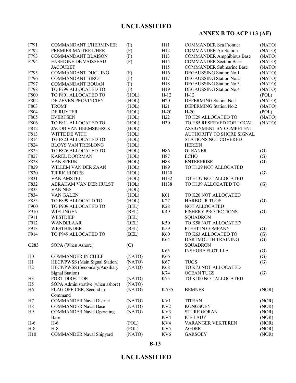# **ANNEX B TO ACP 113 (AF)**

| F791           | COMMANDANT L'HERMINIER             | (F)            | H11                    | <b>COMMANDER Sea Frontier</b>               | (NATO) |
|----------------|------------------------------------|----------------|------------------------|---------------------------------------------|--------|
| F792           | PREMIER MAITRE L'HER               | (F)            | H12                    | <b>COMMANDER Air Station</b>                | (NATO) |
| F793           | <b>COMMANDANT BLAISON</b>          | (F)            | H13                    | <b>COMMANDER Amphibious Base</b>            | (NATO) |
| F794           | <b>ENSEIGNE DE VAISSEAU</b>        | (F)            | H14                    | <b>COMMANDER Section Base</b>               | (NATO) |
|                | <b>JACOUBET</b>                    |                | H15                    | <b>COMMANDER Submarine Base</b>             | (NATO) |
| F795           | <b>COMMANDANT DUCUING</b>          | (F)            | H16                    | DEGAUSSING Station No.1                     | (NATO) |
| F796           | <b>COMMANDANT BIROT</b>            | (F)            | H17                    | DEGAUSSING Station No.2                     | (NATO) |
| F797           | <b>COMMANDANT BOUAN</b>            | (F)            | H18                    | DEGAUSSING Station No.3                     | (NATO) |
| F798           | TO F799 ALLOCATED TO               | (F)            | H19                    | DEGAUSSING Station No.4                     | (NATO) |
| F800           | TO F801 ALLOCATED TO               | (HOL)          | $H-12$                 | $H-12$                                      | (POL)  |
| F802           | DE ZEVEN PROVINCIEN                | (HOL)          | H20                    | DEPERMING Station No.1                      | (NATO) |
| F803           | <b>TROMP</b>                       | (HOL)          | H21                    | <b>DEPERMING Station No.2</b>               | (NATO) |
| F804           | DE RUYTER                          | (HOL)          | $H-20$                 | $H-20$                                      | (POL)  |
| F805           | <b>EVERTSEN</b>                    | (HOL)          | H <sub>22</sub>        | TO H29 ALLOCATED TO                         | (NATO) |
| F806           | TO F811 ALLOCATED TO               | (HOL)          | H <sub>30</sub>        | TO H85 RESERVED FOR LOCAL                   | (NATO) |
| F812           | JACOB VAN HEEMSKERCK               | (HOL)          |                        | ASSIGNMENT BY COMPETENT                     |        |
| F813           | WITTE DE WITH                      | (HOL)          |                        | AUTHORITY TO SHORE SIGNAL                   |        |
| F814           | TO F823 ALLOCATED TO               | (HOL)          |                        | STATIONS NOT COVERED                        |        |
| F824           | <b>BLOYS VAN TRESLONG</b>          | (HOL)          |                        | <b>HEREIN</b>                               |        |
| F825           | TO F826 ALLOCATED TO               | (HOL)          | H86                    | <b>GLEANER</b>                              | (G)    |
| F827           | <b>KAREL DOORMAN</b>               | (HOL)          | H87                    | <b>ECHO</b>                                 | (G)    |
| F828           | VAN SPEIJK                         | (HOL)          | H88                    | <b>ENTERPRISE</b>                           | (G)    |
| F829           | WILLEM VAN DER ZAAN                | (HOL)          | H89                    | TO H129 NOT ALLOCATED                       |        |
| F830           | <b>TJERK HIDDES</b>                |                | H130                   |                                             |        |
| F831           | <b>VAN AMSTEL</b>                  | (HOL)          | H132                   | TO H137 NOT ALLOCATED                       | (G)    |
| F832           | ABRAHAM VAN DER HULST              | (HOL)          |                        |                                             |        |
| F833           | VAN NES                            | (HOL)<br>(HOL) | H138                   | TO H139 ALLOCATED TO                        | (G)    |
| F834           |                                    |                |                        |                                             |        |
|                | VAN GALEN                          | (HOL)          | K <sub>01</sub><br>K27 | TO K26 NOT ALLOCATED<br><b>HARBOUR TUGS</b> |        |
| F855           | TO F899 ALLOCATD TO                | (HOL)          |                        |                                             | (G)    |
| F900           | TO F909 ALLOCATED TO               | (BEL)          | K28                    | NOT ALLOCATED                               |        |
| F910           | <b>WIELINGEN</b>                   | (BEL)          | K49                    | <b>FISHERY PROTECTIONS</b>                  | (G)    |
| F911           | <b>WESTDIEP</b>                    | (BEL)          |                        | <b>SQUADRON</b>                             |        |
| F912           | <b>WANDELAAR</b>                   | (BEL)          | K50                    | TO K58 NOT ALLOCATED                        |        |
| F913           | <b>WESTHINDER</b>                  | (BEL)          | K59                    | FLEET IN COMPANY                            | (G)    |
| F914           | TO F949 ALLOCATED TO               | (BEL)          | K60                    | TO K63 ALLOCATED TO                         | (G)    |
|                |                                    |                | K64                    | DARTMOUTH TRAINING                          | (G)    |
| G283           | SOPA (When Ashore)                 | (G)            |                        | <b>SQUADRON</b>                             |        |
|                |                                    |                | K65                    | <b>INSHORE FLOTILLA</b>                     | (G)    |
| H <sub>0</sub> | <b>COMMANDER IN CHIEF</b>          | (NATO)         | K66                    |                                             | (G)    |
| H1             | HECP/PWSS (Main Signal Station)    | (NATO)         | K67                    | <b>TUGS</b>                                 | (G)    |
| H2             | HECP/PWSS (Secondary/Auxiliary     | (NATO)         | K68                    | TO K73 NOT ALLOCATED                        |        |
|                | Signal Station)                    |                | K74                    | <b>OCEAN TUGS</b>                           | (G)    |
| H <sub>3</sub> | PORT DIRECTOR                      | (NATO)         | K75                    | TO K100 NOT ALLOCATED                       |        |
| H <sub>5</sub> | SOPA Administrative (when ashore)  | (NATO)         |                        |                                             |        |
| H <sub>6</sub> | FLAG OFFICER, Second in<br>Command | (NATO)         | <b>KA35</b>            | <b>BEMNES</b>                               | (NOR)  |
| H7             | <b>COMMANDER Naval District</b>    | (NATO)         | KV1                    | <b>TITRAN</b>                               | (NOR)  |
| H8             | <b>COMMANDER Naval Base</b>        | (NATO)         | KV <sub>2</sub>        | <b>KONGSOEY</b>                             | (NOR)  |
| H <sub>9</sub> | <b>COMMANDER Naval Operating</b>   | (NATO)         | KV3                    | <b>STURE GORAN</b>                          | (NOR)  |
|                | Base                               |                | KV4                    | <b>ICE LADY</b>                             | (NOR)  |
| $H-6$          | $H-6$                              | (POL)          | KV4                    | <b>VARANGER VEKTEREN</b>                    | (NOR)  |
| $H-8$          | $H-8$                              | (POL)          | KV5                    | <b>AGDER</b>                                | (NOR)  |
| H10            | <b>COMMANDER Naval Shipyard</b>    | (NATO)         | KV <sub>6</sub>        | <b>GARSOEY</b>                              | (NOR)  |
|                |                                    |                |                        |                                             |        |

**B-13**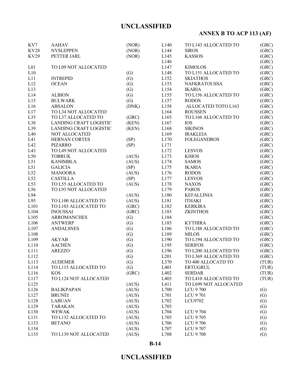# **ANNEX B TO ACP 113 (AF)**

| KV7             | <b>AAHAV</b>           | (NOR) | L <sub>140</sub> | TO L143 ALLOCATED TO  | (GRC)             |
|-----------------|------------------------|-------|------------------|-----------------------|-------------------|
| <b>KV28</b>     | <b>NYSLEPPEN</b>       | (NOR) | L144             | <b>SIROS</b>          | (GRC)             |
| <b>KV29</b>     | PETTER JARL            | (NOR) | L145             | <b>KASSOS</b>         | (GRC)             |
|                 |                        |       | L146             |                       | (GRC)             |
| L <sub>01</sub> | TO L09 NOT ALLOCATED   |       | L147             | <b>KIMOLOS</b>        | (GRC)             |
| L10             |                        | (G)   | L148             | TO L151 ALLOCATED TO  | (GRC)             |
| L11             | <b>INTREPID</b>        | (G)   | L152             | <b>SKIATHOS</b>       | (GRC)             |
| L12             | <b>OCEAN</b>           | (G)   | L153             | <b>NAFKRATOUSSA</b>   | (GRC)             |
| L13             |                        | (G)   | L154             | <b>IKARIA</b>         | (GRC)             |
| L14             | <b>ALBION</b>          | (G)   | L155             | TO L156 ALLOCATED TO  | (GRC)             |
| L15             | <b>BULWARK</b>         | (G)   | L157             | <b>RODOS</b>          | (GRC)             |
| L16             | <b>ABSALON</b>         | (DNK) | L158             | ALLOCATED TOTO L163   | (GRC)             |
| L17             | TO L34 NOT ALLOCATED   |       | L164             | <b>ROUSSEN</b>        | (GRC)             |
| L35             | TO L37 ALLOCATED TO    | (GRC) | L165             | TO L166 ALLOCATED TO  | (GRC)             |
| L38             | LANDING CRAFT LOGISTIC | (KEN) | L167             | <b>IOS</b>            | (GRC)             |
| L39             | LANDING CRAFT LOGISTIC | (KEN) | L168             | <b>SIKINOS</b>        | (GRC)             |
| L40             | NOT ALLOCATED          |       | L169             | <b>IRAKLEIA</b>       | (GRC)             |
| L41             | <b>HERNAN CORTES</b>   | (SP)  | L170             | <b>FOLEGANDROS</b>    | (GRC)             |
| L42             | <b>PIZARRO</b>         | (SP)  | L171             |                       | (GRC)             |
| L43             | TO L49 NOT ALLOCATED   |       | L172             | <b>LESVOS</b>         | (GRC)             |
| L50             | <b>TOBRUK</b>          | (AUS) | L173             | <b>KHIOS</b>          | (GRC)             |
| L51             | <b>KANIMBLA</b>        | (AUS) | L174             | <b>SAMOS</b>          | (GRC)             |
| L51             | <b>GALICIA</b>         | (SP)  | L175             | <b>IKARIA</b>         | (GRC)             |
| L52             | <b>MANOORA</b>         | (AUS) | L176             | <b>RODOS</b>          | (GRC)             |
| L52             | <b>CASTILLA</b>        | (SP)  | L177             | <b>LESVOS</b>         | (GRC)             |
| L53             | TO L55 ALLOCATED TO    | (AUS) | L178             | <b>NAXOS</b>          | (GRC)             |
| L56             | TO L93 NOT ALLOCATED   |       | L179             | <b>PAROS</b>          | (GRC)             |
| L94             |                        | (AUS) | L180             | <b>KEFALLINIA</b>     | (GRC)             |
| L95             | TO L100 ALLOCATED TO   | (AUS) | L181             | <b>ITHAKI</b>         | (GRC)             |
| L101            | TO L103 ALLOCATED TO   | (GRC) | L182             | <b>KERKIRA</b>        | (GRC)             |
| L104            | <b>INOUSSAI</b>        | (GRC) | L183             | <b>ZKINTHOS</b>       | (GRC)             |
| L105            | <b>ARROMANCHES</b>     | (G)   | L184             |                       | (GRC)             |
| L106            | <b>ANTWERP</b>         | (G)   | L185             | <b>KYTHIRA</b>        | (GRC)             |
| L107            | <b>ANDALSNES</b>       | (G)   | L186             | TO L188 ALLOCATED TO  | (GRC)             |
| L108            |                        | (G)   | L189             | <b>MILOS</b>          | (GRC)             |
| L109            | <b>AKYAB</b>           | (G)   | L190             | TO L194 ALLOCATED TO  | (GRC)             |
| L110            | <b>AACHEN</b>          | (G)   | L195             | <b>SERIFOS</b>        | (GRC)             |
| L111            | <b>AREZZO</b>          | (G)   | L196             | TO L200 ALLOCATED TO  | (GRC)             |
| L112            |                        | (G)   | L201             | TO L369 ALLOCATED TO  | (GRC)             |
| L113            | <b>AUDEMER</b>         | (G)   | L370             | TO 400 ALLOCATD TO    | (TUR)             |
| L114            | TO L115 ALLOCATED TO   | (G)   | L401             | <b>ERTUGRUL</b>       | (TUR)             |
| L116            | <b>KOS</b>             | (GRC) | L402             | <b>SERDAR</b>         | (TUR)             |
| L117            | TO L124 NOT ALLOCATED  |       | L403             | TO L410 ALLOCATED TO  | (TUR)             |
| L125            |                        | (AUS) | L411             | TO L699 NOT ALLOCATED |                   |
| L126            | <b>BALIKPAPAN</b>      | (AUS) | L700             | <b>LCU 9700</b>       | (G)               |
| L127            | <b>BRUNEI</b>          | (AUS) | L701             | LCU 9701              | (G)               |
| L128            | <b>LABUAN</b>          | (AUS) | L702             | LCU9702               | (G)               |
| L129            | <b>TARAKAN</b>         | (AUS) | L703             |                       | (G)               |
| L130            | <b>WEWAK</b>           | (AUS) | L704             | LCU 9704              | (G)               |
| L131            | TO L132 ALLOCATED TO   | (AUS) | L705             | <b>LCU 9705</b>       | (G)               |
| L133            | <b>BETANO</b>          | (AUS) | L706             | LCU 9706              | (G)               |
| L134            |                        | (AUS) | L707             | LCU 9707              | $\left( G\right)$ |
| L135            | TO L139 NOT ALLOCATED  | (AUS) | L708             | <b>LCU 9708</b>       | (G)               |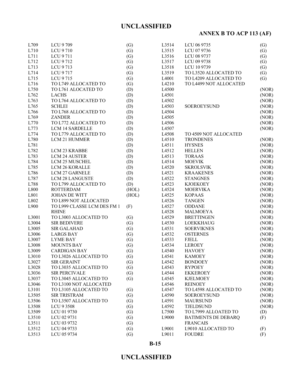# **ANNEX B TO ACP 113 (AF)**

| L709  | LCU 9709                    | (G)               | L3514 | LCU 06 9735                | (G)   |
|-------|-----------------------------|-------------------|-------|----------------------------|-------|
| L710  | LCU 9710                    | (G)               | L3515 | LCU 07 9736                | (G)   |
| L711  | LCU 9711                    | (G)               | L3516 | LCU 08 9737                | (G)   |
| L712  | LCU 9712                    | (G)               | L3517 | LCU 09 9738                | (G)   |
| L713  | LCU 9713                    | (G)               | L3518 | LCU 10 9739                | (G)   |
| L714  | LCU 9717                    | (G)               | L3519 | TO L3520 ALLOCATED TO      | (G)   |
| L715  | LCU 9715                    | (G)               | L4001 | TO L4209 ALLOCATED TO      | (G)   |
| L716  | TO L749 ALLOCATED TO        | (G)               | L4210 | TO L4499 NOT ALLOCATED     |       |
| L750  | TO L761 ALOCATED TO         | (D)               | L4500 |                            | (NOR) |
| L762  | <b>LACHS</b>                | (D)               | L4501 |                            | (NOR) |
| L763  | TO L764 ALLOCATED TO        | (D)               | L4502 |                            | (NOR) |
| L765  | <b>SCHLEI</b>               | (D)               | L4503 | SOEROEYSUND                | (NOR) |
| L766  | TO L768 ALLOCATED TO        | (D)               | L4504 |                            | (NOR) |
| L769  | <b>ZANDER</b>               | (D)               | L4505 |                            | (NOR) |
| L770  | TO L772 ALLOCATED TO        | (D)               | L4506 |                            | (NOR) |
| L773  | <b>LCM 14 SARDELLE</b>      | (D)               | L4507 |                            | (NOR) |
| L774  | TO L779 ALLOCATED TO        | (D)               | L4508 | TO 4509 NOT ALLOCATED      |       |
|       |                             |                   |       |                            |       |
| L780  | LCM 21 HUMMER               | (D)               | L4510 | <b>TRONDENES</b>           | (NOR) |
| L781  |                             | (D)               | L4511 | <b>HYSNES</b>              | (NOR) |
| L782  | <b>LCM 23 KRABBE</b>        | (D)               | L4512 | <b>HELLEN</b>              | (NOR) |
| L783  | LCM 24 AUSTER               | (D)               | L4513 | <b>TORAAS</b>              | (NOR) |
| L784  | LCM 25 MUSCHEL              | (D)               | L4514 | <b>MOEVIK</b>              | (NOR) |
| L785  | LCM 26 KORALLE              | (D)               | L4520 | <b>SKROLSVIK</b>           | (NOR) |
| L786  | <b>LCM 27 GARNELE</b>       | (D)               | L4521 | <b>KRAAKENES</b>           | (NOR) |
| L787  | <b>LCM 28 LANGUSTE</b>      | (D)               | L4522 | <b>STANGNES</b>            | (NOR) |
| L788  | TO L799 ALLOCATED TO        | (D)               | L4523 | <b>KJOEKOEY</b>            | (NOR) |
| L800  | <b>ROTTERDAM</b>            | (HOL)             | L4524 | <b>MOERVIKA</b>            | (NOR) |
| L801  | <b>JOHAN DE WITT</b>        | (HOL)             | L4525 | <b>KOPAAS</b>              | (NOR) |
| L802  | TO L899 NOT ALLOCATED       |                   | L4526 | <b>TANGEN</b>              | (NOR) |
| L900  | TO L999 CLASSE LCM DES FM 1 | (F)               | L4527 | <b>ODDANE</b>              | (NOR) |
|       | <b>RHINE</b>                |                   | L4528 | <b>MALMOEYA</b>            | (NOR) |
| L3001 | TO L3003 ALLOCATED TO       | (G)               | L4529 | <b>BRETTINGEN</b>          | (NOR) |
| L3004 | <b>SIR BEDIVERE</b>         | (G)               | L4530 | <b>LOEKKHAUG</b>           | (NOR) |
| L3005 | <b>SIR GALAHAD</b>          | (G)               | L4531 | <b>SOERVIKNES</b>          | (NOR) |
| L3006 | <b>LARGS BAY</b>            | (G)               | L4532 | <b>OSTERNES</b>            | (NOR) |
| L3007 | <b>LYME BAY</b>             | (G)               | L4533 | <b>FJELL</b>               | (NOR) |
| L3008 | <b>MOUNTS BAY</b>           | (G)               | L4534 | <b>LEROEY</b>              | (NOR) |
| L3009 | <b>CARDIGAN BAY</b>         | (G)               | L4540 | <b>HAVOEY</b>              | (NOR) |
| L3010 | TO L3026 ALLOCATED TO       | (G)               | L4541 | <b>KAMOEY</b>              | (NOR) |
| L3027 | <b>SIR GERAINT</b>          | (G)               | L4542 | <b>BONDOEY</b>             | (NOR) |
| L3028 | TO L3035 ALLOCATED TO       | (G)               | L4543 | <b>RYPOEY</b>              | (NOR) |
| L3036 | <b>SIR PERCIVALE</b>        | (G)               | L4544 | <b>EKKEROEY</b>            | (NOR) |
| L3037 | TO L3045 ALLOCATED TO       | (G)               | L4545 | <b>KJELMOEY</b>            | (NOR) |
| L3046 | TO L3100 NOT ALLOCATED      |                   | L4546 | <b>REINOEY</b>             | (NOR) |
| L3101 | TO L3105 ALLOCATED TO       | (G)               | L4547 | TO L4598 ALLOCATED TO      | (NOR) |
| L3505 | <b>SIR TRISTRAM</b>         | (G)               | L4590 | <b>SOEROEYSUND</b>         | (NOR) |
| L3506 | TO L3507 ALLOCATED TO       | (G)               | L4591 | <b>MAURSUND</b>            | (NOR) |
| L3508 | LCU 9 3508                  | (G)               | L4592 | <b>TJELDSUND</b>           | (NOR) |
| L3509 | LCU 01 9730                 | (G)               | L7500 | TO L7999 ALLOATED TO       | (D)   |
| L3510 | LCU 02 9731                 | (G)               | L9000 | <b>BATIMENTS DE DEBARQ</b> | (F)   |
| L3511 | LCU 03 9732                 | (G)               |       | <b>FRANCAIS</b>            |       |
| L3512 | LCU 04 9733                 | $\left( G\right)$ | L9001 | L9010 ALLOCATED TO         | (F)   |
| L3513 | LCU 05 9734                 | (G)               | L9011 | <b>FOUDRE</b>              | (F)   |
|       |                             |                   |       |                            |       |

#### **B-15**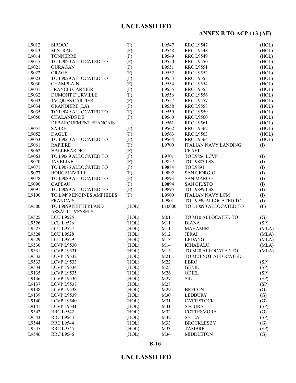# **ANNEX B TO ACP 113 (AF)**

| L9012 | <b>SIROCO</b>                                 | (F)   | L9547           | <b>RRC L9547</b>            | (HOL)             |
|-------|-----------------------------------------------|-------|-----------------|-----------------------------|-------------------|
| L9013 | <b>MISTRAL</b>                                | (F)   | L9548           | <b>RRC L9548</b>            | (HOL)             |
| L9014 | <b>TONNERRE</b>                               | (F)   | L9549           | <b>RRC L9549</b>            | (HOL)             |
| L9015 | TO L9020 ALLOCATED TO                         | (F)   | L9550           | <b>RRC L9550</b>            | (HOL)             |
| L9021 | <b>OURAGAN</b>                                | (F)   | L9551           | <b>RRC L9551</b>            | (HOL)             |
| L9022 | ORAGE                                         | (F)   | L9552           | <b>RRC L9552</b>            | (HOL)             |
| L9023 | TO L9029 ALLOCATED TO                         | (F)   | L9553           | <b>RRC L9553</b>            | (HOL)             |
| L9030 | <b>CHAMPLAIN</b>                              | (F)   | L9554           | <b>RRC L9554</b>            | (HOL)             |
| L9031 | <b>FRANCIS GARNIER</b>                        | (F)   | L9555           | <b>RRC L9555</b>            | (HOL)             |
| L9032 | <b>DUMONT D'URVILLE</b>                       | (F)   | L9556           | <b>RRC L9556</b>            | (HOL)             |
| L9033 | <b>JACQUES CARTIER</b>                        | (F)   | L9557           | <b>RRC L9557</b>            | (HOL)             |
| L9034 | <b>GRANDIERE (LA)</b>                         | (F)   | L9558           | <b>RRC L9558</b>            | (HOL)             |
| L9035 | TO L9049 ALLOCATED TO                         | (F)   | L9559           | <b>RRC L9559</b>            | (HOL)             |
| L9050 | <b>CHALANDS DE</b>                            | (F)   | L9560           | <b>RRC L9560</b>            | (HOL)             |
|       | DEBARQUEMENT FRANCAIS                         |       | L9561           | <b>RRC L9561</b>            | (HOL)             |
| L9051 | <b>SABRE</b>                                  | (F)   | L9562           | <b>RRC L9562</b>            | (HOL)             |
| L9052 | <b>DAGUE</b>                                  | (F)   | L9563           | <b>RRC L9563</b>            | (HOL)             |
| L9053 | TO L9060 ALLOCATED TO                         | (F)   | L9564           | <b>RRC L9564</b>            | (HOL)             |
| L9061 | <b>RAPIERE</b>                                | (F)   | L9700           | <b>ITALIAN NAVY LANDING</b> | (I)               |
| L9062 | <b>HALLEBARDE</b>                             | (F)   |                 | <b>CRAFT</b>                |                   |
| L9063 | TO L9069 ALLOCATED TO                         | (F)   | L9701           | TO L9856 LCVP               |                   |
| L9070 |                                               |       | L9857           | TO L9883 LSS                | (I)               |
| L9071 | <b>JAVELINE</b><br>TO L9076 ALLOCATED TO      | (F)   |                 |                             | (I)               |
|       |                                               | (F)   | L9884           | TO L9891                    | (I)               |
| L9077 | <b>BOUGAINVILLE</b>                           | (F)   | L9892           | <b>SAN GIORGIO</b>          | (I)               |
| L9078 | TO L9089 ALLOCATED TO                         | (F)   | L9893           | <b>SAN MARCO</b>            | (I)               |
| L9090 | <b>GAPEAU</b>                                 | (F)   | L9894           | <b>SAN GIUSTO</b>           | (I)               |
| L9091 | TO L9099 ALLOCATED TO                         | (F)   | L9895           | <b>TO L9899 LSS</b>         | (1)               |
| L9100 | TO L9499 ENGINES AMPHIBES                     | (F)   | L9900           | <b>ITALIAN NAVY LCM</b>     | (I)               |
|       | <b>FRANCAIS</b>                               |       | L9901           | TO L9999 ALLOCATED TO       | (I)               |
| L9500 | TO L9699 NETHERLAND<br><b>ASSAULT VESSELS</b> | (HOL) | L10000          | TO L10090 ALLOCATED TO      | (F)               |
| L9525 | <b>LCU L9525</b>                              | (HOL) | M <sub>01</sub> | TO M10 ALLOCATED TO         | (G)               |
| L9526 | <b>LCU L9526</b>                              | (HOL) | M11             | <b>DIANA</b>                | (SP)              |
| L9527 | <b>LCU L9527</b>                              | (HOL) | M11             | <b>MAHAMIRU</b>             | (MLA)             |
| L9528 | <b>LCU L9528</b>                              | (HOL) | M12             | <b>JERAI</b>                | (MLA)             |
| L9529 | <b>LCU L9529</b>                              | (HOL) | M13             | <b>LEDANG</b>               | (MLA)             |
| L9530 | LCVP L9530                                    | (HOL) | M14             | <b>KINABALU</b>             | (MLA)             |
| L9531 | LCVP L9531                                    | (HOL) | M15             | TO M20 ALLOCATED TO         | (MLA)             |
| L9532 | LCVP L9532                                    | (HOL) | M <sub>21</sub> | TO M24 NOT ALLOCATED        |                   |
| L9533 | LCVP L9533                                    | (HOL) | M22             | <b>EBRO</b>                 | (SP)              |
| L9534 | LCVP L9534                                    | (HOL) | M25             | <b>GENIL</b>                | (SP)              |
| L9135 | LCVP L9535                                    | (HOL) | M26             | ODIEL                       | (SP)              |
| L9136 | LCVP L9536                                    | (HOL) | M27             | ${\rm SIL}$                 | (SP)              |
| L9137 | LCVP L9537                                    | (HOL) | M28             |                             | (SP)              |
| L9138 | LCVP L9538                                    | (HOL) | M29             | <b>BRECON</b>               | $\left( G\right)$ |
| L9139 | LCVP L9539                                    | (HOL) | M30             | <b>LEDBURY</b>              | (G)               |
| L9140 | LCVP L9540                                    | (HOL) | M31             | <b>CATTISTOCK</b>           | (G)               |
| L9141 | LCVP L9541                                    | (HOL) | M31             | <b>SEGURA</b>               | (SP)              |
| L9542 | <b>RRC L9542</b>                              | (HOL) | M32             | <b>COTTESMORE</b>           | $\left( G\right)$ |
| L9543 | <b>RRC L9543</b>                              | (HOL) | M32             | <b>SELLA</b>                | (SP)              |
| L9544 | <b>RRC L9544</b>                              | (HOL) | M33             | <b>BROCKLESBY</b>           | (G)               |
| L9545 | <b>RRC L9545</b>                              | (HOL) | M33             | <b>TAMBRE</b>               | (SP)              |
|       |                                               |       | M34             |                             |                   |
| L9546 | <b>RRC L9546</b>                              | (HOL) |                 | <b>MIDDLETON</b>            | (G)               |

#### **B-16**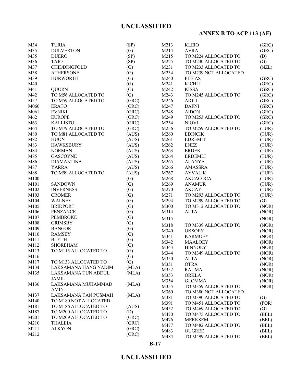# **ANNEX B TO ACP 113 (AF)**

| M34  | <b>TURIA</b>          | (SP)              | M213 | <b>KLEIO</b>          | (GRC) |
|------|-----------------------|-------------------|------|-----------------------|-------|
| M35  | <b>DULVERTON</b>      | (G)               | M214 | <b>AVRA</b>           | (GRC) |
| M35  | <b>DUERO</b>          | (SP)              | M215 | TO M224 ALLOCATED TO  | (D)   |
| M36  | <b>TAJO</b>           | (SP)              | M225 | TO M230 ALLOCATED TO  | (G)   |
| M37  | <b>CHIDDINGFOLD</b>   |                   | M231 |                       |       |
|      |                       | (G)               |      | TO M233 ALLOCATED TO  | (NZL) |
| M38  | <b>ATHERSONE</b>      | (G)               | M234 | TO M239 NOT ALLOCATED |       |
| M39  | <b>HURWORTH</b>       | (G)               | M240 | <b>PLEIAS</b>         | (GRC) |
| M40  |                       | (G)               | M241 | <b>KICHLI</b>         | (GRC) |
| M41  | <b>QUORN</b>          | (G)               | M242 | <b>KISSA</b>          | (GRC) |
| M42  | TO M56 ALLOCATED TO   | (G)               | M243 | TO M245 ALLOCATED TO  | (GRC) |
| M57  | TO M59 ALLOCATED TO   | (GRC)             | M246 | <b>AIGLI</b>          | (GRC) |
| M060 | <b>ERATO</b>          | (GRC)             | M247 | <b>DAFNI</b>          | (GRC) |
| M061 | <b>EVNIKI</b>         | (GRC)             | M248 | <b>AIDON</b>          | (GRC) |
| M62  | <b>EUROPE</b>         | (GRC)             | M249 | TO M253 ALLOCATED TO  | (GRC) |
| M63  | <b>KALLISTO</b>       | (GRC)             | M254 | <b>NIOVI</b>          | (GRC) |
| M64  | TO M79 ALLOCATED TO   | (GRC)             | M256 | TO M259 ALLOCATED TO  | (TUR) |
| M80  | TO M81 ALLOCATED TO   | (AUS)             | M260 | <b>EDINCIK</b>        | (TUR) |
| M82  | <b>HUON</b>           | (AUS)             | M261 | <b>EDREMIT</b>        | (TUR) |
| M83  | <b>HAWKSBURY</b>      | (AUS)             | M262 | <b>ENEZ</b>           | (TUR) |
| M84  | <b>NORMAN</b>         | (AUS)             | M263 | <b>ERDEK</b>          | (TUR) |
| M85  | <b>GASCOYNE</b>       | (AUS)             | M264 | <b>ERDEMLI</b>        | (TUR) |
| M86  | <b>DIAMANTINA</b>     | (AUS)             | M265 | <b>ALANYA</b>         | (TUR) |
| M87  | YARRA                 | (AUS)             | M266 | <b>AMASSRA</b>        | (TUR) |
| M88  | TO M99 ALLOCATED TO   | (AUS)             | M267 | <b>AYVALIK</b>        | (TUR) |
| M100 |                       | $\left( G\right)$ | M268 | <b>AKCACOCA</b>       | (TUR) |
| M101 | <b>SANDOWN</b>        | (G)               | M269 | <b>ANAMUR</b>         | (TUR) |
| M102 | <b>INVERNESS</b>      | (G)               | M270 | <b>AKCAY</b>          | (TUR) |
| M103 | <b>CROMER</b>         | (G)               | M271 | TO M293 ALLOCATED TO  | (TUR) |
| M104 | <b>WALNEY</b>         | (G)               | M294 | TO M299 ALLOCATED TO  | (G)   |
| M105 | <b>BRIDPORT</b>       | (G)               | M300 | TO M312 ALLOCATED TO  | (NOR) |
| M106 | <b>PENZANCE</b>       | (G)               | M314 | <b>ALTA</b>           | (NOR) |
| M107 | <b>PEMBROKE</b>       | (G)               |      |                       |       |
| M108 | <b>GRIMSBY</b>        |                   | M315 |                       | (NOR) |
|      |                       | (G)               | M318 | TO M339 ALLOCATED TO  | (NOR) |
| M109 | <b>BANGOR</b>         | (G)               | M340 | <b>OKSOEY</b>         | (NOR) |
| M110 | <b>RAMSEY</b>         | $\left( G\right)$ | M341 | <b>KARMOEY</b>        | (NOR) |
| M111 | <b>BLYTH</b>          | (G)               | M342 | <b>MAALOEY</b>        | (NOR) |
| M112 | <b>SHOREHAM</b>       | (G)               | M343 | <b>HINNOEY</b>        | (NOR) |
| M113 | TO M115 ALLOCATED TO  | (G)               | M344 | TO M349 ALLOCATED TO  | (NOR) |
| M116 |                       | $\left( G\right)$ | M350 | <b>ALTA</b>           | (NOR) |
| M117 | TO M133 ALLOCATED TO  | (G)               | M351 | <b>OTRA</b>           | (NOR) |
| M134 | LAKSAMANA HANG NADIM  | (MLA)             | M352 | <b>RAUMA</b>          | (NOR) |
| M135 | LAKSAMANA TUN ABDUL   | (MLA)             | M353 | <b>ORKLA</b>          | (NOR) |
|      | <b>JAMIL</b>          |                   | M354 | <b>GLOMMA</b>         | (NOR) |
| M136 | LAKSAMANA MUHAMMAD    | (MLA)             | M355 | TO M359 ALLOCATED TO  | (NOR) |
|      | <b>AMIN</b>           |                   | M360 | TO M380 NOT ALLOCATED |       |
| M137 | LAKSAMANA TAN PUSMAH  | (MLA)             | M381 | TO M390 ALLOCATED TO  | (G)   |
| M140 | TO M180 NOT ALLOCATED |                   | M391 | TO M451 ALLOCATED TO  | (POR) |
| M181 | TO M186 ALLOCATED TO  | (AUS)             |      |                       |       |
| M187 | TO M200 ALLOCATED TO  | (D)               | M452 | TO M469 ALLOCATED TO  | (G)   |
| M201 | TO M209 ALLOCATED TO  | (GRC)             | M470 | TO M475 ALLOCATED TO  | (BEL) |
| M210 | <b>THALEIA</b>        | (GRC)             | M476 | <b>MERKSEM</b>        | (BEL) |
| M211 | <b>ALKYON</b>         | (GRC)             | M477 | TO M482 ALLOCATED TO  | (BEL) |
| M212 |                       | (GRC)             | M483 | <b>OUGREE</b>         | (BEL) |
|      |                       |                   | M484 | TO M499 ALLOCATED TO  | (BEL) |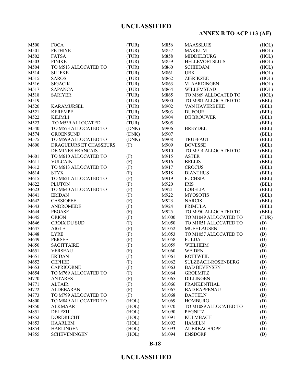# **ANNEX B TO ACP 113 (AF)**

| M500 | <b>FOCA</b>            | (TUR) | M856              | <b>MAASSLUIS</b>      | (HOL) |
|------|------------------------|-------|-------------------|-----------------------|-------|
| M501 | <b>FETHIYE</b>         | (TUR) | M857              | <b>MAKKUM</b>         | (HOL) |
| M502 | <b>FATSA</b>           | (TUR) | M858              | <b>MIDDELBURG</b>     | (HOL) |
| M503 | <b>FINIKE</b>          | (TUR) | M859              | <b>HELLEVOETSLUIS</b> | (HOL) |
| M504 | TO M513 ALLOCATED TO   | (TUR) | M860              | <b>SCHIEDAM</b>       | (HOL) |
| M514 | <b>SILIFKE</b>         | (TUR) | M861              | <b>URK</b>            | (HOL) |
| M515 | <b>SAROS</b>           | (TUR) | M862              | ZIERIKZEE             | (HOL) |
| M516 | <b>SIGACIK</b>         | (TUR) | M863              | <b>VLAARDINGEN</b>    | (HOL) |
| M517 | <b>SAPANCA</b>         | (TUR) | M864              | WILLEMSTAD            | (HOL) |
| M518 | <b>SARIYER</b>         | (TUR) | M865              | TO M869 ALLOCATED TO  | (HOL) |
| M519 |                        | (TUR) | M900              | TO M901 ALLOCATED TO  | (BEL) |
| M520 | <b>KARAMURSEL</b>      | (TUR) | M902              | VAN HAVERBEKE         | (BEL) |
| M521 | <b>KEREMPE</b>         | (TUR) | M903              | <b>DUFOUR</b>         | (BEL) |
| M522 | <b>KILIMLI</b>         | (TUR) | M904              | DE BROUWER            | (BEL) |
| M523 | TO M539 ALLOCATED      | (TUR) | M905              |                       | (BEL) |
| M540 | TO M573 ALLOCATED TO   | (DNK) | M906              | <b>BREYDEL</b>        | (BEL) |
| M574 | <b>GROENSUND</b>       | (DNK) | M907              |                       | (BEL) |
| M575 | TO M599 ALLOCATED TO   | (DNK) | M908              | <b>TRUFFAUT</b>       | (BEL) |
| M600 | DRAGUEURS ET CHASSEURS | (F)   | M909              | <b>BOVESSE</b>        | (BEL) |
|      | DE MINES FRANCAIS      |       | M910              | TO M914 ALLOCATED TO  | (BEL) |
| M601 | TO M610 ALLOCATED TO   | (F)   | M915              | <b>ASTER</b>          | (BEL) |
| M611 | <b>VULCAIN</b>         | (F)   | M916              | <b>BELLIS</b>         | (BEL) |
| M612 | TO M613 ALLOCATED TO   | (F)   | M917              | <b>CROCUS</b>         | (BEL) |
| M614 | <b>STYX</b>            | (F)   | M918              | <b>DIANTHUS</b>       | (BEL) |
| M615 | TO M621 ALLOCATED TO   | (F)   | M919              | <b>FUCHSIA</b>        | (BEL) |
| M622 | <b>PLUTON</b>          | (F)   | M920              | <b>IRIS</b>           | (BEL) |
| M623 | TO M640 ALLOCATED TO   | (F)   | M921              | <b>LOBELIA</b>        | (BEL) |
| M641 | <b>ERIDAN</b>          | (F)   | M922              | <b>MYOSOTIS</b>       | (BEL) |
| M642 | <b>CASSIOPEE</b>       | (F)   | M923              | <b>NARCIS</b>         | (BEL) |
| M643 | ANDROMEDE              | (F)   | M924              | PRIMULA               | (BEL) |
| M644 | <b>PEGASE</b>          | (F)   | M925              | TO M950 ALLOCATED TO  | (BEL) |
| M645 | <b>ORION</b>           | (F)   | M1000             | TO M1049 ALLOCATED TO | (TUR) |
| M646 | CROIX DU SUD           | (F)   | M1050             | TO M1051 ALLOCATED TO | (D)   |
| M647 | <b>AIGLE</b>           | (F)   | M1052             | <b>MUEHLAUSEN</b>     | (D)   |
| M648 | <b>LYRE</b>            | (F)   | M1053             | TO M1057 ALLOCATED TO | (D)   |
| M649 | <b>PERSEE</b>          | (F)   | M1058             | <b>FULDA</b>          | (D)   |
| M650 | <b>SAGITTAIRE</b>      | (F)   | M1059             | WEILHEIM              | (D)   |
| M651 | <b>VERSEAU</b>         | (F)   | M1060             | <b>WEIDEN</b>         | (D)   |
| M651 | <b>ERIDAN</b>          | (F)   | M1061             | <b>ROTTWEIL</b>       | (D)   |
| M652 | <b>CEPHEE</b>          | (F)   | M <sub>1062</sub> | SULZBACH-ROSENBERG    | (D)   |
| M653 | <b>CAPRICORNE</b>      | (F)   | M1063             | <b>BAD BEVENSEN</b>   | (D)   |
| M654 | TO M769 ALLOCATED TO   | (F)   | M1064             | <b>GROEMITZ</b>       | (D)   |
| M770 | <b>ANTARES</b>         | (F)   | M1065             | <b>DILLINGEN</b>      | (D)   |
| M771 | <b>ALTAIR</b>          | (F)   | M1066             | <b>FRANKENTHAL</b>    | (D)   |
| M772 | <b>ALDEBARAN</b>       | (F)   | M1067             | <b>BAD RAPPENAU</b>   | (D)   |
| M773 | TO M799 ALLOCATED TO   | (F)   | M1068             | <b>DATTELN</b>        | (D)   |
| M800 | TO M849 ALLOCATED TO   | (HOL) | M1069             | <b>HOMBURG</b>        | (D)   |
| M850 | <b>ALKMAAR</b>         | (HOL) | M1070             | TO M1089 ALLOCATED TO | (D)   |
| M851 | <b>DELFZIJL</b>        | (HOL) | M1090             | <b>PEGNITZ</b>        | (D)   |
| M852 | DORDRECHT              | (HOL) | M1091             | <b>KULMBACH</b>       | (D)   |
| M853 | <b>HAARLEM</b>         | (HOL) | M1092             | <b>HAMELN</b>         | (D)   |
| M854 | <b>HARLINGEN</b>       | (HOL) | M1093             | <b>AUERBACH/OPF</b>   | (D)   |
| M855 | <b>SCHEVENINGEN</b>    | (HOL) | M1094             | <b>ENSDORF</b>        | (D)   |
|      |                        |       |                   |                       |       |

### **B-18**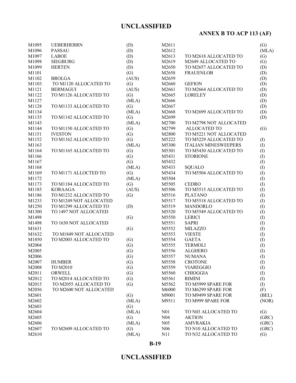# **ANNEX B TO ACP 113 (AF)**

| M1095 | <b>UEBERHERRN</b>                       | (D)   | M2611            |                             | (G)       |
|-------|-----------------------------------------|-------|------------------|-----------------------------|-----------|
| M1096 | <b>PASSAU</b>                           | (D)   | M2612            |                             | (MLA)     |
| M1097 | <b>LABOE</b>                            | (D)   | M2613            | TO M2618 ALLOCATED TO       | (G)       |
| M1098 | <b>SIEGBURG</b>                         | (D)   | M2619            | M2649 ALLOCATED TO          | (G)       |
| M1099 | <b>HERTEN</b>                           | (D)   | M2650            | TO M2657 ALLOCATED TO       | (D)       |
| M1101 |                                         | (G)   | M2658            | <b>FRAUENLOB</b>            | (D)       |
| M1102 | <b>BROLGA</b>                           | (AUS) | M2659            |                             | (D)       |
| M1103 | TO M1120 ALLOCATED TO                   | (G)   | M2660            | <b>GEFION</b>               | (D)       |
| M1121 | <b>BERMAGUI</b>                         | (AUS) | M2661            | TO M2664 ALLOCATED TO       | (D)       |
| M1122 | TO M1126 ALLOCATED TO                   | (G)   | M2665            | <b>LORELEY</b>              | (D)       |
| M1127 |                                         | (MLA) | M2666            |                             | (D)       |
| M1128 | TO M1133 ALLOCATED TO                   | (G)   | M2667            |                             | (D)       |
| M1134 |                                         | (MLA) | M2668            | TO M2699 ALLOCATED TO       | (D)       |
| M1135 | TO M1142 ALLOCATED TO                   | (G)   | M2699            |                             | (D)       |
| M1143 |                                         | (MLA) | M2700            | TO M2798 NOT ALLOCATED      |           |
| M1144 | TO M1150 ALLOCATED TO                   | (G)   | M2799            | <b>ALLOCATED TO</b>         | (G)       |
| M1151 | <b>IVESTON</b>                          | (G)   | M2800            | TO M5221 NOT ALLOCATED      |           |
| M1152 | TO M1162 ALLOCATED TO                   | (G)   | M5222            | TO M5229 ALLOCATED TO       | (I)       |
| M1163 |                                         | (MLA) | M5300            | <b>ITALIAN MINESWEEPERS</b> | (I)       |
| M1164 | TO M1165 ALLOCATED TO                   | (G)   | M5301            | TO M5430 ALLOCATED TO       | (1)       |
| M1166 |                                         | (G)   | M5431            | <b>STORIONE</b>             | (1)       |
| M1167 |                                         | (G)   | M5432            |                             |           |
| M1168 |                                         | (MLA) | M5433            | <b>SQUALO</b>               | (1)       |
| M1169 | TO M1171 ALLOCTED TO                    |       | M5434            | TO M5504 ALLOCATED TO       | (1)       |
|       |                                         | (G)   |                  |                             | (1)       |
| M1172 |                                         | (MLA) | M5504            |                             | (I)       |
| M1173 | TO M1184 ALLOCATED TO<br><b>KORAAGA</b> | (G)   | M5505            | <b>CEDRO</b>                | (I)       |
| M1185 |                                         | (AUS) | M5506            | TO M5515 ALLOCATED TO       | (1)       |
| M1186 | TO M1232 ALLOCATED TO                   | (G)   | M5516            | <b>PLATANO</b>              | (1)       |
| M1233 | TO M1249 NOT ALLOCATED                  |       | M5517            | TO M5518 ALLOCATED TO       | (I)       |
| M1250 | TO M1299 ALLOCATED TO                   | (D)   | M5519            | <b>MANDORLO</b>             | (I)       |
| M1300 | TO 1497 NOT ALLOCATED                   |       | M5520            | TO M5549 ALLOCATED TO       | (I)       |
| M1498 |                                         | (G)   | M5550            | <b>LERICI</b>               | (I)       |
| M1498 | TO 1630 NOT ALLOCATED                   |       | M5551            | <b>SAPRI</b>                | (1)       |
| M1631 |                                         | (G)   | M5552            | <b>MILAZZO</b>              | (1)       |
| M1632 | TO M1849 NOT ALLOCATED                  |       | M5553            | <b>VIESTE</b>               | (I)       |
| M1850 | TO M2003 ALLOCATED TO                   | (G)   | M5554            | <b>GAETA</b>                | (I)       |
| M2004 |                                         | (G)   | M5555            | <b>TERMOLI</b>              | (I)       |
| M2005 |                                         | (G)   | M5556            | <b>ALGHERO</b>              | (1)       |
| M2006 |                                         | (G)   | M5557            | <b>NUMANA</b>               | (1)       |
| M2007 | <b>HUMBER</b>                           | (G)   | M5558            | <b>CROTONE</b>              | (I)       |
| M2008 | TO M2010                                | (G)   | M5559            | <b>VIAREGGIO</b>            | (I)       |
| M2011 | ORWELL                                  | (G)   | M5560            | <b>CHIOGGIA</b>             | $\rm (I)$ |
| M2012 | TO M2014 ALLOCATED TO                   | (G)   | M5561            | <b>RIMINI</b>               | (I)       |
| M2015 | TO M2055 ALLOCATED TO                   | (G)   | M5562            | TO M5999 SPARE FOR          | (I)       |
| M2056 | TO M2600 NOT ALLOCATED                  |       | M6000            | TO M6299 SPARE FOR          | (F)       |
| M2601 |                                         | (G)   | M9001            | TO M9499 SPARE FOR          | (BEL)     |
| M2602 |                                         | (MLA) | M9511            | TO M999 SPARE FOR           | (NOR)     |
| M2603 |                                         | (G)   |                  |                             |           |
| M2604 |                                         | (MLA) | N <sub>0</sub> 1 | TO N03 ALLOCATED TO         | (G)       |
| M2605 |                                         | (G)   | N <sub>04</sub>  | <b>AKTION</b>               | (GRC)     |
| M2606 |                                         | (MLA) | N <sub>05</sub>  | <b>AMVRAKIA</b>             | (GRC)     |
| M2607 | TO M2609 ALLOCATED TO                   | (G)   | N <sub>06</sub>  | TO N10 ALLOCATED TO         | (GRC)     |
| M2610 |                                         | (MLA) | N11              | TO N32 ALLOCATED TO         | (G)       |

### **B-19**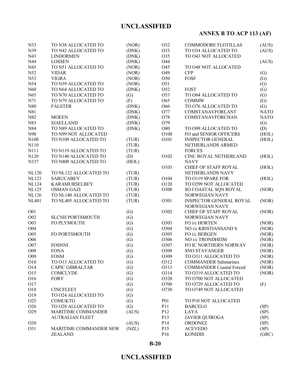# **ANNEX B TO ACP 113 (AF)**

| N33             | TO N38 ALLOCATED TO     | (NOR)             | O32             | <b>COMMODORE FLOTILLAS</b>              | (AUS)       |
|-----------------|-------------------------|-------------------|-----------------|-----------------------------------------|-------------|
| N39             | TO N42 ALLOCATED TO     | (DNK)             | O33             | TO 034 ALLOCATED TO                     | (AUS)       |
| N43             | <b>LINDORMEN</b>        | (DNK)             | O35             | TO 043 NOT ALLOCATED                    |             |
| N44             | <b>LOSSEN</b>           | (DNK)             | O44             |                                         | (AUS)       |
| N45             | TO N51 ALLOCATED TO     | (NOR)             | O45             | TO 048 NOT ALLOCATED                    |             |
| N52             | <b>VIDAR</b>            | (NOR)             | O49             | <b>CFP</b>                              | (G)         |
| N53             | <b>VIGRA</b>            | (NOR)             | O50             | <b>FOSF</b>                             | (G)         |
| N54             | TO N59 ALLOCATED TO     | (NOR)             | O51             |                                         | (G)         |
| N60             | TO N64 ALLOCATED TO     | (DNK)             | O52             | <b>FOST</b>                             | (G)         |
| N65             | TO N70 ALLOCATED TO     | $\left( G\right)$ | O53             | TO 064 ALLOCATED TO                     | (G)         |
| N71             | TO N79 ALLOCATED TO     | (F)               | O65             | <b>COMMW</b>                            | (G)         |
| N80             | <b>FALSTER</b>          | (DNK)             | O66             | TO 076 ALLOCATED TO                     | (G)         |
| N81             |                         | (DNK)             | O77             | COMSTANAVFORLANT                        | <b>NATO</b> |
| N82             | <b>MOEEN</b>            | (DNK)             | O78             | COMSTANAVFORCHAN                        | <b>NATO</b> |
| N83             | <b>SJAELLAND</b>        | (DNK)             | O79             |                                         | (G)         |
| N84             | TO N89 ALLOCATED TO     | (DNK)             | O80             | TO 099 ALLOCATED TO                     | (D)         |
| N90             | TO N99 NOT ALLOCATED    |                   | O100            | FO and SENIOR OFFICERS                  | (HOL)       |
| N100            | TO N109 ALLOCATED TO    | (TUR)             | O101            | <b>INSPECTOR GENERAL</b>                | (HOL)       |
| N110            |                         | (TUR)             |                 | NETHERLANDS ARMED                       |             |
| N111            | TO N119 ALLOCATED TO    | (TUR)             |                 | <b>FORCES</b>                           |             |
| N120            | TO N140 ALLOCATED TO    | (D)               | O102            | CINC ROYAL NETHERLAND                   | (HOL)       |
| N337            | TO N809 ALLOCATED TO    | (HOL)             |                 | <b>NAVY</b>                             |             |
|                 |                         |                   | O103            | CHIEF OF STAFF ROYAL                    | (HOL)       |
| <b>NL120</b>    | TO NL122 ALLOCATED TO   | (TUR)             |                 | NETHERLANDS NAVY                        |             |
| <b>NL123</b>    | <b>SARUCABEY</b>        | (TUR)             | O104            | TO 0119 SPARE FOR                       | (HOL)       |
| <b>NL124</b>    | <b>KARAMURSELBEY</b>    | (TUR)             | O120            | TO 0299 NOT ALLOCATED                   |             |
| <b>NL125</b>    | <b>OSMAN GAZI</b>       | (TUR)             | O300            | SO COASTAL SQN ROYAL                    | (NOR)       |
| <b>NL126</b>    | TO NL140 ALLOCATED TO   | (TUR)             |                 | NORWEGIAN NAVY                          |             |
| <b>NL401</b>    | TO NL405 ALLOCATED TO   | (TUR)             | O301            | <b>INSPECTOR GENERAL ROYAL</b>          | (NOR)       |
|                 |                         |                   |                 | NORWEGIAN NAVY                          |             |
| O01             |                         | (G)               | O302            | <b>CHIEF OF STAFF ROYAL</b>             | (NOR)       |
| O02             | <b>SLCNH PORTSMOUTH</b> | (G)               |                 | NORWEGIAN NAVY                          |             |
| O03             | FO PLYMOUTH             | (G)               | O303            | FO i/c HORTEN                           | (NOR)       |
| O04             |                         | (G)               | O304            | NO i/c KRISTIANSAND S                   | (NOR)       |
| O05             | FO PORTSMOUTH           | (G)               | O305            | FO i/c BERGEN                           | (NOR)       |
| O06             |                         | (G)               | O306            | NO i/c TRONDHEIM                        | (NOR)       |
| O07             | <b>FOSNNI</b>           | (G)               | O307            | FO IC NORTHERN NORWAY                   | (NOR)       |
| O08             | <b>FONA</b>             | (G)               | O308            | <b>SNO STAVANGER</b>                    | (NOR)       |
| O09             | <b>FOSM</b>             | $\left( G\right)$ | O309            | TO 0311 ALLOCATED TO                    | (NOR)       |
| O10             | TO 013 ALLOCATED TO     | (G)               | O312            | <b>COMMANDER Submarines</b>             | (NOR)       |
| O14             | <b>CAPIC GIBRALTAR</b>  | (G)               | O313            | <b>COMMANDER Coastal Forced</b>         | (NOR)       |
| O15             | <b>COMCLYDE</b>         | (G)               | O314            | TO 0319 ALLOCATED TO                    | (NOR)       |
| O16             | <b>FORY</b>             | (G)               | O320            | TO 0700 NOT ALLOCATED                   |             |
| O17             |                         | (G)               | O700            | TO 0729 ALLOCATED TO                    | (F)         |
| O18             | <b>CINCFLEET</b>        | (G)               | O730            | TO 0749 NOT ALLOCATED                   |             |
| O19             | TO 024 ALLOCATED TO     | (G)               |                 |                                         |             |
| O25             | <b>COMUKTG</b>          | (G)               | <b>P01</b>      | TO P10 NOT ALLOCATED                    |             |
| O <sub>26</sub> | TO 028 ALLOCATED TO     | (G)               | P11             | <b>BARCELO</b>                          | (SP)        |
| O29             | MARITIME COMMANDER      | (AUS)             | P12             | <b>LAYA</b>                             |             |
|                 |                         |                   | P13             |                                         | (SP)        |
| O30             | <b>AUTRALIAN FLEET</b>  | (AUS)             | P <sub>14</sub> | <b>JAVIER QUIROGA</b><br><b>ORDONEZ</b> | (SP)        |
| O31             | MARITIME COMMANDER NEW  | (NZL)             | P15             | <b>ACEVEDO</b>                          | (SP)        |
|                 |                         |                   |                 |                                         | (SP)        |
|                 | <b>ZEALAND</b>          |                   | P16             | <b>KONIDIS</b>                          | (GRC)       |

**B-20**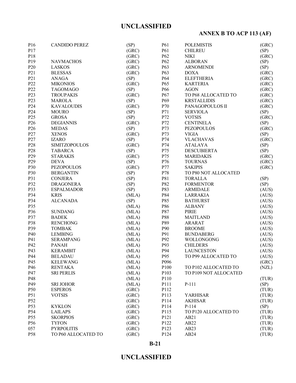# **ANNEX B TO ACP 113 (AF)**

| P16              | <b>CANDIDO PEREZ</b> | (SP)  | <b>P61</b>        | <b>POLEMISTIS</b>     | (GRC) |
|------------------|----------------------|-------|-------------------|-----------------------|-------|
| P17              |                      | (GRC) | P61               | <b>CHILREU</b>        | (SP)  |
| P18              |                      | (GRC) | P <sub>62</sub>   | <b>NIKI</b>           | (GRC) |
| P19              | <b>NAVMACHOS</b>     | (GRC) | P <sub>62</sub>   | <b>ALBORAN</b>        | (SP)  |
| P <sub>20</sub>  | <b>LASKOS</b>        | (GRC) | P63               | <b>ARNOMENDI</b>      | (SP)  |
| P21              | <b>BLESSAS</b>       | (GRC) | P <sub>63</sub>   | <b>DOXA</b>           | (GRC) |
| P <sub>21</sub>  | <b>ANAGA</b>         | (SP)  | P64               | <b>ELEFTHERIA</b>     | (GRC) |
| P22              | <b>MIKONIOS</b>      | (GRC) | P <sub>65</sub>   | <b>KARTERIA</b>       | (GRC) |
| P22              | <b>TAGOMAGO</b>      | (SP)  | P66               | <b>AGON</b>           | (GRC) |
| P <sub>2</sub> 3 | <b>TROUPAKIS</b>     | (GRC) | P67               | TO P68 ALLOCATED TO   | (GRC) |
| P <sub>2</sub> 3 | <b>MAROLA</b>        | (SP)  | P <sub>69</sub>   | <b>KRSTALLIDIS</b>    | (GRC) |
| P24              | <b>KAVALOUDIS</b>    | (GRC) | P70               | PANAGOPOULOS II       | (GRC) |
| P <sub>24</sub>  | <b>MOURO</b>         | (SP)  | P71               | <b>SERVIOLA</b>       | (SP)  |
| P <sub>25</sub>  | <b>GROSA</b>         | (SP)  | P72               | <b>VOTSIS</b>         | (GRC) |
| P <sub>26</sub>  | <b>DEGIANNIS</b>     | (GRC) | P72               | <b>CENTINELA</b>      | (SP)  |
| P <sub>26</sub>  | <b>MEDAS</b>         | (SP)  | P73               | <b>PEZOPOULOS</b>     | (GRC) |
| P27              | <b>XENOS</b>         | (GRC) | P73               | <b>VIGIA</b>          | (SP)  |
| P27              | <b>IZARO</b>         | (SP)  | P74               | <b>VLACHAVAS</b>      | (GRC) |
| P <sub>28</sub>  | <b>SIMITZOPOULOS</b> | (GRC) | P74               | <b>ATALAYA</b>        | (SP)  |
| P <sub>28</sub>  | <b>TABARCA</b>       | (SP)  | P75               | <b>DESCUBIERTA</b>    | (SP)  |
| P <sub>29</sub>  | <b>STARAKIS</b>      | (GRC) | P75               | <b>MARIDAKIS</b>      | (GRC) |
| P <sub>29</sub>  | <b>DEVA</b>          | (SP)  | P76               | <b>TOURNAS</b>        | (GRC) |
| P30              | <b>PEZOPOULOS</b>    | (GRC) | P77               | <b>SAKIPIS</b>        | (GRC) |
|                  |                      |       |                   | TO P80 NOT ALLOCATED  |       |
| P30              | <b>BERGANTIN</b>     | (SP)  | P78<br><b>P81</b> |                       |       |
| P31              | <b>CONJERA</b>       | (SP)  |                   | <b>TORALLA</b>        | (SP)  |
| P32              | <b>DRAGONERA</b>     | (SP)  | P82               | <b>FORMENTOR</b>      | (SP)  |
| P33              | <b>ESPALMADOR</b>    | (SP)  | P83               | <b>ARMIDALE</b>       | (AUS) |
| P34              | <b>KRIS</b>          | (MLA) | P84               | LARRAKIA              | (AUS) |
| P34              | <b>ALCANADA</b>      | (SP)  | P85               | <b>BATHURST</b>       | (AUS) |
| P35              |                      | (MLA) | P86               | <b>ALBANY</b>         | (AUS) |
| P36              | <b>SUNDANG</b>       | (MLA) | P87               | PIRIE                 | (AUS) |
| P37              | <b>BADEK</b>         | (MLA) | P88               | <b>MAITLAND</b>       | (AUS) |
| P38              | <b>RENCHONG</b>      | (MLA) | P89               | <b>ARARAT</b>         | (AUS) |
| P39              | <b>TOMBAK</b>        | (MLA) | P90               | <b>BROOME</b>         | (AUS) |
| P40              | <b>LEMBING</b>       | (MLA) | P91               | <b>BUNDABERG</b>      | (AUS) |
| P41              | <b>SERAMPANG</b>     | (MLA) | P92               | WOLLONGONG            | (AUS) |
| P42              | <b>PANAH</b>         | (MLA) | P93               | <b>CHILDERS</b>       | (AUS) |
| P43              | <b>KERAMBIT</b>      | (MLA) | P94               | <b>LAUNCESTON</b>     | (AUS) |
| P44              | <b>BELADAU</b>       | (MLA) | P95               | TO P99 ALLOCATED TO   | (AUS) |
| P45              | <b>KELEWANG</b>      | (MLA) | P096              |                       | (GRC) |
| P46              | <b>RENTAKA</b>       | (MLA) | P100              | TO P102 ALLOCATED TO  | (NZL) |
| P47              | <b>SRI PERLIS</b>    | (MLA) | P103              | TO P109 NOT ALLOCATED |       |
| P48              |                      | (MLA) | P110              |                       | (TUR) |
| P49              | <b>SRI JOHOR</b>     | (MLA) | P111              | P-111                 | (SP)  |
| P <sub>50</sub>  | <b>ESPEROS</b>       | (GRC) | P112              |                       | (TUR) |
| P51              | <b>VOTSIS</b>        | (GRC) | P113              | <b>YARHISAR</b>       | (TUR) |
| P <sub>52</sub>  |                      | (GRC) | P114              | <b>AKHISAR</b>        | (TUR) |
| P53              | <b>KYKLON</b>        | (GRC) | P114              | P-114                 | (SP)  |
| P54              | <b>LAILAPS</b>       | (GRC) | P115              | TO P120 ALLOCATED TO  | (TUR) |
| P <sub>55</sub>  | <b>SKORPIOS</b>      | (GRC) | P121              | AB21                  | (TUR) |
| P <sub>56</sub>  | <b>TYFON</b>         | (GRC) | P122              | AB22                  | (TUR) |
| 057              | <b>PYRPOLITIS</b>    | (GRC) | P123              | AB <sub>23</sub>      | (TUR) |
| P58              | TO P60 ALLOCATED TO  | (GRC) | P124              | AB <sub>24</sub>      | (TUR) |

**B-21**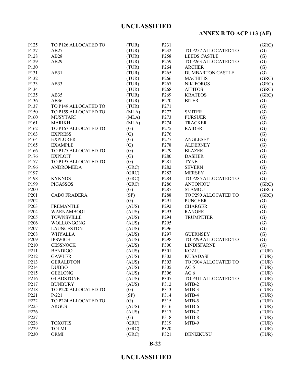# **ANNEX B TO ACP 113 (AF)**

| P125              | TO P126 ALLOCATED TO | (TUR) | P231             |                         | (GRC) |
|-------------------|----------------------|-------|------------------|-------------------------|-------|
| P127              | AB27                 | (TUR) | P232             | TO P257 ALLOCATED TO    | (G)   |
| P128              | AB28                 | (TUR) | P258             | <b>LEEDS CASTLE</b>     | (G)   |
| P129              | AB29                 | (TUR) | P <sub>259</sub> | TO P263 ALLOCATED TO    | (G)   |
| P130              |                      | (TUR) | P <sub>264</sub> | <b>ARCHER</b>           | (G)   |
| P131              | AB31                 | (TUR) | P <sub>265</sub> | <b>DUMBARTON CASTLE</b> | (G)   |
| P132              |                      | (TUR) | P <sub>266</sub> | <b>MACHITIS</b>         | (GRC) |
| P133              | AB33                 | (TUR) | P <sub>267</sub> | <b>NIKIFOROS</b>        | (GRC) |
| P134              |                      | (TUR) | P <sub>268</sub> | <b>AITITOS</b>          | (GRC) |
| P135              | AB35                 | (TUR) | P <sub>269</sub> | <b>KRATEOS</b>          | (GRC) |
| P136              | AB36                 | (TUR) | P <sub>270</sub> | <b>BITER</b>            | (G)   |
| P137              | TO P149 ALLOCATED TO | (TUR) | P <sub>271</sub> |                         | (G)   |
| P150              | TO P159 ALLOCATED TO | (MLA) | P272             | <b>SMITER</b>           | (G)   |
| P160              | <b>MUSYTARI</b>      | (MLA) | P <sub>273</sub> | <b>PURSUER</b>          | (G)   |
| P161              | <b>MARIKH</b>        | (MLA) | P274             | <b>TRACKER</b>          | (G)   |
| P162              | TO P167 ALLOCATED TO | (G)   | P275             | <b>RAIDER</b>           | (G)   |
| P163              | <b>EXPRESS</b>       | (G)   | P276             |                         | (G)   |
| P164              | <b>EXPLORER</b>      | (G)   | P277             | ANGLESEY                | (G)   |
| P165              | <b>EXAMPLE</b>       | (G)   | P <sub>278</sub> | <b>ALDERNEY</b>         | (G)   |
| P166              | TO P175 ALLOCATED TO |       | P <sub>279</sub> | <b>BLAZER</b>           |       |
|                   |                      | (G)   | P <sub>280</sub> |                         | (G)   |
| P176              | <b>EXPLOIT</b>       | (G)   |                  | <b>DASHER</b>           | (G)   |
| P177              | TO P195 ALLOCATED TO | (G)   | P <sub>281</sub> | <b>TYNE</b>             | (G)   |
| P196              | <b>ANDROMEDA</b>     | (GRC) | P282             | <b>SEVERN</b>           | (G)   |
| P197              |                      | (GRC) | P <sub>283</sub> | <b>MERSEY</b>           | (G)   |
| P198              | <b>KYKNOS</b>        | (GRC) | P284             | TO P285 ALLOCATED TO    | (G)   |
| P199              | <b>PIGASSOS</b>      | (GRC) | P286             | <b>ANTONIOU</b>         | (GRC) |
| P <sub>200</sub>  |                      | (G)   | P287             | <b>STAMOU</b>           | (GRC) |
| P201              | <b>CABO FRADERA</b>  | (SP)  | P288             | TO P290 ALLOCATED TO    | (GRC) |
| P202              |                      | (G)   | P <sub>291</sub> | <b>PUNCHER</b>          | (G)   |
| P <sub>20</sub> 3 | <b>FREMANTLE</b>     | (AUS) | P <sub>292</sub> | <b>CHARGER</b>          | (G)   |
| P204              | <b>WARNAMBOOL</b>    | (AUS) | P <sub>293</sub> | <b>RANGER</b>           | (G)   |
| P <sub>205</sub>  | <b>TOWNSVILLE</b>    | (AUS) | P294             | <b>TRUMPETER</b>        | (G)   |
| P206              | WOLLONGONG           | (AUS) | P <sub>295</sub> |                         | (G)   |
| P <sub>207</sub>  | <b>LAUNCESTON</b>    | (AUS) | P <sub>296</sub> |                         | (G)   |
| P208              | WHYALLA              | (AUS) | P <sub>297</sub> | <b>GUERNSEY</b>         | (G)   |
| P <sub>209</sub>  | <b>IPSWICH</b>       | (AUS) | P <sub>298</sub> | TO P299 ALLOCATED TO    | (G)   |
| P210              | <b>CESSNOCK</b>      | (AUS) | P300             | <b>LINDISFARNE</b>      | (G)   |
| P211              | <b>BENDIGO</b>       | (AUS) | P301             | <b>KOZLU</b>            | (TUR) |
| P212              | <b>GAWLER</b>        | (AUS) | P302             | <b>KUSADASI</b>         | (TUR) |
| P213              | <b>GERALDTON</b>     | (AUS) | P303             | TO P304 ALLOCATED TO    | (TUR) |
| P214              | <b>DUBBO</b>         | (AUS) | P305             | AG <sub>5</sub>         | (TUR) |
| P215              | <b>GEELONG</b>       | (AUS) | P306             | AG6                     | (TUR) |
| P216              | <b>GLADSTONE</b>     | (AUS) | P307             | TO P311 ALLOCATED TO    | (TUR) |
| P217              | <b>BUNBURY</b>       | (AUS) | P312             | MTB-2                   | (TUR) |
| P218              | TO P220 ALLOCATED TO | (G)   | P313             | MTB-3                   | (TUR) |
| P221              | $P-221$              | (SP)  | P314             | MTB-4                   | (TUR) |
| P222              | TO P224 ALLOCATED TO | (G)   | P315             | MTB-5                   | (TUR) |
| P225              | <b>ARGUS</b>         | (AUS) | P316             | MTB-6                   | (TUR) |
| P226              |                      | (AUS) | P317             | MTB-7                   | (TUR) |
| P227              |                      | (G)   | P318             | MTB-8                   | (TUR) |
| P228              | <b>TOXOTIS</b>       | (GRC) | P319             | MTB-9                   | (TUR) |
| P229              | <b>TOLMI</b>         | (GRC) | P320             |                         | (TUR) |
| P <sub>230</sub>  | ORMI                 | (GRC) | P321             | DENIZKUSU               | (TUR) |

**B-22**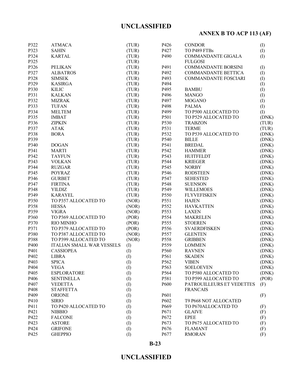# **ANNEX B TO ACP 113 (AF)**

| P322              | <b>ATMACA</b>             | (TUR)        | P426             | <b>CONDOR</b>              | (I)   |
|-------------------|---------------------------|--------------|------------------|----------------------------|-------|
| P323              | <b>SAHIN</b>              | (TUR)        | P427             | TO P489 FTBs               | (I)   |
| P324              | <b>KARTAL</b>             | (TUR)        | P490             | COMMANDANTE GIGALA         | (I)   |
| P325              |                           | (TUR)        |                  | <b>FULGOSI</b>             |       |
| P326              | <b>PELIKAN</b>            | (TUR)        | P491             | COMMANDANTE BORSINI        | (I)   |
| P327              | <b>ALBATROS</b>           | (TUR)        | P492             | <b>COMMANDANTE BETTICA</b> | (I)   |
| P328              | <b>SIMSEK</b>             | (TUR)        | P493             | COMMANDANTE FOSCIARI       | (I)   |
| P329              | <b>KASIRGA</b>            | (TUR)        | P494             |                            | (I)   |
| P330              | <b>KILIC</b>              | (TUR)        | P495             | <b>BAMBU</b>               | (I)   |
| P331              | <b>KALKAN</b>             | (TUR)        | P496             | <b>MANGO</b>               | (I)   |
| P332              | <b>MIZRAK</b>             | (TUR)        | P497             | <b>MOGANO</b>              | (1)   |
| P333              | <b>TUFAN</b>              | (TUR)        | P498             | <b>PALMA</b>               | (I)   |
| P334              | <b>MELTEM</b>             | (TUR)        | P499             | TO P500 ALLOCATED TO       | (I)   |
| P335              | <b>IMBAT</b>              | (TUR)        | P501             | TO P529 ALLOCATED TO       | (DNK) |
| P336              | <b>ZIPKIN</b>             | (TUR)        | P530             | <b>TRABZON</b>             | (TUR) |
| P337              | <b>ATAK</b>               | (TUR)        | P531             | <b>TERME</b>               | (TUR) |
| P338              | <b>BORA</b>               | (TUR)        | P532             | TO P539 ALLOCATED TO       | (DNK) |
| P339              |                           | (TUR)        | P540             | <b>BILLE</b>               | (DNK) |
| P340              | <b>DOGAN</b>              | (TUR)        | P541             | <b>BREDAL</b>              | (DNK) |
| P341              | <b>MARTI</b>              | (TUR)        | P542             | <b>HAMMER</b>              | (DNK) |
| P342              | <b>TAYFUN</b>             | (TUR)        | P543             | <b>HUITFELDT</b>           | (DNK) |
| P343              | <b>VOLKAN</b>             | (TUR)        | P544             | <b>KRIEGER</b>             | (DNK) |
| P344              | <b>RUZGAR</b>             | (TUR)        | P545             | <b>NORBY</b>               | (DNK) |
| P345              | <b>POYRAZ</b>             | (TUR)        | P546             | <b>RODSTEEN</b>            | (DNK) |
| P346              | <b>GURBET</b>             | (TUR)        | P547             | <b>SEHESTED</b>            | (DNK) |
| P347              | <b>FIRTINA</b>            | (TUR)        | P548             | <b>SUENSON</b>             | (DNK) |
| P348              | <b>YILDIZ</b>             | (TUR)        | P549             | <b>WILLEMOES</b>           | (DNK) |
| P349              | <b>KARAYEL</b>            | (TUR)        | P550             | <b>FLYVEFISKEN</b>         | (DNK) |
| P350              | TO P357 ALLOCATED TO      | (NOR)        | P551             | <b>HAJEN</b>               | (DNK) |
| P358              | <b>HESSA</b>              | (NOR)        | P552             | <b>HAVKATTEN</b>           | (DNK) |
| P359              | <b>VIGRA</b>              | (NOR)        | P553             | <b>LAXEN</b>               | (DNK) |
| P360              | TO P369 ALLOCATED TO      | (POR)        | P554             | <b>MAKRELEN</b>            | (DNK) |
| P370              | RIO MINHO                 | (POR)        | P555             | <b>STOEREN</b>             | (DNK) |
|                   |                           |              |                  |                            |       |
| P371              | TO P379 ALLOCATED TO      | (POR)        | P556             | <b>SVAERDFISKEN</b>        | (DNK) |
| P380              | TO P387 ALLOCATED TO      | (NOR)        | P557             | <b>GLENTEN</b>             | (DNK) |
| P388              | TO P399 ALLOCATED TO      | (NOR)        | P558             | <b>GRIBBEN</b>             | (DNK) |
| P400              | ITALIAN SMALL WAR VESSELS | (I)          | P559             | <b>LOMMEN</b>              | (DNK) |
| P401              | <b>CASSIOPEA</b>          | (I)          | P560             | <b>RAVNEN</b>              | (DNK) |
| P402              | LIBRA                     | $\rm (I)$    | P561             | <b>SKADEN</b>              | (DNK) |
| P <sub>40</sub> 3 | <b>SPICA</b>              | (I)          | P562             | <b>VIBEN</b>               | (DNK) |
| P404              | <b>VEGA</b>               | (I)          | P563             | <b>SOELOEVEN</b>           | (DNK) |
| P405              | <b>ESPLORATORE</b>        | (1)          | P564             | TO P580 ALLOCATED TO       | (DNK) |
| P406              | <b>SENTINELLA</b>         | (I)          | P581             | TO P599 ALLOCATED TO       | (POR) |
| P407              | <b>VEDETTA</b>            | (I)          | P600             | PATROUILLEURS ET VEDETTES  | (F)   |
| P408              | <b>STAFFETTA</b>          | $\rm (I)$    |                  | <b>FRANCAIS</b>            |       |
| P409              | <b>ORIONE</b>             | (I)          | P601             |                            | (F)   |
| P410              | <b>SIRIO</b>              | (I)          | P602             | T9 P668 NOT ALLOCATED      |       |
| P411              | TO P420 ALLOCATED TO      | $($ $\Gamma$ | P669             | TO P670ALLOCATED TO        | (F)   |
| P421              | <b>NIBBIO</b>             | $\rm (I)$    | P671             | <b>GLAIVE</b>              | (F)   |
| P422              | <b>FALCONE</b>            | $\rm (I)$    | P <sub>672</sub> | <b>EPEE</b>                | (F)   |
| P423              | <b>ASTORE</b>             | $\rm (I)$    | P673             | TO P675 ALLOCATED TO       | (F)   |
| P424              | <b>GRIFONE</b>            | $\rm (I)$    | P676             | <b>FLAMANT</b>             | (F)   |
| P425              | <b>GHEPPIO</b>            | (1)          | P677             | <b>RMORAN</b>              | (F)   |
|                   |                           |              |                  |                            |       |

**B-23**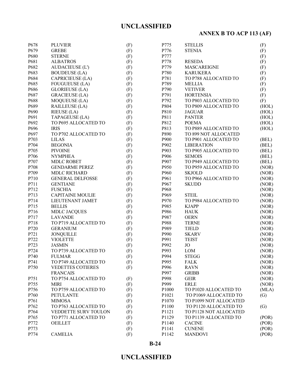# **ANNEX B TO ACP 113 (AF)**

| P678         | <b>PLUVIER</b>                         | (F) | P775  | <b>STELLIS</b>         | (F)               |
|--------------|----------------------------------------|-----|-------|------------------------|-------------------|
| P679         | <b>GREBE</b>                           | (F) | P776  | <b>STENIA</b>          | (F)               |
| P680         | <b>STERNE</b>                          | (F) | P777  |                        | (F)               |
| P681         | <b>ALBATROS</b>                        | (F) | P778  | <b>RESEDA</b>          | (F)               |
| P682         | <b>AUDACIEUSE (L')</b>                 | (F) | P779  | <b>MASCAREIGNE</b>     | (F)               |
| P683         | <b>BOUDEUSE (LA)</b>                   | (F) | P780  | <b>KARUKERA</b>        | (F)               |
| P684         | CAPRICIEUSE (LA)                       | (F) | P781  | TO P788 ALLOCATED TO   | (F)               |
| P685         | <b>FOUGUEUSE (LA)</b>                  | (F) | P789  | <b>MELLIA</b>          | (F)               |
| P686         | <b>GLORIEUSE (LA)</b>                  | (F) | P790  | <b>VETIVER</b>         | (F)               |
| P687         | <b>GRACIEUSE (LA)</b>                  | (F) | P791  | <b>HORTENSIA</b>       | (F)               |
| P688         | MOQUEUSE (LA)                          | (F) | P792  | TO P803 ALLOCATED TO   | (F)               |
| P689         | <b>RAILLEUSE (LA)</b>                  | (F) | P804  | TO P809 ALLOCATED TO   | (HOL)             |
| P690         | RIEUSE (LA)                            | (F) | P810  | <b>JAGUAR</b>          | (HOL)             |
| P691         | TAPAGEUSE (LA)                         | (F) | P811  | <b>PANTER</b>          | (HOL)             |
| P692         | TO P695 ALLOCATED TO                   | (F) | P812  | <b>POEMA</b>           | (HOL)             |
| P696         | <b>IRIS</b>                            | (F) | P813  | TO P889 ALLOCATED TO   | (HOL)             |
| P697         | TO P702 ALLOCATED TO                   | (F) | P890  | TO 899 NOT ALLOCATED   |                   |
| P703         | <b>LILAS</b>                           | (F) | P900  | TO P901 ALLOCATED TO   | (BEL)             |
| P704         | <b>BEGONIA</b>                         | (F) | P902  | <b>LIBERATION</b>      | (BEL)             |
| P705         | <b>PIVOINE</b>                         | (F) | P903  | TO P905 ALLOCATED TO   | (BEL)             |
| P706         | <b>NYMPHEA</b>                         | (F) | P906  | <b>SEMOIS</b>          | (BEL)             |
| P707         | <b>MDLC ROBET</b>                      | (F) | P907  | TO P949 ALLOCATED TO   | (BEL)             |
| P708         | <b>GENDARME PEREZ</b>                  | (F) | P950  | TO P959 ALLOCATED TO   | (NOR)             |
| P709         | <b>MDLC RICHARD</b>                    | (F) | P960  | <b>SKJOLD</b>          | (NOR)             |
| P710         | <b>GENERAL DELFOSSE</b>                | (F) | P961  | TO P966 ALLOCATED TO   | (NOR)             |
| P711         | <b>GENTIANE</b>                        | (F) | P967  | <b>SKUDD</b>           | (NOR)             |
| P712         | <b>FUSCHIA</b>                         | (F) | P968  |                        | (NOR)             |
| P713         | <b>CAPITAINE MOULIE</b>                | (F) | P969  | <b>STEIL</b>           | (NOR)             |
| P714         | LIEUTENANT JAMET                       | (F) | P970  | TO P984 ALLOCATED TO   | (NOR)             |
| P715         |                                        |     | P985  |                        |                   |
|              | <b>BELLIS</b>                          | (F) | P986  | <b>KJAPP</b>           | (NOR)             |
| P716         | <b>MDLC JACQUES</b>                    | (F) | P987  | <b>HAUK</b>            | (NOR)             |
| P717<br>P718 | <b>LAVANDE</b><br>TO P719 ALLOCATED TO | (F) | P988  | <b>OERN</b>            | (NOR)             |
|              |                                        | (F) |       | <b>TERNE</b>           | (NOR)             |
| P720         | <b>GERANIUM</b>                        | (F) | P989  | <b>TJELD</b>           | (NOR)             |
| P721         | <b>JONQUILLE</b>                       | (F) | P990  | <b>SKARV</b>           | (NOR)             |
| P722         | <b>VIOLETTE</b>                        | (F) | P991  | <b>TEIST</b>           | (NOR)             |
| P723         | <b>JASMIN</b>                          | (F) | P992  | <b>JO</b>              | (NOR)             |
| P724         | TO P739 ALLOCATED TO                   | (F) | P993  | <b>LOM</b>             | (NOR)             |
| P740         | <b>FULMAR</b>                          | (F) | P994  | <b>STEGG</b>           | (NOR)             |
| P741         | TO P749 ALLOCATED TO                   | (F) | P995  | <b>FALK</b>            | (NOR)             |
| P750         | <b>VEDETTES COTIERES</b>               | (F) | P996  | <b>RAVN</b>            | (NOR)             |
|              | <b>FRANCAIS</b>                        |     | P997  | <b>GRIBB</b>           | (NOR)             |
| P751         | TO P754 ALLOCATED TO                   | (F) | P998  | <b>GEIR</b>            | (NOR)             |
| P755         | <b>MIRI</b>                            | (F) | P999  | <b>ERLE</b>            | (NOR)             |
| P756         | TO P759 ALLOCATED TO                   | (F) | P1000 | TO P1020 ALLOCATED TO  | (MLA)             |
| P760         | <b>PETULANTE</b>                       | (F) | P1021 | TO P1069 ALLOCATED TO  | (G)               |
| P761         | <b>MIMOSA</b>                          | (F) | P1070 | TO P1099 NOT ALLOCATED |                   |
| P762         | TO P763 ALLOCATED TO                   | (F) | P1100 | TO P1120 ALLOCATED TO  | $\left( G\right)$ |
| P764         | VEDDETTE SURV TOULON                   | (F) | P1121 | TO P1128 NOT ALLOCATED |                   |
| P765         | TO P771 ALLOCATED TO                   | (F) | P1129 | TO P1139 ALLOCATED TO  | (POR)             |
| P772         | <b>OEILLET</b>                         | (F) | P1140 | <b>CACINE</b>          | (POR)             |
| P773         |                                        | (F) | P1141 | <b>CUNENE</b>          | (POR)             |
| P774         | <b>CAMELIA</b>                         | (F) | P1142 | <b>MANDOVI</b>         | (POR)             |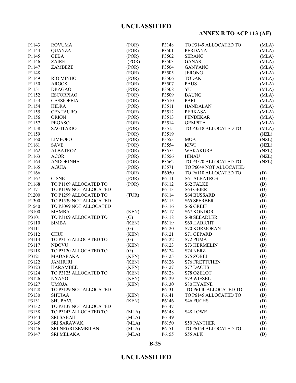# **ANNEX B TO ACP 113 (AF)**

| P1143 | <b>ROVUMA</b>             | (POR) | P3148 | TO P3149 ALLOCATED TO  | (MLA) |
|-------|---------------------------|-------|-------|------------------------|-------|
| P1144 | <b>QUANZA</b>             | (POR) | P3501 | PERDANA                | (MLA) |
| P1145 | <b>GEBA</b>               | (POR) | P3502 | <b>SERANG</b>          | (MLA) |
| P1146 | <b>ZAIRE</b>              | (POR) | P3503 | <b>GANAS</b>           | (MLA) |
| P1147 | <b>ZAMBEZE</b>            | (POR) | P3504 | <b>GANYANG</b>         | (MLA) |
| P1148 |                           | (POR) | P3505 | <b>JERONG</b>          | (MLA) |
| P1149 | <b>RIO MINHO</b>          | (POR) | P3506 | <b>TODAK</b>           | (MLA) |
| P1150 | <b>ARGOS</b>              | (POR) | P3507 | <b>PAUS</b>            | (MLA) |
| P1151 | <b>DRAGAO</b>             | (POR) | P3508 | YU                     | (MLA) |
| P1152 | <b>ESCORPIAO</b>          | (POR) | P3509 | <b>BAUNG</b>           | (MLA) |
| P1153 | <b>CASSIOPEIA</b>         | (POR) | P3510 | <b>PARI</b>            | (MLA) |
| P1154 | <b>HIDRA</b>              | (POR) | P3511 | <b>HANDALAN</b>        | (MLA) |
| P1155 | <b>CENTAURO</b>           | (POR) | P3512 | <b>PERKASA</b>         | (MLA) |
| P1156 | <b>ORION</b>              | (POR) | P3513 | <b>PENDEKAR</b>        | (MLA) |
| P1157 | PEGASO                    | (POR) | P3514 | <b>GEMPITA</b>         | (MLA) |
| P1158 | <b>SAGITARIO</b>          | (POR) | P3515 | TO P3518 ALLOCATED TO  |       |
|       |                           |       |       |                        | (MLA) |
| P1159 |                           | (POR) | P3519 |                        | (NZL) |
| P1160 | <b>LIMPOPO</b>            | (POR) | P3553 | <b>MOA</b>             | (NZL) |
| P1161 | <b>SAVE</b>               | (POR) | P3554 | <b>KIWI</b>            | (NZL) |
| P1162 | <b>ALBATROZ</b>           | (POR) | P3555 | <b>WAKAKURA</b>        | (NZL) |
| P1163 | <b>ACOR</b>               | (POR) | P3556 | <b>HINAU</b>           | (NZL) |
| P1164 | <b>ANDORINHA</b>          | (POR) | P3562 | TO P3570 ALLOCATED TO  | (NZL) |
| P1165 | <b>AGUIA</b>              | (POR) | P3571 | TO P6049 NOT ALLOCATED |       |
| P1166 |                           | (POR) | P6050 | TO P6110 ALLOCATED TO  | (D)   |
| P1167 | <b>CISNE</b>              | (POR) | P6111 | <b>S61 ALBATROS</b>    | (D)   |
| P1168 | TO P1169 ALLOCATED TO     | (POR) | P6112 | <b>S62 FALKE</b>       | (D)   |
| P117  | TO P1199 NOT ALLOCATED    |       | P6113 | S63 GEIER              | (D)   |
| P1200 | TO P1299 ALLOCATED TO     | (TUR) | P6114 | <b>S64 BUSSARD</b>     | (D)   |
| P1300 | TO P1539 NOT ALLOCATED    |       | P6115 | <b>S65 SPERBER</b>     | (D)   |
| P1540 | TO P3099 NOT ALLOCATED    |       | P6116 | <b>S66 GREIF</b>       | (D)   |
| P3100 | <b>MAMBA</b>              | (KEN) | P6117 | <b>S67 KONDOR</b>      | (D)   |
| P3101 | TO P3109 ALLOCATED TO     | (G)   | P6118 | <b>S68 SEEADLER</b>    | (D)   |
| P3110 | <b>SIMBA</b>              | (KEN) | P6119 | <b>S69 HABICHT</b>     | (D)   |
| P3111 |                           | (G)   | P6120 | <b>S70 KORMORAN</b>    | (D)   |
| P3112 | <b>CHUI</b>               | (KEN) | P6121 | S71 GEPARD             | (D)   |
| P3113 | TO P3116 ALLOCATED TO     | (G)   | P6122 | S72 PUMA               | (D)   |
| P3117 | <b>NDOVU</b>              | (KEN) | P6123 | <b>S73 HERMELIN</b>    | (D)   |
| P3118 | TO P3120 ALLOCATED TO     | (G)   | P6124 | S74 NERZ               | (D)   |
| P3121 | <b>MADARAKA</b>           | (KEN) | P6125 | S75 ZOBEL              | (D)   |
| P3122 | <b>JAMHURI</b>            | (KEN) | P6126 | <b>S76 FRETTCHEN</b>   | (D)   |
| P3123 | <b>HARAMBEE</b>           | (KEN) | P6127 | <b>S77 DACHS</b>       | (D)   |
| P3124 | TO P3125 ALLOCATED TO     | (KEN) | P6128 | S78 OZELOT             | (D)   |
| P3126 | <b>NYAYO</b>              | (KEN) | P6129 | S79 WIESEL             | (D)   |
| P3127 | <b>UMOJA</b>              | (KEN) | P6130 | <b>S80 HYAENE</b>      | (D)   |
| P3128 | TO P3129 NOT ALLOCATED    |       | P6131 | TO P6140 ALLOCATED TO  | (D)   |
| P3130 | <b>SHUJAA</b>             | (KEN) | P6141 | TO P6145 ALLOCATED TO  | (D)   |
| P3131 | <b>SHUPAVU</b>            | (KEN) | P6146 | <b>S46 FUCHS</b>       | (D)   |
| P3132 | TO P3137 NOT ALLOCATED    |       | P6147 |                        | (D)   |
| P3138 | TO P3143 ALLOCATED TO     | (MLA) | P6148 | S48 LOWE               | (D)   |
| P3144 | <b>SRI SABAH</b>          | (MLA) | P6149 |                        | (D)   |
| P3145 | <b>SRI SARAWAK</b>        | (MLA) | P6150 | <b>S50 PANTHER</b>     | (D)   |
| P3146 | <b>SRI NEGRI SEMBILAN</b> | (MLA) | P6151 | TO P6154 ALLOCATED TO  | (D)   |
| P3147 | <b>SRI MELAKA</b>         | (MLA) | P6155 | S55 ALK                | (D)   |
|       |                           |       |       |                        |       |

### **B-25**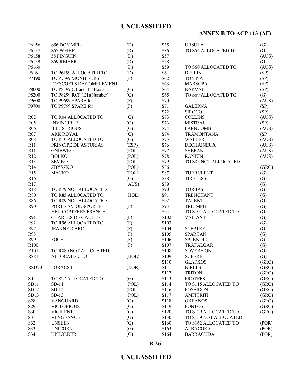# **ANNEX B TO ACP 113 (AF)**

| P6156             | <b>S56 DOMMEL</b>         | (D)          | S35              | <b>URSULA</b>                      | (G)               |
|-------------------|---------------------------|--------------|------------------|------------------------------------|-------------------|
| P6157             | <b>S57 WEIHE</b>          | (D)          | S36              | TO S56 ALLOCATED TO                | (G)               |
| P6158             | 58 PINGUIN                | (D)          | S57              |                                    | (AUS)             |
| P6159             | S59 REIHER                | (D)          | S58              |                                    | (G)               |
| P6160             |                           | (D)          | S59              | TO S60 ALLOCATED TO                | (AUS)             |
| P6161             | TO P6199 ALLOCATED TO     | (D)          | S61              | <b>DELFIN</b>                      | (SP)              |
| P7490             | TO P7599 MONITEURS        | (F)          | S62              | <b>TONINA</b>                      | (SP)              |
|                   | D'ESCORTS DE COMPLEMENT   |              | S63              | <b>MARSOPA</b>                     | (SP)              |
| P8000             | TO P8199 CT and TT Boats  | (G)          | S64              | <b>NARVAL</b>                      | (SP)              |
| P8200             | TO P8299 RCP (E1)(Number) | (G)          | S65              | TO S69 ALLOCATED TO                | (G)               |
| P9600             | TO P9699 SPARE for        | (F)          | S70              |                                    | (AUS)             |
| P9700             | TO P9799 SPARE for        | (F)          | S71              | <b>GALERNA</b>                     | (SP)              |
|                   |                           |              | S72              | <b>SIROCO</b>                      | (SP)              |
| R02               | TO R04 ALLOCATED TO       | (G)          | S73              | <b>COLLINS</b>                     | (AUS)             |
| R05               | <b>INVINCIBLE</b>         | (G)          | S73              | <b>MISTRAL</b>                     | (SP)              |
| R <sub>06</sub>   | <b>ILLUSTRIOUS</b>        | (G)          | S74              | <b>FARNCOMB</b>                    | (AUS)             |
|                   | <b>ARK ROYAL</b>          |              | S74              | <b>TRAMONTANA</b>                  |                   |
| R07               | TO R10 ALLOCATED TO       | (G)          |                  |                                    | (SP)              |
| <b>R08</b>        | PRINCIPE DE ASTURIAS      | (G)<br>(ESP) | S75<br>S76       | <b>WALLER</b><br><b>DECHAINEUX</b> | (AUS)             |
| R11               |                           |              |                  |                                    | (AUS)             |
| R11               | <b>GNIEWKO</b>            | (POL)        | S77              | <b>SHEEAN</b>                      | (AUS)             |
| R12               | <b>BOLKO</b>              | (POL)        | S78              | <b>RANKIN</b>                      | (AUS)             |
| R13               | <b>SEMKO</b>              | (POL)        | S79              | TO S85 NOT ALLOCATED               |                   |
| R14               | ZBYSZKO                   | (POL)        | S86              |                                    | (GRC)             |
| R15               | <b>MACKO</b>              | (POL)        | S87              | TURBULENT                          | (G)               |
| R <sub>16</sub>   |                           | (G)          | S88              | <b>TIRELESS</b>                    | (G)               |
| R17               |                           | (AUS)        | S89              |                                    | (G)               |
| R18               | TO R79 NOT ALLOCATED      |              | <b>S90</b>       | <b>TORBAY</b>                      | (G)               |
| <b>R80</b>        | TO R85 ALLOCATED TO       | (HOL)        | S91              | <b>TRENCHANT</b>                   | (G)               |
| R86               | TO R89 NOT ALLOCATED      |              | S92              | <b>TALENT</b>                      | (G)               |
| R90               | PORTE AVIONS/PORTE        | (F)          | S93              | <b>TRIUMPH</b>                     | (G)               |
|                   | HELICOPTERES FRANCE       |              | S94              | TO S101 ALLOCATED TO               | (G)               |
| R91               | <b>CHARLES DE GAULLE</b>  | (F)          | S102             | <b>VALIANT</b>                     | (G)               |
| R92               | TO R96 ALLOCATED TO       | (F)          | S103             |                                    | (G)               |
| R97               | <b>JEANNE D'ARC</b>       | (F)          | S104             | <b>SCEPTRE</b>                     | (G)               |
| R98               |                           | (F)          | S105             | <b>SPARTAN</b>                     | (G)               |
| R99               | <b>FOCH</b>               | (F)          | S106             | <b>SPLENDID</b>                    | $\left( G\right)$ |
| R100              |                           | (F)          | S107             | TRAFALGAR                          | (G)               |
| R101              | TO R880 NOT ALLOCATED     |              | S108             | <b>SOVEREIGN</b>                   | (G)               |
| R881              | <b>ALLOCATED TO</b>       | (HOL)        | S109             | <b>SUPERB</b>                      | (G)               |
|                   |                           |              | S110             | <b>GLAFKOS</b>                     | (GRC)             |
| RSD <sub>20</sub> | <b>FORACS II</b>          | (NOR)        | S111             | <b>NIREFS</b>                      | (GRC)             |
|                   |                           |              | S112             | <b>TRITON</b>                      | (GRC)             |
| <b>S01</b>        | TO S27 ALLOCATED TO       | (G)          | S113             | <b>PROTEFS</b>                     | (GRC)             |
| SD11              | $SD-11$                   | (POL)        | S114             | TO S115 ALLOCATED TO               | (GRC)             |
| SD12              | $SD-12$                   | (POL)        | S116             | <b>POSEIDON</b>                    | (GRC)             |
| SD13              | $SD-13$                   | (POL)        | S117             | <b>AMFITRITI</b>                   | (GRC)             |
| S <sub>28</sub>   | <b>VANGUARD</b>           | (G)          | S <sub>118</sub> | <b>OKEANOS</b>                     | (GRC)             |
| S <sub>29</sub>   | <b>VICTORIOUS</b>         | (G)          | S119             | <b>PONTOS</b>                      | (GRC)             |
| S30               | <b>VIGILENT</b>           | (G)          | S120             | TO S129 ALLOCATED TO               | (GRC)             |
| S31               | <b>VENGEANCE</b>          | (G)          | S130             | TO S159 NOT ALLOCATED              |                   |
| S32               | <b>UNSEEN</b>             | (G)          | S160             | TO S162 ALLOCATED TO               | ( POR)            |
| S33               | <b>UNICORN</b>            | (G)          | S163             | <b>ALBACORA</b>                    | (POR)             |
| S34               | <b>UPHOLDER</b>           | (G)          | S164             | <b>BARRACUDA</b>                   | (POR)             |

**B-26**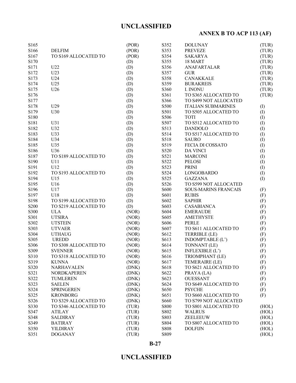## **ANNEX B TO ACP 113 (AF)**

| S165 |                      | (POR) | S352        | <b>DOLUNAY</b>              | (TUR) |
|------|----------------------|-------|-------------|-----------------------------|-------|
| S166 | <b>DELFIM</b>        | (POR) | S353        | <b>PREVEZE</b>              | (TUR) |
| S167 | TO S169 ALLOCATED TO | (POR) | S354        | <b>SAKARYA</b>              | (TUR) |
| S170 |                      | (D)   | S355        | 18 MART                     | (TUR) |
| S171 | U22                  | (D)   | S356        | ANAFARTALAR                 | (TUR) |
| S172 | U23                  | (D)   | S357        | <b>GUR</b>                  | (TUR) |
| S173 | U24                  | (D)   | S358        | CANAKKALE                   | (TUR) |
| S174 | U25                  | (D)   | S359        | <b>BURAKREIS</b>            | (TUR) |
| S175 | U26                  | (D)   | S360        | I. INONU                    | (TUR) |
| S176 |                      | (D)   | S361        | TO S365 ALLOCATED TO        | (TUR) |
| S177 |                      | (D)   | S366        | TO S499 NOT ALLOCATED       |       |
| S178 | U29                  | (D)   | <b>S500</b> | <b>ITALIAN SUBMARINES</b>   | (I)   |
| S179 | U30                  | (D)   | S501        | TO S505 ALLOCATED TO        | (I)   |
| S180 |                      | (D)   | S506        | <b>TOTI</b>                 | (I)   |
| S181 | U31                  | (D)   | S507        | TO S512 ALLOCATED TO        | (1)   |
| S182 | U32                  | (D)   | S513        | <b>DANDOLO</b>              | (1)   |
| S183 | U33                  | (D)   | S514        | TO S517 ALLOCATED TO        | (1)   |
| S184 | U34                  | (D)   | S518        | <b>SAURO</b>                | (1)   |
| S185 | U35                  | (D)   | S519        | FECIA DI COSSATO            | (I)   |
| S186 | U36                  | (D)   | S520        | <b>DA VINCI</b>             | (1)   |
| S187 | TO S189 ALLOCATED TO | (D)   | S521        | <b>MARCONI</b>              | (1)   |
| S190 | U11                  | (D)   | S522        | <b>PELOSI</b>               | (1)   |
| S191 | U12                  | (D)   | S523        | <b>PRINI</b>                | (I)   |
| S192 | TO S193 ALLOCATED TO | (D)   | S524        | <b>LONGOBARDO</b>           | (1)   |
| S194 | U15                  | (D)   | S525        | <b>GAZZANA</b>              | (I)   |
| S195 | U16                  | (D)   | S526        | TO S599 NOT ALLOCATED       |       |
| S196 | U17                  | (D)   | <b>S600</b> | <b>SOUS-MARINS FRANCAIS</b> | (F)   |
| S197 | U18                  | (D)   | S601        | <b>RUBIS</b>                | (F)   |
| S198 | TO S199 ALLOCATED TO |       | S602        | <b>SAPHIR</b>               |       |
|      |                      | (D)   |             |                             | (F)   |
| S200 | TO S219 ALLOCATED TO | (D)   | S603        | CASABIANCA                  | (F)   |
| S300 | <b>ULA</b>           | (NOR) | S604        | <b>EMERAUDE</b>             | (F)   |
| S301 | <b>UTSIRA</b>        | (NOR) | S605        | <b>AMETHYSTE</b>            | (F)   |
| S302 | <b>UTSTEIN</b>       | (NOR) | S606        | <b>PERLE</b>                | (F)   |
| S303 | <b>UTVAER</b>        | (NOR) | S607        | TO S611 ALLOCATED TO        | (F)   |
| S304 | <b>UTHAUG</b>        | (NOR) | S612        | TERRIBLE (LE)               | (F)   |
| S305 | <b>UREDD</b>         | (NOR) | S613        | INDOMPTABLE (L')            | (F)   |
| S306 | TO S308 ALLOCATED TO | (NOR) | S614        | TONNANT (LE)                | (F)   |
| S309 | <b>SVENNER</b>       | (NOR) | S615        | INFLEXIBLE (L')             | (F)   |
| S310 | TO S318 ALLOCATED TO | (NOR) | S616        | TRIOMPHANT (LE)             | (F)   |
| S319 | <b>KUNNA</b>         | (NOR) | S617        | TEMERAIRE (LE)              | (F)   |
| S320 | <b>NARHAVALEN</b>    | (DNK) | S618        | TO S621 ALLOCATED TO        | (F)   |
| S321 | NORDKAPEREN          | (DNK) | S622        | PRAYA (LA)                  | (F)   |
| S322 | <b>TUMLEREN</b>      | (DNK) | S623        | <b>OUESSANT</b>             | (F)   |
| S323 | <b>SAELEN</b>        | (DNK) | S624        | TO S649 ALLOCATED TO        | (F)   |
| S324 | <b>SPRINGEREN</b>    | (DNK) | S650        | <b>PSYCHE</b>               | (F)   |
| S325 | <b>KRONBORG</b>      | (DNK) | S651        | TO S660 ALLOCATED TO        | (F)   |
| S326 | TO S329 ALLOCATED TO | (DNK) | S660        | TO S799 NOT ALLOCATED       |       |
| S330 | TO S346 ALLOCATED TO | (TUR) | <b>S800</b> | TO S801 ALLOCATED TO        | (HOL) |
| S347 | <b>ATILAY</b>        | (TUR) | S802        | <b>WALRUS</b>               | (HOL) |
| S348 | <b>SALDIRAY</b>      | (TUR) | S803        | ZEELEEUW                    | (HOL) |
| S349 | <b>BATIRAY</b>       | (TUR) | S804        | TO S807 ALLOCATED TO        | (HOL) |
| S350 | <b>YILDIRAY</b>      | (TUR) | <b>S808</b> | <b>DOLFIJN</b>              | (HOL) |
| S351 | <b>DOGANAY</b>       | (TUR) | S809        |                             | (HOL) |
|      |                      |       |             |                             |       |

#### **B-27**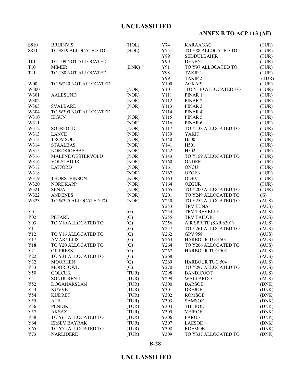# **ANNEX B TO ACP 113 (AF)**

| S810       | <b>BRUINVIS</b>       | (HOL)             | Y74              | <b>KARAAGAC</b>        | (TUR) |
|------------|-----------------------|-------------------|------------------|------------------------|-------|
| S811       | TO S819 ALLOCATED TO  | (HOL)             | Y75              | TO Y88 ALLOCATED TO    | (TUR) |
|            |                       |                   | Y89              | <b>SEDDULBAHIR</b>     | (TUR) |
| <b>T01</b> | TO T09 NOT ALLOCATED  |                   | Y90              | <b>DENEY</b>           | (TUR) |
| T10        | <b>MIMER</b>          | (DNK)             | Y91              | TO Y97 ALLOCATED TO    | (TUR) |
| <b>T11</b> | TO T80 NOT ALLOCATED  |                   | Y98              | TAKIP <sub>1</sub>     | (TUR) |
|            |                       |                   | Y99              | <b>TAKIP2</b>          | (TUR) |
| <b>W00</b> | TO W220 NOT ALLOCATED |                   | Y100             | <b>AGKAPI</b>          | (TUR) |
| W300       |                       | (NOR)             | Y101             | TO Y110 ALLOCATED TO   | (TUR) |
| W301       | <b>AALESUND</b>       | (NOR)             | Y111             | PINAR 1                | (TUR) |
| W302       |                       | (NOR)             | Y112             | PINAR <sub>2</sub>     | (TUR) |
| W303       | <b>SVALBARD</b>       | (NOR)             | Y113             | PINAR <sub>3</sub>     | (TUR) |
| W304       | TO W309 NOT ALLOCATED |                   | Y114             | PINAR4                 | (TUR) |
| W310       | <b>EIGUN</b>          | (NOR)             | Y115             | PINAR 5                | (TUR) |
| W311       |                       | (NOR)             | Y116             | PINAR 6                | (TUR) |
| W312       | <b>SOERFOLD</b>       | (NOR)             | Y117             | TO Y138 ALLOCATED TO   | (TUR) |
| W313       | <b>LANCE</b>          | (NOR)             | Y139             | <b>YAKIT</b>           | (TUR) |
| W313       | <b>TROMSOE</b>        | (NOR)             | Y140             | H500                   | (TUR) |
| W314       | <b>STAALBAS</b>       | (NOR)             | Y141             | H501                   | (TUR) |
| W315       | <b>NORDSJOEBAS</b>    | (NOR)             | Y142             | H502                   | (TUR) |
| W316       | MALENE OESTERVOLD     | (NOR)             | Y143             | TO Y159 ALLOCATED TO   | (TUR) |
| W316       | <b>VOLSTAD JR</b>     | (NOR)             | Y160             | <b>ONDER</b>           | (TUR) |
| W317       | <b>LAFJORD</b>        | (NOR)             | Y161             | <b>ONCU</b>            | (TUR) |
| W318       |                       | (NOR)             | Y162             | <b>OZGEN</b>           | (TUR) |
| W319       | <b>THORSTEINSON</b>   | (NOR)             | Y163             | <b>ODEV</b>            | (TUR) |
| W320       | <b>NORDKAPP</b>       | (NOR)             | Y164             | <b>OZGUR</b>           | (TUR) |
| W321       | <b>SENJA</b>          | (NOR)             | Y165             | TO Y200 ALLOCATED TO   | (TUR) |
| W322       | <b>ANDENES</b>        | (NOR)             | Y201             | TO Y249 ALLOCATED TO   | (G)   |
| W323       | TO W325 ALLOCATED TO  | (NOR)             | Y250             | TO Y252 ALLOCATED TO   | (AUS) |
|            |                       |                   | Y253             | TRV TUNA               | (AUS) |
| Y01        |                       | (G)               | Y254             | TRV TREVELLY           | (AUS) |
| Y02        | <b>PETARD</b>         | (G)               | Y255             | <b>TRV TAILOR</b>      | (AUS) |
| Y03        | TO Y10 ALLOCATED TO   | (G)               | Y256             | AIR SPRITE (SAR 6301)  | (AUS) |
| Y11        |                       | (G)               | Y257             | TO Y261 ALLOCATED TO   | (AUS) |
| Y12        | TO Y16 ALLOCATED TO   | (G)               | Y262             | <b>GPV 958</b>         | (AUS) |
| Y17        | <b>AMARYLLIS</b>      | (G)               | Y263             | <b>HARBOUR TUG 501</b> | (AUS) |
| Y18        | TO Y20 ALLOCATED TO   | (G)               | Y264             | TO Y266 ALLOCATED TO   | (AUS) |
| Y21        | <b>OILPRESS</b>       | (G)               | Y267             | <b>HARBOUR TUG 502</b> | (AUS) |
| Y22        | TO Y31 ALLOCATED TO   | $\left( G\right)$ | Y <sub>268</sub> |                        | (AUS) |
| Y32        | <b>MOORHEN</b>        | (G)               | Y269             | <b>HARBOUR TUG 504</b> | (AUS) |
| Y33        | <b>MOORFOWL</b>       | (G)               | Y270             | TO Y297 ALLOCATED TO   | (AUS) |
| Y50        | <b>GOLCUK</b>         | (TUR)             | Y298             | <b>BANDICOOT</b>       | (AUS) |
| Y51        | <b>SONDUREN 1</b>     | (TUR)             | Y299             | <b>WALLAROO</b>        | (AUS) |
| Y52        | <b>DOGANARSLAN</b>    | (TUR)             | Y300             | <b>BARSOE</b>          | (DNK) |
| Y53        | <b>KUVVET</b>         | (TUR)             | Y301             | <b>DREJOE</b>          | (DNK) |
| Y54        | <b>KUDRET</b>         | (TUR)             | Y302             | <b>ROMSOE</b>          | (DNK) |
| Y55        | <b>ATIL</b>           | (TUR)             | Y303             | <b>SAMSOE</b>          | (DNK) |
| Y56        | <b>PENDIK</b>         | (TUR)             | Y304             | <b>THUROE</b>          | (DNK) |
| Y57        | <b>AKSAZ</b>          | (TUR)             | Y305             | <b>VEJROE</b>          | (DNK) |
| Y58        | TO Y63 ALLOCATED TO   | (TUR)             | Y306             | <b>FAROE</b>           | (DNK) |
| Y64        | <b>ERSEV BAYRAK</b>   | (TUR)             | Y307             | <b>LAESOE</b>          | (DNK) |
| Y65        | TO Y72 ALLOCATED TO   | (TUR)             | Y308             | <b>ROEMOE</b>          | (DNK) |
| Y73        | <b>NARLIDERE</b>      | (TUR)             | Y309             | TO Y337 ALLOCATED TO   | (DNK) |
|            |                       |                   |                  |                        |       |

### **B-28**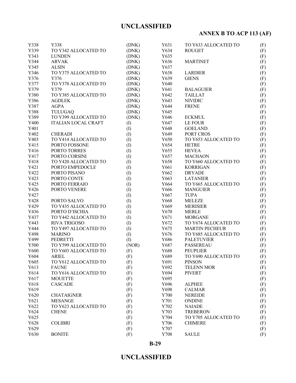# **ANNEX B TO ACP 113 (AF)**

| Y338 | Y338                       | (DNK)     | Y631 | TO Y633 ALLOCATED TO  | (F)        |
|------|----------------------------|-----------|------|-----------------------|------------|
| Y339 | TO Y342 ALLOCATED TO       | (DNK)     | Y634 | <b>ROUGET</b>         | (F)        |
| Y343 | <b>LUNDEN</b>              | (DNK)     | Y635 |                       | (F)        |
| Y344 | <b>ARVAK</b>               | (DNK)     | Y636 | <b>MARTINET</b>       | (F)        |
| Y345 | <b>ALSIN</b>               | (DNK)     | Y637 |                       | (F)        |
| Y346 | TO Y375 ALLOCATED TO       | (DNK)     | Y638 | <b>LARDIER</b>        | (F)        |
| Y376 | Y376                       | (DNK)     | Y639 | <b>GIENS</b>          | (F)        |
| Y377 | TO Y378 ALLOCATED TO       | (DNK)     | Y640 |                       | (F)        |
| Y379 | Y379                       | (DNK)     | Y641 | <b>BALAGUIER</b>      | (F)        |
| Y380 | TO Y385 ALLOCATED TO       | (DNK)     | Y642 | <b>TAILLAT</b>        | (F)        |
| Y386 | <b>AGDLEK</b>              | (DNK)     | Y643 | <b>NIVIDIC</b>        | (F)        |
| Y387 | <b>AGPA</b>                | (DNK)     | Y644 | <b>FRENE</b>          | (F)        |
| Y388 | <b>TULUGAQ</b>             | (DNK)     | Y645 |                       | (F)        |
| Y389 | TO Y399 ALLOCATED TO       | (DNK)     | Y646 | <b>ECKMUL</b>         |            |
| Y400 | <b>ITALIAN LOCAL CRAFT</b> | $\rm (I)$ | Y647 | LE FOUR               | (F)<br>(F) |
| Y401 |                            |           | Y648 | <b>GOELAND</b>        |            |
| Y402 |                            | $\rm (I)$ | Y649 | PORT CROS             | (F)        |
|      | <b>CHERADI</b>             | (I)       |      |                       | (F)        |
| Y403 | TO Y414 ALLOCATED TO       | (I)       | Y650 | TO Y653 ALLOCATED TO  | (F)        |
| Y415 | PORTO FOSSONE              | (I)       | Y654 | <b>HETRE</b>          | (F)        |
| Y416 | PORTO TORRES               | (I)       | Y655 | <b>HEVEA</b>          | (F)        |
| Y417 | PORTO CORSINI              | (I)       | Y657 | <b>MACHAON</b>        | (F)        |
| Y418 | TO Y420 ALLOCATED TO       | (1)       | Y658 | TO Y660 ALLOCATED TO  | (F)        |
| Y421 | PORTO EMPEDOCLE            | (I)       | Y661 | <b>KORRIGAN</b>       | (F)        |
| Y422 | PORTO PISANO               | (I)       | Y662 | <b>DRYADE</b>         | (F)        |
| Y423 | PORTO CONTE                | (I)       | Y663 | <b>LATANIER</b>       | (F)        |
| Y425 | PORTO FERRAIO              | (1)       | Y664 | TO Y665 ALLOCATED TO  | (F)        |
| Y426 | PORTO VENERE               | $($ I $)$ | Y666 | <b>MANGUIER</b>       | (F)        |
| Y427 |                            | (I)       | Y667 | <b>TUPA</b>           | (F)        |
| Y428 | PORTO SALVO                | $($ I $)$ | Y668 | <b>MELEZE</b>         | (F)        |
| Y429 | TO Y435 ALLOCATED TO       | (I)       | Y669 | <b>MERISIER</b>       | (F)        |
| Y436 | PORTO D'ISCHIA             | (I)       | Y670 | <b>MERLE</b>          | (F)        |
| Y437 | TO Y442 ALLOCATED TO       | (I)       | Y671 | <b>MORGANE</b>        | (F)        |
| Y443 | <b>RIVA TRIGOSO</b>        | (1)       | Y672 | TO Y674 ALLOCATED TO  | (F)        |
| Y444 | TO Y497 ALLOCATED TO       | (1)       | Y675 | <b>MARTIN PECHEUR</b> | (F)        |
| Y498 | <b>MARINO</b>              | (I)       | Y676 | TO Y685 ALLOCATED TO  | (F)        |
| Y499 | PEDRETTI                   | (I)       | Y686 | <b>PALETUVIER</b>     | (F)        |
| Y500 | TO Y599 ALLOCATED TO       | (NOR)     | Y687 | <b>PASSEREAU</b>      | (F)        |
| Y600 | TO Y603 ALLOCATED TO       | (F)       | Y688 | <b>PEUPLIER</b>       | (F)        |
| Y604 | <b>ARIEL</b>               | (F)       | Y689 | TO Y690 ALLOCATED TO  | (F)        |
| Y605 | TO Y612 ALLOCATED TO       | (F)       | Y691 | <b>PINSON</b>         | (F)        |
| Y613 | <b>FAUNE</b>               | (F)       | Y692 | <b>TELENN MOR</b>     | (F)        |
| Y614 | TO Y616 ALLOCATED TO       | (F)       | Y694 | <b>PIVERT</b>         | (F)        |
| Y617 | <b>MOUETTE</b>             | (F)       | Y695 |                       | (F)        |
| Y618 | <b>CASCADE</b>             | (F)       | Y696 | <b>ALPHEE</b>         | (F)        |
| Y619 |                            | (F)       | Y698 | <b>CALMAR</b>         | (F)        |
| Y620 | <b>CHATAIGNER</b>          | (F)       | Y700 | <b>NEREIDE</b>        | (F)        |
| Y621 | <b>MESANGE</b>             | (F)       | Y701 | <b>ONDINE</b>         | (F)        |
| Y622 | TO Y623 ALLOCATED TO       | (F)       | Y702 | <b>NAIADE</b>         | (F)        |
| Y624 | <b>CHENE</b>               | (F)       | Y703 | <b>TREBERON</b>       | (F)        |
| Y625 |                            | (F)       | Y704 | TO Y705 ALLOCATED TO  | (F)        |
| Y628 | <b>COLIBRI</b>             | (F)       | Y706 | <b>CHIMERE</b>        | (F)        |
| Y629 |                            | (F)       | Y707 |                       | (F)        |
| Y630 | <b>BONITE</b>              | (F)       | Y708 | <b>SAULE</b>          | (F)        |

**B-29**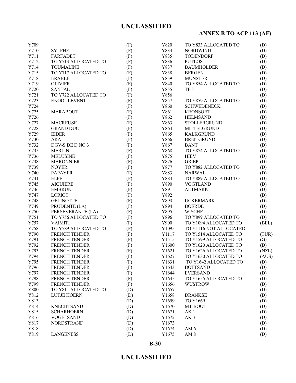# **ANNEX B TO ACP 113 (AF)**

| Y709         |                                    | (F) | Y820         | TO Y833 ALLOCATED TO   | (D)          |
|--------------|------------------------------------|-----|--------------|------------------------|--------------|
| Y710         | <b>SYLPHE</b>                      | (F) | Y834         | <b>NORDWIND</b>        | (D)          |
| Y711         | <b>FARFADET</b>                    | (F) | Y835         | <b>TODENDORF</b>       | (D)          |
| Y712         | TO Y713 ALLOCATED TO               | (F) | Y836         | <b>PUTLOS</b>          | (D)          |
| Y714         | <b>TOUMALINE</b>                   | (F) | Y837         | <b>BAUMHOLDER</b>      | (D)          |
| Y715         | TO Y717 ALLOCATED TO               | (F) | Y838         | <b>BERGEN</b>          | (D)          |
| Y718         | <b>ERABLE</b>                      | (F) | Y839         | <b>MUNSTER</b>         | (D)          |
| Y719         | <b>OLIVIER</b>                     | (F) | Y840         | TO Y854 ALLOCATED TO   | (D)          |
| Y720         | <b>SANTAL</b>                      | (F) | Y855         | TF <sub>5</sub>        | (D)          |
| Y721         | TO Y722 ALLOCATED TO               | (F) | Y856         |                        | (D)          |
| Y723         | <b>ENGOULEVENT</b>                 | (F) | Y857         | TO Y859 ALLOCATED TO   | (D)          |
| Y724         |                                    | (F) | Y860         | <b>SCHWEDENECK</b>     | (D)          |
| Y725         | <b>MARABOUT</b>                    | (F) | Y861         | <b>KRONSORT</b>        | (D)          |
| Y726         |                                    | (F) | Y862         | <b>HELMSAND</b>        | (D)          |
| Y727         | <b>MACREUSE</b>                    | (F) | Y863         | STOLLERGRUND           | (D)          |
| Y728         | <b>GRAND DUC</b>                   | (F) | Y864         | <b>MITTELGRUND</b>     | (D)          |
| Y729         | <b>EIDER</b>                       | (F) | Y865         | <b>KALKGRUND</b>       | (D)          |
| Y730         | <b>ARA</b>                         | (F) | Y866         | <b>BREITGRUND</b>      | (D)          |
| Y732         | DGV-S DE D NO 3                    | (F) | Y867         | <b>BANT</b>            | (D)          |
| Y735         | <b>MERLIN</b>                      | (F) | Y868         | TO Y874 ALLOCATED TO   | (D)          |
| Y736         | <b>MELUSINE</b>                    | (F) | Y875         | <b>HIEV</b>            | (D)          |
| Y738         | <b>MARONNIER</b>                   | (F) | Y876         | <b>GRIEP</b>           | (D)          |
| Y739         | <b>NOYER</b>                       | (F) | Y877         | TO Y882 ALLOCATED TO   | (D)          |
| Y740         | <b>PAPAYER</b>                     | (F) | Y883         | <b>NARWAL</b>          | (D)          |
| Y741         | <b>ELFE</b>                        | (F) | Y884         | TO Y889 ALLOCATED TO   | (D)          |
| Y745         | <b>AIGUIERE</b>                    | (F) | Y890         | <b>VOGTLAND</b>        | (D)          |
| Y746         | <b>EMBRUN</b>                      | (F) | Y891         | <b>ALTMARK</b>         | (D)          |
| Y747         | <b>LORIOT</b>                      | (F) | Y892         |                        | (D)          |
| Y748         | <b>GELINOTTE</b>                   | (F) | Y893         | <b>UCKERMARK</b>       | (D)          |
|              |                                    |     | Y894         | <b>BOERDE</b>          |              |
| Y749<br>Y750 | PRUDENTE (LA)<br>PERSEVERANTE (LA) | (F) | Y895         | <b>WISCHE</b>          | (D)          |
| Y751         | TO Y756 ALLOCATED TO               | (F) |              | TO Y899 ALLOCATED TO   | (D)          |
| Y757         | <b>VAIMITI</b>                     | (F) | Y896<br>Y900 | TO Y1094 ALLOCATED TO  | (D)<br>(BEL) |
|              |                                    | (F) |              |                        |              |
| Y758         | TO Y789 ALLOCATED TO               | (F) | Y1095        | TO Y1116 NOT ALLOCATED |              |
| Y790         | <b>FRENCH TENDER</b>               | (F) | Y1117        | TO Y1514 ALLOCATED TO  | (TUR)        |
| Y791         | FRENCH TENDER                      | (F) | Y1515        | TO Y1599 ALLOCATED TO  | (G)          |
| Y792         | <b>FRENCH TENDER</b>               | (F) | Y1600        | TO Y1620 ALLOCATED TO  | (D)          |
| Y793         | <b>FRENCH TENDER</b>               | (F) | Y1621        | TO Y1626 ALLOCATED TO  | (NZL)        |
| Y794         | <b>FRENCH TENDER</b>               | (F) | Y1627        | TO Y1630 ALLOCATED TO  | (AUS)        |
| Y795         | <b>FRENCH TENDER</b>               | (F) | Y1631        | TO Y1642 ALLOCATED TO  | (D)          |
| Y796         | <b>FRENCH TENDER</b>               | (F) | Y1643        | <b>BOTTSAND</b>        | (D)          |
| Y797         | <b>FRENCH TENDER</b>               | (F) | Y1644        | <b>EVERSAND</b>        | (D)          |
| Y798         | FRENCH TENDER                      | (F) | Y1645        | TO Y1655 ALLOCATED TO  | (D)          |
| Y799         | <b>FRENCH TENDER</b>               | (F) | Y1656        | <b>WUSTROW</b>         | (D)          |
| Y800         | TO Y811 ALLOCATED TO               | (D) | Y1657        |                        | (D)          |
| Y812         | <b>LUTJE HOERN</b>                 | (D) | Y1658        | <b>DRANKSE</b>         | (D)          |
| Y813         |                                    | (D) | Y1659        | TO Y1669               | (D)          |
| Y814         | <b>KNECHTSAND</b>                  | (D) | Y1670        | MT-BOOT                | (D)          |
| Y815         | <b>SCHARHOERN</b>                  | (D) | Y1671        | AK <sub>1</sub>        | (D)          |
| Y816         | <b>VOGELSAND</b>                   | (D) | Y1672        | AK <sub>3</sub>        | (D)          |
| Y817         | <b>NORDSTRAND</b>                  | (D) | Y1673        |                        | (D)          |
| Y818         |                                    | (D) | Y1674        | AM <sub>6</sub>        | (D)          |
| Y819         | <b>LANGENESS</b>                   | (D) | Y1675        | AM <sub>8</sub>        | (D)          |

**B-30**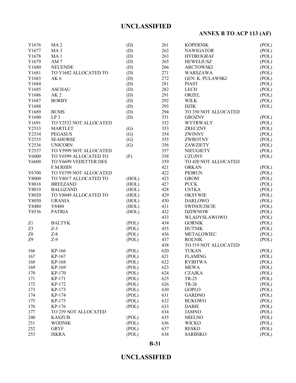# **ANNEX B TO ACP 113 (AF)**

| Y1676      | MA <sub>2</sub>        | (D)   | 261        | <b>KOPERNIK</b>      | (POL) |
|------------|------------------------|-------|------------|----------------------|-------|
| Y1677      | MA <sub>3</sub>        | (D)   | 262        | <b>NAWIGATOR</b>     | (POL) |
| Y1678      | MA <sub>1</sub>        | (D)   | 263        | <b>HYDROGRAF</b>     | (POL) |
| Y1679      | AM <sub>7</sub>        | (D)   | 265        | <b>HEWELIUSZ</b>     | (POL) |
| Y1680      | <b>NEUENDE</b>         | (D)   | 266        | <b>ARCTOWSKI</b>     | (POL) |
| Y1681      | TO Y1682 ALLOCATED TO  | (D)   | 271        | <b>WARSZAWA</b>      | (POL) |
| Y1683      | AK6                    | (D)   | 272        | GEN. K. PULAWSKI     | (POL) |
| Y1684      |                        | (D)   | 281        | <b>PIAST</b>         | (POL) |
| Y1685      | <b>ASCHAU</b>          | (D)   | 282        | <b>LECH</b>          | (POL) |
| Y1686      | AK <sub>2</sub>        | (D)   | 291        | ORZEL                | (POL) |
| Y1687      | <b>BORBY</b>           | (D)   | 292        | <b>WILK</b>          | (POL) |
| Y1688      |                        | (D)   | 293        | <b>DZIK</b>          | (POL) |
| Y1689      | <b>BUMS</b>            | (D)   | 294        | TO 350 NOT ALLOCATED |       |
| Y1690      | LP <sub>3</sub>        | (D)   | 351        | <b>GROZNY</b>        | (POL) |
| Y1691      | TO Y2532 NOT ALLOCATED |       | 352        | <b>WYTRWALY</b>      | (POL) |
| Y2533      | <b>MARTLET</b>         | (G)   | 353        | <b>ZRECZNY</b>       | (POL) |
| Y2534      | <b>PEGASUS</b>         | (G)   | 354        | <b>ZWINNY</b>        | (POL) |
| Y2535      | <b>SEAHORSE</b>        | (G)   | 355        | ZWROTNY              | (POL) |
| Y2536      | <b>UNICORN</b>         | (G)   | 356        | ZAWZIETY             | (POL) |
| Y2537      | TO Y5999 NOT ALLOCATED |       |            |                      |       |
|            |                        |       | 357<br>358 | <b>NIEUGIETY</b>     | (POL) |
| Y6000      | TO Y6599 ALLOCATED TO  | (F)   |            | <b>CZUJNY</b>        | (POL) |
| Y6600      | TO Y6699 VEDETTER DES  |       | 359        | TO 420 NOT ALLOCATED |       |
|            | <b>F.M.RHIN</b>        |       | 421        | <b>ORKAN</b>         | (POL) |
| Y6700      | TO Y6799 NOT ALLOCATED |       | 422        | <b>PIORUN</b>        | (POL) |
| Y8000      | TO Y8017 ALLOCATED TO  | (HOL) | 423        | <b>GROM</b>          | (POL) |
| Y8018      | <b>BREEZAND</b>        | (HOL) | 427        | <b>PUCK</b>          | (POL) |
| Y8019      | <b>BALGZAND</b>        | (HOL) | 428        | <b>USTKA</b>         | (POL) |
| Y8020      | TO Y8049 ALLOCATED TO  | (HOL) | 429        | <b>OKSYWIE</b>       | (POL) |
| Y8050      | <b>URANIA</b>          | (HOL) | 430        | <b>DARLOWO</b>       | (POL) |
| Y8480      | Y8480                  | (HOL) | 431        | <b>SWINOUJSCIE</b>   | (POL) |
| Y8536      | <b>PATRIA</b>          | (HOL) | 432        | <b>DZIWNOW</b>       | (POL) |
|            |                        |       | 433        | WLADYSLAWOWO         | (POL) |
| Z1         | <b>BALTYK</b>          | (POL) | 434        | <b>GORNIK</b>        | (POL) |
| Z3         | $Z-3$                  | (POL) | 435        | <b>HUTNIK</b>        | (POL) |
| ${\rm Z}8$ | $Z-8$                  | (POL) | 436        | <b>METALOWIEC</b>    | (POL) |
| Z9         | $Z-9$                  | (POL) | 437        | <b>ROLNIK</b>        | (POL) |
|            |                        |       | 438        | TO 519 NOT ALLOCATED |       |
| 166        | KP-166                 | (POL) | 620        | <b>TUKAN</b>         | (POL) |
| 167        | KP-167                 | (POL) | 621        | <b>FLAMING</b>       | (POL) |
| 168        | KP-168                 | (POL) | 622        | <b>RYBITWA</b>       | (POL) |
| 169        | KP-169                 | (POL) | 623        | <b>MEWA</b>          | (POL) |
| 170        | KP-170                 | (POL) | 624        | <b>CZAJKA</b>        | (POL) |
| 171        | KP-171                 | (POL) | 625        | TR-25                | (POL) |
| 172        | KP-172                 | (POL) | 626        | TR-26                | (POL) |
| 173        | KP-173                 | (POL) | 630        | <b>GOPLO</b>         | (POL) |
| 174        | KP-174                 | (POL) | 631        | <b>GARDNO</b>        | (POL) |
| 175        | KP-175                 | (POL) | 632        | <b>BUKOWO</b>        | (POL) |
| 176        | KP-176                 | (POL) | 633        | <b>DABIE</b>         | (POL) |
| 177        | TO 239 NOT ALLOCATED   |       | 634        | <b>JAMNO</b>         | (POL) |
| 240        | <b>KASZUB</b>          | (POL) | 635        | <b>MIELNO</b>        | (POL) |
| 251        | <b>WODNIK</b>          | (POL) | 636        | <b>WICKO</b>         | (POL) |
| 252        | <b>GRYF</b>            | (POL) | 637        | <b>RESKO</b>         | (POL) |
| 253        | <b>ISKRA</b>           | (POL) | 638        | <b>SARBSKO</b>       | (POL) |
|            |                        |       |            |                      |       |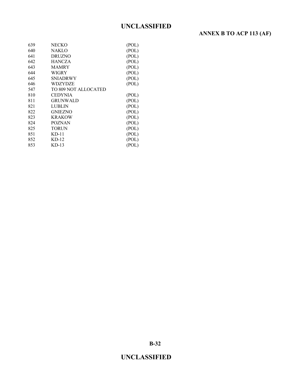# **ANNEX B TO ACP 113 (AF)**

| 639 | NECKO                | (POL) |
|-----|----------------------|-------|
| 640 | <b>NAKLO</b>         | (POL) |
| 641 | <b>DRUZNO</b>        | (POL) |
| 642 | <b>HANCZA</b>        | (POL) |
| 643 | <b>MAMRY</b>         | (POL) |
| 644 | WIGRY                | (POL) |
| 645 | SNIADRWY             | (POL) |
| 646 | WDZYDZE              | (POL) |
| 547 | TO 809 NOT ALLOCATED |       |
| 810 | CEDYNIA              | (POL) |
| 811 | GRUNWALD             | (POL) |
| 821 | LUBLIN               | (POL) |
| 822 | GNIEZNO              | (POL) |
| 823 | KRAKOW               | (POL) |
| 824 | POZNAN               | (POL) |
| 825 | <b>TORUN</b>         | (POL) |
| 851 | KD-11                | (POL) |
| 852 | $KD-12$              | (POL) |
| 853 | KD-13                | (POL) |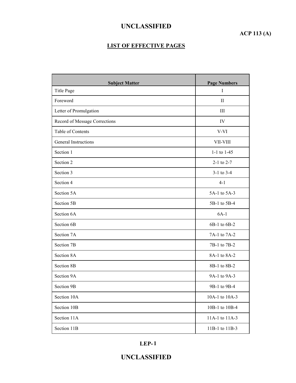## **ACP 113 (A)**

### **LIST OF EFFECTIVE PAGES**

| <b>Subject Matter</b>         | <b>Page Numbers</b> |
|-------------------------------|---------------------|
| Title Page                    | Ι                   |
| Foreword                      | П                   |
| Letter of Promulgation        | III                 |
| Record of Message Corrections | IV                  |
| Table of Contents             | V-VI                |
| <b>General Instructions</b>   | VII-VIII            |
| Section 1                     | 1-1 to $1-45$       |
| Section 2                     | $2-1$ to $2-7$      |
| Section 3                     | $3-1$ to $3-4$      |
| Section 4                     | $4 - 1$             |
| Section 5A                    | 5A-1 to 5A-3        |
| Section 5B                    | 5B-1 to 5B-4        |
| Section 6A                    | $6A-1$              |
| Section 6B                    | 6B-1 to 6B-2        |
| Section 7A                    | 7A-1 to 7A-2        |
| Section 7B                    | 7B-1 to 7B-2        |
| Section 8A                    | 8A-1 to 8A-2        |
| Section 8B                    | 8B-1 to 8B-2        |
| Section 9A                    | 9A-1 to 9A-3        |
| Section 9B                    | 9B-1 to 9B-4        |
| Section 10A                   | 10A-1 to 10A-3      |
| Section 10B                   | 10B-1 to 10B-4      |
| Section 11A                   | 11A-1 to 11A-3      |
| Section 11B                   | 11B-1 to 11B-3      |

**LEP- 1**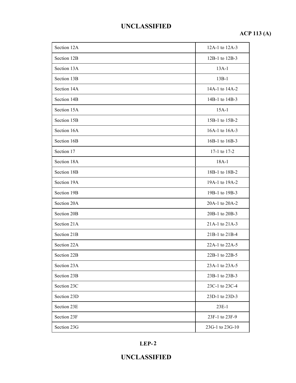# **ACP 113 (A)**

| Section 12A | 12A-1 to 12A-3  |
|-------------|-----------------|
| Section 12B | 12B-1 to 12B-3  |
| Section 13A | $13A-1$         |
| Section 13B | $13B-1$         |
| Section 14A | 14A-1 to 14A-2  |
| Section 14B | 14B-1 to 14B-3  |
| Section 15A | $15A-1$         |
| Section 15B | 15B-1 to 15B-2  |
| Section 16A | 16A-1 to 16A-3  |
| Section 16B | 16B-1 to 16B-3  |
| Section 17  | 17-1 to 17-2    |
| Section 18A | $18A-1$         |
| Section 18B | 18B-1 to 18B-2  |
| Section 19A | 19A-1 to 19A-2  |
| Section 19B | 19B-1 to 19B-3  |
| Section 20A | 20A-1 to 20A-2  |
| Section 20B | 20B-1 to 20B-3  |
| Section 21A | 21A-1 to 21A-3  |
| Section 21B | 21B-1 to 21B-4  |
| Section 22A | 22A-1 to 22A-5  |
| Section 22B | 22B-1 to 22B-5  |
| Section 23A | 23A-1 to 23A-5  |
| Section 23B | 23B-1 to 23B-3  |
| Section 23C | 23C-1 to 23C-4  |
| Section 23D | 23D-1 to 23D-3  |
| Section 23E | $23E-1$         |
| Section 23F | 23F-1 to 23F-9  |
| Section 23G | 23G-1 to 23G-10 |

### **LEP- 2**